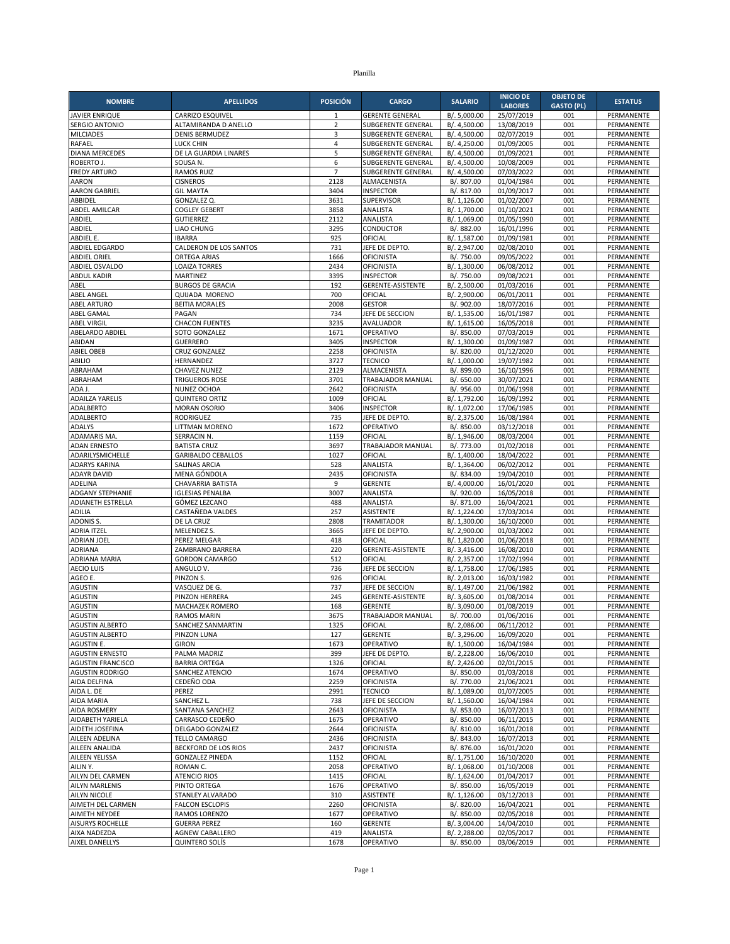| <b>NOMBRE</b>                                      | <b>APELLIDOS</b>                                  | <b>POSICIÓN</b> | <b>CARGO</b>                           | <b>SALARIO</b>               | <b>INICIO DE</b>             | <b>OBJETO DE</b>  | <b>ESTATUS</b>           |
|----------------------------------------------------|---------------------------------------------------|-----------------|----------------------------------------|------------------------------|------------------------------|-------------------|--------------------------|
|                                                    |                                                   | 1               | <b>GERENTE GENERAL</b>                 |                              | <b>LABORES</b><br>25/07/2019 | <b>GASTO (PL)</b> |                          |
| JAVIER ENRIQUE<br><b>SERGIO ANTONIO</b>            | <b>CARRIZO ESQUIVEL</b><br>ALTAMIRANDA D ANELLO   | $\overline{2}$  | SUBGERENTE GENERAL                     | B/.5,000.00<br>B/. 4,500.00  | 13/08/2019                   | 001<br>001        | PERMANENTE<br>PERMANENTE |
| <b>MILCIADES</b>                                   | <b>DENIS BERMUDEZ</b>                             | 3               | SUBGERENTE GENERAL                     | B/. 4,500.00                 | 02/07/2019                   | 001               | PERMANENTE               |
| RAFAEL                                             | <b>LUCK CHIN</b>                                  | $\overline{4}$  | SUBGERENTE GENERAL                     | B/. 4,250.00                 | 01/09/2005                   | 001               | PERMANENTE               |
| <b>DIANA MERCEDES</b>                              | DE LA GUARDIA LINARES                             | 5               | <b>SUBGERENTE GENERAL</b>              | B/. 4,500.00                 | 01/09/2021                   | 001               | PERMANENTE               |
| ROBERTO J.                                         | SOUSA N.                                          | 6               | <b>SUBGERENTE GENERAL</b>              | B/. 4,500.00                 | 10/08/2009                   | 001               | PERMANENTE               |
| <b>FREDY ARTURO</b>                                | <b>RAMOS RUIZ</b>                                 | $\overline{7}$  | SUBGERENTE GENERAL                     | B/. 4,500.00                 | 07/03/2022                   | 001               | PERMANENTE               |
| AARON<br><b>AARON GABRIEL</b>                      | <b>CISNEROS</b><br><b>GIL MAYTA</b>               | 2128<br>3404    | ALMACENISTA<br><b>INSPECTOR</b>        | B/. 807.00<br>B/. 817.00     | 01/04/1984<br>01/09/2017     | 001<br>001        | PERMANENTE<br>PERMANENTE |
| ABBIDEL                                            | <b>GONZALEZ Q</b>                                 | 3631            | SUPERVISOR                             | B/. 1,126.00                 | 01/02/2007                   | 001               | PERMANENTE               |
| <b>ABDEL AMILCAR</b>                               | <b>COGLEY GEBERT</b>                              | 3858            | ANALISTA                               | B/. 1,700.00                 | 01/10/2021                   | 001               | PERMANENTE               |
| ABDIEL                                             | <b>GUTIERREZ</b>                                  | 2112            | ANALISTA                               | B/. 1,069.00                 | 01/05/1990                   | 001               | PERMANENTE               |
| ABDIEL                                             | LIAO CHUNG                                        | 3295            | <b>CONDUCTOR</b>                       | B/. 882.00                   | 16/01/1996                   | 001               | PERMANENTE               |
| ABDIEL E.                                          | <b>IBARRA</b>                                     | 925<br>731      | OFICIAL                                | B/. 1,587.00                 | 01/09/1981                   | 001<br>001        | PERMANENTE               |
| ABDIEL EDGARDO<br><b>ABDIEL ORIEL</b>              | CALDERON DE LOS SANTOS<br><b>ORTEGA ARIAS</b>     | 1666            | JEFE DE DEPTO<br>OFICINISTA            | B/. 2,947.00<br>B/. 750.00   | 02/08/2010<br>09/05/2022     | 001               | PERMANENTE<br>PERMANENTE |
| <b>ABDIEL OSVALDO</b>                              | <b>LOAIZA TORRES</b>                              | 2434            | <b>OFICINISTA</b>                      | B/. 1,300.00                 | 06/08/2012                   | 001               | PERMANENTE               |
| <b>ABDUL KADIR</b>                                 | MARTINEZ                                          | 3395            | <b>INSPECTOR</b>                       | B/. 750.00                   | 09/08/2021                   | 001               | PERMANENTE               |
| ABEL                                               | <b>BURGOS DE GRACIA</b>                           | 192             | <b>GERENTE-ASISTENTE</b>               | B/. 2,500.00                 | 01/03/2016                   | 001               | PERMANENTE               |
| <b>ABEL ANGEL</b>                                  | QUIJADA MORENO                                    | 700             | OFICIAL                                | B/. 2,900.00                 | 06/01/2011                   | 001               | PERMANENTE               |
| <b>ABEL ARTURO</b>                                 | <b>BEITIA MORALES</b>                             | 2008            | <b>GESTOR</b>                          | B/. 902.00                   | 18/07/2016                   | 001               | PERMANENTE               |
| ABEL GAMAL<br><b>ABEL VIRGIL</b>                   | PAGAN<br><b>CHACON FUENTES</b>                    | 734<br>3235     | JEFE DE SECCION<br><b>AVALUADOR</b>    | B/. 1,535.00<br>B/. 1,615.00 | 16/01/1987<br>16/05/2018     | 001<br>001        | PERMANENTE<br>PERMANENTE |
| ABELARDO ABDIEL                                    | SOTO GONZALEZ                                     | 1671            | OPERATIVO                              | B/. 850.00                   | 07/03/2019                   | 001               | PERMANENTE               |
| ABIDAN                                             | <b>GUERRERO</b>                                   | 3405            | <b>INSPECTOR</b>                       | B/. 1,300.00                 | 01/09/1987                   | 001               | PERMANENTE               |
| <b>ABIEL OBEB</b>                                  | <b>CRUZ GONZALEZ</b>                              | 2258            | OFICINISTA                             | B/. 820.00                   | 01/12/2020                   | 001               | PERMANENTE               |
| ABILIO                                             | HERNANDEZ                                         | 3727            | <b>TECNICO</b>                         | B/. 1,000.00                 | 19/07/1982                   | 001               | PERMANENTE               |
| ABRAHAM                                            | CHAVEZ NUNEZ                                      | 2129            | ALMACENISTA                            | B/. 899.00                   | 16/10/1996                   | 001               | PERMANENTE               |
| ABRAHAM                                            | <b>TRIGUEROS ROSE</b><br>NUNEZ OCHOA              | 3701            | TRABAJADOR MANUAL                      | B/. 650.00                   | 30/07/2021                   | 001               | PERMANENTE               |
| ADA J.<br>ADAILZA YARELIS                          | <b>QUINTERO ORTIZ</b>                             | 2642<br>1009    | <b>OFICINISTA</b><br>OFICIAL           | B/. 956.00<br>B/. 1,792.00   | 01/06/1998<br>16/09/1992     | 001<br>001        | PERMANENTE<br>PERMANENTE |
| ADALBERTO                                          | <b>MORAN OSORIO</b>                               | 3406            | <b>INSPECTOR</b>                       | B/. 1,072.00                 | 17/06/1985                   | 001               | PERMANENTE               |
| <b>ADALBERTO</b>                                   | <b>RODRIGUEZ</b>                                  | 735             | JEFE DE DEPTO                          | B/. 2,375.00                 | 16/08/1984                   | 001               | PERMANENTE               |
| <b>ADALYS</b>                                      | LITTMAN MORENO                                    | 1672            | OPERATIVO                              | B/. 850.00                   | 03/12/2018                   | 001               | PERMANENTE               |
| ADAMARIS MA                                        | SERRACIN N.                                       | 1159            | OFICIAL                                | B/. 1,946.00                 | 08/03/2004                   | 001               | PERMANENTE               |
| <b>ADAN ERNESTO</b>                                | <b>BATISTA CRUZ</b>                               | 3697            | TRABAJADOR MANUAL                      | B/. 773.00                   | 01/02/2018                   | 001               | PERMANENTE               |
| ADARILYSMICHELLE<br><b>ADARYS KARINA</b>           | <b>GARIBALDO CEBALLOS</b><br><b>SALINAS ARCIA</b> | 1027<br>528     | OFICIAL<br>ANALISTA                    | B/. 1,400.00<br>B/. 1,364.00 | 18/04/2022<br>06/02/2012     | 001<br>001        | PERMANENTE<br>PERMANENTE |
| <b>ADAYR DAVID</b>                                 | MENA GÓNDOLA                                      | 2435            | <b>OFICINISTA</b>                      | B/. 834.00                   | 19/04/2010                   | 001               | PERMANENTE               |
| ADELINA                                            | CHAVARRIA BATISTA                                 | 9               | <b>GERENTE</b>                         | B/. 4,000.00                 | 16/01/2020                   | 001               | PERMANENTE               |
| <b>ADGANY STEPHANIE</b>                            | <b>IGLESIAS PENALBA</b>                           | 3007            | ANALISTA                               | B/. 920.00                   | 16/05/2018                   | 001               | PERMANENTE               |
| ADIANETH ESTRELLA                                  | GÓMEZ LEZCANO                                     | 488             | ANALISTA                               | B/. 871.00                   | 16/04/2021                   | 001               | PERMANENTE               |
| ADILIA                                             | CASTAÑEDA VALDES                                  | 257             | <b>ASISTENTE</b>                       | B/. 1,224.00                 | 17/03/2014                   | 001               | PERMANENTE               |
| ADONIS S.<br>ADRIA ITZEL                           | DE LA CRUZ<br>MELENDEZ S.                         | 2808<br>3665    | <b>TRAMITADOR</b><br>JEFE DE DEPTO.    | B/. 1,300.00                 | 16/10/2000                   | 001<br>001        | PERMANENTE<br>PERMANENTE |
| ADRIAN JOEL                                        | PEREZ MELGAR                                      | 418             | OFICIAL                                | B/. 2,900.00<br>B/. 1,820.00 | 01/03/2002<br>01/06/2018     | 001               | PERMANENTE               |
| ADRIANA                                            | ZAMBRANO BARRERA                                  | 220             | GERENTE-ASISTENTE                      | B/. 3,416.00                 | 16/08/2010                   | 001               | PERMANENTE               |
| ADRIANA MARIA                                      | <b>GORDON CAMARGO</b>                             | 512             | OFICIAL                                | B/. 2,357.00                 | 17/02/1994                   | 001               | PERMANENTE               |
| <b>AECIO LUIS</b>                                  | ANGULO V.                                         | 736             | JEFE DE SECCION                        | B/. 1,758.00                 | 17/06/1985                   | 001               | PERMANENTE               |
| AGEO E.                                            | PINZON S.                                         | 926             | OFICIAL                                | B/. 2,013.00                 | 16/03/1982                   | 001               | PERMANENTE               |
| <b>AGUSTIN</b>                                     | VASQUEZ DE G.                                     | 737             | JEFE DE SECCION                        | B/. 1,497.00                 | 21/06/1982<br>01/08/2014     | 001               | PERMANENTE               |
| <b>AGUSTIN</b><br><b>AGUSTIN</b>                   | PINZON HERRERA<br>MACHAZEK ROMERO                 | 245<br>168      | GERENTE-ASISTENTE<br><b>GERENTE</b>    | B/. 3,605.00<br>B/. 3,090.00 | 01/08/2019                   | 001<br>001        | PERMANENTE<br>PERMANENTE |
| <b>AGUSTIN</b>                                     | <b>RAMOS MARIN</b>                                | 3675            | TRABAJADOR MANUAL                      | B/. 700.00                   | 01/06/2016                   | 001               | PERMANENTE               |
| <b>AGUSTIN ALBERTO</b>                             | SANCHEZ SANMARTIN                                 | 1325            | OFICIAL                                | B/. 2,086.00                 | 06/11/2012                   | 001               | PERMANENTE               |
| <b>AGUSTIN ALBERTO</b>                             | PINZON LUNA                                       | 127             | <b>GERENTE</b>                         | B/. 3,296.00                 | 16/09/2020                   | 001               | PERMANENTE               |
| AGUSTIN E.                                         | <b>GIRON</b>                                      | 1673            | OPERATIVO                              | B/. 1,500.00                 | 16/04/1984                   | 001               | PERMANENTE               |
| <b>AGUSTIN ERNESTO</b><br><b>AGUSTIN FRANCISCO</b> | PALMA MADRIZ<br><b>BARRIA ORTEGA</b>              | 399             | JEFE DE DEPTO.                         | B/. 2,228.00                 | 16/06/2010<br>02/01/2015     | 001               | PERMANENTE               |
| <b>AGUSTIN RODRIGO</b>                             | SANCHEZ ATENCIO                                   | 1326<br>1674    | OFICIAL<br>OPERATIVO                   | B/. 2,426.00<br>B/. 850.00   | 01/03/2018                   | 001<br>001        | PERMANENTE<br>PERMANENTE |
| AIDA DELFINA                                       | CEDEÑO ODA                                        | 2259            | <b>OFICINISTA</b>                      | B/. 770.00                   | 21/06/2021                   | 001               | PERMANENTE               |
| AIDA L. DE                                         | PEREZ                                             | 2991            | <b>TECNICO</b>                         | B/. 1,089.00                 | 01/07/2005                   | 001               | PERMANENTE               |
| AIDA MARIA                                         | SANCHEZ L.                                        | 738             | JEFE DE SECCION                        | B/. 1,560.00                 | 16/04/1984                   | 001               | PERMANENTE               |
| <b>AIDA ROSMERY</b>                                | SANTANA SANCHEZ                                   | 2643            | <b>OFICINISTA</b>                      | B/. 853.00                   | 16/07/2013                   | 001               | PERMANENTE               |
| AIDABETH YARIELA                                   | CARRASCO CEDEÑO                                   | 1675            | OPERATIVO                              | B/. 850.00                   | 06/11/2015                   | 001               | PERMANENTE               |
| AIDETH JOSEFINA<br>AILEEN ADELINA                  | DELGADO GONZALEZ<br>TELLO CAMARGO                 | 2644<br>2436    | <b>OFICINISTA</b><br><b>OFICINISTA</b> | B/. 810.00<br>B/. 843.00     | 16/01/2018<br>16/07/2013     | 001<br>001        | PERMANENTE<br>PERMANENTE |
| AILEEN ANALIDA                                     | BECKFORD DE LOS RIOS                              | 2437            | <b>OFICINISTA</b>                      | B/. 876.00                   | 16/01/2020                   | 001               | PERMANENTE               |
| AILEEN YELISSA                                     | <b>GONZALEZ PINEDA</b>                            | 1152            | OFICIAL                                | B/. 1,751.00                 | 16/10/2020                   | 001               | PERMANENTE               |
| AILIN Y.                                           | ROMAN C.                                          | 2058            | OPERATIVO                              | B/. 1,068.00                 | 01/10/2008                   | 001               | PERMANENTE               |
| AILYN DEL CARMEN                                   | <b>ATENCIO RIOS</b>                               | 1415            | OFICIAL                                | B/. 1,624.00                 | 01/04/2017                   | 001               | PERMANENTE               |
| <b>AILYN MARLENIS</b>                              | PINTO ORTEGA                                      | 1676            | OPERATIVO                              | B/. 850.00                   | 16/05/2019                   | 001               | PERMANENTE               |
| AILYN NICOLE<br>AIMETH DEL CARMEN                  | STANLEY ALVARADO<br><b>FALCON ESCLOPIS</b>        | 310<br>2260     | <b>ASISTENTE</b><br><b>OFICINISTA</b>  | B/. 1,126.00<br>B/. 820.00   | 03/12/2013<br>16/04/2021     | 001<br>001        | PERMANENTE<br>PERMANENTE |
| AIMETH NEYDEE                                      | RAMOS LORENZO                                     | 1677            | OPERATIVO                              | B/. 850.00                   | 02/05/2018                   | 001               | PERMANENTE               |
| AISURYS ROCHELLE                                   | <b>GUERRA PEREZ</b>                               | 160             | <b>GERENTE</b>                         | B/. 3,004.00                 | 14/04/2010                   | 001               | PERMANENTE               |
| AIXA NADEZDA                                       | <b>AGNEW CABALLERO</b>                            | 419             | ANALISTA                               | B/. 2,288.00                 | 02/05/2017                   | 001               | PERMANENTE               |
| <b>AIXEL DANELLYS</b>                              | <b>QUINTERO SOLÍS</b>                             | 1678            | OPERATIVO                              | B/. 850.00                   | 03/06/2019                   | 001               | PERMANENTE               |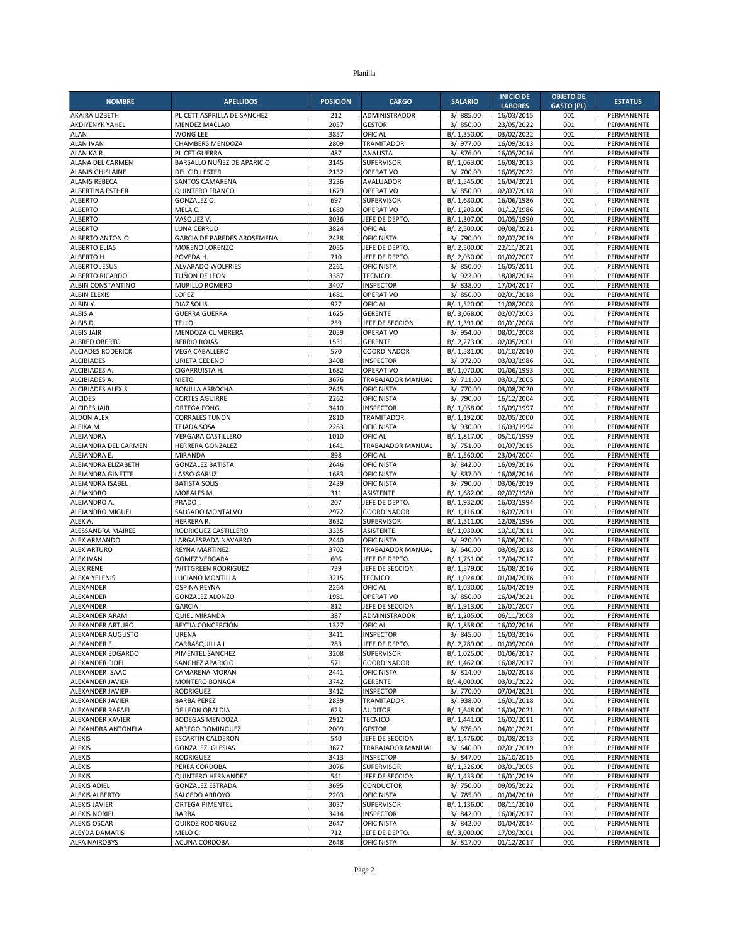| <b>NOMBRE</b>                               | <b>APELLIDOS</b>                                     | <b>POSICIÓN</b> | <b>CARGO</b>                           | <b>SALARIO</b>               | <b>INICIO DE</b>         | <b>OBJETO DE</b>  | <b>ESTATUS</b>                  |
|---------------------------------------------|------------------------------------------------------|-----------------|----------------------------------------|------------------------------|--------------------------|-------------------|---------------------------------|
|                                             |                                                      |                 |                                        |                              | <b>LABORES</b>           | <b>GASTO (PL)</b> |                                 |
| AKAIRA LIZBETH<br>AKDIYENYK YAHEL           | PLICETT ASPRILLA DE SANCHEZ<br><b>MENDEZ MACLAO</b>  | 212<br>2057     | ADMINISTRADOR<br><b>GESTOR</b>         | B/. 885.00                   | 16/03/2015               | 001<br>001        | PERMANENTE<br>PERMANENTE        |
| <b>ALAN</b>                                 | <b>WONG LEE</b>                                      | 3857            | OFICIAL                                | B/. 850.00<br>B/. 1,350.00   | 23/05/2022<br>03/02/2022 | 001               | PERMANENTE                      |
| <b>ALAN IVAN</b>                            | CHAMBERS MENDOZA                                     | 2809            | <b>TRAMITADOR</b>                      | B/. 977.00                   | 16/09/2013               | 001               | PERMANENTE                      |
| <b>ALAN KAIR</b>                            | PLICET GUERRA                                        | 487             | ANALISTA                               | B/. 876.00                   | 16/05/2016               | 001               | PERMANENTE                      |
| ALANA DEL CARMEN                            | BARSALLO NUÑEZ DE APARICIO                           | 3145            | <b>SUPERVISOR</b>                      | B/. 1,063.00                 | 16/08/2013               | 001               | PERMANENTE                      |
| <b>ALANIS GHISLAINE</b>                     | DEL CID LESTER                                       | 2132            | OPERATIVO                              | B/. 700.00                   | 16/05/2022               | 001               | PERMANENTE                      |
| <b>ALANIS REBECA</b>                        | SANTOS CAMARENA<br><b>QUINTERO FRANCO</b>            | 3236<br>1679    | AVALUADOR<br>OPERATIVO                 | B/. 1,545.00                 | 16/04/2021<br>02/07/2018 | 001<br>001        | PERMANENTE<br>PERMANENTE        |
| ALBERTINA ESTHER<br><b>ALBERTO</b>          | GONZALEZ O.                                          | 697             | SUPERVISOR                             | B/. 850.00<br>B/. 1,680.00   | 16/06/1986               | 001               | PERMANENTE                      |
| <b>ALBERTO</b>                              | MELA C.                                              | 1680            | OPERATIVO                              | B/. 1,203.00                 | 01/12/1986               | 001               | PERMANENTE                      |
| <b>ALBERTO</b>                              | VASQUEZ V.                                           | 3036            | JEFE DE DEPTO                          | B/. 1,307.00                 | 01/05/1990               | 001               | PERMANENTE                      |
| <b>ALBERTO</b>                              | LUNA CERRUD                                          | 3824            | OFICIAL                                | B/. 2,500.00                 | 09/08/2021               | 001               | PERMANENTE                      |
| ALBERTO ANTONIO                             | GARCIA DE PAREDES AROSEMENA                          | 2438            | <b>OFICINISTA</b>                      | B/. 790.00                   | 02/07/2019               | 001               | PERMANENTE                      |
| <b>ALBERTO ELIAS</b><br>ALBERTO H.          | MORENO LORENZO<br>POVEDA H.                          | 2055<br>710     | JEFE DE DEPTO<br>JEFE DE DEPTO         | B/. 2,500.00<br>B/. 2,050.00 | 22/11/2021<br>01/02/2007 | 001<br>001        | PERMANENTE<br>PERMANENTE        |
| <b>ALBERTO JESUS</b>                        | ALVARADO WOLFRIES                                    | 2261            | OFICINISTA                             | B/. 850.00                   | 16/05/2011               | 001               | PERMANENTE                      |
| <b>ALBERTO RICARDO</b>                      | TUÑON DE LEON                                        | 3387            | <b>TECNICO</b>                         | B/. 922.00                   | 18/08/2014               | 001               | PERMANENTE                      |
| ALBIN CONSTANTINO                           | MURILLO ROMERO                                       | 3407            | <b>INSPECTOR</b>                       | B/. 838.00                   | 17/04/2017               | 001               | PERMANENTE                      |
| <b>ALBIN ELEXIS</b>                         | LOPEZ                                                | 1681            | OPERATIVO                              | B/. 850.00                   | 02/01/2018               | 001               | PERMANENTE                      |
| ALBIN Y.                                    | <b>DIAZ SOLIS</b>                                    | 927             | OFICIAL                                | B/. 1,520.00                 | 11/08/2008               | 001               | PERMANENTE                      |
| ALBIS A.<br>ALBIS D.                        | <b>GUERRA GUERRA</b><br><b>TELLO</b>                 | 1625<br>259     | <b>GERENTE</b><br>JEFE DE SECCION      | B/. 3,068.00<br>B/. 1,391.00 | 02/07/2003<br>01/01/2008 | 001<br>001        | PERMANENTE<br>PERMANENTE        |
| <b>ALBIS JAIR</b>                           | MENDOZA CUMBRERA                                     | 2059            | OPERATIVO                              | B/. 954.00                   | 08/01/2008               | 001               | PERMANENTE                      |
| ALBRED OBERTO                               | <b>BERRIO ROJAS</b>                                  | 1531            | <b>GERENTE</b>                         | B/. 2,273.00                 | 02/05/2001               | 001               | PERMANENTE                      |
| <b>ALCIADES RODERICK</b>                    | <b>VEGA CABALLERO</b>                                | 570             | COORDINADOR                            | B/. 1,581.00                 | 01/10/2010               | 001               | PERMANENTE                      |
| <b>ALCIBIADES</b>                           | URIETA CEDENO                                        | 3408            | <b>INSPECTOR</b>                       | B/. 972.00                   | 03/03/1986               | 001               | PERMANENTE                      |
| ALCIBIADES A.                               | CIGARRUISTA H.                                       | 1682            | OPERATIVO                              | B/. 1,070.00                 | 01/06/1993               | 001               | PERMANENTE                      |
| ALCIBIADES A.                               | <b>NIETO</b>                                         | 3676            | TRABAJADOR MANUAL                      | B/. 711.00                   | 03/01/2005               | 001               | PERMANENTE                      |
| <b>ALCIBIADES ALEXIS</b><br><b>ALCIDES</b>  | <b>BONILLA ARROCHA</b><br><b>CORTES AGUIRRE</b>      | 2645<br>2262    | <b>OFICINISTA</b><br><b>OFICINISTA</b> | B/. 770.00<br>B/. 790.00     | 03/08/2020<br>16/12/2004 | 001<br>001        | PERMANENTE<br>PERMANENTE        |
| <b>ALCIDES JAIR</b>                         | <b>ORTEGA FONG</b>                                   | 3410            | <b>INSPECTOR</b>                       | B/. 1,058.00                 | 16/09/1997               | 001               | PERMANENTE                      |
| <b>ALDON ALEX</b>                           | <b>CORRALES TUNON</b>                                | 2810            | <b>TRAMITADOR</b>                      | B/. 1,192.00                 | 02/05/2000               | 001               | PERMANENTE                      |
| ALEIKA M.                                   | <b>TEJADA SOSA</b>                                   | 2263            | OFICINISTA                             | B/. 930.00                   | 16/03/1994               | 001               | PERMANENTE                      |
| ALEJANDRA                                   | VERGARA CASTILLERO                                   | 1010            | OFICIAL                                | B/. 1,817.00                 | 05/10/1999               | 001               | PERMANENTE                      |
| ALEJANDRA DEL CARMEN                        | HERRERA GONZALEZ                                     | 1641            | TRABAJADOR MANUAL                      | B/. 751.00                   | 01/07/2015               | 001               | PERMANENTE                      |
| ALEJANDRA E.<br>ALEJANDRA ELIZABETH         | <b>MIRANDA</b><br><b>GONZALEZ BATISTA</b>            | 898<br>2646     | OFICIAL<br><b>OFICINISTA</b>           | B/. 1,560.00<br>B/. 842.00   | 23/04/2004<br>16/09/2016 | 001<br>001        | PERMANENTE<br>PERMANENTE        |
| ALEJANDRA GINETTE                           | <b>LASSO GARUZ</b>                                   | 1683            | <b>OFICINISTA</b>                      | B/. 837.00                   | 16/08/2016               | 001               | PERMANENTE                      |
| ALEJANDRA ISABEL                            | <b>BATISTA SOLIS</b>                                 | 2439            | <b>OFICINISTA</b>                      | B/. 790.00                   | 03/06/2019               | 001               | PERMANENTE                      |
| ALEJANDRO                                   | MORALES M.                                           | 311             | ASISTENTE                              | B/. 1,682.00                 | 02/07/1980               | 001               | PERMANENTE                      |
| ALEJANDRO A.                                | PRADO I.                                             | 207             | JEFE DE DEPTO.                         | B/. 1,932.00                 | 16/03/1994               | 001               | PERMANENTE                      |
| ALEJANDRO MIGUEL                            | SALGADO MONTALVO                                     | 2972            | COORDINADOR                            | B/. 1,116.00                 | 18/07/2011               | 001               | PERMANENTE                      |
| ALEK A.<br>ALESSANDRA MAIREE                | HERRERA R.<br>RODRIGUEZ CASTILLERO                   | 3632<br>3335    | <b>SUPERVISOR</b><br><b>ASISTENTE</b>  | B/. 1,511.00<br>B/. 1,030.00 | 12/08/1996<br>10/10/2011 | 001<br>001        | PERMANENTE<br><b>PERMANENTE</b> |
| <b>ALEX ARMANDO</b>                         | LARGAESPADA NAVARRO                                  | 2440            | <b>OFICINISTA</b>                      | B/. 920.00                   | 16/06/2014               | 001               | PERMANENTE                      |
| <b>ALEX ARTURO</b>                          | REYNA MARTINEZ                                       | 3702            | TRABAJADOR MANUAL                      | B/. 640.00                   | 03/09/2018               | 001               | PERMANENTE                      |
| <b>ALEX IVAN</b>                            | <b>GOMEZ VERGARA</b>                                 | 606             | JEFE DE DEPTO                          | B/. 1,751.00                 | 17/04/2017               | 001               | PERMANENTE                      |
| <b>ALEX RENE</b>                            | WITTGREEN RODRIGUEZ                                  | 739             | JEFE DE SECCION                        | B/. 1,579.00                 | 16/08/2016               | 001               | PERMANENTE                      |
| <b>ALEXA YELENIS</b>                        | LUCIANO MONTILLA                                     | 3215            | <b>TECNICO</b>                         | B/. 1,024.00                 | 01/04/2016               | 001               | PERMANENTE                      |
| ALEXANDER<br>ALEXANDER                      | <b>OSPINA REYNA</b><br><b>GONZALEZ ALONZO</b>        | 2264<br>1981    | OFICIAL<br>OPERATIVO                   | B/. 1,030.00<br>B/. 850.00   | 16/04/2019<br>16/04/2021 | 001<br>001        | PERMANENTE<br>PERMANENTE        |
| <b>ALEXANDER</b>                            | <b>GARCIA</b>                                        | 812             | JEFE DE SECCION                        | B/. 1,913.00                 | 16/01/2007               | 001               | PERMANENTE                      |
| ALEXANDER ARAMI                             | <b>QUIEL MIRANDA</b>                                 | 387             | ADMINISTRADOR                          | B/. 1,205.00                 | 06/11/2008               | 001               | PERMANENTE                      |
| ALEXANDER ARTURO                            | BEYTIA CONCEPCION                                    | 1327            | OFICIAL                                | B/. 1,858.00                 | 16/02/2016               | 001               | PERMANENTE                      |
| ALEXANDER AUGUSTO                           | <b>URENA</b>                                         | 3411            | <b>INSPECTOR</b>                       | B/. 845.00                   | 16/03/2016               | 001               | PERMANENTE                      |
| ALEXANDER E.                                | CARRASQUILLA I                                       | 783             | JEFE DE DEPTO                          | B/. 2,789.00                 | 01/09/2000               | 001               | PERMANENTE                      |
| ALEXANDER EDGARDO<br><b>ALEXANDER FIDEL</b> | PIMENTEL SANCHEZ<br>SANCHEZ APARICIO                 | 3208<br>571     | SUPERVISOR<br>COORDINADOR              | B/. 1,025.00<br>B/. 1,462.00 | 01/06/2017<br>16/08/2017 | 001<br>001        | PERMANENTE<br>PERMANENTE        |
| ALEXANDER ISAAC                             | CAMARENA MORAN                                       | 2441            | <b>OFICINISTA</b>                      | B/. 814.00                   | 16/02/2018               | 001               | PERMANENTE                      |
| ALEXANDER JAVIER                            | MONTERO BONAGA                                       | 3742            | <b>GERENTE</b>                         | B/. 4,000.00                 | 03/01/2022               | 001               | PERMANENTE                      |
| ALEXANDER JAVIER                            | <b>RODRIGUEZ</b>                                     | 3412            | <b>INSPECTOR</b>                       | B/. 770.00                   | 07/04/2021               | 001               | PERMANENTE                      |
| ALEXANDER JAVIER                            | <b>BARBA PEREZ</b>                                   | 2839            | TRAMITADOR                             | B/. 938.00                   | 16/01/2018               | 001               | PERMANENTE                      |
| ALEXANDER RAFAEL<br><b>ALEXANDER XAVIER</b> | DE LEON OBALDIA<br><b>BODEGAS MENDOZA</b>            | 623<br>2912     | <b>AUDITOR</b><br><b>TECNICO</b>       | B/. 1,648.00<br>B/. 1,441.00 | 16/04/2021<br>16/02/2011 | 001<br>001        | PERMANENTE<br>PERMANENTE        |
| ALEXANDRA ANTONELA                          | ABREGO DOMINGUEZ                                     | 2009            | <b>GESTOR</b>                          | B/. 876.00                   | 04/01/2021               | 001               | PERMANENTE                      |
| <b>ALEXIS</b>                               | <b>ESCARTIN CALDERON</b>                             | 540             | JEFE DE SECCION                        | B/. 1,476.00                 | 01/08/2013               | 001               | PERMANENTE                      |
| <b>ALEXIS</b>                               | <b>GONZALEZ IGLESIAS</b>                             | 3677            | TRABAJADOR MANUAL                      | B/. 640.00                   | 02/01/2019               | 001               | PERMANENTE                      |
| ALEXIS                                      | RODRIGUEZ                                            | 3413            | <b>INSPECTOR</b>                       | B/. 847.00                   | 16/10/2015               | 001               | PERMANENTE                      |
| <b>ALEXIS</b>                               | PEREA CORDOBA                                        | 3076            | SUPERVISOR                             | B/. 1,326.00                 | 03/01/2005               | 001               | PERMANENTE                      |
| ALEXIS<br><b>ALEXIS ADIEL</b>               | <b>QUINTERO HERNANDEZ</b><br><b>GONZALEZ ESTRADA</b> | 541<br>3695     | JEFE DE SECCION<br>CONDUCTOR           | B/. 1,433.00<br>B/. 750.00   | 16/01/2019<br>09/05/2022 | 001<br>001        | PERMANENTE<br>PERMANENTE        |
| <b>ALEXIS ALBERTO</b>                       | SALCEDO ARROYO                                       | 2203            | <b>OFICINISTA</b>                      | B/. 785.00                   | 01/04/2010               | 001               | PERMANENTE                      |
| <b>ALEXIS JAVIER</b>                        | ORTEGA PIMENTEL                                      | 3037            | SUPERVISOR                             | B/. 1,136.00                 | 08/11/2010               | 001               | PERMANENTE                      |
| <b>ALEXIS NORIEL</b>                        | <b>BARBA</b>                                         | 3414            | <b>INSPECTOR</b>                       | B/. 842.00                   | 16/06/2017               | 001               | PERMANENTE                      |
| <b>ALEXIS OSCAR</b>                         | <b>QUIROZ RODRIGUEZ</b>                              | 2647            | <b>OFICINISTA</b>                      | B/. 842.00                   | 01/04/2014               | 001               | PERMANENTE                      |
| ALEYDA DAMARIS                              | MELO C.                                              | 712             | JEFE DE DEPTO.                         | B/. 3,000.00                 | 17/09/2001               | 001               | PERMANENTE                      |
| <b>ALFA NAIROBYS</b>                        | ACUNA CORDOBA                                        | 2648            | <b>OFICINISTA</b>                      | B/. 817.00                   | 01/12/2017               | 001               | PERMANENTE                      |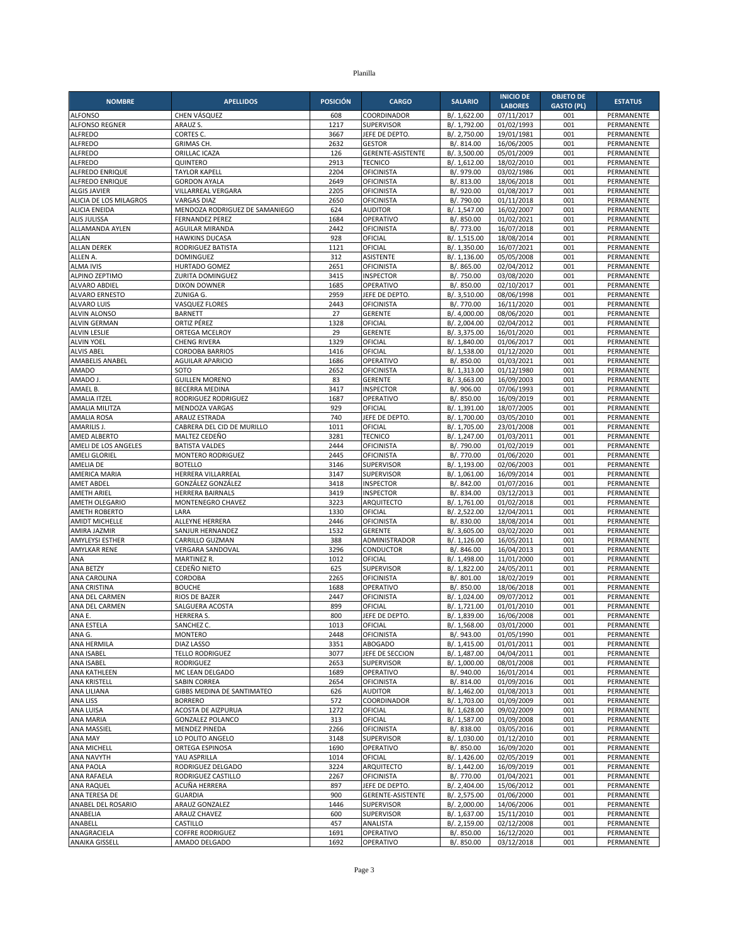| <b>NOMBRE</b>                                 | <b>APELLIDOS</b>                            | <b>POSICIÓN</b> | <b>CARGO</b>                           | <b>SALARIO</b>               | <b>INICIO DE</b>         | <b>OBJETO DE</b>  | <b>ESTATUS</b>           |
|-----------------------------------------------|---------------------------------------------|-----------------|----------------------------------------|------------------------------|--------------------------|-------------------|--------------------------|
|                                               |                                             |                 |                                        |                              | <b>LABORES</b>           | <b>GASTO (PL)</b> |                          |
| <b>ALFONSO</b><br><b>ALFONSO REGNER</b>       | CHEN VÁSQUEZ<br>ARAUZ S.                    | 608<br>1217     | COORDINADOR<br><b>SUPERVISOR</b>       | B/. 1,622.00<br>B/. 1,792.00 | 07/11/2017<br>01/02/1993 | 001<br>001        | PERMANENTE<br>PERMANENTE |
| <b>ALFREDO</b>                                | CORTES C.                                   | 3667            | JEFE DE DEPTO                          | B/. 2,750.00                 | 19/01/1981               | 001               | PERMANENTE               |
| <b>ALFREDO</b>                                | GRIMAS CH.                                  | 2632            | <b>GESTOR</b>                          | B/. 814.00                   | 16/06/2005               | 001               | PERMANENTE               |
| <b>ALFREDO</b>                                | ORILLAC ICAZA                               | 126             | GERENTE-ASISTENTE                      | B/. 3,500.00                 | 05/01/2009               | 001               | PERMANENTE               |
| <b>ALFREDO</b>                                | QUINTERO                                    | 2913            | <b>TECNICO</b>                         | B/. 1,612.00                 | 18/02/2010               | 001               | PERMANENTE               |
| ALFREDO ENRIQUE                               | <b>TAYLOR KAPELL</b>                        | 2204            | <b>OFICINISTA</b>                      | B/. 979.00                   | 03/02/1986               | 001               | PERMANENTE               |
| ALFREDO ENRIQUE                               | <b>GORDON AYALA</b>                         | 2649            | OFICINISTA                             | B/. 813.00                   | 18/06/2018               | 001               | PERMANENTE               |
| <b>ALGIS JAVIER</b><br>ALICIA DE LOS MILAGROS | VILLARREAL VERGARA<br><b>VARGAS DIAZ</b>    | 2205<br>2650    | <b>OFICINISTA</b><br><b>OFICINISTA</b> | B/. 920.00<br>B/. 790.00     | 01/08/2017<br>01/11/2018 | 001<br>001        | PERMANENTE<br>PERMANENTE |
| <b>ALICIA ENEIDA</b>                          | MENDOZA RODRIGUEZ DE SAMANIEGO              | 624             | <b>AUDITOR</b>                         | B/. 1,547.00                 | 16/02/2007               | 001               | PERMANENTE               |
| <b>ALIS JULISSA</b>                           | <b>FERNANDEZ PEREZ</b>                      | 1684            | OPERATIVO                              | B/. 850.00                   | 01/02/2021               | 001               | PERMANENTE               |
| ALLAMANDA AYLEN                               | AGUILAR MIRANDA                             | 2442            | <b>OFICINISTA</b>                      | B/. 773.00                   | 16/07/2018               | 001               | PERMANENTE               |
| ALLAN                                         | <b>HAWKINS DUCASA</b>                       | 928             | OFICIAL                                | B/. 1,515.00                 | 18/08/2014               | 001               | PERMANENTE               |
| <b>ALLAN DEREK</b>                            | RODRIGUEZ BATISTA                           | 1121            | OFICIAL                                | B/. 1,350.00                 | 16/07/2021               | 001               | PERMANENTE               |
| ALLEN A.                                      | <b>DOMINGUEZ</b>                            | 312             | ASISTENTE                              | B/. 1,136.00                 | 05/05/2008               | 001               | PERMANENTE               |
| <b>ALMA IVIS</b><br>ALPINO ZEPTIMO            | HURTADO GOMEZ<br><b>ZURITA DOMINGUEZ</b>    | 2651<br>3415    | <b>OFICINISTA</b><br><b>INSPECTOR</b>  | B/. 865.00                   | 02/04/2012<br>03/08/2020 | 001<br>001        | PERMANENTE               |
| <b>ALVARO ABDIEL</b>                          | <b>DIXON DOWNER</b>                         | 1685            | OPERATIVO                              | B/. 750.00<br>B/. 850.00     | 02/10/2017               | 001               | PERMANENTE<br>PERMANENTE |
| <b>ALVARO ERNESTO</b>                         | ZUNIGA G.                                   | 2959            | JEFE DE DEPTO.                         | B/. 3,510.00                 | 08/06/1998               | 001               | PERMANENTE               |
| <b>ALVARO LUIS</b>                            | VASQUEZ FLORES                              | 2443            | <b>OFICINISTA</b>                      | B/. 770.00                   | 16/11/2020               | 001               | PERMANENTE               |
| ALVIN ALONSO                                  | <b>BARNETT</b>                              | 27              | <b>GERENTE</b>                         | B/. 4,000.00                 | 08/06/2020               | 001               | PERMANENTE               |
| <b>ALVIN GERMAN</b>                           | ORTIZ PÉREZ                                 | 1328            | OFICIAL                                | B/. 2,004.00                 | 02/04/2012               | 001               | PERMANENTE               |
| <b>ALVIN LESLIE</b>                           | ORTEGA MCELROY                              | 29              | <b>GERENTE</b>                         | B/. 3,375.00                 | 16/01/2020               | 001               | PERMANENTE               |
| <b>ALVIN YOEL</b>                             | <b>CHENG RIVERA</b>                         | 1329            | OFICIAL<br>OFICIAL                     | B/. 1,840.00                 | 01/06/2017               | 001<br>001        | PERMANENTE               |
| <b>ALVIS ABEL</b><br>AMABELIS ANABEL          | <b>CORDOBA BARRIOS</b><br>AGUILAR APARICIO  | 1416<br>1686    | OPERATIVO                              | B/. 1,538.00<br>B/. 850.00   | 01/12/2020<br>01/03/2021 | 001               | PERMANENTE<br>PERMANENTE |
| <b>AMADO</b>                                  | SOTO                                        | 2652            | <b>OFICINISTA</b>                      | B/. 1,313.00                 | 01/12/1980               | 001               | PERMANENTE               |
| AMADO J                                       | <b>GUILLEN MORENO</b>                       | 83              | <b>GERENTE</b>                         | B/. 3,663.00                 | 16/09/2003               | 001               | PERMANENTE               |
| AMAEL B.                                      | <b>BECERRA MEDINA</b>                       | 3417            | <b>INSPECTOR</b>                       | B/. 906.00                   | 07/06/1993               | 001               | PERMANENTE               |
| <b>AMALIA ITZEL</b>                           | RODRIGUEZ RODRIGUEZ                         | 1687            | OPERATIVO                              | B/. 850.00                   | 16/09/2019               | 001               | PERMANENTE               |
| AMALIA MILITZA                                | MENDOZA VARGAS                              | 929             | OFICIAL                                | B/. 1,391.00                 | 18/07/2005               | 001               | PERMANENTE               |
| <b>AMALIA ROSA</b>                            | ARAUZ ESTRADA                               | 740             | JEFE DE DEPTO                          | B/. 1,700.00                 | 03/05/2010               | 001               | PERMANENTE               |
| AMARILIS J.<br>AMED ALBERTO                   | CABRERA DEL CID DE MURILLO<br>MALTEZ CEDEÑO | 1011<br>3281    | OFICIAL<br><b>TECNICO</b>              | B/. 1,705.00<br>B/. 1,247.00 | 23/01/2008<br>01/03/2011 | 001<br>001        | PERMANENTE<br>PERMANENTE |
| AMELI DE LOS ANGELES                          | <b>BATISTA VALDES</b>                       | 2444            | <b>OFICINISTA</b>                      | B/. 790.00                   | 01/02/2019               | 001               | PERMANENTE               |
| AMELI GLORIEL                                 | MONTERO RODRIGUEZ                           | 2445            | <b>OFICINISTA</b>                      | B/. 770.00                   | 01/06/2020               | 001               | PERMANENTE               |
| AMELIA DE                                     | <b>BOTELLO</b>                              | 3146            | SUPERVISOR                             | B/. 1,193.00                 | 02/06/2003               | 001               | PERMANENTE               |
| AMERICA MARIA                                 | HERRERA VILLARREAL                          | 3147            | <b>SUPERVISOR</b>                      | B/. 1,061.00                 | 16/09/2014               | 001               | PERMANENTE               |
| <b>AMET ABDEL</b>                             | GONZÁLEZ GONZÁLEZ                           | 3418            | <b>INSPECTOR</b>                       | B/. 842.00                   | 01/07/2016               | 001               | PERMANENTE               |
| <b>AMETH ARIEL</b>                            | HERRERA BAIRNALS                            | 3419<br>3223    | <b>INSPECTOR</b>                       | B/. 834.00                   | 03/12/2013               | 001               | PERMANENTE               |
| AMETH OLEGARIO<br><b>AMETH ROBERTO</b>        | MONTENEGRO CHAVEZ<br>LARA                   | 1330            | ARQUITECTO<br>OFICIAL                  | B/. 1,761.00<br>B/. 2,522.00 | 01/02/2018<br>12/04/2011 | 001<br>001        | PERMANENTE<br>PERMANENTE |
| <b>AMIDT MICHELLE</b>                         | ALLEYNE HERRERA                             | 2446            | <b>OFICINISTA</b>                      | B/. 830.00                   | 18/08/2014               | 001               | PERMANENTE               |
| AMIRA JAZMIR                                  | SANJUR HERNANDEZ                            | 1532            | <b>GERENTE</b>                         | B/. 3,605.00                 | 03/02/2020               | 001               | PERMANENTE               |
| <b>AMYLEYSI ESTHER</b>                        | CARRILLO GUZMAN                             | 388             | ADMINISTRADOR                          | B/. 1,126.00                 | 16/05/2011               | 001               | PERMANENTE               |
| <b>AMYLKAR RENE</b>                           | <b>VERGARA SANDOVAL</b>                     | 3296            | <b>CONDUCTOR</b>                       | B/. 846.00                   | 16/04/2013               | 001               | PERMANENTE               |
| ANA                                           | <b>MARTINEZ R.</b>                          | 1012            | OFICIAL                                | B/. 1,498.00                 | 11/01/2000               | 001               | PERMANENTE               |
| ANA BETZY<br><b>ANA CAROLINA</b>              | CEDEÑO NIETO                                | 625             | SUPERVISOR                             | B/. 1,822.00                 | 24/05/2011               | 001               | PERMANENTE               |
| ANA CRISTINA                                  | CORDOBA<br><b>BOUCHE</b>                    | 2265<br>1688    | <b>OFICINISTA</b><br>OPERATIVO         | B/. 801.00<br>B/. 850.00     | 18/02/2019<br>18/06/2018 | 001<br>001        | PERMANENTE<br>PERMANENTE |
| ANA DEL CARMEN                                | RIOS DE BAZER                               | 2447            | <b>OFICINISTA</b>                      | B/. 1,024.00                 | 09/07/2012               | 001               | PERMANENTE               |
| ANA DEL CARMEN                                | SALGUERA ACOSTA                             | 899             | OFICIAL                                | B/. 1,721.00                 | 01/01/2010               | 001               | PERMANENTE               |
| ANA E.                                        | <b>HERRERA S.</b>                           | 800             | JEFE DE DEPTO.                         | B/. 1,839.00                 | 16/06/2008               | 001               | PERMANENTE               |
| ANA ESTELA                                    | SANCHEZ C.                                  | 1013            | OFICIAL                                | B/. 1,568.00                 | 03/01/2000               | 001               | PERMANENTE               |
| ANA G.                                        | <b>MONTERO</b>                              | 2448            | <b>OFICINISTA</b>                      | B/. 943.00                   | 01/05/1990               | 001               | PERMANENTE               |
| ANA HERMILA<br>ANA ISABEL                     | <b>DIAZ LASSO</b><br><b>TELLO RODRIGUEZ</b> | 3351<br>3077    | ABOGADO<br>JEFE DE SECCION             | B/. 1,415.00                 | 01/01/2011<br>04/04/2011 | 001               | PERMANENTE               |
| ANA ISABEL                                    | <b>RODRIGUEZ</b>                            | 2653            | SUPERVISOR                             | B/. 1,487.00<br>B/. 1,000.00 | 08/01/2008               | 001<br>001        | PERMANENTE<br>PERMANENTE |
| ANA KATHLEEN                                  | MC LEAN DELGADO                             | 1689            | OPERATIVO                              | B/. 940.00                   | 16/01/2014               | 001               | PERMANENTE               |
| <b>ANA KRISTELL</b>                           | <b>SABIN CORREA</b>                         | 2654            | <b>OFICINISTA</b>                      | B/. 814.00                   | 01/09/2016               | 001               | PERMANENTE               |
| ANA LILIANA                                   | GIBBS MEDINA DE SANTIMATEO                  | 626             | <b>AUDITOR</b>                         | B/. 1,462.00                 | 01/08/2013               | 001               | PERMANENTE               |
| ANA LISS                                      | <b>BORRERO</b>                              | 572             | COORDINADOR                            | B/. 1,703.00                 | 01/09/2009               | 001               | PERMANENTE               |
| ANA LUISA                                     | ACOSTA DE AIZPURUA                          | 1272            | OFICIAL                                | B/. 1,628.00                 | 09/02/2009               | 001               | PERMANENTE               |
| <b>ANA MARIA</b><br><b>ANA MASSIEL</b>        | <b>GONZALEZ POLANCO</b>                     | 313             | OFICIAL<br><b>OFICINISTA</b>           | B/. 1,587.00<br>B/. 838.00   | 01/09/2008               | 001               | PERMANENTE               |
| ANA MAY                                       | <b>MENDEZ PINEDA</b><br>LO POLITO ANGELO    | 2266<br>3148    | <b>SUPERVISOR</b>                      | B/. 1,030.00                 | 03/05/2016<br>01/12/2010 | 001<br>001        | PERMANENTE<br>PERMANENTE |
| ANA MICHELL                                   | ORTEGA ESPINOSA                             | 1690            | OPERATIVO                              | B/. 850.00                   | 16/09/2020               | 001               | PERMANENTE               |
| ANA NAVYTH                                    | YAU ASPRILLA                                | 1014            | OFICIAL                                | B/. 1,426.00                 | 02/05/2019               | 001               | PERMANENTE               |
| ANA PAOLA                                     | RODRIGUEZ DELGADO                           | 3224            | ARQUITECTO                             | B/. 1,442.00                 | 16/09/2019               | 001               | PERMANENTE               |
| ANA RAFAELA                                   | RODRIGUEZ CASTILLO                          | 2267            | <b>OFICINISTA</b>                      | B/. 770.00                   | 01/04/2021               | 001               | PERMANENTE               |
| ANA RAQUEL                                    | ACUÑA HERRERA                               | 897             | JEFE DE DEPTO.                         | B/. 2,404.00                 | 15/06/2012               | 001               | PERMANENTE               |
| ANA TERESA DE                                 | <b>GUARDIA</b>                              | 900             | GERENTE-ASISTENTE                      | B/. 2,575.00                 | 01/06/2000               | 001               | PERMANENTE               |
| ANABEL DEL ROSARIO<br>ANABELIA                | ARAUZ GONZALEZ<br>ARAUZ CHAVEZ              | 1446<br>600     | SUPERVISOR<br>SUPERVISOR               | B/. 2,000.00<br>B/. 1,637.00 | 14/06/2006<br>15/11/2010 | 001<br>001        | PERMANENTE<br>PERMANENTE |
| ANABELL                                       | CASTILLO                                    | 457             | ANALISTA                               | B/. 2,159.00                 | 02/12/2008               | 001               | PERMANENTE               |
| ANAGRACIELA                                   | <b>COFFRE RODRIGUEZ</b>                     | 1691            | OPERATIVO                              | B/. 850.00                   | 16/12/2020               | 001               | PERMANENTE               |
| ANAIKA GISSELL                                | AMADO DELGADO                               | 1692            | OPERATIVO                              | B/. 850.00                   | 03/12/2018               | 001               | PERMANENTE               |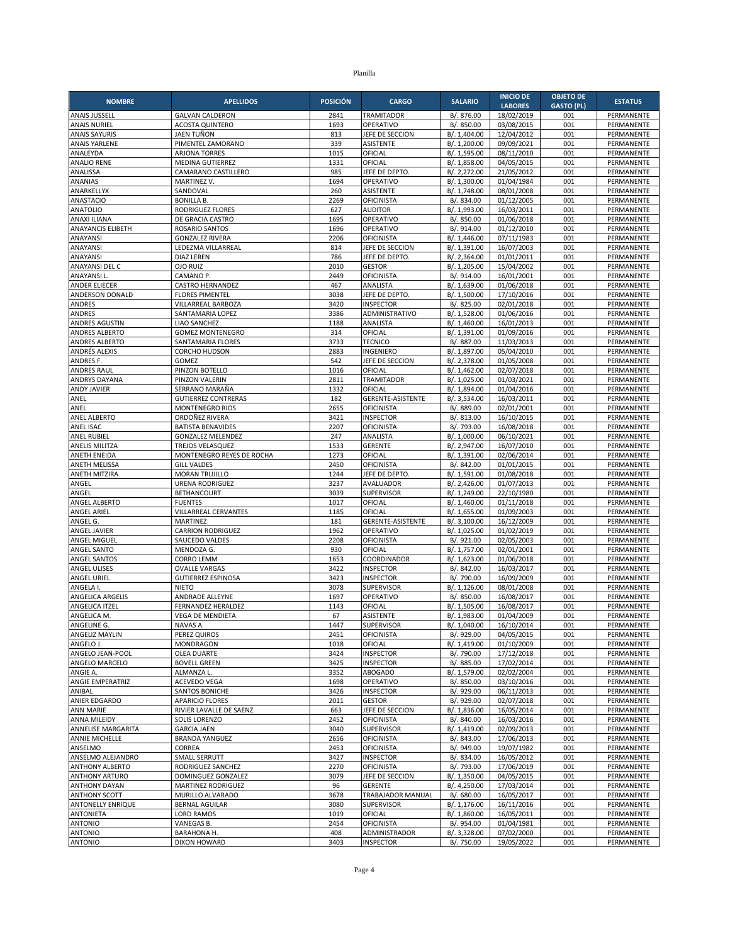| <b>NOMBRE</b>                               | <b>APELLIDOS</b>                                    | <b>POSICIÓN</b> | <b>CARGO</b>                          | <b>SALARIO</b>               | <b>INICIO DE</b>         | <b>OBJETO DE</b>  | <b>ESTATUS</b>           |
|---------------------------------------------|-----------------------------------------------------|-----------------|---------------------------------------|------------------------------|--------------------------|-------------------|--------------------------|
|                                             |                                                     |                 |                                       |                              | <b>LABORES</b>           | <b>GASTO (PL)</b> |                          |
| <b>ANAIS JUSSELL</b><br><b>ANAIS NURIEL</b> | <b>GALVAN CALDERON</b><br><b>ACOSTA QUINTERO</b>    | 2841<br>1693    | <b>TRAMITADOR</b><br>OPERATIVO        | B/. 876.00<br>B/. 850.00     | 18/02/2019<br>03/08/2015 | 001<br>001        | PERMANENTE<br>PERMANENTE |
| <b>ANAIS SAYURIS</b>                        | JAEN TUÑON                                          | 813             | JEFE DE SECCION                       | B/. 1,404.00                 | 12/04/2012               | 001               | PERMANENTE               |
| <b>ANAIS YARLENE</b>                        | PIMENTEL ZAMORANO                                   | 339             | ASISTENTE                             | B/. 1,200.00                 | 09/09/2021               | 001               | PERMANENTE               |
| ANALEYDA                                    | <b>ARJONA TORRES</b>                                | 1015            | OFICIAL                               | B/. 1,595.00                 | 08/11/2010               | 001               | PERMANENTE               |
| <b>ANALIO RENE</b>                          | <b>MEDINA GUTIERREZ</b>                             | 1331            | OFICIAL                               | B/. 1,858.00                 | 04/05/2015               | 001               | PERMANENTE               |
| ANALISSA                                    | CAMARANO CASTILLERO                                 | 985             | JEFE DE DEPTO                         | B/. 2,272.00                 | 21/05/2012               | 001               | PERMANENTE               |
| ANANIAS                                     | <b>MARTINEZ V.</b>                                  | 1694            | OPERATIVO                             | B/. 1,300.00                 | 01/04/1984               | 001               | PERMANENTE               |
| ANARKELLYX<br>ANASTACIO                     | SANDOVAL<br><b>BONILLA B.</b>                       | 260<br>2269     | <b>ASISTENTE</b><br><b>OFICINISTA</b> | B/. 1,748.00<br>B/. 834.00   | 08/01/2008<br>01/12/2005 | 001<br>001        | PERMANENTE<br>PERMANENTE |
| <b>ANATOLIO</b>                             | <b>RODRIGUEZ FLORES</b>                             | 627             | <b>AUDITOR</b>                        | B/. 1,993.00                 | 16/03/2011               | 001               | PERMANENTE               |
| ANAXI ILIANA                                | DE GRACIA CASTRO                                    | 1695            | OPERATIVO                             | B/. 850.00                   | 01/06/2018               | 001               | PERMANENTE               |
| <b>ANAYANCIS ELIBETH</b>                    | <b>ROSARIO SANTOS</b>                               | 1696            | OPERATIVO                             | B/. 914.00                   | 01/12/2010               | 001               | PERMANENTE               |
| ANAYANSI                                    | <b>GONZALEZ RIVERA</b>                              | 2206            | <b>OFICINISTA</b>                     | B/. 1,446.00                 | 07/11/1983               | 001               | PERMANENTE               |
| ANAYANSI                                    | LEDEZMA VILLARREAL                                  | 814             | JEFE DE SECCION                       | B/. 1,391.00                 | 16/07/2003               | 001               | PERMANENTE               |
| ANAYANSI                                    | <b>DIAZ LEREN</b>                                   | 786             | JEFE DE DEPTO                         | B/. 2,364.00                 | 01/01/2011               | 001               | PERMANENTE               |
| ANAYANSI DEL C                              | <b>OJO RUIZ</b>                                     | 2010            | <b>GESTOR</b>                         | B/. 1,205.00                 | 15/04/2002               | 001<br>001        | PERMANENTE               |
| <b>ANAYANSIL</b><br>ANDER ELIECER           | CAMANO P.<br><b>CASTRO HERNANDEZ</b>                | 2449<br>467     | OFICINISTA<br>ANALISTA                | B/. 914.00<br>B/. 1,639.00   | 16/01/2001<br>01/06/2018 | 001               | PERMANENTE<br>PERMANENTE |
| ANDERSON DONALD                             | <b>FLORES PIMENTEL</b>                              | 3038            | JEFE DE DEPTO.                        | B/. 1,500.00                 | 17/10/2016               | 001               | PERMANENTE               |
| <b>ANDRES</b>                               | VILLARREAL BARBOZA                                  | 3420            | <b>INSPECTOR</b>                      | B/. 825.00                   | 02/01/2018               | 001               | PERMANENTE               |
| ANDRES                                      | SANTAMARIA LOPEZ                                    | 3386            | ADMINISTRATIVO                        | B/. 1,528.00                 | 01/06/2016               | 001               | PERMANENTE               |
| <b>ANDRES AGUSTIN</b>                       | <b>LIAO SANCHEZ</b>                                 | 1188            | ANALISTA                              | B/. 1,460.00                 | 16/01/2013               | 001               | PERMANENTE               |
| ANDRES ALBERTO                              | <b>GOMEZ MONTENEGRO</b>                             | 314             | OFICIAL                               | B/. 1,391.00                 | 01/09/2016               | 001               | PERMANENTE               |
| ANDRES ALBERTO                              | SANTAMARIA FLORES                                   | 3733            | <b>TECNICO</b>                        | B/. 887.00                   | 11/03/2013               | 001               | PERMANENTE               |
| ANDRÉS ALEXIS<br>ANDRES F.                  | <b>CORCHO HUDSON</b><br>GOMEZ                       | 2883<br>542     | INGENIERO<br>JEFE DE SECCION          | B/. 1,897.00<br>B/. 2,378.00 | 05/04/2010<br>01/05/2008 | 001<br>001        | PERMANENTE<br>PERMANENTE |
| <b>ANDRES RAUL</b>                          | PINZON BOTELLO                                      | 1016            | OFICIAL                               | B/. 1,462.00                 | 02/07/2018               | 001               | PERMANENTE               |
| ANDRYS DAYANA                               | PINZON VALERIN                                      | 2811            | <b>TRAMITADOR</b>                     | B/. 1,025.00                 | 01/03/2021               | 001               | PERMANENTE               |
| <b>ANDY JAVIER</b>                          | SERRANO MARAÑA                                      | 1332            | OFICIAL                               | B/. 1,894.00                 | 01/04/2016               | 001               | PERMANENTE               |
| ANEL                                        | <b>GUTIERREZ CONTRERAS</b>                          | 182             | GERENTE-ASISTENTE                     | B/. 3,534.00                 | 16/03/2011               | 001               | PERMANENTE               |
| ANEL                                        | <b>MONTENEGRO RIOS</b>                              | 2655            | <b>OFICINISTA</b>                     | B/. 889.00                   | 02/01/2001               | 001               | PERMANENTE               |
| <b>ANEL ALBERTO</b>                         | ORDOÑEZ RIVERA                                      | 3421            | <b>INSPECTOR</b>                      | B/. 813.00                   | 16/10/2015               | 001               | PERMANENTE               |
| ANEL ISAC                                   | <b>BATISTA BENAVIDES</b>                            | 2207            | <b>OFICINISTA</b>                     | B/. 793.00                   | 16/08/2018               | 001               | PERMANENTE               |
| <b>ANEL RUBIEL</b><br><b>ANELIS MILITZA</b> | <b>GONZALEZ MELENDEZ</b><br><b>TREJOS VELASQUEZ</b> | 247<br>1533     | ANALISTA<br><b>GERENTE</b>            | B/. 1,000.00<br>B/. 2,947.00 | 06/10/2021<br>16/07/2010 | 001<br>001        | PERMANENTE<br>PERMANENTE |
| ANETH ENEIDA                                | MONTENEGRO REYES DE ROCHA                           | 1273            | OFICIAL                               | B/. 1,391.00                 | 02/06/2014               | 001               | PERMANENTE               |
| <b>ANETH MELISSA</b>                        | <b>GILL VALDES</b>                                  | 2450            | <b>OFICINISTA</b>                     | B/. 842.00                   | 01/01/2015               | 001               | PERMANENTE               |
| ANETH MITZIRA                               | MORAN TRUJILLO                                      | 1244            | JEFE DE DEPTO                         | B/. 1,591.00                 | 01/08/2018               | 001               | PERMANENTE               |
| ANGEL                                       | <b>URENA RODRIGUEZ</b>                              | 3237            | AVALUADOR                             | B/. 2,426.00                 | 01/07/2013               | 001               | PERMANENTE               |
| ANGEL                                       | <b>BETHANCOURT</b>                                  | 3039            | <b>SUPERVISOR</b>                     | B/. 1,249.00                 | 22/10/1980               | 001               | PERMANENTE               |
| ANGEL ALBERTO                               | <b>FUENTES</b>                                      | 1017            | OFICIAL                               | B/. 1,460.00                 | 01/11/2018               | 001               | PERMANENTE               |
| <b>ANGEL ARIEL</b><br>ANGEL G.              | VILLARREAL CERVANTES<br><b>MARTINEZ</b>             | 1185<br>181     | OFICIAL<br><b>GERENTE-ASISTENTE</b>   | B/. 1,655.00<br>B/. 3,100.00 | 01/09/2003<br>16/12/2009 | 001<br>001        | PERMANENTE<br>PERMANENTE |
| ANGEL JAVIER                                | <b>CARRION RODRIGUEZ</b>                            | 1962            | OPERATIVO                             | B/. 1,025.00                 | 01/02/2019               | 001               | PERMANENTE               |
| ANGEL MIGUEL                                | SAUCEDO VALDES                                      | 2208            | <b>OFICINISTA</b>                     | B/. 921.00                   | 02/05/2003               | 001               | PERMANENTE               |
| ANGEL SANTO                                 | MENDOZA G.                                          | 930             | OFICIAL                               | B/. 1,757.00                 | 02/01/2001               | 001               | PERMANENTE               |
| ANGEL SANTOS                                | <b>CORRO LEMM</b>                                   | 1653            | COORDINADOR                           | B/. 1,623.00                 | 01/06/2018               | 001               | PERMANENTE               |
| <b>ANGEL ULISES</b>                         | <b>OVALLE VARGAS</b>                                | 3422            | <b>INSPECTOR</b>                      | B/. 842.00                   | 16/03/2017               | 001               | PERMANENTE               |
| <b>ANGEL URIEL</b><br>ANGELA I.             | <b>GUTIERREZ ESPINOSA</b>                           | 3423            | <b>INSPECTOR</b>                      | B/. 790.00                   | 16/09/2009               | 001               | PERMANENTE               |
| ANGELICA ARGELIS                            | <b>NIETO</b><br>ANDRADE ALLEYNE                     | 3078<br>1697    | <b>SUPERVISOR</b><br>OPERATIVO        | B/. 1,126.00<br>B/. 850.00   | 08/01/2008<br>16/08/2017 | 001<br>001        | PERMANENTE<br>PERMANENTE |
| ANGELICA ITZEL                              | <b>FERNANDEZ HERALDEZ</b>                           | 1143            | OFICIAL                               | B/. 1,505.00                 | 16/08/2017               | 001               | PERMANENTE               |
| ANGELICA M.                                 | <b>VEGA DE MENDIETA</b>                             | 67              | <b>ASISTENTE</b>                      | B/. 1,983.00                 | 01/04/2009               | 001               | PERMANENTE               |
| ANGELINE G.                                 | NAVAS A.                                            | 1447            | SUPERVISOR                            | B/. 1,040.00                 | 16/10/2014               | 001               | PERMANENTE               |
| ANGELIZ MAYLIN                              | PEREZ QUIROS                                        | 2451            | <b>OFICINISTA</b>                     | B/. 929.00                   | 04/05/2015               | 001               | PERMANENTE               |
| ANGELO J.                                   | MONDRAGON                                           | 1018            | OFICIAL                               | B/. 1,419.00                 | 01/10/2009               | 001               | PERMANENTE               |
| ANGELO JEAN-POOL                            | <b>OLEA DUARTE</b>                                  | 3424            | <b>INSPECTOR</b>                      | B/. 790.00                   | 17/12/2018               | 001               | PERMANENTE               |
| ANGELO MARCELO<br>ANGIE A.                  | <b>BOVELL GREEN</b><br>ALMANZA L                    | 3425<br>3352    | <b>INSPECTOR</b>                      | B/. 885.00<br>B/. 1,579.00   | 17/02/2014<br>02/02/2004 | 001               | PERMANENTE               |
| ANGIE EMPERATRIZ                            | ACEVEDO VEGA                                        | 1698            | <b>ABOGADO</b><br>OPERATIVO           | B/. 850.00                   | 03/10/2016               | 001<br>001        | PERMANENTE<br>PERMANENTE |
| ANIBAL                                      | SANTOS BONICHE                                      | 3426            | <b>INSPECTOR</b>                      | B/. 929.00                   | 06/11/2013               | 001               | PERMANENTE               |
| ANIER EDGARDO                               | <b>APARICIO FLORES</b>                              | 2011            | <b>GESTOR</b>                         | B/. 929.00                   | 02/07/2018               | 001               | PERMANENTE               |
| <b>ANN MARIE</b>                            | RIVIER LAVALLE DE SAENZ                             | 663             | JEFE DE SECCION                       | B/. 1,836.00                 | 16/05/2014               | 001               | PERMANENTE               |
| ANNA MILEIDY                                | SOLIS LORENZO                                       | 2452            | <b>OFICINISTA</b>                     | B/. 840.00                   | 16/03/2016               | 001               | PERMANENTE               |
| ANNELISE MARGARITA                          | <b>GARCIA JAEN</b>                                  | 3040            | SUPERVISOR                            | B/. 1,419.00                 | 02/09/2013               | 001               | PERMANENTE               |
| ANNIE MICHELLE                              | <b>BRANDA YANGUEZ</b>                               | 2656            | <b>OFICINISTA</b>                     | B/. 843.00                   | 17/06/2013               | 001               | PERMANENTE               |
| ANSELMO<br>ANSELMO ALEJANDRO                | CORREA<br>SMALL SERRUTT                             | 2453<br>3427    | <b>OFICINISTA</b><br><b>INSPECTOR</b> | B/. 949.00<br>B/. 834.00     | 19/07/1982<br>16/05/2012 | 001<br>001        | PERMANENTE<br>PERMANENTE |
| ANTHONY ALBERTO                             | RODRIGUEZ SANCHEZ                                   | 2270            | <b>OFICINISTA</b>                     | B/. 793.00                   | 17/06/2019               | 001               | PERMANENTE               |
| <b>ANTHONY ARTURO</b>                       | DOMINGUEZ GONZALEZ                                  | 3079            | JEFE DE SECCION                       | B/. 1,350.00                 | 04/05/2015               | 001               | PERMANENTE               |
| <b>ANTHONY DAYAN</b>                        | <b>MARTINEZ RODRIGUEZ</b>                           | 96              | <b>GERENTE</b>                        | B/. 4,250.00                 | 17/03/2014               | 001               | PERMANENTE               |
| <b>ANTHONY SCOTT</b>                        | MURILLO ALVARADO                                    | 3678            | TRABAJADOR MANUAL                     | B/. 680.00                   | 16/05/2017               | 001               | PERMANENTE               |
| ANTONELLY ENRIQUE                           | <b>BERNAL AGUILAR</b>                               | 3080            | SUPERVISOR                            | B/. 1,176.00                 | 16/11/2016               | 001               | PERMANENTE               |
| <b>ANTONIETA</b>                            | <b>LORD RAMOS</b>                                   | 1019            | OFICIAL                               | B/. 1,860.00                 | 16/05/2011               | 001               | PERMANENTE               |
| <b>ANTONIO</b>                              | VANEGAS B.                                          | 2454            | <b>OFICINISTA</b>                     | B/. 954.00                   | 01/04/1981               | 001               | PERMANENTE               |
| <b>ANTONIO</b><br><b>ANTONIO</b>            | BARAHONA H.<br>DIXON HOWARD                         | 408<br>3403     | ADMINISTRADOR<br><b>INSPECTOR</b>     | B/. 3,328.00<br>B/. 750.00   | 07/02/2000<br>19/05/2022 | 001<br>001        | PERMANENTE<br>PERMANENTE |
|                                             |                                                     |                 |                                       |                              |                          |                   |                          |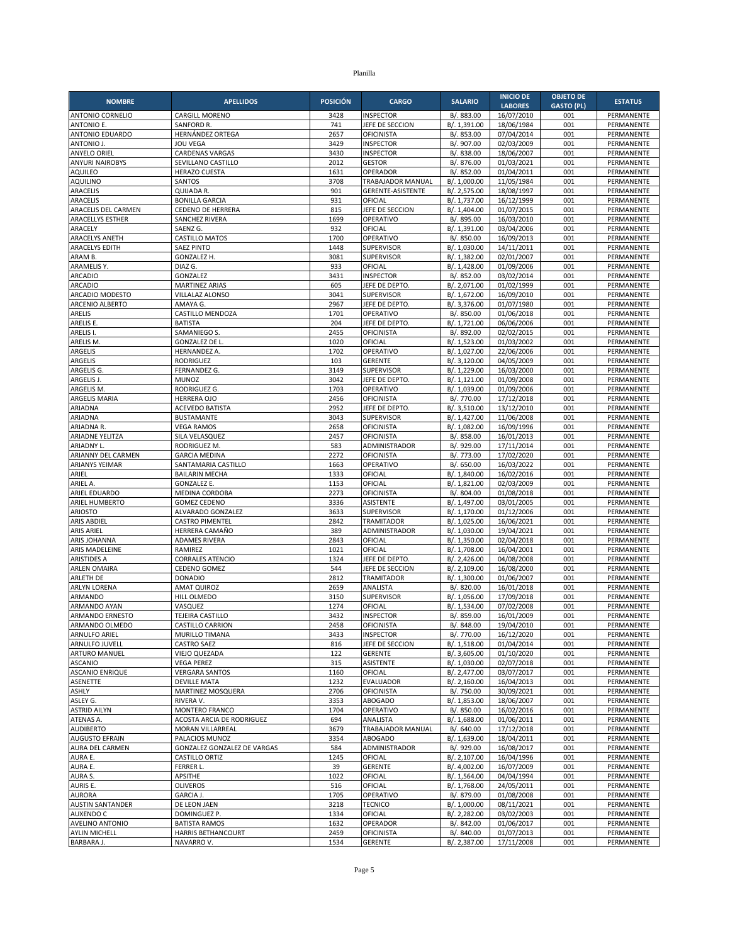| <b>NOMBRE</b>                             | <b>APELLIDOS</b>                            | <b>POSICIÓN</b> | <b>CARGO</b>                           | <b>SALARIO</b>               | <b>INICIO DE</b>             | <b>OBJETO DE</b>         | <b>ESTATUS</b>           |
|-------------------------------------------|---------------------------------------------|-----------------|----------------------------------------|------------------------------|------------------------------|--------------------------|--------------------------|
| ANTONIO CORNELIO                          | <b>CARGILL MORENO</b>                       | 3428            | <b>INSPECTOR</b>                       | B/. 883.00                   | <b>LABORES</b><br>16/07/2010 | <b>GASTO (PL)</b><br>001 | PERMANENTE               |
| <b>ANTONIO E.</b>                         | SANFORD R.                                  | 741             | JEFE DE SECCION                        | B/. 1.391.00                 | 18/06/1984                   | 001                      | PERMANENTE               |
| ANTONIO EDUARDO                           | HERNÁNDEZ ORTEGA                            | 2657            | <b>OFICINISTA</b>                      | B/. 853.00                   | 07/04/2014                   | 001                      | PERMANENTE               |
| ANTONIO J.                                | <b>JOU VEGA</b>                             | 3429            | <b>INSPECTOR</b>                       | B/. 907.00                   | 02/03/2009                   | 001                      | PERMANENTE               |
| <b>ANYELO ORIEL</b>                       | <b>CARDENAS VARGAS</b>                      | 3430            | <b>INSPECTOR</b>                       | B/. 838.00                   | 18/06/2007                   | 001                      | PERMANENTE               |
| <b>ANYURI NAIROBYS</b>                    | SEVILLANO CASTILLO                          | 2012            | <b>GESTOR</b>                          | B/. 876.00                   | 01/03/2021                   | 001                      | PERMANENTE               |
| <b>AQUILEO</b>                            | <b>HERAZO CUESTA</b>                        | 1631            | OPERADOR                               | B/. 852.00                   | 01/04/2011                   | 001                      | PERMANENTE               |
| <b>AQUILINO</b><br>ARACELIS               | <b>SANTOS</b><br>QUIJADA R.                 | 3708<br>901     | TRABAJADOR MANUAL<br>GERENTE-ASISTENTE | B/. 1,000.00<br>B/. 2,575.00 | 11/05/1984<br>18/08/1997     | 001<br>001               | PERMANENTE<br>PERMANENTE |
| ARACELIS                                  | <b>BONILLA GARCIA</b>                       | 931             | OFICIAL                                | B/. 1,737.00                 | 16/12/1999                   | 001                      | PERMANENTE               |
| ARACELIS DEL CARMEN                       | <b>CEDENO DE HERRERA</b>                    | 815             | JEFE DE SECCION                        | B/. 1,404.00                 | 01/07/2015                   | 001                      | PERMANENTE               |
| <b>ARACELLYS ESTHER</b>                   | <b>SANCHEZ RIVERA</b>                       | 1699            | OPERATIVO                              | B/. 895.00                   | 16/03/2010                   | 001                      | PERMANENTE               |
| ARACELY                                   | SAENZ G.                                    | 932             | OFICIAL                                | B/. 1,391.00                 | 03/04/2006                   | 001                      | PERMANENTE               |
| <b>ARACELYS ANETH</b>                     | <b>CASTILLO MATOS</b>                       | 1700            | OPERATIVO                              | B/. 850.00                   | 16/09/2013                   | 001                      | PERMANENTE               |
| <b>ARACELYS EDITH</b>                     | <b>SAEZ PINTO</b>                           | 1448<br>3081    | <b>SUPERVISOR</b>                      | B/. 1,030.00                 | 14/11/2011<br>02/01/2007     | 001<br>001               | PERMANENTE               |
| ARAM B.<br>ARAMELIS Y.                    | GONZALEZ H.<br>DIAZ G.                      | 933             | <b>SUPERVISOR</b><br>OFICIAL           | B/. 1,382.00<br>B/. 1,428.00 | 01/09/2006                   | 001                      | PERMANENTE<br>PERMANENTE |
| <b>ARCADIO</b>                            | GONZALEZ                                    | 3431            | <b>INSPECTOR</b>                       | B/. 852.00                   | 03/02/2014                   | 001                      | PERMANENTE               |
| <b>ARCADIO</b>                            | MARTINEZ ARIAS                              | 605             | JEFE DE DEPTO.                         | B/. 2,071.00                 | 01/02/1999                   | 001                      | PERMANENTE               |
| ARCADIO MODESTO                           | VILLALAZ ALONSO                             | 3041            | <b>SUPERVISOR</b>                      | B/. 1,672.00                 | 16/09/2010                   | 001                      | PERMANENTE               |
| ARCENIO ALBERTO                           | AMAYA G.                                    | 2967            | JEFE DE DEPTO                          | B/. 3,376.00                 | 01/07/1980                   | 001                      | PERMANENTE               |
| ARELIS                                    | CASTILLO MENDOZA                            | 1701            | OPERATIVO                              | B/. 850.00                   | 01/06/2018                   | 001                      | PERMANENTE               |
| ARELIS E.                                 | <b>BATISTA</b>                              | 204             | JEFE DE DEPTO<br><b>OFICINISTA</b>     | B/. 1,721.00                 | 06/06/2006                   | 001<br>001               | PERMANENTE<br>PERMANENTE |
| ARELIS I.<br>ARELIS M.                    | SAMANIEGO S.<br><b>GONZALEZ DE L</b>        | 2455<br>1020    | OFICIAL                                | B/. 892.00<br>B/. 1,523.00   | 02/02/2015<br>01/03/2002     | 001                      | PERMANENTE               |
| <b>ARGELIS</b>                            | HERNANDEZ A.                                | 1702            | OPERATIVO                              | B/. 1,027.00                 | 22/06/2006                   | 001                      | PERMANENTE               |
| <b>ARGELIS</b>                            | <b>RODRIGUEZ</b>                            | 103             | <b>GERENTE</b>                         | B/. 3,120.00                 | 04/05/2009                   | 001                      | PERMANENTE               |
| ARGELIS G.                                | FERNANDEZ G.                                | 3149            | <b>SUPERVISOR</b>                      | B/. 1,229.00                 | 16/03/2000                   | 001                      | PERMANENTE               |
| <b>ARGELIS J.</b>                         | <b>MUNOZ</b>                                | 3042            | JEFE DE DEPTO                          | B/. 1,121.00                 | 01/09/2008                   | 001                      | PERMANENTE               |
| ARGELIS M.                                | RODRIGUEZ G.                                | 1703            | OPERATIVO                              | B/. 1,039.00                 | 01/09/2006                   | 001                      | PERMANENTE               |
| ARGELIS MARIA<br>ARIADNA                  | HERRERA OJO                                 | 2456            | <b>OFICINISTA</b><br>JEFE DE DEPTO     | B/. 770.00                   | 17/12/2018                   | 001                      | PERMANENTE               |
| ARIADNA                                   | ACEVEDO BATISTA<br><b>BUSTAMANTE</b>        | 2952<br>3043    | <b>SUPERVISOR</b>                      | B/. 3,510.00<br>B/. 1.427.00 | 13/12/2010<br>11/06/2008     | 001<br>001               | PERMANENTE<br>PERMANENTE |
| ARIADNA R.                                | <b>VEGA RAMOS</b>                           | 2658            | <b>OFICINISTA</b>                      | B/. 1,082.00                 | 16/09/1996                   | 001                      | PERMANENTE               |
| ARIADNE YELITZA                           | SILA VELASQUEZ                              | 2457            | <b>OFICINISTA</b>                      | B/. 858.00                   | 16/01/2013                   | 001                      | PERMANENTE               |
| ARIADNY L.                                | RODRIGUEZ M.                                | 583             | ADMINISTRADOR                          | B/. 929.00                   | 17/11/2014                   | 001                      | PERMANENTE               |
| ARIANNY DEL CARMEN                        | <b>GARCIA MEDINA</b>                        | 2272            | <b>OFICINISTA</b>                      | B/. 773.00                   | 17/02/2020                   | 001                      | PERMANENTE               |
| <b>ARIANYS YEIMAR</b>                     | SANTAMARIA CASTILLO                         | 1663            | OPERATIVO                              | B/. 650.00                   | 16/03/2022                   | 001                      | PERMANENTE               |
| ARIEL<br>ARIEL A.                         | <b>BAILARIN MECHA</b><br><b>GONZALEZ E.</b> | 1333<br>1153    | OFICIAL<br>OFICIAL                     | B/. 1,840.00<br>B/. 1,821.00 | 16/02/2016<br>02/03/2009     | 001<br>001               | PERMANENTE<br>PERMANENTE |
| ARIEL EDUARDO                             | MEDINA CORDOBA                              | 2273            | <b>OFICINISTA</b>                      | B/. 804.00                   | 01/08/2018                   | 001                      | PERMANENTE               |
| ARIEL HUMBERTO                            | <b>GOMEZ CEDENO</b>                         | 3336            | <b>ASISTENTE</b>                       | B/. 1,497.00                 | 03/01/2005                   | 001                      | PERMANENTE               |
| <b>ARIOSTO</b>                            | ALVARADO GONZALEZ                           | 3633            | <b>SUPERVISOR</b>                      | B/. 1,170.00                 | 01/12/2006                   | 001                      | PERMANENTE               |
| <b>ARIS ABDIEL</b>                        | <b>CASTRO PIMENTEL</b>                      | 2842            | <b>TRAMITADOR</b>                      | B/. 1,025.00                 | 16/06/2021                   | 001                      | PERMANENTE               |
| <b>ARIS ARIEL</b>                         | HERRERA CAMAÑO                              | 389             | ADMINISTRADOR                          | B/. 1,030.00                 | 19/04/2021                   | 001                      | <b>PERMANENTE</b>        |
| ARIS JOHANNA                              | <b>ADAMES RIVERA</b>                        | 2843<br>1021    | OFICIAL                                | B/. 1,350.00                 | 02/04/2018                   | 001<br>001               | PERMANENTE               |
| ARIS MADELEINE<br><b>ARISTIDES A</b>      | RAMIREZ<br><b>CORRALES ATENCIO</b>          | 1324            | OFICIAL<br>JEFE DE DEPTO               | B/. 1,708.00<br>B/. 2,426.00 | 16/04/2001<br>04/08/2008     | 001                      | PERMANENTE<br>PERMANENTE |
| <b>ARLEN OMAIRA</b>                       | CEDENO GOMEZ                                | 544             | JEFE DE SECCION                        | B/. 2,109.00                 | 16/08/2000                   | 001                      | PERMANENTE               |
| <b>ARLETH DE</b>                          | <b>DONADIO</b>                              | 2812            | <b>TRAMITADOR</b>                      | B/. 1,300.00                 | 01/06/2007                   | 001                      | PERMANENTE               |
| <b>ARLYN LORENA</b>                       | AMAT QUIROZ                                 | 2659            | ANALISTA                               | B/. 820.00                   | 16/01/2018                   | 001                      | PERMANENTE               |
| ARMANDO                                   | HILL OLMEDO                                 | 3150            | <b>SUPERVISOR</b>                      | B/. 1,056.00                 | 17/09/2018                   | 001                      | PERMANENTE               |
| ARMANDO AYAN                              | VASQUEZ                                     | 1274            | OFICIAL                                | B/. 1,534.00                 | 07/02/2008                   | 001                      | PERMANENTE               |
| ARMANDO ERNESTO                           | TEJEIRA CASTILLO                            | 3432            | <b>INSPECTOR</b>                       | B/. 859.00                   | 16/01/2009                   | 001                      | PERMANENTE               |
| ARMANDO OLMEDO<br>ARNULFO ARIEL           | <b>CASTILLO CARRION</b><br>MURILLO TIMANA   | 2458<br>3433    | OFICINISTA<br><b>INSPECTOR</b>         | B/. 848.00<br>B/. 770.00     | 19/04/2010<br>16/12/2020     | 001<br>001               | PERMANENTE<br>PERMANENTE |
| ARNULFO JUVELL                            | <b>CASTRO SAEZ</b>                          | 816             | JEFE DE SECCION                        | B/. 1,518.00                 | 01/04/2014                   | 001                      | PERMANENTE               |
| <b>ARTURO MANUEL</b>                      | VIEJO QUEZADA                               | 122             | <b>GERENTE</b>                         | B/. 3,605.00                 | 01/10/2020                   | 001                      | PERMANENTE               |
| <b>ASCANIO</b>                            | <b>VEGA PEREZ</b>                           | 315             | <b>ASISTENTE</b>                       | B/. 1,030.00                 | 02/07/2018                   | 001                      | PERMANENTE               |
| <b>ASCANIO ENRIQUE</b>                    | <b>VERGARA SANTOS</b>                       | 1160            | OFICIAL                                | B/. 2,477.00                 | 03/07/2017                   | 001                      | PERMANENTE               |
| <b>ASENETTE</b>                           | <b>DEVILLE MATA</b>                         | 1232            | EVALUADOR                              | B/. 2,160.00                 | 16/04/2013                   | 001                      | PERMANENTE               |
| ASHLY<br>ASLEY G.                         | MARTINEZ MOSQUERA<br>RIVERA V.              | 2706<br>3353    | OFICINISTA<br><b>ABOGADO</b>           | B/. 750.00<br>B/. 1,853.00   | 30/09/2021<br>18/06/2007     | 001<br>001               | PERMANENTE<br>PERMANENTE |
| <b>ASTRID AILYN</b>                       | MONTERO FRANCO                              | 1704            | OPERATIVO                              | B/. 850.00                   | 16/02/2016                   | 001                      | PERMANENTE               |
| ATENAS A.                                 | ACOSTA ARCIA DE RODRIGUEZ                   | 694             | ANALISTA                               | B/. 1,688.00                 | 01/06/2011                   | 001                      | PERMANENTE               |
| <b>AUDIBERTO</b>                          | MORAN VILLARREAL                            | 3679            | TRABAJADOR MANUAL                      | B/. 640.00                   | 17/12/2018                   | 001                      | PERMANENTE               |
| <b>AUGUSTO EFRAIN</b>                     | PALACIOS MUNOZ                              | 3354            | <b>ABOGADO</b>                         | B/. 1,639.00                 | 18/04/2011                   | 001                      | PERMANENTE               |
| AURA DEL CARMEN                           | GONZALEZ GONZALEZ DE VARGAS                 | 584             | ADMINISTRADOR                          | B/. 929.00                   | 16/08/2017                   | 001                      | PERMANENTE               |
| AURA E.                                   | CASTILLO ORTIZ                              | 1245            | OFICIAL                                | B/. 2,107.00<br>B/. 4,002.00 | 16/04/1996                   | 001                      | PERMANENTE               |
| AURA E.<br>AURA S.                        | FERRER L.<br>APSITHE                        | 39<br>1022      | <b>GERENTE</b><br>OFICIAL              | B/. 1,564.00                 | 16/07/2009<br>04/04/1994     | 001<br>001               | PERMANENTE<br>PERMANENTE |
| AURIS E.                                  | <b>OLIVEROS</b>                             | 516             | OFICIAL                                | B/. 1,768.00                 | 24/05/2011                   | 001                      | PERMANENTE               |
| <b>AURORA</b>                             | GARCIA J.                                   | 1705            | OPERATIVO                              | B/. 879.00                   | 01/08/2008                   | 001                      | PERMANENTE               |
| <b>AUSTIN SANTANDER</b>                   | DE LEON JAEN                                | 3218            | <b>TECNICO</b>                         | B/. 1,000.00                 | 08/11/2021                   | 001                      | PERMANENTE               |
| <b>AUXENDO C</b>                          | DOMINGUEZ P.                                | 1334            | OFICIAL                                | B/. 2,282.00                 | 03/02/2003                   | 001                      | PERMANENTE               |
| <b>AVELINO ANTONIO</b>                    | <b>BATISTA RAMOS</b>                        | 1632            | OPERADOR                               | B/. 842.00                   | 01/06/2017                   | 001                      | PERMANENTE               |
| <b>AYLIN MICHELL</b><br><b>BARBARA J.</b> | HARRIS BETHANCOURT<br>NAVARRO V.            | 2459<br>1534    | <b>OFICINISTA</b><br>GERENTE           | B/. 840.00<br>B/. 2,387.00   | 01/07/2013<br>17/11/2008     | 001<br>001               | PERMANENTE<br>PERMANENTE |
|                                           |                                             |                 |                                        |                              |                              |                          |                          |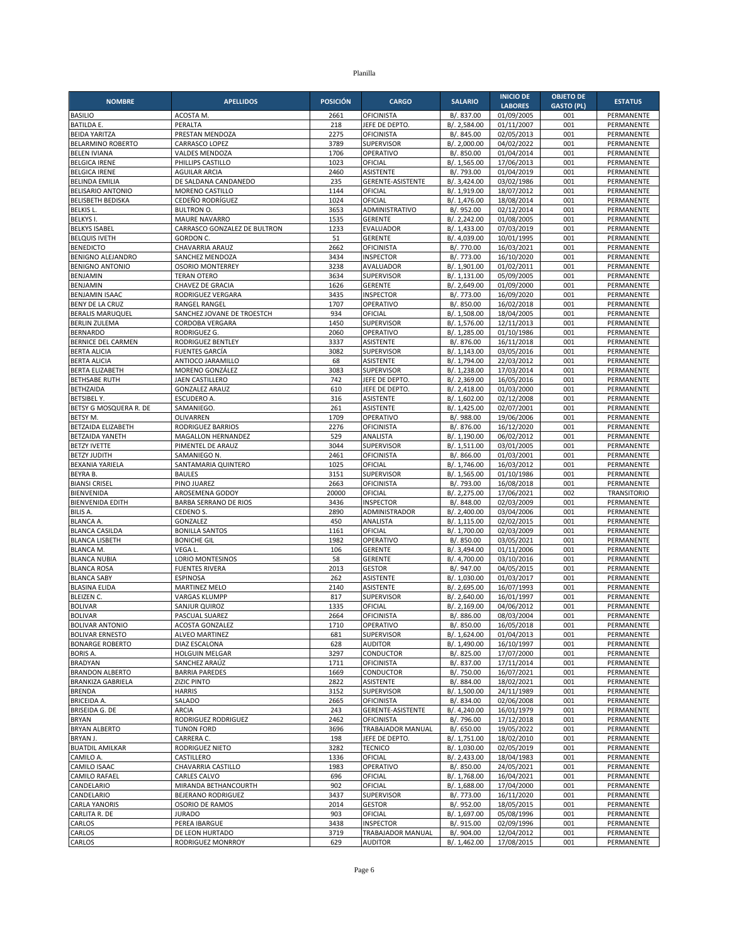|                                               |                                              |                 |                                        |                              | <b>INICIO DE</b>         | <b>OBJETO DE</b>  |                          |
|-----------------------------------------------|----------------------------------------------|-----------------|----------------------------------------|------------------------------|--------------------------|-------------------|--------------------------|
| <b>NOMBRE</b>                                 | <b>APELLIDOS</b>                             | <b>POSICIÓN</b> | <b>CARGO</b>                           | <b>SALARIO</b>               | <b>LABORES</b>           | <b>GASTO (PL)</b> | <b>ESTATUS</b>           |
| <b>BASILIO</b>                                | ACOSTA M.                                    | 2661            | OFICINISTA                             | B/. 837.00                   | 01/09/2005               | 001               | PERMANENTE               |
| <b>BATILDA E.</b><br><b>BEIDA YARITZA</b>     | PERALTA                                      | 218<br>2275     | JEFE DE DEPTO                          | B/. 2,584.00                 | 01/11/2007               | 001<br>001        | PERMANENTE               |
| <b>BELARMINO ROBERTO</b>                      | PRESTAN MENDOZA<br>CARRASCO LOPEZ            | 3789            | <b>OFICINISTA</b><br><b>SUPERVISOR</b> | B/. 845.00<br>B/. 2,000.00   | 02/05/2013<br>04/02/2022 | 001               | PERMANENTE<br>PERMANENTE |
| <b>BELEN IVIANA</b>                           | <b>VALDES MENDOZA</b>                        | 1706            | OPERATIVO                              | B/. 850.00                   | 01/04/2014               | 001               | PERMANENTE               |
| <b>BELGICA IRENE</b>                          | PHILLIPS CASTILLO                            | 1023            | OFICIAL                                | B/. 1,565.00                 | 17/06/2013               | 001               | PERMANENTE               |
| <b>BELGICA IRENE</b>                          | <b>AGUILAR ARCIA</b>                         | 2460            | <b>ASISTENTE</b>                       | B/. 793.00                   | 01/04/2019               | 001               | PERMANENTE               |
| <b>BELINDA EMILIA</b>                         | DE SALDANA CANDANEDO                         | 235             | GERENTE-ASISTENTE                      | B/. 3,424.00                 | 03/02/1986               | 001               | PERMANENTE               |
| <b>BELISARIO ANTONIO</b>                      | MORENO CASTILLO                              | 1144            | OFICIAL                                | B/. 1,919.00                 | 18/07/2012               | 001               | PERMANENTE               |
| <b>BELISBETH BEDISKA</b><br><b>BELKISL</b>    | CEDEÑO RODRÍGUEZ                             | 1024            | OFICIAL                                | B/. 1,476.00                 | 18/08/2014               | 001               | PERMANENTE               |
| <b>BELKYS I.</b>                              | <b>BULTRON O.</b><br><b>MAURE NAVARRO</b>    | 3653<br>1535    | ADMINISTRATIVO<br><b>GERENTE</b>       | B/. 952.00<br>B/. 2,242.00   | 02/12/2014<br>01/08/2005 | 001<br>001        | PERMANENTE<br>PERMANENTE |
| <b>BELKYS ISABEL</b>                          | CARRASCO GONZALEZ DE BULTRON                 | 1233            | <b>EVALUADOR</b>                       | B/. 1,433.00                 | 07/03/2019               | 001               | PERMANENTE               |
| <b>BELQUIS IVETH</b>                          | <b>GORDON C.</b>                             | 51              | <b>GERENTE</b>                         | B/. 4,039.00                 | 10/01/1995               | 001               | PERMANENTE               |
| <b>BENEDICTO</b>                              | CHAVARRIA ARAUZ                              | 2662            | <b>OFICINISTA</b>                      | B/. 770.00                   | 16/03/2021               | 001               | PERMANENTE               |
| <b>BENIGNO ALEJANDRO</b>                      | SANCHEZ MENDOZA                              | 3434            | <b>INSPECTOR</b>                       | B/. 773.00                   | 16/10/2020               | 001               | PERMANENTE               |
| <b>BENIGNO ANTONIO</b>                        | <b>OSORIO MONTERREY</b>                      | 3238            | AVALUADOR                              | B/. 1,901.00                 | 01/02/2011               | 001               | PERMANENTE               |
| BENJAMIN                                      | <b>TERAN OTERO</b>                           | 3634<br>1626    | <b>SUPERVISOR</b>                      | B/. 1,131.00                 | 05/09/2005               | 001<br>001        | PERMANENTE               |
| BENJAMIN<br><b>BENJAMIN ISAAC</b>             | CHAVEZ DE GRACIA<br>RODRIGUEZ VERGARA        | 3435            | <b>GERENTE</b><br><b>INSPECTOR</b>     | B/. 2,649.00<br>B/. 773.00   | 01/09/2000<br>16/09/2020 | 001               | PERMANENTE<br>PERMANENTE |
| BENY DE LA CRUZ                               | RANGEL RANGEL                                | 1707            | OPERATIVO                              | B/. 850.00                   | 16/02/2018               | 001               | PERMANENTE               |
| <b>BERALIS MARUQUEL</b>                       | SANCHEZ JOVANE DE TROESTCH                   | 934             | OFICIAL                                | B/. 1,508.00                 | 18/04/2005               | 001               | PERMANENTE               |
| <b>BERLIN ZULEMA</b>                          | CORDOBA VERGARA                              | 1450            | <b>SUPERVISOR</b>                      | B/. 1,576.00                 | 12/11/2013               | 001               | PERMANENTE               |
| <b>BERNARDO</b>                               | RODRIGUEZ G.                                 | 2060            | OPERATIVO                              | B/. 1,285.00                 | 01/10/1986               | 001               | PERMANENTE               |
| BERNICE DEL CARMEN                            | RODRIGUEZ BENTLEY                            | 3337            | <b>ASISTENTE</b>                       | B/. 876.00                   | 16/11/2018               | 001               | PERMANENTE               |
| <b>BERTA ALICIA</b>                           | <b>FUENTES GARCÍA</b>                        | 3082            | <b>SUPERVISOR</b>                      | B/. 1,143.00                 | 03/05/2016               | 001               | PERMANENTE               |
| <b>BERTA ALICIA</b><br><b>BERTA ELIZABETH</b> | ANTIOCO JARAMILLO<br>MORENO GONZÁLEZ         | 68<br>3083      | <b>ASISTENTE</b><br><b>SUPERVISOR</b>  | B/. 1,794.00<br>B/. 1,238.00 | 22/03/2012<br>17/03/2014 | 001<br>001        | PERMANENTE<br>PERMANENTE |
| <b>BETHSABE RUTH</b>                          | <b>JAEN CASTILLERO</b>                       | 742             | JEFE DE DEPTO                          | B/. 2,369.00                 | 16/05/2016               | 001               | PERMANENTE               |
| BETHZAIDA                                     | <b>GONZALEZ ARAUZ</b>                        | 610             | JEFE DE DEPTO.                         | B/. 2,418.00                 | 01/03/2000               | 001               | PERMANENTE               |
| <b>BETSIBEL Y.</b>                            | <b>ESCUDERO A.</b>                           | 316             | ASISTENTE                              | B/. 1,602.00                 | 02/12/2008               | 001               | PERMANENTE               |
| BETSY G MOSQUERA R. DE                        | SAMANIEGO.                                   | 261             | <b>ASISTENTE</b>                       | B/. 1,425.00                 | 02/07/2001               | 001               | PERMANENTE               |
| BETSY M.                                      | OLIVARREN                                    | 1709            | OPERATIVO                              | B/. 988.00                   | 19/06/2006               | 001               | PERMANENTE               |
| BETZAIDA ELIZABETH                            | <b>RODRIGUEZ BARRIOS</b>                     | 2276            | <b>OFICINISTA</b>                      | B/. 876.00                   | 16/12/2020               | 001               | PERMANENTE               |
| BETZAIDA YANETH                               | MAGALLON HERNANDEZ                           | 529             | ANALISTA                               | B/. 1,190.00                 | 06/02/2012               | 001               | PERMANENTE               |
| <b>BETZY IVETTE</b><br><b>BETZY JUDITH</b>    | PIMENTEL DE ARAUZ<br>SAMANIEGO N             | 3044<br>2461    | SUPERVISOR<br>OFICINISTA               | B/. 1,511.00<br>B/. 866.00   | 03/01/2005<br>01/03/2001 | 001<br>001        | PERMANENTE<br>PERMANENTE |
| BEXANIA YARIELA                               | SANTAMARIA QUINTERO                          | 1025            | OFICIAL                                | B/. 1,746.00                 | 16/03/2012               | 001               | PERMANENTE               |
| BEYRA B.                                      | <b>BAULES</b>                                | 3151            | <b>SUPERVISOR</b>                      | B/. 1,565.00                 | 01/10/1986               | 001               | PERMANENTE               |
| <b>BIANSI CRISEL</b>                          | PINO JUAREZ                                  | 2663            | <b>OFICINISTA</b>                      | B/. 793.00                   | 16/08/2018               | 001               | PERMANENTE               |
| <b>BIENVENIDA</b>                             | AROSEMENA GODOY                              | 20000           | OFICIAL                                | B/. 2,275.00                 | 17/06/2021               | 002               | <b>TRANSITORIO</b>       |
| <b>BIENVENIDA EDITH</b>                       | <b>BARBA SERRANO DE RIOS</b>                 | 3436            | <b>INSPECTOR</b>                       | B/. 848.00                   | 02/03/2009               | 001               | PERMANENTE               |
| <b>BILIS A.</b>                               | CEDENO S.                                    | 2890            | ADMINISTRADOR                          | B/. 2,400.00                 | 03/04/2006               | 001               | PERMANENTE               |
| <b>BLANCA A.</b><br><b>BLANCA CASILDA</b>     | GONZALEZ<br><b>BONILLA SANTOS</b>            | 450<br>1161     | ANALISTA<br>OFICIAL                    | B/. 1,115.00<br>B/. 1,700.00 | 02/02/2015<br>02/03/2009 | 001<br>001        | PERMANENTE<br>PERMANENTE |
| <b>BLANCA LISBETH</b>                         | <b>BONICHE GIL</b>                           | 1982            | OPERATIVO                              | B/. 850.00                   | 03/05/2021               | 001               | PERMANENTE               |
| <b>BLANCA M.</b>                              | VEGA L                                       | 106             | <b>GERENTE</b>                         | B/. 3,494.00                 | 01/11/2006               | 001               | PERMANENTE               |
| <b>BLANCA NUBIA</b>                           | LORIO MONTESINOS                             | 58              | <b>GERENTE</b>                         | B/. 4,700.00                 | 03/10/2016               | 001               | PERMANENTE               |
| <b>BLANCA ROSA</b>                            | <b>FUENTES RIVERA</b>                        | 2013            | <b>GESTOR</b>                          | B/. 947.00                   | 04/05/2015               | 001               | PERMANENTE               |
| <b>BLANCA SABY</b>                            | <b>ESPINOSA</b>                              | 262             | <b>ASISTENTE</b>                       | B/. 1,030.00                 | 01/03/2017               | 001               | PERMANENTE               |
| <b>BLASINA ELIDA</b>                          | <b>MARTINEZ MELO</b>                         | 2140            | <b>ASISTENTE</b>                       | B/. 2,695.00                 | 16/07/1993               | 001               | PERMANENTE               |
| <b>BLEIZEN C.</b><br><b>BOLIVAR</b>           | <b>VARGAS KLUMPP</b><br><b>SANJUR QUIROZ</b> | 817<br>1335     | <b>SUPERVISOR</b><br>OFICIAL           | B/. 2,640.00<br>B/. 2,169.00 | 16/01/1997<br>04/06/2012 | 001<br>001        | PERMANENTE<br>PERMANENTE |
| <b>BOLIVAR</b>                                | PASCUAL SUAREZ                               | 2664            | <b>OFICINISTA</b>                      | B/. 886.00                   | 08/03/2004               | 001               | PERMANENTE               |
| <b>BOLIVAR ANTONIO</b>                        | ACOSTA GONZALEZ                              | 1710            | OPERATIVO                              | B/. 850.00                   | 16/05/2018               | 001               | PERMANENTE               |
| <b>BOLIVAR ERNESTO</b>                        | <b>ALVEO MARTINEZ</b>                        | 681             | SUPERVISOR                             | B/. 1,624.00                 | 01/04/2013               | 001               | PERMANENTE               |
| <b>BONARGE ROBERTO</b>                        | DIAZ ESCALONA                                | 628             | <b>AUDITOR</b>                         | B/. 1,490.00                 | 16/10/1997               | 001               | PERMANENTE               |
| <b>BORIS A.</b>                               | HOLGUIN MELGAR                               | 3297            | CONDUCTOR                              | B/. 825.00                   | 17/07/2000               | 001               | PERMANENTE               |
| <b>BRADYAN</b><br><b>BRANDON ALBERTO</b>      | SANCHEZ ARAÚZ                                | 1711            | <b>OFICINISTA</b>                      | B/. 837.00                   | 17/11/2014<br>16/07/2021 | 001               | PERMANENTE               |
| <b>BRANKIZA GABRIELA</b>                      | <b>BARRIA PAREDES</b><br><b>ZIZIC PINTO</b>  | 1669<br>2822    | CONDUCTOR<br>ASISTENTE                 | B/. 750.00<br>B/. 884.00     | 18/02/2021               | 001<br>001        | PERMANENTE<br>PERMANENTE |
| <b>BRENDA</b>                                 | <b>HARRIS</b>                                | 3152            | <b>SUPERVISOR</b>                      | B/. 1,500.00                 | 24/11/1989               | 001               | PERMANENTE               |
| <b>BRICEIDA A.</b>                            | SALADO                                       | 2665            | <b>OFICINISTA</b>                      | B/. 834.00                   | 02/06/2008               | 001               | PERMANENTE               |
| <b>BRISEIDA G. DE</b>                         | <b>ARCIA</b>                                 | 243             | GERENTE-ASISTENTE                      | B/. 4,240.00                 | 16/01/1979               | 001               | PERMANENTE               |
| <b>BRYAN</b>                                  | RODRIGUEZ RODRIGUEZ                          | 2462            | <b>OFICINISTA</b>                      | B/. 796.00                   | 17/12/2018               | 001               | PERMANENTE               |
| <b>BRYAN ALBERTO</b>                          | <b>TUNON FORD</b>                            | 3696            | TRABAJADOR MANUAL                      | B/. 650.00                   | 19/05/2022               | 001               | PERMANENTE               |
| BRYAN J.                                      | CARRERA C.                                   | 198             | JEFE DE DEPTO.                         | B/. 1,751.00                 | 18/02/2010               | 001               | PERMANENTE               |
| <b>BUATDIL AMILKAR</b><br>CAMILO A.           | RODRIGUEZ NIETO<br>CASTILLERO                | 3282<br>1336    | <b>TECNICO</b><br>OFICIAL              | B/. 1,030.00<br>B/. 2,433.00 | 02/05/2019<br>18/04/1983 | 001<br>001        | PERMANENTE<br>PERMANENTE |
| CAMILO ISAAC                                  | CHAVARRIA CASTILLO                           | 1983            | OPERATIVO                              | B/. 850.00                   | 24/05/2021               | 001               | PERMANENTE               |
| <b>CAMILO RAFAEL</b>                          | CARLES CALVO                                 | 696             | OFICIAL                                | B/. 1,768.00                 | 16/04/2021               | 001               | PERMANENTE               |
| CANDELARIO                                    | MIRANDA BETHANCOURTH                         | 902             | OFICIAL                                | B/. 1,688.00                 | 17/04/2000               | 001               | PERMANENTE               |
| CANDELARIO                                    | BEJERANO RODRIGUEZ                           | 3437            | SUPERVISOR                             | B/. 773.00                   | 16/11/2020               | 001               | PERMANENTE               |
| <b>CARLA YANORIS</b>                          | OSORIO DE RAMOS                              | 2014            | <b>GESTOR</b>                          | B/. 952.00                   | 18/05/2015               | 001               | PERMANENTE               |
| CARLITA R. DE                                 | <b>JURADO</b>                                | 903             | OFICIAL                                | B/. 1,697.00                 | 05/08/1996               | 001               | PERMANENTE               |
| CARLOS                                        | PEREA IBARGUE<br><b>DE LEON HURTADO</b>      | 3438            | <b>INSPECTOR</b>                       | B/. 915.00                   | 02/09/1996               | 001               | PERMANENTE               |
| CARLOS<br>CARLOS                              | RODRIGUEZ MONRROY                            | 3719<br>629     | TRABAJADOR MANUAL<br><b>AUDITOR</b>    | B/. 904.00<br>B/. 1,462.00   | 12/04/2012<br>17/08/2015 | 001<br>001        | PERMANENTE<br>PERMANENTE |
|                                               |                                              |                 |                                        |                              |                          |                   |                          |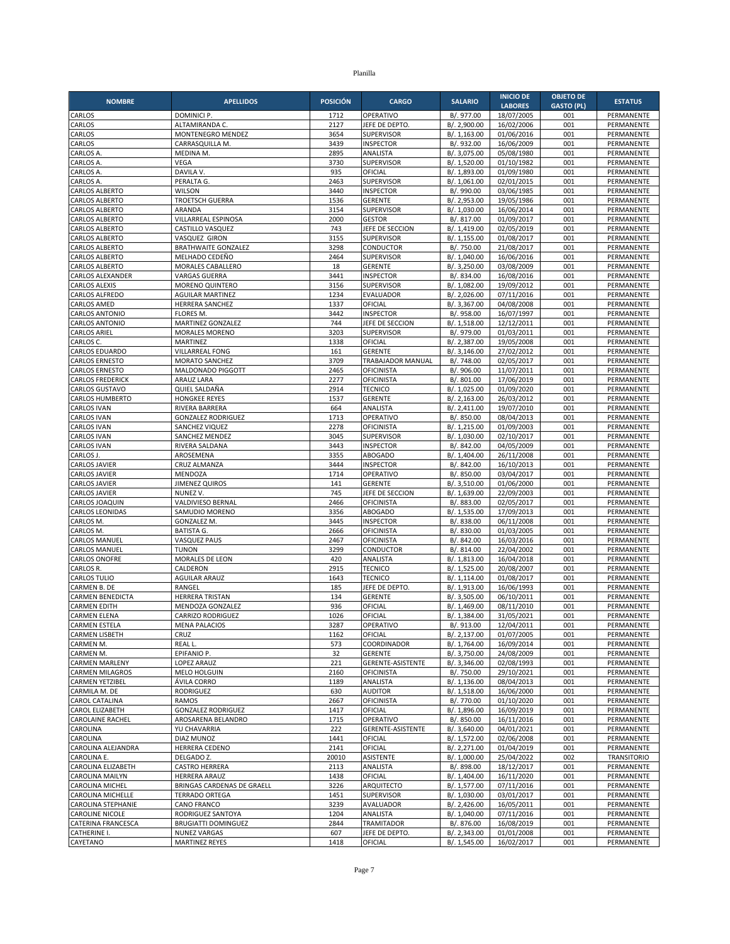| <b>NOMBRE</b>                                  | <b>APELLIDOS</b>                                | <b>POSICIÓN</b> | <b>CARGO</b>                               | <b>SALARIO</b>               | <b>INICIO DE</b>         | <b>OBJETO DE</b>  | <b>ESTATUS</b>           |
|------------------------------------------------|-------------------------------------------------|-----------------|--------------------------------------------|------------------------------|--------------------------|-------------------|--------------------------|
|                                                |                                                 |                 |                                            |                              | <b>LABORES</b>           | <b>GASTO (PL)</b> |                          |
| CARLOS                                         | DOMINICI P.                                     | 1712            | OPERATIVO                                  | B/. 977.00                   | 18/07/2005               | 001               | PERMANENTE               |
| CARLOS<br>CARLOS                               | ALTAMIRANDA C.<br>MONTENEGRO MENDEZ             | 2127<br>3654    | JEFE DE DEPTO<br><b>SUPERVISOR</b>         | B/. 2,900.00<br>B/. 1,163.00 | 16/02/2006<br>01/06/2016 | 001<br>001        | PERMANENTE<br>PERMANENTE |
| CARLOS                                         | CARRASQUILLA M.                                 | 3439            | <b>INSPECTOR</b>                           | B/. 932.00                   | 16/06/2009               | 001               | PERMANENTE               |
| CARLOS A.                                      | MEDINA M.                                       | 2895            | ANALISTA                                   | B/. 3,075.00                 | 05/08/1980               | 001               | PERMANENTE               |
| CARLOS A.                                      | <b>VEGA</b>                                     | 3730            | <b>SUPERVISOR</b>                          | B/. 1,520.00                 | 01/10/1982               | 001               | PERMANENTE               |
| CARLOS A.                                      | DAVILA V.                                       | 935             | OFICIAL                                    | B/. 1,893.00                 | 01/09/1980               | 001               | PERMANENTE               |
| <b>CARLOS A</b>                                | PERALTA G.                                      | 2463            | <b>SUPERVISOR</b>                          | B/. 1,061.00                 | 02/01/2015               | 001               | PERMANENTE               |
| <b>CARLOS ALBERTO</b>                          | <b>WILSON</b>                                   | 3440            | <b>INSPECTOR</b>                           | B/. 990.00                   | 03/06/1985               | 001               | PERMANENTE               |
| <b>CARLOS ALBERTO</b><br><b>CARLOS ALBERTO</b> | <b>TROETSCH GUERRA</b><br>ARANDA                | 1536<br>3154    | <b>GERENTE</b><br><b>SUPERVISOR</b>        | B/. 2,953.00<br>B/. 1,030.00 | 19/05/1986<br>16/06/2014 | 001<br>001        | PERMANENTE<br>PERMANENTE |
| <b>CARLOS ALBERTO</b>                          | VILLARREAL ESPINOSA                             | 2000            | <b>GESTOR</b>                              | B/. 817.00                   | 01/09/2017               | 001               | PERMANENTE               |
| <b>CARLOS ALBERTO</b>                          | CASTILLO VASQUEZ                                | 743             | JEFE DE SECCION                            | B/. 1,419.00                 | 02/05/2019               | 001               | PERMANENTE               |
| <b>CARLOS ALBERTO</b>                          | <b>VASQUEZ GIRON</b>                            | 3155            | <b>SUPERVISOR</b>                          | B/. 1,155.00                 | 01/08/2017               | 001               | PERMANENTE               |
| <b>CARLOS ALBERTO</b>                          | <b>BRATHWAITE GONZALEZ</b>                      | 3298            | CONDUCTOR                                  | B/. 750.00                   | 21/08/2017               | 001               | PERMANENTE               |
| <b>CARLOS ALBERTO</b>                          | MELHADO CEDEÑO                                  | 2464            | <b>SUPERVISOR</b>                          | B/. 1,040.00                 | 16/06/2016               | 001               | PERMANENTE               |
| <b>CARLOS ALBERTO</b>                          | MORALES CABALLERO                               | 18              | <b>GERENTE</b>                             | B/. 3,250.00                 | 03/08/2009               | 001               | PERMANENTE               |
| CARLOS ALEXANDER<br><b>CARLOS ALEXIS</b>       | <b>VARGAS GUERRA</b><br><b>MORENO QUINTERO</b>  | 3441<br>3156    | <b>INSPECTOR</b><br><b>SUPERVISOR</b>      | B/. 834.00<br>B/. 1,082.00   | 16/08/2016<br>19/09/2012 | 001<br>001        | PERMANENTE<br>PERMANENTE |
| CARLOS ALFREDO                                 | <b>AGUILAR MARTINEZ</b>                         | 1234            | <b>EVALUADOR</b>                           | B/. 2,026.00                 | 07/11/2016               | 001               | PERMANENTE               |
| <b>CARLOS AMED</b>                             | HERRERA SANCHEZ                                 | 1337            | OFICIAL                                    | B/. 3,367.00                 | 04/08/2008               | 001               | PERMANENTE               |
| <b>CARLOS ANTONIO</b>                          | FLORES M.                                       | 3442            | <b>INSPECTOR</b>                           | B/. 958.00                   | 16/07/1997               | 001               | PERMANENTE               |
| <b>CARLOS ANTONIO</b>                          | <b>MARTINEZ GONZALEZ</b>                        | 744             | JEFE DE SECCION                            | B/. 1,518.00                 | 12/12/2011               | 001               | PERMANENTE               |
| <b>CARLOS ARIEL</b>                            | <b>MORALES MORENO</b>                           | 3203            | <b>SUPERVISOR</b>                          | B/. 979.00                   | 01/03/2011               | 001               | PERMANENTE               |
| CARLOS C.                                      | MARTINEZ                                        | 1338            | OFICIAL                                    | B/. 2,387.00                 | 19/05/2008               | 001               | PERMANENTE               |
| CARLOS EDUARDO<br><b>CARLOS ERNESTO</b>        | <b>VILLARREAL FONG</b><br><b>MORATO SANCHEZ</b> | 161<br>3709     | <b>GERENTE</b><br><b>TRABAJADOR MANUAL</b> | B/. 3,146.00<br>B/. 748.00   | 27/02/2012<br>02/05/2017 | 001<br>001        | PERMANENTE<br>PERMANENTE |
| <b>CARLOS ERNESTO</b>                          | MALDONADO PIGGOTT                               | 2465            | <b>OFICINISTA</b>                          | B/. 906.00                   | 11/07/2011               | 001               | PERMANENTE               |
| <b>CARLOS FREDERICK</b>                        | ARAUZ LARA                                      | 2277            | <b>OFICINISTA</b>                          | B/. 801.00                   | 17/06/2019               | 001               | PERMANENTE               |
| <b>CARLOS GUSTAVO</b>                          | QUIEL SALDAÑA                                   | 2914            | <b>TECNICO</b>                             | B/. 1,025.00                 | 01/09/2020               | 001               | PERMANENTE               |
| <b>CARLOS HUMBERTO</b>                         | <b>HONGKEE REYES</b>                            | 1537            | <b>GERENTE</b>                             | B/. 2,163.00                 | 26/03/2012               | 001               | PERMANENTE               |
| <b>CARLOS IVAN</b>                             | RIVERA BARRERA                                  | 664             | ANALISTA                                   | B/. 2,411.00                 | 19/07/2010               | 001               | PERMANENTE               |
| <b>CARLOS IVAN</b>                             | <b>GONZALEZ RODRIGUEZ</b>                       | 1713            | OPERATIVO                                  | B/. 850.00                   | 08/04/2013               | 001               | PERMANENTE               |
| <b>CARLOS IVAN</b>                             | <b>SANCHEZ VIQUEZ</b>                           | 2278<br>3045    | <b>OFICINISTA</b>                          | B/. 1.215.00                 | 01/09/2003<br>02/10/2017 | 001<br>001        | PERMANENTE<br>PERMANENTE |
| <b>CARLOS IVAN</b><br><b>CARLOS IVAN</b>       | SANCHEZ MENDEZ<br>RIVERA SALDANA                | 3443            | SUPERVISOR<br><b>INSPECTOR</b>             | B/. 1,030.00<br>B/. 842.00   | 04/05/2009               | 001               | PERMANENTE               |
| CARLOS J.                                      | AROSEMENA                                       | 3355            | <b>ABOGADO</b>                             | B/. 1,404.00                 | 26/11/2008               | 001               | PERMANENTE               |
| <b>CARLOS JAVIER</b>                           | CRUZ ALMANZA                                    | 3444            | <b>INSPECTOR</b>                           | B/. 842.00                   | 16/10/2013               | 001               | PERMANENTE               |
| <b>CARLOS JAVIER</b>                           | MENDOZA                                         | 1714            | OPERATIVO                                  | B/. 850.00                   | 03/04/2017               | 001               | PERMANENTE               |
| <b>CARLOS JAVIER</b>                           | <b>JIMENEZ QUIROS</b>                           | 141             | <b>GERENTE</b>                             | B/. 3,510.00                 | 01/06/2000               | 001               | PERMANENTE               |
| <b>CARLOS JAVIER</b>                           | NUNEZ V.                                        | 745             | JEFE DE SECCION                            | B/. 1,639.00                 | 22/09/2003               | 001               | PERMANENTE               |
| CARLOS JOAQUIN<br><b>CARLOS LEONIDAS</b>       | VALDIVIESO BERNAL<br>SAMUDIO MORENO             | 2466<br>3356    | <b>OFICINISTA</b><br><b>ABOGADO</b>        | B/. 883.00<br>B/. 1,535.00   | 02/05/2017<br>17/09/2013 | 001<br>001        | PERMANENTE<br>PERMANENTE |
| CARLOS M.                                      | GONZALEZ M.                                     | 3445            | <b>INSPECTOR</b>                           | B/. 838.00                   | 06/11/2008               | 001               | PERMANENTE               |
| CARLOS M.                                      | <b>BATISTA G.</b>                               | 2666            | <b>OFICINISTA</b>                          | B/. 830.00                   | 01/03/2005               | 001               | PERMANENTE               |
| <b>CARLOS MANUEL</b>                           | VASQUEZ PAUS                                    | 2467            | <b>OFICINISTA</b>                          | B/. 842.00                   | 16/03/2016               | 001               | PERMANENTE               |
| <b>CARLOS MANUEL</b>                           | <b>TUNON</b>                                    | 3299            | CONDUCTOR                                  | B/. 814.00                   | 22/04/2002               | 001               | PERMANENTE               |
| <b>CARLOS ONOFRE</b>                           | MORALES DE LEON                                 | 420             | ANALISTA                                   | B/. 1,813.00                 | 16/04/2018               | 001               | PERMANENTE               |
| CARLOS R.                                      | CALDERON                                        | 2915            | <b>TECNICO</b>                             | B/. 1,525.00                 | 20/08/2007               | 001               | PERMANENTE               |
| <b>CARLOS TULIO</b><br>CARMEN B. DE            | AGUILAR ARAUZ<br>RANGEL                         | 1643<br>185     | <b>TECNICO</b><br>JEFE DE DEPTO            | B/. 1,114.00<br>B/. 1,913.00 | 01/08/2017<br>16/06/1993 | 001<br>001        | PERMANENTE<br>PERMANENTE |
| <b>CARMEN BENEDICTA</b>                        | <b>HERRERA TRISTAN</b>                          | 134             | <b>GERENTE</b>                             | B/. 3,505.00                 | 06/10/2011               | 001               | PERMANENTE               |
| <b>CARMEN EDITH</b>                            | MENDOZA GONZALEZ                                | 936             | OFICIAL                                    | B/. 1,469.00                 | 08/11/2010               | 001               | PERMANENTE               |
| <b>CARMEN ELENA</b>                            | <b>CARRIZO RODRIGUEZ</b>                        | 1026            | OFICIAL                                    | B/. 1,384.00                 | 31/05/2021               | 001               | PERMANENTE               |
| CARMEN ESTELA                                  | <b>MENA PALACIOS</b>                            | 3287            | OPERATIVO                                  | B/. 913.00                   | 12/04/2011               | 001               | PERMANENTE               |
| <b>CARMEN LISBETH</b>                          | CRUZ                                            | 1162            | OFICIAL                                    | B/. 2,137.00                 | 01/07/2005               | 001               | PERMANENTE               |
| CARMEN M.                                      | REAL L.                                         | 573             | COORDINADOR                                | B/. 1,764.00                 | 16/09/2014               | 001               | PERMANENTE               |
| CARMEN M.<br><b>CARMEN MARLENY</b>             | EPIFANIO P.<br>LOPEZ ARAUZ                      | 32<br>221       | <b>GERENTE</b><br>GERENTE-ASISTENTE        | B/. 3,750.00<br>B/. 3,346.00 | 24/08/2009<br>02/08/1993 | 001<br>001        | PERMANENTE<br>PERMANENTE |
| <b>CARMEN MILAGROS</b>                         | MELO HOLGUIN                                    | 2160            | <b>OFICINISTA</b>                          | B/. 750.00                   | 29/10/2021               | 001               | PERMANENTE               |
| CARMEN YETZIBEL                                | ÁVILA CORRO                                     | 1189            | ANALISTA                                   | B/. 1,136.00                 | 08/04/2013               | 001               | PERMANENTE               |
| CARMILA M. DE                                  | <b>RODRIGUEZ</b>                                | 630             | <b>AUDITOR</b>                             | B/. 1,518.00                 | 16/06/2000               | 001               | PERMANENTE               |
| CAROL CATALINA                                 | <b>RAMOS</b>                                    | 2667            | <b>OFICINISTA</b>                          | B/. 770.00                   | 01/10/2020               | 001               | PERMANENTE               |
| CAROL ELIZABETH                                | <b>GONZALEZ RODRIGUEZ</b>                       | 1417            | OFICIAL                                    | B/. 1,896.00                 | 16/09/2019               | 001               | PERMANENTE               |
| <b>CAROLAINE RACHEL</b>                        | AROSARENA BELANDRO                              | 1715            | OPERATIVO                                  | B/. 850.00                   | 16/11/2016               | 001               | PERMANENTE               |
| CAROLINA<br>CAROLINA                           | YU CHAVARRIA                                    | 222<br>1441     | GERENTE-ASISTENTE<br>OFICIAL               | B/. 3,640.00                 | 04/01/2021<br>02/06/2008 | 001<br>001        | PERMANENTE               |
| CAROLINA ALEJANDRA                             | DIAZ MUNOZ<br>HERRERA CEDENO                    | 2141            | OFICIAL                                    | B/. 1,572.00<br>B/. 2,271.00 | 01/04/2019               | 001               | PERMANENTE<br>PERMANENTE |
| CAROLINA E.                                    | DELGADO Z.                                      | 20010           | ASISTENTE                                  | B/. 1,000.00                 | 25/04/2022               | 002               | TRANSITORIO              |
| CAROLINA ELIZABETH                             | <b>CASTRO HERRERA</b>                           | 2113            | ANALISTA                                   | B/. 898.00                   | 18/12/2017               | 001               | PERMANENTE               |
| <b>CAROLINA MAILYN</b>                         | HERRERA ARAUZ                                   | 1438            | OFICIAL                                    | B/. 1,404.00                 | 16/11/2020               | 001               | PERMANENTE               |
| CAROLINA MICHEL                                | BRINGAS CARDENAS DE GRAELL                      | 3226            | ARQUITECTO                                 | B/. 1,577.00                 | 07/11/2016               | 001               | PERMANENTE               |
| CAROLINA MICHELLE                              | <b>TERRADO ORTEGA</b>                           | 1451            | SUPERVISOR                                 | B/. 1,030.00                 | 03/01/2017               | 001               | PERMANENTE               |
| CAROLINA STEPHANIE                             | CANO FRANCO                                     | 3239            | AVALUADOR                                  | B/. 2,426.00                 | 16/05/2011               | 001               | PERMANENTE               |
| <b>CAROLINE NICOLE</b><br>CATERINA FRANCESCA   | RODRIGUEZ SANTOYA<br><b>BRUGIATTI DOMINGUEZ</b> | 1204<br>2844    | ANALISTA<br><b>TRAMITADOR</b>              | B/. 1,040.00<br>B/. 876.00   | 07/11/2016<br>16/08/2019 | 001<br>001        | PERMANENTE<br>PERMANENTE |
| CATHERINE I.                                   | <b>NUNEZ VARGAS</b>                             | 607             | JEFE DE DEPTO.                             | B/. 2,343.00                 | 01/01/2008               | 001               | PERMANENTE               |
| CAYETANO                                       | <b>MARTINEZ REYES</b>                           | 1418            | OFICIAL                                    | B/. 1,545.00                 | 16/02/2017               | 001               | PERMANENTE               |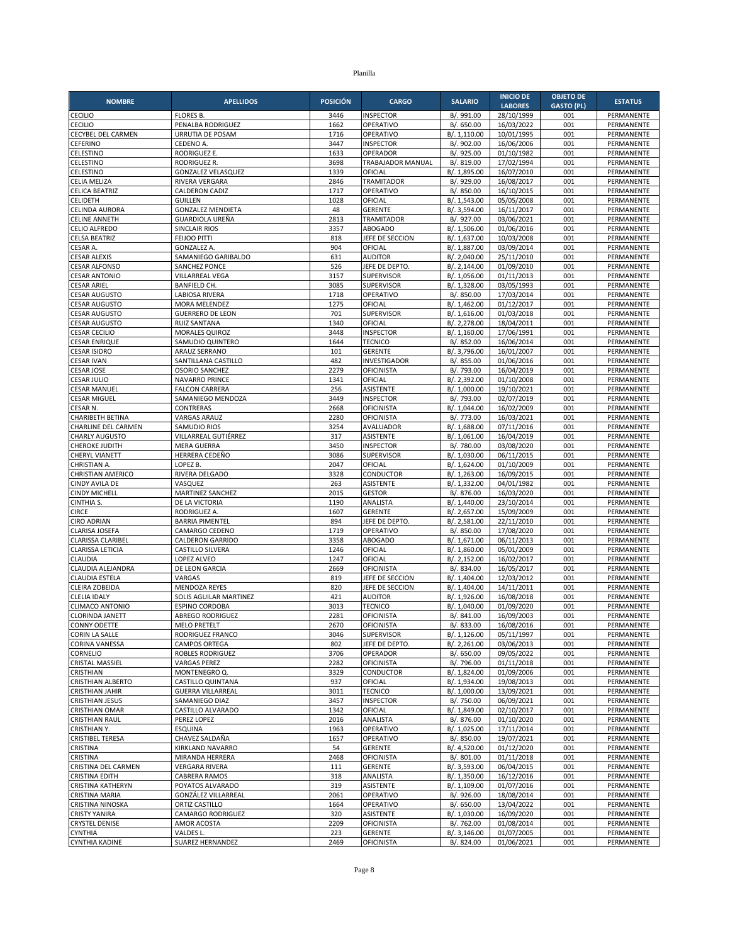| <b>GASTO (PL)</b><br>28/10/1999<br><b>CECILIO</b><br><b>FLORES B.</b><br>3446<br><b>INSPECTOR</b><br>B/. 991.00<br>001<br>PERMANENTE<br><b>CECILIO</b><br>PENALBA RODRIGUEZ<br>1662<br>OPERATIVO<br>B/. 650.00<br>16/03/2022<br>001<br>PERMANENTE<br>001<br>CECYBEL DEL CARMEN<br>URRUTIA DE POSAM<br>1716<br>OPERATIVO<br>B/. 1,110.00<br>10/01/1995<br>PERMANENTE<br><b>CEFERINO</b><br>3447<br>B/. 902.00<br>001<br>CEDENO A<br><b>INSPECTOR</b><br>16/06/2006<br>PERMANENTE<br><b>RODRIGUEZ E.</b><br>1633<br>OPERADOR<br>B/. 925.00<br>01/10/1982<br>001<br>PERMANENTE<br>CELESTINO<br>3698<br>B/. 819.00<br>17/02/1994<br>001<br>RODRIGUEZ R.<br>TRABAJADOR MANUAL<br>PERMANENTE<br>1339<br>16/07/2010<br>001<br>CELESTINO<br><b>GONZALEZ VELASQUEZ</b><br>OFICIAL<br>B/. 1,895.00<br>PERMANENTE<br>2846<br>001<br><b>CELIA MELIZA</b><br>RIVERA VERGARA<br><b>TRAMITADOR</b><br>B/. 929.00<br>16/08/2017<br>PERMANENTE<br>1717<br>16/10/2015<br>001<br><b>CELICA BEATRIZ</b><br><b>CALDERON CADIZ</b><br>OPERATIVO<br>B/. 850.00<br>PERMANENTE<br>1028<br>05/05/2008<br>001<br><b>CELIDETH</b><br><b>GUILLEN</b><br>OFICIAL<br>B/. 1,543.00<br>PERMANENTE<br>48<br><b>GERENTE</b><br>001<br><b>GONZALEZ MENDIETA</b><br>B/. 3,594.00<br>16/11/2017<br>PERMANENTE<br>2813<br>001<br><b>CELINE ANNETH</b><br><b>GUARDIOLA UREÑA</b><br><b>TRAMITADOR</b><br>B/. 927.00<br>03/06/2021<br>PERMANENTE<br>3357<br>001<br><b>SINCLAIR RIOS</b><br><b>ABOGADO</b><br>B/. 1,506.00<br>01/06/2016<br>PERMANENTE<br>818<br>001<br><b>CELSA BEATRIZ</b><br><b>FEIJOO PITTI</b><br>JEFE DE SECCION<br>B/. 1,637.00<br>10/03/2008<br>PERMANENTE<br>904<br>001<br>CESAR A.<br><b>GONZALEZ A.</b><br>OFICIAL<br>B/. 1,887.00<br>03/09/2014<br>PERMANENTE<br>631<br><b>AUDITOR</b><br>25/11/2010<br>001<br><b>CESAR ALEXIS</b><br>SAMANIEGO GARIBALDO<br>B/. 2,040.00<br>PERMANENTE<br>JEFE DE DEPTO<br>001<br><b>CESAR ALFONSO</b><br><b>SANCHEZ PONCE</b><br>526<br>B/. 2,144.00<br>01/09/2010<br>PERMANENTE<br>001<br><b>CESAR ANTONIO</b><br>VILLARREAL VEGA<br>3157<br><b>SUPERVISOR</b><br>B/. 1,056.00<br>01/11/2013<br>PERMANENTE<br><b>CESAR ARIEL</b><br><b>BANFIELD CH.</b><br>3085<br>SUPERVISOR<br>B/. 1,328.00<br>03/05/1993<br>001<br>PERMANENTE<br>1718<br>17/03/2014<br>001<br><b>CESAR AUGUSTO</b><br><b>LABIOSA RIVERA</b><br>OPERATIVO<br>B/. 850.00<br>PERMANENTE<br>1275<br>OFICIAL<br>01/12/2017<br>001<br><b>CESAR AUGUSTO</b><br><b>MORA MELENDEZ</b><br>B/. 1,462.00<br>PERMANENTE<br>701<br>001<br><b>CESAR AUGUSTO</b><br><b>GUERRERO DE LEON</b><br><b>SUPERVISOR</b><br>B/. 1,616.00<br>01/03/2018<br>PERMANENTE<br><b>CESAR AUGUSTO</b><br><b>RUIZ SANTANA</b><br>1340<br>OFICIAL<br>B/. 2,278.00<br>18/04/2011<br>001<br>PERMANENTE<br><b>CESAR CECILIO</b><br>3448<br><b>INSPECTOR</b><br>B/. 1,160.00<br>17/06/1991<br>001<br>MORALES QUIROZ<br>PERMANENTE<br>SAMUDIO QUINTERO<br>1644<br><b>TECNICO</b><br>B/. 852.00<br>16/06/2014<br>001<br><b>CESAR ENRIQUE</b><br>PERMANENTE<br><b>GERENTE</b><br>16/01/2007<br>001<br><b>CESAR ISIDRO</b><br>ARAUZ SERRANO<br>101<br>B/. 3,796.00<br>PERMANENTE<br><b>CESAR IVAN</b><br>482<br>B/. 855.00<br>001<br>SANTILLANA CASTILLO<br><b>INVESTIGADOR</b><br>01/06/2016<br>PERMANENTE<br><b>CESAR JOSE</b><br>2279<br>001<br><b>OSORIO SANCHEZ</b><br><b>OFICINISTA</b><br>B/. 793.00<br>16/04/2019<br>PERMANENTE<br>1341<br>B/. 2,392.00<br>001<br><b>CESAR JULIO</b><br>NAVARRO PRINCE<br>OFICIAL<br>01/10/2008<br>PERMANENTE<br><b>CESAR MANUEL</b><br><b>FALCON CARRERA</b><br>256<br><b>ASISTENTE</b><br>B/. 1,000.00<br>19/10/2021<br>001<br>PERMANENTE<br>SAMANIEGO MENDOZA<br>3449<br><b>INSPECTOR</b><br>B/. 793.00<br>02/07/2019<br>001<br><b>CESAR MIGUEL</b><br>PERMANENTE<br>B/. 1,044.00<br>16/02/2009<br>001<br>CESAR N.<br>CONTRERAS<br>2668<br>OFICINISTA<br>PERMANENTE<br>CHARIBETH BETINA<br><b>VARGAS ARAUZ</b><br>2280<br><b>OFICINISTA</b><br>B/. 773.00<br>16/03/2021<br>001<br>PERMANENTE<br>001<br>CHARLINE DEL CARMEN<br>SAMUDIO RIOS<br>3254<br>AVALUADOR<br>B/. 1,688.00<br>07/11/2016<br>PERMANENTE<br>317<br>16/04/2019<br>001<br>CHARLY AUGUSTO<br>VILLARREAL GUTIÉRREZ<br><b>ASISTENTE</b><br>B/. 1,061.00<br>PERMANENTE<br>3450<br>001<br><b>MERA GUERRA</b><br><b>INSPECTOR</b><br>B/. 780.00<br>03/08/2020<br>PERMANENTE<br>001<br>CHERYL VIANETT<br>HERRERA CEDEÑO<br>3086<br><b>SUPERVISOR</b><br>B/. 1,030.00<br>06/11/2015<br>PERMANENTE<br>2047<br>001<br>CHRISTIAN A.<br>LOPEZ B.<br>OFICIAL<br>B/. 1,624.00<br>01/10/2009<br>PERMANENTE<br>RIVERA DELGADO<br>3328<br>CONDUCTOR<br>B/. 1,263.00<br>16/09/2015<br>001<br>PERMANENTE<br><b>CHRISTIAN AMERICO</b><br><b>CINDY AVILA DE</b><br>VASQUEZ<br>263<br>B/. 1,332.00<br>04/01/1982<br>001<br><b>ASISTENTE</b><br>PERMANENTE<br>2015<br>001<br><b>CINDY MICHELL</b><br>MARTINEZ SANCHEZ<br><b>GESTOR</b><br>B/. 876.00<br>16/03/2020<br>PERMANENTE<br>23/10/2014<br>CINTHIA S.<br>DE LA VICTORIA<br>1190<br>ANALISTA<br>B/. 1,440.00<br>001<br>PERMANENTE<br><b>CIRCE</b><br>1607<br><b>GERENTE</b><br>B/. 2,657.00<br>15/09/2009<br>001<br>PERMANENTE<br>RODRIGUEZ A.<br><b>CIRO ADRIAN</b><br><b>BARRIA PIMENTEL</b><br>894<br>JEFE DE DEPTO.<br>B/. 2,581.00<br>22/11/2010<br>001<br>PERMANENTE<br>1719<br>001<br>CLARISA JOSEFA<br>CAMARGO CEDENO<br>OPERATIVO<br>B/. 850.00<br>17/08/2020<br>PERMANENTE<br>3358<br><b>ABOGADO</b><br>06/11/2013<br>001<br>CLARISSA CLARIBEL<br><b>CALDERON GARRIDO</b><br>B/. 1,671.00<br>PERMANENTE<br>1246<br>001<br><b>CLARISSA LETICIA</b><br>CASTILLO SILVERA<br>OFICIAL<br>B/. 1,860.00<br>05/01/2009<br>PERMANENTE<br>1247<br>B/. 2,152.00<br>16/02/2017<br>001<br>CLAUDIA<br>LOPEZ ALVEO<br>OFICIAL<br>PERMANENTE<br>2669<br>16/05/2017<br>001<br>CLAUDIA ALEJANDRA<br>DE LEON GARCIA<br><b>OFICINISTA</b><br>B/. 834.00<br>PERMANENTE<br><b>CLAUDIA ESTELA</b><br>819<br>B/. 1,404.00<br>12/03/2012<br>001<br>VARGAS<br>JEFE DE SECCION<br>PERMANENTE<br>820<br><b>MENDOZA REYES</b><br>JEFE DE SECCION<br>B/. 1,404.00<br>14/11/2011<br>001<br>PERMANENTE<br>421<br><b>CLELIA IDALY</b><br>SOLIS AGUILAR MARTINEZ<br><b>AUDITOR</b><br>B/. 1,926.00<br>16/08/2018<br>001<br>PERMANENTE<br>3013<br><b>ESPINO CORDOBA</b><br><b>TECNICO</b><br>B/. 1,040.00<br>01/09/2020<br>001<br><b>CLIMACO ANTONIO</b><br>PERMANENTE<br>2281<br>001<br><b>CLORINDA JANETT</b><br><b>ABREGO RODRIGUEZ</b><br><b>OFICINISTA</b><br>B/. 841.00<br>16/09/2003<br>PERMANENTE<br><b>CONNY ODETTE</b><br><b>MELO PRETELT</b><br>2670<br>OFICINISTA<br>B/. 833.00<br>16/08/2016<br>001<br>PERMANENTE<br>RODRIGUEZ FRANCO<br>3046<br><b>SUPERVISOR</b><br>B/. 1,126.00<br>05/11/1997<br>001<br>PERMANENTE<br>CAMPOS ORTEGA<br>802<br>JEFE DE DEPTO.<br>B/. 2,261.00<br>03/06/2013<br><b>CORINA VANESSA</b><br>001<br>PERMANENTE<br>OPERADOR<br>09/05/2022<br><b>ROBLES RODRIGUEZ</b><br>3706<br>B/. 650.00<br>001<br>PERMANENTE<br><b>CRISTAL MASSIEL</b><br><b>VARGAS PEREZ</b><br>2282<br><b>OFICINISTA</b><br>B/. 796.00<br>01/11/2018<br>001<br>PERMANENTE<br>MONTENEGRO Q.<br>3329<br>CONDUCTOR<br>01/09/2006<br>CRISTHIAN<br>B/. 1,824.00<br>001<br>PERMANENTE<br><b>CRISTHIAN ALBERTO</b><br>CASTILLO QUINTANA<br>19/08/2013<br>937<br>OFICIAL<br>B/. 1,934.00<br>001<br>PERMANENTE<br><b>CRISTHIAN JAHIR</b><br><b>GUERRA VILLARREAL</b><br>3011<br><b>TECNICO</b><br>B/. 1,000.00<br>13/09/2021<br>001<br>PERMANENTE<br><b>CRISTHIAN JESUS</b><br>3457<br>SAMANIEGO DIAZ<br><b>INSPECTOR</b><br>B/. 750.00<br>06/09/2021<br>001<br>PERMANENTE<br>CASTILLO ALVARADO<br>1342<br>OFICIAL<br>B/. 1,849.00<br>02/10/2017<br>001<br>PERMANENTE<br>B/. 876.00<br>01/10/2020<br><b>CRISTHIAN RAUL</b><br>PEREZ LOPEZ<br>2016<br>ANALISTA<br>001<br>PERMANENTE<br>CRISTHIAN Y.<br>17/11/2014<br>ESQUINA<br>1963<br>OPERATIVO<br>B/. 1,025.00<br>001<br>PERMANENTE<br>OPERATIVO<br>B/. 850.00<br>19/07/2021<br><b>CRISTIBEL TERESA</b><br>CHAVEZ SALDAÑA<br>1657<br>001<br>PERMANENTE<br>B/. 4,520.00<br>01/12/2020<br>001<br>CRISTINA<br><b>KIRKLAND NAVARRO</b><br>54<br><b>GERENTE</b><br>PERMANENTE<br>CRISTINA<br>MIRANDA HERRERA<br>2468<br><b>OFICINISTA</b><br>B/. 801.00<br>01/11/2018<br>001<br>PERMANENTE<br>CRISTINA DEL CARMEN<br>111<br>B/. 3,593.00<br>06/04/2015<br>001<br><b>VERGARA RIVERA</b><br><b>GERENTE</b><br>PERMANENTE<br>16/12/2016<br>001<br>CABRERA RAMOS<br>318<br>ANALISTA<br>B/. 1,350.00<br>PERMANENTE<br>319<br>POYATOS ALVARADO<br>ASISTENTE<br>B/. 1,109.00<br>01/07/2016<br>001<br>PERMANENTE<br>GONZÁLEZ VILLARREAL<br>B/. 926.00<br>18/08/2014<br>CRISTINA MARIA<br>2061<br>OPERATIVO<br>001<br>PERMANENTE<br>OPERATIVO<br>13/04/2022<br>PERMANENTE<br>ORTIZ CASTILLO<br>1664<br>B/. 650.00<br>001<br><b>CRISTY YANIRA</b><br>320<br>16/09/2020<br>CAMARGO RODRIGUEZ<br>ASISTENTE<br>B/. 1,030.00<br>001<br>PERMANENTE<br>2209<br><b>OFICINISTA</b><br>B/. 762.00<br>01/08/2014<br><b>CRYSTEL DENISE</b><br>AMOR ACOSTA<br>001<br>PERMANENTE<br>CYNTHIA<br>VALDES L.<br>223<br>B/. 3,146.00<br>01/07/2005<br>001<br>PERMANENTE<br>GERENTE<br>2469<br>001 | <b>NOMBRE</b>         | <b>APELLIDOS</b> | <b>POSICIÓN</b> | <b>CARGO</b>      | <b>SALARIO</b> | <b>INICIO DE</b> | <b>OBJETO DE</b> | <b>ESTATUS</b> |
|----------------------------------------------------------------------------------------------------------------------------------------------------------------------------------------------------------------------------------------------------------------------------------------------------------------------------------------------------------------------------------------------------------------------------------------------------------------------------------------------------------------------------------------------------------------------------------------------------------------------------------------------------------------------------------------------------------------------------------------------------------------------------------------------------------------------------------------------------------------------------------------------------------------------------------------------------------------------------------------------------------------------------------------------------------------------------------------------------------------------------------------------------------------------------------------------------------------------------------------------------------------------------------------------------------------------------------------------------------------------------------------------------------------------------------------------------------------------------------------------------------------------------------------------------------------------------------------------------------------------------------------------------------------------------------------------------------------------------------------------------------------------------------------------------------------------------------------------------------------------------------------------------------------------------------------------------------------------------------------------------------------------------------------------------------------------------------------------------------------------------------------------------------------------------------------------------------------------------------------------------------------------------------------------------------------------------------------------------------------------------------------------------------------------------------------------------------------------------------------------------------------------------------------------------------------------------------------------------------------------------------------------------------------------------------------------------------------------------------------------------------------------------------------------------------------------------------------------------------------------------------------------------------------------------------------------------------------------------------------------------------------------------------------------------------------------------------------------------------------------------------------------------------------------------------------------------------------------------------------------------------------------------------------------------------------------------------------------------------------------------------------------------------------------------------------------------------------------------------------------------------------------------------------------------------------------------------------------------------------------------------------------------------------------------------------------------------------------------------------------------------------------------------------------------------------------------------------------------------------------------------------------------------------------------------------------------------------------------------------------------------------------------------------------------------------------------------------------------------------------------------------------------------------------------------------------------------------------------------------------------------------------------------------------------------------------------------------------------------------------------------------------------------------------------------------------------------------------------------------------------------------------------------------------------------------------------------------------------------------------------------------------------------------------------------------------------------------------------------------------------------------------------------------------------------------------------------------------------------------------------------------------------------------------------------------------------------------------------------------------------------------------------------------------------------------------------------------------------------------------------------------------------------------------------------------------------------------------------------------------------------------------------------------------------------------------------------------------------------------------------------------------------------------------------------------------------------------------------------------------------------------------------------------------------------------------------------------------------------------------------------------------------------------------------------------------------------------------------------------------------------------------------------------------------------------------------------------------------------------------------------------------------------------------------------------------------------------------------------------------------------------------------------------------------------------------------------------------------------------------------------------------------------------------------------------------------------------------------------------------------------------------------------------------------------------------------------------------------------------------------------------------------------------------------------------------------------------------------------------------------------------------------------------------------------------------------------------------------------------------------------------------------------------------------------------------------------------------------------------------------------------------------------------------------------------------------------------------------------------------------------------------------------------------------------------------------------------------------------------------------------------------------------------------------------------------------------------------------------------------------------------------------------------------------------------------------------------------------------------------------------------------------------------------------------------------------------------------------------------------------------------------------------------------------------------------------------------------------------------------------------------------------------------------------------------------------------------------------------------------------------------------------------------------------------------------------------------------------------------------------------------------------------------------------------------------------------------------------------------------------------------------------------------------------------------------------------------------------------------------------------------------------------------------------------------------------------------------------------------------------------------------------------------------------------------------------------------------------------------------------------------------------------------------------------------------------------------------------------------------------------------------------------------------------------------------------------------------------------------------------------------------------------------------------------------------------------------------------------------------------------------------------------------------------------------------------------------------------------------------------------------------------------------------------------------------------------------------------------------------------------------------------------------------------------------------------------------------------------------------------------------------------------------------------------------------------------------|-----------------------|------------------|-----------------|-------------------|----------------|------------------|------------------|----------------|
|                                                                                                                                                                                                                                                                                                                                                                                                                                                                                                                                                                                                                                                                                                                                                                                                                                                                                                                                                                                                                                                                                                                                                                                                                                                                                                                                                                                                                                                                                                                                                                                                                                                                                                                                                                                                                                                                                                                                                                                                                                                                                                                                                                                                                                                                                                                                                                                                                                                                                                                                                                                                                                                                                                                                                                                                                                                                                                                                                                                                                                                                                                                                                                                                                                                                                                                                                                                                                                                                                                                                                                                                                                                                                                                                                                                                                                                                                                                                                                                                                                                                                                                                                                                                                                                                                                                                                                                                                                                                                                                                                                                                                                                                                                                                                                                                                                                                                                                                                                                                                                                                                                                                                                                                                                                                                                                                                                                                                                                                                                                                                                                                                                                                                                                                                                                                                                                                                                                                                                                                                                                                                                                                                                                                                                                                                                                                                                                                                                                                                                                                                                                                                                                                                                                                                                                                                                                                                                                                                                                                                                                                                                                                                                                                                                                                                                                                                                                                                                                                                                                                                                                                                                                                                                                                                                                                                                                                                                                                                                                                                                                                                                                                                                                                                                                                                                                                                                                                                                                                                                                                                                                                                                                                                                                                                                                                                                                                                                                                                                                                                                                                                        |                       |                  |                 |                   |                | <b>LABORES</b>   |                  |                |
|                                                                                                                                                                                                                                                                                                                                                                                                                                                                                                                                                                                                                                                                                                                                                                                                                                                                                                                                                                                                                                                                                                                                                                                                                                                                                                                                                                                                                                                                                                                                                                                                                                                                                                                                                                                                                                                                                                                                                                                                                                                                                                                                                                                                                                                                                                                                                                                                                                                                                                                                                                                                                                                                                                                                                                                                                                                                                                                                                                                                                                                                                                                                                                                                                                                                                                                                                                                                                                                                                                                                                                                                                                                                                                                                                                                                                                                                                                                                                                                                                                                                                                                                                                                                                                                                                                                                                                                                                                                                                                                                                                                                                                                                                                                                                                                                                                                                                                                                                                                                                                                                                                                                                                                                                                                                                                                                                                                                                                                                                                                                                                                                                                                                                                                                                                                                                                                                                                                                                                                                                                                                                                                                                                                                                                                                                                                                                                                                                                                                                                                                                                                                                                                                                                                                                                                                                                                                                                                                                                                                                                                                                                                                                                                                                                                                                                                                                                                                                                                                                                                                                                                                                                                                                                                                                                                                                                                                                                                                                                                                                                                                                                                                                                                                                                                                                                                                                                                                                                                                                                                                                                                                                                                                                                                                                                                                                                                                                                                                                                                                                                                                                        |                       |                  |                 |                   |                |                  |                  |                |
|                                                                                                                                                                                                                                                                                                                                                                                                                                                                                                                                                                                                                                                                                                                                                                                                                                                                                                                                                                                                                                                                                                                                                                                                                                                                                                                                                                                                                                                                                                                                                                                                                                                                                                                                                                                                                                                                                                                                                                                                                                                                                                                                                                                                                                                                                                                                                                                                                                                                                                                                                                                                                                                                                                                                                                                                                                                                                                                                                                                                                                                                                                                                                                                                                                                                                                                                                                                                                                                                                                                                                                                                                                                                                                                                                                                                                                                                                                                                                                                                                                                                                                                                                                                                                                                                                                                                                                                                                                                                                                                                                                                                                                                                                                                                                                                                                                                                                                                                                                                                                                                                                                                                                                                                                                                                                                                                                                                                                                                                                                                                                                                                                                                                                                                                                                                                                                                                                                                                                                                                                                                                                                                                                                                                                                                                                                                                                                                                                                                                                                                                                                                                                                                                                                                                                                                                                                                                                                                                                                                                                                                                                                                                                                                                                                                                                                                                                                                                                                                                                                                                                                                                                                                                                                                                                                                                                                                                                                                                                                                                                                                                                                                                                                                                                                                                                                                                                                                                                                                                                                                                                                                                                                                                                                                                                                                                                                                                                                                                                                                                                                                                                        |                       |                  |                 |                   |                |                  |                  |                |
|                                                                                                                                                                                                                                                                                                                                                                                                                                                                                                                                                                                                                                                                                                                                                                                                                                                                                                                                                                                                                                                                                                                                                                                                                                                                                                                                                                                                                                                                                                                                                                                                                                                                                                                                                                                                                                                                                                                                                                                                                                                                                                                                                                                                                                                                                                                                                                                                                                                                                                                                                                                                                                                                                                                                                                                                                                                                                                                                                                                                                                                                                                                                                                                                                                                                                                                                                                                                                                                                                                                                                                                                                                                                                                                                                                                                                                                                                                                                                                                                                                                                                                                                                                                                                                                                                                                                                                                                                                                                                                                                                                                                                                                                                                                                                                                                                                                                                                                                                                                                                                                                                                                                                                                                                                                                                                                                                                                                                                                                                                                                                                                                                                                                                                                                                                                                                                                                                                                                                                                                                                                                                                                                                                                                                                                                                                                                                                                                                                                                                                                                                                                                                                                                                                                                                                                                                                                                                                                                                                                                                                                                                                                                                                                                                                                                                                                                                                                                                                                                                                                                                                                                                                                                                                                                                                                                                                                                                                                                                                                                                                                                                                                                                                                                                                                                                                                                                                                                                                                                                                                                                                                                                                                                                                                                                                                                                                                                                                                                                                                                                                                                                        |                       |                  |                 |                   |                |                  |                  |                |
|                                                                                                                                                                                                                                                                                                                                                                                                                                                                                                                                                                                                                                                                                                                                                                                                                                                                                                                                                                                                                                                                                                                                                                                                                                                                                                                                                                                                                                                                                                                                                                                                                                                                                                                                                                                                                                                                                                                                                                                                                                                                                                                                                                                                                                                                                                                                                                                                                                                                                                                                                                                                                                                                                                                                                                                                                                                                                                                                                                                                                                                                                                                                                                                                                                                                                                                                                                                                                                                                                                                                                                                                                                                                                                                                                                                                                                                                                                                                                                                                                                                                                                                                                                                                                                                                                                                                                                                                                                                                                                                                                                                                                                                                                                                                                                                                                                                                                                                                                                                                                                                                                                                                                                                                                                                                                                                                                                                                                                                                                                                                                                                                                                                                                                                                                                                                                                                                                                                                                                                                                                                                                                                                                                                                                                                                                                                                                                                                                                                                                                                                                                                                                                                                                                                                                                                                                                                                                                                                                                                                                                                                                                                                                                                                                                                                                                                                                                                                                                                                                                                                                                                                                                                                                                                                                                                                                                                                                                                                                                                                                                                                                                                                                                                                                                                                                                                                                                                                                                                                                                                                                                                                                                                                                                                                                                                                                                                                                                                                                                                                                                                                                        | CELESTINO             |                  |                 |                   |                |                  |                  |                |
|                                                                                                                                                                                                                                                                                                                                                                                                                                                                                                                                                                                                                                                                                                                                                                                                                                                                                                                                                                                                                                                                                                                                                                                                                                                                                                                                                                                                                                                                                                                                                                                                                                                                                                                                                                                                                                                                                                                                                                                                                                                                                                                                                                                                                                                                                                                                                                                                                                                                                                                                                                                                                                                                                                                                                                                                                                                                                                                                                                                                                                                                                                                                                                                                                                                                                                                                                                                                                                                                                                                                                                                                                                                                                                                                                                                                                                                                                                                                                                                                                                                                                                                                                                                                                                                                                                                                                                                                                                                                                                                                                                                                                                                                                                                                                                                                                                                                                                                                                                                                                                                                                                                                                                                                                                                                                                                                                                                                                                                                                                                                                                                                                                                                                                                                                                                                                                                                                                                                                                                                                                                                                                                                                                                                                                                                                                                                                                                                                                                                                                                                                                                                                                                                                                                                                                                                                                                                                                                                                                                                                                                                                                                                                                                                                                                                                                                                                                                                                                                                                                                                                                                                                                                                                                                                                                                                                                                                                                                                                                                                                                                                                                                                                                                                                                                                                                                                                                                                                                                                                                                                                                                                                                                                                                                                                                                                                                                                                                                                                                                                                                                                                        |                       |                  |                 |                   |                |                  |                  |                |
|                                                                                                                                                                                                                                                                                                                                                                                                                                                                                                                                                                                                                                                                                                                                                                                                                                                                                                                                                                                                                                                                                                                                                                                                                                                                                                                                                                                                                                                                                                                                                                                                                                                                                                                                                                                                                                                                                                                                                                                                                                                                                                                                                                                                                                                                                                                                                                                                                                                                                                                                                                                                                                                                                                                                                                                                                                                                                                                                                                                                                                                                                                                                                                                                                                                                                                                                                                                                                                                                                                                                                                                                                                                                                                                                                                                                                                                                                                                                                                                                                                                                                                                                                                                                                                                                                                                                                                                                                                                                                                                                                                                                                                                                                                                                                                                                                                                                                                                                                                                                                                                                                                                                                                                                                                                                                                                                                                                                                                                                                                                                                                                                                                                                                                                                                                                                                                                                                                                                                                                                                                                                                                                                                                                                                                                                                                                                                                                                                                                                                                                                                                                                                                                                                                                                                                                                                                                                                                                                                                                                                                                                                                                                                                                                                                                                                                                                                                                                                                                                                                                                                                                                                                                                                                                                                                                                                                                                                                                                                                                                                                                                                                                                                                                                                                                                                                                                                                                                                                                                                                                                                                                                                                                                                                                                                                                                                                                                                                                                                                                                                                                                                        |                       |                  |                 |                   |                |                  |                  |                |
|                                                                                                                                                                                                                                                                                                                                                                                                                                                                                                                                                                                                                                                                                                                                                                                                                                                                                                                                                                                                                                                                                                                                                                                                                                                                                                                                                                                                                                                                                                                                                                                                                                                                                                                                                                                                                                                                                                                                                                                                                                                                                                                                                                                                                                                                                                                                                                                                                                                                                                                                                                                                                                                                                                                                                                                                                                                                                                                                                                                                                                                                                                                                                                                                                                                                                                                                                                                                                                                                                                                                                                                                                                                                                                                                                                                                                                                                                                                                                                                                                                                                                                                                                                                                                                                                                                                                                                                                                                                                                                                                                                                                                                                                                                                                                                                                                                                                                                                                                                                                                                                                                                                                                                                                                                                                                                                                                                                                                                                                                                                                                                                                                                                                                                                                                                                                                                                                                                                                                                                                                                                                                                                                                                                                                                                                                                                                                                                                                                                                                                                                                                                                                                                                                                                                                                                                                                                                                                                                                                                                                                                                                                                                                                                                                                                                                                                                                                                                                                                                                                                                                                                                                                                                                                                                                                                                                                                                                                                                                                                                                                                                                                                                                                                                                                                                                                                                                                                                                                                                                                                                                                                                                                                                                                                                                                                                                                                                                                                                                                                                                                                                                        |                       |                  |                 |                   |                |                  |                  |                |
|                                                                                                                                                                                                                                                                                                                                                                                                                                                                                                                                                                                                                                                                                                                                                                                                                                                                                                                                                                                                                                                                                                                                                                                                                                                                                                                                                                                                                                                                                                                                                                                                                                                                                                                                                                                                                                                                                                                                                                                                                                                                                                                                                                                                                                                                                                                                                                                                                                                                                                                                                                                                                                                                                                                                                                                                                                                                                                                                                                                                                                                                                                                                                                                                                                                                                                                                                                                                                                                                                                                                                                                                                                                                                                                                                                                                                                                                                                                                                                                                                                                                                                                                                                                                                                                                                                                                                                                                                                                                                                                                                                                                                                                                                                                                                                                                                                                                                                                                                                                                                                                                                                                                                                                                                                                                                                                                                                                                                                                                                                                                                                                                                                                                                                                                                                                                                                                                                                                                                                                                                                                                                                                                                                                                                                                                                                                                                                                                                                                                                                                                                                                                                                                                                                                                                                                                                                                                                                                                                                                                                                                                                                                                                                                                                                                                                                                                                                                                                                                                                                                                                                                                                                                                                                                                                                                                                                                                                                                                                                                                                                                                                                                                                                                                                                                                                                                                                                                                                                                                                                                                                                                                                                                                                                                                                                                                                                                                                                                                                                                                                                                                                        |                       |                  |                 |                   |                |                  |                  |                |
|                                                                                                                                                                                                                                                                                                                                                                                                                                                                                                                                                                                                                                                                                                                                                                                                                                                                                                                                                                                                                                                                                                                                                                                                                                                                                                                                                                                                                                                                                                                                                                                                                                                                                                                                                                                                                                                                                                                                                                                                                                                                                                                                                                                                                                                                                                                                                                                                                                                                                                                                                                                                                                                                                                                                                                                                                                                                                                                                                                                                                                                                                                                                                                                                                                                                                                                                                                                                                                                                                                                                                                                                                                                                                                                                                                                                                                                                                                                                                                                                                                                                                                                                                                                                                                                                                                                                                                                                                                                                                                                                                                                                                                                                                                                                                                                                                                                                                                                                                                                                                                                                                                                                                                                                                                                                                                                                                                                                                                                                                                                                                                                                                                                                                                                                                                                                                                                                                                                                                                                                                                                                                                                                                                                                                                                                                                                                                                                                                                                                                                                                                                                                                                                                                                                                                                                                                                                                                                                                                                                                                                                                                                                                                                                                                                                                                                                                                                                                                                                                                                                                                                                                                                                                                                                                                                                                                                                                                                                                                                                                                                                                                                                                                                                                                                                                                                                                                                                                                                                                                                                                                                                                                                                                                                                                                                                                                                                                                                                                                                                                                                                                                        | <b>CELINDA AURORA</b> |                  |                 |                   |                |                  |                  |                |
|                                                                                                                                                                                                                                                                                                                                                                                                                                                                                                                                                                                                                                                                                                                                                                                                                                                                                                                                                                                                                                                                                                                                                                                                                                                                                                                                                                                                                                                                                                                                                                                                                                                                                                                                                                                                                                                                                                                                                                                                                                                                                                                                                                                                                                                                                                                                                                                                                                                                                                                                                                                                                                                                                                                                                                                                                                                                                                                                                                                                                                                                                                                                                                                                                                                                                                                                                                                                                                                                                                                                                                                                                                                                                                                                                                                                                                                                                                                                                                                                                                                                                                                                                                                                                                                                                                                                                                                                                                                                                                                                                                                                                                                                                                                                                                                                                                                                                                                                                                                                                                                                                                                                                                                                                                                                                                                                                                                                                                                                                                                                                                                                                                                                                                                                                                                                                                                                                                                                                                                                                                                                                                                                                                                                                                                                                                                                                                                                                                                                                                                                                                                                                                                                                                                                                                                                                                                                                                                                                                                                                                                                                                                                                                                                                                                                                                                                                                                                                                                                                                                                                                                                                                                                                                                                                                                                                                                                                                                                                                                                                                                                                                                                                                                                                                                                                                                                                                                                                                                                                                                                                                                                                                                                                                                                                                                                                                                                                                                                                                                                                                                                                        |                       |                  |                 |                   |                |                  |                  |                |
|                                                                                                                                                                                                                                                                                                                                                                                                                                                                                                                                                                                                                                                                                                                                                                                                                                                                                                                                                                                                                                                                                                                                                                                                                                                                                                                                                                                                                                                                                                                                                                                                                                                                                                                                                                                                                                                                                                                                                                                                                                                                                                                                                                                                                                                                                                                                                                                                                                                                                                                                                                                                                                                                                                                                                                                                                                                                                                                                                                                                                                                                                                                                                                                                                                                                                                                                                                                                                                                                                                                                                                                                                                                                                                                                                                                                                                                                                                                                                                                                                                                                                                                                                                                                                                                                                                                                                                                                                                                                                                                                                                                                                                                                                                                                                                                                                                                                                                                                                                                                                                                                                                                                                                                                                                                                                                                                                                                                                                                                                                                                                                                                                                                                                                                                                                                                                                                                                                                                                                                                                                                                                                                                                                                                                                                                                                                                                                                                                                                                                                                                                                                                                                                                                                                                                                                                                                                                                                                                                                                                                                                                                                                                                                                                                                                                                                                                                                                                                                                                                                                                                                                                                                                                                                                                                                                                                                                                                                                                                                                                                                                                                                                                                                                                                                                                                                                                                                                                                                                                                                                                                                                                                                                                                                                                                                                                                                                                                                                                                                                                                                                                                        | <b>CELIO ALFREDO</b>  |                  |                 |                   |                |                  |                  |                |
|                                                                                                                                                                                                                                                                                                                                                                                                                                                                                                                                                                                                                                                                                                                                                                                                                                                                                                                                                                                                                                                                                                                                                                                                                                                                                                                                                                                                                                                                                                                                                                                                                                                                                                                                                                                                                                                                                                                                                                                                                                                                                                                                                                                                                                                                                                                                                                                                                                                                                                                                                                                                                                                                                                                                                                                                                                                                                                                                                                                                                                                                                                                                                                                                                                                                                                                                                                                                                                                                                                                                                                                                                                                                                                                                                                                                                                                                                                                                                                                                                                                                                                                                                                                                                                                                                                                                                                                                                                                                                                                                                                                                                                                                                                                                                                                                                                                                                                                                                                                                                                                                                                                                                                                                                                                                                                                                                                                                                                                                                                                                                                                                                                                                                                                                                                                                                                                                                                                                                                                                                                                                                                                                                                                                                                                                                                                                                                                                                                                                                                                                                                                                                                                                                                                                                                                                                                                                                                                                                                                                                                                                                                                                                                                                                                                                                                                                                                                                                                                                                                                                                                                                                                                                                                                                                                                                                                                                                                                                                                                                                                                                                                                                                                                                                                                                                                                                                                                                                                                                                                                                                                                                                                                                                                                                                                                                                                                                                                                                                                                                                                                                                        |                       |                  |                 |                   |                |                  |                  |                |
|                                                                                                                                                                                                                                                                                                                                                                                                                                                                                                                                                                                                                                                                                                                                                                                                                                                                                                                                                                                                                                                                                                                                                                                                                                                                                                                                                                                                                                                                                                                                                                                                                                                                                                                                                                                                                                                                                                                                                                                                                                                                                                                                                                                                                                                                                                                                                                                                                                                                                                                                                                                                                                                                                                                                                                                                                                                                                                                                                                                                                                                                                                                                                                                                                                                                                                                                                                                                                                                                                                                                                                                                                                                                                                                                                                                                                                                                                                                                                                                                                                                                                                                                                                                                                                                                                                                                                                                                                                                                                                                                                                                                                                                                                                                                                                                                                                                                                                                                                                                                                                                                                                                                                                                                                                                                                                                                                                                                                                                                                                                                                                                                                                                                                                                                                                                                                                                                                                                                                                                                                                                                                                                                                                                                                                                                                                                                                                                                                                                                                                                                                                                                                                                                                                                                                                                                                                                                                                                                                                                                                                                                                                                                                                                                                                                                                                                                                                                                                                                                                                                                                                                                                                                                                                                                                                                                                                                                                                                                                                                                                                                                                                                                                                                                                                                                                                                                                                                                                                                                                                                                                                                                                                                                                                                                                                                                                                                                                                                                                                                                                                                                                        |                       |                  |                 |                   |                |                  |                  |                |
|                                                                                                                                                                                                                                                                                                                                                                                                                                                                                                                                                                                                                                                                                                                                                                                                                                                                                                                                                                                                                                                                                                                                                                                                                                                                                                                                                                                                                                                                                                                                                                                                                                                                                                                                                                                                                                                                                                                                                                                                                                                                                                                                                                                                                                                                                                                                                                                                                                                                                                                                                                                                                                                                                                                                                                                                                                                                                                                                                                                                                                                                                                                                                                                                                                                                                                                                                                                                                                                                                                                                                                                                                                                                                                                                                                                                                                                                                                                                                                                                                                                                                                                                                                                                                                                                                                                                                                                                                                                                                                                                                                                                                                                                                                                                                                                                                                                                                                                                                                                                                                                                                                                                                                                                                                                                                                                                                                                                                                                                                                                                                                                                                                                                                                                                                                                                                                                                                                                                                                                                                                                                                                                                                                                                                                                                                                                                                                                                                                                                                                                                                                                                                                                                                                                                                                                                                                                                                                                                                                                                                                                                                                                                                                                                                                                                                                                                                                                                                                                                                                                                                                                                                                                                                                                                                                                                                                                                                                                                                                                                                                                                                                                                                                                                                                                                                                                                                                                                                                                                                                                                                                                                                                                                                                                                                                                                                                                                                                                                                                                                                                                                                        |                       |                  |                 |                   |                |                  |                  |                |
|                                                                                                                                                                                                                                                                                                                                                                                                                                                                                                                                                                                                                                                                                                                                                                                                                                                                                                                                                                                                                                                                                                                                                                                                                                                                                                                                                                                                                                                                                                                                                                                                                                                                                                                                                                                                                                                                                                                                                                                                                                                                                                                                                                                                                                                                                                                                                                                                                                                                                                                                                                                                                                                                                                                                                                                                                                                                                                                                                                                                                                                                                                                                                                                                                                                                                                                                                                                                                                                                                                                                                                                                                                                                                                                                                                                                                                                                                                                                                                                                                                                                                                                                                                                                                                                                                                                                                                                                                                                                                                                                                                                                                                                                                                                                                                                                                                                                                                                                                                                                                                                                                                                                                                                                                                                                                                                                                                                                                                                                                                                                                                                                                                                                                                                                                                                                                                                                                                                                                                                                                                                                                                                                                                                                                                                                                                                                                                                                                                                                                                                                                                                                                                                                                                                                                                                                                                                                                                                                                                                                                                                                                                                                                                                                                                                                                                                                                                                                                                                                                                                                                                                                                                                                                                                                                                                                                                                                                                                                                                                                                                                                                                                                                                                                                                                                                                                                                                                                                                                                                                                                                                                                                                                                                                                                                                                                                                                                                                                                                                                                                                                                                        |                       |                  |                 |                   |                |                  |                  |                |
|                                                                                                                                                                                                                                                                                                                                                                                                                                                                                                                                                                                                                                                                                                                                                                                                                                                                                                                                                                                                                                                                                                                                                                                                                                                                                                                                                                                                                                                                                                                                                                                                                                                                                                                                                                                                                                                                                                                                                                                                                                                                                                                                                                                                                                                                                                                                                                                                                                                                                                                                                                                                                                                                                                                                                                                                                                                                                                                                                                                                                                                                                                                                                                                                                                                                                                                                                                                                                                                                                                                                                                                                                                                                                                                                                                                                                                                                                                                                                                                                                                                                                                                                                                                                                                                                                                                                                                                                                                                                                                                                                                                                                                                                                                                                                                                                                                                                                                                                                                                                                                                                                                                                                                                                                                                                                                                                                                                                                                                                                                                                                                                                                                                                                                                                                                                                                                                                                                                                                                                                                                                                                                                                                                                                                                                                                                                                                                                                                                                                                                                                                                                                                                                                                                                                                                                                                                                                                                                                                                                                                                                                                                                                                                                                                                                                                                                                                                                                                                                                                                                                                                                                                                                                                                                                                                                                                                                                                                                                                                                                                                                                                                                                                                                                                                                                                                                                                                                                                                                                                                                                                                                                                                                                                                                                                                                                                                                                                                                                                                                                                                                                                        |                       |                  |                 |                   |                |                  |                  |                |
|                                                                                                                                                                                                                                                                                                                                                                                                                                                                                                                                                                                                                                                                                                                                                                                                                                                                                                                                                                                                                                                                                                                                                                                                                                                                                                                                                                                                                                                                                                                                                                                                                                                                                                                                                                                                                                                                                                                                                                                                                                                                                                                                                                                                                                                                                                                                                                                                                                                                                                                                                                                                                                                                                                                                                                                                                                                                                                                                                                                                                                                                                                                                                                                                                                                                                                                                                                                                                                                                                                                                                                                                                                                                                                                                                                                                                                                                                                                                                                                                                                                                                                                                                                                                                                                                                                                                                                                                                                                                                                                                                                                                                                                                                                                                                                                                                                                                                                                                                                                                                                                                                                                                                                                                                                                                                                                                                                                                                                                                                                                                                                                                                                                                                                                                                                                                                                                                                                                                                                                                                                                                                                                                                                                                                                                                                                                                                                                                                                                                                                                                                                                                                                                                                                                                                                                                                                                                                                                                                                                                                                                                                                                                                                                                                                                                                                                                                                                                                                                                                                                                                                                                                                                                                                                                                                                                                                                                                                                                                                                                                                                                                                                                                                                                                                                                                                                                                                                                                                                                                                                                                                                                                                                                                                                                                                                                                                                                                                                                                                                                                                                                                        |                       |                  |                 |                   |                |                  |                  |                |
|                                                                                                                                                                                                                                                                                                                                                                                                                                                                                                                                                                                                                                                                                                                                                                                                                                                                                                                                                                                                                                                                                                                                                                                                                                                                                                                                                                                                                                                                                                                                                                                                                                                                                                                                                                                                                                                                                                                                                                                                                                                                                                                                                                                                                                                                                                                                                                                                                                                                                                                                                                                                                                                                                                                                                                                                                                                                                                                                                                                                                                                                                                                                                                                                                                                                                                                                                                                                                                                                                                                                                                                                                                                                                                                                                                                                                                                                                                                                                                                                                                                                                                                                                                                                                                                                                                                                                                                                                                                                                                                                                                                                                                                                                                                                                                                                                                                                                                                                                                                                                                                                                                                                                                                                                                                                                                                                                                                                                                                                                                                                                                                                                                                                                                                                                                                                                                                                                                                                                                                                                                                                                                                                                                                                                                                                                                                                                                                                                                                                                                                                                                                                                                                                                                                                                                                                                                                                                                                                                                                                                                                                                                                                                                                                                                                                                                                                                                                                                                                                                                                                                                                                                                                                                                                                                                                                                                                                                                                                                                                                                                                                                                                                                                                                                                                                                                                                                                                                                                                                                                                                                                                                                                                                                                                                                                                                                                                                                                                                                                                                                                                                                        |                       |                  |                 |                   |                |                  |                  |                |
|                                                                                                                                                                                                                                                                                                                                                                                                                                                                                                                                                                                                                                                                                                                                                                                                                                                                                                                                                                                                                                                                                                                                                                                                                                                                                                                                                                                                                                                                                                                                                                                                                                                                                                                                                                                                                                                                                                                                                                                                                                                                                                                                                                                                                                                                                                                                                                                                                                                                                                                                                                                                                                                                                                                                                                                                                                                                                                                                                                                                                                                                                                                                                                                                                                                                                                                                                                                                                                                                                                                                                                                                                                                                                                                                                                                                                                                                                                                                                                                                                                                                                                                                                                                                                                                                                                                                                                                                                                                                                                                                                                                                                                                                                                                                                                                                                                                                                                                                                                                                                                                                                                                                                                                                                                                                                                                                                                                                                                                                                                                                                                                                                                                                                                                                                                                                                                                                                                                                                                                                                                                                                                                                                                                                                                                                                                                                                                                                                                                                                                                                                                                                                                                                                                                                                                                                                                                                                                                                                                                                                                                                                                                                                                                                                                                                                                                                                                                                                                                                                                                                                                                                                                                                                                                                                                                                                                                                                                                                                                                                                                                                                                                                                                                                                                                                                                                                                                                                                                                                                                                                                                                                                                                                                                                                                                                                                                                                                                                                                                                                                                                                                        |                       |                  |                 |                   |                |                  |                  |                |
|                                                                                                                                                                                                                                                                                                                                                                                                                                                                                                                                                                                                                                                                                                                                                                                                                                                                                                                                                                                                                                                                                                                                                                                                                                                                                                                                                                                                                                                                                                                                                                                                                                                                                                                                                                                                                                                                                                                                                                                                                                                                                                                                                                                                                                                                                                                                                                                                                                                                                                                                                                                                                                                                                                                                                                                                                                                                                                                                                                                                                                                                                                                                                                                                                                                                                                                                                                                                                                                                                                                                                                                                                                                                                                                                                                                                                                                                                                                                                                                                                                                                                                                                                                                                                                                                                                                                                                                                                                                                                                                                                                                                                                                                                                                                                                                                                                                                                                                                                                                                                                                                                                                                                                                                                                                                                                                                                                                                                                                                                                                                                                                                                                                                                                                                                                                                                                                                                                                                                                                                                                                                                                                                                                                                                                                                                                                                                                                                                                                                                                                                                                                                                                                                                                                                                                                                                                                                                                                                                                                                                                                                                                                                                                                                                                                                                                                                                                                                                                                                                                                                                                                                                                                                                                                                                                                                                                                                                                                                                                                                                                                                                                                                                                                                                                                                                                                                                                                                                                                                                                                                                                                                                                                                                                                                                                                                                                                                                                                                                                                                                                                                                        |                       |                  |                 |                   |                |                  |                  |                |
|                                                                                                                                                                                                                                                                                                                                                                                                                                                                                                                                                                                                                                                                                                                                                                                                                                                                                                                                                                                                                                                                                                                                                                                                                                                                                                                                                                                                                                                                                                                                                                                                                                                                                                                                                                                                                                                                                                                                                                                                                                                                                                                                                                                                                                                                                                                                                                                                                                                                                                                                                                                                                                                                                                                                                                                                                                                                                                                                                                                                                                                                                                                                                                                                                                                                                                                                                                                                                                                                                                                                                                                                                                                                                                                                                                                                                                                                                                                                                                                                                                                                                                                                                                                                                                                                                                                                                                                                                                                                                                                                                                                                                                                                                                                                                                                                                                                                                                                                                                                                                                                                                                                                                                                                                                                                                                                                                                                                                                                                                                                                                                                                                                                                                                                                                                                                                                                                                                                                                                                                                                                                                                                                                                                                                                                                                                                                                                                                                                                                                                                                                                                                                                                                                                                                                                                                                                                                                                                                                                                                                                                                                                                                                                                                                                                                                                                                                                                                                                                                                                                                                                                                                                                                                                                                                                                                                                                                                                                                                                                                                                                                                                                                                                                                                                                                                                                                                                                                                                                                                                                                                                                                                                                                                                                                                                                                                                                                                                                                                                                                                                                                                        |                       |                  |                 |                   |                |                  |                  |                |
|                                                                                                                                                                                                                                                                                                                                                                                                                                                                                                                                                                                                                                                                                                                                                                                                                                                                                                                                                                                                                                                                                                                                                                                                                                                                                                                                                                                                                                                                                                                                                                                                                                                                                                                                                                                                                                                                                                                                                                                                                                                                                                                                                                                                                                                                                                                                                                                                                                                                                                                                                                                                                                                                                                                                                                                                                                                                                                                                                                                                                                                                                                                                                                                                                                                                                                                                                                                                                                                                                                                                                                                                                                                                                                                                                                                                                                                                                                                                                                                                                                                                                                                                                                                                                                                                                                                                                                                                                                                                                                                                                                                                                                                                                                                                                                                                                                                                                                                                                                                                                                                                                                                                                                                                                                                                                                                                                                                                                                                                                                                                                                                                                                                                                                                                                                                                                                                                                                                                                                                                                                                                                                                                                                                                                                                                                                                                                                                                                                                                                                                                                                                                                                                                                                                                                                                                                                                                                                                                                                                                                                                                                                                                                                                                                                                                                                                                                                                                                                                                                                                                                                                                                                                                                                                                                                                                                                                                                                                                                                                                                                                                                                                                                                                                                                                                                                                                                                                                                                                                                                                                                                                                                                                                                                                                                                                                                                                                                                                                                                                                                                                                                        |                       |                  |                 |                   |                |                  |                  |                |
|                                                                                                                                                                                                                                                                                                                                                                                                                                                                                                                                                                                                                                                                                                                                                                                                                                                                                                                                                                                                                                                                                                                                                                                                                                                                                                                                                                                                                                                                                                                                                                                                                                                                                                                                                                                                                                                                                                                                                                                                                                                                                                                                                                                                                                                                                                                                                                                                                                                                                                                                                                                                                                                                                                                                                                                                                                                                                                                                                                                                                                                                                                                                                                                                                                                                                                                                                                                                                                                                                                                                                                                                                                                                                                                                                                                                                                                                                                                                                                                                                                                                                                                                                                                                                                                                                                                                                                                                                                                                                                                                                                                                                                                                                                                                                                                                                                                                                                                                                                                                                                                                                                                                                                                                                                                                                                                                                                                                                                                                                                                                                                                                                                                                                                                                                                                                                                                                                                                                                                                                                                                                                                                                                                                                                                                                                                                                                                                                                                                                                                                                                                                                                                                                                                                                                                                                                                                                                                                                                                                                                                                                                                                                                                                                                                                                                                                                                                                                                                                                                                                                                                                                                                                                                                                                                                                                                                                                                                                                                                                                                                                                                                                                                                                                                                                                                                                                                                                                                                                                                                                                                                                                                                                                                                                                                                                                                                                                                                                                                                                                                                                                                        |                       |                  |                 |                   |                |                  |                  |                |
|                                                                                                                                                                                                                                                                                                                                                                                                                                                                                                                                                                                                                                                                                                                                                                                                                                                                                                                                                                                                                                                                                                                                                                                                                                                                                                                                                                                                                                                                                                                                                                                                                                                                                                                                                                                                                                                                                                                                                                                                                                                                                                                                                                                                                                                                                                                                                                                                                                                                                                                                                                                                                                                                                                                                                                                                                                                                                                                                                                                                                                                                                                                                                                                                                                                                                                                                                                                                                                                                                                                                                                                                                                                                                                                                                                                                                                                                                                                                                                                                                                                                                                                                                                                                                                                                                                                                                                                                                                                                                                                                                                                                                                                                                                                                                                                                                                                                                                                                                                                                                                                                                                                                                                                                                                                                                                                                                                                                                                                                                                                                                                                                                                                                                                                                                                                                                                                                                                                                                                                                                                                                                                                                                                                                                                                                                                                                                                                                                                                                                                                                                                                                                                                                                                                                                                                                                                                                                                                                                                                                                                                                                                                                                                                                                                                                                                                                                                                                                                                                                                                                                                                                                                                                                                                                                                                                                                                                                                                                                                                                                                                                                                                                                                                                                                                                                                                                                                                                                                                                                                                                                                                                                                                                                                                                                                                                                                                                                                                                                                                                                                                                                        |                       |                  |                 |                   |                |                  |                  |                |
|                                                                                                                                                                                                                                                                                                                                                                                                                                                                                                                                                                                                                                                                                                                                                                                                                                                                                                                                                                                                                                                                                                                                                                                                                                                                                                                                                                                                                                                                                                                                                                                                                                                                                                                                                                                                                                                                                                                                                                                                                                                                                                                                                                                                                                                                                                                                                                                                                                                                                                                                                                                                                                                                                                                                                                                                                                                                                                                                                                                                                                                                                                                                                                                                                                                                                                                                                                                                                                                                                                                                                                                                                                                                                                                                                                                                                                                                                                                                                                                                                                                                                                                                                                                                                                                                                                                                                                                                                                                                                                                                                                                                                                                                                                                                                                                                                                                                                                                                                                                                                                                                                                                                                                                                                                                                                                                                                                                                                                                                                                                                                                                                                                                                                                                                                                                                                                                                                                                                                                                                                                                                                                                                                                                                                                                                                                                                                                                                                                                                                                                                                                                                                                                                                                                                                                                                                                                                                                                                                                                                                                                                                                                                                                                                                                                                                                                                                                                                                                                                                                                                                                                                                                                                                                                                                                                                                                                                                                                                                                                                                                                                                                                                                                                                                                                                                                                                                                                                                                                                                                                                                                                                                                                                                                                                                                                                                                                                                                                                                                                                                                                                                        |                       |                  |                 |                   |                |                  |                  |                |
|                                                                                                                                                                                                                                                                                                                                                                                                                                                                                                                                                                                                                                                                                                                                                                                                                                                                                                                                                                                                                                                                                                                                                                                                                                                                                                                                                                                                                                                                                                                                                                                                                                                                                                                                                                                                                                                                                                                                                                                                                                                                                                                                                                                                                                                                                                                                                                                                                                                                                                                                                                                                                                                                                                                                                                                                                                                                                                                                                                                                                                                                                                                                                                                                                                                                                                                                                                                                                                                                                                                                                                                                                                                                                                                                                                                                                                                                                                                                                                                                                                                                                                                                                                                                                                                                                                                                                                                                                                                                                                                                                                                                                                                                                                                                                                                                                                                                                                                                                                                                                                                                                                                                                                                                                                                                                                                                                                                                                                                                                                                                                                                                                                                                                                                                                                                                                                                                                                                                                                                                                                                                                                                                                                                                                                                                                                                                                                                                                                                                                                                                                                                                                                                                                                                                                                                                                                                                                                                                                                                                                                                                                                                                                                                                                                                                                                                                                                                                                                                                                                                                                                                                                                                                                                                                                                                                                                                                                                                                                                                                                                                                                                                                                                                                                                                                                                                                                                                                                                                                                                                                                                                                                                                                                                                                                                                                                                                                                                                                                                                                                                                                                        |                       |                  |                 |                   |                |                  |                  |                |
|                                                                                                                                                                                                                                                                                                                                                                                                                                                                                                                                                                                                                                                                                                                                                                                                                                                                                                                                                                                                                                                                                                                                                                                                                                                                                                                                                                                                                                                                                                                                                                                                                                                                                                                                                                                                                                                                                                                                                                                                                                                                                                                                                                                                                                                                                                                                                                                                                                                                                                                                                                                                                                                                                                                                                                                                                                                                                                                                                                                                                                                                                                                                                                                                                                                                                                                                                                                                                                                                                                                                                                                                                                                                                                                                                                                                                                                                                                                                                                                                                                                                                                                                                                                                                                                                                                                                                                                                                                                                                                                                                                                                                                                                                                                                                                                                                                                                                                                                                                                                                                                                                                                                                                                                                                                                                                                                                                                                                                                                                                                                                                                                                                                                                                                                                                                                                                                                                                                                                                                                                                                                                                                                                                                                                                                                                                                                                                                                                                                                                                                                                                                                                                                                                                                                                                                                                                                                                                                                                                                                                                                                                                                                                                                                                                                                                                                                                                                                                                                                                                                                                                                                                                                                                                                                                                                                                                                                                                                                                                                                                                                                                                                                                                                                                                                                                                                                                                                                                                                                                                                                                                                                                                                                                                                                                                                                                                                                                                                                                                                                                                                                                        |                       |                  |                 |                   |                |                  |                  |                |
|                                                                                                                                                                                                                                                                                                                                                                                                                                                                                                                                                                                                                                                                                                                                                                                                                                                                                                                                                                                                                                                                                                                                                                                                                                                                                                                                                                                                                                                                                                                                                                                                                                                                                                                                                                                                                                                                                                                                                                                                                                                                                                                                                                                                                                                                                                                                                                                                                                                                                                                                                                                                                                                                                                                                                                                                                                                                                                                                                                                                                                                                                                                                                                                                                                                                                                                                                                                                                                                                                                                                                                                                                                                                                                                                                                                                                                                                                                                                                                                                                                                                                                                                                                                                                                                                                                                                                                                                                                                                                                                                                                                                                                                                                                                                                                                                                                                                                                                                                                                                                                                                                                                                                                                                                                                                                                                                                                                                                                                                                                                                                                                                                                                                                                                                                                                                                                                                                                                                                                                                                                                                                                                                                                                                                                                                                                                                                                                                                                                                                                                                                                                                                                                                                                                                                                                                                                                                                                                                                                                                                                                                                                                                                                                                                                                                                                                                                                                                                                                                                                                                                                                                                                                                                                                                                                                                                                                                                                                                                                                                                                                                                                                                                                                                                                                                                                                                                                                                                                                                                                                                                                                                                                                                                                                                                                                                                                                                                                                                                                                                                                                                                        |                       |                  |                 |                   |                |                  |                  |                |
|                                                                                                                                                                                                                                                                                                                                                                                                                                                                                                                                                                                                                                                                                                                                                                                                                                                                                                                                                                                                                                                                                                                                                                                                                                                                                                                                                                                                                                                                                                                                                                                                                                                                                                                                                                                                                                                                                                                                                                                                                                                                                                                                                                                                                                                                                                                                                                                                                                                                                                                                                                                                                                                                                                                                                                                                                                                                                                                                                                                                                                                                                                                                                                                                                                                                                                                                                                                                                                                                                                                                                                                                                                                                                                                                                                                                                                                                                                                                                                                                                                                                                                                                                                                                                                                                                                                                                                                                                                                                                                                                                                                                                                                                                                                                                                                                                                                                                                                                                                                                                                                                                                                                                                                                                                                                                                                                                                                                                                                                                                                                                                                                                                                                                                                                                                                                                                                                                                                                                                                                                                                                                                                                                                                                                                                                                                                                                                                                                                                                                                                                                                                                                                                                                                                                                                                                                                                                                                                                                                                                                                                                                                                                                                                                                                                                                                                                                                                                                                                                                                                                                                                                                                                                                                                                                                                                                                                                                                                                                                                                                                                                                                                                                                                                                                                                                                                                                                                                                                                                                                                                                                                                                                                                                                                                                                                                                                                                                                                                                                                                                                                                                        |                       |                  |                 |                   |                |                  |                  |                |
|                                                                                                                                                                                                                                                                                                                                                                                                                                                                                                                                                                                                                                                                                                                                                                                                                                                                                                                                                                                                                                                                                                                                                                                                                                                                                                                                                                                                                                                                                                                                                                                                                                                                                                                                                                                                                                                                                                                                                                                                                                                                                                                                                                                                                                                                                                                                                                                                                                                                                                                                                                                                                                                                                                                                                                                                                                                                                                                                                                                                                                                                                                                                                                                                                                                                                                                                                                                                                                                                                                                                                                                                                                                                                                                                                                                                                                                                                                                                                                                                                                                                                                                                                                                                                                                                                                                                                                                                                                                                                                                                                                                                                                                                                                                                                                                                                                                                                                                                                                                                                                                                                                                                                                                                                                                                                                                                                                                                                                                                                                                                                                                                                                                                                                                                                                                                                                                                                                                                                                                                                                                                                                                                                                                                                                                                                                                                                                                                                                                                                                                                                                                                                                                                                                                                                                                                                                                                                                                                                                                                                                                                                                                                                                                                                                                                                                                                                                                                                                                                                                                                                                                                                                                                                                                                                                                                                                                                                                                                                                                                                                                                                                                                                                                                                                                                                                                                                                                                                                                                                                                                                                                                                                                                                                                                                                                                                                                                                                                                                                                                                                                                                        |                       |                  |                 |                   |                |                  |                  |                |
|                                                                                                                                                                                                                                                                                                                                                                                                                                                                                                                                                                                                                                                                                                                                                                                                                                                                                                                                                                                                                                                                                                                                                                                                                                                                                                                                                                                                                                                                                                                                                                                                                                                                                                                                                                                                                                                                                                                                                                                                                                                                                                                                                                                                                                                                                                                                                                                                                                                                                                                                                                                                                                                                                                                                                                                                                                                                                                                                                                                                                                                                                                                                                                                                                                                                                                                                                                                                                                                                                                                                                                                                                                                                                                                                                                                                                                                                                                                                                                                                                                                                                                                                                                                                                                                                                                                                                                                                                                                                                                                                                                                                                                                                                                                                                                                                                                                                                                                                                                                                                                                                                                                                                                                                                                                                                                                                                                                                                                                                                                                                                                                                                                                                                                                                                                                                                                                                                                                                                                                                                                                                                                                                                                                                                                                                                                                                                                                                                                                                                                                                                                                                                                                                                                                                                                                                                                                                                                                                                                                                                                                                                                                                                                                                                                                                                                                                                                                                                                                                                                                                                                                                                                                                                                                                                                                                                                                                                                                                                                                                                                                                                                                                                                                                                                                                                                                                                                                                                                                                                                                                                                                                                                                                                                                                                                                                                                                                                                                                                                                                                                                                                        | <b>CHEROKE JUDITH</b> |                  |                 |                   |                |                  |                  |                |
|                                                                                                                                                                                                                                                                                                                                                                                                                                                                                                                                                                                                                                                                                                                                                                                                                                                                                                                                                                                                                                                                                                                                                                                                                                                                                                                                                                                                                                                                                                                                                                                                                                                                                                                                                                                                                                                                                                                                                                                                                                                                                                                                                                                                                                                                                                                                                                                                                                                                                                                                                                                                                                                                                                                                                                                                                                                                                                                                                                                                                                                                                                                                                                                                                                                                                                                                                                                                                                                                                                                                                                                                                                                                                                                                                                                                                                                                                                                                                                                                                                                                                                                                                                                                                                                                                                                                                                                                                                                                                                                                                                                                                                                                                                                                                                                                                                                                                                                                                                                                                                                                                                                                                                                                                                                                                                                                                                                                                                                                                                                                                                                                                                                                                                                                                                                                                                                                                                                                                                                                                                                                                                                                                                                                                                                                                                                                                                                                                                                                                                                                                                                                                                                                                                                                                                                                                                                                                                                                                                                                                                                                                                                                                                                                                                                                                                                                                                                                                                                                                                                                                                                                                                                                                                                                                                                                                                                                                                                                                                                                                                                                                                                                                                                                                                                                                                                                                                                                                                                                                                                                                                                                                                                                                                                                                                                                                                                                                                                                                                                                                                                                                        |                       |                  |                 |                   |                |                  |                  |                |
|                                                                                                                                                                                                                                                                                                                                                                                                                                                                                                                                                                                                                                                                                                                                                                                                                                                                                                                                                                                                                                                                                                                                                                                                                                                                                                                                                                                                                                                                                                                                                                                                                                                                                                                                                                                                                                                                                                                                                                                                                                                                                                                                                                                                                                                                                                                                                                                                                                                                                                                                                                                                                                                                                                                                                                                                                                                                                                                                                                                                                                                                                                                                                                                                                                                                                                                                                                                                                                                                                                                                                                                                                                                                                                                                                                                                                                                                                                                                                                                                                                                                                                                                                                                                                                                                                                                                                                                                                                                                                                                                                                                                                                                                                                                                                                                                                                                                                                                                                                                                                                                                                                                                                                                                                                                                                                                                                                                                                                                                                                                                                                                                                                                                                                                                                                                                                                                                                                                                                                                                                                                                                                                                                                                                                                                                                                                                                                                                                                                                                                                                                                                                                                                                                                                                                                                                                                                                                                                                                                                                                                                                                                                                                                                                                                                                                                                                                                                                                                                                                                                                                                                                                                                                                                                                                                                                                                                                                                                                                                                                                                                                                                                                                                                                                                                                                                                                                                                                                                                                                                                                                                                                                                                                                                                                                                                                                                                                                                                                                                                                                                                                                        |                       |                  |                 |                   |                |                  |                  |                |
|                                                                                                                                                                                                                                                                                                                                                                                                                                                                                                                                                                                                                                                                                                                                                                                                                                                                                                                                                                                                                                                                                                                                                                                                                                                                                                                                                                                                                                                                                                                                                                                                                                                                                                                                                                                                                                                                                                                                                                                                                                                                                                                                                                                                                                                                                                                                                                                                                                                                                                                                                                                                                                                                                                                                                                                                                                                                                                                                                                                                                                                                                                                                                                                                                                                                                                                                                                                                                                                                                                                                                                                                                                                                                                                                                                                                                                                                                                                                                                                                                                                                                                                                                                                                                                                                                                                                                                                                                                                                                                                                                                                                                                                                                                                                                                                                                                                                                                                                                                                                                                                                                                                                                                                                                                                                                                                                                                                                                                                                                                                                                                                                                                                                                                                                                                                                                                                                                                                                                                                                                                                                                                                                                                                                                                                                                                                                                                                                                                                                                                                                                                                                                                                                                                                                                                                                                                                                                                                                                                                                                                                                                                                                                                                                                                                                                                                                                                                                                                                                                                                                                                                                                                                                                                                                                                                                                                                                                                                                                                                                                                                                                                                                                                                                                                                                                                                                                                                                                                                                                                                                                                                                                                                                                                                                                                                                                                                                                                                                                                                                                                                                                        |                       |                  |                 |                   |                |                  |                  |                |
|                                                                                                                                                                                                                                                                                                                                                                                                                                                                                                                                                                                                                                                                                                                                                                                                                                                                                                                                                                                                                                                                                                                                                                                                                                                                                                                                                                                                                                                                                                                                                                                                                                                                                                                                                                                                                                                                                                                                                                                                                                                                                                                                                                                                                                                                                                                                                                                                                                                                                                                                                                                                                                                                                                                                                                                                                                                                                                                                                                                                                                                                                                                                                                                                                                                                                                                                                                                                                                                                                                                                                                                                                                                                                                                                                                                                                                                                                                                                                                                                                                                                                                                                                                                                                                                                                                                                                                                                                                                                                                                                                                                                                                                                                                                                                                                                                                                                                                                                                                                                                                                                                                                                                                                                                                                                                                                                                                                                                                                                                                                                                                                                                                                                                                                                                                                                                                                                                                                                                                                                                                                                                                                                                                                                                                                                                                                                                                                                                                                                                                                                                                                                                                                                                                                                                                                                                                                                                                                                                                                                                                                                                                                                                                                                                                                                                                                                                                                                                                                                                                                                                                                                                                                                                                                                                                                                                                                                                                                                                                                                                                                                                                                                                                                                                                                                                                                                                                                                                                                                                                                                                                                                                                                                                                                                                                                                                                                                                                                                                                                                                                                                                        |                       |                  |                 |                   |                |                  |                  |                |
|                                                                                                                                                                                                                                                                                                                                                                                                                                                                                                                                                                                                                                                                                                                                                                                                                                                                                                                                                                                                                                                                                                                                                                                                                                                                                                                                                                                                                                                                                                                                                                                                                                                                                                                                                                                                                                                                                                                                                                                                                                                                                                                                                                                                                                                                                                                                                                                                                                                                                                                                                                                                                                                                                                                                                                                                                                                                                                                                                                                                                                                                                                                                                                                                                                                                                                                                                                                                                                                                                                                                                                                                                                                                                                                                                                                                                                                                                                                                                                                                                                                                                                                                                                                                                                                                                                                                                                                                                                                                                                                                                                                                                                                                                                                                                                                                                                                                                                                                                                                                                                                                                                                                                                                                                                                                                                                                                                                                                                                                                                                                                                                                                                                                                                                                                                                                                                                                                                                                                                                                                                                                                                                                                                                                                                                                                                                                                                                                                                                                                                                                                                                                                                                                                                                                                                                                                                                                                                                                                                                                                                                                                                                                                                                                                                                                                                                                                                                                                                                                                                                                                                                                                                                                                                                                                                                                                                                                                                                                                                                                                                                                                                                                                                                                                                                                                                                                                                                                                                                                                                                                                                                                                                                                                                                                                                                                                                                                                                                                                                                                                                                                                        |                       |                  |                 |                   |                |                  |                  |                |
|                                                                                                                                                                                                                                                                                                                                                                                                                                                                                                                                                                                                                                                                                                                                                                                                                                                                                                                                                                                                                                                                                                                                                                                                                                                                                                                                                                                                                                                                                                                                                                                                                                                                                                                                                                                                                                                                                                                                                                                                                                                                                                                                                                                                                                                                                                                                                                                                                                                                                                                                                                                                                                                                                                                                                                                                                                                                                                                                                                                                                                                                                                                                                                                                                                                                                                                                                                                                                                                                                                                                                                                                                                                                                                                                                                                                                                                                                                                                                                                                                                                                                                                                                                                                                                                                                                                                                                                                                                                                                                                                                                                                                                                                                                                                                                                                                                                                                                                                                                                                                                                                                                                                                                                                                                                                                                                                                                                                                                                                                                                                                                                                                                                                                                                                                                                                                                                                                                                                                                                                                                                                                                                                                                                                                                                                                                                                                                                                                                                                                                                                                                                                                                                                                                                                                                                                                                                                                                                                                                                                                                                                                                                                                                                                                                                                                                                                                                                                                                                                                                                                                                                                                                                                                                                                                                                                                                                                                                                                                                                                                                                                                                                                                                                                                                                                                                                                                                                                                                                                                                                                                                                                                                                                                                                                                                                                                                                                                                                                                                                                                                                                                        |                       |                  |                 |                   |                |                  |                  |                |
|                                                                                                                                                                                                                                                                                                                                                                                                                                                                                                                                                                                                                                                                                                                                                                                                                                                                                                                                                                                                                                                                                                                                                                                                                                                                                                                                                                                                                                                                                                                                                                                                                                                                                                                                                                                                                                                                                                                                                                                                                                                                                                                                                                                                                                                                                                                                                                                                                                                                                                                                                                                                                                                                                                                                                                                                                                                                                                                                                                                                                                                                                                                                                                                                                                                                                                                                                                                                                                                                                                                                                                                                                                                                                                                                                                                                                                                                                                                                                                                                                                                                                                                                                                                                                                                                                                                                                                                                                                                                                                                                                                                                                                                                                                                                                                                                                                                                                                                                                                                                                                                                                                                                                                                                                                                                                                                                                                                                                                                                                                                                                                                                                                                                                                                                                                                                                                                                                                                                                                                                                                                                                                                                                                                                                                                                                                                                                                                                                                                                                                                                                                                                                                                                                                                                                                                                                                                                                                                                                                                                                                                                                                                                                                                                                                                                                                                                                                                                                                                                                                                                                                                                                                                                                                                                                                                                                                                                                                                                                                                                                                                                                                                                                                                                                                                                                                                                                                                                                                                                                                                                                                                                                                                                                                                                                                                                                                                                                                                                                                                                                                                                                        |                       |                  |                 |                   |                |                  |                  |                |
|                                                                                                                                                                                                                                                                                                                                                                                                                                                                                                                                                                                                                                                                                                                                                                                                                                                                                                                                                                                                                                                                                                                                                                                                                                                                                                                                                                                                                                                                                                                                                                                                                                                                                                                                                                                                                                                                                                                                                                                                                                                                                                                                                                                                                                                                                                                                                                                                                                                                                                                                                                                                                                                                                                                                                                                                                                                                                                                                                                                                                                                                                                                                                                                                                                                                                                                                                                                                                                                                                                                                                                                                                                                                                                                                                                                                                                                                                                                                                                                                                                                                                                                                                                                                                                                                                                                                                                                                                                                                                                                                                                                                                                                                                                                                                                                                                                                                                                                                                                                                                                                                                                                                                                                                                                                                                                                                                                                                                                                                                                                                                                                                                                                                                                                                                                                                                                                                                                                                                                                                                                                                                                                                                                                                                                                                                                                                                                                                                                                                                                                                                                                                                                                                                                                                                                                                                                                                                                                                                                                                                                                                                                                                                                                                                                                                                                                                                                                                                                                                                                                                                                                                                                                                                                                                                                                                                                                                                                                                                                                                                                                                                                                                                                                                                                                                                                                                                                                                                                                                                                                                                                                                                                                                                                                                                                                                                                                                                                                                                                                                                                                                                        |                       |                  |                 |                   |                |                  |                  |                |
|                                                                                                                                                                                                                                                                                                                                                                                                                                                                                                                                                                                                                                                                                                                                                                                                                                                                                                                                                                                                                                                                                                                                                                                                                                                                                                                                                                                                                                                                                                                                                                                                                                                                                                                                                                                                                                                                                                                                                                                                                                                                                                                                                                                                                                                                                                                                                                                                                                                                                                                                                                                                                                                                                                                                                                                                                                                                                                                                                                                                                                                                                                                                                                                                                                                                                                                                                                                                                                                                                                                                                                                                                                                                                                                                                                                                                                                                                                                                                                                                                                                                                                                                                                                                                                                                                                                                                                                                                                                                                                                                                                                                                                                                                                                                                                                                                                                                                                                                                                                                                                                                                                                                                                                                                                                                                                                                                                                                                                                                                                                                                                                                                                                                                                                                                                                                                                                                                                                                                                                                                                                                                                                                                                                                                                                                                                                                                                                                                                                                                                                                                                                                                                                                                                                                                                                                                                                                                                                                                                                                                                                                                                                                                                                                                                                                                                                                                                                                                                                                                                                                                                                                                                                                                                                                                                                                                                                                                                                                                                                                                                                                                                                                                                                                                                                                                                                                                                                                                                                                                                                                                                                                                                                                                                                                                                                                                                                                                                                                                                                                                                                                                        |                       |                  |                 |                   |                |                  |                  |                |
|                                                                                                                                                                                                                                                                                                                                                                                                                                                                                                                                                                                                                                                                                                                                                                                                                                                                                                                                                                                                                                                                                                                                                                                                                                                                                                                                                                                                                                                                                                                                                                                                                                                                                                                                                                                                                                                                                                                                                                                                                                                                                                                                                                                                                                                                                                                                                                                                                                                                                                                                                                                                                                                                                                                                                                                                                                                                                                                                                                                                                                                                                                                                                                                                                                                                                                                                                                                                                                                                                                                                                                                                                                                                                                                                                                                                                                                                                                                                                                                                                                                                                                                                                                                                                                                                                                                                                                                                                                                                                                                                                                                                                                                                                                                                                                                                                                                                                                                                                                                                                                                                                                                                                                                                                                                                                                                                                                                                                                                                                                                                                                                                                                                                                                                                                                                                                                                                                                                                                                                                                                                                                                                                                                                                                                                                                                                                                                                                                                                                                                                                                                                                                                                                                                                                                                                                                                                                                                                                                                                                                                                                                                                                                                                                                                                                                                                                                                                                                                                                                                                                                                                                                                                                                                                                                                                                                                                                                                                                                                                                                                                                                                                                                                                                                                                                                                                                                                                                                                                                                                                                                                                                                                                                                                                                                                                                                                                                                                                                                                                                                                                                                        |                       |                  |                 |                   |                |                  |                  |                |
|                                                                                                                                                                                                                                                                                                                                                                                                                                                                                                                                                                                                                                                                                                                                                                                                                                                                                                                                                                                                                                                                                                                                                                                                                                                                                                                                                                                                                                                                                                                                                                                                                                                                                                                                                                                                                                                                                                                                                                                                                                                                                                                                                                                                                                                                                                                                                                                                                                                                                                                                                                                                                                                                                                                                                                                                                                                                                                                                                                                                                                                                                                                                                                                                                                                                                                                                                                                                                                                                                                                                                                                                                                                                                                                                                                                                                                                                                                                                                                                                                                                                                                                                                                                                                                                                                                                                                                                                                                                                                                                                                                                                                                                                                                                                                                                                                                                                                                                                                                                                                                                                                                                                                                                                                                                                                                                                                                                                                                                                                                                                                                                                                                                                                                                                                                                                                                                                                                                                                                                                                                                                                                                                                                                                                                                                                                                                                                                                                                                                                                                                                                                                                                                                                                                                                                                                                                                                                                                                                                                                                                                                                                                                                                                                                                                                                                                                                                                                                                                                                                                                                                                                                                                                                                                                                                                                                                                                                                                                                                                                                                                                                                                                                                                                                                                                                                                                                                                                                                                                                                                                                                                                                                                                                                                                                                                                                                                                                                                                                                                                                                                                                        |                       |                  |                 |                   |                |                  |                  |                |
|                                                                                                                                                                                                                                                                                                                                                                                                                                                                                                                                                                                                                                                                                                                                                                                                                                                                                                                                                                                                                                                                                                                                                                                                                                                                                                                                                                                                                                                                                                                                                                                                                                                                                                                                                                                                                                                                                                                                                                                                                                                                                                                                                                                                                                                                                                                                                                                                                                                                                                                                                                                                                                                                                                                                                                                                                                                                                                                                                                                                                                                                                                                                                                                                                                                                                                                                                                                                                                                                                                                                                                                                                                                                                                                                                                                                                                                                                                                                                                                                                                                                                                                                                                                                                                                                                                                                                                                                                                                                                                                                                                                                                                                                                                                                                                                                                                                                                                                                                                                                                                                                                                                                                                                                                                                                                                                                                                                                                                                                                                                                                                                                                                                                                                                                                                                                                                                                                                                                                                                                                                                                                                                                                                                                                                                                                                                                                                                                                                                                                                                                                                                                                                                                                                                                                                                                                                                                                                                                                                                                                                                                                                                                                                                                                                                                                                                                                                                                                                                                                                                                                                                                                                                                                                                                                                                                                                                                                                                                                                                                                                                                                                                                                                                                                                                                                                                                                                                                                                                                                                                                                                                                                                                                                                                                                                                                                                                                                                                                                                                                                                                                                        |                       |                  |                 |                   |                |                  |                  |                |
|                                                                                                                                                                                                                                                                                                                                                                                                                                                                                                                                                                                                                                                                                                                                                                                                                                                                                                                                                                                                                                                                                                                                                                                                                                                                                                                                                                                                                                                                                                                                                                                                                                                                                                                                                                                                                                                                                                                                                                                                                                                                                                                                                                                                                                                                                                                                                                                                                                                                                                                                                                                                                                                                                                                                                                                                                                                                                                                                                                                                                                                                                                                                                                                                                                                                                                                                                                                                                                                                                                                                                                                                                                                                                                                                                                                                                                                                                                                                                                                                                                                                                                                                                                                                                                                                                                                                                                                                                                                                                                                                                                                                                                                                                                                                                                                                                                                                                                                                                                                                                                                                                                                                                                                                                                                                                                                                                                                                                                                                                                                                                                                                                                                                                                                                                                                                                                                                                                                                                                                                                                                                                                                                                                                                                                                                                                                                                                                                                                                                                                                                                                                                                                                                                                                                                                                                                                                                                                                                                                                                                                                                                                                                                                                                                                                                                                                                                                                                                                                                                                                                                                                                                                                                                                                                                                                                                                                                                                                                                                                                                                                                                                                                                                                                                                                                                                                                                                                                                                                                                                                                                                                                                                                                                                                                                                                                                                                                                                                                                                                                                                                                                        | <b>CLEIRA ZOBEIDA</b> |                  |                 |                   |                |                  |                  |                |
|                                                                                                                                                                                                                                                                                                                                                                                                                                                                                                                                                                                                                                                                                                                                                                                                                                                                                                                                                                                                                                                                                                                                                                                                                                                                                                                                                                                                                                                                                                                                                                                                                                                                                                                                                                                                                                                                                                                                                                                                                                                                                                                                                                                                                                                                                                                                                                                                                                                                                                                                                                                                                                                                                                                                                                                                                                                                                                                                                                                                                                                                                                                                                                                                                                                                                                                                                                                                                                                                                                                                                                                                                                                                                                                                                                                                                                                                                                                                                                                                                                                                                                                                                                                                                                                                                                                                                                                                                                                                                                                                                                                                                                                                                                                                                                                                                                                                                                                                                                                                                                                                                                                                                                                                                                                                                                                                                                                                                                                                                                                                                                                                                                                                                                                                                                                                                                                                                                                                                                                                                                                                                                                                                                                                                                                                                                                                                                                                                                                                                                                                                                                                                                                                                                                                                                                                                                                                                                                                                                                                                                                                                                                                                                                                                                                                                                                                                                                                                                                                                                                                                                                                                                                                                                                                                                                                                                                                                                                                                                                                                                                                                                                                                                                                                                                                                                                                                                                                                                                                                                                                                                                                                                                                                                                                                                                                                                                                                                                                                                                                                                                                                        |                       |                  |                 |                   |                |                  |                  |                |
|                                                                                                                                                                                                                                                                                                                                                                                                                                                                                                                                                                                                                                                                                                                                                                                                                                                                                                                                                                                                                                                                                                                                                                                                                                                                                                                                                                                                                                                                                                                                                                                                                                                                                                                                                                                                                                                                                                                                                                                                                                                                                                                                                                                                                                                                                                                                                                                                                                                                                                                                                                                                                                                                                                                                                                                                                                                                                                                                                                                                                                                                                                                                                                                                                                                                                                                                                                                                                                                                                                                                                                                                                                                                                                                                                                                                                                                                                                                                                                                                                                                                                                                                                                                                                                                                                                                                                                                                                                                                                                                                                                                                                                                                                                                                                                                                                                                                                                                                                                                                                                                                                                                                                                                                                                                                                                                                                                                                                                                                                                                                                                                                                                                                                                                                                                                                                                                                                                                                                                                                                                                                                                                                                                                                                                                                                                                                                                                                                                                                                                                                                                                                                                                                                                                                                                                                                                                                                                                                                                                                                                                                                                                                                                                                                                                                                                                                                                                                                                                                                                                                                                                                                                                                                                                                                                                                                                                                                                                                                                                                                                                                                                                                                                                                                                                                                                                                                                                                                                                                                                                                                                                                                                                                                                                                                                                                                                                                                                                                                                                                                                                                                        |                       |                  |                 |                   |                |                  |                  |                |
|                                                                                                                                                                                                                                                                                                                                                                                                                                                                                                                                                                                                                                                                                                                                                                                                                                                                                                                                                                                                                                                                                                                                                                                                                                                                                                                                                                                                                                                                                                                                                                                                                                                                                                                                                                                                                                                                                                                                                                                                                                                                                                                                                                                                                                                                                                                                                                                                                                                                                                                                                                                                                                                                                                                                                                                                                                                                                                                                                                                                                                                                                                                                                                                                                                                                                                                                                                                                                                                                                                                                                                                                                                                                                                                                                                                                                                                                                                                                                                                                                                                                                                                                                                                                                                                                                                                                                                                                                                                                                                                                                                                                                                                                                                                                                                                                                                                                                                                                                                                                                                                                                                                                                                                                                                                                                                                                                                                                                                                                                                                                                                                                                                                                                                                                                                                                                                                                                                                                                                                                                                                                                                                                                                                                                                                                                                                                                                                                                                                                                                                                                                                                                                                                                                                                                                                                                                                                                                                                                                                                                                                                                                                                                                                                                                                                                                                                                                                                                                                                                                                                                                                                                                                                                                                                                                                                                                                                                                                                                                                                                                                                                                                                                                                                                                                                                                                                                                                                                                                                                                                                                                                                                                                                                                                                                                                                                                                                                                                                                                                                                                                                                        |                       |                  |                 |                   |                |                  |                  |                |
|                                                                                                                                                                                                                                                                                                                                                                                                                                                                                                                                                                                                                                                                                                                                                                                                                                                                                                                                                                                                                                                                                                                                                                                                                                                                                                                                                                                                                                                                                                                                                                                                                                                                                                                                                                                                                                                                                                                                                                                                                                                                                                                                                                                                                                                                                                                                                                                                                                                                                                                                                                                                                                                                                                                                                                                                                                                                                                                                                                                                                                                                                                                                                                                                                                                                                                                                                                                                                                                                                                                                                                                                                                                                                                                                                                                                                                                                                                                                                                                                                                                                                                                                                                                                                                                                                                                                                                                                                                                                                                                                                                                                                                                                                                                                                                                                                                                                                                                                                                                                                                                                                                                                                                                                                                                                                                                                                                                                                                                                                                                                                                                                                                                                                                                                                                                                                                                                                                                                                                                                                                                                                                                                                                                                                                                                                                                                                                                                                                                                                                                                                                                                                                                                                                                                                                                                                                                                                                                                                                                                                                                                                                                                                                                                                                                                                                                                                                                                                                                                                                                                                                                                                                                                                                                                                                                                                                                                                                                                                                                                                                                                                                                                                                                                                                                                                                                                                                                                                                                                                                                                                                                                                                                                                                                                                                                                                                                                                                                                                                                                                                                                                        | <b>CORIN LA SALLE</b> |                  |                 |                   |                |                  |                  |                |
|                                                                                                                                                                                                                                                                                                                                                                                                                                                                                                                                                                                                                                                                                                                                                                                                                                                                                                                                                                                                                                                                                                                                                                                                                                                                                                                                                                                                                                                                                                                                                                                                                                                                                                                                                                                                                                                                                                                                                                                                                                                                                                                                                                                                                                                                                                                                                                                                                                                                                                                                                                                                                                                                                                                                                                                                                                                                                                                                                                                                                                                                                                                                                                                                                                                                                                                                                                                                                                                                                                                                                                                                                                                                                                                                                                                                                                                                                                                                                                                                                                                                                                                                                                                                                                                                                                                                                                                                                                                                                                                                                                                                                                                                                                                                                                                                                                                                                                                                                                                                                                                                                                                                                                                                                                                                                                                                                                                                                                                                                                                                                                                                                                                                                                                                                                                                                                                                                                                                                                                                                                                                                                                                                                                                                                                                                                                                                                                                                                                                                                                                                                                                                                                                                                                                                                                                                                                                                                                                                                                                                                                                                                                                                                                                                                                                                                                                                                                                                                                                                                                                                                                                                                                                                                                                                                                                                                                                                                                                                                                                                                                                                                                                                                                                                                                                                                                                                                                                                                                                                                                                                                                                                                                                                                                                                                                                                                                                                                                                                                                                                                                                                        |                       |                  |                 |                   |                |                  |                  |                |
|                                                                                                                                                                                                                                                                                                                                                                                                                                                                                                                                                                                                                                                                                                                                                                                                                                                                                                                                                                                                                                                                                                                                                                                                                                                                                                                                                                                                                                                                                                                                                                                                                                                                                                                                                                                                                                                                                                                                                                                                                                                                                                                                                                                                                                                                                                                                                                                                                                                                                                                                                                                                                                                                                                                                                                                                                                                                                                                                                                                                                                                                                                                                                                                                                                                                                                                                                                                                                                                                                                                                                                                                                                                                                                                                                                                                                                                                                                                                                                                                                                                                                                                                                                                                                                                                                                                                                                                                                                                                                                                                                                                                                                                                                                                                                                                                                                                                                                                                                                                                                                                                                                                                                                                                                                                                                                                                                                                                                                                                                                                                                                                                                                                                                                                                                                                                                                                                                                                                                                                                                                                                                                                                                                                                                                                                                                                                                                                                                                                                                                                                                                                                                                                                                                                                                                                                                                                                                                                                                                                                                                                                                                                                                                                                                                                                                                                                                                                                                                                                                                                                                                                                                                                                                                                                                                                                                                                                                                                                                                                                                                                                                                                                                                                                                                                                                                                                                                                                                                                                                                                                                                                                                                                                                                                                                                                                                                                                                                                                                                                                                                                                                        | CORNELIO              |                  |                 |                   |                |                  |                  |                |
|                                                                                                                                                                                                                                                                                                                                                                                                                                                                                                                                                                                                                                                                                                                                                                                                                                                                                                                                                                                                                                                                                                                                                                                                                                                                                                                                                                                                                                                                                                                                                                                                                                                                                                                                                                                                                                                                                                                                                                                                                                                                                                                                                                                                                                                                                                                                                                                                                                                                                                                                                                                                                                                                                                                                                                                                                                                                                                                                                                                                                                                                                                                                                                                                                                                                                                                                                                                                                                                                                                                                                                                                                                                                                                                                                                                                                                                                                                                                                                                                                                                                                                                                                                                                                                                                                                                                                                                                                                                                                                                                                                                                                                                                                                                                                                                                                                                                                                                                                                                                                                                                                                                                                                                                                                                                                                                                                                                                                                                                                                                                                                                                                                                                                                                                                                                                                                                                                                                                                                                                                                                                                                                                                                                                                                                                                                                                                                                                                                                                                                                                                                                                                                                                                                                                                                                                                                                                                                                                                                                                                                                                                                                                                                                                                                                                                                                                                                                                                                                                                                                                                                                                                                                                                                                                                                                                                                                                                                                                                                                                                                                                                                                                                                                                                                                                                                                                                                                                                                                                                                                                                                                                                                                                                                                                                                                                                                                                                                                                                                                                                                                                                        |                       |                  |                 |                   |                |                  |                  |                |
|                                                                                                                                                                                                                                                                                                                                                                                                                                                                                                                                                                                                                                                                                                                                                                                                                                                                                                                                                                                                                                                                                                                                                                                                                                                                                                                                                                                                                                                                                                                                                                                                                                                                                                                                                                                                                                                                                                                                                                                                                                                                                                                                                                                                                                                                                                                                                                                                                                                                                                                                                                                                                                                                                                                                                                                                                                                                                                                                                                                                                                                                                                                                                                                                                                                                                                                                                                                                                                                                                                                                                                                                                                                                                                                                                                                                                                                                                                                                                                                                                                                                                                                                                                                                                                                                                                                                                                                                                                                                                                                                                                                                                                                                                                                                                                                                                                                                                                                                                                                                                                                                                                                                                                                                                                                                                                                                                                                                                                                                                                                                                                                                                                                                                                                                                                                                                                                                                                                                                                                                                                                                                                                                                                                                                                                                                                                                                                                                                                                                                                                                                                                                                                                                                                                                                                                                                                                                                                                                                                                                                                                                                                                                                                                                                                                                                                                                                                                                                                                                                                                                                                                                                                                                                                                                                                                                                                                                                                                                                                                                                                                                                                                                                                                                                                                                                                                                                                                                                                                                                                                                                                                                                                                                                                                                                                                                                                                                                                                                                                                                                                                                                        |                       |                  |                 |                   |                |                  |                  |                |
|                                                                                                                                                                                                                                                                                                                                                                                                                                                                                                                                                                                                                                                                                                                                                                                                                                                                                                                                                                                                                                                                                                                                                                                                                                                                                                                                                                                                                                                                                                                                                                                                                                                                                                                                                                                                                                                                                                                                                                                                                                                                                                                                                                                                                                                                                                                                                                                                                                                                                                                                                                                                                                                                                                                                                                                                                                                                                                                                                                                                                                                                                                                                                                                                                                                                                                                                                                                                                                                                                                                                                                                                                                                                                                                                                                                                                                                                                                                                                                                                                                                                                                                                                                                                                                                                                                                                                                                                                                                                                                                                                                                                                                                                                                                                                                                                                                                                                                                                                                                                                                                                                                                                                                                                                                                                                                                                                                                                                                                                                                                                                                                                                                                                                                                                                                                                                                                                                                                                                                                                                                                                                                                                                                                                                                                                                                                                                                                                                                                                                                                                                                                                                                                                                                                                                                                                                                                                                                                                                                                                                                                                                                                                                                                                                                                                                                                                                                                                                                                                                                                                                                                                                                                                                                                                                                                                                                                                                                                                                                                                                                                                                                                                                                                                                                                                                                                                                                                                                                                                                                                                                                                                                                                                                                                                                                                                                                                                                                                                                                                                                                                                                        |                       |                  |                 |                   |                |                  |                  |                |
|                                                                                                                                                                                                                                                                                                                                                                                                                                                                                                                                                                                                                                                                                                                                                                                                                                                                                                                                                                                                                                                                                                                                                                                                                                                                                                                                                                                                                                                                                                                                                                                                                                                                                                                                                                                                                                                                                                                                                                                                                                                                                                                                                                                                                                                                                                                                                                                                                                                                                                                                                                                                                                                                                                                                                                                                                                                                                                                                                                                                                                                                                                                                                                                                                                                                                                                                                                                                                                                                                                                                                                                                                                                                                                                                                                                                                                                                                                                                                                                                                                                                                                                                                                                                                                                                                                                                                                                                                                                                                                                                                                                                                                                                                                                                                                                                                                                                                                                                                                                                                                                                                                                                                                                                                                                                                                                                                                                                                                                                                                                                                                                                                                                                                                                                                                                                                                                                                                                                                                                                                                                                                                                                                                                                                                                                                                                                                                                                                                                                                                                                                                                                                                                                                                                                                                                                                                                                                                                                                                                                                                                                                                                                                                                                                                                                                                                                                                                                                                                                                                                                                                                                                                                                                                                                                                                                                                                                                                                                                                                                                                                                                                                                                                                                                                                                                                                                                                                                                                                                                                                                                                                                                                                                                                                                                                                                                                                                                                                                                                                                                                                                                        |                       |                  |                 |                   |                |                  |                  |                |
|                                                                                                                                                                                                                                                                                                                                                                                                                                                                                                                                                                                                                                                                                                                                                                                                                                                                                                                                                                                                                                                                                                                                                                                                                                                                                                                                                                                                                                                                                                                                                                                                                                                                                                                                                                                                                                                                                                                                                                                                                                                                                                                                                                                                                                                                                                                                                                                                                                                                                                                                                                                                                                                                                                                                                                                                                                                                                                                                                                                                                                                                                                                                                                                                                                                                                                                                                                                                                                                                                                                                                                                                                                                                                                                                                                                                                                                                                                                                                                                                                                                                                                                                                                                                                                                                                                                                                                                                                                                                                                                                                                                                                                                                                                                                                                                                                                                                                                                                                                                                                                                                                                                                                                                                                                                                                                                                                                                                                                                                                                                                                                                                                                                                                                                                                                                                                                                                                                                                                                                                                                                                                                                                                                                                                                                                                                                                                                                                                                                                                                                                                                                                                                                                                                                                                                                                                                                                                                                                                                                                                                                                                                                                                                                                                                                                                                                                                                                                                                                                                                                                                                                                                                                                                                                                                                                                                                                                                                                                                                                                                                                                                                                                                                                                                                                                                                                                                                                                                                                                                                                                                                                                                                                                                                                                                                                                                                                                                                                                                                                                                                                                                        | <b>CRISTHIAN OMAR</b> |                  |                 |                   |                |                  |                  |                |
|                                                                                                                                                                                                                                                                                                                                                                                                                                                                                                                                                                                                                                                                                                                                                                                                                                                                                                                                                                                                                                                                                                                                                                                                                                                                                                                                                                                                                                                                                                                                                                                                                                                                                                                                                                                                                                                                                                                                                                                                                                                                                                                                                                                                                                                                                                                                                                                                                                                                                                                                                                                                                                                                                                                                                                                                                                                                                                                                                                                                                                                                                                                                                                                                                                                                                                                                                                                                                                                                                                                                                                                                                                                                                                                                                                                                                                                                                                                                                                                                                                                                                                                                                                                                                                                                                                                                                                                                                                                                                                                                                                                                                                                                                                                                                                                                                                                                                                                                                                                                                                                                                                                                                                                                                                                                                                                                                                                                                                                                                                                                                                                                                                                                                                                                                                                                                                                                                                                                                                                                                                                                                                                                                                                                                                                                                                                                                                                                                                                                                                                                                                                                                                                                                                                                                                                                                                                                                                                                                                                                                                                                                                                                                                                                                                                                                                                                                                                                                                                                                                                                                                                                                                                                                                                                                                                                                                                                                                                                                                                                                                                                                                                                                                                                                                                                                                                                                                                                                                                                                                                                                                                                                                                                                                                                                                                                                                                                                                                                                                                                                                                                                        |                       |                  |                 |                   |                |                  |                  |                |
|                                                                                                                                                                                                                                                                                                                                                                                                                                                                                                                                                                                                                                                                                                                                                                                                                                                                                                                                                                                                                                                                                                                                                                                                                                                                                                                                                                                                                                                                                                                                                                                                                                                                                                                                                                                                                                                                                                                                                                                                                                                                                                                                                                                                                                                                                                                                                                                                                                                                                                                                                                                                                                                                                                                                                                                                                                                                                                                                                                                                                                                                                                                                                                                                                                                                                                                                                                                                                                                                                                                                                                                                                                                                                                                                                                                                                                                                                                                                                                                                                                                                                                                                                                                                                                                                                                                                                                                                                                                                                                                                                                                                                                                                                                                                                                                                                                                                                                                                                                                                                                                                                                                                                                                                                                                                                                                                                                                                                                                                                                                                                                                                                                                                                                                                                                                                                                                                                                                                                                                                                                                                                                                                                                                                                                                                                                                                                                                                                                                                                                                                                                                                                                                                                                                                                                                                                                                                                                                                                                                                                                                                                                                                                                                                                                                                                                                                                                                                                                                                                                                                                                                                                                                                                                                                                                                                                                                                                                                                                                                                                                                                                                                                                                                                                                                                                                                                                                                                                                                                                                                                                                                                                                                                                                                                                                                                                                                                                                                                                                                                                                                                                        |                       |                  |                 |                   |                |                  |                  |                |
|                                                                                                                                                                                                                                                                                                                                                                                                                                                                                                                                                                                                                                                                                                                                                                                                                                                                                                                                                                                                                                                                                                                                                                                                                                                                                                                                                                                                                                                                                                                                                                                                                                                                                                                                                                                                                                                                                                                                                                                                                                                                                                                                                                                                                                                                                                                                                                                                                                                                                                                                                                                                                                                                                                                                                                                                                                                                                                                                                                                                                                                                                                                                                                                                                                                                                                                                                                                                                                                                                                                                                                                                                                                                                                                                                                                                                                                                                                                                                                                                                                                                                                                                                                                                                                                                                                                                                                                                                                                                                                                                                                                                                                                                                                                                                                                                                                                                                                                                                                                                                                                                                                                                                                                                                                                                                                                                                                                                                                                                                                                                                                                                                                                                                                                                                                                                                                                                                                                                                                                                                                                                                                                                                                                                                                                                                                                                                                                                                                                                                                                                                                                                                                                                                                                                                                                                                                                                                                                                                                                                                                                                                                                                                                                                                                                                                                                                                                                                                                                                                                                                                                                                                                                                                                                                                                                                                                                                                                                                                                                                                                                                                                                                                                                                                                                                                                                                                                                                                                                                                                                                                                                                                                                                                                                                                                                                                                                                                                                                                                                                                                                                                        |                       |                  |                 |                   |                |                  |                  |                |
|                                                                                                                                                                                                                                                                                                                                                                                                                                                                                                                                                                                                                                                                                                                                                                                                                                                                                                                                                                                                                                                                                                                                                                                                                                                                                                                                                                                                                                                                                                                                                                                                                                                                                                                                                                                                                                                                                                                                                                                                                                                                                                                                                                                                                                                                                                                                                                                                                                                                                                                                                                                                                                                                                                                                                                                                                                                                                                                                                                                                                                                                                                                                                                                                                                                                                                                                                                                                                                                                                                                                                                                                                                                                                                                                                                                                                                                                                                                                                                                                                                                                                                                                                                                                                                                                                                                                                                                                                                                                                                                                                                                                                                                                                                                                                                                                                                                                                                                                                                                                                                                                                                                                                                                                                                                                                                                                                                                                                                                                                                                                                                                                                                                                                                                                                                                                                                                                                                                                                                                                                                                                                                                                                                                                                                                                                                                                                                                                                                                                                                                                                                                                                                                                                                                                                                                                                                                                                                                                                                                                                                                                                                                                                                                                                                                                                                                                                                                                                                                                                                                                                                                                                                                                                                                                                                                                                                                                                                                                                                                                                                                                                                                                                                                                                                                                                                                                                                                                                                                                                                                                                                                                                                                                                                                                                                                                                                                                                                                                                                                                                                                                                        |                       |                  |                 |                   |                |                  |                  |                |
|                                                                                                                                                                                                                                                                                                                                                                                                                                                                                                                                                                                                                                                                                                                                                                                                                                                                                                                                                                                                                                                                                                                                                                                                                                                                                                                                                                                                                                                                                                                                                                                                                                                                                                                                                                                                                                                                                                                                                                                                                                                                                                                                                                                                                                                                                                                                                                                                                                                                                                                                                                                                                                                                                                                                                                                                                                                                                                                                                                                                                                                                                                                                                                                                                                                                                                                                                                                                                                                                                                                                                                                                                                                                                                                                                                                                                                                                                                                                                                                                                                                                                                                                                                                                                                                                                                                                                                                                                                                                                                                                                                                                                                                                                                                                                                                                                                                                                                                                                                                                                                                                                                                                                                                                                                                                                                                                                                                                                                                                                                                                                                                                                                                                                                                                                                                                                                                                                                                                                                                                                                                                                                                                                                                                                                                                                                                                                                                                                                                                                                                                                                                                                                                                                                                                                                                                                                                                                                                                                                                                                                                                                                                                                                                                                                                                                                                                                                                                                                                                                                                                                                                                                                                                                                                                                                                                                                                                                                                                                                                                                                                                                                                                                                                                                                                                                                                                                                                                                                                                                                                                                                                                                                                                                                                                                                                                                                                                                                                                                                                                                                                                                        |                       |                  |                 |                   |                |                  |                  |                |
|                                                                                                                                                                                                                                                                                                                                                                                                                                                                                                                                                                                                                                                                                                                                                                                                                                                                                                                                                                                                                                                                                                                                                                                                                                                                                                                                                                                                                                                                                                                                                                                                                                                                                                                                                                                                                                                                                                                                                                                                                                                                                                                                                                                                                                                                                                                                                                                                                                                                                                                                                                                                                                                                                                                                                                                                                                                                                                                                                                                                                                                                                                                                                                                                                                                                                                                                                                                                                                                                                                                                                                                                                                                                                                                                                                                                                                                                                                                                                                                                                                                                                                                                                                                                                                                                                                                                                                                                                                                                                                                                                                                                                                                                                                                                                                                                                                                                                                                                                                                                                                                                                                                                                                                                                                                                                                                                                                                                                                                                                                                                                                                                                                                                                                                                                                                                                                                                                                                                                                                                                                                                                                                                                                                                                                                                                                                                                                                                                                                                                                                                                                                                                                                                                                                                                                                                                                                                                                                                                                                                                                                                                                                                                                                                                                                                                                                                                                                                                                                                                                                                                                                                                                                                                                                                                                                                                                                                                                                                                                                                                                                                                                                                                                                                                                                                                                                                                                                                                                                                                                                                                                                                                                                                                                                                                                                                                                                                                                                                                                                                                                                                                        | <b>CRISTINA EDITH</b> |                  |                 |                   |                |                  |                  |                |
|                                                                                                                                                                                                                                                                                                                                                                                                                                                                                                                                                                                                                                                                                                                                                                                                                                                                                                                                                                                                                                                                                                                                                                                                                                                                                                                                                                                                                                                                                                                                                                                                                                                                                                                                                                                                                                                                                                                                                                                                                                                                                                                                                                                                                                                                                                                                                                                                                                                                                                                                                                                                                                                                                                                                                                                                                                                                                                                                                                                                                                                                                                                                                                                                                                                                                                                                                                                                                                                                                                                                                                                                                                                                                                                                                                                                                                                                                                                                                                                                                                                                                                                                                                                                                                                                                                                                                                                                                                                                                                                                                                                                                                                                                                                                                                                                                                                                                                                                                                                                                                                                                                                                                                                                                                                                                                                                                                                                                                                                                                                                                                                                                                                                                                                                                                                                                                                                                                                                                                                                                                                                                                                                                                                                                                                                                                                                                                                                                                                                                                                                                                                                                                                                                                                                                                                                                                                                                                                                                                                                                                                                                                                                                                                                                                                                                                                                                                                                                                                                                                                                                                                                                                                                                                                                                                                                                                                                                                                                                                                                                                                                                                                                                                                                                                                                                                                                                                                                                                                                                                                                                                                                                                                                                                                                                                                                                                                                                                                                                                                                                                                                                        | CRISTINA KATHERYN     |                  |                 |                   |                |                  |                  |                |
|                                                                                                                                                                                                                                                                                                                                                                                                                                                                                                                                                                                                                                                                                                                                                                                                                                                                                                                                                                                                                                                                                                                                                                                                                                                                                                                                                                                                                                                                                                                                                                                                                                                                                                                                                                                                                                                                                                                                                                                                                                                                                                                                                                                                                                                                                                                                                                                                                                                                                                                                                                                                                                                                                                                                                                                                                                                                                                                                                                                                                                                                                                                                                                                                                                                                                                                                                                                                                                                                                                                                                                                                                                                                                                                                                                                                                                                                                                                                                                                                                                                                                                                                                                                                                                                                                                                                                                                                                                                                                                                                                                                                                                                                                                                                                                                                                                                                                                                                                                                                                                                                                                                                                                                                                                                                                                                                                                                                                                                                                                                                                                                                                                                                                                                                                                                                                                                                                                                                                                                                                                                                                                                                                                                                                                                                                                                                                                                                                                                                                                                                                                                                                                                                                                                                                                                                                                                                                                                                                                                                                                                                                                                                                                                                                                                                                                                                                                                                                                                                                                                                                                                                                                                                                                                                                                                                                                                                                                                                                                                                                                                                                                                                                                                                                                                                                                                                                                                                                                                                                                                                                                                                                                                                                                                                                                                                                                                                                                                                                                                                                                                                                        |                       |                  |                 |                   |                |                  |                  |                |
|                                                                                                                                                                                                                                                                                                                                                                                                                                                                                                                                                                                                                                                                                                                                                                                                                                                                                                                                                                                                                                                                                                                                                                                                                                                                                                                                                                                                                                                                                                                                                                                                                                                                                                                                                                                                                                                                                                                                                                                                                                                                                                                                                                                                                                                                                                                                                                                                                                                                                                                                                                                                                                                                                                                                                                                                                                                                                                                                                                                                                                                                                                                                                                                                                                                                                                                                                                                                                                                                                                                                                                                                                                                                                                                                                                                                                                                                                                                                                                                                                                                                                                                                                                                                                                                                                                                                                                                                                                                                                                                                                                                                                                                                                                                                                                                                                                                                                                                                                                                                                                                                                                                                                                                                                                                                                                                                                                                                                                                                                                                                                                                                                                                                                                                                                                                                                                                                                                                                                                                                                                                                                                                                                                                                                                                                                                                                                                                                                                                                                                                                                                                                                                                                                                                                                                                                                                                                                                                                                                                                                                                                                                                                                                                                                                                                                                                                                                                                                                                                                                                                                                                                                                                                                                                                                                                                                                                                                                                                                                                                                                                                                                                                                                                                                                                                                                                                                                                                                                                                                                                                                                                                                                                                                                                                                                                                                                                                                                                                                                                                                                                                                        | CRISTINA NINOSKA      |                  |                 |                   |                |                  |                  |                |
|                                                                                                                                                                                                                                                                                                                                                                                                                                                                                                                                                                                                                                                                                                                                                                                                                                                                                                                                                                                                                                                                                                                                                                                                                                                                                                                                                                                                                                                                                                                                                                                                                                                                                                                                                                                                                                                                                                                                                                                                                                                                                                                                                                                                                                                                                                                                                                                                                                                                                                                                                                                                                                                                                                                                                                                                                                                                                                                                                                                                                                                                                                                                                                                                                                                                                                                                                                                                                                                                                                                                                                                                                                                                                                                                                                                                                                                                                                                                                                                                                                                                                                                                                                                                                                                                                                                                                                                                                                                                                                                                                                                                                                                                                                                                                                                                                                                                                                                                                                                                                                                                                                                                                                                                                                                                                                                                                                                                                                                                                                                                                                                                                                                                                                                                                                                                                                                                                                                                                                                                                                                                                                                                                                                                                                                                                                                                                                                                                                                                                                                                                                                                                                                                                                                                                                                                                                                                                                                                                                                                                                                                                                                                                                                                                                                                                                                                                                                                                                                                                                                                                                                                                                                                                                                                                                                                                                                                                                                                                                                                                                                                                                                                                                                                                                                                                                                                                                                                                                                                                                                                                                                                                                                                                                                                                                                                                                                                                                                                                                                                                                                                                        |                       |                  |                 |                   |                |                  |                  |                |
|                                                                                                                                                                                                                                                                                                                                                                                                                                                                                                                                                                                                                                                                                                                                                                                                                                                                                                                                                                                                                                                                                                                                                                                                                                                                                                                                                                                                                                                                                                                                                                                                                                                                                                                                                                                                                                                                                                                                                                                                                                                                                                                                                                                                                                                                                                                                                                                                                                                                                                                                                                                                                                                                                                                                                                                                                                                                                                                                                                                                                                                                                                                                                                                                                                                                                                                                                                                                                                                                                                                                                                                                                                                                                                                                                                                                                                                                                                                                                                                                                                                                                                                                                                                                                                                                                                                                                                                                                                                                                                                                                                                                                                                                                                                                                                                                                                                                                                                                                                                                                                                                                                                                                                                                                                                                                                                                                                                                                                                                                                                                                                                                                                                                                                                                                                                                                                                                                                                                                                                                                                                                                                                                                                                                                                                                                                                                                                                                                                                                                                                                                                                                                                                                                                                                                                                                                                                                                                                                                                                                                                                                                                                                                                                                                                                                                                                                                                                                                                                                                                                                                                                                                                                                                                                                                                                                                                                                                                                                                                                                                                                                                                                                                                                                                                                                                                                                                                                                                                                                                                                                                                                                                                                                                                                                                                                                                                                                                                                                                                                                                                                                                        |                       |                  |                 |                   |                |                  |                  |                |
|                                                                                                                                                                                                                                                                                                                                                                                                                                                                                                                                                                                                                                                                                                                                                                                                                                                                                                                                                                                                                                                                                                                                                                                                                                                                                                                                                                                                                                                                                                                                                                                                                                                                                                                                                                                                                                                                                                                                                                                                                                                                                                                                                                                                                                                                                                                                                                                                                                                                                                                                                                                                                                                                                                                                                                                                                                                                                                                                                                                                                                                                                                                                                                                                                                                                                                                                                                                                                                                                                                                                                                                                                                                                                                                                                                                                                                                                                                                                                                                                                                                                                                                                                                                                                                                                                                                                                                                                                                                                                                                                                                                                                                                                                                                                                                                                                                                                                                                                                                                                                                                                                                                                                                                                                                                                                                                                                                                                                                                                                                                                                                                                                                                                                                                                                                                                                                                                                                                                                                                                                                                                                                                                                                                                                                                                                                                                                                                                                                                                                                                                                                                                                                                                                                                                                                                                                                                                                                                                                                                                                                                                                                                                                                                                                                                                                                                                                                                                                                                                                                                                                                                                                                                                                                                                                                                                                                                                                                                                                                                                                                                                                                                                                                                                                                                                                                                                                                                                                                                                                                                                                                                                                                                                                                                                                                                                                                                                                                                                                                                                                                                                                        | <b>CYNTHIA KADINE</b> | SUAREZ HERNANDEZ |                 | <b>OFICINISTA</b> | B/. 824.00     | 01/06/2021       |                  | PERMANENTE     |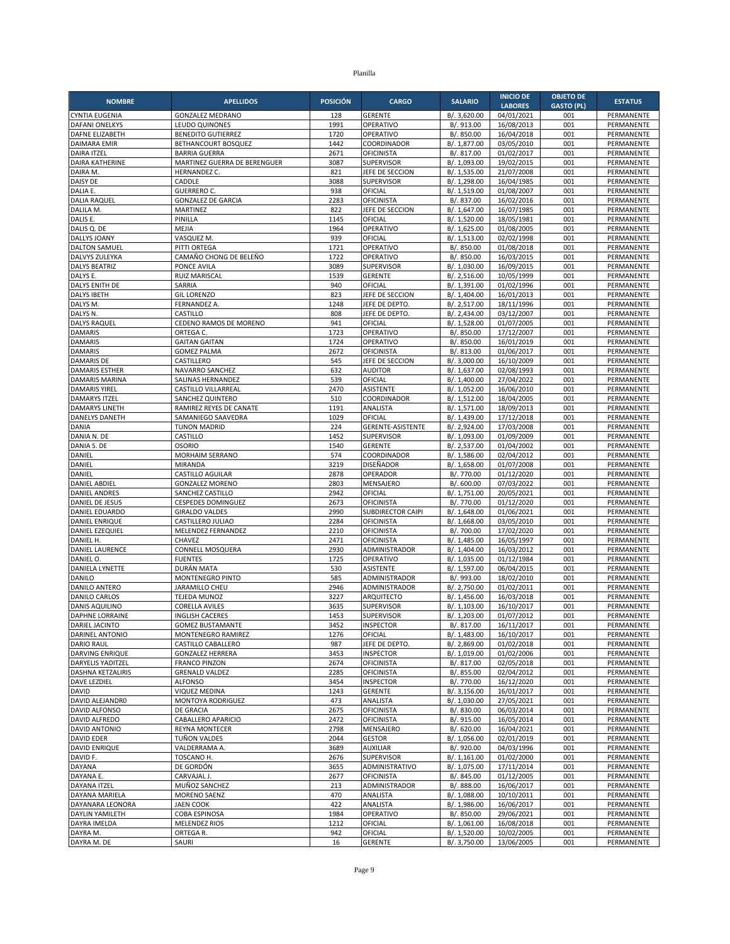|                                               |                                                    |                 |                                               |                              | <b>INICIO DE</b>         | <b>OBJETO DE</b>  |                          |
|-----------------------------------------------|----------------------------------------------------|-----------------|-----------------------------------------------|------------------------------|--------------------------|-------------------|--------------------------|
| <b>NOMBRE</b>                                 | <b>APELLIDOS</b>                                   | <b>POSICIÓN</b> | <b>CARGO</b>                                  | <b>SALARIO</b>               | <b>LABORES</b>           | <b>GASTO (PL)</b> | <b>ESTATUS</b>           |
| CYNTIA EUGENIA                                | <b>GONZALEZ MEDRANO</b>                            | 128             | <b>GERENTE</b>                                | B/. 3,620.00                 | 04/01/2021               | 001               | PERMANENTE               |
| <b>DAFANI ONELKYS</b>                         | <b>LEUDO QUINONES</b><br><b>BENEDITO GUTIERREZ</b> | 1991<br>1720    | OPERATIVO<br>OPERATIVO                        | B/. 913.00                   | 16/08/2013               | 001<br>001        | PERMANENTE               |
| DAFNE ELIZABETH<br><b>DAIMARA EMIR</b>        | BETHANCOURT BOSQUEZ                                | 1442            | COORDINADOR                                   | B/. 850.00<br>B/. 1,877.00   | 16/04/2018<br>03/05/2010 | 001               | PERMANENTE<br>PERMANENTE |
| <b>DAIRA ITZEL</b>                            | <b>BARRIA GUERRA</b>                               | 2671            | <b>OFICINISTA</b>                             | B/. 817.00                   | 01/02/2017               | 001               | PERMANENTE               |
| <b>DAIRA KATHERINE</b>                        | MARTINEZ GUERRA DE BERENGUER                       | 3087            | <b>SUPERVISOR</b>                             | B/. 1,093.00                 | 19/02/2015               | 001               | <b>PERMANENTE</b>        |
| DAIRA M.                                      | HERNANDEZ C.                                       | 821             | JEFE DE SECCION                               | B/. 1,535.00                 | 21/07/2008               | 001               | PERMANENTE               |
| DAISY DE                                      | CADDLE                                             | 3088            | <b>SUPERVISOR</b>                             | B/. 1,298.00                 | 16/04/1985               | 001               | PERMANENTE               |
| DALIA E.                                      | <b>GUERRERO C.</b>                                 | 938             | OFICIAL                                       | B/. 1,519.00                 | 01/08/2007               | 001               | PERMANENTE               |
| <b>DALIA RAQUEL</b>                           | <b>GONZALEZ DE GARCIA</b><br><b>MARTINEZ</b>       | 2283<br>822     | <b>OFICINISTA</b><br>JEFE DE SECCION          | B/. 837.00                   | 16/02/2016               | 001<br>001        | PERMANENTE<br>PERMANENTE |
| DALILA M.<br>DALIS E.                         | PINILLA                                            | 1145            | OFICIAL                                       | B/. 1,647.00<br>B/. 1,520.00 | 16/07/1985<br>18/05/1981 | 001               | PERMANENTE               |
| DALIS Q. DE                                   | MEJIA                                              | 1964            | OPERATIVO                                     | B/. 1,625.00                 | 01/08/2005               | 001               | PERMANENTE               |
| DALLYS JOANY                                  | VASQUEZ M.                                         | 939             | OFICIAL                                       | B/. 1,513.00                 | 02/02/1998               | 001               | PERMANENTE               |
| <b>DALTON SAMUEL</b>                          | PITTI ORTEGA                                       | 1721            | OPERATIVO                                     | B/. 850.00                   | 01/08/2018               | 001               | PERMANENTE               |
| DALVYS ZULEYKA                                | CAMAÑO CHONG DE BELEÑO                             | 1722            | OPERATIVO                                     | B/. 850.00                   | 16/03/2015               | 001               | PERMANENTE               |
| <b>DALYS BEATRIZ</b>                          | PONCE AVILA                                        | 3089            | <b>SUPERVISOR</b>                             | B/. 1,030.00                 | 16/09/2015               | 001               | PERMANENTE               |
| DALYS E.                                      | RUIZ MARISCAL<br>SARRIA                            | 1539<br>940     | <b>GERENTE</b><br>OFICIAL                     | B/. 2,516.00                 | 10/05/1999<br>01/02/1996 | 001<br>001        | PERMANENTE<br>PERMANENTE |
| DALYS ENITH DE<br><b>DALYS IBETH</b>          | <b>GIL LORENZO</b>                                 | 823             | JEFE DE SECCION                               | B/. 1,391.00<br>B/. 1,404.00 | 16/01/2013               | 001               | PERMANENTE               |
| DALYS M.                                      | FERNANDEZ A.                                       | 1248            | JEFE DE DEPTO                                 | B/. 2,517.00                 | 18/11/1996               | 001               | PERMANENTE               |
| DALYS N.                                      | CASTILLO                                           | 808             | JEFE DE DEPTO                                 | B/. 2,434.00                 | 03/12/2007               | 001               | PERMANENTE               |
| <b>DALYS RAQUEL</b>                           | CEDENO RAMOS DE MORENO                             | 941             | OFICIAL                                       | B/. 1,528.00                 | 01/07/2005               | 001               | PERMANENTE               |
| <b>DAMARIS</b>                                | ORTEGA C.                                          | 1723            | OPERATIVO                                     | B/. 850.00                   | 17/12/2007               | 001               | PERMANENTE               |
| <b>DAMARIS</b>                                | <b>GAITAN GAITAN</b>                               | 1724            | OPERATIVO                                     | B/. 850.00                   | 16/01/2019               | 001               | PERMANENTE               |
| <b>DAMARIS</b>                                | <b>GOMEZ PALMA</b>                                 | 2672            | OFICINISTA                                    | B/. 813.00                   | 01/06/2017               | 001               | PERMANENTE               |
| <b>DAMARIS DE</b><br><b>DAMARIS ESTHER</b>    | CASTILLERO<br>NAVARRO SANCHEZ                      | 545<br>632      | JEFE DE SECCION<br><b>AUDITOR</b>             | B/. 3,000.00<br>B/. 1,637.00 | 16/10/2009<br>02/08/1993 | 001<br>001        | PERMANENTE<br>PERMANENTE |
| <b>DAMARIS MARINA</b>                         | SALINAS HERNANDEZ                                  | 539             | OFICIAL                                       | B/. 1,400.00                 | 27/04/2022               | 001               | PERMANENTE               |
| <b>DAMARIS YIREL</b>                          | <b>CASTILLO VILLARREAL</b>                         | 2470            | ASISTENTE                                     | B/. 1,052.00                 | 16/06/2010               | 001               | PERMANENTE               |
| <b>DAMARYS ITZEL</b>                          | SANCHEZ QUINTERO                                   | 510             | COORDINADOR                                   | B/. 1,512.00                 | 18/04/2005               | 001               | PERMANENTE               |
| <b>DAMARYS LINETH</b>                         | RAMIREZ REYES DE CANATE                            | 1191            | ANALISTA                                      | B/. 1,571.00                 | 18/09/2013               | 001               | PERMANENTE               |
| DANELYS DANETH                                | SAMANIEGO SAAVEDRA                                 | 1029            | OFICIAL                                       | B/. 1,439.00                 | 17/12/2018               | 001               | PERMANENTE               |
| <b>DANIA</b>                                  | <b>TUNON MADRID</b>                                | 224             | <b>GERENTE-ASISTENTE</b>                      | B/. 2,924.00                 | 17/03/2008               | 001               | PERMANENTE               |
| DANIA N. DE                                   | CASTILLO<br><b>OSORIO</b>                          | 1452<br>1540    | <b>SUPERVISOR</b><br><b>GERENTE</b>           | B/. 1,093.00<br>B/. 2,537.00 | 01/09/2009<br>01/04/2002 | 001<br>001        | PERMANENTE<br>PERMANENTE |
| DANIA S. DE<br>DANIEL                         | MORHAIM SERRANO                                    | 574             | COORDINADOR                                   | B/. 1,586.00                 | 02/04/2012               | 001               | PERMANENTE               |
| DANIEL                                        | <b>MIRANDA</b>                                     | 3219            | DISEÑADOR                                     | B/. 1,658.00                 | 01/07/2008               | 001               | PERMANENTE               |
| DANIEL                                        | CASTILLO AGUILAR                                   | 2878            | OPERADOR                                      | B/. 770.00                   | 01/12/2020               | 001               | PERMANENTE               |
| <b>DANIEL ABDIEL</b>                          | <b>GONZALEZ MORENO</b>                             | 2803            | MENSAJERO                                     | B/. 600.00                   | 07/03/2022               | 001               | PERMANENTE               |
| <b>DANIEL ANDRES</b>                          | SANCHEZ CASTILLO                                   | 2942            | OFICIAL                                       | B/. 1,751.00                 | 20/05/2021               | 001               | PERMANENTE               |
| DANIEL DE JESUS                               | <b>CESPEDES DOMINGUEZ</b>                          | 2673            | <b>OFICINISTA</b>                             | B/. 770.00                   | 01/12/2020               | 001               | PERMANENTE               |
| DANIEL EDUARDO<br>DANIEL ENRIQUE              | <b>GIRALDO VALDES</b><br>CASTILLERO JULIAO         | 2990<br>2284    | <b>SUBDIRECTOR CAIPI</b><br><b>OFICINISTA</b> | B/. 1,648.00<br>B/. 1,668.00 | 01/06/2021<br>03/05/2010 | 001<br>001        | PERMANENTE<br>PERMANENTE |
| DANIEL EZEQUIEL                               | MELENDEZ FERNANDEZ                                 | 2210            | <b>OFICINISTA</b>                             | B/. 700.00                   | 17/02/2020               | 001               | PERMANENTE               |
| DANIEL H.                                     | CHAVEZ                                             | 2471            | <b>OFICINISTA</b>                             | B/. 1,485.00                 | 16/05/1997               | 001               | PERMANENTE               |
| DANIEL LAURENCE                               | CONNELL MOSQUERA                                   | 2930            | ADMINISTRADOR                                 | B/. 1,404.00                 | 16/03/2012               | 001               | PERMANENTE               |
| DANIEL O.                                     | <b>FUENTES</b>                                     | 1725            | OPERATIVO                                     | B/. 1,035.00                 | 01/12/1984               | 001               | PERMANENTE               |
| DANIELA LYNETTE                               | DURÁN MATA                                         | 530             | <b>ASISTENTE</b>                              | B/. 1,597.00                 | 06/04/2015               | 001               | PERMANENTE               |
| DANILO                                        | MONTENEGRO PINTO                                   | 585             | ADMINISTRADOR                                 | B/. 993.00                   | 18/02/2010               | 001               | PERMANENTE               |
| <b>DANILO ANTERO</b>                          | JARAMILLO CHEL<br><b>TEJEDA MUNOZ</b>              | 2946<br>3227    | ADMINISTRADOR<br>ARQUITECTO                   | B/. 2,750.00                 | 01/02/2011               | 001<br>001        | PERMANENTE<br>PERMANENTE |
| DANILO CARLOS<br><b>DANIS AQUILINO</b>        | <b>CORELLA AVILES</b>                              | 3635            | <b>SUPERVISOR</b>                             | B/. 1,456.00<br>B/. 1,103.00 | 16/03/2018<br>16/10/2017 | 001               | PERMANENTE               |
| <b>DAPHNE LORRAINE</b>                        | <b>INGLISH CACERES</b>                             | 1453            | SUPERVISOR                                    | B/. 1,203.00                 | 01/07/2012               | 001               | PERMANENTE               |
| DARIEL JACINTO                                | <b>GOMEZ BUSTAMANTE</b>                            | 3452            | <b>INSPECTOR</b>                              | B/. 817.00                   | 16/11/2017               | 001               | PERMANENTE               |
| DARINEL ANTONIO                               | MONTENEGRO RAMIREZ                                 | 1276            | OFICIAL                                       | B/. 1,483.00                 | 16/10/2017               | 001               | PERMANENTE               |
| <b>DARIO RAUL</b>                             | CASTILLO CABALLERO                                 | 987             | JEFE DE DEPTO.                                | B/. 2,869.00                 | 01/02/2018               | 001               | PERMANENTE               |
| DARVING ENRIQUE                               | <b>GONZALEZ HERRERA</b>                            | 3453            | <b>INSPECTOR</b>                              | B/. 1,019.00                 | 01/02/2006               | 001               | PERMANENTE               |
| <b>DARYELIS YADITZEL</b><br>DASHNA KETZALIRIS | <b>FRANCO PINZON</b><br><b>GRENALD VALDEZ</b>      | 2674<br>2285    | <b>OFICINISTA</b><br><b>OFICINISTA</b>        | B/. 817.00                   | 02/05/2018<br>02/04/2012 | 001               | PERMANENTE               |
| <b>DAVE LEZDIEL</b>                           | <b>ALFONSO</b>                                     | 3454            | <b>INSPECTOR</b>                              | B/. 855.00<br>B/. 770.00     | 16/12/2020               | 001<br>001        | PERMANENTE<br>PERMANENTE |
| <b>DAVID</b>                                  | <b>VIQUEZ MEDINA</b>                               | 1243            | <b>GERENTE</b>                                | B/. 3,156.00                 | 16/01/2017               | 001               | PERMANENTE               |
| DAVID ALEJANDRO                               | MONTOYA RODRIGUEZ                                  | 473             | ANALISTA                                      | B/. 1,030.00                 | 27/05/2021               | 001               | PERMANENTE               |
| DAVID ALFONSO                                 | <b>DE GRACIA</b>                                   | 2675            | <b>OFICINISTA</b>                             | B/. 830.00                   | 06/03/2014               | 001               | PERMANENTE               |
| DAVID ALFREDO                                 | CABALLERO APARICIO                                 | 2472            | <b>OFICINISTA</b>                             | B/. 915.00                   | 16/05/2014               | 001               | PERMANENTE               |
| DAVID ANTONIO                                 | <b>REYNA MONTECER</b>                              | 2798            | MENSAJERO                                     | B/. 620.00                   | 16/04/2021               | 001               | PERMANENTE               |
| DAVID EDER<br><b>DAVID ENRIQUE</b>            | TUÑON VALDES<br>VALDERRAMA A.                      | 2044<br>3689    | <b>GESTOR</b><br><b>AUXILIAR</b>              | B/. 1,056.00<br>B/. 920.00   | 02/01/2019<br>04/03/1996 | 001<br>001        | PERMANENTE<br>PERMANENTE |
| DAVID F.                                      | TOSCANO H.                                         | 2676            | SUPERVISOR                                    | B/. 1,161.00                 | 01/02/2000               | 001               | PERMANENTE               |
| DAYANA                                        | DE GORDÓN                                          | 3655            | ADMINISTRATIVO                                | B/. 1,075.00                 | 17/11/2014               | 001               | PERMANENTE               |
| DAYANA E.                                     | CARVAJAL J.                                        | 2677            | <b>OFICINISTA</b>                             | B/. 845.00                   | 01/12/2005               | 001               | PERMANENTE               |
| DAYANA ITZEL                                  | MUÑOZ SANCHEZ                                      | 213             | ADMINISTRADOR                                 | B/. 888.00                   | 16/06/2017               | 001               | PERMANENTE               |
| DAYANA MARIELA                                | MORENO SAENZ                                       | 470             | ANALISTA                                      | B/. 1,088.00                 | 10/10/2011               | 001               | PERMANENTE               |
| DAYANARA LEONORA                              | <b>JAEN COOK</b>                                   | 422             | ANALISTA                                      | B/. 1,986.00                 | 16/06/2017               | 001               | PERMANENTE               |
| DAYLIN YAMILETH                               | COBA ESPINOSA                                      | 1984            | OPERATIVO                                     | B/. 850.00                   | 29/06/2021               | 001               | PERMANENTE               |
| DAYRA IMELDA<br>DAYRA M.                      | <b>MELENDEZ RIOS</b><br>ORTEGA R.                  | 1212<br>942     | OFICIAL<br>OFICIAL                            | B/. 1,061.00<br>B/. 1,520.00 | 16/08/2018<br>10/02/2005 | 001<br>001        | PERMANENTE<br>PERMANENTE |
| DAYRA M. DE                                   | SAURI                                              | 16              | GERENTE                                       | B/. 3,750.00                 | 13/06/2005               | 001               | PERMANENTE               |
|                                               |                                                    |                 |                                               |                              |                          |                   |                          |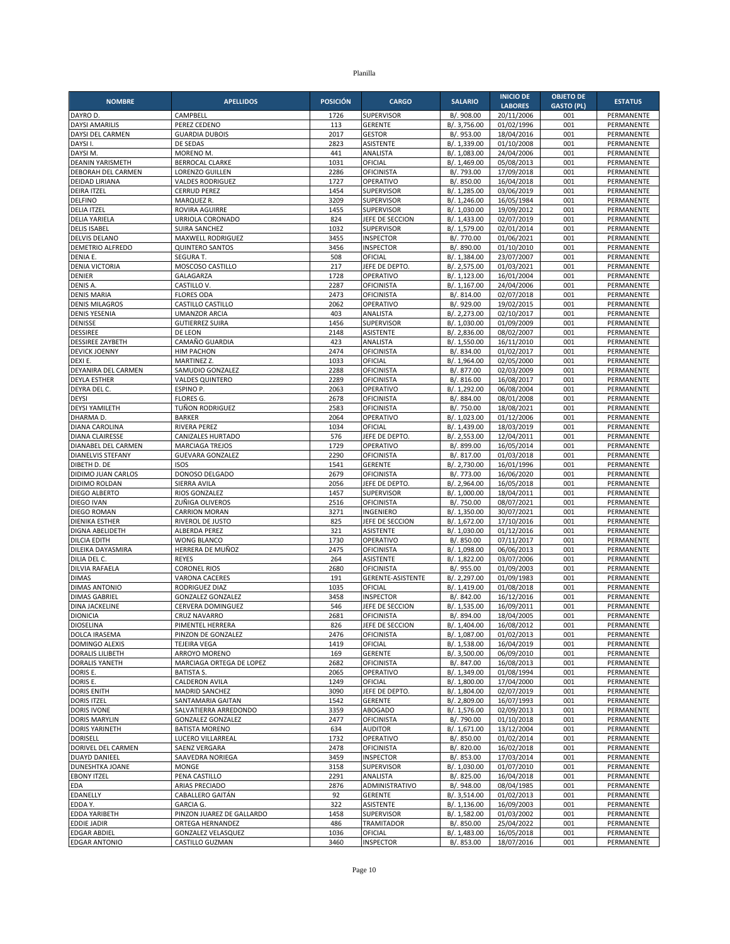| <b>NOMBRE</b>                              | <b>APELLIDOS</b>                               | <b>POSICIÓN</b> | <b>CARGO</b>                         | <b>SALARIO</b>               | <b>INICIO DE</b>             | <b>OBJETO DE</b>         | <b>ESTATUS</b>           |
|--------------------------------------------|------------------------------------------------|-----------------|--------------------------------------|------------------------------|------------------------------|--------------------------|--------------------------|
| DAYRO D.                                   | CAMPBELL                                       | 1726            | <b>SUPERVISOR</b>                    | B/. 908.00                   | <b>LABORES</b><br>20/11/2006 | <b>GASTO (PL)</b><br>001 | PERMANENTE               |
| <b>DAYSI AMARILIS</b>                      | PEREZ CEDENO                                   | 113             | <b>GERENTE</b>                       | B/. 3,756.00                 | 01/02/1996                   | 001                      | PERMANENTE               |
| DAYSI DEL CARMEN                           | <b>GUARDIA DUBOIS</b>                          | 2017            | <b>GESTOR</b>                        | B/. 953.00                   | 18/04/2016                   | 001                      | PERMANENTE               |
| DAYSI I.                                   | DE SEDAS                                       | 2823            | <b>ASISTENTE</b>                     | B/. 1,339.00                 | 01/10/2008                   | 001                      | PERMANENTE               |
| DAYSI M.                                   | MORENO M                                       | 441             | ANALISTA                             | B/. 1,083.00                 | 24/04/2006                   | 001                      | PERMANENTE               |
| DEANIN YARISMETH                           | <b>BERROCAL CLARKE</b>                         | 1031            | OFICIAL                              | B/. 1,469.00                 | 05/08/2013                   | 001                      | PERMANENTE               |
| DEBORAH DEL CARMEN                         | <b>LORENZO GUILLEN</b>                         | 2286            | <b>OFICINISTA</b>                    | B/. 793.00                   | 17/09/2018                   | 001                      | PERMANENTE               |
| DEIDAD LIRIANA<br>DEIRA ITZEL              | <b>VALDES RODRIGUEZ</b><br><b>CERRUD PEREZ</b> | 1727<br>1454    | OPERATIVO<br><b>SUPERVISOR</b>       | B/. 850.00<br>B/. 1,285.00   | 16/04/2018<br>03/06/2019     | 001<br>001               | PERMANENTE<br>PERMANENTE |
| <b>DELFINO</b>                             | MARQUEZ R.                                     | 3209            | SUPERVISOR                           | B/. 1,246.00                 | 16/05/1984                   | 001                      | PERMANENTE               |
| <b>DELIA ITZEL</b>                         | <b>ROVIRA AGUIRRE</b>                          | 1455            | <b>SUPERVISOR</b>                    | B/. 1,030.00                 | 19/09/2012                   | 001                      | PERMANENTE               |
| <b>DELIA YARIELA</b>                       | URRIOLA CORONADO                               | 824             | JEFE DE SECCION                      | B/. 1,433.00                 | 02/07/2019                   | 001                      | PERMANENTE               |
| <b>DELIS ISABEL</b>                        | SUIRA SANCHEZ                                  | 1032            | SUPERVISOR                           | B/. 1,579.00                 | 02/01/2014                   | 001                      | PERMANENTE               |
| <b>DELVIS DELANO</b>                       | MAXWELL RODRIGUEZ                              | 3455            | <b>INSPECTOR</b>                     | B/. 770.00                   | 01/06/2021                   | 001                      | PERMANENTE               |
| DEMETRIO ALFREDO                           | <b>QUINTERO SANTOS</b>                         | 3456            | <b>INSPECTOR</b>                     | B/. 890.00                   | 01/10/2010                   | 001                      | PERMANENTE               |
| DENIA E.<br>DENIA VICTORIA                 | SEGURA T.<br>MOSCOSO CASTILLO                  | 508<br>217      | OFICIAL<br>JEFE DE DEPTO.            | B/. 1,384.00<br>B/. 2,575.00 | 23/07/2007<br>01/03/2021     | 001<br>001               | PERMANENTE<br>PERMANENTE |
| DENIER                                     | GALAGARZA                                      | 1728            | OPERATIVO                            | B/. 1,123.00                 | 16/01/2004                   | 001                      | PERMANENTE               |
| DENIS A.                                   | CASTILLO V.                                    | 2287            | <b>OFICINISTA</b>                    | B/. 1,167.00                 | 24/04/2006                   | 001                      | PERMANENTE               |
| <b>DENIS MARIA</b>                         | FLORES ODA                                     | 2473            | OFICINISTA                           | B/. 814.00                   | 02/07/2018                   | 001                      | PERMANENTE               |
| <b>DENIS MILAGROS</b>                      | CASTILLO CASTILLO                              | 2062            | OPERATIVO                            | B/. 929.00                   | 19/02/2015                   | 001                      | PERMANENTE               |
| <b>DENIS YESENIA</b>                       | <b>UMANZOR ARCIA</b>                           | 403             | ANALISTA                             | B/. 2,273.00                 | 02/10/2017                   | 001                      | PERMANENTE               |
| DENISSE                                    | <b>GUTIERREZ SUIRA</b>                         | 1456            | <b>SUPERVISOR</b>                    | B/. 1,030.00                 | 01/09/2009                   | 001                      | PERMANENTE               |
| <b>DESSIREE</b><br><b>DESSIREE ZAYBETH</b> | DE LEON<br>CAMAÑO GUARDIA                      | 2148<br>423     | <b>ASISTENTE</b><br>ANALISTA         | B/. 2.836.00<br>B/. 1,550.00 | 08/02/2007<br>16/11/2010     | 001<br>001               | PERMANENTE<br>PERMANENTE |
| DEVICK JOENNY                              | <b>HIM PACHON</b>                              | 2474            | OFICINISTA                           | B/. 834.00                   | 01/02/2017                   | 001                      | PERMANENTE               |
| DEXI E.                                    | MARTINEZ Z.                                    | 1033            | OFICIAL                              | B/. 1,964.00                 | 02/05/2000                   | 001                      | PERMANENTE               |
| DEYANIRA DEL CARMEN                        | SAMUDIO GONZALEZ                               | 2288            | OFICINISTA                           | B/. 877.00                   | 02/03/2009                   | 001                      | PERMANENTE               |
| <b>DEYLA ESTHER</b>                        | <b>VALDES QUINTERO</b>                         | 2289            | OFICINISTA                           | B/. 816.00                   | 16/08/2017                   | 001                      | PERMANENTE               |
| DEYRA DEL C.                               | ESPINO P.                                      | 2063            | OPERATIVO                            | B/. 1.292.00                 | 06/08/2004                   | 001                      | PERMANENTE               |
| <b>DEYSI</b>                               | FLORES G.                                      | 2678            | OFICINISTA                           | B/. 884.00                   | 08/01/2008                   | 001                      | PERMANENTE               |
| <b>DEYSI YAMILETH</b><br>DHARMA D.         | TUÑON RODRIGUEZ<br><b>BARKER</b>               | 2583<br>2064    | <b>OFICINISTA</b><br>OPERATIVO       | B/. 750.00<br>B/. 1,023.00   | 18/08/2021                   | 001<br>001               | PERMANENTE<br>PERMANENTE |
| DIANA CAROLINA                             | RIVERA PEREZ                                   | 1034            | OFICIAL                              | B/. 1,439.00                 | 01/12/2006<br>18/03/2019     | 001                      | PERMANENTE               |
| DIANA CLAIRESSE                            | CANIZALES HURTADO                              | 576             | JEFE DE DEPTO                        | B/. 2,553.00                 | 12/04/2011                   | 001                      | PERMANENTE               |
| DIANABEL DEL CARMEN                        | <b>MARCIAGA TREJOS</b>                         | 1729            | OPERATIVO                            | B/. 899.00                   | 16/05/2014                   | 001                      | PERMANENTE               |
| DIANELVIS STEFANY                          | <b>GUEVARA GONZALEZ</b>                        | 2290            | <b>OFICINISTA</b>                    | B/. 817.00                   | 01/03/2018                   | 001                      | PERMANENTE               |
| DIBETH D. DE                               | <b>ISOS</b>                                    | 1541            | <b>GERENTE</b>                       | B/. 2,730.00                 | 16/01/1996                   | 001                      | PERMANENTE               |
| DIDIMO JUAN CARLOS                         | DONOSO DELGADO                                 | 2679            | OFICINISTA                           | B/. 773.00                   | 16/06/2020                   | 001                      | PERMANENTE               |
| DIDIMO ROLDAN<br><b>DIEGO ALBERTO</b>      | SIERRA AVILA<br>RIOS GONZALEZ                  | 2056<br>1457    | JEFE DE DEPTO.<br><b>SUPERVISOR</b>  | B/. 2,964.00<br>B/. 1,000.00 | 16/05/2018<br>18/04/2011     | 001<br>001               | PERMANENTE<br>PERMANENTE |
| DIEGO IVAN                                 | ZUÑIGA OLIVEROS                                | 2516            | OFICINISTA                           | B/. 750.00                   | 08/07/2021                   | 001                      | PERMANENTE               |
| DIEGO ROMAN                                | <b>CARRION MORAN</b>                           | 3271            | INGENIERO                            | B/. 1,350.00                 | 30/07/2021                   | 001                      | PERMANENTE               |
| <b>DIENIKA ESTHER</b>                      | RIVEROL DE JUSTO                               | 825             | JEFE DE SECCION                      | B/. 1,672.00                 | 17/10/2016                   | 001                      | PERMANENTE               |
| DIGNA ABELIDETH                            | ALBERDA PEREZ                                  | 321             | ASISTENTE                            | B/. 1,030.00                 | 01/12/2016                   | 001                      | PERMANENTE               |
| DILCIA EDITH                               | <b>WONG BLANCO</b>                             | 1730            | OPERATIVO                            | B/. 850.00                   | 07/11/2017                   | 001                      | PERMANENTE               |
| DILEIKA DAYASMIRA                          | HERRERA DE MUÑOZ                               | 2475            | <b>OFICINISTA</b>                    | B/. 1,098.00                 | 06/06/2013<br>03/07/2006     | 001                      | PERMANENTE               |
| DILIA DEL C.<br>DILVIA RAFAELA             | <b>REYES</b><br><b>CORONEL RIOS</b>            | 264<br>2680     | ASISTENTE<br>OFICINISTA              | B/. 1,822.00<br>B/. 955.00   | 01/09/2003                   | 001<br>001               | PERMANENTE<br>PERMANENTE |
| <b>DIMAS</b>                               | <b>VARONA CACERES</b>                          | 191             | GERENTE-ASISTENTE                    | B/. 2,297.00                 | 01/09/1983                   | 001                      | PERMANENTE               |
| <b>DIMAS ANTONIO</b>                       | RODRIGUEZ DIAZ                                 | 1035            | OFICIAL                              | B/. 1,419.00                 | 01/08/2018                   | 001                      | PERMANENTE               |
| <b>DIMAS GABRIEL</b>                       | <b>GONZALEZ GONZALEZ</b>                       | 3458            | <b>INSPECTOR</b>                     | B/. 842.00                   | 16/12/2016                   | 001                      | PERMANENTE               |
| DINA JACKELINE                             | CERVERA DOMINGUEZ                              | 546             | JEFE DE SECCION                      | B/. 1,535.00                 | 16/09/2011                   | 001                      | PERMANENTE               |
| <b>DIONICIA</b>                            | <b>CRUZ NAVARRO</b>                            | 2681            | <b>OFICINISTA</b>                    | B/. 894.00                   | 18/04/2005                   | 001                      | PERMANENTE               |
| <b>DIOSELINA</b><br>DOLCA IRASEMA          | PIMENTEL HERRERA<br>PINZON DE GONZALEZ         | 826<br>2476     | JEFE DE SECCION<br><b>OFICINISTA</b> | B/. 1,404.00<br>B/. 1,087.00 | 16/08/2012<br>01/02/2013     | 001<br>001               | PERMANENTE<br>PERMANENTE |
| <b>DOMINGO ALEXIS</b>                      | <b>TEJEIRA VEGA</b>                            | 1419            | OFICIAL                              | B/. 1,538.00                 | 16/04/2019                   | 001                      | PERMANENTE               |
| <b>DORALIS LILIBETH</b>                    | ARROYO MORENO                                  | 169             | <b>GERENTE</b>                       | B/. 3,500.00                 | 06/09/2010                   | 001                      | PERMANENTE               |
| <b>DORALIS YANETH</b>                      | MARCIAGA ORTEGA DE LOPEZ                       | 2682            | <b>OFICINISTA</b>                    | B/. 847.00                   | 16/08/2013                   | 001                      | PERMANENTE               |
| DORIS E.                                   | <b>BATISTA S.</b>                              | 2065            | OPERATIVO                            | B/. 1,349.00                 | 01/08/1994                   | 001                      | PERMANENTE               |
| DORIS E.                                   | CALDERON AVILA                                 | 1249            | OFICIAL                              | B/. 1,800.00                 | 17/04/2000                   | 001                      | PERMANENTE               |
| <b>DORIS ENITH</b>                         | <b>MADRID SANCHEZ</b>                          | 3090            | JEFE DE DEPTO.                       | B/. 1,804.00                 | 02/07/2019                   | 001                      | PERMANENTE               |
| <b>DORIS ITZEL</b><br><b>DORIS IVONE</b>   | SANTAMARIA GAITAN<br>SALVATIERRA ARREDONDO     | 1542<br>3359    | GERENTE<br><b>ABOGADO</b>            | B/. 2,809.00<br>B/. 1,576.00 | 16/07/1993<br>02/09/2013     | 001<br>001               | PERMANENTE<br>PERMANENTE |
| <b>DORIS MARYLIN</b>                       | <b>GONZALEZ GONZALEZ</b>                       | 2477            | <b>OFICINISTA</b>                    | B/. 790.00                   | 01/10/2018                   | 001                      | PERMANENTE               |
| <b>DORIS YARINETH</b>                      | <b>BATISTA MORENO</b>                          | 634             | <b>AUDITOR</b>                       | B/. 1,671.00                 | 13/12/2004                   | 001                      | PERMANENTE               |
| DORISELL                                   | LUCERO VILLARREAL                              | 1732            | OPERATIVO                            | B/. 850.00                   | 01/02/2014                   | 001                      | PERMANENTE               |
| DORIVEL DEL CARMEN                         | SAENZ VERGARA                                  | 2478            | <b>OFICINISTA</b>                    | B/. 820.00                   | 16/02/2018                   | 001                      | PERMANENTE               |
| DUAYD DANIEEL                              | SAAVEDRA NORIEGA                               | 3459            | <b>INSPECTOR</b>                     | B/. 853.00                   | 17/03/2014                   | 001                      | PERMANENTE               |
| DUNESHTKA JOANE                            | MONGE                                          | 3158            | <b>SUPERVISOR</b>                    | B/. 1,030.00                 | 01/07/2010                   | 001                      | PERMANENTE               |
| <b>EBONY ITZEL</b><br><b>EDA</b>           | PENA CASTILLO<br>ARIAS PRECIADO                | 2291<br>2876    | ANALISTA<br>ADMINISTRATIVO           | B/. 825.00<br>B/. 948.00     | 16/04/2018<br>08/04/1985     | 001<br>001               | PERMANENTE<br>PERMANENTE |
| EDANELLY                                   | CABALLERO GAITÁN                               | 92              | <b>GERENTE</b>                       | B/. 3,514.00                 | 01/02/2013                   | 001                      | PERMANENTE               |
| EDDA Y.                                    | <b>GARCIA G.</b>                               | 322             | ASISTENTE                            | B/. 1,136.00                 | 16/09/2003                   | 001                      | PERMANENTE               |
| EDDA YARIBETH                              | PINZON JUAREZ DE GALLARDO                      | 1458            | SUPERVISOR                           | B/. 1,582.00                 | 01/03/2002                   | 001                      | PERMANENTE               |
| <b>EDDIE JADIR</b>                         | ORTEGA HERNANDEZ                               | 486             | <b>TRAMITADOR</b>                    | B/. 850.00                   | 25/04/2022                   | 001                      | PERMANENTE               |
| <b>EDGAR ABDIEL</b>                        | <b>GONZALEZ VELASQUEZ</b>                      | 1036            | OFICIAL                              | B/. 1,483.00                 | 16/05/2018                   | 001                      | PERMANENTE               |
| <b>EDGAR ANTONIO</b>                       | CASTILLO GUZMAN                                | 3460            | <b>INSPECTOR</b>                     | B/. 853.00                   | 18/07/2016                   | 001                      | PERMANENTE               |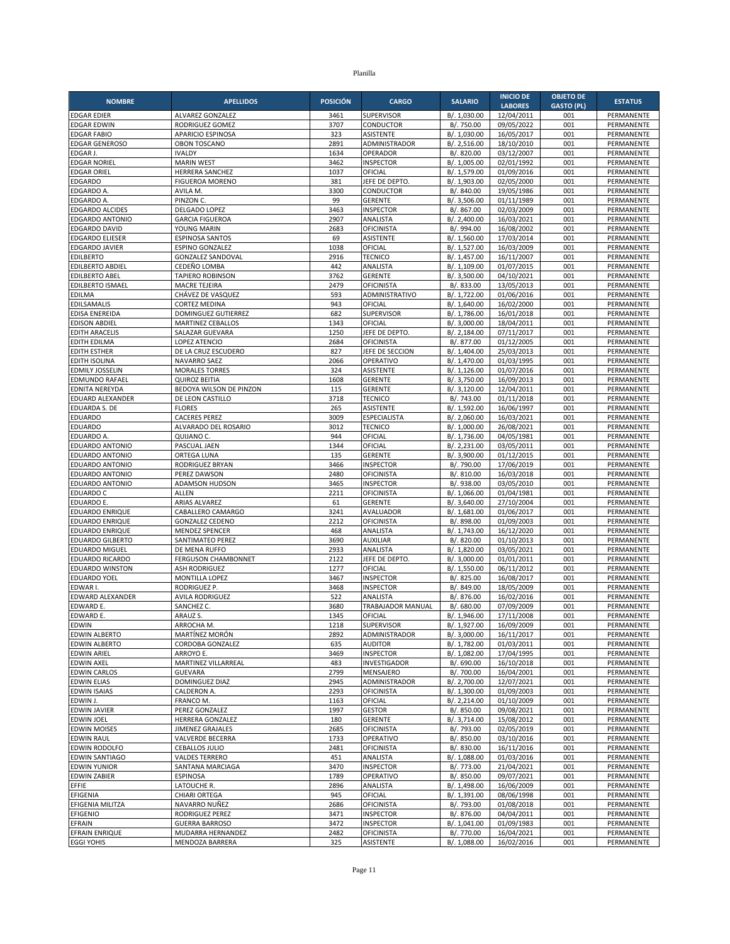| <b>NOMBRE</b>                                    | <b>APELLIDOS</b>                             | <b>POSICIÓN</b> | <b>CARGO</b>                          | <b>SALARIO</b>               | <b>INICIO DE</b>         | <b>OBJETO DE</b>  | <b>ESTATUS</b>                  |
|--------------------------------------------------|----------------------------------------------|-----------------|---------------------------------------|------------------------------|--------------------------|-------------------|---------------------------------|
|                                                  |                                              |                 |                                       |                              | <b>LABORES</b>           | <b>GASTO (PL)</b> |                                 |
| <b>EDGAR EDIER</b><br><b>EDGAR EDWIN</b>         | ALVAREZ GONZALEZ<br>RODRIGUEZ GOMEZ          | 3461<br>3707    | SUPERVISOR<br>CONDUCTOR               | B/. 1,030.00<br>B/. 750.00   | 12/04/2011<br>09/05/2022 | 001<br>001        | PERMANENTE<br>PERMANENTE        |
| <b>EDGAR FABIO</b>                               | APARICIO ESPINOSA                            | 323             | <b>ASISTENTE</b>                      | B/. 1,030.00                 | 16/05/2017               | 001               | PERMANENTE                      |
| <b>EDGAR GENEROSO</b>                            | <b>OBON TOSCANO</b>                          | 2891            | ADMINISTRADOR                         | B/. 2,516.00                 | 18/10/2010               | 001               | PERMANENTE                      |
| EDGAR J.                                         | <b>IVALDY</b>                                | 1634            | OPERADOR                              | B/. 820.00                   | 03/12/2007               | 001               | PERMANENTE                      |
| <b>EDGAR NORIEL</b>                              | <b>MARIN WEST</b>                            | 3462            | <b>INSPECTOR</b>                      | B/. 1,005.00                 | 02/01/1992               | 001               | PERMANENTE                      |
| <b>EDGAR ORIEL</b>                               | HERRERA SANCHEZ                              | 1037            | OFICIAL                               | B/. 1,579.00                 | 01/09/2016               | 001               | PERMANENTE                      |
| <b>EDGARDO</b>                                   | <b>FIGUEROA MORENO</b>                       | 381             | JEFE DE DEPTO                         | B/. 1,903.00                 | 02/05/2000               | 001               | PERMANENTE                      |
| EDGARDO A<br>EDGARDO A.                          | AVILA M.<br>PINZON C.                        | 3300<br>99      | CONDUCTOR<br><b>GERENTE</b>           | B/. 840.00<br>B/. 3,506.00   | 19/05/1986<br>01/11/1989 | 001<br>001        | PERMANENTE<br>PERMANENTE        |
| <b>EDGARDO ALCIDES</b>                           | DELGADO LOPEZ                                | 3463            | <b>INSPECTOR</b>                      | B/. 867.00                   | 02/03/2009               | 001               | PERMANENTE                      |
| <b>EDGARDO ANTONIO</b>                           | <b>GARCIA FIGUEROA</b>                       | 2907            | ANALISTA                              | B/. 2.400.00                 | 16/03/2021               | 001               | PERMANENTE                      |
| <b>EDGARDO DAVID</b>                             | YOUNG MARIN                                  | 2683            | <b>OFICINISTA</b>                     | B/. 994.00                   | 16/08/2002               | 001               | PERMANENTE                      |
| <b>EDGARDO ELIESER</b>                           | <b>ESPINOSA SANTOS</b>                       | 69              | <b>ASISTENTE</b>                      | B/. 1,560.00                 | 17/03/2014               | 001               | PERMANENTE                      |
| <b>EDGARDO JAVIER</b>                            | <b>ESPINO GONZALEZ</b>                       | 1038            | OFICIAL                               | B/. 1,527.00                 | 16/03/2009               | 001               | PERMANENTE                      |
| <b>EDILBERTO</b>                                 | <b>GONZALEZ SANDOVAL</b>                     | 2916            | <b>TECNICO</b>                        | B/. 1,457.00                 | 16/11/2007               | 001               | PERMANENTE                      |
| <b>EDILBERTO ABDIEL</b><br><b>EDILBERTO ABEL</b> | CEDEÑO LOMBA<br><b>TAPIERO ROBINSON</b>      | 442<br>3762     | ANALISTA<br><b>GERENTE</b>            | B/. 1,109.00<br>B/. 3,500.00 | 01/07/2015<br>04/10/2021 | 001<br>001        | PERMANENTE<br>PERMANENTE        |
| <b>EDILBERTO ISMAEL</b>                          | MACRE TEJEIRA                                | 2479            | <b>OFICINISTA</b>                     | B/. 833.00                   | 13/05/2013               | 001               | PERMANENTE                      |
| <b>EDILMA</b>                                    | CHÁVEZ DE VASQUEZ                            | 593             | ADMINISTRATIVO                        | B/. 1,722.00                 | 01/06/2016               | 001               | PERMANENTE                      |
| EDILSAMALIS                                      | <b>CORTEZ MEDINA</b>                         | 943             | OFICIAL                               | B/. 1,640.00                 | 16/02/2000               | 001               | PERMANENTE                      |
| EDISA ENEREIDA                                   | DOMINGUEZ GUTIERREZ                          | 682             | <b>SUPERVISOR</b>                     | B/. 1,786.00                 | 16/01/2018               | 001               | PERMANENTE                      |
| <b>EDISON ABDIEL</b>                             | <b>MARTINEZ CEBALLOS</b>                     | 1343            | OFICIAL                               | B/. 3,000.00                 | 18/04/2011               | 001               | PERMANENTE                      |
| <b>EDITH ARACELIS</b>                            | SALAZAR GUEVARA                              | 1250            | JEFE DE DEPTO                         | B/. 2,184.00                 | 07/11/2017               | 001               | PERMANENTE                      |
| <b>EDITH EDILMA</b><br><b>EDITH ESTHER</b>       | <b>LOPEZ ATENCIO</b><br>DE LA CRUZ ESCUDERO  | 2684<br>827     | <b>OFICINISTA</b><br>JEFE DE SECCION  | B/. 877.00<br>B/. 1,404.00   | 01/12/2005<br>25/03/2013 | 001<br>001        | PERMANENTE<br>PERMANENTE        |
| <b>EDITH ISOLINA</b>                             | <b>NAVARRO SAEZ</b>                          | 2066            | OPERATIVO                             | B/. 1,470.00                 | 01/03/1995               | 001               | PERMANENTE                      |
| <b>EDMILY JOSSELIN</b>                           | <b>MORALES TORRES</b>                        | 324             | ASISTENTE                             | B/. 1,126.00                 | 01/07/2016               | 001               | PERMANENTE                      |
| EDMUNDO RAFAEL                                   | <b>QUIROZ BEITIA</b>                         | 1608            | <b>GERENTE</b>                        | B/. 3,750.00                 | 16/09/2013               | 001               | PERMANENTE                      |
| <b>EDNITA NEREYDA</b>                            | BEDOYA WILSON DE PINZON                      | 115             | <b>GERENTE</b>                        | B/. 3,120.00                 | 12/04/2011               | 001               | PERMANENTE                      |
| EDUARD ALEXANDER                                 | DE LEON CASTILLO                             | 3718            | <b>TECNICO</b>                        | B/. 743.00                   | 01/11/2018               | 001               | PERMANENTE                      |
| <b>EDUARDA S. DE</b>                             | <b>FLORES</b>                                | 265             | <b>ASISTENTE</b>                      | B/. 1,592.00                 | 16/06/1997               | 001               | PERMANENTE                      |
| <b>EDUARDO</b><br><b>EDUARDO</b>                 | <b>CACERES PEREZ</b><br>ALVARADO DEL ROSARIO | 3009<br>3012    | <b>ESPECIALISTA</b><br><b>TECNICO</b> | B/. 2,060.00<br>B/. 1,000.00 | 16/03/2021<br>26/08/2021 | 001<br>001        | PERMANENTE<br><b>PERMANENTE</b> |
| EDUARDO A.                                       | QUIJANO C.                                   | 944             | OFICIAL                               | B/. 1,736.00                 | 04/05/1981               | 001               | PERMANENTE                      |
| EDUARDO ANTONIO                                  | PASCUAL JAEN                                 | 1344            | OFICIAL                               | B/. 2,231.00                 | 03/05/2011               | 001               | PERMANENTE                      |
| EDUARDO ANTONIO                                  | <b>ORTEGA LUNA</b>                           | 135             | <b>GERENTE</b>                        | B/. 3,900.00                 | 01/12/2015               | 001               | PERMANENTE                      |
| EDUARDO ANTONIO                                  | RODRIGUEZ BRYAN                              | 3466            | <b>INSPECTOR</b>                      | B/. 790.00                   | 17/06/2019               | 001               | PERMANENTE                      |
| EDUARDO ANTONIO                                  | PEREZ DAWSON                                 | 2480            | <b>OFICINISTA</b>                     | B/. 810.00                   | 16/03/2018               | 001               | PERMANENTE                      |
| EDUARDO ANTONIO                                  | ADAMSON HUDSON                               | 3465            | <b>INSPECTOR</b>                      | B/. 938.00                   | 03/05/2010               | 001               | PERMANENTE                      |
| <b>EDUARDO C</b><br>EDUARDO E.                   | <b>ALLEN</b><br><b>ARIAS ALVAREZ</b>         | 2211<br>61      | <b>OFICINISTA</b><br><b>GERENTE</b>   | B/. 1,066.00<br>B/. 3,640.00 | 01/04/1981<br>27/10/2004 | 001<br>001        | PERMANENTE<br>PERMANENTE        |
| EDUARDO ENRIQUE                                  | CABALLERO CAMARGO                            | 3241            | AVALUADOR                             | B/. 1,681.00                 | 01/06/2017               | 001               | PERMANENTE                      |
| <b>EDUARDO ENRIQUE</b>                           | <b>GONZALEZ CEDENO</b>                       | 2212            | <b>OFICINISTA</b>                     | B/. 898.00                   | 01/09/2003               | 001               | PERMANENTE                      |
| <b>EDUARDO ENRIQUE</b>                           | <b>MENDEZ SPENCER</b>                        | 468             | <b>ANALISTA</b>                       | B/. 1,743.00                 | 16/12/2020               | 001               | <b>PERMANENTE</b>               |
| <b>EDUARDO GILBERTO</b>                          | SANTIMATEO PEREZ                             | 3690            | <b>AUXILIAR</b>                       | B/. 820.00                   | 01/10/2013               | 001               | PERMANENTE                      |
| <b>EDUARDO MIGUEL</b>                            | DE MENA RUFFO                                | 2933            | ANALISTA                              | B/. 1,820.00                 | 03/05/2021               | 001               | PERMANENTE                      |
| <b>EDUARDO RICARDO</b>                           | FERGUSON CHAMBONNET                          | 2122            | JEFE DE DEPTO.                        | B/. 3,000.00                 | 01/01/2011               | 001               | PERMANENTE                      |
| <b>EDUARDO WINSTON</b><br>EDUARDO YOEL           | <b>ASH RODRIGUEZ</b><br>MONTILLA LOPEZ       | 1277<br>3467    | OFICIAL<br><b>INSPECTOR</b>           | B/. 1,550.00<br>B/. 825.00   | 06/11/2012<br>16/08/2017 | 001<br>001        | PERMANENTE<br>PERMANENTE        |
| EDWAR I                                          | RODRIGUEZ P.                                 | 3468            | <b>INSPECTOR</b>                      | B/. 849.00                   | 18/05/2009               | 001               | PERMANENTE                      |
| EDWARD ALEXANDER                                 | <b>AVILA RODRIGUEZ</b>                       | 522             | <b>ANALISTA</b>                       | B/. 876.00                   | 16/02/2016               | 001               | PERMANENTE                      |
| EDWARD E.                                        | SANCHEZ C.                                   | 3680            | TRABAJADOR MANUAL                     | B/. 680.00                   | 07/09/2009               | 001               | PERMANENTE                      |
| EDWARD E.                                        | ARAUZ S.                                     | 1345            | OFICIAL                               | B/. 1,946.00                 | 17/11/2008               | 001               | PERMANENTE                      |
| <b>EDWIN</b>                                     | ARROCHA M.                                   | 1218            | SUPERVISOR                            | B/. 1,927.00                 | 16/09/2009               | 001               | PERMANENTE                      |
| EDWIN ALBERTO<br><b>EDWIN ALBERTO</b>            | MARTÍNEZ MORÓN<br>CORDOBA GONZALEZ           | 2892<br>635     | ADMINISTRADOR<br><b>AUDITOR</b>       | B/. 3,000.00<br>B/. 1,782.00 | 16/11/2017<br>01/03/2011 | 001               | PERMANENTE<br>PERMANENTE        |
| <b>EDWIN ARIEL</b>                               | ARROYO E.                                    | 3469            | <b>INSPECTOR</b>                      | B/. 1,082.00                 | 17/04/1995               | 001<br>001        | PERMANENTE                      |
| <b>EDWIN AXEL</b>                                | MARTINEZ VILLARREAL                          | 483             | INVESTIGADOR                          | B/. 690.00                   | 16/10/2018               | 001               | PERMANENTE                      |
| <b>EDWIN CARLOS</b>                              | <b>GUEVARA</b>                               | 2799            | MENSAJERO                             | B/. 700.00                   | 16/04/2001               | 001               | PERMANENTE                      |
| <b>EDWIN ELIAS</b>                               | DOMINGUEZ DIAZ                               | 2945            | ADMINISTRADOR                         | B/. 2,700.00                 | 12/07/2021               | 001               | PERMANENTE                      |
| <b>EDWIN ISAIAS</b>                              | CALDERON A.                                  | 2293            | <b>OFICINISTA</b>                     | B/. 1,300.00                 | 01/09/2003               | 001               | PERMANENTE                      |
| EDWIN J.                                         | FRANCO M.                                    | 1163            | OFICIAL                               | B/. 2,214.00                 | 01/10/2009               | 001               | PERMANENTE                      |
| <b>EDWIN JAVIER</b><br><b>EDWIN JOEL</b>         | PEREZ GONZALEZ<br><b>HERRERA GONZALEZ</b>    | 1997<br>180     | <b>GESTOR</b><br><b>GERENTE</b>       | B/. 850.00<br>B/. 3,714.00   | 09/08/2021<br>15/08/2012 | 001<br>001        | PERMANENTE<br>PERMANENTE        |
| <b>EDWIN MOISES</b>                              | JIMENEZ GRAJALES                             | 2685            | <b>OFICINISTA</b>                     | B/. 793.00                   | 02/05/2019               | 001               | PERMANENTE                      |
| <b>EDWIN RAUL</b>                                | VALVERDE BECERRA                             | 1733            | OPERATIVO                             | B/. 850.00                   | 03/10/2016               | 001               | PERMANENTE                      |
| EDWIN RODOLFO                                    | <b>CEBALLOS JULIO</b>                        | 2481            | <b>OFICINISTA</b>                     | B/. 830.00                   | 16/11/2016               | 001               | PERMANENTE                      |
| <b>EDWIN SANTIAGO</b>                            | <b>VALDES TERRERO</b>                        | 451             | ANALISTA                              | B/. 1,088.00                 | 01/03/2016               | 001               | PERMANENTE                      |
| <b>EDWIN YUNIOR</b>                              | SANTANA MARCIAGA                             | 3470            | <b>INSPECTOR</b>                      | B/. 773.00                   | 21/04/2021               | 001               | PERMANENTE                      |
| <b>EDWIN ZABIER</b>                              | <b>ESPINOSA</b>                              | 1789            | OPERATIVO                             | B/. 850.00                   | 09/07/2021               | 001               | PERMANENTE                      |
| EFFIE<br>EFIGENIA                                | LATOUCHE R.<br><b>CHIARI ORTEGA</b>          | 2896<br>945     | ANALISTA<br>OFICIAL                   | B/. 1,498.00<br>B/. 1,391.00 | 16/06/2009<br>08/06/1998 | 001<br>001        | PERMANENTE<br>PERMANENTE        |
| EFIGENIA MILITZA                                 | NAVARRO NUÑEZ                                | 2686            | <b>OFICINISTA</b>                     | B/. 793.00                   | 01/08/2018               | 001               | PERMANENTE                      |
| EFIGENIO                                         | RODRIGUEZ PEREZ                              | 3471            | <b>INSPECTOR</b>                      | B/. 876.00                   | 04/04/2011               | 001               | PERMANENTE                      |
| EFRAIN                                           | <b>GUERRA BARROSO</b>                        | 3472            | <b>INSPECTOR</b>                      | B/. 1,041.00                 | 01/09/1983               | 001               | PERMANENTE                      |
| <b>EFRAIN ENRIQUE</b>                            | MUDARRA HERNANDEZ                            | 2482            | <b>OFICINISTA</b>                     | B/. 770.00                   | 16/04/2021               | 001               | PERMANENTE                      |
| <b>EGGI YOHIS</b>                                | MENDOZA BARRERA                              | 325             | ASISTENTE                             | $\overline{B/}$ . 1,088.00   | 16/02/2016               | 001               | PERMANENTE                      |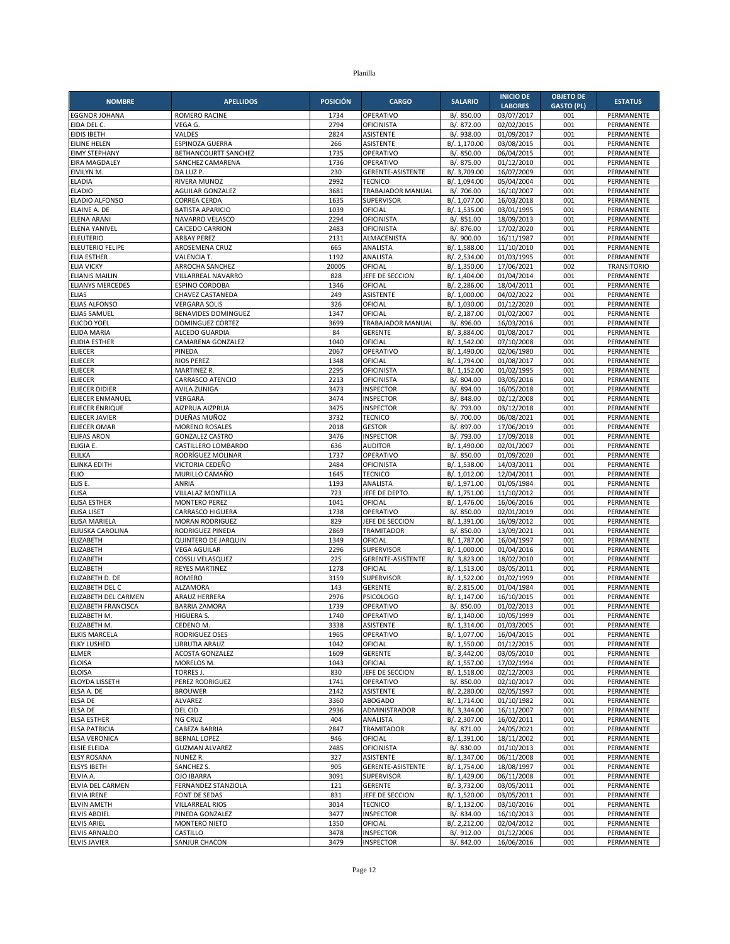| <b>NOMBRE</b>                                | <b>APELLIDOS</b>                               | <b>POSICIÓN</b> | <b>CARGO</b>                      | <b>SALARIO</b>               | <b>INICIO DE</b>         | <b>OBJETO DE</b>  | <b>ESTATUS</b>                   |
|----------------------------------------------|------------------------------------------------|-----------------|-----------------------------------|------------------------------|--------------------------|-------------------|----------------------------------|
|                                              |                                                |                 |                                   |                              | <b>LABORES</b>           | <b>GASTO (PL)</b> |                                  |
| <b>EGGNOR JOHANA</b><br>EIDA DEL C.          | <b>ROMERO RACINE</b><br>VEGA G.                | 1734<br>2794    | OPERATIVO<br><b>OFICINISTA</b>    | B/. 850.00<br>B/. 872.00     | 03/07/2017               | 001<br>001        | PERMANENTE<br>PERMANENTE         |
| <b>EIDIS IBETH</b>                           | VALDES                                         | 2824            | <b>ASISTENTE</b>                  | B/. 938.00                   | 02/02/2015<br>01/09/2017 | 001               | PERMANENTE                       |
| <b>EILINE HELEN</b>                          | ESPINOZA GUERRA                                | 266             | ASISTENTE                         | B/. 1,170.00                 | 03/08/2015               | 001               | PERMANENTE                       |
| <b>EIMY STEPHANY</b>                         | BETHANCOURTT SANCHEZ                           | 1735            | OPERATIVO                         | B/. 850.00                   | 06/04/2015               | 001               | PERMANENTE                       |
| <b>EIRA MAGDALEY</b>                         | SANCHEZ CAMARENA                               | 1736            | OPERATIVO                         | B/. 875.00                   | 01/12/2010               | 001               | PERMANENTE                       |
| EIVILYN M.                                   | DA LUZ P.                                      | 230             | <b>GERENTE-ASISTENTE</b>          | B/. 3,709.00                 | 16/07/2009               | 001               | PERMANENTE                       |
| <b>ELADIA</b>                                | RIVERA MUNOZ                                   | 2992            | <b>TECNICO</b>                    | B/. 1,094.00                 | 05/04/2004               | 001               | PERMANENTE                       |
| <b>ELADIO</b><br>ELADIO ALFONSO              | <b>AGUILAR GONZALEZ</b><br><b>CORREA CERDA</b> | 3681<br>1635    | TRABAJADOR MANUAL<br>SUPERVISOR   | B/. 706.00<br>B/. 1,077.00   | 16/10/2007<br>16/03/2018 | 001<br>001        | PERMANENTE<br>PERMANENTE         |
| ELAINE A. DE                                 | <b>BATISTA APARICIO</b>                        | 1039            | OFICIAL                           | B/. 1,535.00                 | 03/01/1995               | 001               | PERMANENTE                       |
| <b>ELENA ARANI</b>                           | NAVARRO VELASCO                                | 2294            | <b>OFICINISTA</b>                 | B/. 851.00                   | 18/09/2013               | 001               | PERMANENTE                       |
| <b>ELENA YANIVEL</b>                         | <b>CAICEDO CARRION</b>                         | 2483            | <b>OFICINISTA</b>                 | B/. 876.00                   | 17/02/2020               | 001               | PERMANENTE                       |
| <b>ELEUTERIO</b>                             | ARBAY PEREZ                                    | 2131            | ALMACENISTA                       | B/. 900.00                   | 16/11/1987               | 001               | PERMANENTE                       |
| ELEUTERIO FELIPE                             | AROSEMENA CRUZ                                 | 665             | ANALISTA                          | B/. 1,588.00                 | 11/10/2010               | 001               | PERMANENTE                       |
| <b>ELIA ESTHER</b>                           | VALENCIA T.                                    | 1192            | ANALISTA                          | B/. 2,534.00                 | 01/03/1995               | 001               | PERMANENTE                       |
| <b>ELIA VICKY</b><br><b>ELIANIS MAILIN</b>   | ARROCHA SANCHEZ<br>VILLARREAL NAVARRO          | 20005<br>828    | OFICIAL<br>JEFE DE SECCION        | B/. 1,350.00<br>B/. 1,404.00 | 17/06/2021<br>01/04/2014 | 002<br>001        | <b>TRANSITORIO</b><br>PERMANENTE |
| <b>ELIANYS MERCEDES</b>                      | <b>ESPINO CORDOBA</b>                          | 1346            | OFICIAL                           | B/. 2,286.00                 | 18/04/2011               | 001               | PERMANENTE                       |
| <b>ELIAS</b>                                 | CHAVEZ CASTANEDA                               | 249             | <b>ASISTENTE</b>                  | B/. 1,000.00                 | 04/02/2022               | 001               | PERMANENTE                       |
| <b>ELIAS ALFONSO</b>                         | <b>VERGARA SOLIS</b>                           | 326             | OFICIAL                           | B/. 1,030.00                 | 01/12/2020               | 001               | PERMANENTE                       |
| <b>ELIAS SAMUEL</b>                          | <b>BENAVIDES DOMINGUEZ</b>                     | 1347            | OFICIAL                           | B/. 2,187.00                 | 01/02/2007               | 001               | PERMANENTE                       |
| <b>ELICDO YOEL</b>                           | DOMINGUEZ CORTEZ                               | 3699            | TRABAJADOR MANUAL                 | B/. 896.00                   | 16/03/2016               | 001               | PERMANENTE                       |
| <b>ELIDA MARIA</b>                           | ALCEDO GUARDIA                                 | 84              | <b>GERENTE</b>                    | B/. 3,884.00                 | 01/08/2017               | 001               | PERMANENTE                       |
| <b>ELIDIA ESTHER</b><br><b>ELIECER</b>       | CAMARENA GONZALEZ<br>PINEDA                    | 1040<br>2067    | OFICIAL<br>OPERATIVO              | B/. 1,542.00<br>B/. 1,490.00 | 07/10/2008<br>02/06/1980 | 001<br>001        | PERMANENTE<br>PERMANENTE         |
| <b>ELIECER</b>                               | <b>RIOS PEREZ</b>                              | 1348            | OFICIAL                           | B/. 1,794.00                 | 01/08/2017               | 001               | PERMANENTE                       |
| <b>ELIECER</b>                               | <b>MARTINEZ R.</b>                             | 2295            | <b>OFICINISTA</b>                 | B/. 1,152.00                 | 01/02/1995               | 001               | PERMANENTE                       |
| <b>ELIECER</b>                               | CARRASCO ATENCIO                               | 2213            | <b>OFICINISTA</b>                 | B/. 804.00                   | 03/05/2016               | 001               | PERMANENTE                       |
| <b>ELIECER DIDIER</b>                        | <b>AVILA ZUNIGA</b>                            | 3473            | <b>INSPECTOR</b>                  | B/. 894.00                   | 16/05/2018               | 001               | PERMANENTE                       |
| ELIECER ENMANUEL                             | VERGARA                                        | 3474            | <b>INSPECTOR</b>                  | B/. 848.00                   | 02/12/2008               | 001               | PERMANENTE                       |
| <b>ELIECER ENRIQUE</b>                       | AIZPRUA AIZPRUA                                | 3475            | <b>INSPECTOR</b>                  | B/. 793.00                   | 03/12/2018               | 001               | PERMANENTE                       |
| <b>ELIECER JAVIER</b><br><b>ELIECER OMAR</b> | DUEÑAS MUÑOZ<br><b>MORENO ROSALES</b>          | 3732<br>2018    | <b>TECNICO</b><br><b>GESTOR</b>   | B/. 700.00<br>B/. 897.00     | 06/08/2021               | 001<br>001        | PERMANENTE<br>PERMANENTE         |
| <b>ELIFAS ARON</b>                           | <b>GONZALEZ CASTRO</b>                         | 3476            | <b>INSPECTOR</b>                  | B/. 793.00                   | 17/06/2019<br>17/09/2018 | 001               | PERMANENTE                       |
| ELIGIA E.                                    | CASTILLERO LOMBARDO                            | 636             | <b>AUDITOR</b>                    | B/. 1,490.00                 | 02/01/2007               | 001               | PERMANENTE                       |
| <b>ELILKA</b>                                | RODRÍGUEZ MOLINAR                              | 1737            | OPERATIVO                         | B/. 850.00                   | 01/09/2020               | 001               | PERMANENTE                       |
| ELINKA EDITH                                 | VICTORIA CEDEÑO                                | 2484            | <b>OFICINISTA</b>                 | B/. 1,538.00                 | 14/03/2011               | 001               | PERMANENTE                       |
| <b>ELIO</b>                                  | MURILLO CAMAÑO                                 | 1645            | <b>TECNICO</b>                    | B/. 1,012.00                 | 12/04/2011               | 001               | PERMANENTE                       |
| ELIS E.                                      | ANRIA                                          | 1193            | ANALISTA                          | B/. 1,971.00                 | 01/05/1984               | 001               | PERMANENTE                       |
| <b>ELISA</b><br>ELISA ESTHER                 | VILLALAZ MONTILLA<br><b>MONTERO PEREZ</b>      | 723<br>1041     | JEFE DE DEPTO<br>OFICIAL          | B/. 1,751.00<br>B/. 1,476.00 | 11/10/2012<br>16/06/2016 | 001<br>001        | PERMANENTE<br>PERMANENTE         |
| <b>ELISA LISET</b>                           | <b>CARRASCO HIGUERA</b>                        | 1738            | OPERATIVO                         | B/. 850.00                   | 02/01/2019               | 001               | PERMANENTE                       |
| ELISA MARIELA                                | <b>MORAN RODRIGUEZ</b>                         | 829             | JEFE DE SECCION                   | B/. 1,391.00                 | 16/09/2012               | 001               | PERMANENTE                       |
| ELIUSKA CAROLINA                             | RODRIGUEZ PINEDA                               | 2869            | <b>TRAMITADOR</b>                 | B/. 850.00                   | 13/09/2021               | 001               | PERMANENTE                       |
| ELIZABETH                                    | QUINTERO DE JARQUIN                            | 1349            | OFICIAL                           | B/. 1,787.00                 | 16/04/1997               | 001               | PERMANENTE                       |
| ELIZABETH                                    | <b>VEGA AGUILAR</b>                            | 2296            | <b>SUPERVISOR</b>                 | B/. 1,000.00                 | 01/04/2016               | 001               | PERMANENTE                       |
| ELIZABETH                                    | COSSU VELASQUEZ                                | 225             | GERENTE-ASISTENTE                 | B/. 3,823.00                 | 18/02/2010               | 001               | PERMANENTE                       |
| ELIZABETH<br>ELIZABETH D. DE                 | <b>REYES MARTINEZ</b><br><b>ROMERO</b>         | 1278<br>3159    | OFICIAL<br>SUPERVISOR             | B/. 1,513.00<br>B/. 1,522.00 | 03/05/2011<br>01/02/1999 | 001<br>001        | PERMANENTE<br>PERMANENTE         |
| ELIZABETH DEL C                              | <b>ALZAMORA</b>                                | 143             | <b>GERENTE</b>                    | B/. 2,815.00                 | 01/04/1984               | 001               | PERMANENTE                       |
| ELIZABETH DEL CARMEN                         | ARAUZ HERRERA                                  | 2976            | <b>PSICOLOGO</b>                  | B/. 1,147.00                 | 16/10/2015               | 001               | PERMANENTE                       |
| ELIZABETH FRANCISCA                          | <b>BARRIA ZAMORA</b>                           | 1739            | OPERATIVO                         | B/. 850.00                   | 01/02/2013               | 001               | PERMANENTE                       |
| ELIZABETH M.                                 | HIGUERA S.                                     | 1740            | OPERATIVO                         | B/. 1,140.00                 | 10/05/1999               | 001               | PERMANENTE                       |
| ELIZABETH M.                                 | CEDENO M.                                      | 3338            | ASISTENTE                         | B/. 1,314.00                 | 01/03/2005               | 001               | PERMANENTE                       |
| <b>ELKIS MARCELA</b><br><b>ELKY LUSHED</b>   | RODRIGUEZ OSES<br><b>URRUTIA ARAUZ</b>         | 1965<br>1042    | OPERATIVO<br>OFICIAL              | B/. 1,077.00<br>B/. 1,550.00 | 16/04/2015<br>01/12/2015 | 001               | PERMANENTE<br>PERMANENTE         |
| <b>ELMER</b>                                 | <b>ACOSTA GONZALEZ</b>                         | 1609            | <b>GERENTE</b>                    | B/. 3,442.00                 | 03/05/2010               | 001<br>001        | PERMANENTE                       |
| <b>ELOISA</b>                                | MORELOS M.                                     | 1043            | OFICIAL                           | B/. 1,557.00                 | 17/02/1994               | 001               | PERMANENTE                       |
| <b>ELOISA</b>                                | <b>TORRES J.</b>                               | 830             | JEFE DE SECCION                   | B/. 1,518.00                 | 02/12/2003               | 001               | PERMANENTE                       |
| ELOYDA LISSETH                               | PEREZ RODRIGUEZ                                | 1741            | OPERATIVO                         | B/. 850.00                   | 02/10/2017               | 001               | PERMANENTE                       |
| ELSA A. DE                                   | <b>BROUWER</b>                                 | 2142            | ASISTENTE                         | B/. 2,280.00                 | 02/05/1997               | 001               | PERMANENTE                       |
| ELSA DE                                      | ALVAREZ                                        | 3360            | <b>ABOGADO</b>                    | B/. 1,714.00                 | 01/10/1982               | 001               | PERMANENTE                       |
| ELSA DE<br><b>ELSA ESTHER</b>                | DEL CID<br>NG CRUZ                             | 2936<br>404     | ADMINISTRADOR<br>ANALISTA         | B/. 3,344.00<br>B/. 2,307.00 | 16/11/2007<br>16/02/2011 | 001<br>001        | PERMANENTE<br>PERMANENTE         |
| <b>ELSA PATRICIA</b>                         | CABEZA BARRIA                                  | 2847            | TRAMITADOR                        | B/. 871.00                   | 24/05/2021               | 001               | PERMANENTE                       |
| <b>ELSA VERONICA</b>                         | <b>BERNAL LOPEZ</b>                            | 946             | OFICIAL                           | B/. 1,391.00                 | 18/11/2002               | 001               | PERMANENTE                       |
| <b>ELSIE ELEIDA</b>                          | <b>GUZMAN ALVAREZ</b>                          | 2485            | <b>OFICINISTA</b>                 | B/. 830.00                   | 01/10/2013               | 001               | PERMANENTE                       |
| <b>ELSY ROSANA</b>                           | NUNEZ R.                                       | 327             | ASISTENTE                         | B/. 1,347.00                 | 06/11/2008               | 001               | PERMANENTE                       |
| <b>ELSYS IBETH</b>                           | <b>SANCHEZ S.</b>                              | 905             | <b>GERENTE-ASISTENTE</b>          | B/. 1,754.00                 | 18/08/1997               | 001               | PERMANENTE                       |
| ELVIA A.                                     | OJO IBARRA                                     | 3091            | <b>SUPERVISOR</b>                 | B/. 1,429.00                 | 06/11/2008               | 001               | PERMANENTE                       |
| ELVIA DEL CARMEN<br>ELVIA IRENE              | FERNANDEZ STANZIOLA<br>FONT DE SEDAS           | 121<br>831      | <b>GERENTE</b><br>JEFE DE SECCION | B/. 3,732.00<br>B/. 1,520.00 | 03/05/2011<br>03/05/2011 | 001<br>001        | PERMANENTE<br>PERMANENTE         |
| <b>ELVIN AMETH</b>                           | <b>VILLARREAL RIOS</b>                         | 3014            | <b>TECNICO</b>                    | B/. 1,132.00                 | 03/10/2016               | 001               | PERMANENTE                       |
| <b>ELVIS ABDIEL</b>                          | PINEDA GONZALEZ                                | 3477            | <b>INSPECTOR</b>                  | B/. 834.00                   | 16/10/2013               | 001               | PERMANENTE                       |
| <b>ELVIS ARIEL</b>                           | MONTERO NIETO                                  | 1350            | OFICIAL                           | B/. 2,212.00                 | 02/04/2012               | 001               | PERMANENTE                       |
| <b>ELVIS ARNALDO</b>                         | CASTILLO                                       | 3478            | <b>INSPECTOR</b>                  | B/. 912.00                   | 01/12/2006               | 001               | PERMANENTE                       |
| <b>ELVIS JAVIER</b>                          | SANJUR CHACON                                  | 3479            | <b>INSPECTOR</b>                  | B/. 842.00                   | 16/06/2016               | 001               | PERMANENTE                       |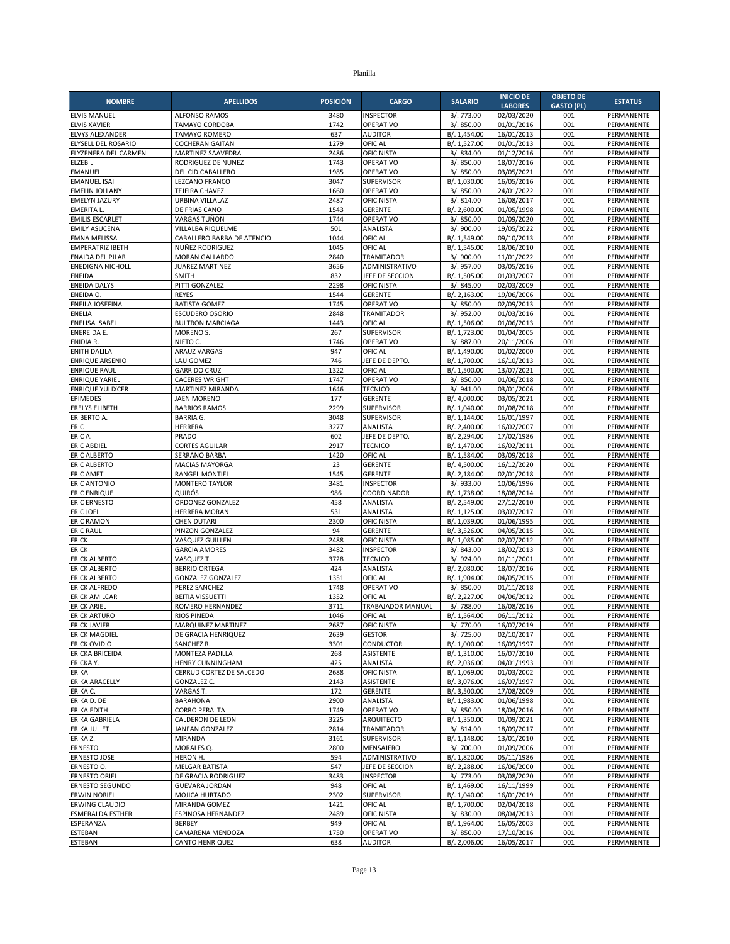| <b>NOMBRE</b>                                      | <b>APELLIDOS</b>                              | <b>POSICIÓN</b> | <b>CARGO</b>                          | <b>SALARIO</b>               | <b>INICIO DE</b>         | <b>OBJETO DE</b>  | <b>ESTATUS</b>           |
|----------------------------------------------------|-----------------------------------------------|-----------------|---------------------------------------|------------------------------|--------------------------|-------------------|--------------------------|
|                                                    |                                               |                 |                                       |                              | <b>LABORES</b>           | <b>GASTO (PL)</b> |                          |
| <b>ELVIS MANUEL</b><br><b>ELVIS XAVIER</b>         | <b>ALFONSO RAMOS</b><br><b>TAMAYO CORDOBA</b> | 3480<br>1742    | <b>INSPECTOR</b><br>OPERATIVO         | B/. 773.00<br>B/. 850.00     | 02/03/2020<br>01/01/2016 | 001<br>001        | PERMANENTE<br>PERMANENTE |
| ELVYS ALEXANDER                                    | <b>TAMAYO ROMERO</b>                          | 637             | <b>AUDITOR</b>                        | B/. 1,454.00                 | 16/01/2013               | 001               | PERMANENTE               |
| ELYSELL DEL ROSARIO                                | <b>COCHERAN GAITAN</b>                        | 1279            | OFICIAL                               | B/. 1,527.00                 | 01/01/2013               | 001               | PERMANENTE               |
| ELYZENERA DEL CARMEN                               | MARTINEZ SAAVEDRA                             | 2486            | OFICINISTA                            | B/. 834.00                   | 01/12/2016               | 001               | PERMANENTE               |
| <b>ELZEBIL</b>                                     | RODRIGUEZ DE NUNEZ                            | 1743            | OPERATIVO                             | B/. 850.00                   | 18/07/2016               | 001               | PERMANENTE               |
| <b>EMANUEL</b>                                     | DEL CID CABALLERO                             | 1985            | OPERATIVO                             | B/. 850.00                   | 03/05/2021               | 001               | PERMANENTE               |
| <b>EMANUEL ISAI</b><br><b>EMELIN JOLLANY</b>       | <b>LEZCANO FRANCO</b>                         | 3047<br>1660    | <b>SUPERVISOR</b><br>OPERATIVO        | B/. 1,030.00<br>B/. 850.00   | 16/05/2016<br>24/01/2022 | 001<br>001        | PERMANENTE<br>PERMANENTE |
| <b>EMELYN JAZURY</b>                               | TEJEIRA CHAVEZ<br>URBINA VILLALAZ             | 2487            | <b>OFICINISTA</b>                     | B/. 814.00                   | 16/08/2017               | 001               | PERMANENTE               |
| <b>EMERITA L.</b>                                  | DE FRIAS CANO                                 | 1543            | <b>GERENTE</b>                        | B/. 2,600.00                 | 01/05/1998               | 001               | PERMANENTE               |
| <b>EMILIS ESCARLET</b>                             | VARGAS TUÑON                                  | 1744            | OPERATIVO                             | B/. 850.00                   | 01/09/2020               | 001               | PERMANENTE               |
| <b>EMILY ASUCENA</b>                               | VILLALBA RIQUELME                             | 501             | ANALISTA                              | B/. 900.00                   | 19/05/2022               | 001               | PERMANENTE               |
| <b>EMNA MELISSA</b>                                | CABALLERO BARBA DE ATENCIO                    | 1044            | OFICIAL                               | B/. 1,549.00                 | 09/10/2013               | 001               | PERMANENTE               |
| <b>EMPERATRIZ IBETH</b>                            | NUÑEZ RODRIGUEZ                               | 1045            | OFICIAL                               | B/. 1,545.00                 | 18/06/2010               | 001               | PERMANENTE               |
| <b>ENAIDA DEL PILAR</b><br><b>ENEDIGNA NICHOLL</b> | <b>MORAN GALLARDO</b><br>JUAREZ MARTINEZ      | 2840<br>3656    | <b>TRAMITADOR</b><br>ADMINISTRATIVO   | B/. 900.00<br>B/. 957.00     | 11/01/2022<br>03/05/2016 | 001<br>001        | PERMANENTE<br>PERMANENTE |
| ENEIDA                                             | SMITH                                         | 832             | JEFE DE SECCION                       | B/. 1,505.00                 | 01/03/2007               | 001               | PERMANENTE               |
| <b>ENEIDA DALYS</b>                                | PITTI GONZALEZ                                | 2298            | <b>OFICINISTA</b>                     | B/. 845.00                   | 02/03/2009               | 001               | PERMANENTE               |
| ENEIDA O.                                          | <b>REYES</b>                                  | 1544            | <b>GERENTE</b>                        | B/. 2,163.00                 | 19/06/2006               | 001               | PERMANENTE               |
| ENEILA JOSEFINA                                    | <b>BATISTA GOMEZ</b>                          | 1745            | OPERATIVO                             | B/. 850.00                   | 02/09/2013               | 001               | PERMANENTE               |
| <b>ENELIA</b>                                      | <b>ESCUDERO OSORIO</b>                        | 2848            | <b>TRAMITADOR</b>                     | B/. 952.00                   | 01/03/2016               | 001               | PERMANENTE               |
| <b>ENELISA ISABEL</b>                              | <b>BULTRON MARCIAGA</b>                       | 1443<br>267     | OFICIAL                               | B/. 1,506.00<br>B/. 1,723.00 | 01/06/2013               | 001<br>001        | PERMANENTE<br>PERMANENTE |
| <b>ENEREIDA E.</b><br>ENIDIA R.                    | MORENO <sub>S</sub> .<br>NIETO C.             | 1746            | SUPERVISOR<br>OPERATIVO               | B/. 887.00                   | 01/04/2005<br>20/11/2006 | 001               | PERMANENTE               |
| <b>ENITH DALILA</b>                                | ARAUZ VARGAS                                  | 947             | OFICIAL                               | B/. 1,490.00                 | 01/02/2000               | 001               | PERMANENTE               |
| <b>ENRIQUE ARSENIO</b>                             | LAU GOMEZ                                     | 746             | JEFE DE DEPTO                         | B/. 1,700.00                 | 16/10/2013               | 001               | PERMANENTE               |
| <b>ENRIQUE RAUL</b>                                | <b>GARRIDO CRUZ</b>                           | 1322            | OFICIAL                               | B/. 1,500.00                 | 13/07/2021               | 001               | PERMANENTE               |
| <b>ENRIQUE YARIEL</b>                              | <b>CACERES WRIGHT</b>                         | 1747            | OPERATIVO                             | B/. 850.00                   | 01/06/2018               | 001               | PERMANENTE               |
| <b>ENRIQUE YULIXCER</b>                            | MARTINEZ MIRANDA                              | 1646            | <b>TECNICO</b>                        | B/. 941.00                   | 03/01/2006               | 001               | PERMANENTE               |
| <b>EPIMEDES</b><br><b>ERELYS ELIBETH</b>           | <b>JAEN MORENO</b><br><b>BARRIOS RAMOS</b>    | 177<br>2299     | <b>GERENTE</b><br><b>SUPERVISOR</b>   | B/. 4,000.00<br>B/. 1,040.00 | 03/05/2021<br>01/08/2018 | 001<br>001        | PERMANENTE<br>PERMANENTE |
| ERIBERTO A.                                        | <b>BARRIA G.</b>                              | 3048            | SUPERVISOR                            | B/. 1,144.00                 | 16/01/1997               | 001               | PERMANENTE               |
| ERIC                                               | <b>HERRERA</b>                                | 3277            | ANALISTA                              | B/. 2,400.00                 | 16/02/2007               | 001               | PERMANENTE               |
| ERIC A.                                            | PRADO                                         | 602             | JEFE DE DEPTO.                        | B/. 2,294.00                 | 17/02/1986               | 001               | PERMANENTE               |
| <b>ERIC ABDIEL</b>                                 | <b>CORTES AGUILAR</b>                         | 2917            | <b>TECNICO</b>                        | B/. 1,470.00                 | 16/02/2011               | 001               | PERMANENTE               |
| <b>ERIC ALBERTO</b>                                | <b>SERRANO BARBA</b>                          | 1420            | OFICIAL                               | B/. 1,584.00                 | 03/09/2018               | 001               | PERMANENTE               |
| <b>ERIC ALBERTO</b><br><b>ERIC AMET</b>            | <b>MACIAS MAYORGA</b>                         | 23<br>1545      | <b>GERENTE</b>                        | B/. 4,500.00<br>B/. 2,184.00 | 16/12/2020<br>02/01/2018 | 001<br>001        | PERMANENTE               |
| <b>ERIC ANTONIO</b>                                | RANGEL MONTIEL<br><b>MONTERO TAYLOR</b>       | 3481            | <b>GERENTE</b><br><b>INSPECTOR</b>    | B/. 933.00                   | 10/06/1996               | 001               | PERMANENTE<br>PERMANENTE |
| <b>ERIC ENRIQUE</b>                                | QUIRÓS                                        | 986             | COORDINADOR                           | B/. 1,738.00                 | 18/08/2014               | 001               | PERMANENTE               |
| <b>ERIC ERNESTO</b>                                | ORDONEZ GONZALEZ                              | 458             | ANALISTA                              | B/. 2,549.00                 | 27/12/2010               | 001               | PERMANENTE               |
| <b>ERIC JOEL</b>                                   | <b>HERRERA MORAN</b>                          | 531             | ANALISTA                              | B/. 1,125.00                 | 03/07/2017               | 001               | PERMANENTE               |
| <b>ERIC RAMON</b>                                  | <b>CHEN DUTARI</b>                            | 2300            | <b>OFICINISTA</b>                     | B/. 1,039.00                 | 01/06/1995               | 001               | PERMANENTE               |
| <b>ERIC RAUL</b>                                   | PINZON GONZALEZ                               | 94              | <b>GERENTE</b>                        | B/. 3,526.00                 | 04/05/2015               | 001               | PERMANENTE               |
| <b>ERICK</b><br><b>ERICK</b>                       | VASQUEZ GUILLEN<br><b>GARCIA AMORES</b>       | 2488<br>3482    | <b>OFICINISTA</b><br><b>INSPECTOR</b> | B/. 1,085.00<br>B/. 843.00   | 02/07/2012<br>18/02/2013 | 001<br>001        | PERMANENTE<br>PERMANENTE |
| <b>ERICK ALBERTO</b>                               | VASQUEZ T.                                    | 3728            | <b>TECNICO</b>                        | B/. 924.00                   | 01/11/2001               | 001               | PERMANENTE               |
| <b>ERICK ALBERTO</b>                               | <b>BERRIO ORTEGA</b>                          | 424             | ANALISTA                              | B/. 2,080.00                 | 18/07/2016               | 001               | PERMANENTE               |
| <b>ERICK ALBERTO</b>                               | <b>GONZALEZ GONZALEZ</b>                      | 1351            | OFICIAL                               | B/. 1,904.00                 | 04/05/2015               | 001               | PERMANENTE               |
| <b>ERICK ALFREDO</b>                               | PEREZ SANCHEZ                                 | 1748            | OPERATIVO                             | B/. 850.00                   | 01/11/2018               | 001               | PERMANENTE               |
| <b>ERICK AMILCAR</b>                               | <b>BEITIA VISSUETTI</b>                       | 1352            | OFICIAL                               | B/. 2,227.00                 | 04/06/2012               | 001               | PERMANENTE               |
| <b>ERICK ARIEL</b><br><b>ERICK ARTURO</b>          | ROMERO HERNANDEZ<br><b>RIOS PINEDA</b>        | 3711<br>1046    | <b>TRABAJADOR MANUAL</b><br>OFICIAL   | B/. 788.00<br>B/. 1,564.00   | 16/08/2016<br>06/11/2012 | 001<br>001        | PERMANENTE<br>PERMANENTE |
| <b>ERICK JAVIER</b>                                | MARQUINEZ MARTINEZ                            | 2687            | OFICINISTA                            | B/. 770.00                   | 16/07/2019               | 001               | PERMANENTE               |
| <b>ERICK MAGDIEL</b>                               | DE GRACIA HENRIQUEZ                           | 2639            | <b>GESTOR</b>                         | B/. 725.00                   | 02/10/2017               | 001               | PERMANENTE               |
| <b>ERICK OVIDIO</b>                                | SANCHEZ R.                                    | 3301            | CONDUCTOR                             | B/. 1,000.00                 | 16/09/1997               | 001               | PERMANENTE               |
| <b>ERICKA BRICEIDA</b>                             | MONTEZA PADILLA                               | 268             | ASISTENTE                             | B/. 1,310.00                 | 16/07/2010               | 001               | PERMANENTE               |
| ERICKA Y.                                          | <b>HENRY CUNNINGHAM</b>                       | 425             | ANALISTA                              | B/. 2,036.00                 | 04/01/1993               | 001               | PERMANENTE               |
| ERIKA<br>ERIKA ARACELLY                            | CERRUD CORTEZ DE SALCEDO<br>GONZALEZ C.       | 2688<br>2143    | <b>OFICINISTA</b><br>ASISTENTE        | B/. 1,069.00<br>B/. 3,076.00 | 01/03/2002<br>16/07/1997 | 001<br>001        | PERMANENTE<br>PERMANENTE |
| ERIKA C.                                           | VARGAS T.                                     | 172             | <b>GERENTE</b>                        | B/. 3,500.00                 | 17/08/2009               | 001               | PERMANENTE               |
| ERIKA D. DE                                        | <b>BARAHONA</b>                               | 2900            | ANALISTA                              | B/. 1,983.00                 | 01/06/1998               | 001               | PERMANENTE               |
| <b>ERIKA EDITH</b>                                 | <b>CORRO PERALTA</b>                          | 1749            | OPERATIVO                             | B/. 850.00                   | 18/04/2016               | 001               | PERMANENTE               |
| ERIKA GABRIELA                                     | <b>CALDERON DE LEON</b>                       | 3225            | ARQUITECTO                            | B/. 1,350.00                 | 01/09/2021               | 001               | PERMANENTE               |
| <b>ERIKA JULIET</b>                                | <b>JANFAN GONZALEZ</b>                        | 2814            | <b>TRAMITADOR</b>                     | B/. 814.00                   | 18/09/2017               | 001               | PERMANENTE               |
| ERIKA Z.                                           | <b>MIRANDA</b>                                | 3161            | SUPERVISOR                            | B/. 1,148.00                 | 13/01/2010               | 001               | PERMANENTE               |
| <b>ERNESTO</b><br><b>ERNESTO JOSE</b>              | MORALES Q.<br>HERON H.                        | 2800<br>594     | MENSAJERO<br>ADMINISTRATIVO           | B/. 700.00<br>B/. 1,820.00   | 01/09/2006<br>05/11/1986 | 001<br>001        | PERMANENTE<br>PERMANENTE |
| ERNESTO O.                                         | <b>MELGAR BATISTA</b>                         | 547             | JEFE DE SECCION                       | B/. 2,288.00                 | 16/06/2000               | 001               | PERMANENTE               |
| <b>ERNESTO ORIEL</b>                               | DE GRACIA RODRIGUEZ                           | 3483            | <b>INSPECTOR</b>                      | B/. 773.00                   | 03/08/2020               | 001               | PERMANENTE               |
| <b>ERNESTO SEGUNDO</b>                             | <b>GUEVARA JORDAN</b>                         | 948             | OFICIAL                               | B/. 1,469.00                 | 16/11/1999               | 001               | PERMANENTE               |
| <b>ERWIN NORIEL</b>                                | MOJICA HURTADO                                | 2302            | SUPERVISOR                            | B/. 1,040.00                 | 16/01/2019               | 001               | PERMANENTE               |
| <b>ERWING CLAUDIO</b>                              | MIRANDA GOMEZ                                 | 1421            | OFICIAL                               | B/. 1,700.00                 | 02/04/2018               | 001               | PERMANENTE               |
| <b>ESMERALDA ESTHER</b>                            | ESPINOSA HERNANDEZ                            | 2489            | <b>OFICINISTA</b>                     | B/. 830.00                   | 08/04/2013               | 001               | PERMANENTE               |
| ESPERANZA                                          | <b>BERBEY</b>                                 | 949             | OFICIAL                               | B/. 1,964.00                 | 16/05/2003               | 001               | PERMANENTE               |
| ESTEBAN                                            | CAMARENA MENDOZA                              | 1750            | OPERATIVO                             | B/. 850.00                   | 17/10/2016               | 001               | PERMANENTE               |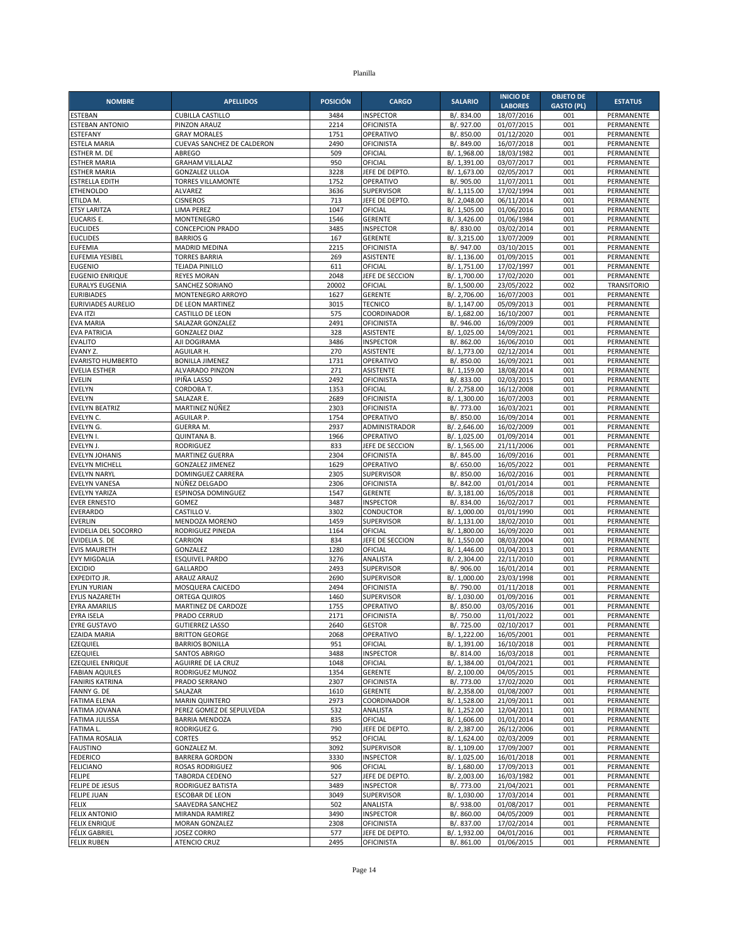| <b>NOMBRE</b>                                    | <b>APELLIDOS</b>                        | <b>POSICIÓN</b> | <b>CARGO</b>                      | <b>SALARIO</b>               | <b>INICIO DE</b>         | <b>OBJETO DE</b>  | <b>ESTATUS</b>                   |
|--------------------------------------------------|-----------------------------------------|-----------------|-----------------------------------|------------------------------|--------------------------|-------------------|----------------------------------|
|                                                  |                                         |                 |                                   |                              | <b>LABORES</b>           | <b>GASTO (PL)</b> |                                  |
| ESTEBAN                                          | <b>CUBILLA CASTILLO</b>                 | 3484            | <b>INSPECTOR</b>                  | B/. 834.00                   | 18/07/2016               | 001               | PERMANENTE                       |
| <b>ESTEBAN ANTONIO</b><br><b>ESTEFANY</b>        | PINZON ARAUZ<br><b>GRAY MORALES</b>     | 2214<br>1751    | <b>OFICINISTA</b><br>OPERATIVO    | B/. 927.00<br>B/. 850.00     | 01/07/2015<br>01/12/2020 | 001<br>001        | PERMANENTE<br>PERMANENTE         |
| <b>ESTELA MARIA</b>                              | CUEVAS SANCHEZ DE CALDERON              | 2490            | <b>OFICINISTA</b>                 | B/. 849.00                   | 16/07/2018               | 001               | PERMANENTE                       |
| ESTHER M. DE                                     | ABREGO                                  | 509             | OFICIAL                           | B/. 1,968.00                 | 18/03/1982               | 001               | PERMANENTE                       |
| <b>ESTHER MARIA</b>                              | <b>GRAHAM VILLALAZ</b>                  | 950             | OFICIAL                           | B/. 1,391.00                 | 03/07/2017               | 001               | PERMANENTE                       |
| <b>ESTHER MARIA</b>                              | <b>GONZALEZ ULLOA</b>                   | 3228            | JEFE DE DEPTO.                    | B/. 1,673.00                 | 02/05/2017               | 001               | PERMANENTE                       |
| <b>ESTRELLA EDITH</b>                            | <b>TORRES VILLAMONTE</b>                | 1752            | OPERATIVO                         | B/. 905.00                   | 11/07/2011               | 001               | PERMANENTE                       |
| <b>ETHENOLDO</b>                                 | <b>ALVAREZ</b>                          | 3636            | <b>SUPERVISOR</b>                 | B/. 1,115.00                 | 17/02/1994               | 001               | PERMANENTE                       |
| ETILDA M.<br><b>ETSY LARITZA</b>                 | <b>CISNEROS</b><br><b>LIMA PEREZ</b>    | 713<br>1047     | JEFE DE DEPTO.<br>OFICIAL         | B/. 2,048.00<br>B/. 1,505.00 | 06/11/2014<br>01/06/2016 | 001<br>001        | PERMANENTE<br>PERMANENTE         |
| <b>EUCARIS E.</b>                                | MONTENEGRO                              | 1546            | <b>GERENTE</b>                    | B/. 3,426.00                 | 01/06/1984               | 001               | PERMANENTE                       |
| <b>EUCLIDES</b>                                  | <b>CONCEPCION PRADO</b>                 | 3485            | <b>INSPECTOR</b>                  | B/. 830.00                   | 03/02/2014               | 001               | PERMANENTE                       |
| <b>EUCLIDES</b>                                  | <b>BARRIOS G</b>                        | 167             | <b>GERENTE</b>                    | B/. 3,215.00                 | 13/07/2009               | 001               | PERMANENTE                       |
| <b>EUFEMIA</b>                                   | <b>MADRID MEDINA</b>                    | 2215            | <b>OFICINISTA</b>                 | B/. 947.00                   | 03/10/2015               | 001               | PERMANENTE                       |
| <b>EUFEMIA YESIBEL</b>                           | <b>TORRES BARRIA</b>                    | 269             | ASISTENTE                         | B/. 1,136.00                 | 01/09/2015               | 001               | PERMANENTE                       |
| <b>EUGENIO</b>                                   | <b>TEJADA PINILLO</b>                   | 611             | OFICIAL                           | B/. 1,751.00                 | 17/02/1997               | 001               | PERMANENTE                       |
| <b>EUGENIO ENRIQUE</b><br><b>EURALYS EUGENIA</b> | <b>REYES MORAN</b><br>SANCHEZ SORIANO   | 2048<br>20002   | JEFE DE SECCION<br>OFICIAL        | B/. 1,700.00<br>B/. 1,500.00 | 17/02/2020<br>23/05/2022 | 001<br>002        | PERMANENTE<br><b>TRANSITORIO</b> |
| <b>EURIBIADES</b>                                | MONTENEGRO ARROYO                       | 1627            | <b>GERENTE</b>                    | B/. 2,706.00                 | 16/07/2003               | 001               | PERMANENTE                       |
| <b>EURIVIADES AURELIO</b>                        | DE LEON MARTINEZ                        | 3015            | <b>TECNICO</b>                    | B/. 1,147.00                 | 05/09/2013               | 001               | PERMANENTE                       |
| <b>EVA ITZI</b>                                  | CASTILLO DE LEON                        | 575             | COORDINADOR                       | B/. 1,682.00                 | 16/10/2007               | 001               | PERMANENTE                       |
| <b>EVA MARIA</b>                                 | SALAZAR GONZALEZ                        | 2491            | <b>OFICINISTA</b>                 | B/. 946.00                   | 16/09/2009               | 001               | PERMANENTE                       |
| <b>EVA PATRICIA</b>                              | <b>GONZALEZ DIAZ</b>                    | 328             | <b>ASISTENTE</b>                  | B/. 1,025.00                 | 14/09/2021               | 001               | PERMANENTE                       |
| <b>EVALITO</b>                                   | AJI DOGIRAMA                            | 3486            | <b>INSPECTOR</b>                  | B/. 862.00                   | 16/06/2010               | 001               | PERMANENTE                       |
| EVANY Z<br><b>EVARISTO HUMBERTO</b>              | AGUILAR H.<br><b>BONILLA JIMENEZ</b>    | 270<br>1731     | <b>ASISTENTE</b><br>OPERATIVO     | B/. 1,773.00<br>B/. 850.00   | 02/12/2014<br>16/09/2021 | 001<br>001        | PERMANENTE<br>PERMANENTE         |
| <b>EVELIA ESTHER</b>                             | ALVARADO PINZON                         | 271             | <b>ASISTENTE</b>                  | B/. 1,159.00                 | 18/08/2014               | 001               | PERMANENTE                       |
| <b>EVELIN</b>                                    | <b>IPIÑA LASSO</b>                      | 2492            | <b>OFICINISTA</b>                 | B/. 833.00                   | 02/03/2015               | 001               | PERMANENTE                       |
| <b>EVELYN</b>                                    | CORDOBA T.                              | 1353            | OFICIAL                           | B/. 2,758.00                 | 16/12/2008               | 001               | PERMANENTE                       |
| <b>EVELYN</b>                                    | SALAZAR E.                              | 2689            | <b>OFICINISTA</b>                 | B/. 1,300.00                 | 16/07/2003               | 001               | PERMANENTE                       |
| EVELYN BEATRIZ                                   | MARTINEZ NÚÑEZ                          | 2303            | <b>OFICINISTA</b>                 | B/. 773.00                   | 16/03/2021               | 001               | PERMANENTE                       |
| EVELYN C.                                        | AGUILAR P.                              | 1754            | OPERATIVO                         | B/. 850.00                   | 16/09/2014               | 001               | PERMANENTE                       |
| EVELYN G.<br>EVELYN I.                           | <b>GUERRA M.</b>                        | 2937<br>1966    | <b>ADMINISTRADOR</b><br>OPERATIVO | B/. 2.646.00<br>B/. 1,025.00 | 16/02/2009<br>01/09/2014 | 001<br>001        | PERMANENTE<br>PERMANENTE         |
| EVELYN J.                                        | <b>QUINTANA B.</b><br><b>RODRIGUEZ</b>  | 833             | JEFE DE SECCION                   | B/. 1,565.00                 | 21/11/2006               | 001               | PERMANENTE                       |
| <b>EVELYN JOHANIS</b>                            | <b>MARTINEZ GUERRA</b>                  | 2304            | <b>OFICINISTA</b>                 | B/. 845.00                   | 16/09/2016               | 001               | PERMANENTE                       |
| <b>EVELYN MICHELL</b>                            | <b>GONZALEZ JIMENEZ</b>                 | 1629            | OPERATIVO                         | B/. 650.00                   | 16/05/2022               | 001               | PERMANENTE                       |
| <b>EVELYN NARYL</b>                              | DOMINGUEZ CARRERA                       | 2305            | <b>SUPERVISOR</b>                 | B/. 850.00                   | 16/02/2016               | 001               | PERMANENTE                       |
| <b>EVELYN VANESA</b>                             | NÚÑEZ DELGADO                           | 2306            | <b>OFICINISTA</b>                 | B/. 842.00                   | 01/01/2014               | 001               | PERMANENTE                       |
| <b>EVELYN YARIZA</b>                             | ESPINOSA DOMINGUEZ                      | 1547            | <b>GERENTE</b>                    | B/. 3,181.00                 | 16/05/2018               | 001               | PERMANENTE                       |
| <b>EVER ERNESTO</b><br>EVERARDO                  | GOMEZ<br>CASTILLO V.                    | 3487<br>3302    | <b>INSPECTOR</b><br>CONDUCTOR     | B/. 834.00<br>B/. 1,000.00   | 16/02/2017<br>01/01/1990 | 001<br>001        | PERMANENTE<br>PERMANENTE         |
| <b>EVERLIN</b>                                   | MENDOZA MORENO                          | 1459            | <b>SUPERVISOR</b>                 | B/. 1,131.00                 | 18/02/2010               | 001               | PERMANENTE                       |
| EVIDELIA DEL SOCORRO                             | RODRIGUEZ PINEDA                        | 1164            | OFICIAL                           | B/. 1,800.00                 | 16/09/2020               | 001               | PERMANENTE                       |
| EVIDELIA S. DE                                   | CARRION                                 | 834             | JEFE DE SECCION                   | B/. 1,550.00                 | 08/03/2004               | 001               | PERMANENTE                       |
| <b>EVIS MAURETH</b>                              | GONZALEZ                                | 1280            | OFICIAL                           | B/. 1,446.00                 | 01/04/2013               | 001               | PERMANENTE                       |
| <b>EVY MIGDALIA</b>                              | <b>ESQUIVEL PARDO</b>                   | 3276            | ANALISTA                          | B/. 2,304.00                 | 22/11/2010               | 001               | PERMANENTE                       |
| <b>EXCIDIO</b>                                   | GALLARDO                                | 2493            | <b>SUPERVISOR</b>                 | B/. 906.00                   | 16/01/2014               | 001               | PERMANENTE                       |
| <b>EXPEDITO JR.</b><br><b>EYLIN YURIAN</b>       | <b>ARAUZ ARAUZ</b><br>MOSQUERA CAICEDO  | 2690<br>2494    | SUPERVISOR<br><b>OFICINISTA</b>   | B/. 1,000.00<br>B/. 790.00   | 23/03/1998<br>01/11/2018 | 001<br>001        | PERMANENTE<br>PERMANENTE         |
| EYLIS NAZARETH                                   | <b>ORTEGA QUIROS</b>                    | 1460            | <b>SUPERVISOR</b>                 | B/. 1,030.00                 | 01/09/2016               | 001               | PERMANENTE                       |
| <b>EYRA AMARILIS</b>                             | MARTINEZ DE CARDOZE                     | 1755            | OPERATIVO                         | B/. 850.00                   | 03/05/2016               | 001               | PERMANENTE                       |
| <b>EYRA ISELA</b>                                | PRADO CERRUD                            | 2171            | <b>OFICINISTA</b>                 | B/. 750.00                   | 11/01/2022               | 001               | PERMANENTE                       |
| <b>EYRE GUSTAVO</b>                              | <b>GUTIERREZ LASSO</b>                  | 2640            | GESTOR                            | B/. 725.00                   | 02/10/2017               | 001               | PERMANENTE                       |
| <b>EZAIDA MARIA</b>                              | <b>BRITTON GEORGE</b>                   | 2068            | OPERATIVO                         | B/. 1,222.00                 | 16/05/2001               | 001               | PERMANENTE                       |
| <b>EZEQUIEL</b><br><b>EZEQUIEL</b>               | <b>BARRIOS BONILLA</b><br>SANTOS ABRIGO | 951<br>3488     | OFICIAL<br><b>INSPECTOR</b>       | B/. 1,391.00<br>B/. 814.00   | 16/10/2018<br>16/03/2018 | 001<br>001        | PERMANENTE<br>PERMANENTE         |
| <b>EZEQUIEL ENRIQUE</b>                          | AGUIRRE DE LA CRUZ                      | 1048            | OFICIAL                           | B/. 1,384.00                 | 01/04/2021               | 001               | PERMANENTE                       |
| <b>FABIAN AQUILES</b>                            | RODRIGUEZ MUNOZ                         | 1354            | <b>GERENTE</b>                    | B/. 2,100.00                 | 04/05/2015               | 001               | PERMANENTE                       |
| <b>FANIRIS KATRINA</b>                           | PRADO SERRANO                           | 2307            | <b>OFICINISTA</b>                 | B/. 773.00                   | 17/02/2020               | 001               | PERMANENTE                       |
| FANNY G. DE                                      | SALAZAR                                 | 1610            | <b>GERENTE</b>                    | B/. 2,358.00                 | 01/08/2007               | 001               | PERMANENTE                       |
| <b>FATIMA ELENA</b>                              | <b>MARIN QUINTERO</b>                   | 2973            | COORDINADOR                       | B/. 1,528.00                 | 21/09/2011               | 001               | PERMANENTE                       |
| FATIMA JOVANA                                    | PEREZ GOMEZ DE SEPULVEDA                | 532             | ANALISTA                          | B/. 1,252.00                 | 12/04/2011               | 001               | PERMANENTE                       |
| <b>FATIMA JULISSA</b><br>FATIMA L.               | <b>BARRIA MENDOZA</b><br>RODRIGUEZ G.   | 835<br>790      | OFICIAL<br>JEFE DE DEPTO.         | B/. 1,606.00<br>B/. 2,387.00 | 01/01/2014<br>26/12/2006 | 001<br>001        | PERMANENTE<br>PERMANENTE         |
| <b>FATIMA ROSALIA</b>                            | <b>CORTES</b>                           | 952             | OFICIAL                           | B/. 1,624.00                 | 02/03/2009               | 001               | PERMANENTE                       |
| <b>FAUSTINO</b>                                  | GONZALEZ M.                             | 3092            | SUPERVISOR                        | B/. 1,109.00                 | 17/09/2007               | 001               | PERMANENTE                       |
| <b>FEDERICO</b>                                  | <b>BARRERA GORDON</b>                   | 3330            | <b>INSPECTOR</b>                  | B/. 1,025.00                 | 16/01/2018               | 001               | PERMANENTE                       |
| <b>FELICIANO</b>                                 | <b>ROSAS RODRIGUEZ</b>                  | 906             | OFICIAL                           | B/. 1,680.00                 | 17/09/2013               | 001               | PERMANENTE                       |
| <b>FELIPE</b>                                    | TABORDA CEDENO                          | 527             | JEFE DE DEPTO.                    | B/. 2,003.00                 | 16/03/1982               | 001               | PERMANENTE                       |
| FELIPE DE JESUS                                  | RODRIGUEZ BATISTA                       | 3489            | <b>INSPECTOR</b>                  | B/. 773.00                   | 21/04/2021               | 001               | PERMANENTE                       |
| <b>FELIPE JUAN</b><br><b>FELIX</b>               | ESCOBAR DE LEON<br>SAAVEDRA SANCHEZ     | 3049<br>502     | <b>SUPERVISOR</b><br>ANALISTA     | B/. 1,030.00<br>B/. 938.00   | 17/03/2014<br>01/08/2017 | 001<br>001        | PERMANENTE<br>PERMANENTE         |
| <b>FELIX ANTONIO</b>                             | MIRANDA RAMIREZ                         | 3490            | <b>INSPECTOR</b>                  | B/. 860.00                   | 04/05/2009               | 001               | PERMANENTE                       |
| <b>FELIX ENRIQUE</b>                             | <b>MORAN GONZALEZ</b>                   | 2308            | <b>OFICINISTA</b>                 | B/. 837.00                   | 17/02/2014               | 001               | PERMANENTE                       |
| FÉLIX GABRIEL                                    | <b>JOSEZ CORRO</b>                      | 577             | JEFE DE DEPTO.                    | B/. 1,932.00                 | 04/01/2016               | 001               | PERMANENTE                       |
| <b>FELIX RUBEN</b>                               | <b>ATENCIO CRUZ</b>                     | 2495            | <b>OFICINISTA</b>                 | B/. 861.00                   | 01/06/2015               | 001               | PERMANENTE                       |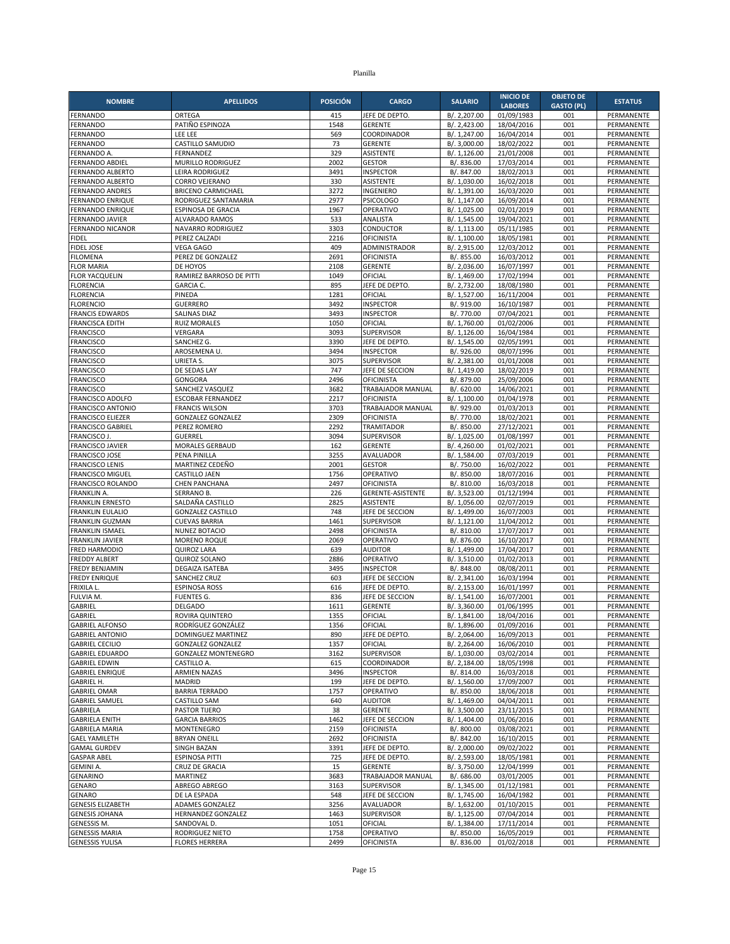| <b>NOMBRE</b>                                       | <b>APELLIDOS</b>                                   | <b>POSICIÓN</b> | <b>CARGO</b>                                  | <b>SALARIO</b>               | <b>INICIO DE</b>         | <b>OBJETO DE</b>  | <b>ESTATUS</b>                  |
|-----------------------------------------------------|----------------------------------------------------|-----------------|-----------------------------------------------|------------------------------|--------------------------|-------------------|---------------------------------|
|                                                     |                                                    |                 |                                               |                              | <b>LABORES</b>           | <b>GASTO (PL)</b> |                                 |
| FERNANDO<br>FERNANDO                                | ORTEGA<br>PATIÑO ESPINOZA                          | 415<br>1548     | JEFE DE DEPTO<br><b>GERENTE</b>               | B/. 2,207.00<br>B/. 2,423.00 | 01/09/1983<br>18/04/2016 | 001<br>001        | PERMANENTE<br>PERMANENTE        |
| FERNANDO                                            | LEE LEE                                            | 569             | COORDINADOR                                   | B/. 1,247.00                 | 16/04/2014               | 001               | PERMANENTE                      |
| FERNANDO                                            | CASTILLO SAMUDIO                                   | 73              | <b>GERENTE</b>                                | B/. 3,000.00                 | 18/02/2022               | 001               | PERMANENTE                      |
| FERNANDO A.                                         | FERNANDEZ                                          | 329             | ASISTENTE                                     | B/. 1,126.00                 | 21/01/2008               | 001               | PERMANENTE                      |
| <b>FERNANDO ABDIEL</b>                              | <b>MURILLO RODRIGUEZ</b>                           | 2002            | <b>GESTOR</b>                                 | B/. 836.00                   | 17/03/2014               | 001               | PERMANENTE                      |
| FERNANDO ALBERTO                                    | LEIRA RODRIGUEZ                                    | 3491            | <b>INSPECTOR</b>                              | B/. 847.00                   | 18/02/2013               | 001               | PERMANENTE                      |
| FERNANDO ALBERTO                                    | <b>CORRO VEJERANO</b><br><b>BRICENO CARMICHAEL</b> | 330<br>3272     | <b>ASISTENTE</b><br>INGENIERO                 | B/. 1,030.00                 | 16/02/2018               | 001<br>001        | PERMANENTE<br>PERMANENTE        |
| FERNANDO ANDRES<br>FERNANDO ENRIQUE                 | RODRIGUEZ SANTAMARIA                               | 2977            | <b>PSICOLOGO</b>                              | B/. 1,391.00<br>B/. 1,147.00 | 16/03/2020<br>16/09/2014 | 001               | PERMANENTE                      |
| FERNANDO ENRIQUE                                    | ESPINOSA DE GRACIA                                 | 1967            | OPERATIVO                                     | B/. 1,025.00                 | 02/01/2019               | 001               | PERMANENTE                      |
| <b>FERNANDO JAVIER</b>                              | <b>ALVARADO RAMOS</b>                              | 533             | ANALISTA                                      | B/. 1,545.00                 | 19/04/2021               | 001               | PERMANENTE                      |
| <b>FERNANDO NICANOR</b>                             | NAVARRO RODRIGUEZ                                  | 3303            | <b>CONDUCTOR</b>                              | B/. 1,113.00                 | 05/11/1985               | 001               | PERMANENTE                      |
| <b>FIDEL</b>                                        | PEREZ CALZADI                                      | 2216            | <b>OFICINISTA</b>                             | B/. 1,100.00                 | 18/05/1981               | 001               | PERMANENTE                      |
| <b>FIDEL JOSE</b>                                   | VEGA GAGO                                          | 409             | ADMINISTRADOR                                 | B/. 2,915.00                 | 12/03/2012               | 001               | PERMANENTE                      |
| <b>FILOMENA</b><br><b>FLOR MARIA</b>                | PEREZ DE GONZALEZ<br>DE HOYOS                      | 2691<br>2108    | <b>OFICINISTA</b><br><b>GERENTE</b>           | B/. 855.00<br>B/. 2,036.00   | 16/03/2012<br>16/07/1997 | 001<br>001        | PERMANENTE<br>PERMANENTE        |
| <b>FLOR YACQUELIN</b>                               | RAMIREZ BARROSO DE PITTI                           | 1049            | OFICIAL                                       | B/. 1,469.00                 | 17/02/1994               | 001               | PERMANENTE                      |
| <b>FLORENCIA</b>                                    | <b>GARCIA C.</b>                                   | 895             | JEFE DE DEPTO.                                | B/. 2,732.00                 | 18/08/1980               | 001               | PERMANENTE                      |
| <b>FLORENCIA</b>                                    | PINEDA                                             | 1281            | OFICIAL                                       | B/. 1,527.00                 | 16/11/2004               | 001               | PERMANENTE                      |
| <b>FLORENCIO</b>                                    | <b>GUERRERO</b>                                    | 3492            | <b>INSPECTOR</b>                              | B/. 919.00                   | 16/10/1987               | 001               | PERMANENTE                      |
| <b>FRANCIS EDWARDS</b>                              | <b>SALINAS DIAZ</b>                                | 3493            | <b>INSPECTOR</b>                              | B/. 770.00                   | 07/04/2021               | 001               | PERMANENTE                      |
| <b>FRANCISCA EDITH</b><br><b>FRANCISCO</b>          | <b>RUIZ MORALES</b><br>VERGARA                     | 1050<br>3093    | OFICIAL<br>SUPERVISOR                         | B/. 1,760.00<br>B/. 1,126.00 | 01/02/2006<br>16/04/1984 | 001<br>001        | PERMANENTE<br>PERMANENTE        |
| <b>FRANCISCO</b>                                    | SANCHEZ G.                                         | 3390            | JEFE DE DEPTO.                                | B/. 1,545.00                 | 02/05/1991               | 001               | PERMANENTE                      |
| <b>FRANCISCO</b>                                    | AROSEMENA U.                                       | 3494            | <b>INSPECTOR</b>                              | B/. 926.00                   | 08/07/1996               | 001               | PERMANENTE                      |
| <b>FRANCISCO</b>                                    | URIETA S.                                          | 3075            | <b>SUPERVISOR</b>                             | B/. 2,381.00                 | 01/01/2008               | 001               | PERMANENTE                      |
| <b>FRANCISCO</b>                                    | DE SEDAS LAY                                       | 747             | JEFE DE SECCION                               | B/. 1,419.00                 | 18/02/2019               | 001               | PERMANENTE                      |
| <b>FRANCISCO</b>                                    | <b>GONGORA</b>                                     | 2496            | <b>OFICINISTA</b>                             | B/.879.00                    | 25/09/2006               | 001               | PERMANENTE                      |
| <b>FRANCISCO</b>                                    | SANCHEZ VASQUEZ                                    | 3682            | <b>TRABAJADOR MANUAL</b><br><b>OFICINISTA</b> | B/. 620.00                   | 14/06/2021               | 001               | PERMANENTE<br>PERMANENTE        |
| <b>FRANCISCO ADOLFO</b><br><b>FRANCISCO ANTONIO</b> | <b>ESCOBAR FERNANDEZ</b><br><b>FRANCIS WILSON</b>  | 2217<br>3703    | TRABAJADOR MANUAL                             | B/. 1,100.00<br>B/. 929.00   | 01/04/1978<br>01/03/2013 | 001<br>001        | PERMANENTE                      |
| <b>FRANCISCO ELIEZER</b>                            | <b>GONZALEZ GONZALEZ</b>                           | 2309            | OFICINISTA                                    | B/. 770.00                   | 18/02/2021               | 001               | PERMANENTE                      |
| <b>FRANCISCO GABRIEL</b>                            | PEREZ ROMERO                                       | 2292            | <b>TRAMITADOR</b>                             | B/. 850.00                   | 27/12/2021               | 001               | PERMANENTE                      |
| FRANCISCO J.                                        | <b>GUERREL</b>                                     | 3094            | <b>SUPERVISOR</b>                             | B/. 1,025.00                 | 01/08/1997               | 001               | PERMANENTE                      |
| <b>FRANCISCO JAVIER</b>                             | MORALES GERBAUD                                    | 162             | <b>GERENTE</b>                                | B/. 4,260.00                 | 01/02/2021               | 001               | PERMANENTE                      |
| <b>FRANCISCO JOSE</b>                               | PENA PINILLA                                       | 3255            | <b>AVALUADOR</b>                              | B/. 1,584.00                 | 07/03/2019               | 001               | PERMANENTE                      |
| <b>FRANCISCO LENIS</b><br><b>FRANCISCO MIGUEL</b>   | MARTINEZ CEDEÑO<br>CASTILLO JAEN                   | 2001<br>1756    | <b>GESTOR</b><br>OPERATIVO                    | B/. 750.00<br>B/. 850.00     | 16/02/2022<br>18/07/2016 | 001<br>001        | PERMANENTE<br>PERMANENTE        |
| FRANCISCO ROLANDO                                   | <b>CHEN PANCHANA</b>                               | 2497            | <b>OFICINISTA</b>                             | B/. 810.00                   | 16/03/2018               | 001               | PERMANENTE                      |
| FRANKLIN A.                                         | SERRANO B.                                         | 226             | GERENTE-ASISTENTE                             | B/. 3,523.00                 | 01/12/1994               | 001               | PERMANENTE                      |
| <b>FRANKLIN ERNESTO</b>                             | SALDAÑA CASTILLO                                   | 2825            | <b>ASISTENTE</b>                              | B/. 1,056.00                 | 02/07/2019               | 001               | PERMANENTE                      |
| <b>FRANKLIN EULALIO</b>                             | <b>GONZALEZ CASTILLO</b>                           | 748             | JEFE DE SECCION                               | B/. 1,499.00                 | 16/07/2003               | 001               | PERMANENTE                      |
| <b>FRANKLIN GUZMAN</b>                              | <b>CUEVAS BARRIA</b>                               | 1461            | <b>SUPERVISOR</b>                             | B/. 1,121.00                 | 11/04/2012               | 001               | PERMANENTE                      |
| <b>FRANKLIN ISMAEL</b><br><b>FRANKLIN JAVIER</b>    | <b>NUNEZ BOTACIO</b><br><b>MORENO ROQUE</b>        | 2498<br>2069    | <b>OFICINISTA</b><br>OPERATIVO                | B/. 810.00<br>B/. 876.00     | 17/07/2017<br>16/10/2017 | 001<br>001        | <b>PERMANENTE</b><br>PERMANENTE |
| <b>FRED HARMODIO</b>                                | <b>QUIROZ LARA</b>                                 | 639             | <b>AUDITOR</b>                                | B/. 1,499.00                 | 17/04/2017               | 001               | PERMANENTE                      |
| <b>FREDDY ALBERT</b>                                | <b>QUIROZ SOLANO</b>                               | 2886            | OPERATIVO                                     | B/. 3,510.00                 | 01/02/2013               | 001               | PERMANENTE                      |
| <b>FREDY BENJAMIN</b>                               | <b>DEGAIZA ISATEBA</b>                             | 3495            | <b>INSPECTOR</b>                              | B/. 848.00                   | 08/08/2011               | 001               | PERMANENTE                      |
| <b>FREDY ENRIQUE</b>                                | SANCHEZ CRUZ                                       | 603             | JEFE DE SECCION                               | B/. 2,341.00                 | 16/03/1994               | 001               | PERMANENTE                      |
| <b>FRIXILA L</b>                                    | <b>ESPINOSA ROSS</b>                               | 616             | JEFE DE DEPTO                                 | B/. 2,153.00                 | 16/01/1997               | 001               | PERMANENTE                      |
| FULVIA M.<br><b>GABRIEL</b>                         | <b>FUENTES G.</b><br><b>DELGADO</b>                | 836<br>1611     | JEFE DE SECCION<br><b>GERENTE</b>             | B/. 1,541.00<br>B/. 3,360.00 | 16/07/2001<br>01/06/1995 | 001<br>001        | PERMANENTE<br>PERMANENTE        |
| GABRIEL                                             | ROVIRA QUINTERO                                    | 1355            | OFICIAL                                       | B/. 1,841.00                 | 18/04/2016               | 001               | PERMANENTE                      |
| <b>GABRIEL ALFONSO</b>                              | RODRIGUEZ GONZALEZ                                 | 1356            | OFICIAL                                       | B/. 1,896.00                 | 01/09/2016               | 001               | PERMANENTE                      |
| <b>GABRIEL ANTONIO</b>                              | DOMINGUEZ MARTINEZ                                 | 890             | JEFE DE DEPTO.                                | B/. 2,064.00                 | 16/09/2013               | 001               | PERMANENTE                      |
| <b>GABRIEL CECILIO</b>                              | <b>GONZALEZ GONZALEZ</b>                           | 1357            | OFICIAL                                       | B/. 2,264.00                 | 16/06/2010               | 001               | PERMANENTE                      |
| <b>GABRIEL EDUARDO</b>                              | GONZALEZ MONTENEGRO                                | 3162            | SUPERVISOR                                    | B/. 1,030.00                 | 03/02/2014               | 001               | PERMANENTE                      |
| <b>GABRIEL EDWIN</b><br><b>GABRIEL ENRIQUE</b>      | CASTILLO A.<br><b>ARMIEN NAZAS</b>                 | 615<br>3496     | COORDINADOR<br><b>INSPECTOR</b>               | B/. 2,184.00<br>B/. 814.00   | 18/05/1998<br>16/03/2018 | 001<br>001        | PERMANENTE<br>PERMANENTE        |
| GABRIEL H.                                          | MADRID                                             | 199             | JEFE DE DEPTO                                 | B/. 1,560.00                 | 17/09/2007               | 001               | PERMANENTE                      |
| <b>GABRIEL OMAR</b>                                 | <b>BARRIA TERRADO</b>                              | 1757            | OPERATIVO                                     | B/. 850.00                   | 18/06/2018               | 001               | PERMANENTE                      |
| <b>GABRIEL SAMUEL</b>                               | CASTILLO SAM                                       | 640             | <b>AUDITOR</b>                                | B/. 1,469.00                 | 04/04/2011               | 001               | PERMANENTE                      |
| GABRIELA                                            | PASTOR TIJERO                                      | 38              | <b>GERENTE</b>                                | B/. 3,500.00                 | 23/11/2015               | 001               | PERMANENTE                      |
| <b>GABRIELA ENITH</b>                               | <b>GARCIA BARRIOS</b>                              | 1462            | JEFE DE SECCION                               | B/. 1,404.00                 | 01/06/2016               | 001               | PERMANENTE                      |
| <b>GABRIELA MARIA</b><br><b>GAEL YAMILETH</b>       | MONTENEGRO<br><b>BRYAN ONEILL</b>                  | 2159<br>2692    | <b>OFICINISTA</b><br><b>OFICINISTA</b>        | B/. 800.00<br>B/. 842.00     | 03/08/2021<br>16/10/2015 | 001<br>001        | PERMANENTE<br>PERMANENTE        |
| <b>GAMAL GURDEV</b>                                 | SINGH BAZAN                                        | 3391            | JEFE DE DEPTO.                                | B/. 2,000.00                 | 09/02/2022               | 001               | PERMANENTE                      |
| <b>GASPAR ABEL</b>                                  | <b>ESPINOSA PITTI</b>                              | 725             | JEFE DE DEPTO.                                | B/. 2,593.00                 | 18/05/1981               | 001               | PERMANENTE                      |
| <b>GEMINI A.</b>                                    | CRUZ DE GRACIA                                     | 15              | GERENTE                                       | B/. 3,750.00                 | 12/04/1999               | 001               | PERMANENTE                      |
| <b>GENARINO</b>                                     | MARTINEZ                                           | 3683            | TRABAJADOR MANUAL                             | B/. 686.00                   | 03/01/2005               | 001               | PERMANENTE                      |
| <b>GENARO</b>                                       | ABREGO ABREGO                                      | 3163            | <b>SUPERVISOR</b>                             | B/. 1,345.00                 | 01/12/1981               | 001               | PERMANENTE                      |
| GENARO                                              | DE LA ESPADA                                       | 548             | JEFE DE SECCION                               | B/. 1,745.00                 | 16/04/1982               | 001               | PERMANENTE                      |
| <b>GENESIS ELIZABETH</b><br><b>GENESIS JOHANA</b>   | ADAMES GONZALEZ<br>HERNANDEZ GONZALEZ              | 3256<br>1463    | AVALUADOR<br>SUPERVISOR                       | B/. 1,632.00<br>B/. 1,125.00 | 01/10/2015<br>07/04/2014 | 001<br>001        | PERMANENTE<br>PERMANENTE        |
| GENESSIS M.                                         | SANDOVAL D.                                        | 1051            | OFICIAL                                       | B/. 1,384.00                 | 17/11/2014               | 001               | PERMANENTE                      |
| <b>GENESSIS MARIA</b>                               | RODRIGUEZ NIETO                                    | 1758            | OPERATIVO                                     | B/. 850.00                   | 16/05/2019               | 001               | PERMANENTE                      |
| <b>GENESSIS YULISA</b>                              | <b>FLORES HERRERA</b>                              | 2499            | <b>OFICINISTA</b>                             | B/. 836.00                   | 01/02/2018               | 001               | PERMANENTE                      |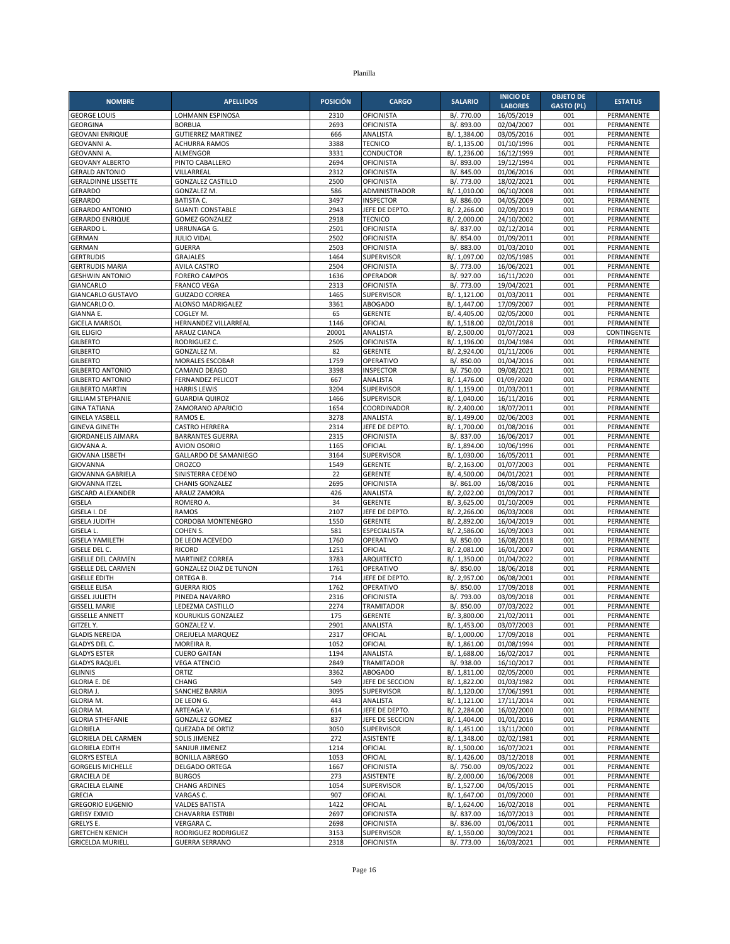| <b>NOMBRE</b>                                     | <b>APELLIDOS</b>                                 | <b>POSICIÓN</b> | <b>CARGO</b>                           | <b>SALARIO</b>               | <b>INICIO DE</b>         | <b>OBJETO DE</b>  | <b>ESTATUS</b>           |
|---------------------------------------------------|--------------------------------------------------|-----------------|----------------------------------------|------------------------------|--------------------------|-------------------|--------------------------|
|                                                   |                                                  |                 |                                        |                              | <b>LABORES</b>           | <b>GASTO (PL)</b> |                          |
| <b>GEORGE LOUIS</b><br><b>GEORGINA</b>            | LOHMANN ESPINOSA<br><b>BORBUA</b>                | 2310<br>2693    | <b>OFICINISTA</b><br><b>OFICINISTA</b> | B/. 770.00<br>B/. 893.00     | 16/05/2019<br>02/04/2007 | 001<br>001        | PERMANENTE<br>PERMANENTE |
| <b>GEOVANI ENRIQUE</b>                            | <b>GUTIERREZ MARTINEZ</b>                        | 666             | ANALISTA                               | B/. 1,384.00                 | 03/05/2016               | 001               | PERMANENTE               |
| <b>GEOVANNI A</b>                                 | <b>ACHURRA RAMOS</b>                             | 3388            | <b>TECNICO</b>                         | B/. 1,135.00                 | 01/10/1996               | 001               | PERMANENTE               |
| <b>GEOVANNI A</b>                                 | ALMENGOR                                         | 3331            | CONDUCTOR                              | B/. 1,236.00                 | 16/12/1999               | 001               | PERMANENTE               |
| <b>GEOVANY ALBERTO</b>                            | PINTO CABALLERO                                  | 2694            | <b>OFICINISTA</b>                      | B/. 893.00                   | 19/12/1994               | 001               | PERMANENTE               |
| <b>GERALD ANTONIO</b>                             | VILLARREAL                                       | 2312            | <b>OFICINISTA</b>                      | B/. 845.00                   | 01/06/2016               | 001               | PERMANENTE               |
| <b>GERALDINNE LISSETTE</b>                        | <b>GONZALEZ CASTILLO</b>                         | 2500            | <b>OFICINISTA</b>                      | B/. 773.00                   | 18/02/2021               | 001               | PERMANENTE               |
| <b>GERARDO</b><br><b>GERARDO</b>                  | GONZALEZ M.<br><b>BATISTA C.</b>                 | 586<br>3497     | ADMINISTRADOR<br><b>INSPECTOR</b>      | B/. 1,010.00<br>B/. 886.00   | 06/10/2008<br>04/05/2009 | 001<br>001        | PERMANENTE<br>PERMANENTE |
| <b>GERARDO ANTONIO</b>                            | <b>GUANTI CONSTABLE</b>                          | 2943            | JEFE DE DEPTO                          | B/. 2,266.00                 | 02/09/2019               | 001               | PERMANENTE               |
| <b>GERARDO ENRIQUE</b>                            | <b>GOMEZ GONZALEZ</b>                            | 2918            | <b>TECNICO</b>                         | B/. 2.000.00                 | 24/10/2002               | 001               | PERMANENTE               |
| <b>GERARDO L</b>                                  | URRUNAGA G.                                      | 2501            | <b>OFICINISTA</b>                      | B/. 837.00                   | 02/12/2014               | 001               | PERMANENTE               |
| GERMAN                                            | <b>JULIO VIDAL</b>                               | 2502            | <b>OFICINISTA</b>                      | B/. 854.00                   | 01/09/2011               | 001               | PERMANENTE               |
| GERMAN                                            | <b>GUERRA</b>                                    | 2503            | <b>OFICINISTA</b>                      | B/. 883.00                   | 01/03/2010               | 001               | PERMANENTE               |
| <b>GERTRUDIS</b>                                  | <b>GRAJALES</b>                                  | 1464            | SUPERVISOR                             | B/. 1,097.00                 | 02/05/1985               | 001               | PERMANENTE               |
| <b>GERTRUDIS MARIA</b><br><b>GESHWIN ANTONIO</b>  | <b>AVILA CASTRO</b><br><b>FORERO CAMPOS</b>      | 2504<br>1636    | <b>OFICINISTA</b><br>OPERADOR          | B/. 773.00<br>B/. 927.00     | 16/06/2021<br>16/11/2020 | 001<br>001        | PERMANENTE<br>PERMANENTE |
| GIANCARLO                                         | <b>FRANCO VEGA</b>                               | 2313            | <b>OFICINISTA</b>                      | B/. 773.00                   | 19/04/2021               | 001               | PERMANENTE               |
| <b>GIANCARLO GUSTAVO</b>                          | <b>GUIZADO CORREA</b>                            | 1465            | <b>SUPERVISOR</b>                      | B/. 1,121.00                 | 01/03/2011               | 001               | PERMANENTE               |
| GIANCARLO O.                                      | ALONSO MADRIGALEZ                                | 3361            | <b>ABOGADO</b>                         | B/. 1,447.00                 | 17/09/2007               | 001               | PERMANENTE               |
| GIANNA E.                                         | COGLEY M.                                        | 65              | <b>GERENTE</b>                         | B/. 4,405.00                 | 02/05/2000               | 001               | PERMANENTE               |
| <b>GICELA MARISOL</b>                             | HERNANDEZ VILLARREAL                             | 1146            | OFICIAL                                | B/. 1,518.00                 | 02/01/2018               | 001               | PERMANENTE               |
| <b>GIL ELIGIO</b>                                 | <b>ARAUZ CIANCA</b>                              | 20001           | ANALISTA                               | B/. 2,500.00                 | 01/07/2021               | 003               | CONTINGENTE              |
| <b>GILBERTO</b><br><b>GILBERTO</b>                | RODRIGUEZ C.<br>GONZALEZ M.                      | 2505<br>82      | <b>OFICINISTA</b><br><b>GERENTE</b>    | B/. 1,196.00<br>B/. 2,924.00 | 01/04/1984               | 001<br>001        | PERMANENTE<br>PERMANENTE |
| <b>GILBERTO</b>                                   | MORALES ESCOBAR                                  | 1759            | OPERATIVO                              | B/. 850.00                   | 01/11/2006<br>01/04/2016 | 001               | PERMANENTE               |
| <b>GILBERTO ANTONIO</b>                           | CAMANO DEAGO                                     | 3398            | <b>INSPECTOR</b>                       | B/. 750.00                   | 09/08/2021               | 001               | PERMANENTE               |
| <b>GILBERTO ANTONIO</b>                           | <b>FERNANDEZ PELICOT</b>                         | 667             | ANALISTA                               | B/. 1,476.00                 | 01/09/2020               | 001               | PERMANENTE               |
| <b>GILBERTO MARTIN</b>                            | <b>HARRIS LEWIS</b>                              | 3204            | <b>SUPERVISOR</b>                      | B/. 1,159.00                 | 01/03/2011               | 001               | PERMANENTE               |
| <b>GILLIAM STEPHANIE</b>                          | <b>GUARDIA QUIROZ</b>                            | 1466            | <b>SUPERVISOR</b>                      | B/. 1,040.00                 | 16/11/2016               | 001               | PERMANENTE               |
| <b>GINA TATIANA</b>                               | ZAMORANO APARICIO                                | 1654            | COORDINADOR                            | B/. 2,400.00                 | 18/07/2011               | 001               | PERMANENTE               |
| <b>GINELA YASBELL</b>                             | RAMOS E.                                         | 3278<br>2314    | ANALISTA                               | B/. 1,499.00                 | 02/06/2003               | 001<br>001        | PERMANENTE               |
| <b>GINEVA GINETH</b><br>GIORDANELIS AIMARA        | <b>CASTRO HERRERA</b><br><b>BARRANTES GUERRA</b> | 2315            | JEFE DE DEPTO.<br><b>OFICINISTA</b>    | B/. 1,700.00<br>B/. 837.00   | 01/08/2016<br>16/06/2017 | 001               | PERMANENTE<br>PERMANENTE |
| <b>GIOVANA A</b>                                  | <b>AVION OSORIO</b>                              | 1165            | OFICIAL                                | B/. 1,894.00                 | 10/06/1996               | 001               | PERMANENTE               |
| <b>GIOVANA LISBETH</b>                            | <b>GALLARDO DE SAMANIEGO</b>                     | 3164            | <b>SUPERVISOR</b>                      | B/. 1,030.00                 | 16/05/2011               | 001               | PERMANENTE               |
| GIOVANNA                                          | <b>OROZCO</b>                                    | 1549            | <b>GERENTE</b>                         | B/. 2,163.00                 | 01/07/2003               | 001               | PERMANENTE               |
| GIOVANNA GABRIELA                                 | SINISTERRA CEDENO                                | 22              | <b>GERENTE</b>                         | B/. 4,500.00                 | 04/01/2021               | 001               | PERMANENTE               |
| <b>GIOVANNA ITZEL</b>                             | <b>CHANIS GONZALEZ</b>                           | 2695            | OFICINISTA                             | B/. 861.00                   | 16/08/2016               | 001               | PERMANENTE               |
| <b>GISCARD ALEXANDER</b><br>GISELA                | ARAUZ ZAMORA                                     | 426<br>34       | ANALISTA<br><b>GERENTE</b>             | B/. 2,022.00                 | 01/09/2017<br>01/10/2009 | 001<br>001        | PERMANENTE<br>PERMANENTE |
| GISELA I. DE                                      | ROMERO A.<br><b>RAMOS</b>                        | 2107            | JEFE DE DEPTO                          | B/. 3,625.00<br>B/. 2,266.00 | 06/03/2008               | 001               | PERMANENTE               |
| <b>GISELA JUDITH</b>                              | CORDOBA MONTENEGRO                               | 1550            | <b>GERENTE</b>                         | B/. 2,892.00                 | 16/04/2019               | 001               | PERMANENTE               |
| GISELA L.                                         | COHEN S.                                         | 581             | <b>ESPECIALISTA</b>                    | B/. 2,586.00                 | 16/09/2003               | 001               | <b>PERMANENTE</b>        |
| <b>GISELA YAMILETH</b>                            | DE LEON ACEVEDO                                  | 1760            | OPERATIVO                              | B/. 850.00                   | 16/08/2018               | 001               | PERMANENTE               |
| GISELE DEL C.                                     | <b>RICORD</b>                                    | 1251            | OFICIAL                                | B/. 2,081.00                 | 16/01/2007               | 001               | PERMANENTE               |
| <b>GISELLE DEL CARMEN</b>                         | <b>MARTINEZ CORREA</b>                           | 3783            | <b>ARQUITECTO</b>                      | B/. 1,350.00                 | 01/04/2022               | 001               | PERMANENTE               |
| <b>GISELLE DEL CARMEN</b><br><b>GISELLE EDITH</b> | <b>GONZALEZ DIAZ DE TUNON</b><br>ORTEGA B.       | 1761<br>714     | OPERATIVO<br>JEFE DE DEPTO.            | B/. 850.00<br>B/. 2,957.00   | 18/06/2018               | 001<br>001        | PERMANENTE               |
| <b>GISELLE ELISA</b>                              | <b>GUERRA RIOS</b>                               | 1762            | OPERATIVO                              | B/. 850.00                   | 06/08/2001<br>17/09/2018 | 001               | PERMANENTE<br>PERMANENTE |
| <b>GISSEL JULIETH</b>                             | PINEDA NAVARRO                                   | 2316            | OFICINISTA                             | B/. 793.00                   | 03/09/2018               | 001               | PERMANENTE               |
| <b>GISSELL MARIE</b>                              | LEDEZMA CASTILLO                                 | 2274            | <b>TRAMITADOR</b>                      | B/. 850.00                   | 07/03/2022               | 001               | PERMANENTE               |
| <b>GISSELLE ANNETT</b>                            | KOURUKLIS GONZALEZ                               | 175             | <b>GERENTE</b>                         | B/. 3,800.00                 | 21/02/2011               | 001               | PERMANENTE               |
| GITZEL Y.                                         | GONZALEZ V.                                      | 2901            | ANALISTA                               | B/. 1,453.00                 | 03/07/2003               | 001               | PERMANENTE               |
| <b>GLADIS NEREIDA</b>                             | OREJUELA MARQUEZ                                 | 2317            | OFICIAL                                | B/. 1,000.00                 | 17/09/2018               | 001               | PERMANENTE               |
| GLADYS DEL C.<br><b>GLADYS ESTER</b>              | MOREIRA R.<br><b>CUERO GAITAN</b>                | 1052<br>1194    | OFICIAL<br>ANALISTA                    | B/. 1,861.00<br>B/. 1,688.00 | 01/08/1994<br>16/02/2017 | 001<br>001        | PERMANENTE<br>PERMANENTE |
| <b>GLADYS RAQUEL</b>                              | <b>VEGA ATENCIO</b>                              | 2849            | <b>TRAMITADOR</b>                      | B/. 938.00                   | 16/10/2017               | 001               | PERMANENTE               |
| <b>GLINNIS</b>                                    | ORTIZ                                            | 3362            | <b>ABOGADO</b>                         | B/. 1,811.00                 | 02/05/2000               | 001               | PERMANENTE               |
| <b>GLORIA E. DE</b>                               | CHANG                                            | 549             | JEFE DE SECCION                        | B/. 1,822.00                 | 01/03/1982               | 001               | PERMANENTE               |
| <b>GLORIA J.</b>                                  | <b>SANCHEZ BARRIA</b>                            | 3095            | SUPERVISOR                             | B/. 1,120.00                 | 17/06/1991               | 001               | PERMANENTE               |
| GLORIA M.                                         | DE LEON G.                                       | 443             | ANALISTA                               | B/. 1,121.00                 | 17/11/2014               | 001               | PERMANENTE               |
| GLORIA M.                                         | ARTEAGA V.                                       | 614             | JEFE DE DEPTO.                         | B/. 2,284.00                 | 16/02/2000               | 001               | PERMANENTE               |
| <b>GLORIA STHEFANIE</b><br><b>GLORIELA</b>        | <b>GONZALEZ GOMEZ</b><br>QUEZADA DE ORTIZ        | 837<br>3050     | JEFE DE SECCION<br>SUPERVISOR          | B/. 1,404.00                 | 01/01/2016<br>13/11/2000 | 001<br>001        | PERMANENTE<br>PERMANENTE |
| <b>GLORIELA DEL CARMEN</b>                        | <b>SOLIS JIMENEZ</b>                             | 272             | <b>ASISTENTE</b>                       | B/. 1,451.00<br>B/. 1,348.00 | 02/02/1981               | 001               | PERMANENTE               |
| <b>GLORIELA EDITH</b>                             | SANJUR JIMENEZ                                   | 1214            | OFICIAL                                | B/. 1,500.00                 | 16/07/2021               | 001               | PERMANENTE               |
| <b>GLORYS ESTELA</b>                              | <b>BONILLA ABREGO</b>                            | 1053            | OFICIAL                                | B/. 1,426.00                 | 03/12/2018               | 001               | PERMANENTE               |
| <b>GORGELIS MICHELLE</b>                          | DELGADO ORTEGA                                   | 1667            | <b>OFICINISTA</b>                      | B/. 750.00                   | 09/05/2022               | 001               | PERMANENTE               |
| <b>GRACIELA DE</b>                                | <b>BURGOS</b>                                    | 273             | ASISTENTE                              | B/. 2,000.00                 | 16/06/2008               | 001               | PERMANENTE               |
| <b>GRACIELA ELAINE</b>                            | <b>CHANG ARDINES</b>                             | 1054            | SUPERVISOR                             | B/. 1,527.00                 | 04/05/2015               | 001               | PERMANENTE               |
| <b>GRECIA</b><br><b>GREGORIO EUGENIO</b>          | VARGAS C.<br><b>VALDES BATISTA</b>               | 907<br>1422     | OFICIAL<br>OFICIAL                     | B/. 1,647.00<br>B/. 1,624.00 | 01/09/2000<br>16/02/2018 | 001<br>001        | PERMANENTE<br>PERMANENTE |
| <b>GREISY EXMID</b>                               | CHAVARRIA ESTRIBI                                | 2697            | <b>OFICINISTA</b>                      | B/. 837.00                   | 16/07/2013               | 001               | PERMANENTE               |
| GRELYS E.                                         | VERGARA C.                                       | 2698            | <b>OFICINISTA</b>                      | B/. 836.00                   | 01/06/2011               | 001               | PERMANENTE               |
| <b>GRETCHEN KENICH</b>                            | RODRIGUEZ RODRIGUEZ                              | 3153            | SUPERVISOR                             | B/. 1,550.00                 | 30/09/2021               | 001               | PERMANENTE               |
| <b>GRICELDA MURIELL</b>                           | <b>GUERRA SERRANO</b>                            | 2318            | <b>OFICINISTA</b>                      | B/. 773.00                   | 16/03/2021               | 001               | PERMANENTE               |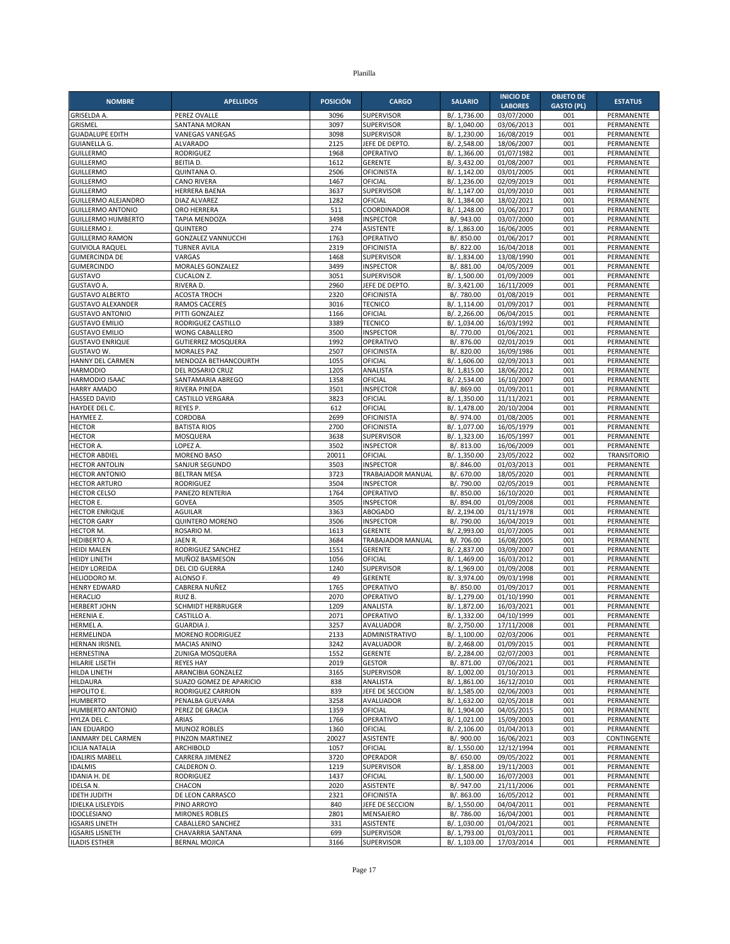| <b>NOMBRE</b>                                    | <b>APELLIDOS</b>                                | <b>POSICIÓN</b> | <b>CARGO</b>                         | <b>SALARIO</b>               | <b>INICIO DE</b>             | <b>OBJETO DE</b>         | <b>ESTATUS</b>                  |
|--------------------------------------------------|-------------------------------------------------|-----------------|--------------------------------------|------------------------------|------------------------------|--------------------------|---------------------------------|
| <b>GRISELDA A.</b>                               | PEREZ OVALLE                                    | 3096            | SUPERVISOR                           | B/. 1,736.00                 | <b>LABORES</b><br>03/07/2000 | <b>GASTO (PL)</b><br>001 | PERMANENTE                      |
| GRISMEL                                          | <b>SANTANA MORAN</b>                            | 3097            | <b>SUPERVISOR</b>                    | B/. 1,040.00                 | 03/06/2013                   | 001                      | PERMANENTE                      |
| <b>GUADALUPE EDITH</b>                           | <b>VANEGAS VANEGAS</b>                          | 3098            | <b>SUPERVISOR</b>                    | B/. 1,230.00                 | 16/08/2019                   | 001                      | PERMANENTE                      |
| <b>GUIANELLA G.</b>                              | <b>ALVARADO</b>                                 | 2125            | JEFE DE DEPTO.                       | B/. 2,548.00                 | 18/06/2007                   | 001                      | PERMANENTE                      |
| <b>GUILLERMO</b>                                 | <b>RODRIGUEZ</b>                                | 1968            | OPERATIVO                            | B/. 1,366.00                 | 01/07/1982                   | 001                      | PERMANENTE                      |
| <b>GUILLERMO</b><br><b>GUILLERMO</b>             | <b>BEITIAD.</b><br>QUINTANA O.                  | 1612<br>2506    | <b>GERENTE</b><br><b>OFICINISTA</b>  | B/. 3.432.00<br>B/. 1,142.00 | 01/08/2007<br>03/01/2005     | 001<br>001               | PERMANENTE<br>PERMANENTE        |
| <b>GUILLERMO</b>                                 | <b>CANO RIVERA</b>                              | 1467            | OFICIAL                              | B/. 1,236.00                 | 02/09/2019                   | 001                      | PERMANENTE                      |
| <b>GUILLERMO</b>                                 | <b>HERRERA BAENA</b>                            | 3637            | <b>SUPERVISOR</b>                    | B/. 1,147.00                 | 01/09/2010                   | 001                      | PERMANENTE                      |
| GUILLERMO ALEJANDRO                              | DIAZ ALVAREZ                                    | 1282            | OFICIAL                              | B/. 1,384.00                 | 18/02/2021                   | 001                      | PERMANENTE                      |
| <b>GUILLERMO ANTONIO</b>                         | ORO HERRERA                                     | 511             | COORDINADOR                          | B/. 1,248.00                 | 01/06/2017                   | 001                      | PERMANENTE                      |
| <b>GUILLERMO HUMBERTO</b><br><b>GUILLERMO J.</b> | <b>TAPIA MENDOZA</b><br>QUINTERO                | 3498<br>274     | <b>INSPECTOR</b><br><b>ASISTENTE</b> | B/. 943.00<br>B/. 1,863.00   | 03/07/2000<br>16/06/2005     | 001<br>001               | PERMANENTE<br>PERMANENTE        |
| <b>GUILLERMO RAMON</b>                           | <b>GONZALEZ VANNUCCHI</b>                       | 1763            | OPERATIVO                            | B/. 850.00                   | 01/06/2017                   | 001                      | PERMANENTE                      |
| <b>GUIVIOLA RAQUEL</b>                           | <b>TURNER AVILA</b>                             | 2319            | OFICINISTA                           | B/. 822.00                   | 16/04/2018                   | 001                      | PERMANENTE                      |
| <b>GUMERCINDA DE</b>                             | VARGAS                                          | 1468            | <b>SUPERVISOR</b>                    | B/. 1,834.00                 | 13/08/1990                   | 001                      | PERMANENTE                      |
| <b>GUMERCINDO</b>                                | MORALES GONZALEZ                                | 3499            | <b>INSPECTOR</b>                     | B/. 881.00                   | 04/05/2009                   | 001                      | PERMANENTE                      |
| GUSTAVO                                          | <b>CUCALON Z.</b>                               | 3051            | SUPERVISOR                           | B/. 1,500.00                 | 01/09/2009                   | 001                      | PERMANENTE                      |
| <b>GUSTAVO A.</b><br><b>GUSTAVO ALBERTO</b>      | RIVERA D.<br><b>ACOSTA TROCH</b>                | 2960<br>2320    | JEFE DE DEPTO.<br><b>OFICINISTA</b>  | B/. 3,421.00<br>B/. 780.00   | 16/11/2009<br>01/08/2019     | 001<br>001               | PERMANENTE<br>PERMANENTE        |
| <b>GUSTAVO ALEXANDER</b>                         | RAMOS CACERES                                   | 3016            | <b>TECNICO</b>                       | B/.1,114.00                  | 01/09/2017                   | 001                      | PERMANENTE                      |
| <b>GUSTAVO ANTONIO</b>                           | PITTI GONZALEZ                                  | 1166            | OFICIAL                              | B/.2,266.00                  | 06/04/2015                   | 001                      | PERMANENTE                      |
| <b>GUSTAVO EMILIO</b>                            | RODRIGUEZ CASTILLO                              | 3389            | <b>TECNICO</b>                       | B/. 1,034.00                 | 16/03/1992                   | 001                      | PERMANENTE                      |
| <b>GUSTAVO EMILIO</b>                            | <b>WONG CABALLERO</b>                           | 3500            | <b>INSPECTOR</b>                     | B/. 770.00                   | 01/06/2021                   | 001                      | PERMANENTE                      |
| <b>GUSTAVO ENRIQUE</b><br><b>GUSTAVO W.</b>      | <b>GUTIERREZ MOSQUERA</b><br><b>MORALES PAZ</b> | 1992<br>2507    | OPERATIVO<br><b>OFICINISTA</b>       | B/. 876.00                   | 02/01/2019<br>16/09/1986     | 001<br>001               | PERMANENTE                      |
| HANNY DEL CARMEN                                 | MENDOZA BETHANCOURTH                            | 1055            | OFICIAL                              | B/. 820.00<br>B/. 1,606.00   | 02/09/2013                   | 001                      | PERMANENTE<br>PERMANENTE        |
| <b>HARMODIO</b>                                  | DEL ROSARIO CRUZ                                | 1205            | ANALISTA                             | B/. 1,815.00                 | 18/06/2012                   | 001                      | PERMANENTE                      |
| HARMODIO ISAAC                                   | SANTAMARIA ABREGO                               | 1358            | OFICIAL                              | B/. 2,534.00                 | 16/10/2007                   | 001                      | PERMANENTE                      |
| <b>HARRY AMADO</b>                               | RIVERA PINEDA                                   | 3501            | <b>INSPECTOR</b>                     | B/. 869.00                   | 01/09/2011                   | 001                      | PERMANENTE                      |
| HASSED DAVID                                     | <b>CASTILLO VERGARA</b>                         | 3823            | OFICIAL                              | B/. 1,350.00                 | 11/11/2021                   | 001                      | PERMANENTE                      |
| HAYDEE DEL C.                                    | REYES P.                                        | 612             | OFICIAL                              | B/. 1,478.00                 | 20/10/2004                   | 001                      | PERMANENTE                      |
| HAYMEE Z.<br>HECTOR                              | CORDOBA<br><b>BATISTA RIOS</b>                  | 2699<br>2700    | OFICINISTA<br><b>OFICINISTA</b>      | B/. 974.00<br>B/. 1,077.00   | 01/08/2005<br>16/05/1979     | 001<br>001               | PERMANENTE<br><b>PERMANENTE</b> |
| <b>HECTOR</b>                                    | MOSQUERA                                        | 3638            | SUPERVISOR                           | B/. 1,323.00                 | 16/05/1997                   | 001                      | PERMANENTE                      |
| <b>HECTOR A</b>                                  | LOPEZ A.                                        | 3502            | <b>INSPECTOR</b>                     | B/. 813.00                   | 16/06/2009                   | 001                      | PERMANENTE                      |
| <b>HECTOR ABDIEL</b>                             | <b>MORENO BASO</b>                              | 20011           | OFICIAL                              | B/. 1,350.00                 | 23/05/2022                   | 002                      | <b>TRANSITORIO</b>              |
| <b>HECTOR ANTOLIN</b>                            | SANJUR SEGUNDO                                  | 3503            | <b>INSPECTOR</b>                     | B/. 846.00                   | 01/03/2013                   | 001                      | PERMANENTE                      |
| <b>HECTOR ANTONIO</b>                            | <b>BELTRAN MESA</b>                             | 3723<br>3504    | TRABAJADOR MANUAL                    | B/. 670.00                   | 18/05/2020                   | 001<br>001               | PERMANENTE                      |
| <b>HECTOR ARTURO</b><br><b>HECTOR CELSO</b>      | <b>RODRIGUEZ</b><br>PANEZO RENTERIA             | 1764            | <b>INSPECTOR</b><br>OPERATIVO        | B/. 790.00<br>B/. 850.00     | 02/05/2019<br>16/10/2020     | 001                      | PERMANENTE<br>PERMANENTE        |
| HECTOR E.                                        | GOVEA                                           | 3505            | <b>INSPECTOR</b>                     | B/. 894.00                   | 01/09/2008                   | 001                      | PERMANENTE                      |
| <b>HECTOR ENRIQUE</b>                            | <b>AGUILAR</b>                                  | 3363            | <b>ABOGADO</b>                       | B/. 2,194.00                 | 01/11/1978                   | 001                      | PERMANENTE                      |
| <b>HECTOR GARY</b>                               | <b>QUINTERO MORENO</b>                          | 3506            | <b>INSPECTOR</b>                     | B/. 790.00                   | 16/04/2019                   | 001                      | PERMANENTE                      |
| HECTOR M.                                        | ROSARIO M.                                      | 1613            | <b>GERENTE</b>                       | B/. 2,993.00                 | 01/07/2005                   | 001                      | PERMANENTE                      |
| <b>HEDIBERTO A</b><br><b>HEIDI MALEN</b>         | JAEN R.<br>RODRIGUEZ SANCHEZ                    | 3684<br>1551    | TRABAJADOR MANUAL<br><b>GERENTE</b>  | B/. 706.00<br>B/. 2,837.00   | 16/08/2005<br>03/09/2007     | 001<br>001               | PERMANENTE<br>PERMANENTE        |
| HEIDY LINETH                                     | MUÑOZ BASMESON                                  | 1056            | OFICIAL                              | B/. 1,469.00                 | 16/03/2012                   | 001                      | PERMANENTE                      |
| <b>HEIDY LOREIDA</b>                             | DEL CID GUERRA                                  | 1240            | <b>SUPERVISOR</b>                    | B/. 1,969.00                 | 01/09/2008                   | 001                      | PERMANENTE                      |
| <b>HELIODORO M.</b>                              | ALONSO F.                                       | 49              | <b>GERENTE</b>                       | B/. 3,974.00                 | 09/03/1998                   | 001                      | PERMANENTE                      |
| <b>HENRY EDWARD</b>                              | CABRERA NUÑEZ                                   | 1765            | OPERATIVO                            | B/. 850.00                   | 01/09/2017                   | 001                      | PERMANENTE                      |
| HERACLIO                                         | RUIZ B.                                         | 2070            | OPERATIVO                            | B/. 1,279.00                 | 01/10/1990                   | 001                      | PERMANENTE                      |
| <b>HERBERT JOHN</b><br><b>HERENIA E.</b>         | SCHMIDT HERBRUGER<br>CASTILLO A.                | 1209<br>2071    | ANALISTA<br>OPERATIVO                | B/. 1,872.00<br>B/. 1,332.00 | 16/03/2021<br>04/10/1999     | 001<br>001               | PERMANENTE<br>PERMANENTE        |
| HERMEL A.                                        | GUARDIA J.                                      | 3257            | AVALUADOR                            | B/. 2,750.00                 | 17/11/2008                   | 001                      | PERMANENTE                      |
| HERMELINDA                                       | MORENO RODRIGUEZ                                | 2133            | ADMINISTRATIVO                       | B/. 1,100.00                 | 02/03/2006                   | 001                      | PERMANENTE                      |
| <b>HERNAN IRISNEL</b>                            | <b>MACIAS ANINO</b>                             | 3242            | AVALUADOR                            | B/. 2,468.00                 | 01/09/2015                   | 001                      | PERMANENTE                      |
| HERNESTINA                                       | ZUNIGA MOSQUERA                                 | 1552            | <b>GERENTE</b>                       | B/. 2,284.00                 | 02/07/2003                   | 001                      | PERMANENTE                      |
| HILARIE LISETH<br>HILDA LINETH                   | <b>REYES HAY</b><br>ARANCIBIA GONZALEZ          | 2019<br>3165    | <b>GESTOR</b><br>SUPERVISOR          | B/. 871.00<br>B/. 1,002.00   | 07/06/2021<br>01/10/2013     | 001<br>001               | PERMANENTE<br>PERMANENTE        |
| <b>HILDAURA</b>                                  | SUAZO GOMEZ DE APARICIO                         | 838             | ANALISTA                             | B/. 1,861.00                 | 16/12/2010                   | 001                      | PERMANENTE                      |
| HIPOLITO E.                                      | RODRIGUEZ CARRION                               | 839             | JEFE DE SECCION                      | B/. 1,585.00                 | 02/06/2003                   | 001                      | PERMANENTE                      |
| <b>HUMBERTO</b>                                  | PENALBA GUEVARA                                 | 3258            | AVALUADOR                            | B/. 1,632.00                 | 02/05/2018                   | 001                      | PERMANENTE                      |
| HUMBERTO ANTONIO                                 | PEREZ DE GRACIA                                 | 1359            | OFICIAL                              | B/. 1,904.00                 | 04/05/2015                   | 001                      | PERMANENTE                      |
| HYLZA DEL C.                                     | ARIAS                                           | 1766            | OPERATIVO<br>OFICIAL                 | B/. 1,021.00<br>B/. 2,106.00 | 15/09/2003                   | 001                      | PERMANENTE                      |
| <b>IAN EDUARDO</b><br><b>IANMARY DEL CARMEN</b>  | <b>MUNOZ ROBLES</b><br>PINZON MARTINEZ          | 1360<br>20027   | ASISTENTE                            | B/. 900.00                   | 01/04/2013<br>16/06/2021     | 001<br>003               | PERMANENTE<br>CONTINGENTE       |
| <b>ICILIA NATALIA</b>                            | ARCHIBOLD                                       | 1057            | OFICIAL                              | B/. 1,550.00                 | 12/12/1994                   | 001                      | PERMANENTE                      |
| <b>IDALIRIS MABELL</b>                           | CARRERA JIMENEZ                                 | 3720            | OPERADOR                             | B/. 650.00                   | 09/05/2022                   | 001                      | PERMANENTE                      |
| <b>IDALMIS</b>                                   | CALDERON O.                                     | 1219            | <b>SUPERVISOR</b>                    | B/. 1,858.00                 | 19/11/2003                   | 001                      | PERMANENTE                      |
| <b>IDANIA H. DE</b>                              | <b>RODRIGUEZ</b>                                | 1437            | OFICIAL                              | B/. 1,500.00                 | 16/07/2003                   | 001                      | PERMANENTE                      |
| <b>IDELSA N.</b><br><b>IDETH JUDITH</b>          | CHACON<br>DE LEON CARRASCO                      | 2020<br>2321    | ASISTENTE<br>OFICINISTA              | B/. 947.00<br>B/. 863.00     | 21/11/2006                   | 001                      | PERMANENTE                      |
| <b>IDIELKA LISLEYDIS</b>                         | PINO ARROYO                                     | 840             | JEFE DE SECCION                      | B/. 1,550.00                 | 16/05/2012<br>04/04/2011     | 001<br>001               | PERMANENTE<br>PERMANENTE        |
| <b>IDOCLESIANO</b>                               | <b>MIRONES ROBLES</b>                           | 2801            | MENSAJERO                            | B/. 786.00                   | 16/04/2001                   | 001                      | PERMANENTE                      |
| <b>IGSARIS LINETH</b>                            | CABALLERO SANCHEZ                               | 331             | <b>ASISTENTE</b>                     | B/. 1,030.00                 | 01/04/2021                   | 001                      | PERMANENTE                      |
| <b>IGSARIS LISNETH</b>                           | CHAVARRIA SANTANA                               | 699             | <b>SUPERVISOR</b>                    | B/. 1,793.00                 | 01/03/2011                   | 001                      | PERMANENTE                      |
| <b>ILADIS ESTHER</b>                             | <b>BERNAL MOJICA</b>                            | 3166            | <b>SUPERVISOR</b>                    | B/. 1,103.00                 | 17/03/2014                   | 001                      | PERMANENTE                      |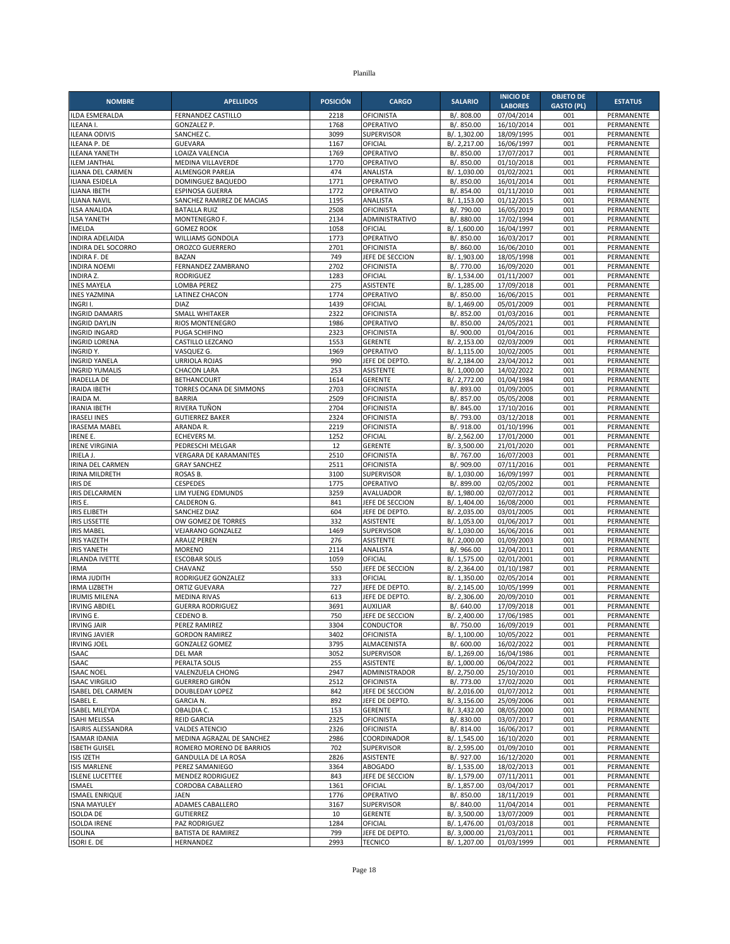| <b>NOMBRE</b>                                 | <b>APELLIDOS</b>                                  | <b>POSICIÓN</b> | <b>CARGO</b>                        | <b>SALARIO</b>               | <b>INICIO DE</b>             | <b>OBJETO DE</b>         | <b>ESTATUS</b>           |
|-----------------------------------------------|---------------------------------------------------|-----------------|-------------------------------------|------------------------------|------------------------------|--------------------------|--------------------------|
| ILDA ESMERALDA                                | FERNANDEZ CASTILLO                                | 2218            | OFICINISTA                          | B/. 808.00                   | <b>LABORES</b><br>07/04/2014 | <b>GASTO (PL)</b><br>001 | PERMANENTE               |
| ILEANA I.                                     | <b>GONZALEZ P.</b>                                | 1768            | OPERATIVO                           | B/. 850.00                   | 16/10/2014                   | 001                      | PERMANENTE               |
| <b>ILEANA ODIVIS</b>                          | SANCHEZ C.                                        | 3099            | <b>SUPERVISOR</b>                   | B/. 1,302.00                 | 18/09/1995                   | 001                      | PERMANENTE               |
| <b>ILEANA P. DE</b>                           | <b>GUEVARA</b>                                    | 1167            | OFICIAL                             | B/. 2,217.00                 | 16/06/1997                   | 001                      | PERMANENTE               |
| <b>ILEANA YANETH</b>                          | LOAIZA VALENCIA                                   | 1769            | OPERATIVO                           | B/. 850.00                   | 17/07/2017                   | 001                      | PERMANENTE               |
| <b>ILEM JANTHAL</b>                           | MEDINA VILLAVERDE                                 | 1770            | OPERATIVO                           | B/. 850.00                   | 01/10/2018                   | 001                      | <b>PERMANENTE</b>        |
| ILIANA DEL CARMEN                             | <b>ALMENGOR PAREJA</b>                            | 474             | ANALISTA                            | B/. 1,030.00                 | 01/02/2021                   | 001                      | PERMANENTE               |
| ILIANA ESIDELA<br>ILIANA IBETH                | DOMINGUEZ BAQUEDO<br>ESPINOSA GUERRA              | 1771<br>1772    | OPERATIVO<br>OPERATIVO              | B/. 850.00<br>B/. 854.00     | 16/01/2014<br>01/11/2010     | 001<br>001               | PERMANENTE<br>PERMANENTE |
| <b>ILIANA NAVIL</b>                           | SANCHEZ RAMIREZ DE MACIAS                         | 1195            | ANALISTA                            | B/. 1,153.00                 | 01/12/2015                   | 001                      | PERMANENTE               |
| ILSA ANALIDA                                  | <b>BATALLA RUIZ</b>                               | 2508            | OFICINISTA                          | B/. 790.00                   | 16/05/2019                   | 001                      | PERMANENTE               |
| <b>ILSA YANETH</b>                            | MONTENEGRO F.                                     | 2134            | ADMINISTRATIVO                      | B/. 880.00                   | 17/02/1994                   | 001                      | PERMANENTE               |
| <b>IMELDA</b>                                 | <b>GOMEZ ROOK</b>                                 | 1058            | OFICIAL                             | B/. 1,600.00                 | 16/04/1997                   | 001                      | PERMANENTE               |
| <b>INDIRA ADELAIDA</b>                        | WILLIAMS GONDOLA                                  | 1773            | OPERATIVO                           | B/. 850.00                   | 16/03/2017                   | 001                      | PERMANENTE               |
| <b>INDIRA DEL SOCORRO</b>                     | OROZCO GUERRERO                                   | 2701            | OFICINISTA                          | B/. 860.00                   | 16/06/2010                   | 001                      | PERMANENTE               |
| <b>INDIRA F. DE</b>                           | <b>BAZAN</b>                                      | 749             | JEFE DE SECCION                     | B/. 1,903.00                 | 18/05/1998                   | 001                      | PERMANENTE               |
| <b>INDIRA NOEMI</b><br><b>INDIRA Z.</b>       | FERNANDEZ ZAMBRANO<br><b>RODRIGUEZ</b>            | 2702<br>1283    | <b>OFICINISTA</b><br>OFICIAL        | B/. 770.00<br>B/. 1,534.00   | 16/09/2020<br>01/11/2007     | 001<br>001               | PERMANENTE<br>PERMANENTE |
| <b>INES MAYELA</b>                            | LOMBA PEREZ                                       | 275             | <b>ASISTENTE</b>                    | B/. 1,285.00                 | 17/09/2018                   | 001                      | PERMANENTE               |
| <b>INES YAZMINA</b>                           | LATINEZ CHACON                                    | 1774            | OPERATIVO                           | B/. 850.00                   | 16/06/2015                   | 001                      | PERMANENTE               |
| INGRI I.                                      | <b>DIAZ</b>                                       | 1439            | OFICIAL                             | B/. 1,469.00                 | 05/01/2009                   | 001                      | PERMANENTE               |
| <b>INGRID DAMARIS</b>                         | <b>SMALL WHITAKER</b>                             | 2322            | <b>OFICINISTA</b>                   | B/. 852.00                   | 01/03/2016                   | 001                      | PERMANENTE               |
| <b>INGRID DAYLIN</b>                          | <b>RIOS MONTENEGRO</b>                            | 1986            | OPERATIVO                           | B/. 850.00                   | 24/05/2021                   | 001                      | PERMANENTE               |
| <b>INGRID INGARD</b>                          | PUGA SCHIFINO                                     | 2323            | <b>OFICINISTA</b>                   | B/. 900.00                   | 01/04/2016                   | 001                      | PERMANENTE               |
| <b>INGRID LORENA</b>                          | CASTILLO LEZCANO                                  | 1553            | <b>GERENTE</b>                      | B/. 2,153.00                 | 02/03/2009                   | 001                      | PERMANENTE               |
| INGRIDY.                                      | VASQUEZ G.                                        | 1969            | OPERATIVO                           | B/. 1,115.00                 | 10/02/2005                   | 001                      | PERMANENTE               |
| <b>INGRID YANELA</b><br><b>INGRID YUMALIS</b> | <b>URRIOLA ROJAS</b><br><b>CHACON LARA</b>        | 990<br>253      | JEFE DE DEPTO.<br><b>ASISTENTE</b>  | B/. 2,184.00<br>B/. 1,000.00 | 23/04/2012<br>14/02/2022     | 001<br>001               | PERMANENTE<br>PERMANENTE |
| <b>IRADELLA DE</b>                            | <b>BETHANCOURT</b>                                | 1614            | <b>GERENTE</b>                      | B/. 2,772.00                 | 01/04/1984                   | 001                      | PERMANENTE               |
| <b>IRAIDA IBETH</b>                           | TORRES OCANA DE SIMMONS                           | 2703            | OFICINISTA                          | B/. 893.00                   | 01/09/2005                   | 001                      | PERMANENTE               |
| <b>IRAIDA M.</b>                              | <b>BARRIA</b>                                     | 2509            | <b>OFICINISTA</b>                   | B/. 857.00                   | 05/05/2008                   | 001                      | PERMANENTE               |
| <b>IRANIA IBETH</b>                           | RIVERA TUÑON                                      | 2704            | <b>OFICINISTA</b>                   | B/. 845.00                   | 17/10/2016                   | 001                      | PERMANENTE               |
| <b>IRASELI INES</b>                           | <b>GUTIERREZ BAKER</b>                            | 2324            | OFICINISTA                          | B/. 793.00                   | 03/12/2018                   | 001                      | PERMANENTE               |
| <b>IRASEMA MABEL</b>                          | ARANDA R.                                         | 2219            | <b>OFICINISTA</b>                   | B/. 918.00                   | 01/10/1996                   | 001                      | PERMANENTE               |
| <b>IRENE E.</b>                               | ECHEVERS M.                                       | 1252            | OFICIAL                             | B/. 2,562.00                 | 17/01/2000                   | 001                      | PERMANENTE               |
| <b>IRENE VIRGINIA</b><br><b>IRIELA J</b>      | PEDRESCHI MELGAR<br><b>VERGARA DE KARAMANITES</b> | 12<br>2510      | <b>GERENTE</b><br>OFICINISTA        | B/. 3,500.00<br>B/. 767.00   | 21/01/2020<br>16/07/2003     | 001<br>001               | PERMANENTE<br>PERMANENTE |
| IRINA DEL CARMEN                              | <b>GRAY SANCHEZ</b>                               | 2511            | <b>OFICINISTA</b>                   | B/. 909.00                   | 07/11/2016                   | 001                      | PERMANENTE               |
| IRINA MILDRETH                                | ROSAS B.                                          | 3100            | <b>SUPERVISOR</b>                   | B/. 1,030.00                 | 16/09/1997                   | 001                      | PERMANENTE               |
| <b>IRIS DE</b>                                | <b>CESPEDES</b>                                   | 1775            | OPERATIVO                           | B/. 899.00                   | 02/05/2002                   | 001                      | PERMANENTE               |
| <b>IRIS DELCARMEN</b>                         | LIM YUENG EDMUNDS                                 | 3259            | AVALUADOR                           | B/. 1,980.00                 | 02/07/2012                   | 001                      | PERMANENTE               |
| IRIS E.                                       | CALDERON G.                                       | 841             | JEFE DE SECCION                     | B/. 1,404.00                 | 16/08/2000                   | 001                      | PERMANENTE               |
| <b>IRIS ELIBETH</b>                           | SANCHEZ DIAZ                                      | 604             | JEFE DE DEPTO                       | B/. 2,035.00                 | 03/01/2005                   | 001                      | PERMANENTE               |
| <b>IRIS LISSETTE</b>                          | OW GOMEZ DE TORRES                                | 332             | ASISTENTE                           | B/. 1,053.00                 | 01/06/2017                   | 001                      | PERMANENTE               |
| <b>IRIS MABEL</b><br><b>IRIS YAIZETH</b>      | VEJARANO GONZALEZ<br><b>ARAUZ PEREN</b>           | 1469<br>276     | <b>SUPERVISOR</b><br>ASISTENTE      | B/. 1,030.00<br>B/. 2,000.00 | 16/06/2016<br>01/09/2003     | 001<br>001               | PERMANENTE<br>PERMANENTE |
| <b>IRIS YANETH</b>                            | <b>MORENO</b>                                     | 2114            | ANALISTA                            | B/. 966.00                   | 12/04/2011                   | 001                      | PERMANENTE               |
| <b>IRLANDA IVETTE</b>                         | <b>ESCOBAR SOLIS</b>                              | 1059            | OFICIAL                             | B/. 1,575.00                 | 02/01/2001                   | 001                      | PERMANENTE               |
| <b>IRMA</b>                                   | CHAVANZ                                           | 550             | JEFE DE SECCION                     | B/. 2,364.00                 | 01/10/1987                   | 001                      | PERMANENTE               |
| <b>IRMA JUDITH</b>                            | RODRIGUEZ GONZALEZ                                | 333             | OFICIAL                             | B/. 1,350.00                 | 02/05/2014                   | 001                      | PERMANENTE               |
| <b>IRMA LIZBETH</b>                           | <b>ORTIZ GUEVARA</b>                              | 727             | JEFE DE DEPTO.                      | B/. 2,145.00                 | 10/05/1999                   | 001                      | PERMANENTE               |
| <b>IRUMIS MILENA</b>                          | <b>MEDINA RIVAS</b>                               | 613             | JEFE DE DEPTO.                      | B/. 2,306.00                 | 20/09/2010                   | 001                      | PERMANENTE               |
| <b>IRVING ABDIEL</b>                          | <b>GUERRA RODRIGUEZ</b>                           | 3691<br>750     | <b>AUXILIAR</b>                     | B/. 640.00                   | 17/09/2018                   | 001<br>001               | PERMANENTE               |
| <b>IRVING E.</b><br><b>IRVING JAIR</b>        | CEDENO B.<br>PEREZ RAMIREZ                        | 3304            | JEFE DE SECCION<br><b>CONDUCTOR</b> | B/. 2,400.00<br>B/. 750.00   | 17/06/1985<br>16/09/2019     | 001                      | PERMANENTE<br>PERMANENTE |
| <b>IRVING JAVIER</b>                          | <b>GORDON RAMIREZ</b>                             | 3402            | <b>OFICINISTA</b>                   | B/. 1,100.00                 | 10/05/2022                   | 001                      | PERMANENTE               |
| <b>IRVING JOEL</b>                            | <b>GONZALEZ GOMEZ</b>                             | 3795            | ALMACENISTA                         | B/. 600.00                   | 16/02/2022                   | 001                      | PERMANENTE               |
| <b>ISAAC</b>                                  | DEL MAR                                           | 3052            | SUPERVISOR                          | B/. 1,269.00                 | 16/04/1986                   | 001                      | PERMANENTE               |
| <b>ISAAC</b>                                  | PERALTA SOLIS                                     | 255             | <b>ASISTENTE</b>                    | B/. 1,000.00                 | 06/04/2022                   | 001                      | PERMANENTE               |
| <b>ISAAC NOEL</b>                             | VALENZUELA CHONG                                  | 2947            | ADMINISTRADOR                       | B/. 2,750.00                 | 25/10/2010                   | 001                      | PERMANENTE               |
| <b>ISAAC VIRGILIO</b>                         | GUERRERO GIRÓN                                    | 2512            | OFICINISTA                          | B/. 773.00                   | 17/02/2020                   | 001                      | PERMANENTE               |
| <b>ISABEL DEL CARMEN</b>                      | DOUBLEDAY LOPEZ                                   | 842             | JEFE DE SECCION                     | B/. 2,016.00                 | 01/07/2012                   | 001                      | PERMANENTE               |
| <b>ISABEL E.</b><br><b>ISABEL MILEYDA</b>     | <b>GARCIA N.</b><br>OBALDIA C.                    | 892<br>153      | JEFE DE DEPTO.<br><b>GERENTE</b>    | B/. 3,156.00<br>B/. 3,432.00 | 25/09/2006<br>08/05/2000     | 001<br>001               | PERMANENTE<br>PERMANENTE |
| <b>ISAHI MELISSA</b>                          | <b>REID GARCIA</b>                                | 2325            | OFICINISTA                          | B/. 830.00                   | 03/07/2017                   | 001                      | PERMANENTE               |
| <b>ISAIRIS ALESSANDRA</b>                     | <b>VALDES ATENCIO</b>                             | 2326            | OFICINISTA                          | B/. 814.00                   | 16/06/2017                   | 001                      | PERMANENTE               |
| <b>ISAMAR IDANIA</b>                          | MEDINA AGRAZAL DE SANCHEZ                         | 2986            | COORDINADOR                         | B/. 1,545.00                 | 16/10/2020                   | 001                      | PERMANENTE               |
| <b>ISBETH GUISEL</b>                          | ROMERO MORENO DE BARRIOS                          | 702             | SUPERVISOR                          | B/. 2,595.00                 | 01/09/2010                   | 001                      | PERMANENTE               |
| <b>ISIS IZETH</b>                             | <b>GANDULLA DE LA ROSA</b>                        | 2826            | ASISTENTE                           | B/. 927.00                   | 16/12/2020                   | 001                      | PERMANENTE               |
| <b>ISIS MARLENE</b>                           | PEREZ SAMANIEGO                                   | 3364            | ABOGADO                             | B/. 1,535.00                 | 18/02/2013                   | 001                      | PERMANENTE               |
| <b>ISLENE LUCETTEE</b>                        | MENDEZ RODRIGUEZ                                  | 843             | JEFE DE SECCION                     | B/. 1,579.00                 | 07/11/2011                   | 001                      | PERMANENTE               |
| <b>ISMAEL</b>                                 | CORDOBA CABALLERO                                 | 1361            | OFICIAL                             | B/. 1,857.00                 | 03/04/2017                   | 001                      | PERMANENTE               |
| <b>ISMAEL ENRIQUE</b><br><b>ISNA MAYULEY</b>  | <b>JAEN</b><br>ADAMES CABALLERO                   | 1776<br>3167    | OPERATIVO<br><b>SUPERVISOR</b>      | B/. 850.00<br>B/. 840.00     | 18/11/2019<br>11/04/2014     | 001<br>001               | PERMANENTE<br>PERMANENTE |
| <b>ISOLDA DE</b>                              | <b>GUTIERREZ</b>                                  | 10              | <b>GERENTE</b>                      | B/. 3,500.00                 | 13/07/2009                   | 001                      | PERMANENTE               |
| <b>ISOLDA IRENE</b>                           | PAZ RODRIGUEZ                                     | 1284            | OFICIAL                             | B/. 1,476.00                 | 01/03/2018                   | 001                      | PERMANENTE               |
| <b>ISOLINA</b>                                | <b>BATISTA DE RAMIREZ</b>                         | 799             | JEFE DE DEPTO.                      | B/. 3,000.00                 | 21/03/2011                   | 001                      | PERMANENTE               |
| <b>ISORI E. DE</b>                            | HERNANDEZ                                         | 2993            | <b>TECNICO</b>                      | B/. 1,207.00                 | 01/03/1999                   | 001                      | PERMANENTE               |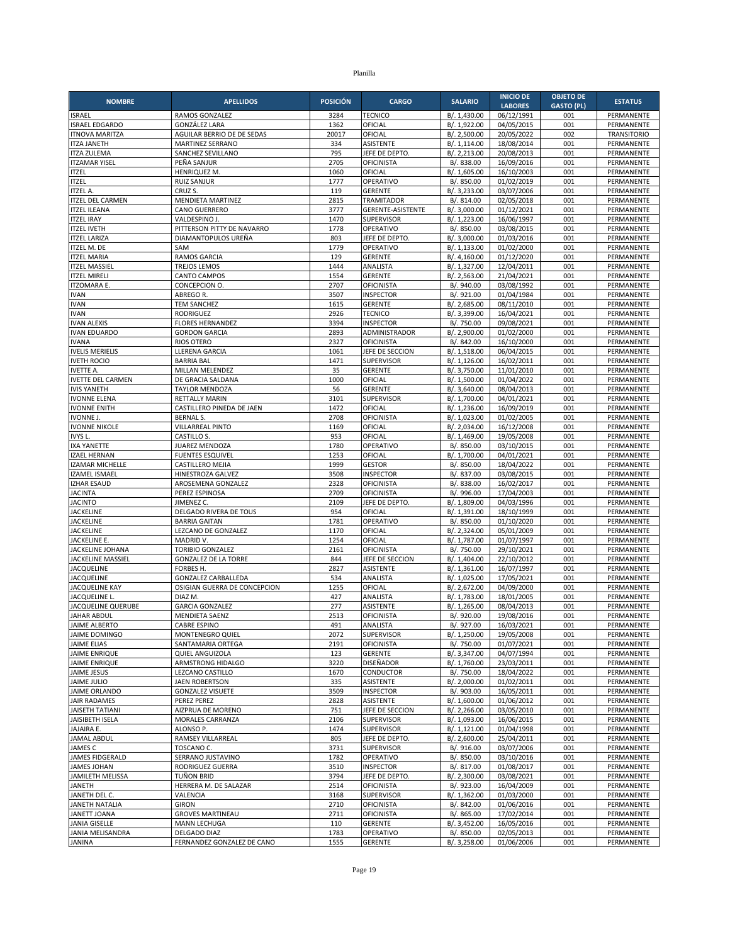| <b>NOMBRE</b>                                 | <b>APELLIDOS</b>                                           | <b>POSICIÓN</b> | <b>CARGO</b>                        | <b>SALARIO</b>               | <b>INICIO DE</b>         | <b>OBJETO DE</b>  | <b>ESTATUS</b>           |
|-----------------------------------------------|------------------------------------------------------------|-----------------|-------------------------------------|------------------------------|--------------------------|-------------------|--------------------------|
|                                               |                                                            |                 |                                     |                              | <b>LABORES</b>           | <b>GASTO (PL)</b> |                          |
| <b>ISRAEL</b><br><b>ISRAEL EDGARDO</b>        | RAMOS GONZALEZ<br><b>GONZÁLEZ LARA</b>                     | 3284<br>1362    | <b>TECNICO</b><br>OFICIAL           | B/. 1,430.00<br>B/. 1,922.00 | 06/12/1991<br>04/05/2015 | 001<br>001        | PERMANENTE<br>PERMANENTE |
| <b>ITNOVA MARITZA</b>                         | AGUILAR BERRIO DE DE SEDAS                                 | 20017           | OFICIAL                             | B/. 2,500.00                 | 20/05/2022               | 002               | <b>TRANSITORIO</b>       |
| <b>ITZA JANETH</b>                            | MARTINEZ SERRANO                                           | 334             | ASISTENTE                           | B/. 1,114.00                 | 18/08/2014               | 001               | PERMANENTE               |
| <b>ITZA ZULEMA</b>                            | SANCHEZ SEVILLANO                                          | 795             | JEFE DE DEPTO.                      | B/.2,213.00                  | 20/08/2013               | 001               | PERMANENTE               |
| <b>ITZAMAR YISEL</b>                          | PEÑA SANJUR                                                | 2705            | <b>OFICINISTA</b>                   | B/. 838.00                   | 16/09/2016               | 001               | PERMANENTE               |
| <b>ITZEL</b>                                  | HENRIQUEZ M.                                               | 1060            | OFICIAL                             | B/. 1,605.00                 | 16/10/2003               | 001               | PERMANENTE               |
| <b>ITZEL</b><br><b>ITZEL A.</b>               | <b>RUIZ SANJUR</b><br>CRUZ S.                              | 1777<br>119     | OPERATIVO<br><b>GERENTE</b>         | B/. 850.00<br>B/. 3,233.00   | 01/02/2019<br>03/07/2006 | 001<br>001        | PERMANENTE<br>PERMANENTE |
| <b>ITZEL DEL CARMEN</b>                       | MENDIETA MARTINEZ                                          | 2815            | <b>TRAMITADOR</b>                   | B/. 814.00                   | 02/05/2018               | 001               | PERMANENTE               |
| <b>ITZEL ILEANA</b>                           | <b>CANO GUERRERO</b>                                       | 3777            | <b>GERENTE-ASISTENTE</b>            | B/. 3,000.00                 | 01/12/2021               | 001               | PERMANENTE               |
| <b>ITZEL IRAY</b>                             | VALDESPINO J.                                              | 1470            | <b>SUPERVISOR</b>                   | B/. 1,223.00                 | 16/06/1997               | 001               | PERMANENTE               |
| <b>ITZEL IVETH</b>                            | PITTERSON PITTY DE NAVARRO                                 | 1778            | OPERATIVO                           | B/. 850.00                   | 03/08/2015               | 001               | PERMANENTE               |
| <b>ITZEL LARIZA</b><br><b>ITZEL M. DE</b>     | DIAMANTOPULOS UREÑA                                        | 803             | JEFE DE DEPTO.                      | B/. 3,000.00                 | 01/03/2016               | 001               | PERMANENTE               |
| <b>ITZEL MARIA</b>                            | SAM<br>RAMOS GARCIA                                        | 1779<br>129     | OPERATIVO<br><b>GERENTE</b>         | B/. 1,133.00<br>B/. 4,160.00 | 01/02/2000<br>01/12/2020 | 001<br>001        | PERMANENTE<br>PERMANENTE |
| <b>ITZEL MASSIEL</b>                          | <b>TREJOS LEMOS</b>                                        | 1444            | ANALISTA                            | B/. 1,327.00                 | 12/04/2011               | 001               | PERMANENTE               |
| <b>ITZEL MIRELI</b>                           | <b>CANTO CAMPOS</b>                                        | 1554            | <b>GERENTE</b>                      | B/. 2,563.00                 | 21/04/2021               | 001               | PERMANENTE               |
| <b>ITZOMARA E.</b>                            | CONCEPCION O.                                              | 2707            | <b>OFICINISTA</b>                   | B/. 940.00                   | 03/08/1992               | 001               | PERMANENTE               |
| <b>IVAN</b>                                   | ABREGO R.                                                  | 3507            | <b>INSPECTOR</b>                    | B/. 921.00                   | 01/04/1984               | 001               | PERMANENTE               |
| <b>IVAN</b>                                   | <b>TEM SANCHEZ</b>                                         | 1615            | <b>GERENTE</b>                      | B/. 2,685.00                 | 08/11/2010               | 001               | PERMANENTE               |
| <b>IVAN</b><br><b>IVAN ALEXIS</b>             | <b>RODRIGUEZ</b><br><b>FLORES HERNANDEZ</b>                | 2926<br>3394    | <b>TECNICO</b><br><b>INSPECTOR</b>  | B/. 3,399.00<br>B/. 750.00   | 16/04/2021<br>09/08/2021 | 001<br>001        | PERMANENTE<br>PERMANENTE |
| <b>IVAN EDUARDO</b>                           | <b>GORDON GARCIA</b>                                       | 2893            | ADMINISTRADOR                       | B/. 2,900.00                 | 01/02/2000               | 001               | PERMANENTE               |
| <b>IVANA</b>                                  | <b>RIOS OTERO</b>                                          | 2327            | <b>OFICINISTA</b>                   | B/. 842.00                   | 16/10/2000               | 001               | PERMANENTE               |
| <b>IVELIS MERIELIS</b>                        | <b>LLERENA GARCIA</b>                                      | 1061            | JEFE DE SECCION                     | B/. 1,518.00                 | 06/04/2015               | 001               | PERMANENTE               |
| <b>IVETH ROCIO</b>                            | <b>BARRIA BAL</b>                                          | 1471            | <b>SUPERVISOR</b>                   | B/. 1,126.00                 | 16/02/2011               | 001               | PERMANENTE               |
| <b>IVETTE A.</b>                              | MILLAN MELENDEZ                                            | 35              | <b>GERENTE</b>                      | B/. 3,750.00                 | 11/01/2010               | 001               | PERMANENTE               |
| <b>IVETTE DEL CARMEN</b>                      | DE GRACIA SALDANA                                          | 1000            | OFICIAL                             | B/. 1,500.00                 | 01/04/2022               | 001<br>001        | PERMANENTE               |
| <b>IVIS YANETH</b><br><b>IVONNE ELENA</b>     | <b>TAYLOR MENDOZA</b><br><b>RETTALLY MARIN</b>             | 56<br>3101      | <b>GERENTE</b><br><b>SUPERVISOR</b> | B/. 3,640.00<br>B/. 1,700.00 | 08/04/2013<br>04/01/2021 | 001               | PERMANENTE<br>PERMANENTE |
| <b>IVONNE ENITH</b>                           | CASTILLERO PINEDA DE JAEN                                  | 1472            | OFICIAL                             | B/. 1,236.00                 | 16/09/2019               | 001               | PERMANENTE               |
| <b>IVONNE J.</b>                              | <b>BERNAL S.</b>                                           | 2708            | OFICINISTA                          | B/. 1,023.00                 | 01/02/2005               | 001               | PERMANENTE               |
| <b>IVONNE NIKOLE</b>                          | VILLARREAL PINTO                                           | 1169            | OFICIAL                             | B/. 2,034.00                 | 16/12/2008               | 001               | PERMANENTE               |
| IVYS L.                                       | CASTILLO S.                                                | 953             | OFICIAL                             | B/. 1,469.00                 | 19/05/2008               | 001               | PERMANENTE               |
| <b>IXA YANETTE</b>                            | JUAREZ MENDOZA                                             | 1780            | OPERATIVO                           | B/. 850.00                   | 03/10/2015               | 001               | PERMANENTE               |
| <b>IZAEL HERNAN</b><br><b>IZAMAR MICHELLE</b> | <b>FUENTES ESQUIVEL</b><br><b>CASTILLERO MEJIA</b>         | 1253<br>1999    | OFICIAL<br><b>GESTOR</b>            | B/. 1,700.00<br>B/. 850.00   | 04/01/2021<br>18/04/2022 | 001<br>001        | PERMANENTE<br>PERMANENTE |
| <b>IZAMEL ISMAEL</b>                          | HINESTROZA GALVEZ                                          | 3508            | <b>INSPECTOR</b>                    | B/. 837.00                   | 03/08/2015               | 001               | PERMANENTE               |
| <b>IZHAR ESAUD</b>                            | AROSEMENA GONZALEZ                                         | 2328            | <b>OFICINISTA</b>                   | B/. 838.00                   | 16/02/2017               | 001               | PERMANENTE               |
| <b>JACINTA</b>                                | PEREZ ESPINOSA                                             | 2709            | <b>OFICINISTA</b>                   | B/. 996.00                   | 17/04/2003               | 001               | PERMANENTE               |
| <b>JACINTO</b>                                | JIMENEZ C.                                                 | 2109            | JEFE DE DEPTO.                      | B/. 1,809.00                 | 04/03/1996               | 001               | PERMANENTE               |
| <b>JACKELINE</b><br><b>JACKELINE</b>          | DELGADO RIVERA DE TOUS<br><b>BARRIA GAITAN</b>             | 954<br>1781     | OFICIAL                             | B/. 1,391.00                 | 18/10/1999               | 001<br>001        | PERMANENTE<br>PERMANENTE |
| <b>JACKELINE</b>                              | LEZCANO DE GONZALEZ                                        | 1170            | OPERATIVO<br>OFICIAL                | B/. 850.00<br>B/. 2,324.00   | 01/10/2020<br>05/01/2009 | 001               | PERMANENTE               |
| JACKELINE E.                                  | MADRID V.                                                  | 1254            | OFICIAL                             | B/. 1,787.00                 | 01/07/1997               | 001               | PERMANENTE               |
| JACKELINE JOHANA                              | <b>TORIBIO GONZALEZ</b>                                    | 2161            | <b>OFICINISTA</b>                   | B/. 750.00                   | 29/10/2021               | 001               | PERMANENTE               |
| JACKELINE MASSIEL                             | <b>GONZALEZ DE LA TORRE</b>                                | 844             | JEFE DE SECCION                     | B/. 1,404.00                 | 22/10/2012               | 001               | PERMANENTE               |
| <b>JACQUELINE</b>                             | FORBES H.                                                  | 2827            | <b>ASISTENTE</b>                    | B/. 1,361.00                 | 16/07/1997               | 001               | PERMANENTE               |
| <b>JACQUELINE</b><br><b>JACQUELINE KAY</b>    | <b>GONZALEZ CARBALLEDA</b><br>OSIGIAN GUERRA DE CONCEPCION | 534<br>1255     | ANALISTA<br>OFICIAL                 | B/. 1,025.00<br>B/. 2,672.00 | 17/05/2021<br>04/09/2000 | 001<br>001        | PERMANENTE<br>PERMANENTE |
| JACQUELINE L.                                 | DIAZ M.                                                    | 427             | ANALISTA                            | B/. 1,783.00                 | 18/01/2005               | 001               | PERMANENTE               |
| <b>JACQUELINE QUERUBE</b>                     | <b>GARCIA GONZALEZ</b>                                     | 277             | ASISTENTE                           | B/. 1,265.00                 | 08/04/2013               | 001               | PERMANENTE               |
| <b>JAHAR ABDUL</b>                            | <b>MENDIETA SAENZ</b>                                      | 2513            | <b>OFICINISTA</b>                   | B/. 920.00                   | 19/08/2016               | 001               | PERMANENTE               |
| <b>JAIME ALBERTO</b>                          | CABRE ESPINO                                               | 491             | ANALISTA                            | B/. 927.00                   | 16/03/2021               | 001               | PERMANENTE               |
| JAIME DOMINGO                                 | MONTENEGRO QUIEL                                           | 2072            | SUPERVISOR                          | B/. 1,250.00                 | 19/05/2008               | 001               | PERMANENTE               |
| <b>JAIME ELIAS</b><br><b>JAIME ENRIQUE</b>    | SANTAMARIA ORTEGA<br>QUIEL ANGUIZOLA                       | 2191<br>123     | <b>OFICINISTA</b><br><b>GERENTE</b> | B/. 750.00<br>B/. 3,347.00   | 01/07/2021<br>04/07/1994 | 001<br>001        | PERMANENTE<br>PERMANENTE |
| <b>JAIME ENRIQUE</b>                          | ARMSTRONG HIDALGO                                          | 3220            | DISEÑADOR                           | B/. 1,760.00                 | 23/03/2011               | 001               | PERMANENTE               |
| <b>JAIME JESUS</b>                            | LEZCANO CASTILLO                                           | 1670            | CONDUCTOR                           | B/. 750.00                   | 18/04/2022               | 001               | PERMANENTE               |
| <b>JAIME JULIO</b>                            | <b>JAEN ROBERTSON</b>                                      | 335             | ASISTENTE                           | B/. 2,000.00                 | 01/02/2011               | 001               | PERMANENTE               |
| JAIME ORLANDO                                 | <b>GONZALEZ VISUETE</b>                                    | 3509            | <b>INSPECTOR</b>                    | B/. 903.00                   | 16/05/2011               | 001               | PERMANENTE               |
| JAIR RADAMES<br><b>JAISETH TATIANI</b>        | PEREZ PEREZ                                                | 2828            | <b>ASISTENTE</b>                    | B/. 1,600.00<br>B/. 2,266.00 | 01/06/2012<br>03/05/2010 | 001               | PERMANENTE<br>PERMANENTE |
| JAISIBETH ISELA                               | AIZPRUA DE MORENO<br><b>MORALES CARRANZA</b>               | 751<br>2106     | JEFE DE SECCION<br>SUPERVISOR       | B/. 1,093.00                 | 16/06/2015               | 001<br>001        | PERMANENTE               |
| JAJAIRA E.                                    | ALONSO P.                                                  | 1474            | SUPERVISOR                          | B/. 1,121.00                 | 01/04/1998               | 001               | PERMANENTE               |
| <b>JAMAL ABDUL</b>                            | RAMSEY VILLARREAL                                          | 805             | JEFE DE DEPTO.                      | B/. 2,600.00                 | 25/04/2011               | 001               | PERMANENTE               |
| <b>JAMES C</b>                                | TOSCANO C.                                                 | 3731            | SUPERVISOR                          | B/. 916.00                   | 03/07/2006               | 001               | PERMANENTE               |
| JAMES FIDGERALD                               | SERRANO JUSTAVINO                                          | 1782            | OPERATIVO                           | B/. 850.00                   | 03/10/2016               | 001               | PERMANENTE               |
| <b>JAMES JOHAN</b><br>JAMILETH MELISSA        | RODRIGUEZ GUERRA<br>TUÑON BRID                             | 3510<br>3794    | <b>INSPECTOR</b><br>JEFE DE DEPTO.  | B/. 817.00<br>B/. 2,300.00   | 01/08/2017<br>03/08/2021 | 001<br>001        | PERMANENTE<br>PERMANENTE |
| <b>JANETH</b>                                 | HERRERA M. DE SALAZAR                                      | 2514            | <b>OFICINISTA</b>                   | B/. 923.00                   | 16/04/2009               | 001               | PERMANENTE               |
| JANETH DEL C.                                 | VALENCIA                                                   | 3168            | SUPERVISOR                          | B/. 1,362.00                 | 01/03/2000               | 001               | PERMANENTE               |
| <b>JANETH NATALIA</b>                         | <b>GIRON</b>                                               | 2710            | <b>OFICINISTA</b>                   | B/. 842.00                   | 01/06/2016               | 001               | PERMANENTE               |
| <b>JANETT JOANA</b>                           | <b>GROVES MARTINEAU</b>                                    | 2711            | <b>OFICINISTA</b>                   | B/. 865.00                   | 17/02/2014               | 001               | PERMANENTE               |
| <b>JANIA GISELLE</b>                          | MANN LECHUGA                                               | 110             | <b>GERENTE</b>                      | B/. 3,452.00                 | 16/05/2016               | 001               | PERMANENTE               |
| JANIA MELISANDRA<br><b>JANINA</b>             | DELGADO DIAZ<br>FERNANDEZ GONZALEZ DE CANO                 | 1783<br>1555    | OPERATIVO<br>GERENTE                | B/. 850.00<br>B/. 3,258.00   | 02/05/2013<br>01/06/2006 | 001<br>001        | PERMANENTE<br>PERMANENTE |
|                                               |                                                            |                 |                                     |                              |                          |                   |                          |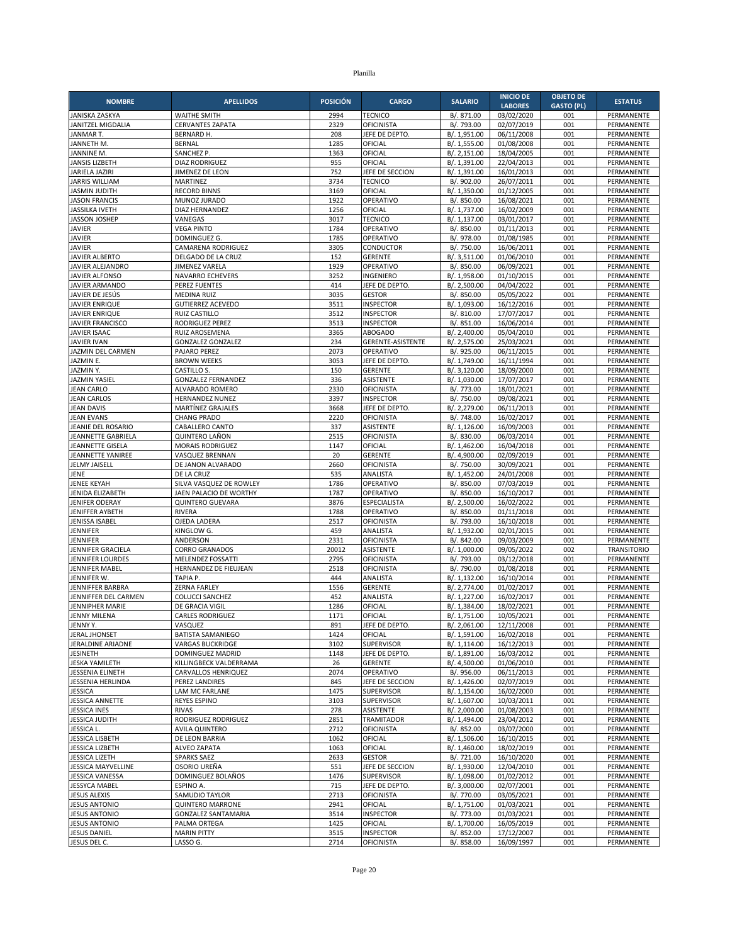| <b>NOMBRE</b>                                | <b>APELLIDOS</b>                                   | <b>POSICIÓN</b> | <b>CARGO</b>                          | <b>SALARIO</b>               | <b>INICIO DE</b>         | <b>OBJETO DE</b>  | <b>ESTATUS</b>           |
|----------------------------------------------|----------------------------------------------------|-----------------|---------------------------------------|------------------------------|--------------------------|-------------------|--------------------------|
|                                              |                                                    |                 |                                       |                              | <b>LABORES</b>           | <b>GASTO (PL)</b> |                          |
| JANISKA ZASKYA<br>JANITZEL MIGDALIA          | <b>WAITHE SMITH</b><br><b>CERVANTES ZAPATA</b>     | 2994<br>2329    | <b>TECNICO</b><br>OFICINISTA          | B/. 871.00<br>B/. 793.00     | 03/02/2020<br>02/07/2019 | 001<br>001        | PERMANENTE<br>PERMANENTE |
| JANMAR T.                                    | BERNARD H.                                         | 208             | JEFE DE DEPTO.                        | B/. 1,951.00                 | 06/11/2008               | 001               | PERMANENTE               |
| JANNETH M.                                   | <b>BERNAL</b>                                      | 1285            | OFICIAL                               | B/. 1,555.00                 | 01/08/2008               | 001               | PERMANENTE               |
| JANNINE M.                                   | SANCHEZ P.                                         | 1363            | OFICIAL                               | B/. 2,151.00                 | 18/04/2005               | 001               | PERMANENTE               |
| <b>JANSIS LIZBETH</b><br>JARIELA JAZIRI      | <b>DIAZ RODRIGUEZ</b><br>JIMENEZ DE LEON           | 955<br>752      | OFICIAL<br>JEFE DE SECCION            | B/. 1,391.00<br>B/. 1,391.00 | 22/04/2013<br>16/01/2013 | 001<br>001        | PERMANENTE<br>PERMANENTE |
| <b>JARRIS WILLIAM</b>                        | MARTINEZ                                           | 3734            | <b>TECNICO</b>                        | B/. 902.00                   | 26/07/2011               | 001               | PERMANENTE               |
| <b>JASMIN JUDITH</b>                         | <b>RECORD BINNS</b>                                | 3169            | OFICIAL                               | B/. 1,350.00                 | 01/12/2005               | 001               | PERMANENTE               |
| <b>JASON FRANCIS</b>                         | MUNOZ JURADO                                       | 1922            | OPERATIVO                             | B/. 850.00                   | 16/08/2021               | 001               | PERMANENTE               |
| <b>JASSILKA IVETH</b>                        | DIAZ HERNANDEZ                                     | 1256            | OFICIAL                               | B/. 1,737.00                 | 16/02/2009               | 001               | PERMANENTE               |
| <b>JASSON JOSHEP</b><br><b>JAVIER</b>        | VANEGAS<br><b>VEGA PINTO</b>                       | 3017<br>1784    | <b>TECNICO</b><br>OPERATIVO           | B/. 1.137.00<br>B/. 850.00   | 03/01/2017<br>01/11/2013 | 001<br>001        | PERMANENTE<br>PERMANENTE |
| <b>JAVIER</b>                                | DOMINGUEZ G.                                       | 1785            | OPERATIVO                             | B/. 978.00                   | 01/08/1985               | 001               | PERMANENTE               |
| <b>JAVIER</b>                                | CAMARENA RODRIGUEZ                                 | 3305            | CONDUCTOR                             | B/. 750.00                   | 16/06/2011               | 001               | PERMANENTE               |
| <b>JAVIER ALBERTO</b>                        | DELGADO DE LA CRUZ                                 | 152             | <b>GERENTE</b>                        | B/. 3,511.00                 | 01/06/2010               | 001               | PERMANENTE               |
| JAVIER ALEJANDRO                             | JIMENEZ VARELA                                     | 1929            | OPERATIVO                             | B/. 850.00                   | 06/09/2021               | 001               | PERMANENTE               |
| <b>JAVIER ALFONSO</b>                        | NAVARRO ECHEVERS                                   | 3252<br>414     | <b>INGENIERO</b>                      | B/. 1,958.00<br>B/. 2,500.00 | 01/10/2015               | 001<br>001        | PERMANENTE               |
| JAVIER ARMANDO<br>JAVIER DE JESÚS            | <b>PEREZ FUENTES</b><br><b>MEDINA RUIZ</b>         | 3035            | JEFE DE DEPTO.<br><b>GESTOR</b>       | B/. 850.00                   | 04/04/2022<br>05/05/2022 | 001               | PERMANENTE<br>PERMANENTE |
| <b>JAVIER ENRIQUE</b>                        | <b>GUTIERREZ ACEVEDO</b>                           | 3511            | <b>INSPECTOR</b>                      | B/. 1,093.00                 | 16/12/2016               | 001               | PERMANENTE               |
| <b>JAVIER ENRIQUE</b>                        | <b>RUIZ CASTILLO</b>                               | 3512            | <b>INSPECTOR</b>                      | B/. 810.00                   | 17/07/2017               | 001               | PERMANENTE               |
| <b>JAVIER FRANCISCO</b>                      | RODRIGUEZ PEREZ                                    | 3513            | <b>INSPECTOR</b>                      | B/. 851.00                   | 16/06/2014               | 001               | PERMANENTE               |
| <b>JAVIER ISAAC</b>                          | RUIZ AROSEMENA                                     | 3365            | <b>ABOGADO</b>                        | B/. 2,400.00                 | 05/04/2010               | 001               | PERMANENTE               |
| <b>JAVIER IVAN</b><br>JAZMIN DEL CARMEN      | <b>GONZALEZ GONZALEZ</b><br>PAJARO PEREZ           | 234<br>2073     | GERENTE-ASISTENTE<br>OPERATIVO        | B/. 2,575.00<br>B/. 925.00   | 25/03/2021<br>06/11/2015 | 001<br>001        | PERMANENTE<br>PERMANENTE |
| JAZMIN E.                                    | <b>BROWN WEEKS</b>                                 | 3053            | JEFE DE DEPTO                         | B/. 1,749.00                 | 16/11/1994               | 001               | PERMANENTE               |
| JAZMIN Y.                                    | CASTILLO S.                                        | 150             | <b>GERENTE</b>                        | B/. 3,120.00                 | 18/09/2000               | 001               | PERMANENTE               |
| <b>JAZMIN YASIEL</b>                         | <b>GONZALEZ FERNANDEZ</b>                          | 336             | <b>ASISTENTE</b>                      | B/. 1,030.00                 | 17/07/2017               | 001               | PERMANENTE               |
| <b>JEAN CARLO</b>                            | ALVARADO ROMERO                                    | 2330            | <b>OFICINISTA</b>                     | B/. 773.00                   | 18/01/2021               | 001               | PERMANENTE               |
| <b>JEAN CARLOS</b>                           | HERNANDEZ NUNEZ                                    | 3397            | <b>INSPECTOR</b>                      | B/. 750.00                   | 09/08/2021               | 001               | <b>PERMANENTE</b>        |
| <b>JEAN DAVIS</b><br><b>JEAN EVANS</b>       | MARTÍNEZ GRAJALES<br><b>CHANG PRADO</b>            | 3668<br>2220    | JEFE DE DEPTO<br>OFICINISTA           | B/. 2,279.00<br>B/. 748.00   | 06/11/2013<br>16/02/2017 | 001<br>001        | PERMANENTE<br>PERMANENTE |
| JEANIE DEL ROSARIO                           | CABALLERO CANTO                                    | 337             | <b>ASISTENTE</b>                      | B/. 1.126.00                 | 16/09/2003               | 001               | PERMANENTE               |
| JEANNETTE GABRIELA                           | <b>QUINTERO LAÑON</b>                              | 2515            | <b>OFICINISTA</b>                     | B/. 830.00                   | 06/03/2014               | 001               | PERMANENTE               |
| JEANNETTE GISELA                             | <b>MORAIS RODRIGUEZ</b>                            | 1147            | OFICIAL                               | B/. 1,462.00                 | 16/04/2018               | 001               | PERMANENTE               |
| JEANNETTE YANIREE                            | VASQUEZ BRENNAN                                    | 20              | <b>GERENTE</b>                        | B/. 4,900.00                 | 02/09/2019               | 001               | PERMANENTE               |
| JELMY JAISELL<br>JENE                        | DE JANON ALVARADO<br>DE LA CRUZ                    | 2660<br>535     | <b>OFICINISTA</b><br>ANALISTA         | B/. 750.00<br>B/. 1,452.00   | 30/09/2021<br>24/01/2008 | 001<br>001        | PERMANENTE<br>PERMANENTE |
| <b>JENEE KEYAH</b>                           | SILVA VASQUEZ DE ROWLEY                            | 1786            | OPERATIVO                             | B/. 850.00                   | 07/03/2019               | 001               | PERMANENTE               |
| JENIDA ELIZABETH                             | JAEN PALACIO DE WORTHY                             | 1787            | OPERATIVO                             | B/. 850.00                   | 16/10/2017               | 001               | PERMANENTE               |
| JENIFER ODERAY                               | <b>QUINTERO GUEVARA</b>                            | 3876            | <b>ESPECIALISTA</b>                   | B/. 2,500.00                 | 16/02/2022               | 001               | PERMANENTE               |
| <b>JENIFFER AYBETH</b>                       | <b>RIVERA</b>                                      | 1788            | OPERATIVO                             | B/. 850.00                   | 01/11/2018               | 001               | PERMANENTE               |
| JENISSA ISABEL<br><b>JENNIFER</b>            | OJEDA LADERA<br>KINGLOW G.                         | 2517<br>459     | <b>OFICINISTA</b><br>ANALISTA         | B/. 793.00<br>B/. 1,932.00   | 16/10/2018<br>02/01/2015 | 001<br>001        | PERMANENTE<br>PERMANENTE |
| JENNIFER                                     | ANDERSON                                           | 2331            | OFICINISTA                            | B/. 842.00                   | 09/03/2009               | 001               | PERMANENTE               |
| JENNIFER GRACIELA                            | <b>CORRO GRANADOS</b>                              | 20012           | ASISTENTE                             | B/. 1,000.00                 | 09/05/2022               | 002               | <b>TRANSITORIO</b>       |
| JENNIFER LOURDES                             | MELENDEZ FOSSATTI                                  | 2795            | OFICINISTA                            | B/. 793.00                   | 03/12/2018               | 001               | PERMANENTE               |
| JENNIFER MABEL                               | HERNANDEZ DE FIEUJEAN                              | 2518            | <b>OFICINISTA</b>                     | B/. 790.00                   | 01/08/2018               | 001               | PERMANENTE               |
| JENNIFER W.                                  | TAPIA P.                                           | 444             | ANALISTA                              | B/. 1,132.00                 | 16/10/2014               | 001               | PERMANENTE               |
| JENNIFFER BARBRA<br>JENNIFFER DEL CARMEN     | <b>ZERNA FARLEY</b><br><b>COLUCCI SANCHEZ</b>      | 1556<br>452     | <b>GERENTE</b><br>ANALISTA            | B/. 2,774.00<br>B/. 1,227.00 | 01/02/2017<br>16/02/2017 | 001<br>001        | PERMANENTE<br>PERMANENTE |
| <b>JENNIPHER MARIE</b>                       | DE GRACIA VIGIL                                    | 1286            | OFICIAL                               | B/. 1,384.00                 | 18/02/2021               | 001               | PERMANENTE               |
| <b>JENNY MILENA</b>                          | <b>CARLES RODRIGUEZ</b>                            | 1171            | OFICIAL                               | B/. 1,751.00                 | 10/05/2021               | 001               | PERMANENTE               |
| JENNY Y.                                     | VASQUEZ                                            | 891             | JEFE DE DEPTO.                        | B/. 2,061.00                 | 12/11/2008               | 001               | PERMANENTE               |
| JERAL JHONSET                                | <b>BATISTA SAMANIEGO</b>                           | 1424            | OFICIAL                               | B/. 1,591.00                 | 16/02/2018               | 001               | PERMANENTE               |
| JERALDINE ARIADNE<br><b>JESINETH</b>         | <b>VARGAS BUCKRIDGE</b><br><b>DOMINGUEZ MADRID</b> | 3102<br>1148    | SUPERVISOR<br>JEFE DE DEPTO.          | B/. 1,114.00<br>B/. 1,891.00 | 16/12/2013<br>16/03/2012 | 001<br>001        | PERMANENTE<br>PERMANENTE |
| <b>JESKA YAMILETH</b>                        | KILLINGBECK VALDERRAMA                             | 26              | GERENTE                               | B/. 4,500.00                 | 01/06/2010               | 001               | PERMANENTE               |
| JESSENIA ELINETH                             | CARVALLOS HENRIQUEZ                                | 2074            | OPERATIVO                             | B/. 956.00                   | 06/11/2013               | 001               | PERMANENTE               |
| JESSENIA HERLINDA                            | PEREZ LANDIRES                                     | 845             | JEFE DE SECCION                       | B/. 1,426.00                 | 02/07/2019               | 001               | PERMANENTE               |
| <b>JESSICA</b>                               | LAM MC FARLANE                                     | 1475            | SUPERVISOR                            | B/. 1,154.00                 | 16/02/2000               | 001               | PERMANENTE               |
| JESSICA ANNETTE                              | <b>REYES ESPINO</b>                                | 3103<br>278     | SUPERVISOR<br><b>ASISTENTE</b>        | B/. 1,607.00                 | 10/03/2011               | 001               | PERMANENTE               |
| <b>JESSICA INES</b><br><b>JESSICA JUDITH</b> | <b>RIVAS</b><br>RODRIGUEZ RODRIGUEZ                | 2851            | <b>TRAMITADOR</b>                     | B/. 2,000.00<br>B/. 1,494.00 | 01/08/2003<br>23/04/2012 | 001<br>001        | PERMANENTE<br>PERMANENTE |
| JESSICA L.                                   | <b>AVILA QUINTERO</b>                              | 2712            | <b>OFICINISTA</b>                     | B/. 852.00                   | 03/07/2000               | 001               | PERMANENTE               |
| <b>JESSICA LISBETH</b>                       | DE LEON BARRIA                                     | 1062            | OFICIAL                               | B/. 1,506.00                 | 16/10/2015               | 001               | PERMANENTE               |
| <b>JESSICA LIZBETH</b>                       | ALVEO ZAPATA                                       | 1063            | OFICIAL                               | B/. 1,460.00                 | 18/02/2019               | 001               | PERMANENTE               |
| <b>JESSICA LIZETH</b>                        | <b>SPARKS SAEZ</b>                                 | 2633            | <b>GESTOR</b>                         | B/. 721.00                   | 16/10/2020               | 001               | PERMANENTE               |
| JESSICA MAYVELLINE<br>JESSICA VANESSA        | OSORIO UREÑA<br>DOMINGUEZ BOLAÑOS                  | 551<br>1476     | JEFE DE SECCION<br>SUPERVISOR         | B/. 1,930.00<br>B/. 1,098.00 | 12/04/2010<br>01/02/2012 | 001<br>001        | PERMANENTE<br>PERMANENTE |
| <b>JESSYCA MABEL</b>                         | ESPINO A.                                          | 715             | JEFE DE DEPTO                         | B/. 3,000.00                 | 02/07/2001               | 001               | PERMANENTE               |
| <b>JESUS ALEXIS</b>                          | SAMUDIO TAYLOR                                     | 2713            | OFICINISTA                            | B/. 770.00                   | 03/05/2021               | 001               | PERMANENTE               |
| <b>JESUS ANTONIO</b>                         | <b>QUINTERO MARRONE</b>                            | 2941            | OFICIAL                               | B/. 1,751.00                 | 01/03/2021               | 001               | PERMANENTE               |
| <b>JESUS ANTONIO</b>                         | <b>GONZALEZ SANTAMARIA</b>                         | 3514            | <b>INSPECTOR</b>                      | B/. 773.00                   | 01/03/2021               | 001               | PERMANENTE               |
| <b>JESUS ANTONIO</b>                         | PALMA ORTEGA                                       | 1425            | OFICIAL                               | B/. 1,700.00                 | 16/05/2019               | 001               | PERMANENTE               |
| <b>JESUS DANIEL</b><br>JESUS DEL C.          | <b>MARIN PITTY</b><br>LASSO G.                     | 3515<br>2714    | <b>INSPECTOR</b><br><b>OFICINISTA</b> | B/. 852.00                   | 17/12/2007               | 001<br>001        | PERMANENTE<br>PERMANENTE |
|                                              |                                                    |                 |                                       | B/. 858.00                   | 16/09/1997               |                   |                          |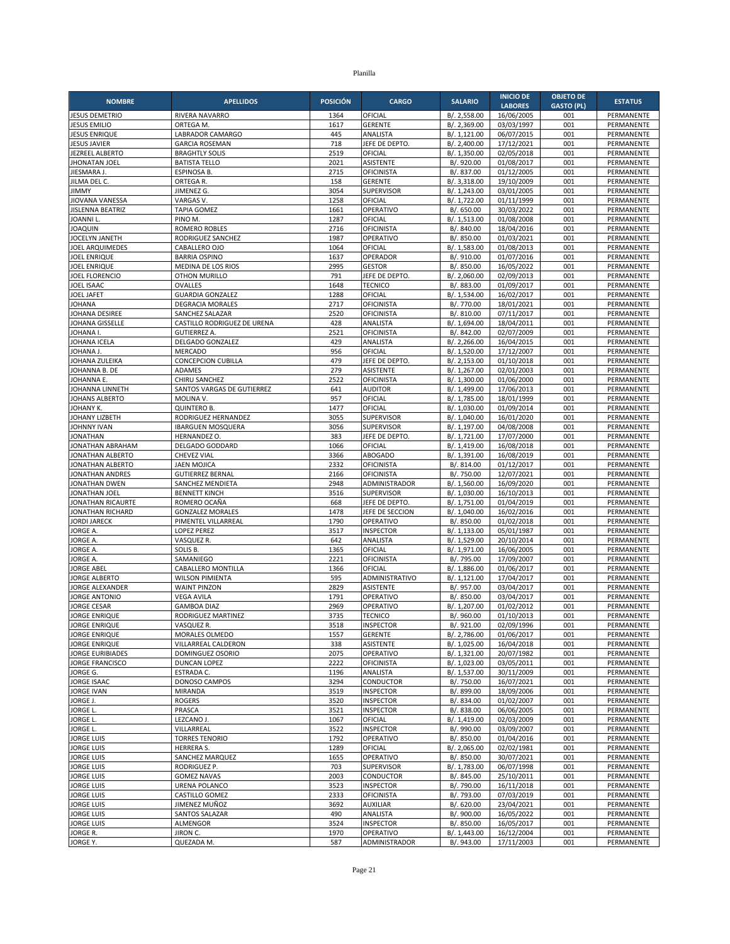| <b>NOMBRE</b>                                | <b>APELLIDOS</b>                           | <b>POSICIÓN</b> | <b>CARGO</b>                         | <b>SALARIO</b>               | <b>INICIO DE</b>         | <b>OBJETO DE</b>  | <b>ESTATUS</b>           |
|----------------------------------------------|--------------------------------------------|-----------------|--------------------------------------|------------------------------|--------------------------|-------------------|--------------------------|
|                                              |                                            |                 |                                      |                              | <b>LABORES</b>           | <b>GASTO (PL)</b> |                          |
| <b>JESUS DEMETRIO</b><br><b>JESUS EMILIO</b> | RIVERA NAVARRO<br>ORTEGA M.                | 1364<br>1617    | OFICIAL<br><b>GERENTE</b>            | B/. 2,558.00<br>B/. 2,369.00 | 16/06/2005<br>03/03/1997 | 001<br>001        | PERMANENTE<br>PERMANENTE |
| <b>JESUS ENRIQUE</b>                         | LABRADOR CAMARGO                           | 445             | ANALISTA                             | B/. 1,121.00                 | 06/07/2015               | 001               | PERMANENTE               |
| <b>JESUS JAVIER</b>                          | <b>GARCIA ROSEMAN</b>                      | 718             | JEFE DE DEPTO.                       | B/. 2,400.00                 | 17/12/2021               | 001               | PERMANENTE               |
| JEZREEL ALBERTO                              | <b>BRAGHTLY SOLIS</b>                      | 2519            | OFICIAL                              | B/. 1,350.00                 | 02/05/2018               | 001               | PERMANENTE               |
| <b>JHONATAN JOEL</b>                         | <b>BATISTA TELLO</b>                       | 2021            | ASISTENTE                            | B/. 920.00                   | 01/08/2017               | 001               | <b>PERMANENTE</b>        |
| JIESMARA J.                                  | ESPINOSA B.                                | 2715            | <b>OFICINISTA</b>                    | B/. 837.00                   | 01/12/2005               | 001               | PERMANENTE               |
| JILMA DEL C.                                 | ORTEGA R.                                  | 158<br>3054     | <b>GERENTE</b>                       | B/. 3,318.00<br>B/. 1,243.00 | 19/10/2009               | 001<br>001        | PERMANENTE               |
| <b>JIMMY</b><br>JIOVANA VANESSA              | JIMENEZ G.<br>VARGAS V.                    | 1258            | <b>SUPERVISOR</b><br>OFICIAL         | B/. 1,722.00                 | 03/01/2005<br>01/11/1999 | 001               | PERMANENTE<br>PERMANENTE |
| <b>JISLENNA BEATRIZ</b>                      | <b>TAPIA GOMEZ</b>                         | 1661            | OPERATIVO                            | B/. 650.00                   | 30/03/2022               | 001               | PERMANENTE               |
| <b>JOANNIL</b>                               | PINO M.                                    | 1287            | OFICIAL                              | B/. 1,513.00                 | 01/08/2008               | 001               | PERMANENTE               |
| <b>JOAQUIN</b>                               | <b>ROMERO ROBLES</b>                       | 2716            | <b>OFICINISTA</b>                    | B/. 840.00                   | 18/04/2016               | 001               | PERMANENTE               |
| JOCELYN JANETH                               | RODRIGUEZ SANCHEZ                          | 1987            | OPERATIVO                            | B/. 850.00                   | 01/03/2021               | 001               | PERMANENTE               |
| <b>JOEL ARQUIMEDES</b>                       | CABALLERO OJO                              | 1064            | OFICIAL                              | B/. 1,583.00                 | 01/08/2013               | 001               | PERMANENTE               |
| <b>JOEL ENRIQUE</b>                          | <b>BARRIA OSPINO</b>                       | 1637<br>2995    | OPERADOR<br><b>GESTOR</b>            | B/. 910.00<br>B/. 850.00     | 01/07/2016<br>16/05/2022 | 001<br>001        | PERMANENTE               |
| <b>JOEL ENRIQUE</b><br><b>JOEL FLORENCIO</b> | MEDINA DE LOS RIOS<br><b>OTHON MURILLO</b> | 791             | JEFE DE DEPTO                        | B/. 2,060.00                 | 02/09/2013               | 001               | PERMANENTE<br>PERMANENTE |
| JOEL ISAAC                                   | <b>OVALLES</b>                             | 1648            | <b>TECNICO</b>                       | B/. 883.00                   | 01/09/2017               | 001               | PERMANENTE               |
| JOEL JAFET                                   | <b>GUARDIA GONZALEZ</b>                    | 1288            | OFICIAL                              | B/. 1,534.00                 | 16/02/2017               | 001               | PERMANENTE               |
| <b>JOHANA</b>                                | <b>DEGRACIA MORALES</b>                    | 2717            | OFICINISTA                           | B/. 770.00                   | 18/01/2021               | 001               | PERMANENTE               |
| JOHANA DESIREE                               | SANCHEZ SALAZAR                            | 2520            | <b>OFICINISTA</b>                    | B/. 810.00                   | 07/11/2017               | 001               | PERMANENTE               |
| JOHANA GISSELLE                              | CASTILLO RODRIGUEZ DE URENA                | 428             | ANALISTA                             | B/. 1,694.00                 | 18/04/2011               | 001               | PERMANENTE               |
| JOHANA I.<br>JOHANA ICELA                    | <b>GUTIERREZ A.</b><br>DELGADO GONZALEZ    | 2521<br>429     | <b>OFICINISTA</b><br>ANALISTA        | B/. 842.00                   | 02/07/2009<br>16/04/2015 | 001<br>001        | PERMANENTE<br>PERMANENTE |
| JOHANA J.                                    | <b>MERCADO</b>                             | 956             | OFICIAL                              | B/. 2,266.00<br>B/. 1,520.00 | 17/12/2007               | 001               | PERMANENTE               |
| JOHANA ZULEIKA                               | <b>CONCEPCION CUBILLA</b>                  | 479             | JEFE DE DEPTO.                       | B/. 2,153.00                 | 01/10/2018               | 001               | PERMANENTE               |
| JOHANNA B. DE                                | ADAMES                                     | 279             | <b>ASISTENTE</b>                     | B/. 1,267.00                 | 02/01/2003               | 001               | PERMANENTE               |
| JOHANNA E.                                   | CHIRU SANCHEZ                              | 2522            | OFICINISTA                           | B/. 1,300.00                 | 01/06/2000               | 001               | PERMANENTE               |
| JOHANNA LINNETH                              | SANTOS VARGAS DE GUTIERREZ                 | 641             | <b>AUDITOR</b>                       | B/. 1,499.00                 | 17/06/2013               | 001               | PERMANENTE               |
| JOHANS ALBERTO                               | MOLINA V.                                  | 957             | OFICIAL                              | B/. 1,785.00                 | 18/01/1999               | 001               | <b>PERMANENTE</b>        |
| JOHANY K.<br>JOHANY LIZBETH                  | <b>QUINTERO B.</b><br>RODRIGUEZ HERNANDEZ  | 1477<br>3055    | OFICIAL<br>SUPERVISOR                | B/. 1,030.00<br>B/. 1,040.00 | 01/09/2014<br>16/01/2020 | 001<br>001        | PERMANENTE<br>PERMANENTE |
| <b>JOHNNY IVAN</b>                           | <b>IBARGUEN MOSQUERA</b>                   | 3056            | <b>SUPERVISOR</b>                    | B/. 1.197.00                 | 04/08/2008               | 001               | PERMANENTE               |
| <b>JONATHAN</b>                              | HERNANDEZ O.                               | 383             | JEFE DE DEPTO.                       | B/. 1,721.00                 | 17/07/2000               | 001               | PERMANENTE               |
| JONATHAN ABRAHAM                             | <b>DELGADO GODDARD</b>                     | 1066            | OFICIAL                              | B/. 1,419.00                 | 16/08/2018               | 001               | PERMANENTE               |
| <b>JONATHAN ALBERTO</b>                      | <b>CHEVEZ VIAL</b>                         | 3366            | <b>ABOGADO</b>                       | B/. 1,391.00                 | 16/08/2019               | 001               | PERMANENTE               |
| JONATHAN ALBERTO                             | <b>JAEN MOJICA</b>                         | 2332            | <b>OFICINISTA</b>                    | B/. 814.00                   | 01/12/2017               | 001               | PERMANENTE               |
| <b>JONATHAN ANDRES</b>                       | <b>GUTIERREZ BERNAL</b>                    | 2166            | <b>OFICINISTA</b>                    | B/. 750.00                   | 12/07/2021               | 001               | PERMANENTE               |
| JONATHAN DWEN<br>JONATHAN JOEL               | SANCHEZ MENDIETA<br><b>BENNETT KINCH</b>   | 2948<br>3516    | ADMINISTRADOR<br>SUPERVISOR          | B/. 1,560.00<br>B/. 1,030.00 | 16/09/2020<br>16/10/2013 | 001<br>001        | PERMANENTE<br>PERMANENTE |
| JONATHAN RICAURTE                            | ROMERO OCAÑA                               | 668             | JEFE DE DEPTO                        | B/. 1,751.00                 | 01/04/2019               | 001               | PERMANENTE               |
| JONATHAN RICHARD                             | <b>GONZALEZ MORALES</b>                    | 1478            | JEFE DE SECCION                      | B/. 1,040.00                 | 16/02/2016               | 001               | PERMANENTE               |
| <b>JORDI JARECK</b>                          | PIMENTEL VILLARREAL                        | 1790            | OPERATIVO                            | B/. 850.00                   | 01/02/2018               | 001               | PERMANENTE               |
| JORGE A.                                     | <b>LOPEZ PEREZ</b>                         | 3517            | <b>INSPECTOR</b>                     | B/. 1,133.00                 | 05/01/1987               | 001               | <b>PERMANENTE</b>        |
| JORGE A.                                     | VASQUEZ R.                                 | 642             | ANALISTA                             | B/. 1,529.00                 | 20/10/2014               | 001               | PERMANENTE               |
| JORGE A.                                     | SOLIS B.                                   | 1365            | OFICIAL                              | B/. 1,971.00                 | 16/06/2005               | 001               | PERMANENTE               |
| JORGE A.<br><b>JORGE ABEL</b>                | SAMANIEGO<br>CABALLERO MONTILLA            | 2221<br>1366    | <b>OFICINISTA</b><br>OFICIAL         | B/. 795.00<br>B/. 1,886.00   | 17/09/2007<br>01/06/2017 | 001<br>001        | PERMANENTE<br>PERMANENTE |
| <b>JORGE ALBERTO</b>                         | <b>WILSON PIMIENTA</b>                     | 595             | ADMINISTRATIVO                       | B/. 1,121.00                 | 17/04/2017               | 001               | PERMANENTE               |
| <b>JORGE ALEXANDER</b>                       | <b>WAINT PINZON</b>                        | 2829            | <b>ASISTENTE</b>                     | B/. 957.00                   | 03/04/2017               | 001               | PERMANENTE               |
| <b>JORGE ANTONIO</b>                         | <b>VEGA AVILA</b>                          | 1791            | OPERATIVO                            | B/. 850.00                   | 03/04/2017               | 001               | PERMANENTE               |
| <b>JORGE CESAR</b>                           | <b>GAMBOA DIAZ</b>                         | 2969            | OPERATIVO                            | B/. 1,207.00                 | 01/02/2012               | 001               | PERMANENTE               |
| <b>JORGE ENRIQUE</b>                         | RODRIGUEZ MARTINEZ                         | 3735            | <b>TECNICO</b>                       | B/. 960.00                   | 01/10/2013               | 001               | PERMANENTE               |
| JORGE ENRIQUE<br><b>JORGE ENRIQUE</b>        | VASQUEZ R.<br>MORALES OLMEDO               | 3518<br>1557    | <b>INSPECTOR</b><br><b>GERENTE</b>   | B/. 921.00<br>B/. 2,786.00   | 02/09/1996<br>01/06/2017 | 001<br>001        | PERMANENTE<br>PERMANENTE |
| <b>JORGE ENRIQUE</b>                         | VILLARREAL CALDERON                        | 338             | ASISTENTE                            | B/. 1,025.00                 | 16/04/2018               | 001               | PERMANENTE               |
| <b>JORGE EURIBIADES</b>                      | DOMINGUEZ OSORIO                           | 2075            | OPERATIVO                            | B/. 1,321.00                 | 20/07/1982               | 001               | PERMANENTE               |
| <b>JORGE FRANCISCO</b>                       | <b>DUNCAN LOPEZ</b>                        | 2222            | <b>OFICINISTA</b>                    | B/. 1,023.00                 | 03/05/2011               | 001               | PERMANENTE               |
| JORGE G.                                     | ESTRADA C.                                 | 1196            | ANALISTA                             | B/. 1,537.00                 | 30/11/2009               | 001               | PERMANENTE               |
| <b>JORGE ISAAC</b>                           | DONOSO CAMPOS                              | 3294            | CONDUCTOR                            | B/. 750.00                   | 16/07/2021               | 001               | PERMANENTE               |
| <b>JORGE IVAN</b>                            | <b>MIRANDA</b>                             | 3519<br>3520    | <b>INSPECTOR</b>                     | B/. 899.00<br>B/. 834.00     | 18/09/2006               | 001               | PERMANENTE               |
| JORGE J.<br>JORGE L.                         | <b>ROGERS</b><br>PRASCA                    | 3521            | <b>INSPECTOR</b><br><b>INSPECTOR</b> | B/. 838.00                   | 01/02/2007<br>06/06/2005 | 001<br>001        | PERMANENTE<br>PERMANENTE |
| JORGE L.                                     | LEZCANO J.                                 | 1067            | OFICIAL                              | B/. 1,419.00                 | 02/03/2009               | 001               | PERMANENTE               |
| JORGE L.                                     | VILLARREAL                                 | 3522            | <b>INSPECTOR</b>                     | B/. 990.00                   | 03/09/2007               | 001               | PERMANENTE               |
| <b>JORGE LUIS</b>                            | <b>TORRES TENORIO</b>                      | 1792            | OPERATIVO                            | B/. 850.00                   | 01/04/2016               | 001               | PERMANENTE               |
| <b>JORGE LUIS</b>                            | HERRERA S.                                 | 1289            | OFICIAL                              | B/. 2,065.00                 | 02/02/1981               | 001               | PERMANENTE               |
| <b>JORGE LUIS</b>                            | SANCHEZ MARQUEZ                            | 1655            | OPERATIVO                            | B/. 850.00                   | 30/07/2021               | 001               | PERMANENTE               |
| <b>JORGE LUIS</b><br><b>JORGE LUIS</b>       | RODRIGUEZ P.<br><b>GOMEZ NAVAS</b>         | 703<br>2003     | <b>SUPERVISOR</b><br>CONDUCTOR       | B/. 1,783.00<br>B/. 845.00   | 06/07/1998<br>25/10/2011 | 001<br>001        | PERMANENTE<br>PERMANENTE |
| <b>JORGE LUIS</b>                            | URENA POLANCO                              | 3523            | <b>INSPECTOR</b>                     | B/. 790.00                   | 16/11/2018               | 001               | PERMANENTE               |
| <b>JORGE LUIS</b>                            | CASTILLO GOMEZ                             | 2333            | OFICINISTA                           | B/. 793.00                   | 07/03/2019               | 001               | PERMANENTE               |
| <b>JORGE LUIS</b>                            | JIMENEZ MUÑOZ                              | 3692            | <b>AUXILIAR</b>                      | B/. 620.00                   | 23/04/2021               | 001               | PERMANENTE               |
| <b>JORGE LUIS</b>                            | SANTOS SALAZAR                             | 490             | ANALISTA                             | B/. 900.00                   | 16/05/2022               | 001               | PERMANENTE               |
| <b>JORGE LUIS</b>                            | ALMENGOR                                   | 3524            | <b>INSPECTOR</b>                     | B/. 850.00                   | 16/05/2017               | 001               | PERMANENTE               |
| JORGE R.                                     | JIRON C.                                   | 1970            | OPERATIVO                            | B/. 1,443.00                 | 16/12/2004               | 001               | PERMANENTE               |
| JORGE Y.                                     | QUEZADA M.                                 | 587             | ADMINISTRADOR                        | B/. 943.00                   | 17/11/2003               | 001               | PERMANENTE               |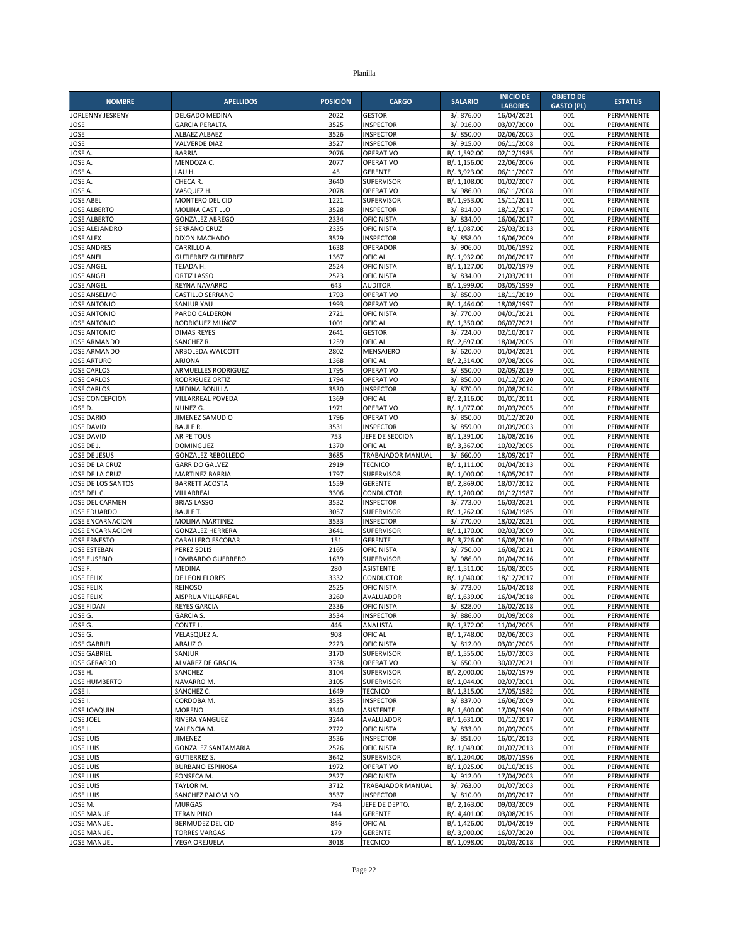| <b>NOMBRE</b>                              | <b>APELLIDOS</b>                                | <b>POSICIÓN</b> | <b>CARGO</b>                          | <b>SALARIO</b>               | <b>INICIO DE</b>         | <b>OBJETO DE</b>  | <b>ESTATUS</b>                  |
|--------------------------------------------|-------------------------------------------------|-----------------|---------------------------------------|------------------------------|--------------------------|-------------------|---------------------------------|
|                                            |                                                 |                 |                                       |                              | <b>LABORES</b>           | <b>GASTO (PL)</b> |                                 |
| JORLENNY JESKENY<br>JOSE                   | DELGADO MEDINA<br><b>GARCIA PERALTA</b>         | 2022<br>3525    | <b>GESTOR</b><br><b>INSPECTOR</b>     | B/. 876.00<br>B/. 916.00     | 16/04/2021<br>03/07/2000 | 001<br>001        | PERMANENTE<br>PERMANENTE        |
| JOSE                                       | ALBAEZ ALBAEZ                                   | 3526            | <b>INSPECTOR</b>                      | B/. 850.00                   | 02/06/2003               | 001               | PERMANENTE                      |
| JOSE                                       | VALVERDE DIAZ                                   | 3527            | <b>INSPECTOR</b>                      | B/. 915.00                   | 06/11/2008               | 001               | PERMANENTE                      |
| <b>JOSE A</b>                              | <b>BARRIA</b>                                   | 2076            | OPERATIVO                             | B/. 1,592.00                 | 02/12/1985               | 001               | PERMANENTE                      |
| <b>JOSE A</b>                              | MENDOZA C.                                      | 2077            | OPERATIVO                             | B/. 1,156.00                 | 22/06/2006               | 001               | PERMANENTE                      |
| JOSE A.<br>JOSE A.                         | LAU H.<br>CHECA R.                              | 45<br>3640      | <b>GERENTE</b><br><b>SUPERVISOR</b>   | B/. 3,923.00<br>B/. 1,108.00 | 06/11/2007<br>01/02/2007 | 001<br>001        | PERMANENTE<br>PERMANENTE        |
| JOSE A                                     | VASQUEZ H.                                      | 2078            | OPERATIVO                             | B/. 986.00                   | 06/11/2008               | 001               | PERMANENTE                      |
| <b>JOSE ABEL</b>                           | MONTERO DEL CID                                 | 1221            | SUPERVISOR                            | B/. 1,953.00                 | 15/11/2011               | 001               | PERMANENTE                      |
| <b>JOSE ALBERTO</b>                        | MOLINA CASTILLO                                 | 3528            | <b>INSPECTOR</b>                      | B/. 814.00                   | 18/12/2017               | 001               | PERMANENTE                      |
| <b>JOSE ALBERTO</b>                        | <b>GONZALEZ ABREGO</b>                          | 2334            | <b>OFICINISTA</b>                     | B/. 834.00                   | 16/06/2017               | 001               | PERMANENTE                      |
| <b>JOSE ALEJANDRO</b><br><b>JOSE ALEX</b>  | <b>SERRANO CRUZ</b><br>DIXON MACHADO            | 2335<br>3529    | <b>OFICINISTA</b><br><b>INSPECTOR</b> | B/. 1,087.00<br>B/. 858.00   | 25/03/2013<br>16/06/2009 | 001<br>001        | PERMANENTE<br>PERMANENTE        |
| <b>JOSE ANDRES</b>                         | CARRILLO A.                                     | 1638            | <b>OPERADOR</b>                       | B/. 906.00                   | 01/06/1992               | 001               | PERMANENTE                      |
| <b>JOSE ANEL</b>                           | <b>GUTIERREZ GUTIERREZ</b>                      | 1367            | OFICIAL                               | B/. 1,932.00                 | 01/06/2017               | 001               | PERMANENTE                      |
| <b>JOSE ANGEL</b>                          | TEJADA H.                                       | 2524            | OFICINISTA                            | B/. 1,127.00                 | 01/02/1979               | 001               | PERMANENTE                      |
| <b>JOSE ANGEL</b>                          | <b>ORTIZ LASSO</b>                              | 2523            | <b>OFICINISTA</b>                     | B/. 834.00                   | 21/03/2011               | 001               | PERMANENTE                      |
| <b>JOSE ANGEL</b>                          | REYNA NAVARRO                                   | 643<br>1793     | <b>AUDITOR</b>                        | B/. 1,999.00                 | 03/05/1999               | 001               | PERMANENTE                      |
| <b>JOSE ANSELMO</b><br><b>JOSE ANTONIO</b> | CASTILLO SERRANO<br>SANJUR YAU                  | 1993            | OPERATIVO<br>OPERATIVO                | B/. 850.00<br>B/. 1,464.00   | 18/11/2019<br>18/08/1997 | 001<br>001        | PERMANENTE<br>PERMANENTE        |
| <b>JOSE ANTONIO</b>                        | PARDO CALDERON                                  | 2721            | <b>OFICINISTA</b>                     | B/. 770.00                   | 04/01/2021               | 001               | PERMANENTE                      |
| <b>JOSE ANTONIO</b>                        | RODRIGUEZ MUÑOZ                                 | 1001            | OFICIAL                               | B/. 1,350.00                 | 06/07/2021               | 001               | PERMANENTE                      |
| <b>JOSE ANTONIO</b>                        | <b>DIMAS REYES</b>                              | 2641            | <b>GESTOR</b>                         | B/. 724.00                   | 02/10/2017               | 001               | PERMANENTE                      |
| <b>JOSE ARMANDO</b>                        | SANCHEZ R.                                      | 1259            | OFICIAL                               | B/. 2,697.00                 | 18/04/2005               | 001               | PERMANENTE                      |
| <b>JOSE ARMANDO</b><br><b>JOSE ARTURO</b>  | ARBOLEDA WALCOTT<br>ARJONA                      | 2802<br>1368    | MENSAJERO<br>OFICIAL                  | B/. 620.00                   | 01/04/2021<br>07/08/2006 | 001<br>001        | PERMANENTE<br>PERMANENTE        |
| <b>JOSE CARLOS</b>                         | ARMUELLES RODRIGUEZ                             | 1795            | OPERATIVO                             | B/. 2,314.00<br>B/. 850.00   | 02/09/2019               | 001               | PERMANENTE                      |
| <b>JOSE CARLOS</b>                         | RODRIGUEZ ORTIZ                                 | 1794            | OPERATIVO                             | B/. 850.00                   | 01/12/2020               | 001               | PERMANENTE                      |
| <b>JOSÉ CARLOS</b>                         | <b>MEDINA BONILLA</b>                           | 3530            | <b>INSPECTOR</b>                      | B/. 870.00                   | 01/08/2014               | 001               | PERMANENTE                      |
| JOSE CONCEPCION                            | VILLARREAL POVEDA                               | 1369            | OFICIAL                               | B/. 2,116.00                 | 01/01/2011               | 001               | PERMANENTE                      |
| JOSE D.                                    | NUNEZ G.                                        | 1971            | OPERATIVO                             | B/. 1,077.00                 | 01/03/2005               | 001               | PERMANENTE                      |
| <b>JOSE DARIO</b><br><b>JOSE DAVID</b>     | JIMENEZ SAMUDIO<br><b>BAULE R.</b>              | 1796<br>3531    | OPERATIVO<br><b>INSPECTOR</b>         | B/. 850.00<br>B/. 859.00     | 01/12/2020<br>01/09/2003 | 001<br>001        | PERMANENTE<br>PERMANENTE        |
| <b>JOSE DAVID</b>                          | <b>ARIPE TOUS</b>                               | 753             | JEFE DE SECCION                       | B/. 1,391.00                 | 16/08/2016               | 001               | PERMANENTE                      |
| JOSE DE J.                                 | <b>DOMINGUEZ</b>                                | 1370            | OFICIAL                               | B/. 3,367.00                 | 10/02/2005               | 001               | PERMANENTE                      |
| JOSE DE JESUS                              | <b>GONZALEZ REBOLLEDO</b>                       | 3685            | TRABAJADOR MANUAL                     | B/. 660.00                   | 18/09/2017               | 001               | PERMANENTE                      |
| JOSE DE LA CRUZ                            | <b>GARRIDO GALVEZ</b>                           | 2919            | <b>TECNICO</b>                        | B/. 1,111.00                 | 01/04/2013               | 001               | PERMANENTE                      |
| JOSE DE LA CRUZ<br>JOSE DE LOS SANTOS      | <b>MARTINEZ BARRIA</b><br><b>BARRETT ACOSTA</b> | 1797<br>1559    | <b>SUPERVISOR</b><br><b>GERENTE</b>   | B/. 1,000.00<br>B/. 2,869.00 | 16/05/2017<br>18/07/2012 | 001<br>001        | PERMANENTE<br>PERMANENTE        |
| JOSE DEL C.                                | VILLARREAL                                      | 3306            | <b>CONDUCTOR</b>                      | B/. 1,200.00                 | 01/12/1987               | 001               | PERMANENTE                      |
| JOSE DEL CARMEN                            | <b>BRIAS LASSO</b>                              | 3532            | <b>INSPECTOR</b>                      | B/. 773.00                   | 16/03/2021               | 001               | PERMANENTE                      |
| <b>JOSE EDUARDO</b>                        | <b>BAULE T.</b>                                 | 3057            | SUPERVISOR                            | B/. 1,262.00                 | 16/04/1985               | 001               | PERMANENTE                      |
| <b>JOSE ENCARNACION</b>                    | MOLINA MARTINEZ                                 | 3533            | <b>INSPECTOR</b>                      | B/. 770.00                   | 18/02/2021               | 001               | PERMANENTE                      |
| <b>JOSE ENCARNACION</b>                    | <b>GONZALEZ HERRERA</b>                         | 3641            | <b>SUPERVISOR</b>                     | B/. 1,170.00                 | 02/03/2009               | 001               | PERMANENTE                      |
| <b>JOSE ERNESTO</b><br><b>JOSE ESTEBAN</b> | CABALLERO ESCOBAR<br>PEREZ SOLIS                | 151<br>2165     | <b>GERENTE</b><br><b>OFICINISTA</b>   | B/. 3,726.00<br>B/. 750.00   | 16/08/2010<br>16/08/2021 | 001<br>001        | PERMANENTE<br>PERMANENTE        |
| <b>JOSE EUSEBIO</b>                        | LOMBARDO GUERRERO                               | 1639            | <b>SUPERVISOR</b>                     | B/. 986.00                   | 01/04/2016               | 001               | PERMANENTE                      |
| JOSE F.                                    | <b>MEDINA</b>                                   | 280             | <b>ASISTENTE</b>                      | B/. 1,511.00                 | 16/08/2005               | 001               | PERMANENTE                      |
| <b>JOSE FELIX</b>                          | DE LEON FLORES                                  | 3332            | CONDUCTOR                             | B/. 1,040.00                 | 18/12/2017               | 001               | PERMANENTE                      |
| <b>JOSE FELIX</b>                          | <b>REINOSO</b>                                  | 2525            | <b>OFICINISTA</b>                     | B/. 773.00                   | 16/04/2018               | 001               | PERMANENTE                      |
| <b>JOSE FELIX</b><br><b>JOSE FIDAN</b>     | AISPRUA VILLARREAL<br><b>REYES GARCIA</b>       | 3260<br>2336    | AVALUADOR<br><b>OFICINISTA</b>        | B/. 1,639.00<br>B/. 828.00   | 16/04/2018               | 001<br>001        | PERMANENTE<br><b>PERMANENTE</b> |
| JOSE G.                                    | <b>GARCIA S.</b>                                | 3534            | <b>INSPECTOR</b>                      | B/. 886.00                   | 16/02/2018<br>01/09/2008 | 001               | PERMANENTE                      |
| JOSE G.                                    | CONTE L.                                        | 446             | ANALISTA                              | B/. 1,372.00                 | 11/04/2005               | 001               | PERMANENTE                      |
| JOSE G.                                    | VELASQUEZ A.                                    | 908             | OFICIAL                               | B/. 1,748.00                 | 02/06/2003               | 001               | PERMANENTE                      |
| <b>JOSE GABRIEL</b>                        | ARAUZ O.                                        | 2223            | <b>OFICINISTA</b>                     | B/. 812.00                   | 03/01/2005               | 001               | PERMANENTE                      |
| <b>JOSE GABRIEL</b>                        | SANJUR                                          | 3170            | SUPERVISOR                            | B/. 1,555.00                 | 16/07/2003               | 001               | PERMANENTE                      |
| <b>JOSE GERARDO</b><br>JOSE H.             | ALVAREZ DE GRACIA<br>SANCHEZ                    | 3738<br>3104    | OPERATIVO<br><b>SUPERVISOR</b>        | B/. 650.00<br>B/. 2,000.00   | 30/07/2021<br>16/02/1979 | 001<br>001        | PERMANENTE<br>PERMANENTE        |
| <b>JOSE HUMBERTO</b>                       | NAVARRO M.                                      | 3105            | <b>SUPERVISOR</b>                     | B/. 1,044.00                 | 02/07/2001               | 001               | PERMANENTE                      |
| JOSE I.                                    | SANCHEZ C.                                      | 1649            | <b>TECNICO</b>                        | B/. 1,315.00                 | 17/05/1982               | 001               | PERMANENTE                      |
| JOSE I.                                    | CORDOBA M.                                      | 3535            | <b>INSPECTOR</b>                      | B/. 837.00                   | 16/06/2009               | 001               | PERMANENTE                      |
| <b>JOSE JOAQUIN</b>                        | <b>MORENO</b>                                   | 3340            | <b>ASISTENTE</b>                      | B/. 1,600.00                 | 17/09/1990               | 001               | PERMANENTE                      |
| <b>JOSE JOEL</b>                           | RIVERA YANGUEZ                                  | 3244            | AVALUADOR                             | B/. 1,631.00                 | 01/12/2017               | 001               | PERMANENTE                      |
| JOSE L.<br><b>JOSE LUIS</b>                | VALENCIA M.<br><b>JIMENEZ</b>                   | 2722<br>3536    | <b>OFICINISTA</b><br><b>INSPECTOR</b> | B/. 833.00<br>B/. 851.00     | 01/09/2005<br>16/01/2013 | 001<br>001        | PERMANENTE<br>PERMANENTE        |
| <b>JOSE LUIS</b>                           | <b>GONZALEZ SANTAMARIA</b>                      | 2526            | <b>OFICINISTA</b>                     | B/. 1,049.00                 | 01/07/2013               | 001               | PERMANENTE                      |
| <b>JOSE LUIS</b>                           | <b>GUTIERREZ S.</b>                             | 3642            | SUPERVISOR                            | B/. 1,204.00                 | 08/07/1996               | 001               | PERMANENTE                      |
| <b>JOSE LUIS</b>                           | <b>BURBANO ESPINOSA</b>                         | 1972            | OPERATIVO                             | B/. 1,025.00                 | 01/10/2015               | 001               | PERMANENTE                      |
| <b>JOSE LUIS</b>                           | FONSECA M.                                      | 2527            | <b>OFICINISTA</b>                     | B/. 912.00                   | 17/04/2003               | 001               | PERMANENTE                      |
| <b>JOSE LUIS</b>                           | TAYLOR M.                                       | 3712            | TRABAJADOR MANUAL                     | B/. 763.00                   | 01/07/2003               | 001               | PERMANENTE                      |
| <b>JOSE LUIS</b><br>JOSE M.                | SANCHEZ PALOMINO<br><b>MURGAS</b>               | 3537<br>794     | <b>INSPECTOR</b><br>JEFE DE DEPTO.    | B/. 810.00<br>B/. 2,163.00   | 01/09/2017<br>09/03/2009 | 001<br>001        | PERMANENTE<br>PERMANENTE        |
| <b>JOSE MANUEL</b>                         | <b>TERAN PINO</b>                               | 144             | <b>GERENTE</b>                        | B/. 4,401.00                 | 03/08/2015               | 001               | PERMANENTE                      |
| <b>JOSE MANUEL</b>                         | BERMUDEZ DEL CID                                | 846             | OFICIAL                               | B/. 1,426.00                 | 01/04/2019               | 001               | PERMANENTE                      |
| <b>JOSE MANUEL</b>                         | <b>TORRES VARGAS</b>                            | 179             | <b>GERENTE</b>                        | B/. 3,900.00                 | 16/07/2020               | 001               | PERMANENTE                      |
| <b>JOSE MANUEL</b>                         | <b>VEGA OREJUELA</b>                            | 3018            | <b>TECNICO</b>                        | B/. 1,098.00                 | 01/03/2018               | 001               | PERMANENTE                      |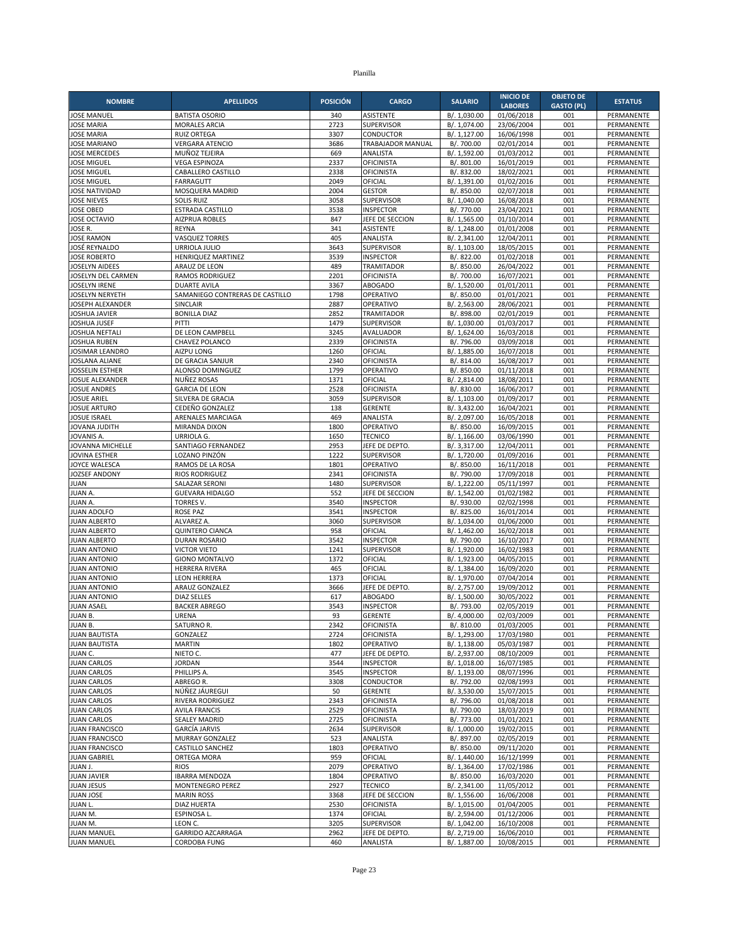|                                              |                                                |                 |                                        |                              | <b>INICIO DE</b>         | <b>OBJETO DE</b>  |                          |
|----------------------------------------------|------------------------------------------------|-----------------|----------------------------------------|------------------------------|--------------------------|-------------------|--------------------------|
| <b>NOMBRE</b>                                | <b>APELLIDOS</b>                               | <b>POSICIÓN</b> | <b>CARGO</b>                           | <b>SALARIO</b>               | <b>LABORES</b>           | <b>GASTO (PL)</b> | <b>ESTATUS</b>           |
| <b>JOSE MANUEL</b>                           | <b>BATISTA OSORIO</b>                          | 340             | <b>ASISTENTE</b>                       | B/. 1,030.00                 | 01/06/2018               | 001               | PERMANENTE               |
| <b>JOSE MARIA</b>                            | <b>MORALES ARCIA</b>                           | 2723            | <b>SUPERVISOR</b>                      | B/. 1,074.00                 | 23/06/2004               | 001               | PERMANENTE               |
| <b>JOSE MARIA</b>                            | <b>RUIZ ORTEGA</b>                             | 3307            | <b>CONDUCTOR</b>                       | B/. 1,127.00                 | 16/06/1998               | 001<br>001        | PERMANENTE               |
| <b>JOSE MARIANO</b><br><b>JOSE MERCEDES</b>  | <b>VERGARA ATENCIO</b><br>MUÑOZ TEJEIRA        | 3686<br>669     | TRABAJADOR MANUAL<br>ANALISTA          | B/. 700.00<br>B/. 1,592.00   | 02/01/2014<br>01/03/2012 | 001               | PERMANENTE<br>PERMANENTE |
| <b>JOSE MIGUEL</b>                           | <b>VEGA ESPINOZA</b>                           | 2337            | OFICINISTA                             | B/. 801.00                   | 16/01/2019               | 001               | PERMANENTE               |
| <b>JOSE MIGUEL</b>                           | CABALLERO CASTILLO                             | 2338            | OFICINISTA                             | B/. 832.00                   | 18/02/2021               | 001               | PERMANENTE               |
| <b>JOSE MIGUEL</b>                           | FARRAGUTT                                      | 2049            | OFICIAL                                | B/. 1,391.00                 | 01/02/2016               | 001               | PERMANENTE               |
| <b>JOSE NATIVIDAD</b>                        | MOSQUERA MADRID                                | 2004            | <b>GESTOR</b>                          | B/. 850.00                   | 02/07/2018               | 001               | PERMANENTE               |
| <b>JOSE NIEVES</b>                           | <b>SOLIS RUIZ</b>                              | 3058            | <b>SUPERVISOR</b>                      | B/. 1,040.00                 | 16/08/2018               | 001               | PERMANENTE               |
| <b>JOSE OBED</b>                             | <b>ESTRADA CASTILLO</b>                        | 3538            | <b>INSPECTOR</b>                       | B/. 770.00                   | 23/04/2021               | 001               | PERMANENTE               |
| JOSE OCTAVIO<br>JOSE R.                      | <b>AIZPRUA ROBLES</b><br><b>REYNA</b>          | 847<br>341      | JEFE DE SECCION<br><b>ASISTENTE</b>    | B/. 1,565.00<br>B/. 1,248.00 | 01/10/2014<br>01/01/2008 | 001<br>001        | PERMANENTE<br>PERMANENTE |
| <b>JOSE RAMON</b>                            | <b>VASQUEZ TORRES</b>                          | 405             | ANALISTA                               | B/. 2,341.00                 | 12/04/2011               | 001               | PERMANENTE               |
| JOSÉ REYNALDO                                | URRIOLA JULIO                                  | 3643            | <b>SUPERVISOR</b>                      | B/. 1.103.00                 | 18/05/2015               | 001               | PERMANENTE               |
| <b>JOSE ROBERTO</b>                          | HENRIQUEZ MARTINEZ                             | 3539            | <b>INSPECTOR</b>                       | B/. 822.00                   | 01/02/2018               | 001               | PERMANENTE               |
| <b>JOSELYN AIDEES</b>                        | ARAUZ DE LEON                                  | 489             | <b>TRAMITADOR</b>                      | B/. 850.00                   | 26/04/2022               | 001               | PERMANENTE               |
| JOSELYN DEL CARMEN                           | <b>RAMOS RODRIGUEZ</b>                         | 2201            | OFICINISTA                             | B/. 700.00                   | 16/07/2021               | 001               | <b>PERMANENTE</b>        |
| <b>JOSELYN IRENE</b>                         | <b>DUARTE AVILA</b>                            | 3367            | <b>ABOGADO</b>                         | B/. 1,520.00                 | 01/01/2011               | 001               | PERMANENTE               |
| JOSELYN NERYETH                              | SAMANIEGO CONTRERAS DE CASTILLO                | 1798            | OPERATIVO                              | B/. 850.00                   | 01/01/2021               | 001               | PERMANENTE               |
| JOSEPH ALEXANDER<br><b>JOSHUA JAVIER</b>     | SINCLAIR<br><b>BONILLA DIAZ</b>                | 2887<br>2852    | OPERATIVO<br><b>TRAMITADOR</b>         | B/. 2,563.00<br>B/. 898.00   | 28/06/2021<br>02/01/2019 | 001<br>001        | PERMANENTE<br>PERMANENTE |
| JOSHUA JUSEF                                 | PITTI                                          | 1479            | <b>SUPERVISOR</b>                      | B/. 1,030.00                 | 01/03/2017               | 001               | PERMANENTE               |
| JOSHUA NEFTALI                               | DE LEON CAMPBELL                               | 3245            | AVALUADOR                              | B/. 1.624.00                 | 16/03/2018               | 001               | PERMANENTE               |
| JOSHUA RUBEN                                 | CHAVEZ POLANCO                                 | 2339            | <b>OFICINISTA</b>                      | B/. 796.00                   | 03/09/2018               | 001               | PERMANENTE               |
| JOSIMAR LEANDRO                              | AIZPU LONG                                     | 1260            | OFICIAL                                | B/. 1,885.00                 | 16/07/2018               | 001               | PERMANENTE               |
| <b>JOSLANA ALIANE</b>                        | DE GRACIA SANJUR                               | 2340            | <b>OFICINISTA</b>                      | B/. 814.00                   | 16/08/2017               | 001               | PERMANENTE               |
| JOSSELIN ESTHER                              | ALONSO DOMINGUEZ                               | 1799            | OPERATIVO                              | B/. 850.00                   | 01/11/2018               | 001               | PERMANENTE               |
| JOSUE ALEXANDER                              | NUÑEZ ROSAS                                    | 1371            | OFICIAL                                | B/. 2,814.00                 | 18/08/2011               | 001               | PERMANENTE               |
| <b>JOSUE ANDRES</b><br><b>JOSUE ARIEL</b>    | <b>GARCIA DE LEON</b><br>SILVERA DE GRACIA     | 2528<br>3059    | <b>OFICINISTA</b><br><b>SUPERVISOR</b> | B/. 830.00                   | 16/06/2017               | 001<br>001        | PERMANENTE               |
| <b>JOSUE ARTURO</b>                          | CEDEÑO GONZALEZ                                | 138             | GERENTE                                | B/. 1,103.00<br>B/. 3,432.00 | 01/09/2017<br>16/04/2021 | 001               | PERMANENTE<br>PERMANENTE |
| <b>JOSUE ISRAEL</b>                          | ARENALES MARCIAGA                              | 469             | ANALISTA                               | B/. 2,097.00                 | 16/05/2018               | 001               | PERMANENTE               |
| <b>JOVANA JUDITH</b>                         | MIRANDA DIXON                                  | 1800            | OPERATIVO                              | B/. 850.00                   | 16/09/2015               | 001               | PERMANENTE               |
| JOVANIS A.                                   | URRIOLA G.                                     | 1650            | <b>TECNICO</b>                         | B/. 1,166.00                 | 03/06/1990               | 001               | PERMANENTE               |
| JOVANNA MICHELLE                             | SANTIAGO FERNANDEZ                             | 2953            | JEFE DE DEPTO                          | B/. 3,317.00                 | 12/04/2011               | 001               | PERMANENTE               |
| JOVINA ESTHER                                | LOZANO PINZÓN                                  | 1222            | <b>SUPERVISOR</b>                      | B/. 1,720.00                 | 01/09/2016               | 001               | PERMANENTE               |
| JOYCE WALESCA                                | RAMOS DE LA ROSA                               | 1801            | OPERATIVO                              | B/. 850.00                   | 16/11/2018               | 001               | PERMANENTE               |
| JOZSEF ANDONY<br><b>JUAN</b>                 | <b>RIOS RODRIGUEZ</b><br><b>SALAZAR SERONI</b> | 2341<br>1480    | <b>OFICINISTA</b><br><b>SUPERVISOR</b> | B/. 790.00<br>B/. 1,222.00   | 17/09/2018<br>05/11/1997 | 001<br>001        | PERMANENTE<br>PERMANENTE |
| JUAN A.                                      | <b>GUEVARA HIDALGO</b>                         | 552             | JEFE DE SECCION                        | B/. 1,542.00                 | 01/02/1982               | 001               | PERMANENTE               |
| JUAN A.                                      | <b>TORRES V.</b>                               | 3540            | <b>INSPECTOR</b>                       | B/. 930.00                   | 02/02/1998               | 001               | PERMANENTE               |
| <b>JUAN ADOLFO</b>                           | <b>ROSE PAZ</b>                                | 3541            | <b>INSPECTOR</b>                       | B/. 825.00                   | 16/01/2014               | 001               | <b>PERMANENTE</b>        |
| <b>JUAN ALBERTO</b>                          | ALVAREZ A.                                     | 3060            | <b>SUPERVISOR</b>                      | B/. 1,034.00                 | 01/06/2000               | 001               | PERMANENTE               |
| <b>JUAN ALBERTO</b>                          | <b>QUINTERO CIANCA</b>                         | 958             | OFICIAL                                | B/. 1,462.00                 | 16/02/2018               | 001               | PERMANENTE               |
| <b>JUAN ALBERTO</b>                          | <b>DURAN ROSARIO</b>                           | 3542            | <b>INSPECTOR</b>                       | B/. 790.00                   | 16/10/2017               | 001               | PERMANENTE               |
| <b>JUAN ANTONIO</b>                          | <b>VICTOR VIETO</b>                            | 1241            | <b>SUPERVISOR</b>                      | B/. 1,920.00                 | 16/02/1983               | 001               | PERMANENTE               |
| <b>JUAN ANTONIO</b><br><b>JUAN ANTONIO</b>   | <b>GIONO MONTALVO</b><br><b>HERRERA RIVERA</b> | 1372<br>465     | OFICIAL<br>OFICIAL                     | B/. 1,923.00<br>B/. 1,384.00 | 04/05/2015<br>16/09/2020 | 001<br>001        | PERMANENTE<br>PERMANENTE |
| <b>JUAN ANTONIO</b>                          | <b>LEON HERRERA</b>                            | 1373            | OFICIAL                                | B/. 1,970.00                 | 07/04/2014               | 001               | PERMANENTE               |
| <b>JUAN ANTONIO</b>                          | ARAUZ GONZALEZ                                 | 3666            | JEFE DE DEPTO.                         | B/. 2,757.00                 | 19/09/2012               | 001               | PERMANENTE               |
| <b>JUAN ANTONIO</b>                          | <b>DIAZ SELLES</b>                             | 617             | <b>ABOGADO</b>                         | B/. 1,500.00                 | 30/05/2022               | 001               | PERMANENTE               |
| <b>JUAN ASAEL</b>                            | <b>BACKER ABREGO</b>                           | 3543            | <b>INSPECTOR</b>                       | B/. 793.00                   | 02/05/2019               | 001               | PERMANENTE               |
| JUAN B.                                      | <b>URENA</b>                                   | 93              | <b>GERENTE</b>                         | B/. 4,000.00                 | 02/03/2009               | 001               | PERMANENTE               |
| JUAN B.                                      | SATURNO R.                                     | 2342            | <b>OFICINISTA</b>                      | B/. 810.00                   | 01/03/2005               | 001               | PERMANENTE               |
| <b>JUAN BAUTISTA</b><br><b>JUAN BAUTISTA</b> | GONZALEZ<br><b>MARTIN</b>                      | 2724<br>1802    | <b>OFICINISTA</b><br>OPERATIVO         | B/. 1,293.00<br>B/. 1,138.00 | 17/03/1980<br>05/03/1987 | 001<br>001        | PERMANENTE<br>PERMANENTE |
| JUAN C.                                      | NIETO C.                                       | 477             | JEFE DE DEPTO.                         | B/. 2,937.00                 | 08/10/2009               | 001               | PERMANENTE               |
| <b>JUAN CARLOS</b>                           | <b>JORDAN</b>                                  | 3544            | <b>INSPECTOR</b>                       | B/. 1,018.00                 | 16/07/1985               | 001               | PERMANENTE               |
| <b>JUAN CARLOS</b>                           | PHILLIPS A.                                    | 3545            | <b>INSPECTOR</b>                       | B/. 1,193.00                 | 08/07/1996               | 001               | PERMANENTE               |
| <b>JUAN CARLOS</b>                           | ABREGO R.                                      | 3308            | CONDUCTOR                              | B/. 792.00                   | 02/08/1993               | 001               | PERMANENTE               |
| <b>JUAN CARLOS</b>                           | NÚÑEZ JÁUREGUI                                 | 50              | <b>GERENTE</b>                         | B/. 3,530.00                 | 15/07/2015               | 001               | PERMANENTE               |
| <b>JUAN CARLOS</b>                           | RIVERA RODRIGUEZ                               | 2343            | <b>OFICINISTA</b>                      | B/. 796.00                   | 01/08/2018               | 001               | PERMANENTE               |
| <b>JUAN CARLOS</b>                           | <b>AVILA FRANCIS</b>                           | 2529            | OFICINISTA                             | B/. 790.00                   | 18/03/2019               | 001               | PERMANENTE               |
| <b>JUAN CARLOS</b><br><b>JUAN FRANCISCO</b>  | <b>SEALEY MADRID</b><br><b>GARCÍA JARVIS</b>   | 2725<br>2634    | <b>OFICINISTA</b><br><b>SUPERVISOR</b> | B/. 773.00<br>B/. 1,000.00   | 01/01/2021<br>19/02/2015 | 001<br>001        | PERMANENTE<br>PERMANENTE |
| <b>JUAN FRANCISCO</b>                        | MURRAY GONZALEZ                                | 523             | ANALISTA                               | B/. 897.00                   | 02/05/2019               | 001               | PERMANENTE               |
| <b>JUAN FRANCISCO</b>                        | <b>CASTILLO SANCHEZ</b>                        | 1803            | OPERATIVO                              | B/. 850.00                   | 09/11/2020               | 001               | PERMANENTE               |
| <b>JUAN GABRIEL</b>                          | ORTEGA MORA                                    | 959             | OFICIAL                                | B/. 1,440.00                 | 16/12/1999               | 001               | PERMANENTE               |
| JUAN J.                                      | <b>RIOS</b>                                    | 2079            | OPERATIVO                              | B/. 1,364.00                 | 17/02/1986               | 001               | PERMANENTE               |
| <b>JUAN JAVIER</b>                           | <b>IBARRA MENDOZA</b>                          | 1804            | OPERATIVO                              | B/. 850.00                   | 16/03/2020               | 001               | PERMANENTE               |
| <b>JUAN JESUS</b>                            | MONTENEGRO PEREZ                               | 2927            | <b>TECNICO</b>                         | B/. 2,341.00                 | 11/05/2012               | 001               | PERMANENTE               |
| JUAN JOSE                                    | <b>MARIN ROSS</b>                              | 3368            | JEFE DE SECCION                        | B/. 1,556.00                 | 16/06/2008               | 001               | PERMANENTE               |
| JUAN L.                                      | <b>DIAZ HUERTA</b>                             | 2530            | <b>OFICINISTA</b>                      | B/. 1,015.00                 | 01/04/2005               | 001               | PERMANENTE               |
| JUAN M.<br>JUAN M.                           | ESPINOSA L.<br>LEON C.                         | 1374<br>3205    | OFICIAL<br><b>SUPERVISOR</b>           | B/. 2,594.00<br>B/. 1,042.00 | 01/12/2006<br>16/10/2008 | 001<br>001        | PERMANENTE<br>PERMANENTE |
| <b>JUAN MANUEL</b>                           | GARRIDO AZCARRAGA                              | 2962            | JEFE DE DEPTO.                         | B/. 2,719.00                 | 16/06/2010               | 001               | PERMANENTE               |
| <b>JUAN MANUEL</b>                           | CORDOBA FUNG                                   | 460             | ANALISTA                               | B/. 1,887.00                 | 10/08/2015               | 001               | PERMANENTE               |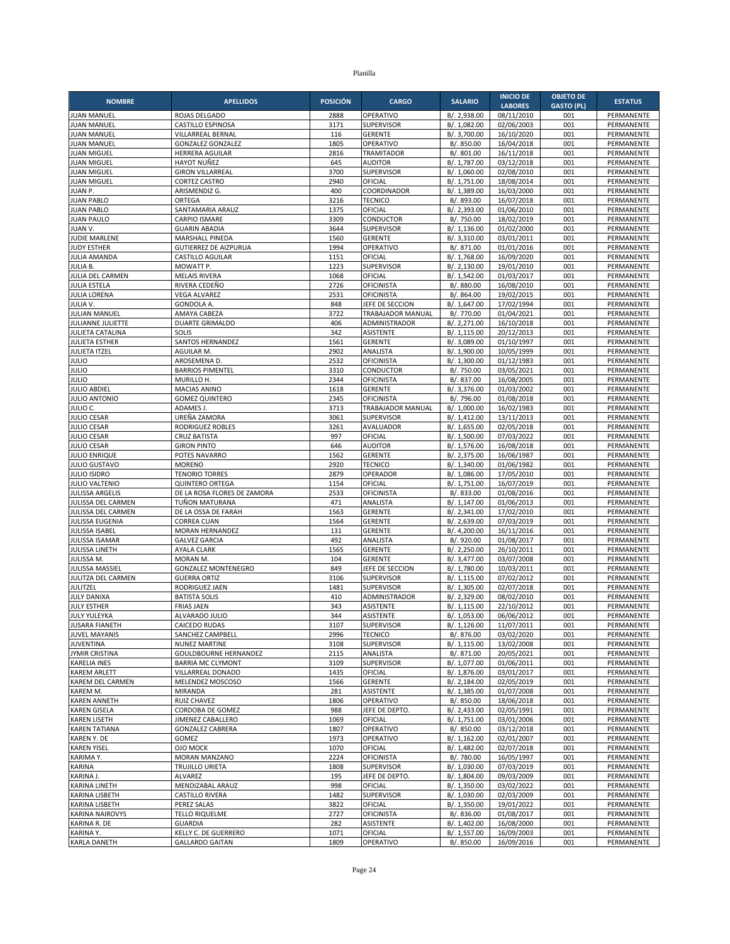| <b>NOMBRE</b>                                | <b>APELLIDOS</b>                               | <b>POSICIÓN</b> | <b>CARGO</b>                      | <b>SALARIO</b>               | <b>INICIO DE</b>         | <b>OBJETO DE</b>  | <b>ESTATUS</b>           |
|----------------------------------------------|------------------------------------------------|-----------------|-----------------------------------|------------------------------|--------------------------|-------------------|--------------------------|
|                                              |                                                |                 |                                   |                              | <b>LABORES</b>           | <b>GASTO (PL)</b> |                          |
| <b>JUAN MANUEL</b>                           | ROJAS DELGADO                                  | 2888            | OPERATIVO<br>SUPERVISOR           | B/. 2,938.00                 | 08/11/2010               | 001               | PERMANENTE               |
| <b>JUAN MANUEL</b><br><b>JUAN MANUEL</b>     | <b>CASTILLO ESPINOSA</b><br>VILLARREAL BERNAL  | 3171<br>116     | <b>GERENTE</b>                    | B/. 1,082.00<br>B/. 3,700.00 | 02/06/2003<br>16/10/2020 | 001<br>001        | PERMANENTE<br>PERMANENTE |
| <b>JUAN MANUEL</b>                           | <b>GONZALEZ GONZALEZ</b>                       | 1805            | OPERATIVO                         | B/. 850.00                   | 16/04/2018               | 001               | PERMANENTE               |
| <b>JUAN MIGUEL</b>                           | <b>HERRERA AGUILAR</b>                         | 2816            | <b>TRAMITADOR</b>                 | B/. 801.00                   | 16/11/2018               | 001               | PERMANENTE               |
| <b>JUAN MIGUEL</b>                           | HAYOT NUÑEZ                                    | 645             | <b>AUDITOR</b>                    | B/. 1,787.00                 | 03/12/2018               | 001               | PERMANENTE               |
| <b>JUAN MIGUEL</b>                           | <b>GIRON VILLARREAL</b>                        | 3700            | <b>SUPERVISOR</b>                 | B/. 1,060.00                 | 02/08/2010               | 001               | PERMANENTE               |
| <b>JUAN MIGUEL</b>                           | <b>CORTEZ CASTRO</b>                           | 2940            | OFICIAL                           | B/. 1,751.00                 | 18/08/2014               | 001               | PERMANENTE               |
| JUAN P.                                      | ARISMENDIZ G.                                  | 400             | COORDINADOR                       | B/. 1,389.00                 | 16/03/2000               | 001               | PERMANENTE               |
| <b>JUAN PABLO</b>                            | ORTEGA                                         | 3216            | <b>TECNICO</b>                    | B/. 893.00                   | 16/07/2018               | 001               | PERMANENTE               |
| <b>JUAN PABLO</b>                            | SANTAMARIA ARAUZ                               | 1375            | OFICIAL                           | B/. 2,393.00                 | 01/06/2010               | 001<br>001        | PERMANENTE               |
| <b>JUAN PAULO</b><br>JUAN V.                 | <b>CARPIO ISMARE</b><br><b>GUARIN ABADIA</b>   | 3309<br>3644    | <b>CONDUCTOR</b><br>SUPERVISOR    | B/. 750.00<br>B/. 1,136.00   | 18/02/2019<br>01/02/2000 | 001               | PERMANENTE<br>PERMANENTE |
| JUDIE MARLENE                                | MARSHALL PINEDA                                | 1560            | <b>GERENTE</b>                    | B/. 3,310.00                 | 03/01/2011               | 001               | PERMANENTE               |
| <b>JUDY ESTHER</b>                           | <b>GUTIERREZ DE AIZPURUA</b>                   | 1994            | OPERATIVO                         | B/. 871.00                   | 01/01/2016               | 001               | PERMANENTE               |
| <b>JULIA AMANDA</b>                          | CASTILLO AGUILAR                               | 1151            | OFICIAL                           | B/. 1,768.00                 | 16/09/2020               | 001               | PERMANENTE               |
| JULIA B.                                     | MOWATT P.                                      | 1223            | <b>SUPERVISOR</b>                 | B/. 2,130.00                 | 19/01/2010               | 001               | PERMANENTE               |
| JULIA DEL CARMEN                             | <b>MELAIS RIVERA</b>                           | 1068            | OFICIAL                           | B/. 1,542.00                 | 01/03/2017               | 001               | PERMANENTE               |
| <b>JULIA ESTELA</b>                          | RIVERA CEDEÑO                                  | 2726            | <b>OFICINISTA</b>                 | B/. 880.00                   | 16/08/2010               | 001               | PERMANENTE               |
| <b>JULIA LORENA</b>                          | <b>VEGA ALVAREZ</b>                            | 2531            | <b>OFICINISTA</b>                 | B/. 864.00                   | 19/02/2015               | 001               | PERMANENTE               |
| JULIA V.                                     | <b>GONDOLA A.</b>                              | 848             | JEFE DE SECCION                   | B/. 1,647.00                 | 17/02/1994               | 001               | PERMANENTE               |
| <b>JULIAN MANUEL</b>                         | AMAYA CABEZA                                   | 3722            | TRABAJADOR MANUAL                 | B/. 770.00                   | 01/04/2021               | 001               | PERMANENTE               |
| JULIANNE JULIETTE<br><b>JULIETA CATALINA</b> | <b>DUARTE GRIMALDO</b><br>SOLIS                | 406<br>342      | ADMINISTRADOR<br><b>ASISTENTE</b> | B/. 2,271.00<br>B/. 1,115.00 | 16/10/2018<br>20/12/2013 | 001<br>001        | PERMANENTE<br>PERMANENTE |
| <b>JULIETA ESTHER</b>                        | <b>SANTOS HERNANDEZ</b>                        | 1561            | <b>GERENTE</b>                    | B/. 3,089.00                 | 01/10/1997               | 001               | PERMANENTE               |
| <b>JULIETA ITZEL</b>                         | AGUILAR M.                                     | 2902            | ANALISTA                          | B/. 1,900.00                 | 10/05/1999               | 001               | PERMANENTE               |
| <b>JULIO</b>                                 | AROSEMENA D.                                   | 2532            | <b>OFICINISTA</b>                 | B/. 1,300.00                 | 01/12/1983               | 001               | PERMANENTE               |
| <b>JULIO</b>                                 | <b>BARRIOS PIMENTEL</b>                        | 3310            | <b>CONDUCTOR</b>                  | B/. 750.00                   | 03/05/2021               | 001               | PERMANENTE               |
| <b>JULIO</b>                                 | MURILLO H.                                     | 2344            | OFICINISTA                        | B/. 837.00                   | 16/08/2005               | 001               | PERMANENTE               |
| <b>JULIO ABDIEL</b>                          | <b>MACIAS ANINO</b>                            | 1618            | <b>GERENTE</b>                    | B/. 3,376.00                 | 01/03/2002               | 001               | PERMANENTE               |
| <b>JULIO ANTONIO</b>                         | <b>GOMEZ QUINTERO</b>                          | 2345            | <b>OFICINISTA</b>                 | B/. 796.00                   | 01/08/2018               | 001               | PERMANENTE               |
| JULIO C.                                     | ADAMES J                                       | 3713            | TRABAJADOR MANUAL                 | B/. 1,000.00                 | 16/02/1983               | 001               | PERMANENTE               |
| <b>JULIO CESAR</b>                           | UREÑA ZAMORA                                   | 3061            | <b>SUPERVISOR</b>                 | B/. 1,412.00                 | 13/11/2013               | 001               | PERMANENTE               |
| <b>JULIO CESAR</b><br><b>JULIO CESAR</b>     | RODRIGUEZ ROBLES<br><b>CRUZ BATISTA</b>        | 3261<br>997     | AVALUADOR<br>OFICIAL              | B/. 1,655.00<br>B/. 1,500.00 | 02/05/2018<br>07/03/2022 | 001<br>001        | PERMANENTE<br>PERMANENTE |
| <b>JULIO CESAR</b>                           | <b>GIRON PINTO</b>                             | 646             | <b>AUDITOR</b>                    | B/. 1,576.00                 | 16/08/2018               | 001               | PERMANENTE               |
| <b>JULIO ENRIQUE</b>                         | POTES NAVARRO                                  | 1562            | <b>GERENTE</b>                    | B/. 2,375.00                 | 16/06/1987               | 001               | PERMANENTE               |
| <b>JULIO GUSTAVO</b>                         | <b>MORENO</b>                                  | 2920            | <b>TECNICO</b>                    | B/. 1,340.00                 | 01/06/1982               | 001               | PERMANENTE               |
| <b>JULIO ISIDRO</b>                          | <b>TENORIO TORRES</b>                          | 2879            | OPERADOR                          | B/. 1,086.00                 | 17/05/2010               | 001               | PERMANENTE               |
| JULIO VALTENIO                               | <b>QUINTERO ORTEGA</b>                         | 1154            | OFICIAL                           | B/. 1,751.00                 | 16/07/2019               | 001               | PERMANENTE               |
| JULISSA ARGELIS                              | DE LA ROSA FLORES DE ZAMORA                    | 2533            | <b>OFICINISTA</b>                 | B/. 833.00                   | 01/08/2016               | 001               | PERMANENTE               |
| JULISSA DEL CARMEN                           | TUÑON MATURANA                                 | 471             | ANALISTA                          | B/. 1,147.00                 | 01/06/2013               | 001               | PERMANENTE               |
| JULISSA DEL CARMEN                           | DE LA OSSA DE FARAH                            | 1563            | <b>GERENTE</b>                    | B/. 2,341.00                 | 17/02/2010               | 001               | PERMANENTE               |
| JULISSA EUGENIA<br><b>JULISSA ISABEL</b>     | <b>CORREA CUAN</b><br>MORAN HERNANDEZ          | 1564<br>131     | <b>GERENTE</b><br><b>GERENTE</b>  | B/. 2,639.00<br>B/. 4,200.00 | 07/03/2019<br>16/11/2016 | 001<br>001        | PERMANENTE<br>PERMANENTE |
| JULISSA ISAMAR                               | <b>GALVEZ GARCIA</b>                           | 492             | ANALISTA                          | B/. 920.00                   | 01/08/2017               | 001               | PERMANENTE               |
| JULISSA LINETH                               | <b>AYALA CLARK</b>                             | 1565            | <b>GERENTE</b>                    | B/. 2,250.00                 | 26/10/2011               | 001               | PERMANENTE               |
| JULISSA M.                                   | MORAN M.                                       | 104             | <b>GERENTE</b>                    | B/. 3,477.00                 | 03/07/2008               | 001               | PERMANENTE               |
| JULISSA MASSIEL                              | GONZALEZ MONTENEGRO                            | 849             | JEFE DE SECCION                   | B/. 1,780.00                 | 10/03/2011               | 001               | PERMANENTE               |
| JULITZA DEL CARMEN                           | <b>GUERRA ORTIZ</b>                            | 3106            | <b>SUPERVISOR</b>                 | B/. 1,115.00                 | 07/02/2012               | 001               | PERMANENTE               |
| JULITZEL                                     | RODRIGUEZ JAEN                                 | 1481            | <b>SUPERVISOR</b>                 | B/. 1,305.00                 | 02/07/2018               | 001               | PERMANENTE               |
| <b>JULY DANIXA</b>                           | <b>BATISTA SOLIS</b>                           | 410             | ADMINISTRADOR                     | B/. 2,329.00                 | 08/02/2010               | 001               | PERMANENTE               |
| <b>JULY ESTHER</b>                           | <b>FRIAS JAEN</b>                              | 343             | <b>ASISTENTE</b>                  | B/. 1,115.00                 | 22/10/2012               | 001               | PERMANENTE               |
| <b>JULY YULEYKA</b>                          | ALVARADO JULIO                                 | 344             | <b>ASISTENTE</b>                  | B/. 1,053.00                 | 06/06/2012               | 001               | PERMANENTE               |
| <b>JUSARA FIANETH</b><br>JUVEL MAYANIS       | CAICEDO RUDAS<br>SANCHEZ CAMPBELL              | 3107<br>2996    | SUPERVISOR<br><b>TECNICO</b>      | B/. 1,126.00<br>B/. 876.00   | 11/07/2011<br>03/02/2020 | 001<br>001        | PERMANENTE<br>PERMANENTE |
| <b>JUVENTINA</b>                             | <b>NUNEZ MARTINE</b>                           | 3108            | SUPERVISOR                        | B/. 1,115.00                 | 13/02/2008               | 001               | PERMANENTE               |
| <b>JYMIR CRISTINA</b>                        | <b>GOULDBOURNE HERNANDEZ</b>                   | 2115            | ANALISTA                          | B/. 871.00                   | 20/05/2021               | 001               | PERMANENTE               |
| <b>KARELIA INES</b>                          | <b>BARRIA MC CLYMONT</b>                       | 3109            | SUPERVISOR                        | B/. 1,077.00                 | 01/06/2011               | 001               | PERMANENTE               |
| <b>KAREM ARLETT</b>                          | VILLARREAL DONADO                              | 1435            | OFICIAL                           | B/. 1,876.00                 | 03/01/2017               | 001               | PERMANENTE               |
| <b>KAREM DEL CARMEN</b>                      | MELENDEZ MOSCOSO                               | 1566            | <b>GERENTE</b>                    | B/. 2,184.00                 | 02/05/2019               | 001               | PERMANENTE               |
| KAREM M.                                     | MIRANDA                                        | 281             | ASISTENTE                         | B/. 1,385.00                 | 01/07/2008               | 001               | PERMANENTE               |
| <b>KAREN ANNETH</b>                          | <b>RUIZ CHAVEZ</b>                             | 1806            | OPERATIVO                         | B/. 850.00                   | 18/06/2018               | 001               | PERMANENTE               |
| <b>KAREN GISELA</b>                          | CORDOBA DE GOMEZ                               | 988             | JEFE DE DEPTO.                    | B/. 2,433.00                 | 02/05/1991               | 001               | PERMANENTE               |
| <b>KAREN LISETH</b>                          | JIMENEZ CABALLERO                              | 1069            | OFICIAL                           | B/. 1,751.00                 | 03/01/2006               | 001               | PERMANENTE               |
| <b>KAREN TATIANA</b>                         | <b>GONZALEZ CABRERA</b>                        | 1807<br>1973    | OPERATIVO<br>OPERATIVO            | B/. 850.00                   | 03/12/2018<br>02/01/2007 | 001<br>001        | PERMANENTE               |
| KAREN Y. DE<br><b>KAREN YISEL</b>            | GOMEZ<br>OJO MOCK                              | 1070            | OFICIAL                           | B/. 1,162.00<br>B/. 1,482.00 | 02/07/2018               | 001               | PERMANENTE<br>PERMANENTE |
| KARIMA Y.                                    | MORAN MANZANO                                  | 2224            | <b>OFICINISTA</b>                 | B/. 780.00                   | 16/05/1997               | 001               | PERMANENTE               |
| KARINA                                       | TRUJILLO URIETA                                | 1808            | <b>SUPERVISOR</b>                 | B/. 1,030.00                 | 07/03/2019               | 001               | PERMANENTE               |
| KARINA J.                                    | ALVAREZ                                        | 195             | JEFE DE DEPTO.                    | B/. 1,804.00                 | 09/03/2009               | 001               | PERMANENTE               |
| KARINA LINETH                                | MENDIZABAL ARAUZ                               | 998             | OFICIAL                           | B/. 1,350.00                 | 03/02/2022               | 001               | PERMANENTE               |
| KARINA LISBETH                               | <b>CASTILLO RIVERA</b>                         | 1482            | SUPERVISOR                        | B/. 1,030.00                 | 02/03/2009               | 001               | PERMANENTE               |
| KARINA LISBETH                               | PEREZ SALAS                                    | 3822            | OFICIAL                           | B/. 1,350.00                 | 19/01/2022               | 001               | PERMANENTE               |
| <b>KARINA NAIROVYS</b>                       | <b>TELLO RIQUELME</b>                          | 2727            | <b>OFICINISTA</b>                 | B/. 836.00                   | 01/08/2017               | 001               | PERMANENTE               |
| KARINA R. DE                                 | <b>GUARDIA</b>                                 | 282             | <b>ASISTENTE</b>                  | B/. 1,402.00                 | 16/08/2000               | 001               | PERMANENTE               |
| KARINA Y.<br>KARLA DANETH                    | KELLY C. DE GUERRERO<br><b>GALLARDO GAITAN</b> | 1071<br>1809    | OFICIAL<br>OPERATIVO              | B/. 1,557.00<br>B/. 850.00   | 16/09/2003<br>16/09/2016 | 001<br>001        | PERMANENTE<br>PERMANENTE |
|                                              |                                                |                 |                                   |                              |                          |                   |                          |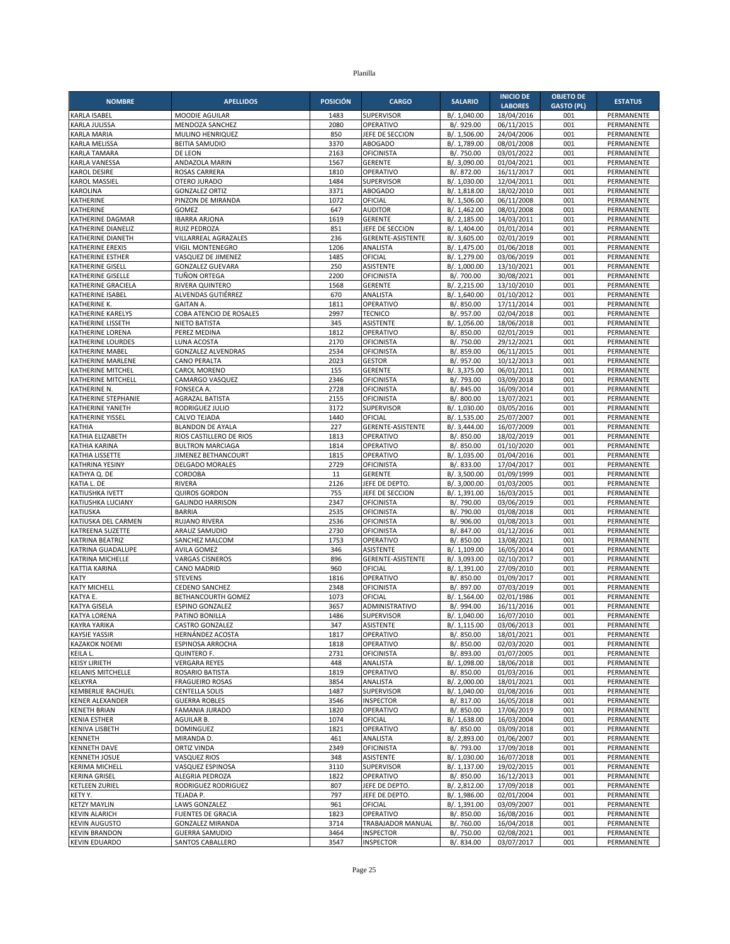| <b>NOMBRE</b>                                 | <b>APELLIDOS</b>                           | <b>POSICIÓN</b> | <b>CARGO</b>                           | <b>SALARIO</b>               | <b>INICIO DE</b>             | <b>OBJETO DE</b>         | <b>ESTATUS</b>           |
|-----------------------------------------------|--------------------------------------------|-----------------|----------------------------------------|------------------------------|------------------------------|--------------------------|--------------------------|
| KARLA ISABEL                                  | MOODIE AGUILAR                             | 1483            | <b>SUPERVISOR</b>                      | B/. 1,040.00                 | <b>LABORES</b><br>18/04/2016 | <b>GASTO (PL)</b><br>001 | PERMANENTE               |
| KARLA JULISSA                                 | MENDOZA SANCHEZ                            | 2080            | OPERATIVO                              | B/. 929.00                   | 06/11/2015                   | 001                      | PERMANENTE               |
| <b>KARLA MARIA</b>                            | MULINO HENRIQUEZ                           | 850             | JEFE DE SECCION                        | B/. 1,506.00                 | 24/04/2006                   | 001                      | PERMANENTE               |
| KARLA MELISSA                                 | <b>BEITIA SAMUDIO</b>                      | 3370            | ABOGADO                                | B/. 1,789.00                 | 08/01/2008                   | 001                      | PERMANENTE               |
| <b>KARLA TAMARA</b>                           | DE LEON                                    | 2163            | OFICINISTA                             | B/. 750.00                   | 03/01/2022                   | 001                      | PERMANENTE               |
| KARLA VANESSA                                 | ANDAZOLA MARIN                             | 1567            | <b>GERENTE</b>                         | B/. 3,090.00                 | 01/04/2021                   | 001                      | PERMANENTE               |
| KAROL DESIRE                                  | <b>ROSAS CARRERA</b>                       | 1810            | OPERATIVO                              | B/. 872.00                   | 16/11/2017                   | 001                      | PERMANENTE               |
| <b>KAROL MASSIEL</b><br>KAROLINA              | OTERO JURADO                               | 1484<br>3371    | <b>SUPERVISOR</b><br><b>ABOGADO</b>    | B/. 1,030.00                 | 12/04/2011                   | 001<br>001               | PERMANENTE               |
| KATHERINE                                     | <b>GONZALEZ ORTIZ</b><br>PINZON DE MIRANDA | 1072            | OFICIAL                                | B/. 1,818.00<br>B/. 1,506.00 | 18/02/2010<br>06/11/2008     | 001                      | PERMANENTE<br>PERMANENTE |
| KATHERINE                                     | GOMEZ                                      | 647             | <b>AUDITOR</b>                         | B/. 1,462.00                 | 08/01/2008                   | 001                      | PERMANENTE               |
| KATHERINE DAGMAR                              | <b>IBARRA ARJONA</b>                       | 1619            | <b>GERENTE</b>                         | B/. 2,185.00                 | 14/03/2011                   | 001                      | PERMANENTE               |
| KATHERINE DIANELIZ                            | RUIZ PEDROZA                               | 851             | JEFE DE SECCION                        | B/. 1,404.00                 | 01/01/2014                   | 001                      | PERMANENTE               |
| KATHERINE DIANETH                             | VILLARREAL AGRAZALES                       | 236             | GERENTE-ASISTENTE                      | B/. 3,605.00                 | 02/01/2019                   | 001                      | PERMANENTE               |
| <b>KATHERINE EREXIS</b>                       | <b>VIGIL MONTENEGRO</b>                    | 1206            | ANALISTA                               | B/. 1,475.00                 | 01/06/2018                   | 001                      | PERMANENTE               |
| KATHERINE ESTHER                              | VASQUEZ DE JIMENEZ                         | 1485            | OFICIAL                                | B/. 1,279.00                 | 03/06/2019                   | 001                      | PERMANENTE               |
| <b>KATHERINE GISELL</b>                       | <b>GONZALEZ GUEVARA</b>                    | 250             | <b>ASISTENTE</b>                       | B/. 1,000.00                 | 13/10/2021                   | 001                      | PERMANENTE               |
| KATHERINE GISELLE                             | TUÑON ORTEGA                               | 2200            | <b>OFICINISTA</b>                      | B/. 700.00                   | 30/08/2021                   | 001                      | PERMANENTE               |
| KATHERINE GRACIELA                            | <b>RIVERA QUINTERO</b>                     | 1568<br>670     | <b>GERENTE</b><br>ANALISTA             | B/. 2,215.00                 | 13/10/2010                   | 001<br>001               | PERMANENTE<br>PERMANENTE |
| KATHERINE ISABEL<br>KATHERINE K.              | ALVENDAS GUTIÉRREZ<br><b>GAITAN A.</b>     | 1811            | OPERATIVO                              | B/. 1,640.00<br>B/. 850.00   | 01/10/2012<br>17/11/2014     | 001                      | PERMANENTE               |
| KATHERINE KARELYS                             | COBA ATENCIO DE ROSALES                    | 2997            | <b>TECNICO</b>                         | B/. 957.00                   | 02/04/2018                   | 001                      | PERMANENTE               |
| KATHERINE LISSETH                             | NIETO BATISTA                              | 345             | <b>ASISTENTE</b>                       | B/. 1,056.00                 | 18/06/2018                   | 001                      | PERMANENTE               |
| KATHERINE LORENA                              | PEREZ MEDINA                               | 1812            | OPERATIVO                              | B/. 850.00                   | 02/01/2019                   | 001                      | PERMANENTE               |
| KATHERINE LOURDES                             | <b>LUNA ACOSTA</b>                         | 2170            | OFICINISTA                             | B/. 750.00                   | 29/12/2021                   | 001                      | PERMANENTE               |
| KATHERINE MABEL                               | <b>GONZALEZ ALVENDRAS</b>                  | 2534            | OFICINISTA                             | B/. 859.00                   | 06/11/2015                   | 001                      | PERMANENTE               |
| KATHERINE MARLENE                             | <b>CANO PERALTA</b>                        | 2023            | <b>GESTOR</b>                          | B/. 957.00                   | 10/12/2013                   | 001                      | PERMANENTE               |
| <b>KATHERINE MITCHEL</b>                      | CAROL MORENO                               | 155             | <b>GERENTE</b>                         | B/. 3,375.00                 | 06/01/2011                   | 001                      | PERMANENTE               |
| KATHERINE MITCHELL                            | CAMARGO VASQUEZ                            | 2346            | OFICINISTA                             | B/. 793.00                   | 03/09/2018                   | 001                      | PERMANENTE               |
| KATHERINE N.                                  | FONSECA A.                                 | 2728            | <b>OFICINISTA</b>                      | B/. 845.00                   | 16/09/2014                   | 001                      | PERMANENTE               |
| KATHERINE STEPHANIE                           | AGRAZAL BATISTA                            | 2155            | <b>OFICINISTA</b>                      | B/. 800.00                   | 13/07/2021                   | 001                      | <b>PERMANENTE</b>        |
| KATHERINE YANETH                              | RODRIGUEZ JULIO                            | 3172            | <b>SUPERVISOR</b>                      | B/. 1,030.00                 | 03/05/2016                   | 001                      | PERMANENTE               |
| KATHERINE YISSEL<br>KATHIA                    | CALVO TEJADA<br><b>BLANDON DE AYALA</b>    | 1440<br>227     | OFICIAL<br>GERENTE-ASISTENTE           | B/. 1,535.00<br>B/. 3,444.00 | 25/07/2007<br>16/07/2009     | 001<br>001               | PERMANENTE<br>PERMANENTE |
| KATHIA ELIZABETH                              | RIOS CASTILLERO DE RIOS                    | 1813            | OPERATIVO                              | B/. 850.00                   | 18/02/2019                   | 001                      | PERMANENTE               |
| KATHIA KARINA                                 | <b>BULTRON MARCIAGA</b>                    | 1814            | OPERATIVO                              | B/. 850.00                   | 01/10/2020                   | 001                      | PERMANENTE               |
| KATHIA LISSETTE                               | JIMENEZ BETHANCOURT                        | 1815            | OPERATIVO                              | B/. 1,035.00                 | 01/04/2016                   | 001                      | <b>PERMANENTE</b>        |
| KATHRINA YESINY                               | DELGADO MORALES                            | 2729            | <b>OFICINISTA</b>                      | B/. 833.00                   | 17/04/2017                   | 001                      | PERMANENTE               |
| KATHYA Q. DE                                  | CORDOBA                                    | 11              | <b>GERENTE</b>                         | B/. 3,500.00                 | 01/09/1999                   | 001                      | PERMANENTE               |
| KATIA L. DE                                   | <b>RIVERA</b>                              | 2126            | JEFE DE DEPTO                          | B/. 3,000.00                 | 01/03/2005                   | 001                      | PERMANENTE               |
| KATIUSHKA IVETT                               | <b>QUIROS GORDON</b>                       | 755             | JEFE DE SECCION                        | B/. 1,391.00                 | 16/03/2015                   | 001                      | PERMANENTE               |
| KATIUSHKA LUCIANY                             | <b>GALINDO HARRISON</b>                    | 2347            | <b>OFICINISTA</b>                      | B/. 790.00                   | 03/06/2019                   | 001                      | PERMANENTE               |
| KATIUSKA                                      | <b>BARRIA</b>                              | 2535            | OFICINISTA                             | B/. 790.00                   | 01/08/2018                   | 001                      | PERMANENTE               |
| KATIUSKA DEL CARMEN<br>KATREENA SUZETTE       | <b>RUJANO RIVERA</b><br>ARAUZ SAMUDIO      | 2536<br>2730    | <b>OFICINISTA</b><br><b>OFICINISTA</b> | B/. 906.00<br>B/. 847.00     | 01/08/2013<br>01/12/2016     | 001<br>001               | PERMANENTE<br>PERMANENTE |
| KATRINA BEATRIZ                               | SANCHEZ MALCOM                             | 1753            | OPERATIVO                              | B/. 850.00                   | 13/08/2021                   | 001                      | PERMANENTE               |
| KATRINA GUADALUPE                             | <b>AVILA GOMEZ</b>                         | 346             | <b>ASISTENTE</b>                       | B/. 1,109.00                 | 16/05/2014                   | 001                      | PERMANENTE               |
| KATRINA MICHELLE                              | <b>VARGAS CISNEROS</b>                     | 896             | GERENTE-ASISTENTE                      | B/. 3,093.00                 | 02/10/2017                   | 001                      | PERMANENTE               |
| <b>KATTIA KARINA</b>                          | CANO MADRID                                | 960             | OFICIAL                                | B/. 1,391.00                 | 27/09/2010                   | 001                      | PERMANENTE               |
| KATY                                          | <b>STEVENS</b>                             | 1816            | OPERATIVO                              | B/. 850.00                   | 01/09/2017                   | 001                      | PERMANENTE               |
| <b>KATY MICHELL</b>                           | <b>CEDENO SANCHEZ</b>                      | 2348            | <b>OFICINISTA</b>                      | B/. 897.00                   | 07/03/2019                   | 001                      | <b>PERMANENTE</b>        |
| KATYA E.                                      | BETHANCOURTH GOMEZ                         | 1073            | OFICIAL                                | B/. 1,564.00                 | 02/01/1986                   | 001                      | PERMANENTE               |
| <b>KATYA GISELA</b>                           | <b>ESPINO GONZALEZ</b>                     | 3657            | ADMINISTRATIVO                         | B/. 994.00                   | 16/11/2016                   | 001                      | PERMANENTE               |
| <b>KATYA LORENA</b>                           | PATINO BONILLA                             | 1486            | <b>SUPERVISOR</b>                      | B/. 1,040.00                 | 16/07/2010                   | 001                      | PERMANENTE               |
| KAYRA YARIKA                                  | CASTRO GONZALEZ                            | 347             | ASISTENTE                              | B/. 1,115.00                 | 03/06/2013                   | 001                      | PERMANENTE               |
| <b>KAYSIE YASSIR</b>                          | HERNÁNDEZ ACOSTA                           | 1817            | OPERATIVO                              | B/. 850.00                   | 18/01/2021                   | 001                      | PERMANENTE               |
| <b>KAZAKOK NOEMI</b><br>KEILA L.              | ESPINOSA ARROCHA<br>QUINTERO F.            | 1818<br>2731    | OPERATIVO<br>OFICINISTA                | B/. 850.00<br>B/. 893.00     | 02/03/2020<br>01/07/2005     | 001<br>001               | PERMANENTE<br>PERMANENTE |
| <b>KEISY LIRIETH</b>                          | <b>VERGARA REYES</b>                       | 448             | ANALISTA                               | B/. 1,098.00                 | 18/06/2018                   | 001                      | PERMANENTE               |
| <b>KELANIS MITCHELLE</b>                      | ROSARIO BATISTA                            | 1819            | OPERATIVO                              | B/. 850.00                   | 01/03/2016                   | 001                      | PERMANENTE               |
| KELKYRA                                       | <b>FRAGUEIRO ROSAS</b>                     | 3854            | ANALISTA                               | B/. 2,000.00                 | 18/01/2021                   | 001                      | PERMANENTE               |
| KEMBERLIE RACHUEL                             | <b>CENTELLA SOLIS</b>                      | 1487            | <b>SUPERVISOR</b>                      | B/. 1,040.00                 | 01/08/2016                   | 001                      | PERMANENTE               |
| <b>KENER ALEXANDER</b>                        | <b>GUERRA ROBLES</b>                       | 3546            | <b>INSPECTOR</b>                       | B/. 817.00                   | 16/05/2018                   | 001                      | PERMANENTE               |
| <b>KENETH BRIAN</b>                           | <b>FAMANIA JURADO</b>                      | 1820            | OPERATIVO                              | B/. 850.00                   | 17/06/2019                   | 001                      | PERMANENTE               |
| KENIA ESTHER                                  | AGUILAR B.                                 | 1074            | OFICIAL                                | B/. 1,638.00                 | 16/03/2004                   | 001                      | PERMANENTE               |
| KENIVA LISBETH                                | <b>DOMINGUEZ</b>                           | 1821            | OPERATIVO                              | B/. 850.00                   | 03/09/2018                   | 001                      | PERMANENTE               |
| KENNETH                                       | MIRANDA D.                                 | 461             | ANALISTA                               | B/. 2,893.00                 | 01/06/2007                   | 001                      | PERMANENTE               |
| <b>KENNETH DAVE</b>                           | <b>ORTIZ VINDA</b>                         | 2349            | OFICINISTA                             | B/. 793.00                   | 17/09/2018                   | 001                      | PERMANENTE               |
| <b>KENNETH JOSUE</b><br><b>KERIMA MICHELL</b> | <b>VASQUEZ RIOS</b><br>VASQUEZ ESPINOSA    | 348<br>3110     | ASISTENTE<br>SUPERVISOR                | B/. 1,030.00<br>B/. 1,137.00 | 16/07/2018<br>19/02/2015     | 001<br>001               | PERMANENTE<br>PERMANENTE |
| <b>KERINA GRISEL</b>                          | ALEGRIA PEDROZA                            | 1822            | OPERATIVO                              | B/. 850.00                   | 16/12/2013                   | 001                      | PERMANENTE               |
| <b>KETLEEN ZURIEL</b>                         | RODRIGUEZ RODRIGUEZ                        | 807             | JEFE DE DEPTO.                         | B/. 2,812.00                 | 17/09/2018                   | 001                      | PERMANENTE               |
| KETY Y.                                       | TEJADA P.                                  | 797             | JEFE DE DEPTO.                         | B/. 1,986.00                 | 02/01/2004                   | 001                      | PERMANENTE               |
| <b>KETZY MAYLIN</b>                           | <b>LAWS GONZALEZ</b>                       | 961             | OFICIAL                                | B/. 1,391.00                 | 03/09/2007                   | 001                      | PERMANENTE               |
| <b>KEVIN ALARICH</b>                          | <b>FUENTES DE GRACIA</b>                   | 1823            | OPERATIVO                              | B/. 850.00                   | 16/08/2016                   | 001                      | PERMANENTE               |
| <b>KEVIN AUGUSTO</b>                          | <b>GONZALEZ MIRANDA</b>                    | 3714            | TRABAJADOR MANUAL                      | B/. 760.00                   | 16/04/2018                   | 001                      | PERMANENTE               |
| <b>KEVIN BRANDON</b>                          | <b>GUERRA SAMUDIO</b>                      | 3464            | <b>INSPECTOR</b>                       | B/. 750.00                   | 02/08/2021                   | 001                      | PERMANENTE               |
| <b>KEVIN EDUARDO</b>                          | SANTOS CABALLERO                           | 3547            | <b>INSPECTOR</b>                       | B/. 834.00                   | 03/07/2017                   | 001                      | PERMANENTE               |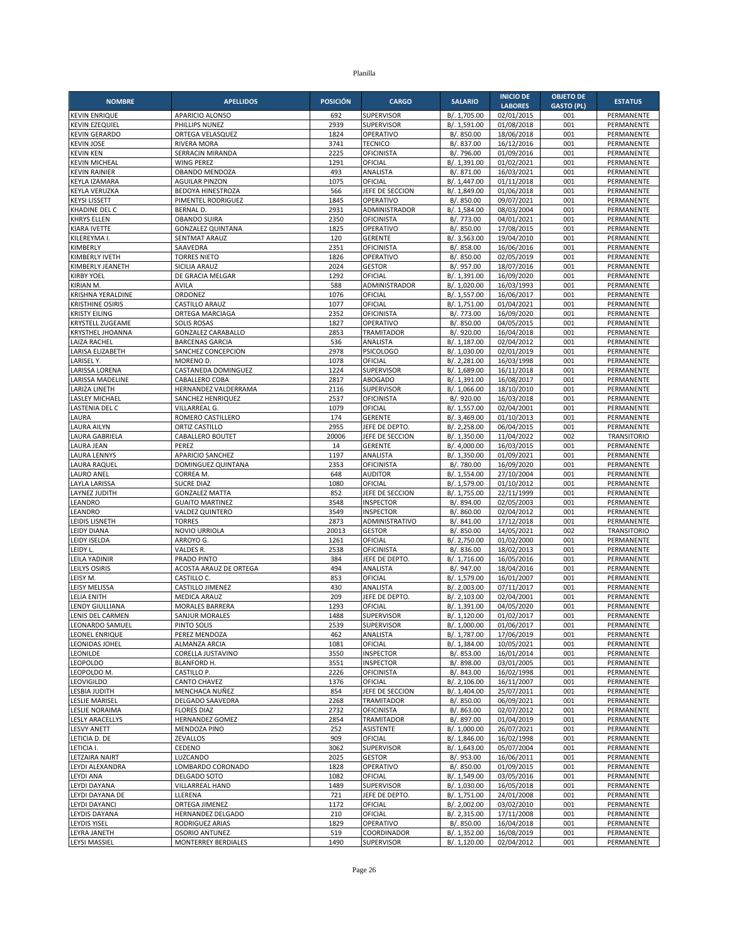| <b>NOMBRE</b>                              | <b>APELLIDOS</b>                         | <b>POSICIÓN</b> | <b>CARGO</b>                       | <b>SALARIO</b>               | <b>INICIO DE</b>         | <b>OBJETO DE</b>  | <b>ESTATUS</b>                   |
|--------------------------------------------|------------------------------------------|-----------------|------------------------------------|------------------------------|--------------------------|-------------------|----------------------------------|
|                                            |                                          |                 |                                    |                              | <b>LABORES</b>           | <b>GASTO (PL)</b> |                                  |
| <b>KEVIN ENRIQUE</b>                       | APARICIO ALONSO                          | 692             | <b>SUPERVISOR</b>                  | B/. 1,705.00                 | 02/01/2015               | 001               | PERMANENTE                       |
| <b>KEVIN EZEQUIEL</b>                      | PHILLIPS NUNEZ                           | 2939            | SUPERVISOR<br>OPERATIVO            | B/. 1,591.00                 | 01/08/2018               | 001<br>001        | PERMANENTE                       |
| <b>KEVIN GERARDO</b><br><b>KEVIN JOSE</b>  | ORTEGA VELASQUEZ<br><b>RIVERA MORA</b>   | 1824<br>3741    | <b>TECNICO</b>                     | B/. 850.00<br>B/. 837.00     | 18/06/2018<br>16/12/2016 | 001               | PERMANENTE<br>PERMANENTE         |
| <b>KEVIN KEN</b>                           | SERRACIN MIRANDA                         | 2225            | <b>OFICINISTA</b>                  | B/. 796.00                   | 01/09/2016               | 001               | PERMANENTE                       |
| <b>KEVIN MICHEAL</b>                       | <b>WING PEREZ</b>                        | 1291            | OFICIAL                            | B/. 1,391.00                 | 01/02/2021               | 001               | PERMANENTE                       |
| <b>KEVIN RAINIER</b>                       | OBANDO MENDOZA                           | 493             | ANALISTA                           | B/. 871.00                   | 16/03/2021               | 001               | PERMANENTE                       |
| KEYLA IZAMARA                              | <b>AGUILAR PINZON</b>                    | 1075            | OFICIAL                            | B/. 1,447.00                 | 01/11/2018               | 001               | PERMANENTE                       |
| KEYLA VERUZKA                              | <b>BEDOYA HINESTROZA</b>                 | 566             | JEFE DE SECCION                    | B/. 1,849.00                 | 01/06/2018               | 001               | PERMANENTE                       |
| <b>KEYSI LISSETT</b>                       | PIMENTEL RODRIGUEZ                       | 1845            | OPERATIVO                          | B/. 850.00                   | 09/07/2021               | 001               | PERMANENTE                       |
| <b>KHADINE DEL C</b><br><b>KHRYS ELLEN</b> | <b>BERNAL D.</b><br><b>OBANDO SUIRA</b>  | 2931<br>2350    | ADMINISTRADOR<br><b>OFICINISTA</b> | B/. 1,584.00<br>B/. 773.00   | 08/03/2004<br>04/01/2021 | 001<br>001        | PERMANENTE<br>PERMANENTE         |
| <b>KIARA IVETTE</b>                        | <b>GONZALEZ QUINTANA</b>                 | 1825            | OPERATIVO                          | B/. 850.00                   | 17/08/2015               | 001               | PERMANENTE                       |
| KILEREYMA I.                               | <b>SENTMAT ARAUZ</b>                     | 120             | <b>GERENTE</b>                     | B/. 3,563.00                 | 19/04/2010               | 001               | PERMANENTE                       |
| KIMBERLY                                   | SAAVEDRA                                 | 2351            | <b>OFICINISTA</b>                  | B/. 858.00                   | 16/06/2016               | 001               | PERMANENTE                       |
| KIMBERLY IVETH                             | <b>TORRES NIETO</b>                      | 1826            | OPERATIVO                          | B/. 850.00                   | 02/05/2019               | 001               | PERMANENTE                       |
| KIMBERLY JEANETH                           | SICILIA ARAUZ                            | 2024            | <b>GESTOR</b>                      | B/. 957.00                   | 18/07/2016               | 001               | PERMANENTE                       |
| <b>KIRBY YOEL</b>                          | DE GRACIA MELGAR                         | 1292            | OFICIAL                            | B/. 1,391.00                 | 16/09/2020               | 001               | PERMANENTE                       |
| KIRIAN M.<br>KRISHNA YERALDINE             | AVILA<br>ORDONEZ                         | 588<br>1076     | ADMINISTRADOR<br>OFICIAL           | B/. 1,020.00<br>B/. 1,557.00 | 16/03/1993<br>16/06/2017 | 001<br>001        | PERMANENTE<br>PERMANENTE         |
| <b>KRISTHINE OSIRIS</b>                    | CASTILLO ARAUZ                           | 1077            | OFICIAL                            | B/. 1,751.00                 | 01/04/2021               | 001               | PERMANENTE                       |
| <b>KRISTY EILING</b>                       | ORTEGA MARCIAGA                          | 2352            | <b>OFICINISTA</b>                  | B/. 773.00                   | 16/09/2020               | 001               | PERMANENTE                       |
| <b>KRYSTELL ZUGEAME</b>                    | <b>SOLIS ROSAS</b>                       | 1827            | OPERATIVO                          | B/. 850.00                   | 04/05/2015               | 001               | PERMANENTE                       |
| <b>KRYSTHEL JHOANNA</b>                    | <b>GONZALEZ CARABALLO</b>                | 2853            | <b>TRAMITADOR</b>                  | B/. 920.00                   | 16/04/2018               | 001               | PERMANENTE                       |
| <b>LAIZA RACHEL</b>                        | <b>BARCENAS GARCIA</b>                   | 536             | ANALISTA                           | B/. 1,187.00                 | 02/04/2012               | 001               | PERMANENTE                       |
| LARISA ELIZABETH                           | SANCHEZ CONCEPCION                       | 2978            | <b>PSICOLOGO</b>                   | B/. 1,030.00                 | 02/01/2019               | 001               | PERMANENTE                       |
| LARISEL Y.<br>LARISSA LORENA               | MORENO D<br>CASTANEDA DOMINGUEZ          | 1078<br>1224    | OFICIAL<br>SUPERVISOR              | B/. 2,281.00<br>B/. 1,689.00 | 16/03/1998<br>16/11/2018 | 001<br>001        | PERMANENTE<br>PERMANENTE         |
| LARISSA MADELINE                           | CABALLERO COBA                           | 2817            | <b>ABOGADO</b>                     | B/. 1,391.00                 | 16/08/2017               | 001               | PERMANENTE                       |
| <b>LARIZA LINETH</b>                       | HERNANDEZ VALDERRAMA                     | 2116            | <b>SUPERVISOR</b>                  | B/. 1,066.00                 | 18/10/2010               | 001               | PERMANENTE                       |
| <b>LASLEY MICHAEL</b>                      | SANCHEZ HENRIQUEZ                        | 2537            | <b>OFICINISTA</b>                  | B/. 920.00                   | 16/03/2018               | 001               | PERMANENTE                       |
| LASTENIA DEL C                             | VILLARREAL G.                            | 1079            | OFICIAL                            | B/. 1,557.00                 | 02/04/2001               | 001               | PERMANENTE                       |
| LAURA                                      | ROMERO CASTILLERO                        | 174             | <b>GERENTE</b>                     | B/. 3,469.00                 | 01/10/2013               | 001               | PERMANENTE                       |
| <b>LAURA AILYN</b>                         | ORTIZ CASTILLO                           | 2955            | JEFE DE DEPTO.                     | B/. 2,258.00                 | 06/04/2015               | 001               | PERMANENTE                       |
| LAURA GABRIELA<br><b>LAURA JEAN</b>        | CABALLERO BOUTET<br>PEREZ                | 20006<br>14     | JEFE DE SECCION<br><b>GERENTE</b>  | B/. 1,350.00<br>B/. 4,000.00 | 11/04/2022<br>16/03/2015 | 002<br>001        | <b>TRANSITORIO</b><br>PERMANENTE |
| <b>LAURA LENNYS</b>                        | APARICIO SANCHEZ                         | 1197            | ANALISTA                           | B/. 1,350.00                 | 01/09/2021               | 001               | PERMANENTE                       |
| <b>LAURA RAQUEL</b>                        | DOMINGUEZ QUINTANA                       | 2353            | <b>OFICINISTA</b>                  | B/. 780.00                   | 16/09/2020               | 001               | PERMANENTE                       |
| <b>LAURO ANEL</b>                          | CORREA M.                                | 648             | <b>AUDITOR</b>                     | B/. 1,554.00                 | 27/10/2004               | 001               | PERMANENTE                       |
| <b>LAYLA LARISSA</b>                       | <b>SUCRE DIAZ</b>                        | 1080            | OFICIAL                            | B/. 1,579.00                 | 01/10/2012               | 001               | PERMANENTE                       |
| LAYNEZ JUDITH                              | <b>GONZALEZ MATTA</b>                    | 852             | JEFE DE SECCION                    | B/. 1,755.00                 | 22/11/1999               | 001               | PERMANENTE                       |
| LEANDRO                                    | <b>GUAITO MARTINEZ</b>                   | 3548            | <b>INSPECTOR</b>                   | B/. 894.00                   | 02/05/2003               | 001               | PERMANENTE                       |
| LEANDRO<br>LEIDIS LISNETH                  | <b>VALDEZ QUINTERO</b><br><b>TORRES</b>  | 3549<br>2873    | <b>INSPECTOR</b><br>ADMINISTRATIVO | B/. 860.00<br>B/. 841.00     | 02/04/2012<br>17/12/2018 | 001<br>001        | PERMANENTE<br>PERMANENTE         |
| <b>LEIDY DIANA</b>                         | NOVIO URRIOLA                            | 20013           | <b>GESTOR</b>                      | B/. 850.00                   | 14/05/2021               | 002               | <b>TRANSITORIO</b>               |
| LEIDY ISELDA                               | ARROYO G.                                | 1261            | OFICIAL                            | B/. 2,750.00                 | 01/02/2000               | 001               | PERMANENTE                       |
| LEIDY L.                                   | VALDES R.                                | 2538            | <b>OFICINISTA</b>                  | B/. 836.00                   | 18/02/2013               | 001               | PERMANENTE                       |
| LEILA YADINIR                              | PRADO PINTO                              | 384             | JEFE DE DEPTO.                     | B/. 1,716.00                 | 16/05/2016               | 001               | PERMANENTE                       |
| LEILYS OSIRIS                              | ACOSTA ARAUZ DE ORTEGA                   | 494             | ANALISTA                           | B/. 947.00                   | 18/04/2016               | 001               | PERMANENTE                       |
| LEISY M.                                   | CASTILLO C.                              | 853             | OFICIAL                            | B/. 1,579.00                 | 16/01/2007               | 001               | PERMANENTE                       |
| LEISY MELISSA<br><b>LELIA ENITH</b>        | CASTILLO JIMENEZ<br><b>MEDICA ARAUZ</b>  | 430<br>209      | ANALISTA<br>JEFE DE DEPTO          | B/. 2,003.00<br>B/. 2,103.00 | 07/11/2017               | 001<br>001        | PERMANENTE<br>PERMANENTE         |
| <b>LENDY GIULLIANA</b>                     | MORALES BARRERA                          | 1293            | OFICIAL                            | B/. 1,391.00                 | 02/04/2001<br>04/05/2020 | 001               | PERMANENTE                       |
| LENIS DEL CARMEN                           | <b>SANJUR MORALES</b>                    | 1488            | SUPERVISOR                         | B/. 1,120.00                 | 01/02/2017               | 001               | PERMANENTE                       |
| LEONARDO SAMUEL                            | PINTO SOLIS                              | 2539            | <b>SUPERVISOR</b>                  | B/. 1,000.00                 | 01/06/2017               | 001               | PERMANENTE                       |
| LEONEL ENRIQUE                             | PEREZ MENDOZA                            | 462             | ANALISTA                           | B/. 1,787.00                 | 17/06/2019               | 001               | PERMANENTE                       |
| LEONIDAS JOHEL                             | ALMANZA ARCIA                            | 1081            | OFICIAL                            | B/. 1,384.00                 | 10/05/2021               | 001               | PERMANENTE                       |
| LEONILDE                                   | CORELLA JUSTAVINO                        | 3550            | <b>INSPECTOR</b>                   | B/. 853.00                   | 16/01/2014               | 001               | PERMANENTE                       |
| <b>LEOPOLDO</b><br>LEOPOLDO M.             | <b>BLANFORD H.</b><br>CASTILLO P.        | 3551<br>2226    | <b>INSPECTOR</b>                   | B/. 898.00                   | 03/01/2005<br>16/02/1998 | 001               | PERMANENTE                       |
| LEOVIGILDO                                 | <b>CANTO CHAVEZ</b>                      | 1376            | <b>OFICINISTA</b><br>OFICIAL       | B/. 843.00<br>B/. 2,106.00   | 16/11/2007               | 001<br>001        | PERMANENTE<br>PERMANENTE         |
| LESBIA JUDITH                              | MENCHACA NUÑEZ                           | 854             | JEFE DE SECCION                    | B/. 1,404.00                 | 25/07/2011               | 001               | PERMANENTE                       |
| <b>LESLIE MARISEL</b>                      | DELGADO SAAVEDRA                         | 2268            | TRAMITADOR                         | B/. 850.00                   | 06/09/2021               | 001               | PERMANENTE                       |
| LESLIE NORAIMA                             | <b>FLORES DIAZ</b>                       | 2732            | <b>OFICINISTA</b>                  | B/. 863.00                   | 02/07/2012               | 001               | PERMANENTE                       |
| <b>LESLY ARACELLYS</b>                     | HERNANDEZ GOMEZ                          | 2854            | <b>TRAMITADOR</b>                  | B/. 897.00                   | 01/04/2019               | 001               | PERMANENTE                       |
| <b>LESVY ANETT</b>                         | <b>MENDOZA PINO</b>                      | 252             | ASISTENTE                          | B/. 1,000.00                 | 26/07/2021               | 001               | PERMANENTE                       |
| LETICIA D. DE                              | ZEVALLOS                                 | 909<br>3062     | OFICIAL<br>SUPERVISOR              | B/. 1,846.00                 | 16/02/1998<br>05/07/2004 | 001<br>001        | PERMANENTE                       |
| LETICIA I.<br>LETZAIRA NAIRT               | CEDENO<br>LUZCANDO                       | 2025            | <b>GESTOR</b>                      | B/. 1,643.00<br>B/. 953.00   | 16/06/2011               | 001               | PERMANENTE<br>PERMANENTE         |
| LEYDI ALEXANDRA                            | LOMBARDO CORONADO                        | 1828            | OPERATIVO                          | B/. 850.00                   | 01/09/2015               | 001               | PERMANENTE                       |
| <b>LEYDI ANA</b>                           | DELGADO SOTO                             | 1082            | OFICIAL                            | B/. 1,549.00                 | 03/05/2016               | 001               | PERMANENTE                       |
| LEYDI DAYANA                               | VILLARREAL HAND                          | 1489            | SUPERVISOR                         | B/. 1,030.00                 | 16/05/2018               | 001               | PERMANENTE                       |
| LEYDI DAYANA DE                            | LLERENA                                  | 721             | JEFE DE DEPTO.                     | B/. 1,751.00                 | 24/01/2008               | 001               | PERMANENTE                       |
| LEYDI DAYANCI                              | ORTEGA JIMENEZ                           | 1172            | OFICIAL                            | B/. 2,002.00                 | 03/02/2010               | 001               | PERMANENTE                       |
| LEYDIS DAYANA                              | HERNANDEZ DELGADO                        | 210             | OFICIAL                            | B/. 2,315.00                 | 17/11/2008               | 001               | PERMANENTE                       |
| LEYDIS YISEL<br>LEYRA JANETH               | RODRIGUEZ ARIAS<br><b>OSORIO ANTUNEZ</b> | 1829<br>519     | OPERATIVO<br>COORDINADOR           | B/. 850.00<br>B/. 1,352.00   | 16/04/2018<br>16/08/2019 | 001<br>001        | PERMANENTE<br>PERMANENTE         |
|                                            |                                          |                 |                                    |                              |                          |                   |                                  |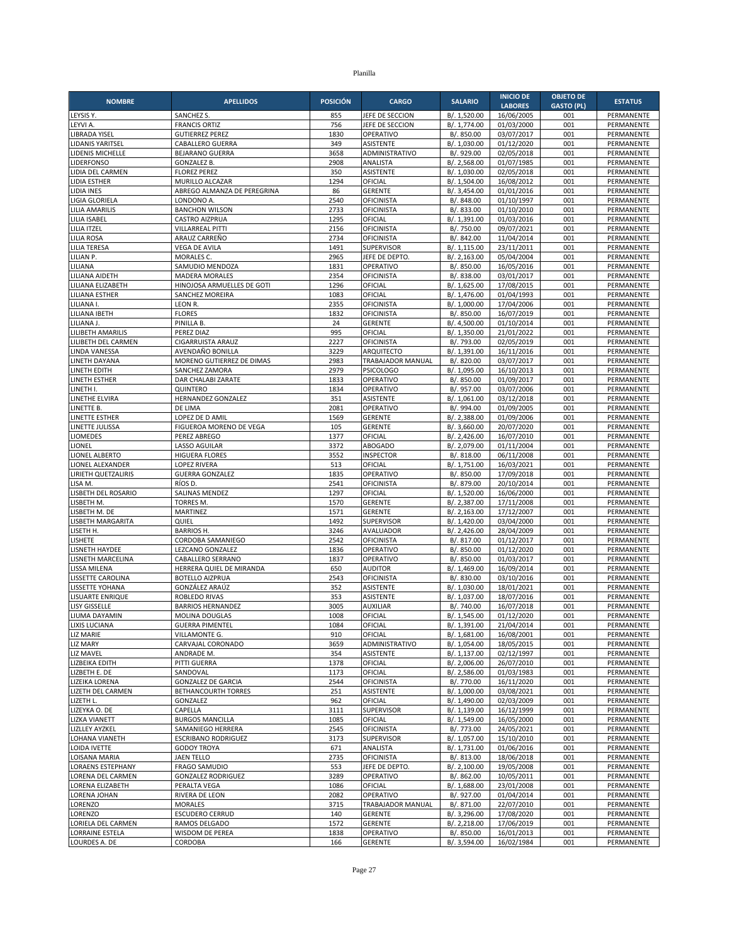| <b>NOMBRE</b>                            | <b>APELLIDOS</b>                            | <b>POSICIÓN</b> | <b>CARGO</b>                           | <b>SALARIO</b>               | <b>INICIO DE</b>         | <b>OBJETO DE</b>  | <b>ESTATUS</b>           |
|------------------------------------------|---------------------------------------------|-----------------|----------------------------------------|------------------------------|--------------------------|-------------------|--------------------------|
|                                          |                                             |                 |                                        |                              | <b>LABORES</b>           | <b>GASTO (PL)</b> |                          |
| LEYSIS Y.<br>LEYVI A.                    | <b>SANCHEZ S</b><br><b>FRANCIS ORTIZ</b>    | 855<br>756      | JEFE DE SECCION<br>JEFE DE SECCION     | B/. 1,520.00<br>B/. 1,774.00 | 16/06/2005<br>01/03/2000 | 001<br>001        | PERMANENTE<br>PERMANENTE |
| LIBRADA YISEL                            | <b>GUTIERREZ PEREZ</b>                      | 1830            | OPERATIVO                              | B/. 850.00                   | 03/07/2017               | 001               | PERMANENTE               |
| LIDANIS YARITSEL                         | CABALLERO GUERRA                            | 349             | <b>ASISTENTE</b>                       | B/. 1,030.00                 | 01/12/2020               | 001               | PERMANENTE               |
| LIDENIS MICHELLE                         | <b>BEJARANO GUERRA</b>                      | 3658            | ADMINISTRATIVO                         | B/. 929.00                   | 02/05/2018               | 001               | PERMANENTE               |
| LIDERFONSO                               | <b>GONZALEZ B.</b>                          | 2908<br>350     | ANALISTA                               | B/. 2,568.00                 | 01/07/1985               | 001<br>001        | PERMANENTE               |
| LIDIA DEL CARMEN<br><b>LIDIA ESTHER</b>  | <b>FLOREZ PEREZ</b><br>MURILLO ALCAZAR      | 1294            | <b>ASISTENTE</b><br>OFICIAL            | B/. 1,030.00<br>B/. 1,504.00 | 02/05/2018<br>16/08/2012 | 001               | PERMANENTE<br>PERMANENTE |
| LIDIA INES                               | ABREGO ALMANZA DE PEREGRINA                 | 86              | <b>GERENTE</b>                         | B/. 3,454.00                 | 01/01/2016               | 001               | PERMANENTE               |
| LIGIA GLORIELA                           | LONDONO A.                                  | 2540            | <b>OFICINISTA</b>                      | B/. 848.00                   | 01/10/1997               | 001               | PERMANENTE               |
| <b>LILIA AMARILIS</b>                    | <b>BANCHON WILSON</b>                       | 2733            | <b>OFICINISTA</b>                      | B/. 833.00                   | 01/10/2010               | 001               | PERMANENTE               |
| <b>LILIA ISABEL</b>                      | <b>CASTRO AIZPRUA</b>                       | 1295            | OFICIAL                                | B/. 1,391.00                 | 01/03/2016               | 001               | PERMANENTE               |
| LILIA ITZEL<br><b>LILIA ROSA</b>         | VILLARREAL PITTI<br>ARAUZ CARREÑO           | 2156<br>2734    | <b>OFICINISTA</b><br><b>OFICINISTA</b> | B/. 750.00<br>B/. 842.00     | 09/07/2021<br>11/04/2014 | 001<br>001        | PERMANENTE<br>PERMANENTE |
| <b>LILIA TERESA</b>                      | <b>VEGA DE AVILA</b>                        | 1491            | SUPERVISOR                             | B/. 1,115.00                 | 23/11/2011               | 001               | PERMANENTE               |
| LILIAN P.                                | MORALES C.                                  | 2965            | JEFE DE DEPTO                          | B/. 2,163.00                 | 05/04/2004               | 001               | PERMANENTE               |
| LILIANA                                  | SAMUDIO MENDOZA                             | 1831            | OPERATIVO                              | B/. 850.00                   | 16/05/2016               | 001               | PERMANENTE               |
| LILIANA AIDETH                           | <b>MADERA MORALES</b>                       | 2354            | <b>OFICINISTA</b>                      | B/. 838.00                   | 03/01/2017               | 001               | PERMANENTE               |
| LILIANA ELIZABETH                        | HINOJOSA ARMUELLES DE GOTI                  | 1296            | OFICIAL                                | B/. 1,625.00                 | 17/08/2015               | 001               | PERMANENTE               |
| <b>LILIANA ESTHER</b><br>LILIANA I.      | SANCHEZ MOREIRA<br>LEON R.                  | 1083<br>2355    | OFICIAL<br><b>OFICINISTA</b>           | B/. 1,476.00<br>B/. 1,000.00 | 01/04/1993<br>17/04/2006 | 001<br>001        | PERMANENTE<br>PERMANENTE |
| LILIANA IBETH                            | <b>FLORES</b>                               | 1832            | <b>OFICINISTA</b>                      | B/. 850.00                   | 16/07/2019               | 001               | PERMANENTE               |
| LILIANA J.                               | PINILLA B.                                  | 24              | <b>GERENTE</b>                         | B/. 4,500.00                 | 01/10/2014               | 001               | PERMANENTE               |
| LILIBETH AMARILIS                        | PEREZ DIAZ                                  | 995             | OFICIAL                                | B/. 1,350.00                 | 21/01/2022               | 001               | PERMANENTE               |
| LILIBETH DEL CARMEN                      | <b>CIGARRUISTA ARAUZ</b>                    | 2227            | <b>OFICINISTA</b>                      | B/. 793.00                   | 02/05/2019               | 001               | PERMANENTE               |
| LINDA VANESSA<br>LINETH DAYANA           | AVENDAÑO BONILLA                            | 3229<br>2983    | <b>ARQUITECTO</b><br>TRABAJADOR MANUAL | B/. 1,391.00<br>B/. 820.00   | 16/11/2016<br>03/07/2017 | 001<br>001        | PERMANENTE<br>PERMANENTE |
| LINETH EDITH                             | MORENO GUTIERREZ DE DIMAS<br>SANCHEZ ZAMORA | 2979            | <b>PSICOLOGO</b>                       | B/. 1,095.00                 | 16/10/2013               | 001               | PERMANENTE               |
| LINETH ESTHER                            | DAR CHALABI ZARATE                          | 1833            | OPERATIVO                              | B/. 850.00                   | 01/09/2017               | 001               | PERMANENTE               |
| LINETH I.                                | <b>OUINTERO</b>                             | 1834            | OPERATIVO                              | B/. 957.00                   | 03/07/2006               | 001               | PERMANENTE               |
| LINETHE ELVIRA                           | HERNANDEZ GONZALEZ                          | 351             | ASISTENTE                              | B/. 1,061.00                 | 03/12/2018               | 001               | PERMANENTE               |
| LINETTE B.                               | DE LIMA                                     | 2081            | OPERATIVO                              | B/. 994.00                   | 01/09/2005               | 001               | PERMANENTE               |
| <b>LINETTE ESTHER</b><br>LINETTE JULISSA | LOPEZ DE D AMIL<br>FIGUEROA MORENO DE VEGA  | 1569<br>105     | <b>GERENTE</b><br><b>GERENTE</b>       | B/. 2,388.00<br>B/. 3,660.00 | 01/09/2006<br>20/07/2020 | 001<br>001        | PERMANENTE<br>PERMANENTE |
| LIOMEDES                                 | PEREZ ABREGO                                | 1377            | OFICIAL                                | B/. 2,426.00                 | 16/07/2010               | 001               | PERMANENTE               |
| LIONEL                                   | <b>LASSO AGUILAR</b>                        | 3372            | <b>ABOGADO</b>                         | B/. 2,079.00                 | 01/11/2004               | 001               | PERMANENTE               |
| LIONEL ALBERTO                           | <b>HIGUERA FLORES</b>                       | 3552            | <b>INSPECTOR</b>                       | B/. 818.00                   | 06/11/2008               | 001               | PERMANENTE               |
| LIONEL ALEXANDER                         | <b>LOPEZ RIVERA</b>                         | 513             | OFICIAL                                | B/. 1,751.00                 | 16/03/2021               | 001               | PERMANENTE               |
| LIRIETH QUETZALIRIS<br>LISA M.           | <b>GUERRA GONZALEZ</b><br>RÍOS D            | 1835<br>2541    | OPERATIVO<br>OFICINISTA                | B/. 850.00<br>B/. 879.00     | 17/09/2018<br>20/10/2014 | 001<br>001        | PERMANENTE<br>PERMANENTE |
| LISBETH DEL ROSARIO                      | SALINAS MENDEZ                              | 1297            | OFICIAL                                | B/. 1,520.00                 | 16/06/2000               | 001               | PERMANENTE               |
| LISBETH M.                               | TORRES M.                                   | 1570            | <b>GERENTE</b>                         | B/. 2,387.00                 | 17/11/2008               | 001               | PERMANENTE               |
| LISBETH M. DE                            | MARTINEZ                                    | 1571            | <b>GERENTE</b>                         | B/. 2,163.00                 | 17/12/2007               | 001               | PERMANENTE               |
| LISBETH MARGARITA                        | QUIEL                                       | 1492            | <b>SUPERVISOR</b>                      | B/. 1,420.00                 | 03/04/2000               | 001               | PERMANENTE               |
| LISETH H.                                | <b>BARRIOS H.</b>                           | 3246            | <b>AVALUADOR</b>                       | B/. 2,426.00                 | 28/04/2009               | 001               | PERMANENTE               |
| <b>LISHETE</b><br>LISNETH HAYDEE         | CORDOBA SAMANIEGO<br>LEZCANO GONZALEZ       | 2542<br>1836    | <b>OFICINISTA</b><br>OPERATIVO         | B/. 817.00<br>B/. 850.00     | 01/12/2017<br>01/12/2020 | 001<br>001        | PERMANENTE<br>PERMANENTE |
| LISNETH MARCELINA                        | CABALLERO SERRANO                           | 1837            | OPERATIVO                              | B/. 850.00                   | 01/03/2017               | 001               | PERMANENTE               |
| LISSA MILENA                             | HERRERA QUIEL DE MIRANDA                    | 650             | <b>AUDITOR</b>                         | B/. 1,469.00                 | 16/09/2014               | 001               | PERMANENTE               |
| LISSETTE CAROLINA                        | <b>BOTELLO AIZPRUA</b>                      | 2543            | OFICINISTA                             | B/. 830.00                   | 03/10/2016               | 001               | PERMANENTE               |
| LISSETTE YOHANA                          | GONZÁLEZ ARAÚZ                              | 352             | ASISTENTE                              | B/. 1,030.00                 | 18/01/2021               | 001               | PERMANENTE               |
| LISUARTE ENRIQUE<br><b>LISY GISSELLE</b> | ROBLEDO RIVAS<br><b>BARRIOS HERNANDEZ</b>   | 353<br>3005     | <b>ASISTENTE</b><br><b>AUXILIAR</b>    | B/. 1,037.00<br>B/. 740.00   | 18/07/2016<br>16/07/2018 | 001<br>001        | PERMANENTE<br>PERMANENTE |
| LIUMA DAYAMIN                            | MOLINA DOUGLAS                              | 1008            | OFICIAL                                | B/. 1,545.00                 | 01/12/2020               | 001               | PERMANENTE               |
| LIXIS LUCIANA                            | <b>GUERRA PIMENTEL</b>                      | 1084            | OFICIAL                                | B/. 1,391.00                 | 21/04/2014               | 001               | PERMANENTE               |
| LIZ MARIE                                | VILLAMONTE G.                               | 910             | OFICIAL                                | B/. 1,681.00                 | 16/08/2001               | 001               | PERMANENTE               |
| <b>LIZ MARY</b>                          | CARVAJAL CORONADO                           | 3659            | ADMINISTRATIVO                         | B/. 1,054.00                 | 18/05/2015               | 001               | PERMANENTE               |
| LIZ MAVEL                                | ANDRADE M.                                  | 354             | <b>ASISTENTE</b>                       | B/. 1,137.00                 | 02/12/1997               | 001               | PERMANENTE               |
| LIZBEIKA EDITH<br>LIZBETH E. DE          | PITTI GUERRA<br>SANDOVAL                    | 1378<br>1173    | OFICIAL<br>OFICIAL                     | B/. 2,006.00<br>B/. 2,586.00 | 26/07/2010<br>01/03/1983 | 001<br>001        | PERMANENTE<br>PERMANENTE |
| LIZEIKA LORENA                           | <b>GONZALEZ DE GARCIA</b>                   | 2544            | <b>OFICINISTA</b>                      | B/. 770.00                   | 16/11/2020               | 001               | PERMANENTE               |
| LIZETH DEL CARMEN                        | BETHANCOURTH TORRES                         | 251             | <b>ASISTENTE</b>                       | B/. 1,000.00                 | 03/08/2021               | 001               | PERMANENTE               |
| LIZETH L.                                | GONZALEZ                                    | 962             | OFICIAL                                | B/. 1,490.00                 | 02/03/2009               | 001               | PERMANENTE               |
| LIZEYKA O. DE                            | CAPELLA                                     | 3111            | SUPERVISOR                             | B/. 1,139.00                 | 16/12/1999               | 001               | PERMANENTE               |
| <b>LIZKA VIANETT</b>                     | <b>BURGOS MANCILLA</b>                      | 1085            | OFICIAL                                | B/. 1,549.00                 | 16/05/2000               | 001               | PERMANENTE               |
| <b>LIZLLEY AYZKEL</b><br>LOHANA VIANETH  | SAMANIEGO HERRERA<br>ESCRIBANO RODRIGUEZ    | 2545<br>3173    | <b>OFICINISTA</b><br><b>SUPERVISOR</b> | B/. 773.00<br>B/. 1,057.00   | 24/05/2021<br>15/10/2010 | 001<br>001        | PERMANENTE<br>PERMANENTE |
| LOIDA IVETTE                             | <b>GODOY TROYA</b>                          | 671             | ANALISTA                               | B/. 1,731.00                 | 01/06/2016               | 001               | PERMANENTE               |
| LOISANA MARIA                            | <b>JAEN TELLO</b>                           | 2735            | <b>OFICINISTA</b>                      | B/. 813.00                   | 18/06/2018               | 001               | PERMANENTE               |
| <b>LORAENS ESTEPHANY</b>                 | <b>FRAGO SAMUDIO</b>                        | 553             | JEFE DE DEPTO.                         | B/. 2,100.00                 | 19/05/2008               | 001               | PERMANENTE               |
| LORENA DEL CARMEN                        | <b>GONZALEZ RODRIGUEZ</b>                   | 3289            | OPERATIVO                              | B/. 862.00                   | 10/05/2011               | 001               | PERMANENTE               |
| LORENA ELIZABETH                         | PERALTA VEGA                                | 1086            | OFICIAL                                | B/. 1,688.00                 | 23/01/2008               | 001               | PERMANENTE               |
| LORENA JOHAN<br>LORENZO                  | RIVERA DE LEON<br><b>MORALES</b>            | 2082<br>3715    | OPERATIVO<br>TRABAJADOR MANUAL         | B/. 927.00<br>B/. 871.00     | 01/04/2014<br>22/07/2010 | 001<br>001        | PERMANENTE<br>PERMANENTE |
| LORENZO                                  | <b>ESCUDERO CERRUD</b>                      | 140             | <b>GERENTE</b>                         | B/. 3,296.00                 | 17/08/2020               | 001               | PERMANENTE               |
| LORIELA DEL CARMEN                       | RAMOS DELGADO                               | 1572            | GERENTE                                | B/. 2,218.00                 | 17/06/2019               | 001               | PERMANENTE               |
| LORRAINE ESTELA                          | WISDOM DE PEREA                             | 1838            | OPERATIVO                              | B/. 850.00                   | 16/01/2013               | 001               | PERMANENTE               |
| LOURDES A. DE                            | CORDOBA                                     | 166             | <b>GERENTE</b>                         | B/. 3,594.00                 | 16/02/1984               | 001               | PERMANENTE               |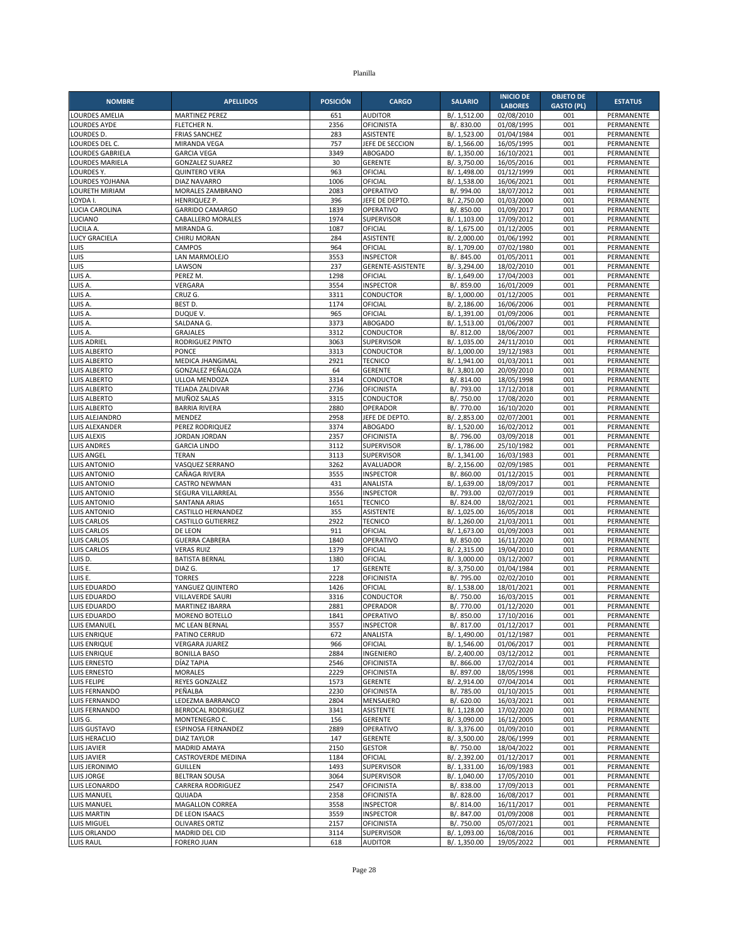|                                   |                                           |                 |                                      |                              | <b>INICIO DE</b>         | <b>OBJETO DE</b>  |                          |
|-----------------------------------|-------------------------------------------|-----------------|--------------------------------------|------------------------------|--------------------------|-------------------|--------------------------|
| <b>NOMBRE</b>                     | <b>APELLIDOS</b>                          | <b>POSICIÓN</b> | <b>CARGO</b>                         | <b>SALARIO</b>               | <b>LABORES</b>           | <b>GASTO (PL)</b> | <b>ESTATUS</b>           |
| LOURDES AMELIA                    | <b>MARTINEZ PEREZ</b>                     | 651             | <b>AUDITOR</b>                       | B/. 1,512.00                 | 02/08/2010               | 001               | PERMANENTE               |
| LOURDES AYDE                      | FLETCHER N.                               | 2356            | OFICINISTA                           | B/. 830.00                   | 01/08/1995               | 001               | PERMANENTE               |
| LOURDES D.                        | <b>FRIAS SANCHEZ</b>                      | 283             | <b>ASISTENTE</b>                     | B/. 1,523.00                 | 01/04/1984               | 001               | PERMANENTE               |
| LOURDES DEL C.                    | MIRANDA VEGA                              | 757             | JEFE DE SECCION                      | B/. 1,566.00                 | 16/05/1995               | 001               | PERMANENTE               |
| <b>LOURDES GABRIELA</b>           | <b>GARCIA VEGA</b>                        | 3349            | <b>ABOGADO</b>                       | B/. 1,350.00                 | 16/10/2021               | 001               | PERMANENTE               |
| LOURDES MARIELA                   | <b>GONZALEZ SUAREZ</b>                    | 30              | <b>GERENTE</b>                       | B/. 3,750.00                 | 16/05/2016<br>01/12/1999 | 001               | PERMANENTE<br>PERMANENTE |
| LOURDES Y.                        | <b>QUINTERO VERA</b>                      | 963<br>1006     | OFICIAL<br>OFICIAL                   | B/. 1,498.00<br>B/. 1,538.00 |                          | 001<br>001        |                          |
| LOURDES YOJHANA<br>LOURETH MIRIAM | <b>DIAZ NAVARRO</b><br>MORALES ZAMBRANO   | 2083            | OPERATIVO                            | B/. 994.00                   | 16/06/2021<br>18/07/2012 | 001               | PERMANENTE<br>PERMANENTE |
| LOYDA I.                          | HENRIQUEZ P.                              | 396             | JEFE DE DEPTO.                       | B/. 2,750.00                 | 01/03/2000               | 001               | PERMANENTE               |
| LUCIA CAROLINA                    | <b>GARRIDO CAMARGO</b>                    | 1839            | OPERATIVO                            | B/. 850.00                   | 01/09/2017               | 001               | PERMANENTE               |
| LUCIANO                           | <b>CABALLERO MORALES</b>                  | 1974            | <b>SUPERVISOR</b>                    | B/. 1,103.00                 | 17/09/2012               | 001               | PERMANENTE               |
| LUCILA A.                         | MIRANDA G.                                | 1087            | OFICIAL                              | B/. 1,675.00                 | 01/12/2005               | 001               | PERMANENTE               |
| LUCY GRACIELA                     | CHIRU MORAN                               | 284             | ASISTENTE                            | B/. 2,000.00                 | 01/06/1992               | 001               | PERMANENTE               |
| LUIS                              | <b>CAMPOS</b>                             | 964             | OFICIAL                              | B/. 1,709.00                 | $\frac{07}{02}$ /1980    | 001               | PERMANENTE               |
| LUIS                              | LAN MARMOLEJO                             | 3553            | <b>INSPECTOR</b>                     | B/. 845.00                   | 01/05/2011               | 001               | PERMANENTE               |
| LUIS                              | LAWSON                                    | 237             | GERENTE-ASISTENTE                    | B/. 3,294.00                 | 18/02/2010               | 001               | PERMANENTE               |
| LUIS A                            | PEREZ M.                                  | 1298            | OFICIAL                              | B/. 1,649.00                 | 17/04/2003               | 001               | PERMANENTE               |
| LUIS A.                           | VERGARA                                   | 3554            | <b>INSPECTOR</b>                     | B/. 859.00                   | 16/01/2009               | 001               | PERMANENTE               |
| LUIS A.                           | CRUZ G.                                   | 3311            | CONDUCTOR                            | B/. 1,000.00                 | 01/12/2005               | 001               | PERMANENTE               |
| LUIS A                            | BEST D.                                   | 1174            | OFICIAL                              | B/. 2,186.00                 | 16/06/2006               | 001               | PERMANENTE               |
| LUIS A.                           | DUQUE V.                                  | 965             | OFICIAL                              | B/. 1,391.00                 | 01/09/2006               | 001               | PERMANENTE               |
| LUIS A.                           | SALDANA G.                                | 3373            | <b>ABOGADO</b>                       | B/. 1,513.00                 | 01/06/2007               | 001               | PERMANENTE               |
| LUIS A.<br>LUIS ADRIEL            | <b>GRAJALES</b>                           | 3312<br>3063    | CONDUCTOR<br><b>SUPERVISOR</b>       | B/. 812.00                   | 18/06/2007               | 001<br>001        | PERMANENTE<br>PERMANENTE |
| LUIS ALBERTO                      | RODRIGUEZ PINTO<br>PONCE                  | 3313            | CONDUCTOR                            | B/. 1,035.00<br>B/. 1,000.00 | 24/11/2010<br>19/12/1983 | 001               | PERMANENTE               |
| LUIS ALBERTO                      | MEDICA JHANGIMAL                          | 2921            | <b>TECNICO</b>                       | B/. 1,941.00                 | 01/03/2011               | 001               | PERMANENTE               |
| LUIS ALBERTO                      | GONZALEZ PEÑALOZA                         | 64              | <b>GERENTE</b>                       | B/. 3,801.00                 | 20/09/2010               | 001               | PERMANENTE               |
| LUIS ALBERTO                      | ULLOA MENDOZA                             | 3314            | CONDUCTOR                            | B/. 814.00                   | 18/05/1998               | 001               | PERMANENTE               |
| LUIS ALBERTO                      | TEJADA ZALDIVAR                           | 2736            | <b>OFICINISTA</b>                    | B/. 793.00                   | 17/12/2018               | 001               | PERMANENTE               |
| LUIS ALBERTO                      | MUÑOZ SALAS                               | 3315            | CONDUCTOR                            | B/. 750.00                   | 17/08/2020               | 001               | PERMANENTE               |
| LUIS ALBERTO                      | <b>BARRIA RIVERA</b>                      | 2880            | OPERADOR                             | B/. 770.00                   | 16/10/2020               | 001               | PERMANENTE               |
| LUIS ALEJANDRO                    | MENDEZ                                    | 2958            | JEFE DE DEPTO.                       | B/. 2,853.00                 | 02/07/2001               | 001               | PERMANENTE               |
| LUIS ALEXANDER                    | PEREZ RODRIQUEZ                           | 3374            | <b>ABOGADO</b>                       | B/. 1,520.00                 | 16/02/2012               | 001               | PERMANENTE               |
| LUIS ALEXIS                       | <b>JORDAN JORDAN</b>                      | 2357            | <b>OFICINISTA</b>                    | B/. 796.00                   | 03/09/2018               | 001               | PERMANENTE               |
| LUIS ANDRES                       | <b>GARCIA LINDO</b>                       | 3112            | <b>SUPERVISOR</b>                    | B/. 1,786.00                 | 25/10/1982               | 001               | PERMANENTE               |
| LUIS ANGEL                        | <b>TERAN</b>                              | 3113            | <b>SUPERVISOR</b>                    | B/. 1,341.00                 | 16/03/1983               | 001               | PERMANENTE               |
| LUIS ANTONIO                      | VASQUEZ SERRANO                           | 3262            | AVALUADOR                            | B/. 2,156.00                 | 02/09/1985               | 001               | PERMANENTE               |
| LUIS ANTONIO                      | CAÑAGA RIVERA                             | 3555            | <b>INSPECTOR</b>                     | B/. 860.00                   | 01/12/2015               | 001               | PERMANENTE               |
| LUIS ANTONIO                      | <b>CASTRO NEWMAN</b>                      | 431             | ANALISTA                             | B/. 1,639.00                 | 18/09/2017               | 001               | PERMANENTE               |
| LUIS ANTONIO<br>LUIS ANTONIO      | SEGURA VILLARREAL<br><b>SANTANA ARIAS</b> | 3556<br>1651    | <b>INSPECTOR</b><br><b>TECNICO</b>   | B/. 793.00<br>B/. 824.00     | 02/07/2019<br>18/02/2021 | 001<br>001        | PERMANENTE<br>PERMANENTE |
| LUIS ANTONIO                      | CASTILLO HERNANDEZ                        | 355             | <b>ASISTENTE</b>                     | B/. 1,025.00                 | 16/05/2018               | 001               | PERMANENTE               |
| LUIS CARLOS                       | <b>CASTILLO GUTIERREZ</b>                 | 2922            | <b>TECNICO</b>                       | B/. 1,260.00                 | 21/03/2011               | 001               | PERMANENTE               |
| LUIS CARLOS                       | DE LEON                                   | 911             | OFICIAL                              | B/. 1,673.00                 | 01/09/2003               | 001               | PERMANENTE               |
| LUIS CARLOS                       | <b>GUERRA CABRERA</b>                     | 1840            | OPERATIVO                            | B/. 850.00                   | 16/11/2020               | 001               | PERMANENTE               |
| LUIS CARLOS                       | <b>VERAS RUIZ</b>                         | 1379            | OFICIAL                              | B/. 2,315.00                 | 19/04/2010               | 001               | PERMANENTE               |
| LUIS D.                           | <b>BATISTA BERNAL</b>                     | 1380            | OFICIAL                              | B/. 3,000.00                 | 03/12/2007               | 001               | PERMANENTE               |
| LUIS E.                           | DIAZ G.                                   | 17              | <b>GERENTE</b>                       | B/. 3,750.00                 | 01/04/1984               | 001               | PERMANENTE               |
| LUIS E.                           | <b>TORRES</b>                             | 2228            | <b>OFICINISTA</b>                    | B/. 795.00                   | 02/02/2010               | 001               | PERMANENTE               |
| LUIS EDUARDO                      | YANGUEZ QUINTERO                          | 1426            | OFICIAL                              | B/. 1,538.00                 | 18/01/2021               | 001               | PERMANENTE               |
| LUIS EDUARDO                      | <b>VILLAVERDE SAURI</b>                   | 3316            | CONDUCTOR                            | B/. 750.00                   | 16/03/2015               | 001               | PERMANENTE               |
| LUIS EDUARDO                      | <b>MARTINEZ IBARRA</b>                    | 2881            | OPERADOR                             | B/. 770.00                   | 01/12/2020               | 001               | PERMANENTE               |
| LUIS EDUARDO                      | MORENO BOTELLO                            | 1841            | OPERATIVO                            | B/. 850.00                   | 17/10/2016               | 001               | PERMANENTE               |
| LUIS EMANUEL                      | MC LEAN BERNAL                            | 3557            | <b>INSPECTOR</b>                     | B/. 817.00                   | 01/12/2017               | 001               | PERMANENTE               |
| LUIS ENRIQUE                      | PATINO CERRUD<br><b>VERGARA JUAREZ</b>    | 672<br>966      | ANALISTA<br>OFICIAL                  | B/. 1,490.00                 | 01/12/1987               | 001               | PERMANENTE               |
| LUIS ENRIQUE<br>LUIS ENRIQUE      | <b>BONILLA BASO</b>                       | 2884            | INGENIERO                            | B/. 1,546.00<br>B/. 2,400.00 | 01/06/2017<br>03/12/2012 | 001<br>001        | PERMANENTE<br>PERMANENTE |
| LUIS ERNESTO                      | DÍAZ TAPIA                                | 2546            | <b>OFICINISTA</b>                    | B/. 866.00                   | 17/02/2014               | 001               | PERMANENTE               |
| LUIS ERNESTO                      | <b>MORALES</b>                            | 2229            | <b>OFICINISTA</b>                    | B/. 897.00                   | 18/05/1998               | 001               | PERMANENTE               |
| LUIS FELIPE                       | REYES GONZALEZ                            | 1573            | <b>GERENTE</b>                       | B/. 2,914.00                 | 07/04/2014               | 001               | PERMANENTE               |
| LUIS FERNANDO                     | PEÑALBA                                   | 2230            | <b>OFICINISTA</b>                    | B/. 785.00                   | 01/10/2015               | 001               | PERMANENTE               |
| LUIS FERNANDO                     | LEDEZMA BARRANCO                          | 2804            | MENSAJERO                            | B/. 620.00                   | 16/03/2021               | 001               | PERMANENTE               |
| LUIS FERNANDO                     | BERROCAL RODRIGUEZ                        | 3341            | <b>ASISTENTE</b>                     | B/. 1,128.00                 | 17/02/2020               | 001               | PERMANENTE               |
| LUIS G.                           | MONTENEGRO C.                             | 156             | <b>GERENTE</b>                       | B/. 3,090.00                 | 16/12/2005               | 001               | PERMANENTE               |
| LUIS GUSTAVO                      | ESPINOSA FERNANDEZ                        | 2889            | OPERATIVO                            | B/. 3,376.00                 | 01/09/2010               | 001               | PERMANENTE               |
| LUIS HERACLIO                     | <b>DIAZ TAYLOR</b>                        | 147             | <b>GERENTE</b>                       | B/. 3,500.00                 | 28/06/1999               | 001               | PERMANENTE               |
| LUIS JAVIER                       | <b>MADRID AMAYA</b>                       | 2150            | <b>GESTOR</b>                        | B/. 750.00                   | 18/04/2022               | 001               | PERMANENTE               |
| LUIS JAVIER                       | CASTROVERDE MEDINA                        | 1184            | OFICIAL                              | B/. 2,392.00                 | 01/12/2017               | 001               | PERMANENTE               |
| LUIS JERONIMO                     | <b>GUILLEN</b>                            | 1493            | SUPERVISOR                           | B/. 1,331.00                 | 16/09/1983               | 001               | PERMANENTE               |
| LUIS JORGE                        | <b>BELTRAN SOUSA</b>                      | 3064            | SUPERVISOR                           | B/. 1,040.00                 | 17/05/2010               | 001               | PERMANENTE               |
| LUIS LEONARDO                     | CARRERA RODRIGUEZ                         | 2547            | OFICINISTA                           | B/. 838.00                   | 17/09/2013               | 001               | PERMANENTE               |
| LUIS MANUEL                       | QUIJADA                                   | 2358            | <b>OFICINISTA</b>                    | B/. 828.00                   | 16/08/2017               | 001<br>001        | PERMANENTE               |
| LUIS MANUEL<br>LUIS MARTIN        | MAGALLON CORREA<br>DE LEON ISAACS         | 3558<br>3559    | <b>INSPECTOR</b><br><b>INSPECTOR</b> | B/. 814.00<br>B/. 847.00     | 16/11/2017<br>01/09/2008 | 001               | PERMANENTE<br>PERMANENTE |
| LUIS MIGUEL                       | <b>OLIVARES ORTIZ</b>                     | 2157            | <b>OFICINISTA</b>                    | B/. 750.00                   | 05/07/2021               | 001               | PERMANENTE               |
| LUIS ORLANDO                      | MADRID DEL CID                            | 3114            | SUPERVISOR                           | B/. 1,093.00                 | 16/08/2016               | 001               | PERMANENTE               |
| LUIS RAUL                         | <b>FORERO JUAN</b>                        | 618             | <b>AUDITOR</b>                       | B/. 1,350.00                 | 19/05/2022               | 001               | PERMANENTE               |
|                                   |                                           |                 |                                      |                              |                          |                   |                          |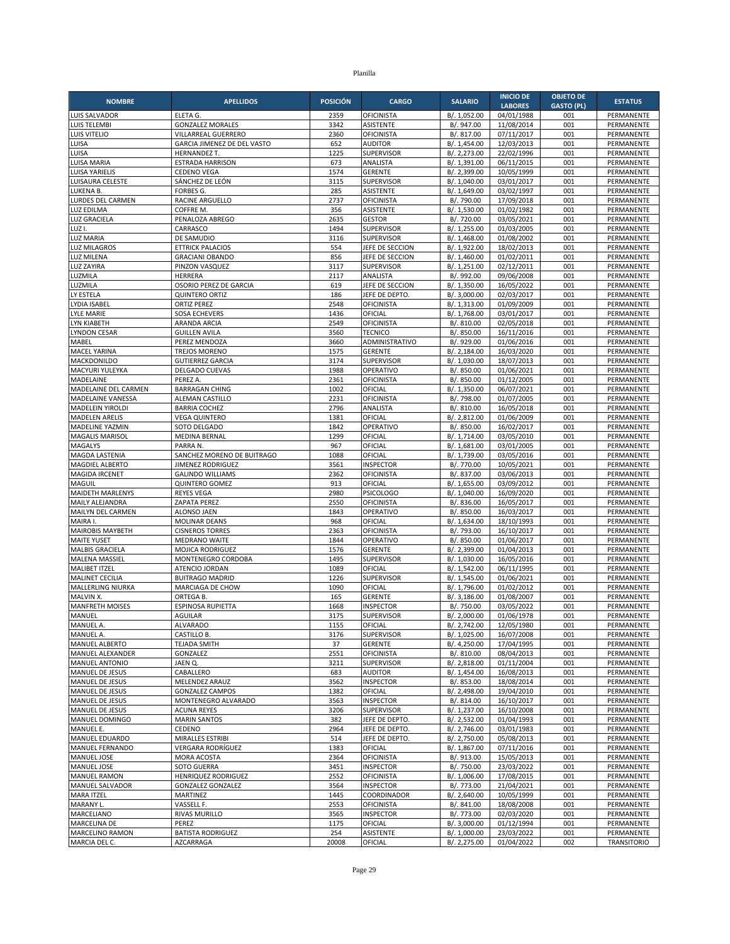|                                      |                                            |                 |                                       |                              | <b>INICIO DE</b>         | <b>OBJETO DE</b>  |                          |
|--------------------------------------|--------------------------------------------|-----------------|---------------------------------------|------------------------------|--------------------------|-------------------|--------------------------|
| <b>NOMBRE</b>                        | <b>APELLIDOS</b>                           | <b>POSICIÓN</b> | <b>CARGO</b>                          | <b>SALARIO</b>               | <b>LABORES</b>           | <b>GASTO (PL)</b> | <b>ESTATUS</b>           |
| LUIS SALVADOR                        | ELETA G.                                   | 2359            | <b>OFICINISTA</b>                     | B/. 1,052.00                 | 04/01/1988               | 001               | PERMANENTE               |
| LUIS TELEMBI                         | <b>GONZALEZ MORALES</b>                    | 3342            | <b>ASISTENTE</b>                      | B/. 947.00                   | 11/08/2014               | 001               | PERMANENTE               |
| LUIS VITELIO                         | VILLARREAL GUERRERO                        | 2360            | <b>OFICINISTA</b>                     | B/. 817.00                   | 07/11/2017               | 001               | PERMANENTE               |
| LUISA                                | GARCIA JIMENEZ DE DEL VASTO                | 652             | <b>AUDITOR</b>                        | B/. 1,454.00                 | 12/03/2013               | 001               | PERMANENTE               |
| LUISA<br>LUISA MARIA                 | HERNANDEZ T.<br><b>ESTRADA HARRISON</b>    | 1225<br>673     | <b>SUPERVISOR</b><br><b>ANALISTA</b>  | B/. 2,273.00<br>B/. 1,391.00 | 22/02/1996<br>06/11/2015 | 001<br>001        | PERMANENTE<br>PERMANENTE |
| LUISA YARIELIS                       | <b>CEDENO VEGA</b>                         | 1574            | <b>GERENTE</b>                        | B/. 2,399.00                 | 10/05/1999               | 001               | PERMANENTE               |
| LUISAURA CELESTE                     | SÁNCHEZ DE LEÓN                            | 3115            | <b>SUPERVISOR</b>                     | B/. 1,040.00                 | 03/01/2017               | 001               | PERMANENTE               |
| LUKENA B.                            | <b>FORBES G.</b>                           | 285             | <b>ASISTENTE</b>                      | B/. 1,649.00                 | 03/02/1997               | 001               | PERMANENTE               |
| LURDES DEL CARMEN                    | RACINE ARGUELLO                            | 2737            | <b>OFICINISTA</b>                     | B/. 790.00                   | 17/09/2018               | 001               | PERMANENTE               |
| LUZ EDILMA                           | COFFRE M.                                  | 356             | <b>ASISTENTE</b>                      | B/. 1,530.00                 | 01/02/1982               | 001               | PERMANENTE               |
| <b>LUZ GRACIELA</b>                  | PENALOZA ABREGO                            | 2635            | <b>GESTOR</b>                         | B/. 720.00                   | 03/05/2021               | 001               | PERMANENTE               |
| LUZ I.                               | CARRASCO                                   | 1494            | <b>SUPERVISOR</b>                     | B/. 1,255.00                 | 01/03/2005               | 001               | PERMANENTE               |
| <b>LUZ MARIA</b>                     | DE SAMUDIO                                 | 3116            | <b>SUPERVISOR</b>                     | B/. 1,468.00                 | 01/08/2002               | 001               | PERMANENTE               |
| <b>LUZ MILAGROS</b>                  | <b>ETTRICK PALACIOS</b>                    | 554             | JEFE DE SECCION                       | B/. 1,922.00                 | 18/02/2013               | 001               | PERMANENTE               |
| LUZ MILENA                           | <b>GRACIANI OBANDO</b>                     | 856             | JEFE DE SECCION                       | B/. 1,460.00                 | 01/02/2011               | 001               | PERMANENTE               |
| <b>LUZ ZAYIRA</b><br>LUZMILA         | PINZON VASQUEZ                             | 3117<br>2117    | SUPERVISOR<br>ANALISTA                | B/. 1,251.00                 | 02/12/2011               | 001<br>001        | PERMANENTE               |
| LUZMILA                              | <b>HERRERA</b><br>OSORIO PEREZ DE GARCIA   | 619             | JEFE DE SECCION                       | B/. 992.00<br>B/. 1,350.00   | 09/06/2008<br>16/05/2022 | 001               | PERMANENTE<br>PERMANENTE |
| LY ESTELA                            | <b>QUINTERO ORTIZ</b>                      | 186             | JEFE DE DEPTO.                        | B/. 3,000.00                 | 02/03/2017               | 001               | PERMANENTE               |
| LYDIA ISABEL                         | <b>ORTIZ PEREZ</b>                         | 2548            | <b>OFICINISTA</b>                     | B/. 1,313.00                 | 01/09/2009               | 001               | PERMANENTE               |
| <b>LYLE MARIE</b>                    | <b>SOSA ECHEVERS</b>                       | 1436            | OFICIAL                               | B/. 1,768.00                 | 03/01/2017               | 001               | PERMANENTE               |
| LYN KIABETH                          | ARANDA ARCIA                               | 2549            | <b>OFICINISTA</b>                     | B/. 810.00                   | 02/05/2018               | 001               | PERMANENTE               |
| <b>LYNDON CESAR</b>                  | <b>GUILLEN AVILA</b>                       | 3560            | <b>TECNICO</b>                        | B/. 850.00                   | 16/11/2016               | 001               | PERMANENTE               |
| MABEL                                | PEREZ MENDOZA                              | 3660            | ADMINISTRATIVO                        | B/. 929.00                   | 01/06/2016               | 001               | PERMANENTE               |
| MACEL YARINA                         | <b>TREJOS MORENO</b>                       | 1575            | <b>GERENTE</b>                        | B/. 2,184.00                 | 16/03/2020               | 001               | PERMANENTE               |
| MACKDONILDO                          | <b>GUTIERREZ GARCIA</b>                    | 3174            | SUPERVISOR                            | B/. 1.030.00                 | 18/07/2013               | 001               | PERMANENTE               |
| MACYURI YULEYKA                      | DELGADO CUEVAS                             | 1988            | OPERATIVO                             | B/. 850.00                   | 01/06/2021               | 001               | PERMANENTE               |
| MADELAINE                            | PEREZ A.                                   | 2361            | <b>OFICINISTA</b>                     | B/. 850.00                   | 01/12/2005               | 001               | PERMANENTE               |
| MADELAINE DEL CARMEN                 | <b>BARRAGAN CHING</b>                      | 1002            | OFICIAL                               | B/. 1,350.00                 | 06/07/2021               | 001               | PERMANENTE               |
| <b>MADELAINE VANESSA</b>             | ALEMAN CASTILLO                            | 2231            | <b>OFICINISTA</b>                     | B/. 798.00                   | 01/07/2005               | 001               | PERMANENTE               |
| <b>MADELEIN YIROLDI</b>              | <b>BARRIA COCHEZ</b>                       | 2796            | ANALISTA                              | B/. 810.00                   | 16/05/2018               | 001               | PERMANENTE               |
| <b>MADELEN ARELIS</b>                | <b>VEGA QUINTERO</b>                       | 1381            | OFICIAL                               | B/. 2,812.00                 | 01/06/2009               | 001               | PERMANENTE               |
| <b>MADELINE YAZMIN</b>               | SOTO DELGADO<br>MEDINA BERNAL              | 1842<br>1299    | OPERATIVO<br>OFICIAL                  | B/. 850.00<br>B/. 1,714.00   | 16/02/2017<br>03/05/2010 | 001<br>001        | PERMANENTE<br>PERMANENTE |
| MAGALIS MARISOL<br>MAGALYS           | PARRA N.                                   | 967             | OFICIAL                               | B/. 1,681.00                 | 03/01/2005               | 001               | PERMANENTE               |
| MAGDA LASTENIA                       | SANCHEZ MORENO DE BUITRAGO                 | 1088            | OFICIAL                               | B/. 1,739.00                 | 03/05/2016               | 001               | PERMANENTE               |
| <b>MAGDIEL ALBERTO</b>               | JIMENEZ RODRIGUEZ                          | 3561            | <b>INSPECTOR</b>                      | B/. 770.00                   | 10/05/2021               | 001               | PERMANENTE               |
| MAGIDA IRCENET                       | <b>GALINDO WILLIAMS</b>                    | 2362            | <b>OFICINISTA</b>                     | B/. 837.00                   | 03/06/2013               | 001               | PERMANENTE               |
| <b>MAGUIL</b>                        | <b>QUINTERO GOMEZ</b>                      | 913             | OFICIAL                               | B/. 1,655.00                 | 03/09/2012               | 001               | PERMANENTE               |
| MAIDETH MARLENYS                     | <b>REYES VEGA</b>                          | 2980            | <b>PSICOLOGO</b>                      | B/. 1,040.00                 | 16/09/2020               | 001               | PERMANENTE               |
| MAILY ALEJANDRA                      | <b>ZAPATA PEREZ</b>                        | 2550            | <b>OFICINISTA</b>                     | B/. 836.00                   | 16/05/2017               | 001               | PERMANENTE               |
| MAILYN DEL CARMEN                    | ALONSO JAEN                                | 1843            | OPERATIVO                             | B/. 850.00                   | 16/03/2017               | 001               | PERMANENTE               |
| MAIRA I.                             | <b>MOLINAR DEANS</b>                       | 968             | OFICIAL                               | B/. 1,634.00                 | 18/10/1993               | 001               | PERMANENTE               |
| MAIROBIS MAYBETH                     | <b>CISNEROS TORRES</b>                     | 2363            | <b>OFICINISTA</b>                     | B/. 793.00                   | 16/10/2017               | 001               | PERMANENTE               |
| <b>MAITE YUSET</b>                   | MEDRANO WAITE                              | 1844            | OPERATIVO                             | B/. 850.00                   | 01/06/2017               | 001               | PERMANENTE               |
| <b>MALBIS GRACIELA</b>               | MOJICA RODRIGUEZ                           | 1576            | <b>GERENTE</b>                        | B/. 2,399.00                 | 01/04/2013               | 001               | PERMANENTE               |
| MALENA MASSIEL                       | MONTENEGRO CORDOBA                         | 1495            | <b>SUPERVISOR</b>                     | B/. 1,030.00                 | 16/05/2016               | 001               | PERMANENTE               |
| <b>MALIBET ITZEL</b>                 | ATENCIO JORDAN                             | 1089<br>1226    | OFICIAL<br><b>SUPERVISOR</b>          | B/. 1,542.00<br>B/. 1,545.00 | 06/11/1995               | 001<br>001        | PERMANENTE               |
| MALINET CECILIA<br>MALLERLING NIURKA | <b>BUITRAGO MADRID</b><br>MARCIAGA DE CHOW | 1090            | OFICIAL                               | B/. 1,796.00                 | 01/06/2021<br>01/02/2012 | 001               | PERMANENTE<br>PERMANENTE |
| MALVIN X.                            | ORTEGA B.                                  | 165             | <b>GERENTE</b>                        | B/. 3,186.00                 | 01/08/2007               | 001               | PERMANENTE               |
| <b>MANFRETH MOISES</b>               | <b>ESPINOSA RUPIETTA</b>                   | 1668            | <b>INSPECTOR</b>                      | B/. 750.00                   | 03/05/2022               | 001               | PERMANENTE               |
| MANUEL                               | <b>AGUILAR</b>                             | 3175            | SUPERVISOR                            | B/. 2,000.00                 | 01/06/1978               | 001               | PERMANENTE               |
| MANUEL A.                            | ALVARADO                                   | 1155            | OFICIAL                               | B/. 2,742.00                 | 12/05/1980               | 001               | PERMANENTE               |
| MANUEL A.                            | CASTILLO B.                                | 3176            | SUPERVISOR                            | B/. 1,025.00                 | 16/07/2008               | 001               | PERMANENTE               |
| MANUEL ALBERTO                       | TEJADA SMITH                               | 37              | <b>GERENTE</b>                        | B/. 4,250.00                 | 17/04/1995               | 001               | PERMANENTE               |
| MANUEL ALEXANDER                     | GONZALEZ                                   | 2551            | OFICINISTA                            | B/. 810.00                   | 08/04/2013               | 001               | PERMANENTE               |
| <b>MANUEL ANTONIO</b>                | JAEN Q.                                    | 3211            | SUPERVISOR                            | B/. 2,818.00                 | 01/11/2004               | 001               | PERMANENTE               |
| MANUEL DE JESUS                      | CABALLERO                                  | 683             | <b>AUDITOR</b>                        | B/. 1,454.00                 | 16/08/2013               | 001               | PERMANENTE               |
| MANUEL DE JESUS                      | MELENDEZ ARAUZ                             | 3562            | <b>INSPECTOR</b>                      | B/. 853.00                   | 18/08/2014               | 001               | PERMANENTE               |
| MANUEL DE JESUS                      | <b>GONZALEZ CAMPOS</b>                     | 1382            | OFICIAL                               | B/. 2,498.00                 | 19/04/2010               | 001               | PERMANENTE               |
| MANUEL DE JESUS                      | MONTENEGRO ALVARADO                        | 3563            | <b>INSPECTOR</b><br><b>SUPERVISOR</b> | B/. 814.00                   | 16/10/2017               | 001               | PERMANENTE               |
| MANUEL DE JESUS<br>MANUEL DOMINGO    | <b>ACUNA REYES</b><br><b>MARIN SANTOS</b>  | 3206<br>382     | JEFE DE DEPTO.                        | B/. 1,237.00<br>B/. 2,532.00 | 16/10/2008<br>01/04/1993 | 001<br>001        | PERMANENTE<br>PERMANENTE |
| MANUEL E.                            | CEDENO                                     | 2964            | JEFE DE DEPTO.                        | B/. 2,746.00                 | 03/01/1983               | 001               | PERMANENTE               |
| MANUEL EDUARDO                       | MIRALLES ESTRIBI                           | 514             | JEFE DE DEPTO.                        | B/. 2,750.00                 | 05/08/2013               | 001               | PERMANENTE               |
| MANUEL FERNANDO                      | VERGARA RODRÍGUEZ                          | 1383            | OFICIAL                               | B/. 1,867.00                 | 07/11/2016               | 001               | PERMANENTE               |
| <b>MANUEL JOSE</b>                   | MORA ACOSTA                                | 2364            | <b>OFICINISTA</b>                     | B/. 913.00                   | 15/05/2013               | 001               | PERMANENTE               |
| MANUEL JOSE                          | SOTO GUERRA                                | 3451            | <b>INSPECTOR</b>                      | B/. 750.00                   | 23/03/2022               | 001               | PERMANENTE               |
| <b>MANUEL RAMON</b>                  | HENRIQUEZ RODRIGUEZ                        | 2552            | <b>OFICINISTA</b>                     | B/. 1,006.00                 | 17/08/2015               | 001               | PERMANENTE               |
| MANUEL SALVADOR                      | <b>GONZALEZ GONZALEZ</b>                   | 3564            | <b>INSPECTOR</b>                      | B/. 773.00                   | 21/04/2021               | 001               | PERMANENTE               |
| <b>MARA ITZEL</b>                    | <b>MARTINEZ</b>                            | 1445            | COORDINADOR                           | B/. 2,640.00                 | 10/05/1999               | 001               | PERMANENTE               |
| MARANY L.                            | VASSELL F.                                 | 2553            | <b>OFICINISTA</b>                     | B/. 841.00                   | 18/08/2008               | 001               | PERMANENTE               |
| MARCELIANO                           | RIVAS MURILLO                              | 3565            | <b>INSPECTOR</b>                      | B/. 773.00                   | 02/03/2020               | 001               | PERMANENTE               |
| MARCELINA DE                         | PEREZ                                      | 1175            | OFICIAL                               | B/. 3,000.00                 | 01/12/1994               | 001               | PERMANENTE               |
| MARCELINO RAMON                      | <b>BATISTA RODRIGUEZ</b>                   | 254             | ASISTENTE                             | B/. 1,000.00                 | 23/03/2022               | 001               | PERMANENTE               |
| MARCIA DEL C.                        | AZCARRAGA                                  | 20008           | OFICIAL                               | B/. 2,275.00                 | 01/04/2022               | 002               | <b>TRANSITORIO</b>       |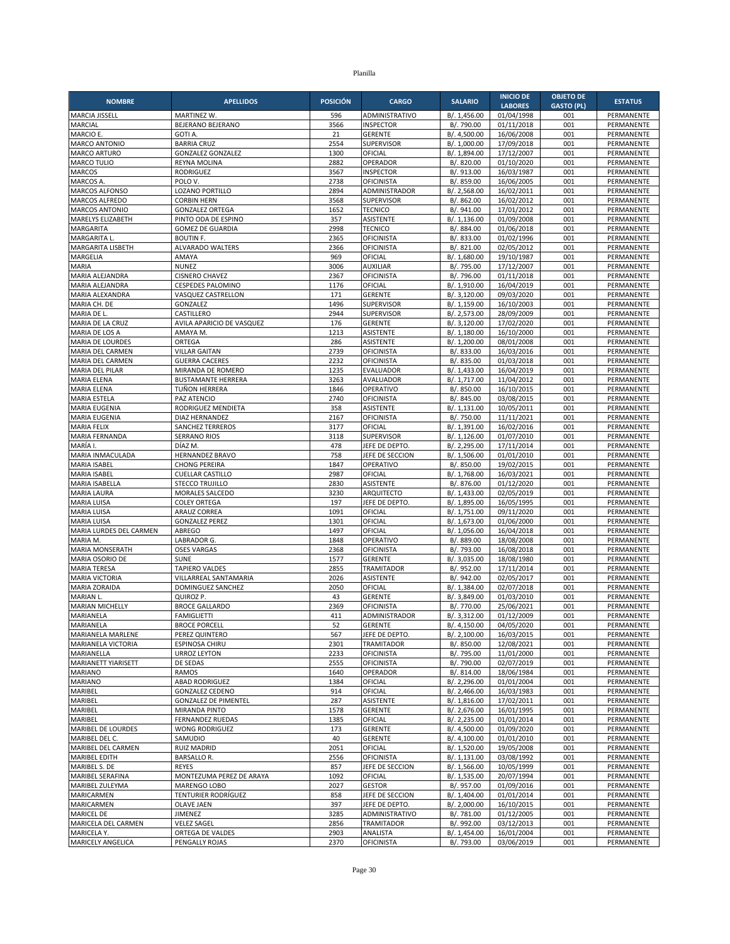| <b>NOMBRE</b>                               | <b>APELLIDOS</b>                                | <b>POSICIÓN</b> | <b>CARGO</b>                           | <b>SALARIO</b>               | <b>INICIO DE</b><br><b>LABORES</b> | <b>OBJETO DE</b><br><b>GASTO (PL)</b> | <b>ESTATUS</b>           |
|---------------------------------------------|-------------------------------------------------|-----------------|----------------------------------------|------------------------------|------------------------------------|---------------------------------------|--------------------------|
| MARCIA JISSELL                              | <b>MARTINEZ W.</b>                              | 596             | ADMINISTRATIVO                         | B/. 1,456.00                 | 01/04/1998                         | 001                                   | PERMANENTE               |
| MARCIAL                                     | BEJERANO BEJERANO                               | 3566            | <b>INSPECTOR</b>                       | B/. 790.00                   | 01/11/2018                         | 001                                   | PERMANENTE               |
| MARCIO E.                                   | <b>GOTI A</b>                                   | 21              | <b>GERENTE</b>                         | B/. 4,500.00                 | 16/06/2008                         | 001                                   | PERMANENTE               |
| <b>MARCO ANTONIO</b>                        | <b>BARRIA CRUZ</b>                              | 2554            | <b>SUPERVISOR</b>                      | B/. 1,000.00                 | 17/09/2018                         | 001                                   | PERMANENTE               |
| <b>MARCO ARTURO</b>                         | <b>GONZALEZ GONZALEZ</b>                        | 1300            | OFICIAL                                | B/. 1,894.00                 | 17/12/2007                         | 001                                   | PERMANENTE               |
| MARCO TULIO<br><b>MARCOS</b>                | REYNA MOLINA<br><b>RODRIGUEZ</b>                | 2882<br>3567    | OPERADOR<br><b>INSPECTOR</b>           | B/. 820.00<br>B/. 913.00     | 01/10/2020<br>16/03/1987           | 001<br>001                            | PERMANENTE<br>PERMANENTE |
| <b>MARCOS A</b>                             | POLO V.                                         | 2738            | <b>OFICINISTA</b>                      | B/. 859.00                   | 16/06/2005                         | 001                                   | PERMANENTE               |
| MARCOS ALFONSO                              | LOZANO PORTILLO                                 | 2894            | ADMINISTRADOR                          | B/. 2,568.00                 | 16/02/2011                         | 001                                   | PERMANENTE               |
| <b>MARCOS ALFREDO</b>                       | <b>CORBIN HERN</b>                              | 3568            | <b>SUPERVISOR</b>                      | B/. 862.00                   | 16/02/2012                         | 001                                   | PERMANENTE               |
| <b>MARCOS ANTONIO</b>                       | <b>GONZALEZ ORTEGA</b>                          | 1652            | <b>TECNICO</b>                         | B/. 941.00                   | 17/01/2012                         | 001                                   | PERMANENTE               |
| MARELYS ELIZABETH                           | PINTO ODA DE ESPINO                             | 357             | ASISTENTE                              | B/. 1,136.00                 | 01/09/2008                         | 001                                   | <b>PERMANENTE</b>        |
| MARGARITA                                   | <b>GOMEZ DE GUARDIA</b>                         | 2998            | <b>TECNICO</b>                         | B/. 884.00                   | 01/06/2018                         | 001                                   | PERMANENTE               |
| MARGARITA L<br>MARGARITA LISBETH            | <b>BOUTIN F.</b><br>ALVARADO WALTERS            | 2365<br>2366    | <b>OFICINISTA</b><br><b>OFICINISTA</b> | B/. 833.00<br>B/. 821.00     | 01/02/1996<br>02/05/2012           | 001<br>001                            | PERMANENTE<br>PERMANENTE |
| MARGELIA                                    | AMAYA                                           | 969             | OFICIAL                                | B/. 1,680.00                 | 19/10/1987                         | 001                                   | PERMANENTE               |
| MARIA                                       | <b>NUNEZ</b>                                    | 3006            | <b>AUXILIAR</b>                        | B/. 795.00                   | 17/12/2007                         | 001                                   | PERMANENTE               |
| MARIA ALEJANDRA                             | <b>CISNERO CHAVEZ</b>                           | 2367            | OFICINISTA                             | B/. 796.00                   | 01/11/2018                         | 001                                   | PERMANENTE               |
| MARIA ALEJANDRA                             | <b>CESPEDES PALOMINO</b>                        | 1176            | OFICIAL                                | B/. 1,910.00                 | 16/04/2019                         | 001                                   | PERMANENTE               |
| MARIA ALEXANDRA                             | VASQUEZ CASTRELLON                              | 171             | <b>GERENTE</b>                         | B/. 3,120.00                 | 09/03/2020                         | 001                                   | PERMANENTE               |
| MARIA CH. DE                                | GONZALEZ                                        | 1496            | <b>SUPERVISOR</b>                      | B/. 1,159.00                 | 16/10/2003                         | 001                                   | PERMANENTE               |
| MARIA DE L.<br>MARIA DE LA CRUZ             | CASTILLERO<br>AVILA APARICIO DE VASQUEZ         | 2944<br>176     | <b>SUPERVISOR</b><br><b>GERENTE</b>    | B/. 2,573.00<br>B/. 3,120.00 | 28/09/2009<br>17/02/2020           | 001<br>001                            | PERMANENTE<br>PERMANENTE |
| MARIA DE LOS A                              | AMAYA M.                                        | 1213            | <b>ASISTENTE</b>                       | B/. 1,180.00                 | 16/10/2000                         | 001                                   | PERMANENTE               |
| <b>MARIA DE LOURDES</b>                     | ORTEGA                                          | 286             | <b>ASISTENTE</b>                       | B/. 1,200.00                 | 08/01/2008                         | 001                                   | PERMANENTE               |
| MARIA DEL CARMEN                            | <b>VILLAR GAITAN</b>                            | 2739            | OFICINISTA                             | B/. 833.00                   | 16/03/2016                         | 001                                   | PERMANENTE               |
| MARIA DEL CARMEN                            | <b>GUERRA CACERES</b>                           | 2232            | <b>OFICINISTA</b>                      | B/. 835.00                   | 01/03/2018                         | 001                                   | PERMANENTE               |
| MARIA DEL PILAR                             | MIRANDA DE ROMERO                               | 1235            | EVALUADOR                              | B/. 1,433.00                 | 16/04/2019                         | 001                                   | PERMANENTE               |
| <b>MARIA ELENA</b>                          | <b>BUSTAMANTE HERRERA</b>                       | 3263            | AVALUADOR                              | B/. 1,717.00                 | 11/04/2012                         | 001                                   | PERMANENTE               |
| <b>MARIA ELENA</b>                          | <b>TUÑON HERRERA</b><br>PAZ ATENCIO             | 1846<br>2740    | OPERATIVO<br><b>OFICINISTA</b>         | B/. 850.00                   | 16/10/2015                         | 001<br>001                            | PERMANENTE               |
| <b>MARIA ESTELA</b><br><b>MARIA EUGENIA</b> | RODRIGUEZ MENDIETA                              | 358             | <b>ASISTENTE</b>                       | B/. 845.00<br>B/. 1.131.00   | 03/08/2015<br>10/05/2011           | 001                                   | PERMANENTE<br>PERMANENTE |
| <b>MARIA EUGENIA</b>                        | DIAZ HERNANDEZ                                  | 2167            | <b>OFICINISTA</b>                      | B/. 750.00                   | 11/11/2021                         | 001                                   | PERMANENTE               |
| <b>MARIA FELIX</b>                          | <b>SANCHEZ TERREROS</b>                         | 3177            | OFICIAL                                | B/. 1,391.00                 | 16/02/2016                         | 001                                   | PERMANENTE               |
| MARIA FERNANDA                              | <b>SERRANO RIOS</b>                             | 3118            | <b>SUPERVISOR</b>                      | B/. 1,126.00                 | 01/07/2010                         | 001                                   | PERMANENTE               |
| MARÍA I.                                    | DÍAZ M.                                         | 478             | JEFE DE DEPTO                          | B/. 2,295.00                 | 17/11/2014                         | 001                                   | PERMANENTE               |
| MARIA INMACULADA                            | HERNANDEZ BRAVO                                 | 758             | JEFE DE SECCION                        | B/. 1,506.00                 | 01/01/2010                         | 001                                   | PERMANENTE               |
| <b>MARIA ISABEL</b><br>MARIA ISABEL         | <b>CHONG PEREIRA</b><br><b>CUELLAR CASTILLO</b> | 1847<br>2987    | OPERATIVO<br>OFICIAL                   | B/. 850.00<br>B/. 1,768.00   | 19/02/2015<br>16/03/2021           | 001<br>001                            | PERMANENTE<br>PERMANENTE |
| MARIA ISABELLA                              | <b>STECCO TRUJILLO</b>                          | 2830            | <b>ASISTENTE</b>                       | B/. 876.00                   | $\overline{01}/12/2020$            | 001                                   | PERMANENTE               |
| <b>MARIA LAURA</b>                          | MORALES SALCEDO                                 | 3230            | ARQUITECTO                             | B/. 1,433.00                 | 02/05/2019                         | 001                                   | PERMANENTE               |
| <b>MARIA LUISA</b>                          | <b>COLEY ORTEGA</b>                             | 197             | JEFE DE DEPTO.                         | B/. 1,895.00                 | 16/05/1995                         | 001                                   | PERMANENTE               |
| <b>MARIA LUISA</b>                          | <b>ARAUZ CORREA</b>                             | 1091            | OFICIAL                                | B/. 1,751.00                 | 09/11/2020                         | 001                                   | PERMANENTE               |
| <b>MARIA LUISA</b>                          | <b>GONZALEZ PEREZ</b>                           | 1301            | OFICIAL                                | B/. 1,673.00                 | 01/06/2000                         | 001                                   | PERMANENTE               |
| MARIA LURDES DEL CARMEN                     | ABREGO                                          | 1497            | OFICIAL                                | B/. 1,056.00                 | 16/04/2018                         | 001                                   | PERMANENTE               |
| MARIA M.<br><b>MARIA MONSERATH</b>          | LABRADOR G.<br><b>OSES VARGAS</b>               | 1848<br>2368    | OPERATIVO<br><b>OFICINISTA</b>         | B/. 889.00                   | 18/08/2008                         | 001<br>001                            | PERMANENTE<br>PERMANENTE |
| MARIA OSORIO DE                             | <b>SUNE</b>                                     | 1577            | <b>GERENTE</b>                         | B/. 793.00<br>B/. 3,035.00   | 16/08/2018<br>18/08/1980           | 001                                   | PERMANENTE               |
| <b>MARIA TERESA</b>                         | <b>TAPIERO VALDES</b>                           | 2855            | <b>TRAMITADOR</b>                      | B/. 952.00                   | 17/11/2014                         | 001                                   | PERMANENTE               |
| <b>MARIA VICTORIA</b>                       | VILLARREAL SANTAMARIA                           | 2026            | <b>ASISTENTE</b>                       | B/. 942.00                   | 02/05/2017                         | 001                                   | PERMANENTE               |
| MARIA ZORAIDA                               | <b>DOMINGUEZ SANCHEZ</b>                        | 2050            | OFICIAL                                | B/. 1.384.00                 | 02/07/2018                         | 001                                   | PERMANENTE               |
| MARIAN L.                                   | QUIROZ P.                                       | 43              | <b>GERENTE</b>                         | B/. 3,849.00                 | 01/03/2010                         | 001                                   | PERMANENTE               |
| <b>MARIAN MICHELLY</b>                      | <b>BROCE GALLARDO</b>                           | 2369            | <b>OFICINISTA</b>                      | B/. 770.00                   | 25/06/2021                         | 001                                   | PERMANENTE               |
| MARIANELA                                   | <b>FAMIGLIETTI</b><br><b>BROCE PORCELL</b>      | 411<br>52       | ADMINISTRADOR                          | B/. 3,312.00                 | 01/12/2009                         | 001                                   | PERMANENTE               |
| MARIANELA<br>MARIANELA MARLENE              | PEREZ QUINTERO                                  | 567             | GERENTE<br>JEFE DE DEPTO.              | B/. 4,150.00<br>B/. 2,100.00 | 04/05/2020<br>16/03/2015           | 001<br>001                            | PERMANENTE<br>PERMANENTE |
| MARIANELA VICTORIA                          | <b>ESPINOSA CHIRU</b>                           | 2301            | <b>TRAMITADOR</b>                      | B/. 850.00                   | 12/08/2021                         | 001                                   | PERMANENTE               |
| MARIANELLA                                  | <b>URROZ LEYTON</b>                             | 2233            | <b>OFICINISTA</b>                      | B/. 795.00                   | 11/01/2000                         | 001                                   | PERMANENTE               |
| MARIANETT YIARISETT                         | DE SEDAS                                        | 2555            | <b>OFICINISTA</b>                      | B/. 790.00                   | 02/07/2019                         | 001                                   | PERMANENTE               |
| <b>MARIANO</b>                              | <b>RAMOS</b>                                    | 1640            | OPERADOR                               | B/. 814.00                   | 18/06/1984                         | 001                                   | PERMANENTE               |
| <b>MARIANO</b><br>MARIBEL                   | <b>ABAD RODRIGUEZ</b><br><b>GONZALEZ CEDENO</b> | 1384            | OFICIAL                                | B/. 2,296.00                 | 01/01/2004                         | 001                                   | PERMANENTE               |
| MARIBEL                                     | <b>GONZALEZ DE PIMENTEL</b>                     | 914<br>287      | OFICIAL<br>ASISTENTE                   | B/. 2,466.00<br>B/. 1,816.00 | 16/03/1983<br>17/02/2011           | 001<br>001                            | PERMANENTE<br>PERMANENTE |
| MARIBEL                                     | MIRANDA PINTO                                   | 1578            | <b>GERENTE</b>                         | B/. 2,676.00                 | 16/01/1995                         | 001                                   | PERMANENTE               |
| MARIBEL                                     | <b>FERNANDEZ RUEDAS</b>                         | 1385            | OFICIAL                                | B/. 2,235.00                 | 01/01/2014                         | 001                                   | PERMANENTE               |
| MARIBEL DE LOURDES                          | WONG RODRIGUEZ                                  | 173             | <b>GERENTE</b>                         | B/. 4,500.00                 | 01/09/2020                         | 001                                   | PERMANENTE               |
| MARIBEL DEL C.                              | SAMUDIO                                         | 40              | <b>GERENTE</b>                         | B/. 4,100.00                 | 01/01/2010                         | 001                                   | PERMANENTE               |
| MARIBEL DEL CARMEN                          | <b>RUIZ MADRID</b>                              | 2051            | OFICIAL                                | B/. 1,520.00                 | 19/05/2008                         | 001                                   | PERMANENTE               |
| <b>MARIBEL EDITH</b>                        | <b>BARSALLO R.</b>                              | 2556            | <b>OFICINISTA</b>                      | B/. 1,131.00                 | 03/08/1992                         | 001                                   | PERMANENTE               |
| MARIBEL S. DE<br><b>MARIBEL SERAFINA</b>    | <b>REYES</b><br>MONTEZUMA PEREZ DE ARAYA        | 857<br>1092     | JEFE DE SECCION<br>OFICIAL             | B/. 1,566.00<br>B/. 1,535.00 | 10/05/1999<br>20/07/1994           | 001<br>001                            | PERMANENTE<br>PERMANENTE |
| MARIBEL ZULEYMA                             | MARENGO LOBO                                    | 2027            | <b>GESTOR</b>                          | B/. 957.00                   | 01/09/2016                         | 001                                   | PERMANENTE               |
| MARICARMEN                                  | TENTURIER RODRÍGUEZ                             | 858             | JEFE DE SECCION                        | B/. 1,404.00                 | 01/01/2014                         | 001                                   | PERMANENTE               |
| MARICARMEN                                  | OLAVE JAEN                                      | 397             | JEFE DE DEPTO.                         | B/. 2,000.00                 | 16/10/2015                         | 001                                   | PERMANENTE               |
| <b>MARICEL DE</b>                           | JIMENEZ                                         | 3285            | ADMINISTRATIVO                         | B/. 781.00                   | 01/12/2005                         | 001                                   | PERMANENTE               |
| MARICELA DEL CARMEN                         | <b>VELEZ SAGEL</b>                              | 2856            | <b>TRAMITADOR</b>                      | B/. 992.00                   | 03/12/2013                         | 001                                   | PERMANENTE               |
| MARICELA Y.                                 | ORTEGA DE VALDES                                | 2903            | ANALISTA                               | B/. 1,454.00                 | 16/01/2004                         | 001                                   | PERMANENTE               |
| MARICELY ANGELICA                           | PENGALLY ROJAS                                  | 2370            | <b>OFICINISTA</b>                      | B/. 793.00                   | 03/06/2019                         | 001                                   | PERMANENTE               |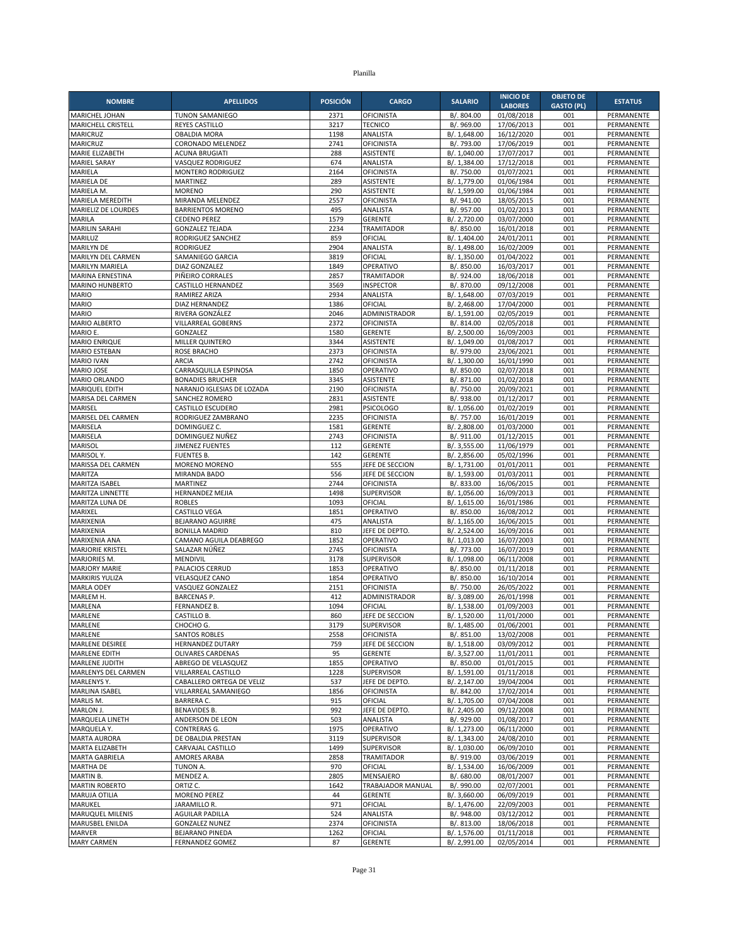| <b>NOMBRE</b>                                  | <b>APELLIDOS</b>                                 | <b>POSICIÓN</b> | <b>CARGO</b>                          | <b>SALARIO</b>               | <b>INICIO DE</b>             | <b>OBJETO DE</b>         | <b>ESTATUS</b>           |
|------------------------------------------------|--------------------------------------------------|-----------------|---------------------------------------|------------------------------|------------------------------|--------------------------|--------------------------|
| <b>MARICHEL JOHAN</b>                          | TUNON SAMANIEGO                                  | 2371            | OFICINISTA                            | B/. 804.00                   | <b>LABORES</b><br>01/08/2018 | <b>GASTO (PL)</b><br>001 | PERMANENTE               |
| MARICHELL CRISTELL                             | <b>REYES CASTILLO</b>                            | 3217            | <b>TECNICO</b>                        | B/. 969.00                   | 17/06/2013                   | 001                      | PERMANENTE               |
| <b>MARICRUZ</b>                                | <b>OBALDIA MORA</b>                              | 1198            | ANALISTA                              | B/. 1,648.00                 | 16/12/2020                   | 001                      | PERMANENTE               |
| MARICRUZ                                       | CORONADO MELENDEZ                                | 2741            | OFICINISTA                            | B/. 793.00                   | 17/06/2019                   | 001                      | PERMANENTE               |
| MARIE ELIZABETH                                | <b>ACUNA BRUGIATI</b>                            | 288             | <b>ASISTENTE</b>                      | B/. 1,040.00                 | 17/07/2017                   | 001                      | PERMANENTE               |
| <b>MARIEL SARAY</b>                            | VASQUEZ RODRIGUEZ                                | 674             | ANALISTA                              | B/. 1,384.00                 | 17/12/2018                   | 001                      | PERMANENTE               |
| MARIELA                                        | MONTERO RODRIGUEZ                                | 2164            | <b>OFICINISTA</b>                     | B/. 750.00                   | 01/07/2021                   | 001                      | PERMANENTE               |
| MARIELA DE<br>MARIELA M.                       | <b>MARTINEZ</b><br><b>MORENO</b>                 | 289<br>290      | <b>ASISTENTE</b><br><b>ASISTENTE</b>  | B/. 1,779.00<br>B/. 1,599.00 | 01/06/1984<br>01/06/1984     | 001<br>001               | PERMANENTE<br>PERMANENTE |
| MARIELA MEREDITH                               | MIRANDA MELENDEZ                                 | 2557            | <b>OFICINISTA</b>                     | B/. 941.00                   | 18/05/2015                   | 001                      | PERMANENTE               |
| <b>MARIELIZ DE LOURDES</b>                     | <b>BARRIENTOS MORENO</b>                         | 495             | ANALISTA                              | B/. 957.00                   | 01/02/2013                   | 001                      | PERMANENTE               |
| <b>MARILA</b>                                  | <b>CEDENO PEREZ</b>                              | 1579            | <b>GERENTE</b>                        | B/. 2.720.00                 | 03/07/2000                   | 001                      | PERMANENTE               |
| <b>MARILIN SARAHI</b>                          | <b>GONZALEZ TEJADA</b>                           | 2234            | <b>TRAMITADOR</b>                     | B/. 850.00                   | 16/01/2018                   | 001                      | PERMANENTE               |
| MARILUZ                                        | RODRIGUEZ SANCHEZ                                | 859             | OFICIAL                               | B/. 1,404.00                 | 24/01/2011                   | 001                      | PERMANENTE               |
| <b>MARILYN DE</b>                              | <b>RODRIGUEZ</b>                                 | 2904            | ANALISTA                              | B/. 1,498.00                 | 16/02/2009                   | 001                      | PERMANENTE               |
| MARILYN DEL CARMEN                             | SAMANIEGO GARCIA                                 | 3819            | OFICIAL                               | B/. 1,350.00                 | 01/04/2022                   | 001                      | PERMANENTE               |
| MARILYN MARIELA                                | DIAZ GONZALEZ                                    | 1849            | OPERATIVO                             | B/. 850.00                   | 16/03/2017                   | 001<br>001               | PERMANENTE               |
| MARINA ERNESTINA<br><b>MARINO HUNBERTO</b>     | PIÑEIRO CORRALES<br><b>CASTILLO HERNANDEZ</b>    | 2857<br>3569    | <b>TRAMITADOR</b><br><b>INSPECTOR</b> | B/. 924.00<br>B/. 870.00     | 18/06/2018<br>09/12/2008     | 001                      | PERMANENTE<br>PERMANENTE |
| <b>MARIO</b>                                   | RAMIREZ ARIZA                                    | 2934            | ANALISTA                              | B/. 1,648.00                 | 07/03/2019                   | 001                      | PERMANENTE               |
| <b>MARIO</b>                                   | DIAZ HERNANDEZ                                   | 1386            | OFICIAL                               | B/. 2,468.00                 | 17/04/2000                   | 001                      | PERMANENTE               |
| <b>MARIO</b>                                   | RIVERA GONZÁLEZ                                  | 2046            | ADMINISTRADOR                         | B/. 1,591.00                 | 02/05/2019                   | 001                      | PERMANENTE               |
| <b>MARIO ALBERTO</b>                           | VILLARREAL GOBERNS                               | 2372            | <b>OFICINISTA</b>                     | B/. 814.00                   | 02/05/2018                   | 001                      | PERMANENTE               |
| MARIO E.                                       | GONZALEZ                                         | 1580            | <b>GERENTE</b>                        | B/. 2,500.00                 | 16/09/2003                   | 001                      | PERMANENTE               |
| <b>MARIO ENRIQUE</b>                           | <b>MILLER QUINTERO</b>                           | 3344            | <b>ASISTENTE</b>                      | B/. 1,049.00                 | 01/08/2017                   | 001                      | PERMANENTE               |
| <b>MARIO ESTEBAN</b>                           | <b>ROSE BRACHO</b>                               | 2373            | OFICINISTA                            | B/. 979.00                   | 23/06/2021                   | 001                      | PERMANENTE               |
| <b>MARIO IVAN</b>                              | <b>ARCIA</b>                                     | 2742            | <b>OFICINISTA</b>                     | B/. 1,300.00                 | 16/01/1990                   | 001                      | PERMANENTE               |
| MARIO JOSE<br>MARIO ORLANDO                    | CARRASQUILLA ESPINOSA<br><b>BONADIES BRUCHER</b> | 1850<br>3345    | OPERATIVO<br><b>ASISTENTE</b>         | B/. 850.00<br>B/.871.00      | 02/07/2018<br>01/02/2018     | 001<br>001               | PERMANENTE<br>PERMANENTE |
| MARIQUEL EDITH                                 | NARANJO IGLESIAS DE LOZADA                       | 2190            | OFICINISTA                            | B/. 750.00                   | 20/09/2021                   | 001                      | PERMANENTE               |
| MARISA DEL CARMEN                              | SANCHEZ ROMERO                                   | 2831            | ASISTENTE                             | B/. 938.00                   | 01/12/2017                   | 001                      | PERMANENTE               |
| MARISEL                                        | <b>CASTILLO ESCUDERO</b>                         | 2981            | <b>PSICOLOGO</b>                      | B/. 1,056.00                 | 01/02/2019                   | 001                      | PERMANENTE               |
| MARISEL DEL CARMEN                             | RODRIGUEZ ZAMBRANO                               | 2235            | <b>OFICINISTA</b>                     | B/. 757.00                   | 16/01/2019                   | 001                      | PERMANENTE               |
| MARISELA                                       | DOMINGUEZ C.                                     | 1581            | <b>GERENTE</b>                        | B/. 2,808.00                 | 01/03/2000                   | 001                      | PERMANENTE               |
| MARISELA                                       | DOMINGUEZ NUÑEZ                                  | 2743            | <b>OFICINISTA</b>                     | B/. 911.00                   | 01/12/2015                   | 001                      | PERMANENTE               |
| MARISOL                                        | <b>JIMENEZ FUENTES</b>                           | 112             | <b>GERENTE</b>                        | B/. 3,555.00                 | 11/06/1979                   | 001                      | PERMANENTE               |
| MARISOL Y.                                     | <b>FUENTES B.</b>                                | 142             | <b>GERENTE</b>                        | B/. 2,856.00                 | 05/02/1996                   | 001                      | <b>PERMANENTE</b>        |
| MARISSA DEL CARMEN<br>MARITZA                  | MORENO MORENO<br>MIRANDA BADO                    | 555<br>556      | JEFE DE SECCION<br>JEFE DE SECCION    | B/. 1,731.00<br>B/. 1,593.00 | 01/01/2011<br>01/03/2011     | 001<br>001               | PERMANENTE<br>PERMANENTE |
| MARITZA ISABEL                                 | MARTINEZ                                         | 2744            | <b>OFICINISTA</b>                     | B/. 833.00                   | 16/06/2015                   | 001                      | PERMANENTE               |
| MARITZA LINNETTE                               | <b>HERNANDEZ MEJIA</b>                           | 1498            | SUPERVISOR                            | B/. 1,056.00                 | 16/09/2013                   | 001                      | PERMANENTE               |
| MARITZA LUNA DE                                | <b>ROBLES</b>                                    | 1093            | OFICIAL                               | B/. 1,615.00                 | 16/01/1986                   | 001                      | PERMANENTE               |
| MARIXEL                                        | CASTILLO VEGA                                    | 1851            | OPERATIVO                             | B/. 850.00                   | 16/08/2012                   | 001                      | PERMANENTE               |
| MARIXENIA                                      | <b>BEJARANO AGUIRRE</b>                          | 475             | <b>ANALISTA</b>                       | B/. 1,165.00                 | 16/06/2015                   | 001                      | PERMANENTE               |
| <b>MARIXENIA</b>                               | <b>BONILLA MADRID</b>                            | 810             | JEFE DE DEPTO.                        | B/. 2,524.00                 | 16/09/2016                   | 001                      | PERMANENTE               |
| MARIXENIA ANA                                  | CAMANO AGUILA DEABREGO                           | 1852            | OPERATIVO                             | B/. 1,013.00                 | 16/07/2003                   | 001                      | PERMANENTE               |
| <b>MARJORIE KRISTEL</b>                        | SALAZAR NÚÑEZ                                    | 2745            | <b>OFICINISTA</b>                     | B/. 773.00                   | 16/07/2019                   | 001                      | PERMANENTE               |
| MARJORIES M.                                   | <b>MENDIVIL</b>                                  | 3178            | <b>SUPERVISOR</b>                     | B/. 1,098.00                 | 06/11/2008                   | 001                      | PERMANENTE               |
| <b>MARJORY MARIE</b><br><b>MARKIRIS YULIZA</b> | PALACIOS CERRUD<br><b>VELASQUEZ CANO</b>         | 1853<br>1854    | OPERATIVO<br>OPERATIVO                | B/. 850.00<br>B/. 850.00     | 01/11/2018<br>16/10/2014     | 001<br>001               | PERMANENTE<br>PERMANENTE |
| MARLA ODEY                                     | VASQUEZ GONZALEZ                                 | 2151            | OFICINISTA                            | B/. 750.00                   | 26/05/2022                   | 001                      | PERMANENTE               |
| MARLEM H.                                      | <b>BARCENAS P.</b>                               | 412             | ADMINISTRADOR                         | B/. 3,089.00                 | 26/01/1998                   | 001                      | PERMANENTE               |
| MARLENA                                        | FERNANDEZ B.                                     | 1094            | OFICIAL                               | B/. 1,538.00                 | 01/09/2003                   | 001                      | PERMANENTE               |
| MARLENE                                        | CASTILLO B.                                      | 860             | JEFE DE SECCION                       | B/. 1,520.00                 | 11/01/2000                   | 001                      | PERMANENTE               |
| MARLENE                                        | CHOCHO G.                                        | 3179            | SUPERVISOR                            | B/. 1,485.00                 | 01/06/2001                   | 001                      | PERMANENTE               |
| MARLENE                                        | <b>SANTOS ROBLES</b>                             | 2558            | <b>OFICINISTA</b>                     | B/. 851.00                   | 13/02/2008                   | 001                      | PERMANENTE               |
| MARLENE DESIREE                                | HERNANDEZ DUTARY                                 | 759             | JEFE DE SECCION                       | B/. 1,518.00                 | 03/09/2012                   | 001                      | PERMANENTE               |
| <b>MARLENE EDITH</b><br><b>MARLENE JUDITH</b>  | <b>OLIVARES CARDENAS</b>                         | 95              | <b>GERENTE</b>                        | B/. 3,527.00                 | 11/01/2011                   | 001                      | PERMANENTE               |
| MARLENYS DEL CARMEN                            | ABREGO DE VELASQUEZ<br>VILLARREAL CASTILLO       | 1855<br>1228    | OPERATIVO<br>SUPERVISOR               | B/. 850.00<br>B/. 1,591.00   | 01/01/2015<br>01/11/2018     | 001<br>001               | PERMANENTE<br>PERMANENTE |
| MARLENYS Y.                                    | CABALLERO ORTEGA DE VELIZ                        | 537             | JEFE DE DEPTO.                        | B/. 2,147.00                 | 19/04/2004                   | 001                      | PERMANENTE               |
| MARLINA ISABEL                                 | VILLARREAL SAMANIEGO                             | 1856            | <b>OFICINISTA</b>                     | B/. 842.00                   | 17/02/2014                   | 001                      | PERMANENTE               |
| MARLIS M.                                      | <b>BARRERA C.</b>                                | 915             | OFICIAL                               | B/. 1,705.00                 | 07/04/2008                   | 001                      | PERMANENTE               |
| MARLON J.                                      | <b>BENAVIDES B.</b>                              | 992             | JEFE DE DEPTO.                        | B/. 2,405.00                 | 09/12/2008                   | 001                      | PERMANENTE               |
| MARQUELA LINETH                                | ANDERSON DE LEON                                 | 503             | ANALISTA                              | B/. 929.00                   | 01/08/2017                   | 001                      | PERMANENTE               |
| MARQUELA Y.                                    | CONTRERAS G.                                     | 1975            | OPERATIVO                             | B/. 1,273.00                 | 06/11/2000                   | 001                      | PERMANENTE               |
| <b>MARTA AURORA</b>                            | DE OBALDIA PRESTAN                               | 3119            | SUPERVISOR                            | B/. 1,343.00                 | 24/08/2010                   | 001                      | PERMANENTE               |
| MARTA ELIZABETH                                | CARVAJAL CASTILLO                                | 1499            | <b>SUPERVISOR</b>                     | B/. 1,030.00                 | 06/09/2010                   | 001                      | PERMANENTE               |
| MARTA GABRIELA                                 | AMORES ARABA                                     | 2858<br>970     | <b>TRAMITADOR</b>                     | B/. 919.00                   | 03/06/2019                   | 001                      | PERMANENTE               |
| MARTHA DE<br>MARTIN B.                         | TUNON A.<br>MENDEZ A.                            | 2805            | OFICIAL<br>MENSAJERO                  | B/. 1,534.00<br>B/. 680.00   | 16/06/2009<br>08/01/2007     | 001<br>001               | PERMANENTE<br>PERMANENTE |
| <b>MARTIN ROBERTO</b>                          | ORTIZ C.                                         | 1642            | TRABAJADOR MANUAL                     | B/. 990.00                   | 02/07/2001                   | 001                      | PERMANENTE               |
| MARUJA OTILIA                                  | MORENO PEREZ                                     | 44              | <b>GERENTE</b>                        | B/. 3,660.00                 | 06/09/2019                   | 001                      | PERMANENTE               |
| MARUKEL                                        | JARAMILLO R.                                     | 971             | OFICIAL                               | B/. 1,476.00                 | 22/09/2003                   | 001                      | PERMANENTE               |
| MARUQUEL MILENIS                               | AGUILAR PADILLA                                  | 524             | ANALISTA                              | B/. 948.00                   | 03/12/2012                   | 001                      | PERMANENTE               |
| MARUSBEL ENILDA                                | <b>GONZALEZ NUNEZ</b>                            | 2374            | <b>OFICINISTA</b>                     | B/. 813.00                   | 18/06/2018                   | 001                      | PERMANENTE               |
| <b>MARVER</b>                                  | BEJARANO PINEDA                                  | 1262            | OFICIAL                               | B/. 1,576.00                 | 01/11/2018                   | 001                      | PERMANENTE               |
| <b>MARY CARMEN</b>                             | <b>FERNANDEZ GOMEZ</b>                           | 87              | <b>GERENTE</b>                        | B/. 2,991.00                 | 02/05/2014                   | 001                      | PERMANENTE               |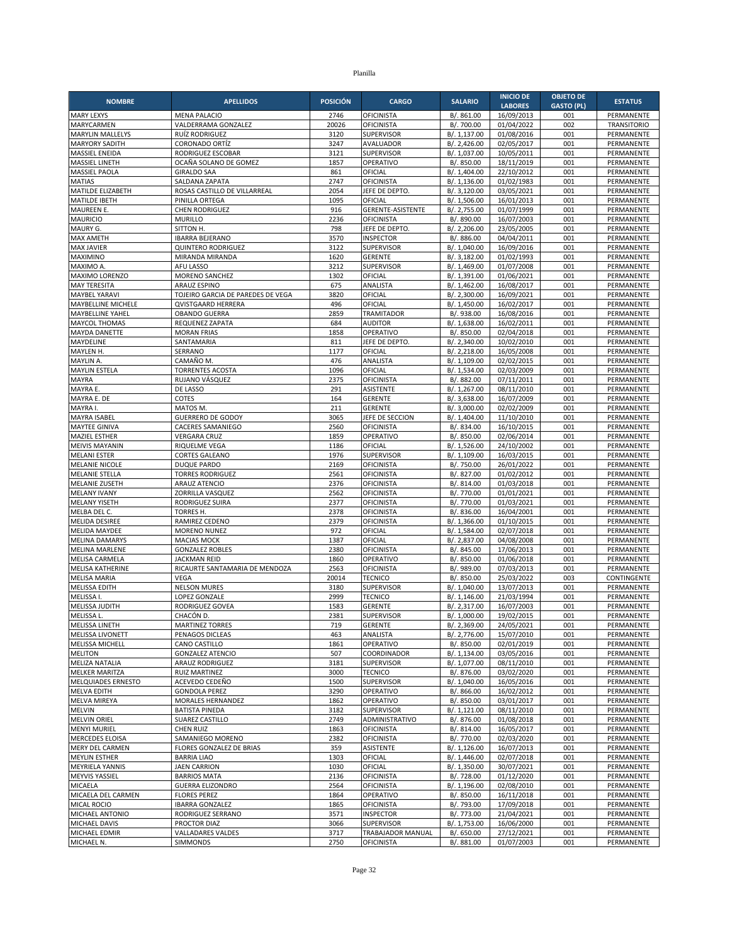| <b>NOMBRE</b>                                 | <b>APELLIDOS</b>                         | <b>POSICIÓN</b> | <b>CARGO</b>                        | <b>SALARIO</b>               | <b>INICIO DE</b><br><b>LABORES</b> | <b>OBJETO DE</b><br><b>GASTO (PL)</b> | <b>ESTATUS</b>                  |
|-----------------------------------------------|------------------------------------------|-----------------|-------------------------------------|------------------------------|------------------------------------|---------------------------------------|---------------------------------|
| <b>MARY LEXYS</b>                             | <b>MENA PALACIO</b>                      | 2746            | <b>OFICINISTA</b>                   | B/. 861.00                   | 16/09/2013                         | 001                                   | PERMANENTE                      |
| MARYCARMEN                                    | VALDERRAMA GONZALEZ                      | 20026           | <b>OFICINISTA</b>                   | B/. 700.00                   | 01/04/2022                         | 002                                   | <b>TRANSITORIO</b>              |
| <b>MARYLIN MALLELYS</b>                       | RUÍZ RODRIGUEZ                           | 3120            | <b>SUPERVISOR</b>                   | B/. 1,137.00                 | 01/08/2016                         | 001                                   | PERMANENTE                      |
| MARYORY SADITH                                | <b>CORONADO ORTÍZ</b>                    | 3247            | AVALUADOR                           | B/. 2,426.00                 | 02/05/2017                         | 001                                   | PERMANENTE                      |
| MASSIEL ENEIDA                                | RODRIGUEZ ESCOBAR                        | 3121            | <b>SUPERVISOR</b>                   | B/. 1,037.00                 | 10/05/2011                         | 001                                   | PERMANENTE                      |
| MASSIEL LINETH                                | OCAÑA SOLANO DE GOMEZ                    | 1857            | OPERATIVO                           | B/. 850.00                   | 18/11/2019                         | 001                                   | PERMANENTE                      |
| MASSIEL PAOLA                                 | <b>GIRALDO SAA</b>                       | 861             | OFICIAL                             | B/. 1,404.00                 | 22/10/2012                         | 001                                   | PERMANENTE                      |
| <b>MATIAS</b>                                 | SALDANA ZAPATA                           | 2747            | <b>OFICINISTA</b>                   | B/. 1,136.00                 | 01/02/1983                         | 001                                   | PERMANENTE                      |
| MATILDE ELIZABETH                             | ROSAS CASTILLO DE VILLARREAL             | 2054            | JEFE DE DEPTO.                      | B/. 3,120.00                 | 03/05/2021                         | 001                                   | PERMANENTE                      |
| MATILDE IBETH                                 | PINILLA ORTEGA                           | 1095            | OFICIAL                             | B/. 1,506.00                 | 16/01/2013                         | 001                                   | PERMANENTE                      |
| MAUREEN E.                                    | <b>CHEN RODRIGUEZ</b>                    | 916             | <b>GERENTE-ASISTENTE</b>            | B/. 2,755.00                 | 01/07/1999                         | 001                                   | PERMANENTE                      |
| <b>MAURICIO</b>                               | <b>MURILLO</b><br>SITTON H.              | 2236            | <b>OFICINISTA</b><br>JEFE DE DEPTO. | B/. 890.00                   | 16/07/2003                         | 001                                   | PERMANENTE                      |
| MAURY G.<br><b>MAX AMETH</b>                  | <b>IBARRA BEJERANO</b>                   | 798<br>3570     | <b>INSPECTOR</b>                    | B/. 2,206.00<br>B/. 886.00   | 23/05/2005<br>04/04/2011           | 001<br>001                            | PERMANENTE<br>PERMANENTE        |
| <b>MAX JAVIER</b>                             | <b>QUINTERO RODRIGUEZ</b>                | 3122            | SUPERVISOR                          | B/. 1,040.00                 | 16/09/2016                         | 001                                   | PERMANENTE                      |
| MAXIMINO                                      | MIRANDA MIRANDA                          | 1620            | <b>GERENTE</b>                      | B/. 3,182.00                 | 01/02/1993                         | 001                                   | PERMANENTE                      |
| MAXIMO A                                      | AFU LASSO                                | 3212            | <b>SUPERVISOR</b>                   | B/. 1,469.00                 | 01/07/2008                         | 001                                   | PERMANENTE                      |
| MAXIMO LORENZO                                | MORENO SANCHEZ                           | 1302            | OFICIAL                             | B/. 1,391.00                 | 01/06/2021                         | 001                                   | PERMANENTE                      |
| <b>MAY TERESITA</b>                           | <b>ARAUZ ESPINO</b>                      | 675             | ANALISTA                            | B/. 1,462.00                 | 16/08/2017                         | 001                                   | PERMANENTE                      |
| MAYBEL YARAVI                                 | TOJEIRO GARCIA DE PAREDES DE VEGA        | 3820            | OFICIAL                             | B/. 2,300.00                 | 16/09/2021                         | 001                                   | PERMANENTE                      |
| MAYBELLINE MICHELE                            | QVISTGAARD HERRERA                       | 496             | OFICIAL                             | B/. 1,450.00                 | 16/02/2017                         | 001                                   | PERMANENTE                      |
| MAYBELLINE YAHEL                              | <b>OBANDO GUERRA</b>                     | 2859            | <b>TRAMITADOR</b>                   | B/. 938.00                   | 16/08/2016                         | 001                                   | PERMANENTE                      |
| <b>MAYCOL THOMAS</b>                          | REQUENEZ ZAPATA                          | 684             | <b>AUDITOR</b>                      | B/. 1,638.00                 | 16/02/2011                         | 001                                   | PERMANENTE                      |
| <b>MAYDA DANETTE</b>                          | <b>MORAN FRIAS</b>                       | 1858            | OPERATIVO                           | B/. 850.00                   | 02/04/2018                         | 001                                   | PERMANENTE                      |
| MAYDELINE                                     | SANTAMARIA                               | 811             | JEFE DE DEPTO.                      | B/. 2,340.00                 | 10/02/2010                         | 001                                   | PERMANENTE                      |
| MAYLEN H.                                     | SERRANO                                  | 1177            | OFICIAL                             | B/. 2,218.00                 | 16/05/2008                         | 001                                   | PERMANENTE                      |
| MAYLIN A.                                     | CAMAÑO M.                                | 476             | ANALISTA                            | B/. 1,109.00                 | 02/02/2015                         | 001                                   | PERMANENTE                      |
| <b>MAYLIN ESTELA</b>                          | <b>TORRENTES ACOSTA</b>                  | 1096            | OFICIAL                             | B/. 1,534.00                 | 02/03/2009                         | 001                                   | PERMANENTE                      |
| MAYRA                                         | RUJANO VÁSQUEZ                           | 2375            | <b>OFICINISTA</b>                   | B/. 882.00                   | 07/11/2011                         | 001                                   | PERMANENTE                      |
| MAYRA E.                                      | DE LASSO                                 | 291             | ASISTENTE                           | B/. 1,267.00                 | 08/11/2010                         | 001                                   | PERMANENTE                      |
| MAYRA E. DE                                   | COTES                                    | 164             | <b>GERENTE</b>                      | B/. 3,638.00                 | 16/07/2009                         | 001                                   | PERMANENTE                      |
| MAYRA I.                                      | MATOS M.                                 | 211             | <b>GERENTE</b>                      | B/. 3,000.00                 | 02/02/2009                         | 001                                   | PERMANENTE                      |
| <b>MAYRA ISABEL</b>                           | <b>GUERRERO DE GODOY</b>                 | 3065            | JEFE DE SECCION                     | B/. 1,404.00                 | 11/10/2010                         | 001                                   | PERMANENTE                      |
| <b>MAYTEE GINIVA</b>                          | <b>CACERES SAMANIEGO</b>                 | 2560            | <b>OFICINISTA</b>                   | B/. 834.00                   | 16/10/2015                         | 001                                   | PERMANENTE                      |
| <b>MAZIEL ESTHER</b><br><b>MEIVIS MAYANIN</b> | <b>VERGARA CRUZ</b><br>RIQUELME VEGA     | 1859<br>1186    | OPERATIVO<br>OFICIAL                | B/. 850.00<br>B/. 1,526.00   | 02/06/2014<br>24/10/2002           | 001<br>001                            | PERMANENTE<br><b>PERMANENTE</b> |
| <b>MELANI ESTER</b>                           | <b>CORTES GALEANO</b>                    | 1976            | SUPERVISOR                          | B/. 1,109.00                 | 16/03/2015                         | 001                                   | PERMANENTE                      |
| <b>MELANIE NICOLE</b>                         | <b>DUQUE PARDO</b>                       | 2169            | <b>OFICINISTA</b>                   | B/. 750.00                   | 26/01/2022                         | 001                                   | PERMANENTE                      |
| <b>MELANIE STELLA</b>                         | <b>TORRES RODRIGUEZ</b>                  | 2561            | <b>OFICINISTA</b>                   | B/. 827.00                   | 01/02/2012                         | 001                                   | PERMANENTE                      |
| MELANIE ZUSETH                                | <b>ARAUZ ATENCIO</b>                     | 2376            | <b>OFICINISTA</b>                   | B/. 814.00                   | 01/03/2018                         | 001                                   | PERMANENTE                      |
| <b>MELANY IVANY</b>                           | ZORRILLA VASQUEZ                         | 2562            | <b>OFICINISTA</b>                   | B/. 770.00                   | 01/01/2021                         | 001                                   | PERMANENTE                      |
| <b>MELANY YISETH</b>                          | <b>RODRIGUEZ SUIRA</b>                   | 2377            | <b>OFICINISTA</b>                   | B/. 770.00                   | 01/03/2021                         | 001                                   | PERMANENTE                      |
| MELBA DEL C.                                  | TORRES H.                                | 2378            | <b>OFICINISTA</b>                   | B/. 836.00                   | 16/04/2001                         | 001                                   | PERMANENTE                      |
| MELIDA DESIREE                                | RAMIREZ CEDENO                           | 2379            | <b>OFICINISTA</b>                   | B/. 1,366.00                 | 01/10/2015                         | 001                                   | PERMANENTE                      |
| <b>MELIDA MAYDEE</b>                          | MORENO NUNEZ                             | 972             | OFICIAL                             | B/. 1,584.00                 | 02/07/2018                         | 001                                   | PERMANENTE                      |
| <b>MELINA DAMARYS</b>                         | <b>MACIAS MOCK</b>                       | 1387            | OFICIAL                             | B/. 2,837.00                 | 04/08/2008                         | 001                                   | PERMANENTE                      |
| <b>MELINA MARLENE</b>                         | <b>GONZALEZ ROBLES</b>                   | 2380            | <b>OFICINISTA</b>                   | B/. 845.00                   | 17/06/2013                         | 001                                   | PERMANENTE                      |
| MELISA CARMELA                                | <b>JACKMAN REID</b>                      | 1860            | OPERATIVO                           | B/. 850.00                   | 01/06/2018                         | 001                                   | PERMANENTE                      |
| <b>MELISA KATHERINE</b>                       | RICAURTE SANTAMARIA DE MENDOZA           | 2563            | <b>OFICINISTA</b>                   | B/. 989.00                   | 07/03/2013                         | 001                                   | PERMANENTE                      |
| <b>MELISA MARIA</b>                           | <b>VEGA</b>                              | 20014           | <b>TECNICO</b>                      | B/. 850.00                   | 25/03/2022                         | 003                                   | CONTINGENTE                     |
| MELISSA EDITH                                 | <b>NELSON MURES</b>                      | 3180            | SUPERVISOR                          | B/. 1,040.00                 | 13/07/2013                         | 001                                   | PERMANENTE                      |
| MELISSA I.                                    | <b>LOPEZ GONZALE</b>                     | 2999            | <b>TECNICO</b>                      | B/. 1,146.00                 | 21/03/1994                         | 001                                   | PERMANENTE                      |
| MELISSA JUDITH                                | RODRIGUEZ GOVEA                          | 1583            | <b>GERENTE</b>                      | B/. 2,317.00                 | 16/07/2003                         | 001                                   | PERMANENTE                      |
| MELISSA L.                                    | CHACÓN D.                                | 2381            | <b>SUPERVISOR</b>                   | B/. 1,000.00                 | 19/02/2015                         | 001                                   | PERMANENTE                      |
| MELISSA LINETH<br>MELISSA LIVONETT            | MARTINEZ TORRES<br>PENAGOS DICLEAS       | 719<br>463      | GERENTE<br>ANALISTA                 | B/. 2,369.00<br>B/. 2,776.00 | 24/05/2021<br>15/07/2010           | 001<br>001                            | PERMANENTE<br>PERMANENTE        |
| MELISSA MICHELL                               | CANO CASTILLO                            | 1861            | OPERATIVO                           | B/. 850.00                   | 02/01/2019                         | 001                                   | PERMANENTE                      |
| <b>MELITON</b>                                | <b>GONZALEZ ATENCIO</b>                  | 507             | COORDINADOR                         | B/. 1,134.00                 | 03/05/2016                         | 001                                   | PERMANENTE                      |
| MELIZA NATALIA                                | ARAUZ RODRIGUEZ                          | 3181            | SUPERVISOR                          | B/. 1,077.00                 | 08/11/2010                         | 001                                   | PERMANENTE                      |
| <b>MELKER MARITZA</b>                         | <b>RUIZ MARTINEZ</b>                     | 3000            | <b>TECNICO</b>                      | B/. 876.00                   | 03/02/2020                         | 001                                   | PERMANENTE                      |
| MELQUIADES ERNESTO                            | ACEVEDO CEDEÑO                           | 1500            | <b>SUPERVISOR</b>                   | B/. 1,040.00                 | 16/05/2016                         | 001                                   | PERMANENTE                      |
| <b>MELVA EDITH</b>                            | <b>GONDOLA PEREZ</b>                     | 3290            | OPERATIVO                           | B/. 866.00                   | 16/02/2012                         | 001                                   | PERMANENTE                      |
| <b>MELVA MIREYA</b>                           | MORALES HERNANDEZ                        | 1862            | OPERATIVO                           | B/. 850.00                   | 03/01/2017                         | 001                                   | PERMANENTE                      |
| <b>MELVIN</b>                                 | <b>BATISTA PINEDA</b>                    | 3182            | <b>SUPERVISOR</b>                   | B/. 1,121.00                 | 08/11/2010                         | 001                                   | PERMANENTE                      |
| <b>MELVIN ORIEL</b>                           | SUAREZ CASTILLO                          | 2749            | ADMINISTRATIVO                      | B/. 876.00                   | 01/08/2018                         | 001                                   | PERMANENTE                      |
| <b>MENYI MURIEL</b>                           | <b>CHEN RUIZ</b>                         | 1863            | <b>OFICINISTA</b>                   | B/. 814.00                   | 16/05/2017                         | 001                                   | PERMANENTE                      |
| <b>MERCEDES ELOISA</b>                        | SAMANIEGO MORENO                         | 2382            | <b>OFICINISTA</b>                   | B/. 770.00                   | 02/03/2020                         | 001                                   | PERMANENTE                      |
| MERY DEL CARMEN                               | FLORES GONZALEZ DE BRIAS                 | 359             | ASISTENTE                           | B/. 1,126.00                 | 16/07/2013                         | 001                                   | PERMANENTE                      |
| <b>MEYLIN ESTHER</b>                          | <b>BARRIA LIAO</b>                       | 1303            | OFICIAL                             | B/. 1,446.00                 | 02/07/2018                         | 001                                   | PERMANENTE                      |
| <b>MEYRIELA YANNIS</b>                        | <b>JAEN CARRION</b>                      | 1030            | OFICIAL                             | B/. 1,350.00                 | 30/07/2021                         | 001                                   | PERMANENTE                      |
| MEYVIS YASSIEL                                | <b>BARRIOS MATA</b>                      | 2136            | OFICINISTA                          | B/. 728.00                   | 01/12/2020                         | 001                                   | PERMANENTE                      |
| MICAELA                                       | <b>GUERRA ELIZONDRO</b>                  | 2564            | <b>OFICINISTA</b>                   | B/. 1,196.00                 | 02/08/2010                         | 001                                   | PERMANENTE                      |
| MICAELA DEL CARMEN                            | <b>FLORES PEREZ</b>                      | 1864            | OPERATIVO                           | B/. 850.00                   | 16/11/2018                         | 001                                   | PERMANENTE                      |
| MICAL ROCIO                                   | <b>IBARRA GONZALEZ</b>                   | 1865            | <b>OFICINISTA</b>                   | B/. 793.00                   | 17/09/2018                         | 001                                   | PERMANENTE                      |
| MICHAEL ANTONIO                               | RODRIGUEZ SERRANO                        | 3571            | <b>INSPECTOR</b>                    | B/. 773.00                   | 21/04/2021                         | 001                                   | PERMANENTE                      |
| MICHAEL DAVIS<br>MICHAEL EDMIR                | PROCTOR DIAZ<br><b>VALLADARES VALDES</b> | 3066<br>3717    | SUPERVISOR<br>TRABAJADOR MANUAL     | B/. 1,753.00<br>B/. 650.00   | 16/06/2000<br>27/12/2021           | 001<br>001                            | PERMANENTE<br>PERMANENTE        |
| MICHAEL N.                                    | <b>SIMMONDS</b>                          | 2750            | <b>OFICINISTA</b>                   | B/. 881.00                   | 01/07/2003                         | 001                                   | PERMANENTE                      |
|                                               |                                          |                 |                                     |                              |                                    |                                       |                                 |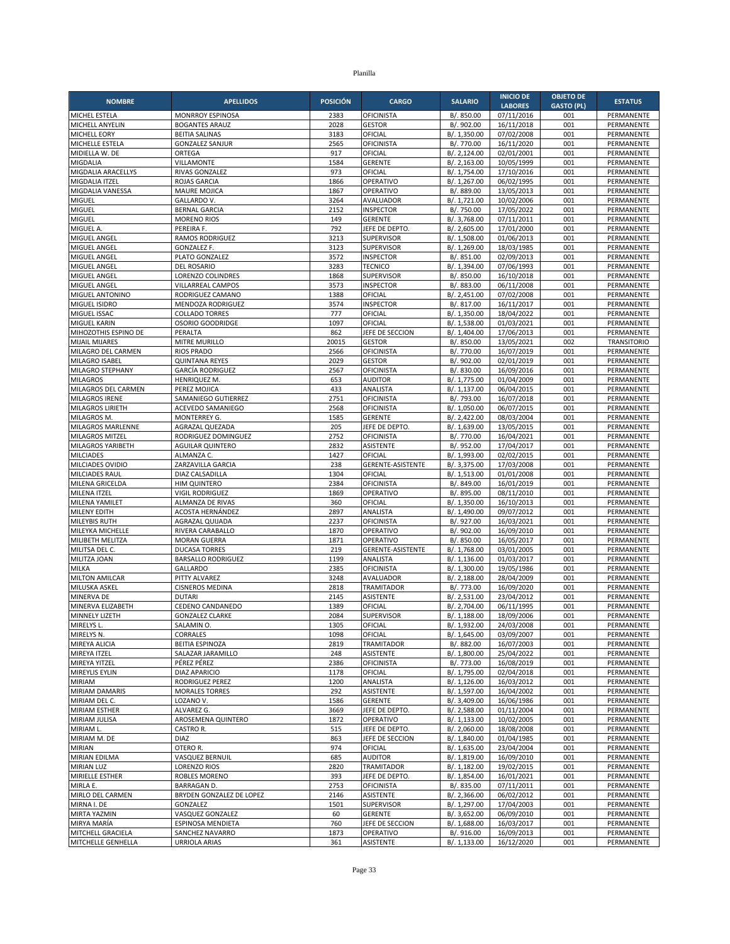| <b>NOMBRE</b>                                 | <b>APELLIDOS</b>                                 | <b>POSICIÓN</b> | <b>CARGO</b>                        | <b>SALARIO</b>               | <b>INICIO DE</b>             | <b>OBJETO DE</b>  | <b>ESTATUS</b>                   |
|-----------------------------------------------|--------------------------------------------------|-----------------|-------------------------------------|------------------------------|------------------------------|-------------------|----------------------------------|
|                                               |                                                  |                 | <b>OFICINISTA</b>                   | B/. 850.00                   | <b>LABORES</b><br>07/11/2016 | <b>GASTO (PL)</b> |                                  |
| MICHEL ESTELA<br>MICHELL ANYELIN              | <b>MONRROY ESPINOSA</b><br><b>BOGANTES ARAUZ</b> | 2383<br>2028    | <b>GESTOR</b>                       | B/. 902.00                   | 16/11/2018                   | 001<br>001        | PERMANENTE<br>PERMANENTE         |
| MICHELL EORY                                  | <b>BEITIA SALINAS</b>                            | 3183            | OFICIAL                             | B/. 1,350.00                 | 07/02/2008                   | 001               | PERMANENTE                       |
| MICHELLE ESTELA                               | <b>GONZALEZ SANJUR</b>                           | 2565            | <b>OFICINISTA</b>                   | B/. 770.00                   | 16/11/2020                   | 001               | PERMANENTE                       |
| MIDIELLA W. DE                                | ORTEGA                                           | 917             | OFICIAL                             | B/. 2,124.00                 | 02/01/2001                   | 001               | PERMANENTE                       |
| MIGDALIA                                      | VILLAMONTE                                       | 1584            | <b>GERENTE</b>                      | B/. 2,163.00                 | 10/05/1999                   | 001               | <b>PERMANENTE</b>                |
| MIGDALIA ARACELLYS                            | RIVAS GONZALEZ                                   | 973             | OFICIAL                             | B/. 1,754.00                 | 17/10/2016                   | 001               | PERMANENTE                       |
| MIGDALIA ITZEL<br>MIGDALIA VANESSA            | <b>ROJAS GARCIA</b><br><b>MAURE MOJICA</b>       | 1866<br>1867    | OPERATIVO<br>OPERATIVO              | B/. 1,267.00<br>B/. 889.00   | 06/02/1995<br>13/05/2013     | 001<br>001        | PERMANENTE<br>PERMANENTE         |
| MIGUEL                                        | GALLARDO V.                                      | 3264            | AVALUADOR                           | B/. 1,721.00                 | 10/02/2006                   | 001               | PERMANENTE                       |
| MIGUEL                                        | <b>BERNAL GARCIA</b>                             | 2152            | <b>INSPECTOR</b>                    | B/. 750.00                   | 17/05/2022                   | 001               | PERMANENTE                       |
| MIGUEL                                        | <b>MORENO RIOS</b>                               | 149             | <b>GERENTE</b>                      | B/. 3,768.00                 | 07/11/2011                   | 001               | PERMANENTE                       |
| MIGUEL A.                                     | PEREIRA F.                                       | 792             | JEFE DE DEPTO.                      | B/. 2,605.00                 | 17/01/2000                   | 001               | PERMANENTE                       |
| MIGUEL ANGEL                                  | <b>RAMOS RODRIGUEZ</b>                           | 3213            | <b>SUPERVISOR</b>                   | B/. 1,508.00                 | 01/06/2013                   | 001               | PERMANENTE                       |
| MIGUEL ANGEL                                  | <b>GONZALEZ F.</b>                               | 3123            | <b>SUPERVISOR</b>                   | B/. 1,269.00                 | 18/03/1985                   | 001               | PERMANENTE                       |
| MIGUEL ANGEL<br>MIGUEL ANGEL                  | PLATO GONZALEZ<br>DEL ROSARIO                    | 3572<br>3283    | <b>INSPECTOR</b><br><b>TECNICO</b>  | B/. 851.00<br>B/. 1,394.00   | 02/09/2013<br>07/06/1993     | 001<br>001        | PERMANENTE<br>PERMANENTE         |
| MIGUEL ANGEL                                  | LORENZO COLINDRES                                | 1868            | <b>SUPERVISOR</b>                   | B/. 850.00                   | 16/10/2018                   | 001               | PERMANENTE                       |
| MIGUEL ANGEL                                  | VILLARREAL CAMPOS                                | 3573            | <b>INSPECTOR</b>                    | B/. 883.00                   | 06/11/2008                   | 001               | PERMANENTE                       |
| MIGUEL ANTONINO                               | RODRIGUEZ CAMANO                                 | 1388            | OFICIAL                             | B/. 2,451.00                 | 07/02/2008                   | 001               | PERMANENTE                       |
| MIGUEL ISIDRO                                 | MENDOZA RODRIGUEZ                                | 3574            | <b>INSPECTOR</b>                    | B/. 817.00                   | 16/11/2017                   | 001               | PERMANENTE                       |
| MIGUEL ISSAC                                  | <b>COLLADO TORRES</b>                            | 777             | OFICIAL                             | B/. 1,350.00                 | 18/04/2022                   | 001               | PERMANENTE                       |
| MIGUEL KARIN                                  | OSORIO GOODRIDGE                                 | 1097            | OFICIAL                             | B/. 1,538.00                 | 01/03/2021                   | 001               | PERMANENTE                       |
| MIHOZOTHIS ESPINO DE<br><b>MIJAIL MIJARES</b> | PERALTA<br>MITRE MURILLO                         | 862<br>20015    | JEFE DE SECCION<br><b>GESTOR</b>    | B/. 1,404.00<br>B/. 850.00   | 17/06/2013<br>13/05/2021     | 001<br>002        | PERMANENTE<br><b>TRANSITORIO</b> |
| MILAGRO DEL CARMEN                            | <b>RIOS PRADO</b>                                | 2566            | OFICINISTA                          | B/. 770.00                   | 16/07/2019                   | 001               | PERMANENTE                       |
| MILAGRO ISABEL                                | <b>QUINTANA REYES</b>                            | 2029            | <b>GESTOR</b>                       | B/. 902.00                   | 02/01/2019                   | 001               | PERMANENTE                       |
| MILAGRO STEPHANY                              | <b>GARCÍA RODRIGUEZ</b>                          | 2567            | <b>OFICINISTA</b>                   | B/. 830.00                   | 16/09/2016                   | 001               | PERMANENTE                       |
| <b>MILAGROS</b>                               | HENRIQUEZ M.                                     | 653             | <b>AUDITOR</b>                      | B/. 1,775.00                 | 01/04/2009                   | 001               | PERMANENTE                       |
| MILAGROS DEL CARMEN                           | PEREZ MOJICA                                     | 433             | ANALISTA                            | B/. 1,137.00                 | 06/04/2015                   | 001               | PERMANENTE                       |
| MILAGROS IRENE                                | SAMANIEGO GUTIERREZ                              | 2751            | <b>OFICINISTA</b>                   | B/. 793.00                   | 16/07/2018                   | 001               | <b>PERMANENTE</b>                |
| MILAGROS LIRIETH<br>MILAGROS M.               | ACEVEDO SAMANIEGO<br>MONTERREY G.                | 2568<br>1585    | <b>OFICINISTA</b><br><b>GERENTE</b> | B/. 1,050.00<br>B/. 2,422.00 | 06/07/2015<br>08/03/2004     | 001<br>001        | PERMANENTE<br>PERMANENTE         |
| MILAGROS MARLENNE                             | AGRAZAL QUEZADA                                  | 205             | JEFE DE DEPTO.                      | B/. 1,639.00                 | 13/05/2015                   | 001               | <b>PERMANENTE</b>                |
| MILAGROS MITZEL                               | RODRIGUEZ DOMINGUEZ                              | 2752            | <b>OFICINISTA</b>                   | B/. 770.00                   | 16/04/2021                   | 001               | PERMANENTE                       |
| MILAGROS YARIBETH                             | <b>AGUILAR QUINTERO</b>                          | 2832            | ASISTENTE                           | B/. 952.00                   | 17/04/2017                   | 001               | PERMANENTE                       |
| <b>MILCIADES</b>                              | ALMANZA C.                                       | 1427            | OFICIAL                             | B/. 1,993.00                 | 02/02/2015                   | 001               | PERMANENTE                       |
| MILCIADES OVIDIO                              | ZARZAVILLA GARCIA                                | 238             | <b>GERENTE-ASISTENTE</b>            | B/. 3,375.00                 | 17/03/2008                   | 001               | PERMANENTE                       |
| MILCIADES RAUL                                | DIAZ CALSADILLA                                  | 1304            | OFICIAL                             | B/. 1,513.00                 | 01/01/2008                   | 001               | PERMANENTE                       |
| MILENA GRICELDA<br>MILENA ITZEL               | <b>HIM QUINTERO</b><br><b>VIGIL RODRIGUEZ</b>    | 2384<br>1869    | <b>OFICINISTA</b><br>OPERATIVO      | B/. 849.00<br>B/. 895.00     | 16/01/2019<br>08/11/2010     | 001<br>001        | PERMANENTE<br>PERMANENTE         |
| MILENA YAMILET                                | ALMANZA DE RIVAS                                 | 360             | OFICIAL                             | B/. 1,350.00                 | 16/10/2013                   | 001               | PERMANENTE                       |
| MILENY EDITH                                  | ACOSTA HERNÁNDEZ                                 | 2897            | ANALISTA                            | B/. 1,490.00                 | 09/07/2012                   | 001               | PERMANENTE                       |
| <b>MILEYBIS RUTH</b>                          | AGRAZAL QUIJADA                                  | 2237            | <b>OFICINISTA</b>                   | B/. 927.00                   | 16/03/2021                   | 001               | PERMANENTE                       |
| MILEYKA MICHELLE                              | RIVERA CARABALLO                                 | 1870            | OPERATIVO                           | B/. 902.00                   | 16/09/2010                   | 001               | <b>PERMANENTE</b>                |
| MILIBETH MELITZA                              | <b>MORAN GUERRA</b>                              | 1871            | OPERATIVO                           | B/. 850.00                   | 16/05/2017                   | 001               | PERMANENTE                       |
| MILITSA DEL C.                                | <b>DUCASA TORRES</b>                             | 219             | <b>GERENTE-ASISTENTE</b>            | B/. 1,768.00                 | 03/01/2005                   | 001               | PERMANENTE                       |
| MILITZA JOAN<br>MILKA                         | <b>BARSALLO RODRIGUEZ</b><br><b>GALLARDO</b>     | 1199<br>2385    | ANALISTA<br><b>OFICINISTA</b>       | B/. 1,136.00<br>B/. 1,300.00 | 01/03/2017<br>19/05/1986     | 001<br>001        | PERMANENTE<br>PERMANENTE         |
| <b>MILTON AMILCAR</b>                         | PITTY ALVAREZ                                    | 3248            | AVALUADOR                           | B/. 2,188.00                 | 28/04/2009                   | 001               | PERMANENTE                       |
| MILUSKA ASKEL                                 | <b>CISNEROS MEDINA</b>                           | 2818            | <b>TRAMITADOR</b>                   | B/. 773.00                   | 16/09/2020                   | 001               | PERMANENTE                       |
| MINERVA DE                                    | <b>DUTARI</b>                                    | 2145            | <b>ASISTENTE</b>                    | B/. 2,531.00                 | 23/04/2012                   | 001               | PERMANENTE                       |
| MINERVA ELIZABETH                             | CEDENO CANDANEDO                                 | 1389            | OFICIAL                             | B/. 2,704.00                 | 06/11/1995                   | 001               | PERMANENTE                       |
| <b>MINNELY LIZETH</b>                         | <b>GONZALEZ CLARKE</b>                           | 2084            | SUPERVISOR                          | B/. 1,188.00                 | 18/09/2006                   | 001               | PERMANENTE                       |
| MIRELYS L.<br>MIRELYS N.                      | SALAMIN O.<br>CORRALES                           | 1305<br>1098    | OFICIAL<br>OFICIAL                  | B/. 1,932.00<br>B/. 1,645.00 | 24/03/2008<br>03/09/2007     | 001<br>001        | PERMANENTE<br>PERMANENTE         |
| MIREYA ALICIA                                 | <b>BEITIA ESPINOZA</b>                           | 2819            | <b>TRAMITADOR</b>                   | B/. 882.00                   | 16/07/2003                   | 001               | PERMANENTE                       |
| MIREYA ITZEL                                  | SALAZAR JARAMILLO                                | 248             | <b>ASISTENTE</b>                    | B/. 1,800.00                 | 25/04/2022                   | 001               | PERMANENTE                       |
| MIREYA YITZEL                                 | PÉREZ PÉREZ                                      | 2386            | <b>OFICINISTA</b>                   | B/. 773.00                   | 16/08/2019                   | 001               | PERMANENTE                       |
| MIREYLIS EYLIN                                | <b>DIAZ APARICIO</b>                             | 1178            | OFICIAL                             | B/. 1,795.00                 | 02/04/2018                   | 001               | PERMANENTE                       |
| <b>MIRIAM</b>                                 | RODRIGUEZ PEREZ                                  | 1200            | ANALISTA                            | B/. 1,126.00                 | 16/03/2012                   | 001               | PERMANENTE                       |
| MIRIAM DAMARIS                                | <b>MORALES TORRES</b>                            | 292             | <b>ASISTENTE</b>                    | B/. 1,597.00                 | 16/04/2002                   | 001               | PERMANENTE                       |
| MIRIAM DEL C.<br>MIRIAM ESTHER                | LOZANO V.<br>ALVAREZ G.                          | 1586<br>3669    | <b>GERENTE</b><br>JEFE DE DEPTO.    | B/. 3,409.00<br>B/. 2,588.00 | 16/06/1986<br>01/11/2004     | 001<br>001        | PERMANENTE<br>PERMANENTE         |
| MIRIAM JULISA                                 | AROSEMENA QUINTERO                               | 1872            | OPERATIVO                           | B/. 1,133.00                 | 10/02/2005                   | 001               | PERMANENTE                       |
| MIRIAM L.                                     | CASTRO R.                                        | 515             | JEFE DE DEPTO.                      | B/. 2,060.00                 | 18/08/2008                   | 001               | PERMANENTE                       |
| MIRIAM M. DE                                  | <b>DIAZ</b>                                      | 863             | JEFE DE SECCION                     | B/. 1,840.00                 | 01/04/1985                   | 001               | PERMANENTE                       |
| <b>MIRIAN</b>                                 | OTERO R.                                         | 974             | OFICIAL                             | B/. 1,635.00                 | 23/04/2004                   | 001               | PERMANENTE                       |
| MIRIAN EDILMA                                 | VASQUEZ BERNUIL                                  | 685             | <b>AUDITOR</b>                      | B/. 1,819.00                 | 16/09/2010                   | 001               | PERMANENTE                       |
| <b>MIRIAN LUZ</b>                             | <b>LORENZO RIOS</b>                              | 2820            | <b>TRAMITADOR</b>                   | B/. 1,182.00                 | 19/02/2015                   | 001               | PERMANENTE                       |
| MIRIELLE ESTHER<br>MIRLA E.                   | ROBLES MORENO<br><b>BARRAGAN D.</b>              | 393<br>2753     | JEFE DE DEPTO.<br><b>OFICINISTA</b> | B/. 1,854.00<br>B/. 835.00   | 16/01/2021<br>07/11/2011     | 001<br>001        | PERMANENTE<br>PERMANENTE         |
| MIRLO DEL CARMEN                              | BRYDEN GONZALEZ DE LOPEZ                         | 2146            | ASISTENTE                           | B/. 2,366.00                 | 06/02/2012                   | 001               | PERMANENTE                       |
| MIRNA I. DE                                   | GONZALEZ                                         | 1501            | SUPERVISOR                          | B/. 1,297.00                 | 17/04/2003                   | 001               | PERMANENTE                       |
| MIRTA YAZMIN                                  | VASQUEZ GONZALEZ                                 | 60              | <b>GERENTE</b>                      | B/. 3,652.00                 | 06/09/2010                   | 001               | PERMANENTE                       |
| MIRYA MARÍA                                   | ESPINOSA MENDIETA                                | 760             | JEFE DE SECCION                     | B/. 1,688.00                 | 16/03/2017                   | 001               | PERMANENTE                       |
| MITCHELL GRACIELA                             | SANCHEZ NAVARRO                                  | 1873            | OPERATIVO                           | B/. 916.00                   | 16/09/2013                   | 001               | PERMANENTE                       |
| MITCHELLE GENHELLA                            | <b>URRIOLA ARIAS</b>                             | 361             | ASISTENTE                           | B/. 1,133.00                 | 16/12/2020                   | 001               | PERMANENTE                       |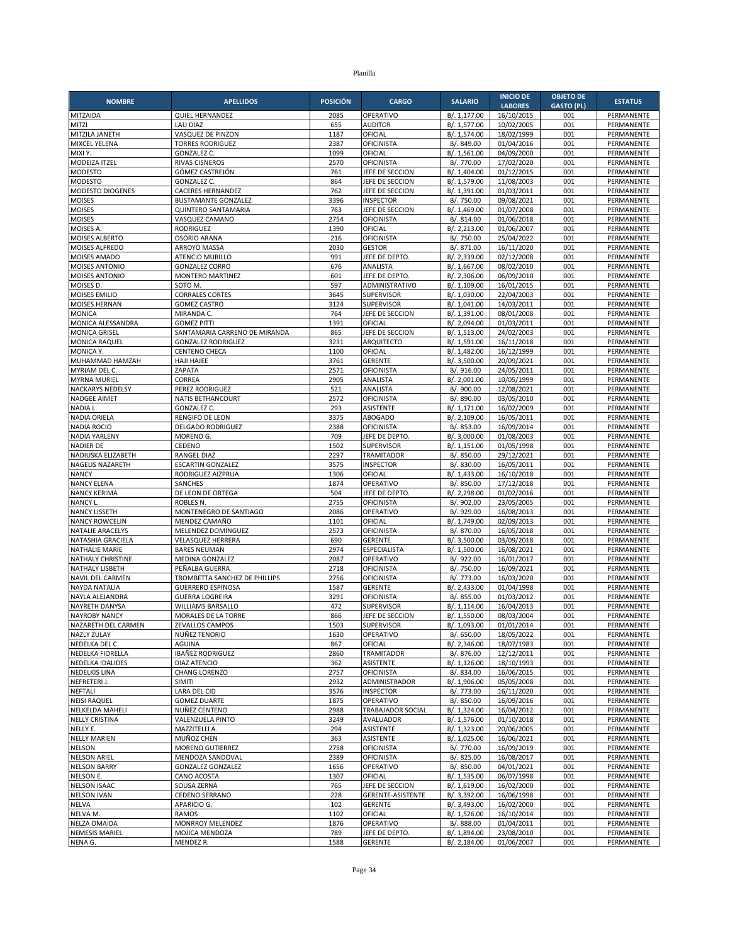| <b>NOMBRE</b>                                  | <b>APELLIDOS</b>                                       | <b>POSICIÓN</b> | <b>CARGO</b>                          | <b>SALARIO</b>               | <b>INICIO DE</b>         | <b>OBJETO DE</b>  | <b>ESTATUS</b>           |
|------------------------------------------------|--------------------------------------------------------|-----------------|---------------------------------------|------------------------------|--------------------------|-------------------|--------------------------|
|                                                |                                                        |                 |                                       |                              | <b>LABORES</b>           | <b>GASTO (PL)</b> |                          |
| MITZAIDA<br>MITZI                              | <b>QUIEL HERNANDEZ</b><br><b>LAU DIAZ</b>              | 2085<br>655     | OPERATIVO<br><b>AUDITOR</b>           | B/. 1,177.00<br>B/. 1,577.00 | 16/10/2015<br>10/02/2005 | 001<br>001        | PERMANENTE<br>PERMANENTE |
| MITZILA JANETH                                 | VASQUEZ DE PINZON                                      | 1187            | OFICIAL                               | B/. 1,574.00                 | 18/02/1999               | 001               | PERMANENTE               |
| MIXCEL YELENA                                  | <b>TORRES RODRIGUEZ</b>                                | 2387            | <b>OFICINISTA</b>                     | B/. 849.00                   | 01/04/2016               | 001               | PERMANENTE               |
| MIXI Y.                                        | <b>GONZALEZ C.</b>                                     | 1099            | OFICIAL                               | B/. 1,561.00                 | 04/09/2000               | 001               | PERMANENTE               |
| MODEIZA ITZEL                                  | RIVAS CISNEROS                                         | 2570            | <b>OFICINISTA</b>                     | B/. 770.00                   | 17/02/2020               | 001               | PERMANENTE               |
| <b>MODESTO</b>                                 | GÓMEZ CASTREJÓN                                        | 761             | JEFE DE SECCION                       | B/. 1,404.00                 | 01/12/2015               | 001               | PERMANENTE               |
| <b>MODESTO</b>                                 | <b>GONZALEZ C.</b>                                     | 864<br>762      | JEFE DE SECCION                       | B/. 1,579.00                 | 11/08/2003<br>01/03/2011 | 001<br>001        | PERMANENTE               |
| MODESTO DIOGENES<br><b>MOISES</b>              | <b>CACERES HERNANDEZ</b><br><b>BUSTAMANTE GONZALEZ</b> | 3396            | JEFE DE SECCION<br><b>INSPECTOR</b>   | B/. 1,391.00<br>B/. 750.00   | 09/08/2021               | 001               | PERMANENTE<br>PERMANENTE |
| <b>MOISES</b>                                  | <b>QUINTERO SANTAMARIA</b>                             | 763             | JEFE DE SECCION                       | B/. 1,469.00                 | 01/07/2008               | 001               | PERMANENTE               |
| <b>MOISES</b>                                  | VASQUEZ CAMANO                                         | 2754            | <b>OFICINISTA</b>                     | B/. 814.00                   | 01/06/2018               | 001               | <b>PERMANENTE</b>        |
| MOISES A.                                      | RODRIGUEZ                                              | 1390            | OFICIAL                               | B/. 2,213.00                 | 01/06/2007               | 001               | PERMANENTE               |
| MOISES ALBERTO                                 | <b>OSORIO ARANA</b>                                    | 216             | <b>OFICINISTA</b>                     | B/. 750.00                   | 25/04/2022               | 001               | PERMANENTE               |
| MOISES ALFREDO                                 | <b>ARROYO MASSA</b>                                    | 2030            | <b>GESTOR</b>                         | B/. 871.00                   | 16/11/2020               | 001               | PERMANENTE               |
| <b>MOISES AMADO</b><br>MOISES ANTONIO          | ATENCIO MURILLO<br><b>GONZALEZ CORRO</b>               | 991<br>676      | JEFE DE DEPTO.<br>ANALISTA            | B/. 2,339.00<br>B/. 1,667.00 | 02/12/2008<br>08/02/2010 | 001<br>001        | PERMANENTE<br>PERMANENTE |
| MOISES ANTONIO                                 | <b>MONTERO MARTINEZ</b>                                | 601             | JEFE DE DEPTO                         | B/. 2,306.00                 | 06/09/2010               | 001               | PERMANENTE               |
| MOISES D.                                      | SOTO M.                                                | 597             | ADMINISTRATIVO                        | B/. 1,109.00                 | 16/01/2015               | 001               | PERMANENTE               |
| MOISES EMILIO                                  | <b>CORRALES CORTES</b>                                 | 3645            | <b>SUPERVISOR</b>                     | B/. 1,030.00                 | 22/04/2003               | 001               | PERMANENTE               |
| MOISES HERNAN                                  | <b>GOMEZ CASTRO</b>                                    | 3124            | <b>SUPERVISOR</b>                     | B/. 1,041.00                 | 14/03/2011               | 001               | PERMANENTE               |
| <b>MONICA</b>                                  | MIRANDA C.                                             | 764             | JEFE DE SECCION                       | B/. 1,391.00                 | 08/01/2008               | 001               | PERMANENTE               |
| MONICA ALESSANDRA<br><b>MONICA GRISEL</b>      | <b>GOMEZ PITTI</b><br>SANTAMARIA CARRENO DE MIRANDA    | 1391<br>865     | OFICIAL<br>JEFE DE SECCION            | B/. 2,094.00<br>B/. 1,513.00 | 01/03/2011<br>24/02/2003 | 001<br>001        | PERMANENTE<br>PERMANENTE |
| <b>MONICA RAQUEL</b>                           | <b>GONZALEZ RODRIGUEZ</b>                              | 3231            | ARQUITECTO                            | B/. 1,591.00                 | 16/11/2018               | 001               | PERMANENTE               |
| MONICA Y.                                      | <b>CENTENO CHECA</b>                                   | 1100            | OFICIAL                               | B/. 1,482.00                 | 16/12/1999               | 001               | PERMANENTE               |
| MUHAMMAD HAMZAH                                | HAJI HAJEE                                             | 3761            | <b>GERENTE</b>                        | B/. 3,500.00                 | 20/09/2021               | 001               | PERMANENTE               |
| MYRIAM DEL C.                                  | ZAPATA                                                 | 2571            | <b>OFICINISTA</b>                     | B/. 916.00                   | 24/05/2011               | 001               | PERMANENTE               |
| <b>MYRNA MURIEL</b>                            | CORREA                                                 | 2905            | ANALISTA                              | B/. 2,001.00                 | 10/05/1999               | 001               | PERMANENTE               |
| <b>NACKARYS NEDELSY</b><br><b>NADGEE AIMET</b> | PEREZ RODRIGUEZ                                        | 521             | <b>ANALISTA</b>                       | B/. 900.00                   | 12/08/2021               | 001               | PERMANENTE               |
| NADIA L.                                       | NATIS BETHANCOURT<br><b>GONZALEZ C.</b>                | 2572<br>293     | <b>OFICINISTA</b><br><b>ASISTENTE</b> | B/. 890.00<br>B/. 1,171.00   | 03/05/2010<br>16/02/2009 | 001<br>001        | PERMANENTE<br>PERMANENTE |
| NADIA ORIELA                                   | RENGIFO DE LEON                                        | 3375            | <b>ABOGADO</b>                        | B/. 2,109.00                 | 16/05/2011               | 001               | PERMANENTE               |
| <b>NADIA ROCIO</b>                             | <b>DELGADO RODRIGUEZ</b>                               | 2388            | <b>OFICINISTA</b>                     | B/. 853.00                   | 16/09/2014               | 001               | PERMANENTE               |
| <b>NADIA YARLENY</b>                           | MORENO G.                                              | 709             | JEFE DE DEPTO                         | B/. 3,000.00                 | 01/08/2003               | 001               | PERMANENTE               |
| NADIER DE                                      | CEDENO                                                 | 1502            | <b>SUPERVISOR</b>                     | B/. 1,151.00                 | 01/05/1998               | 001               | PERMANENTE               |
| NADIUSKA ELIZABETH                             | <b>RANGEL DIAZ</b>                                     | 2297            | <b>TRAMITADOR</b>                     | B/. 850.00                   | 29/12/2021               | 001               | PERMANENTE               |
| NAGELIS NAZARETH<br><b>NANCY</b>               | <b>ESCARTIN GONZALEZ</b><br>RODRIGUEZ AIZPRUA          | 3575<br>1306    | <b>INSPECTOR</b><br>OFICIAL           | B/. 830.00<br>B/. 1,433.00   | 16/05/2011<br>16/10/2018 | 001<br>001        | PERMANENTE<br>PERMANENTE |
| <b>NANCY ELENA</b>                             | SANCHES                                                | 1874            | OPERATIVO                             | B/. 850.00                   | 17/12/2018               | 001               | PERMANENTE               |
| <b>NANCY KERIMA</b>                            | DE LEON DE ORTEGA                                      | 504             | JEFE DE DEPTO                         | B/. 2,298.00                 | 01/02/2016               | 001               | PERMANENTE               |
| NANCY L.                                       | ROBLES N.                                              | 2755            | <b>OFICINISTA</b>                     | B/. 902.00                   | 23/05/2005               | 001               | PERMANENTE               |
| <b>NANCY LISSETH</b>                           | MONTENEGRO DE SANTIAGO                                 | 2086            | OPERATIVO                             | B/. 929.00                   | 16/08/2013               | 001               | PERMANENTE               |
| <b>NANCY ROWCELIN</b>                          | MENDEZ CAMAÑO                                          | 1101            | OFICIAL                               | B/. 1,749.00                 | 02/09/2013               | 001               | PERMANENTE               |
| <b>NATALIE ARACELYS</b>                        | MELENDEZ DOMINGUEZ                                     | 2573            | <b>OFICINISTA</b>                     | B/. 870.00                   | 16/05/2018               | 001               | PERMANENTE               |
| NATASHIA GRACIELA<br><b>NATHALIE MARIE</b>     | <b>VELASQUEZ HERRERA</b><br><b>BARES NEUMAN</b>        | 690<br>2974     | <b>GERENTE</b><br><b>ESPECIALISTA</b> | B/. 3,500.00<br>B/. 1,500.00 | 03/09/2018<br>16/08/2021 | 001<br>001        | PERMANENTE<br>PERMANENTE |
| NATHALY CHRISTINE                              | MEDINA GONZALEZ                                        | 2087            | OPERATIVO                             | B/. 922.00                   | 16/01/2017               | 001               | PERMANENTE               |
| NATHALY LISBETH                                | PEÑALBA GUERRA                                         | 2718            | OFICINISTA                            | B/. 750.00                   | 16/09/2021               | 001               | PERMANENTE               |
| <b>NAVIL DEL CARMEN</b>                        | TROMBETTA SANCHEZ DE PHILLIPS                          | 2756            | OFICINISTA                            | B/. 773.00                   | 16/03/2020               | 001               | PERMANENTE               |
| NAYDA NATALIA                                  | <b>GUERRERO ESPINOSA</b>                               | 1587            | <b>GERENTE</b>                        | B/. 2,433.00                 | 01/04/1998               | 001               | PERMANENTE               |
| NAYLA ALEJANDRA                                | <b>GUERRA LOGREIRA</b>                                 | 3291            | <b>OFICINISTA</b>                     | B/. 855.00                   | 01/03/2012               | 001               | PERMANENTE               |
| NAYRETH DANYSA<br><b>NAYROBY NANCY</b>         | <b>WILLIAMS BARSALLO</b><br>MORALES DE LA TORRE        | 472<br>866      | <b>SUPERVISOR</b><br>JEFE DE SECCION  | B/. 1,114.00<br>B/. 1,550.00 | 16/04/2013<br>08/03/2004 | 001<br>001        | PERMANENTE<br>PERMANENTE |
| NAZARETH DEL CARMEN                            | ZEVALLOS CAMPOS                                        | 1503            | SUPERVISOR                            | B/. 1,093.00                 | 01/01/2014               | 001               | PERMANENTE               |
| NAZLY ZULAY                                    | NUÑEZ TENORIO                                          | 1630            | OPERATIVO                             | B/. 650.00                   | 18/05/2022               | 001               | PERMANENTE               |
| NEDELKA DEL C.                                 | AGUINA                                                 | 867             | OFICIAL                               | B/. 2,346.00                 | 18/07/1983               | 001               | PERMANENTE               |
| NEDELKA FIORELLA                               | IBAÑEZ RODRIGUEZ                                       | 2860            | TRAMITADOR                            | B/. 876.00                   | 12/12/2011               | 001               | PERMANENTE               |
| NEDELKA IDALIDES                               | <b>DIAZ ATENCIO</b>                                    | 362             | ASISTENTE                             | B/. 1,126.00                 | 18/10/1993               | 001               | PERMANENTE               |
| <b>NEDELKIS LINA</b>                           | CHANG LORENZO                                          | 2757<br>2932    | <b>OFICINISTA</b><br>ADMINISTRADOR    | B/. 834.00<br>B/. 1,906.00   | 16/06/2015               | 001               | PERMANENTE               |
| NEFRETERI J.<br><b>NEFTALI</b>                 | SIMITI<br>LARA DEL CID                                 | 3576            | <b>INSPECTOR</b>                      | B/. 773.00                   | 05/05/2008<br>16/11/2020 | 001<br>001        | PERMANENTE<br>PERMANENTE |
| <b>NEISI RAQUEL</b>                            | <b>GOMEZ DUARTE</b>                                    | 1875            | OPERATIVO                             | B/. 850.00                   | 16/09/2016               | 001               | PERMANENTE               |
| <b>NELKELDA MAHELI</b>                         | NUÑEZ CENTENO                                          | 2988            | TRABAJADOR SOCIAL                     | B/. 1,324.00                 | 16/04/2012               | 001               | PERMANENTE               |
| <b>NELLY CRISTINA</b>                          | VALENZUELA PINTO                                       | 3249            | AVALUADOR                             | B/. 1,576.00                 | 01/10/2018               | 001               | PERMANENTE               |
| NELLY E.                                       | MAZZITELLI A.                                          | 294             | ASISTENTE                             | B/. 1,323.00                 | 20/06/2005               | 001               | PERMANENTE               |
| <b>NELLY MARIEN</b>                            | MUÑOZ CHEN                                             | 363             | <b>ASISTENTE</b>                      | B/. 1,025.00                 | 16/06/2021               | 001               | PERMANENTE               |
| <b>NELSON</b><br><b>NELSON ARIEL</b>           | MORENO GUTIERREZ<br>MENDOZA SANDOVAL                   | 2758<br>2389    | <b>OFICINISTA</b><br>OFICINISTA       | B/. 770.00<br>B/. 825.00     | 16/09/2019<br>16/08/2017 | 001<br>001        | PERMANENTE<br>PERMANENTE |
| <b>NELSON BARRY</b>                            | <b>GONZALEZ GONZALEZ</b>                               | 1656            | OPERATIVO                             | B/. 850.00                   | 04/01/2021               | 001               | PERMANENTE               |
| NELSON E.                                      | CANO ACOSTA                                            | 1307            | OFICIAL                               | B/. 1,535.00                 | 06/07/1998               | 001               | PERMANENTE               |
| <b>NELSON ISAAC</b>                            | SOUSA ZERNA                                            | 765             | JEFE DE SECCION                       | B/. 1,619.00                 | 16/02/2000               | 001               | PERMANENTE               |
| <b>NELSON IVAN</b>                             | CEDENO SERRANO                                         | 228             | GERENTE-ASISTENTE                     | B/. 3,392.00                 | 16/06/1998               | 001               | PERMANENTE               |
| <b>NELVA</b>                                   | APARICIO G.                                            | 102             | <b>GERENTE</b>                        | B/. 3,493.00                 | 16/02/2000               | 001               | PERMANENTE               |
| NELVA M.                                       | <b>RAMOS</b>                                           | 1102            | OFICIAL                               | B/. 1,526.00                 | 16/10/2014               | 001               | PERMANENTE               |
| <b>NELZA OMAIDA</b><br><b>NEMESIS MARIEL</b>   | MONRROY MELENDEZ<br>MOJICA MENDOZA                     | 1876<br>789     | OPERATIVO<br>JEFE DE DEPTO.           | B/. 888.00<br>B/. 1,894.00   | 01/04/2011<br>23/08/2010 | 001<br>001        | PERMANENTE<br>PERMANENTE |
|                                                | MENDEZ R.                                              | 1588            | <b>GERENTE</b>                        | B/. 2,184.00                 | 01/06/2007               | 001               | PERMANENTE               |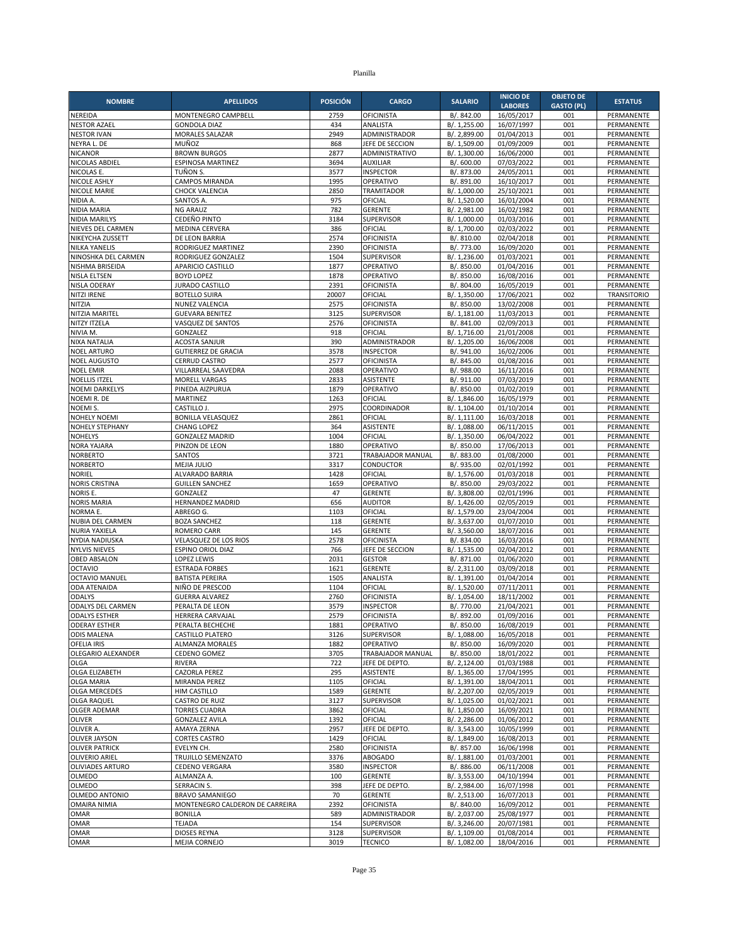| <b>NOMBRE</b>                           | <b>APELLIDOS</b>                                          | <b>POSICIÓN</b> | <b>CARGO</b>                      | <b>SALARIO</b>               | <b>INICIO DE</b>         | <b>OBJETO DE</b>  | <b>ESTATUS</b>           |
|-----------------------------------------|-----------------------------------------------------------|-----------------|-----------------------------------|------------------------------|--------------------------|-------------------|--------------------------|
|                                         |                                                           |                 |                                   |                              | <b>LABORES</b>           | <b>GASTO (PL)</b> |                          |
| NEREIDA<br><b>NESTOR AZAEL</b>          | MONTENEGRO CAMPBELL<br><b>GONDOLA DIAZ</b>                | 2759<br>434     | OFICINISTA<br>ANALISTA            | B/. 842.00<br>B/. 1,255.00   | 16/05/2017<br>16/07/1997 | 001<br>001        | PERMANENTE<br>PERMANENTE |
| <b>NESTOR IVAN</b>                      | MORALES SALAZAR                                           | 2949            | ADMINISTRADOR                     | B/. 2,899.00                 | 01/04/2013               | 001               | PERMANENTE               |
| NEYRA L. DE                             | MUÑOZ                                                     | 868             | JEFE DE SECCION                   | B/. 1,509.00                 | 01/09/2009               | 001               | PERMANENTE               |
| <b>NICANOR</b>                          | <b>BROWN BURGOS</b>                                       | 2877            | ADMINISTRATIVO                    | B/. 1,300.00                 | 16/06/2000               | 001               | PERMANENTE               |
| NICOLAS ABDIEL                          | <b>ESPINOSA MARTINEZ</b>                                  | 3694            | <b>AUXILIAR</b>                   | B/. 600.00                   | 07/03/2022               | 001               | PERMANENTE               |
| NICOLAS E.                              | TUÑON S.                                                  | 3577            | <b>INSPECTOR</b>                  | B/. 873.00                   | 24/05/2011               | 001               | PERMANENTE               |
| NICOLE ASHLY                            | <b>CAMPOS MIRANDA</b>                                     | 1995            | OPERATIVO                         | B/. 891.00                   | 16/10/2017               | 001               | PERMANENTE               |
| NICOLE MARIE<br>NIDIA A.                | <b>CHOCK VALENCIA</b><br>SANTOS A.                        | 2850<br>975     | <b>TRAMITADOR</b><br>OFICIAL      | B/. 1,000.00<br>B/. 1,520.00 | 25/10/2021<br>16/01/2004 | 001<br>001        | PERMANENTE<br>PERMANENTE |
| NIDIA MARIA                             | <b>NG ARAUZ</b>                                           | 782             | <b>GERENTE</b>                    | B/. 2,981.00                 | 16/02/1982               | 001               | PERMANENTE               |
| <b>NIDIA MARILYS</b>                    | <b>CEDEÑO PINTO</b>                                       | 3184            | <b>SUPERVISOR</b>                 | B/. 1,000.00                 | 01/03/2016               | 001               | PERMANENTE               |
| NIEVES DEL CARMEN                       | MEDINA CERVERA                                            | 386             | OFICIAL                           | B/. 1,700.00                 | 02/03/2022               | 001               | PERMANENTE               |
| NIKEYCHA ZUSSETT                        | DE LEON BARRIA                                            | 2574            | OFICINISTA                        | B/. 810.00                   | 02/04/2018               | 001               | PERMANENTE               |
| <b>NILKA YANELIS</b>                    | RODRIGUEZ MARTINEZ                                        | 2390            | OFICINISTA                        | B/. 773.00                   | 16/09/2020               | 001               | PERMANENTE               |
| NINOSHKA DEL CARMEN                     | RODRIGUEZ GONZALEZ                                        | 1504            | <b>SUPERVISOR</b>                 | B/. 1.236.00                 | 01/03/2021               | 001               | PERMANENTE               |
| NISHMA BRISEIDA<br><b>NISLA ELTSEN</b>  | APARICIO CASTILLO<br><b>BOYD LOPEZ</b>                    | 1877<br>1878    | OPERATIVO<br>OPERATIVO            | B/. 850.00<br>B/. 850.00     | 01/04/2016<br>16/08/2016 | 001<br>001        | PERMANENTE<br>PERMANENTE |
| NISLA ODERAY                            | <b>JURADO CASTILLO</b>                                    | 2391            | <b>OFICINISTA</b>                 | B/. 804.00                   | 16/05/2019               | 001               | PERMANENTE               |
| NITZI IRENE                             | <b>BOTELLO SUIRA</b>                                      | 20007           | OFICIAL                           | B/. 1,350.00                 | 17/06/2021               | 002               | <b>TRANSITORIO</b>       |
| NITZIA                                  | NUNEZ VALENCIA                                            | 2575            | <b>OFICINISTA</b>                 | B/. 850.00                   | 13/02/2008               | 001               | PERMANENTE               |
| NITZIA MARITEL                          | <b>GUEVARA BENITEZ</b>                                    | 3125            | <b>SUPERVISOR</b>                 | B/. 1,181.00                 | 11/03/2013               | 001               | PERMANENTE               |
| NITZY ITZELA                            | VASQUEZ DE SANTOS                                         | 2576            | <b>OFICINISTA</b>                 | B/. 841.00                   | 02/09/2013               | 001               | PERMANENTE               |
| NIVIA M.                                | GONZALEZ                                                  | 918             | OFICIAL                           | B/. 1,716.00                 | 21/01/2008               | 001               | PERMANENTE               |
| NIXA NATALIA<br><b>NOEL ARTURO</b>      | <b>ACOSTA SANJUR</b><br><b>GUTIERREZ DE GRACIA</b>        | 390<br>3578     | ADMINISTRADOR<br><b>INSPECTOR</b> | B/. 1,205.00<br>B/. 941.00   | 16/06/2008<br>16/02/2006 | 001<br>001        | PERMANENTE<br>PERMANENTE |
| <b>NOEL AUGUSTO</b>                     | <b>CERRUD CASTRO</b>                                      | 2577            | OFICINISTA                        | B/. 845.00                   | 01/08/2016               | 001               | PERMANENTE               |
| <b>NOEL EMIR</b>                        | VILLARREAL SAAVEDRA                                       | 2088            | OPERATIVO                         | B/. 988.00                   | 16/11/2016               | 001               | PERMANENTE               |
| <b>NOELLIS ITZEL</b>                    | <b>MORELL VARGAS</b>                                      | 2833            | <b>ASISTENTE</b>                  | B/. 911.00                   | 07/03/2019               | 001               | PERMANENTE               |
| <b>NOEMI DARKELYS</b>                   | PINEDA AIZPURUA                                           | 1879            | OPERATIVO                         | B/. 850.00                   | 01/02/2019               | 001               | PERMANENTE               |
| NOEMIR. DE                              | <b>MARTINEZ</b>                                           | 1263            | OFICIAL                           | B/. 1,846.00                 | 16/05/1979               | 001               | PERMANENTE               |
| NOEMI S.                                | CASTILLO J.                                               | 2975            | COORDINADOR                       | B/. 1,104.00                 | 01/10/2014               | 001               | PERMANENTE               |
| <b>NOHELY NOEMI</b><br>NOHELY STEPHANY  | <b>BONILLA VELASQUEZ</b><br><b>CHANG LOPEZ</b>            | 2861<br>364     | OFICIAL<br><b>ASISTENTE</b>       | B/. 1,111.00                 | 16/03/2018               | 001<br>001        | PERMANENTE<br>PERMANENTE |
| <b>NOHELYS</b>                          | <b>GONZALEZ MADRID</b>                                    | 1004            | OFICIAL                           | B/. 1,088.00<br>B/. 1,350.00 | 06/11/2015<br>06/04/2022 | 001               | PERMANENTE               |
| NORA YAJARA                             | PINZON DE LEON                                            | 1880            | OPERATIVO                         | B/. 850.00                   | 17/06/2013               | 001               | PERMANENTE               |
| <b>NORBERTO</b>                         | SANTOS                                                    | 3721            | TRABAJADOR MANUAL                 | B/. 883.00                   | 01/08/2000               | 001               | PERMANENTE               |
| <b>NORBERTO</b>                         | MEJIA JULIO                                               | 3317            | CONDUCTOR                         | B/. 935.00                   | 02/01/1992               | 001               | PERMANENTE               |
| <b>NORIEL</b>                           | ALVARADO BARRIA                                           | 1428            | OFICIAL                           | B/. 1,576.00                 | 01/03/2018               | 001               | PERMANENTE               |
| <b>NORIS CRISTINA</b>                   | <b>GUILLEN SANCHEZ</b>                                    | 1659            | OPERATIVO                         | B/. 850.00                   | 29/03/2022               | 001               | PERMANENTE               |
| NORIS E.<br><b>NORIS MARIA</b>          | GONZALEZ<br>HERNANDEZ MADRID                              | 47<br>656       | <b>GERENTE</b><br><b>AUDITOR</b>  | B/. 3,808.00<br>B/. 1,426.00 | 02/01/1996<br>02/05/2019 | 001<br>001        | PERMANENTE<br>PERMANENTE |
| NORMA E.                                | ABREGO G.                                                 | 1103            | OFICIAL                           | B/. 1,579.00                 | 23/04/2004               | 001               | PERMANENTE               |
| NUBIA DEL CARMEN                        | <b>BOZA SANCHEZ</b>                                       | 118             | <b>GERENTE</b>                    | B/. 3,637.00                 | 01/07/2010               | 001               | PERMANENTE               |
| NURIA YAXIELA                           | <b>ROMERO CARR</b>                                        | 145             | <b>GERENTE</b>                    | B/. 3,560.00                 | 18/07/2016               | 001               | PERMANENTE               |
| NYDIA NADIUSKA                          | VELASQUEZ DE LOS RIOS                                     | 2578            | <b>OFICINISTA</b>                 | B/. 834.00                   | 16/03/2016               | 001               | PERMANENTE               |
| <b>NYLVIS NIEVES</b>                    | ESPINO ORIOL DIAZ                                         | 766             | JEFE DE SECCION                   | B/. 1,535.00                 | 02/04/2012               | 001               | PERMANENTE               |
| <b>OBED ABSALON</b>                     | <b>LOPEZ LEWIS</b>                                        | 2031            | <b>GESTOR</b>                     | B/. 871.00                   | 01/06/2020               | 001               | PERMANENTE               |
| <b>OCTAVIO</b><br><b>OCTAVIO MANUEL</b> | <b>ESTRADA FORBES</b><br><b>BATISTA PEREIRA</b>           | 1621<br>1505    | <b>GERENTE</b><br>ANALISTA        | B/. 2,311.00<br>B/. 1,391.00 | 03/09/2018<br>01/04/2014 | 001<br>001        | PERMANENTE<br>PERMANENTE |
| <b>ODA ATENAIDA</b>                     | NIÑO DE PRESCOD                                           | 1104            | OFICIAL                           | B/. 1,520.00                 | 07/11/2011               | 001               | PERMANENTE               |
| <b>ODALYS</b>                           | <b>GUERRA ALVAREZ</b>                                     | 2760            | OFICINISTA                        | B/. 1,054.00                 | 18/11/2002               | 001               | PERMANENTE               |
| <b>ODALYS DEL CARMEN</b>                | PERALTA DE LEON                                           | 3579            | <b>INSPECTOR</b>                  | B/. 770.00                   | 21/04/2021               | 001               | PERMANENTE               |
| <b>ODALYS ESTHER</b>                    | HERRERA CARVAJAL                                          | 2579            | <b>OFICINISTA</b>                 | B/. 892.00                   | 01/09/2016               | 001               | PERMANENTE               |
| <b>ODERAY ESTHER</b>                    | PERALTA BECHECHE                                          | 1881            | OPERATIVO                         | B/. 850.00                   | 16/08/2019               | 001               | PERMANENTE               |
| <b>ODIS MALENA</b><br>OFELIA IRIS       | CASTILLO PLATERO<br>ALMANZA MORALES                       | 3126<br>1882    | <b>SUPERVISOR</b><br>OPERATIVO    | B/. 1,088.00<br>B/. 850.00   | 16/05/2018<br>16/09/2020 | 001<br>001        | PERMANENTE<br>PERMANENTE |
| OLEGARIO ALEXANDER                      | <b>CEDENO GOMEZ</b>                                       | 3705            | TRABAJADOR MANUAL                 | B/. 850.00                   | 18/01/2022               | 001               | PERMANENTE               |
| <b>OLGA</b>                             | <b>RIVERA</b>                                             | 722             | JEFE DE DEPTO.                    | B/. 2,124.00                 | 01/03/1988               | 001               | PERMANENTE               |
| OLGA ELIZABETH                          | CAZORLA PEREZ                                             | 295             | ASISTENTE                         | B/. 1,365.00                 | 17/04/1995               | 001               | PERMANENTE               |
| <b>OLGA MARIA</b>                       | MIRANDA PEREZ                                             | 1105            | OFICIAL                           | B/. 1,391.00                 | 18/04/2011               | 001               | PERMANENTE               |
| <b>OLGA MERCEDES</b>                    | HIM CASTILLO                                              | 1589            | <b>GERENTE</b>                    | B/. 2,207.00                 | 02/05/2019               | 001               | PERMANENTE               |
| <b>OLGA RAQUEL</b>                      | <b>CASTRO DE RUIZ</b>                                     | 3127            | SUPERVISOR                        | B/. 1,025.00                 | 01/02/2021               | 001               | PERMANENTE               |
| OLGER ADEMAR                            | <b>TORRES CUADRA</b><br><b>GONZALEZ AVILA</b>             | 3862            | OFICIAL<br>OFICIAL                | B/. 1,850.00                 | 16/09/2021               | 001               | PERMANENTE               |
| <b>OLIVER</b><br>OLIVER A.              | AMAYA ZERNA                                               | 1392<br>2957    | JEFE DE DEPTO.                    | B/. 2,286.00<br>B/. 3,543.00 | 01/06/2012<br>10/05/1999 | 001<br>001        | PERMANENTE<br>PERMANENTE |
| <b>OLIVER JAYSON</b>                    | <b>CORTES CASTRO</b>                                      | 1429            | OFICIAL                           | B/. 1,849.00                 | 16/08/2013               | 001               | PERMANENTE               |
| <b>OLIVER PATRICK</b>                   | EVELYN CH.                                                | 2580            | <b>OFICINISTA</b>                 | B/. 857.00                   | 16/06/1998               | 001               | PERMANENTE               |
| OLIVERIO ARIEL                          | TRUJILLO SEMENZATO                                        | 3376            | <b>ABOGADO</b>                    | B/. 1,881.00                 | 01/03/2001               | 001               | PERMANENTE               |
| OLIVIADES ARTURO                        | <b>CEDENO VERGARA</b>                                     | 3580            | <b>INSPECTOR</b>                  | B/. 886.00                   | 06/11/2008               | 001               | PERMANENTE               |
| <b>OLMEDO</b>                           | ALMANZA A.                                                | 100             | GERENTE                           | B/. 3,553.00                 | 04/10/1994               | 001               | PERMANENTE               |
| OLMEDO                                  | SERRACIN S.                                               | 398             | JEFE DE DEPTO.                    | B/. 2,984.00                 | 16/07/1998               | 001               | PERMANENTE               |
| OLMEDO ANTONIO<br><b>OMAIRA NIMIA</b>   | <b>BRAVO SAMANIEGO</b><br>MONTENEGRO CALDERON DE CARREIRA | 70<br>2392      | <b>GERENTE</b><br>OFICINISTA      | B/. 2,513.00<br>B/. 840.00   | 16/07/2013<br>16/09/2012 | 001<br>001        | PERMANENTE<br>PERMANENTE |
| OMAR                                    | <b>BONILLA</b>                                            | 589             | ADMINISTRADOR                     | B/. 2,037.00                 | 25/08/1977               | 001               | PERMANENTE               |
| <b>OMAR</b>                             | <b>TEJADA</b>                                             | 154             | <b>SUPERVISOR</b>                 | B/. 3,246.00                 | 20/07/1981               | 001               | PERMANENTE               |
| OMAR                                    | <b>DIOSES REYNA</b>                                       | 3128            | <b>SUPERVISOR</b>                 | B/. 1,109.00                 | 01/08/2014               | 001               | PERMANENTE               |
| <b>OMAR</b>                             | MEJIA CORNEJO                                             | 3019            | <b>TECNICO</b>                    | B/. 1,082.00                 | 18/04/2016               | 001               | PERMANENTE               |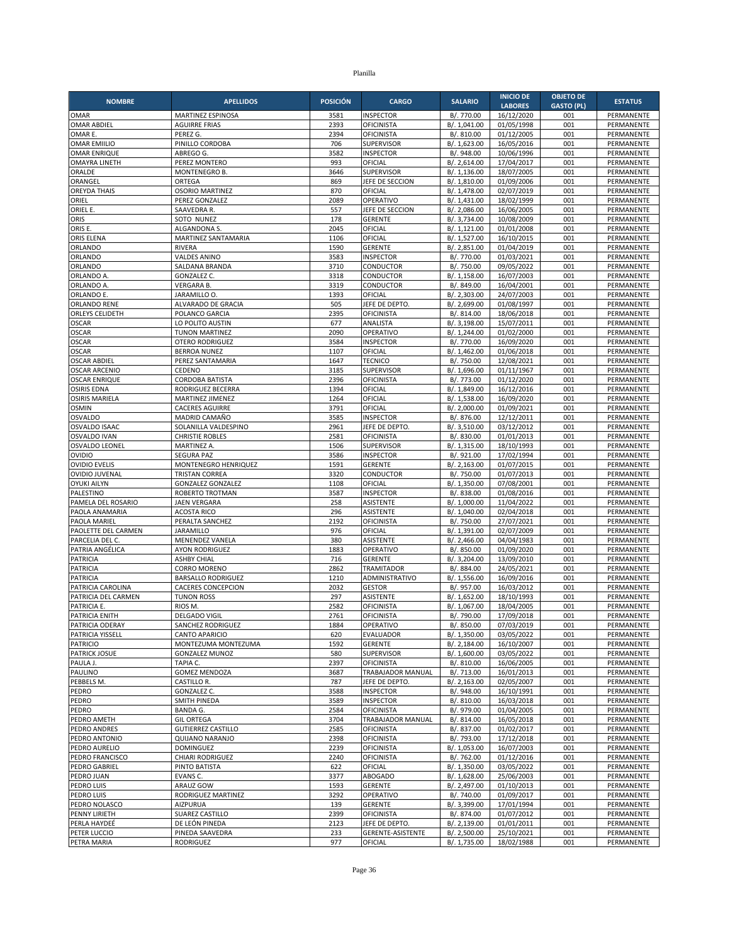| <b>NOMBRE</b>                                | <b>APELLIDOS</b>                          | <b>POSICIÓN</b> | <b>CARGO</b>                           | <b>SALARIO</b>               | <b>INICIO DE</b>         | <b>OBJETO DE</b>  | <b>ESTATUS</b>           |
|----------------------------------------------|-------------------------------------------|-----------------|----------------------------------------|------------------------------|--------------------------|-------------------|--------------------------|
|                                              |                                           |                 |                                        |                              | <b>LABORES</b>           | <b>GASTO (PL)</b> |                          |
| <b>OMAR</b>                                  | <b>MARTINEZ ESPINOSA</b>                  | 3581            | <b>INSPECTOR</b>                       | B/. 770.00<br>B/. 1.041.00   | 16/12/2020               | 001               | PERMANENTE               |
| <b>OMAR ABDIEL</b><br>OMAR E.                | <b>AGUIRRE FRIAS</b><br>PEREZ G.          | 2393<br>2394    | <b>OFICINISTA</b><br><b>OFICINISTA</b> | B/. 810.00                   | 01/05/1998<br>01/12/2005 | 001<br>001        | PERMANENTE<br>PERMANENTE |
| <b>OMAR EMIILIO</b>                          | PINILLO CORDOBA                           | 706             | <b>SUPERVISOR</b>                      | B/. 1,623.00                 | 16/05/2016               | 001               | PERMANENTE               |
| <b>OMAR ENRIQUE</b>                          | ABREGO G.                                 | 3582            | <b>INSPECTOR</b>                       | B/. 948.00                   | 10/06/1996               | 001               | PERMANENTE               |
| <b>OMAYRA LINETH</b>                         | PEREZ MONTERO                             | 993             | OFICIAL                                | B/. 2.614.00                 | 17/04/2017               | 001               | PERMANENTE               |
| ORALDE                                       | MONTENEGRO B.                             | 3646            | SUPERVISOR                             | B/. 1,136.00                 | 18/07/2005               | 001               | PERMANENTE               |
| ORANGEL                                      | ORTEGA                                    | 869             | JEFE DE SECCION                        | B/. 1,810.00                 | 01/09/2006               | 001               | PERMANENTE               |
| <b>OREYDA THAIS</b>                          | <b>OSORIO MARTINEZ</b>                    | 870             | OFICIAL                                | B/. 1,478.00                 | 02/07/2019               | 001               | PERMANENTE               |
| ORIEL<br>ORIEL E.                            | PEREZ GONZALEZ<br>SAAVEDRA R.             | 2089<br>557     | OPERATIVO<br>JEFE DE SECCION           | B/. 1,431.00<br>B/. 2,086.00 | 18/02/1999<br>16/06/2005 | 001<br>001        | PERMANENTE<br>PERMANENTE |
| ORIS                                         | SOTO NUNEZ                                | 178             | <b>GERENTE</b>                         | B/. 3,734.00                 | 10/08/2009               | 001               | PERMANENTE               |
| ORIS E.                                      | ALGANDONA S.                              | 2045            | OFICIAL                                | B/. 1,121.00                 | 01/01/2008               | 001               | PERMANENTE               |
| ORIS ELENA                                   | MARTINEZ SANTAMARIA                       | 1106            | OFICIAL                                | B/. 1,527.00                 | 16/10/2015               | 001               | PERMANENTE               |
| ORLANDO                                      | <b>RIVERA</b>                             | 1590            | <b>GERENTE</b>                         | B/. 2,851.00                 | 01/04/2019               | 001               | PERMANENTE               |
| ORLANDO                                      | VALDES ANINO                              | 3583            | <b>INSPECTOR</b>                       | B/. 770.00                   | 01/03/2021               | 001               | PERMANENTE               |
| ORLANDO                                      | SALDANA BRANDA                            | 3710            | CONDUCTOR                              | B/. 750.00                   | 09/05/2022               | 001               | PERMANENTE               |
| ORLANDO A                                    | GONZALEZ C.                               | 3318            | CONDUCTOR                              | B/. 1,158.00                 | 16/07/2003               | 001               | PERMANENTE               |
| ORLANDO A<br>ORLANDO E.                      | <b>VERGARA B.</b><br>JARAMILLO O.         | 3319<br>1393    | <b>CONDUCTOR</b><br>OFICIAL            | B/. 849.00<br>B/. 2,303.00   | 16/04/2001<br>24/07/2003 | 001<br>001        | PERMANENTE<br>PERMANENTE |
| ORLANDO RENE                                 | ALVARADO DE GRACIA                        | 505             | JEFE DE DEPTO                          | B/. 2,699.00                 | 01/08/1997               | 001               | PERMANENTE               |
| ORLEYS CELIDETH                              | POLANCO GARCIA                            | 2395            | <b>OFICINISTA</b>                      | B/. 814.00                   | 18/06/2018               | 001               | PERMANENTE               |
| <b>OSCAR</b>                                 | LO POLITO AUSTIN                          | 677             | ANALISTA                               | B/. 3,198.00                 | 15/07/2011               | 001               | PERMANENTE               |
| <b>OSCAR</b>                                 | <b>TUNON MARTINEZ</b>                     | 2090            | OPERATIVO                              | B/. 1,244.00                 | 01/02/2000               | 001               | PERMANENTE               |
| <b>OSCAR</b>                                 | <b>OTERO RODRIGUEZ</b>                    | 3584            | <b>INSPECTOR</b>                       | B/. 770.00                   | 16/09/2020               | 001               | PERMANENTE               |
| <b>OSCAR</b>                                 | <b>BERROA NUNEZ</b>                       | 1107            | OFICIAL                                | B/. 1,462.00                 | 01/06/2018               | 001               | PERMANENTE               |
| <b>OSCAR ABDIEL</b>                          | PEREZ SANTAMARIA                          | 1647            | <b>TECNICO</b>                         | B/. 750.00                   | 12/08/2021               | 001               | PERMANENTE               |
| <b>OSCAR ARCENIO</b><br><b>OSCAR ENRIQUE</b> | CEDENO<br>CORDOBA BATISTA                 | 3185<br>2396    | SUPERVISOR<br><b>OFICINISTA</b>        | B/. 1,696.00<br>B/. 773.00   | 01/11/1967<br>01/12/2020 | 001<br>001        | PERMANENTE<br>PERMANENTE |
| <b>OSIRIS EDNA</b>                           | RODRIGUEZ BECERRA                         | 1394            | OFICIAL                                | B/. 1,849.00                 | 16/12/2016               | 001               | PERMANENTE               |
| <b>OSIRIS MARIELA</b>                        | MARTINEZ JIMENEZ                          | 1264            | OFICIAL                                | B/. 1,538.00                 | 16/09/2020               | 001               | PERMANENTE               |
| <b>OSMIN</b>                                 | <b>CACERES AGUIRRE</b>                    | 3791            | OFICIAL                                | B/. 2,000.00                 | 01/09/2021               | 001               | PERMANENTE               |
| <b>OSVALDO</b>                               | MADRID CAMAÑO                             | 3585            | <b>INSPECTOR</b>                       | B/. 876.00                   | 12/12/2011               | 001               | PERMANENTE               |
| <b>OSVALDO ISAAC</b>                         | SOLANILLA VALDESPINO                      | 2961            | JEFE DE DEPTO.                         | B/. 3,510.00                 | 03/12/2012               | 001               | PERMANENTE               |
| <b>OSVALDO IVAN</b>                          | <b>CHRISTIE ROBLES</b>                    | 2581            | <b>OFICINISTA</b>                      | B/. 830.00                   | 01/01/2013               | 001               | PERMANENTE               |
| <b>OSVALDO LEONEL</b>                        | <b>MARTINEZ A.</b>                        | 1506            | <b>SUPERVISOR</b>                      | B/. 1,315.00                 | 18/10/1993               | 001               | PERMANENTE               |
| <b>OVIDIO</b><br><b>OVIDIO EVELIS</b>        | <b>SEGURA PAZ</b><br>MONTENEGRO HENRIQUEZ | 3586<br>1591    | <b>INSPECTOR</b><br><b>GERENTE</b>     | B/. 921.00<br>B/. 2,163.00   | 17/02/1994<br>01/07/2015 | 001<br>001        | PERMANENTE<br>PERMANENTE |
| <b>OVIDIO JUVENAL</b>                        | TRISTAN CORREA                            | 3320            | CONDUCTOR                              | B/. 750.00                   | 01/07/2013               | 001               | PERMANENTE               |
| <b>OYUKI AILYN</b>                           | <b>GONZALEZ GONZALEZ</b>                  | 1108            | OFICIAL                                | B/. 1,350.00                 | 07/08/2001               | 001               | PERMANENTE               |
| PALESTINO                                    | ROBERTO TROTMAN                           | 3587            | <b>INSPECTOR</b>                       | B/. 838.00                   | 01/08/2016               | 001               | PERMANENTE               |
| PAMELA DEL ROSARIO                           | <b>JAEN VERGARA</b>                       | 258             | <b>ASISTENTE</b>                       | B/. 1,000.00                 | 11/04/2022               | 001               | PERMANENTE               |
| PAOLA ANAMARIA                               | <b>ACOSTA RICO</b>                        | 296             | <b>ASISTENTE</b>                       | B/. 1,040.00                 | 02/04/2018               | 001               | PERMANENTE               |
| PAOLA MARIEL                                 | PERALTA SANCHEZ                           | 2192            | <b>OFICINISTA</b>                      | B/. 750.00                   | 27/07/2021               | 001               | PERMANENTE               |
| PAOLETTE DEL CARMEN                          | <b>JARAMILLO</b>                          | 976<br>380      | OFICIAL                                | B/. 1,391.00                 | 02/07/2009               | 001<br>001        | <b>PERMANENTE</b>        |
| PARCELIA DEL C.<br>PATRIA ANGÉLICA           | MENENDEZ VANELA<br><b>AYON RODRIGUEZ</b>  | 1883            | ASISTENTE<br>OPERATIVO                 | B/. 2,466.00<br>B/. 850.00   | 04/04/1983<br>01/09/2020 | 001               | PERMANENTE<br>PERMANENTE |
| <b>PATRICIA</b>                              | <b>ASHBY CHIAL</b>                        | 716             | <b>GERENTE</b>                         | B/. 3,204.00                 | 13/09/2010               | 001               | PERMANENTE               |
| <b>PATRICIA</b>                              | <b>CORRO MORENO</b>                       | 2862            | TRAMITADOR                             | B/. 884.00                   | 24/05/2021               | 001               | PERMANENTE               |
| <b>PATRICIA</b>                              | <b>BARSALLO RODRIGUEZ</b>                 | 1210            | ADMINISTRATIVO                         | B/. 1,556.00                 | 16/09/2016               | 001               | PERMANENTE               |
| PATRICIA CAROLINA                            | <b>CACERES CONCEPCION</b>                 | 2032            | <b>GESTOR</b>                          | B/. 957.00                   | 16/03/2012               | 001               | PERMANENTE               |
| PATRICIA DEL CARMEN                          | <b>TUNON ROSS</b>                         | 297             | <b>ASISTENTE</b>                       | B/. 1,652.00                 | 18/10/1993               | 001               | PERMANENTE               |
| PATRICIA E.                                  | RIOS M.                                   | 2582            | <b>OFICINISTA</b>                      | B/. 1,067.00                 | 18/04/2005               | 001               | PERMANENTE               |
| PATRICIA ENITH                               | <b>DELGADO VIGIL</b>                      | 2761            | <b>OFICINISTA</b>                      | B/. 790.00                   | 17/09/2018               | 001               | PERMANENTE               |
| PATRICIA ODERAY<br>PATRICIA YISSELL          | SANCHEZ RODRIGUEZ<br>CANTO APARICIO       | 1884<br>620     | OPERATIVO<br>EVALUADOR                 | B/. 850.00<br>B/. 1,350.00   | 07/03/2019<br>03/05/2022 | 001<br>001        | PERMANENTE<br>PERMANENTE |
| <b>PATRICIO</b>                              | MONTEZUMA MONTEZUMA                       | 1592            | <b>GERENTE</b>                         | B/. 2,184.00                 | 16/10/2007               | 001               | PERMANENTE               |
| <b>PATRICK JOSUE</b>                         | <b>GONZALEZ MUNOZ</b>                     | 580             | <b>SUPERVISOR</b>                      | B/. 1,600.00                 | 03/05/2022               | 001               | PERMANENTE               |
| PAULA J.                                     | TAPIA C.                                  | 2397            | <b>OFICINISTA</b>                      | B/. 810.00                   | 16/06/2005               | 001               | PERMANENTE               |
| PAULINO                                      | <b>GOMEZ MENDOZA</b>                      | 3687            | TRABAJADOR MANUAL                      | B/. 713.00                   | 16/01/2013               | 001               | PERMANENTE               |
| PEBBELS M.                                   | CASTILLO R.                               | 787             | JEFE DE DEPTO.                         | B/. 2,163.00                 | 02/05/2007               | 001               | PERMANENTE               |
| PEDRO                                        | <b>GONZALEZ C.</b>                        | 3588<br>3589    | <b>INSPECTOR</b>                       | B/. 948.00                   | 16/10/1991               | 001               | PERMANENTE               |
| PEDRO<br>PEDRO                               | SMITH PINEDA<br><b>BANDA G.</b>           | 2584            | <b>INSPECTOR</b><br><b>OFICINISTA</b>  | B/. 810.00<br>B/. 979.00     | 16/03/2018<br>01/04/2005 | 001<br>001        | PERMANENTE<br>PERMANENTE |
| PEDRO AMETH                                  | <b>GIL ORTEGA</b>                         | 3704            | TRABAJADOR MANUAL                      | B/. 814.00                   | 16/05/2018               | 001               | PERMANENTE               |
| PEDRO ANDRES                                 | <b>GUTIERREZ CASTILLO</b>                 | 2585            | <b>OFICINISTA</b>                      | B/. 837.00                   | 01/02/2017               | 001               | PERMANENTE               |
| PEDRO ANTONIO                                | QUIJANO NARANJO                           | 2398            | <b>OFICINISTA</b>                      | B/. 793.00                   | 17/12/2018               | 001               | PERMANENTE               |
| PEDRO AURELIO                                | <b>DOMINGUEZ</b>                          | 2239            | <b>OFICINISTA</b>                      | B/. 1,053.00                 | 16/07/2003               | 001               | PERMANENTE               |
| PEDRO FRANCISCO                              | CHIARI RODRIGUEZ                          | 2240            | <b>OFICINISTA</b>                      | B/. 762.00                   | 01/12/2016               | 001               | PERMANENTE               |
| PEDRO GABRIEL                                | PINTO BATISTA                             | 622             | OFICIAL                                | B/. 1,350.00                 | 03/05/2022               | 001               | PERMANENTE               |
| PEDRO JUAN<br>PEDRO LUIS                     | EVANS C.                                  | 3377            | <b>ABOGADO</b>                         | B/. 1,628.00                 | 25/06/2003               | 001               | PERMANENTE               |
| PEDRO LUIS                                   | ARAUZ GOW<br>RODRIGUEZ MARTINEZ           | 1593<br>3292    | <b>GERENTE</b><br>OPERATIVO            | B/. 2,497.00<br>B/. 740.00   | 01/10/2013<br>01/09/2017 | 001<br>001        | PERMANENTE<br>PERMANENTE |
| PEDRO NOLASCO                                | <b>AIZPURUA</b>                           | 139             | <b>GERENTE</b>                         | B/. 3,399.00                 | 17/01/1994               | 001               | PERMANENTE               |
| PENNY LIRIETH                                | SUAREZ CASTILLO                           | 2399            | <b>OFICINISTA</b>                      | B/. 874.00                   | 01/07/2012               | 001               | PERMANENTE               |
| PERLA HAYDEÉ                                 | DE LEÓN PINEDA                            | 2123            | JEFE DE DEPTO.                         | B/. 2,139.00                 | 01/01/2011               | 001               | PERMANENTE               |
| PETER LUCCIO                                 | PINEDA SAAVEDRA                           | 233             | GERENTE-ASISTENTE                      | B/. 2,500.00                 | 25/10/2021               | 001               | PERMANENTE               |
| PETRA MARIA                                  | RODRIGUEZ                                 | 977             | OFICIAL                                | B/. 1,735.00                 | 18/02/1988               | 001               | PERMANENTE               |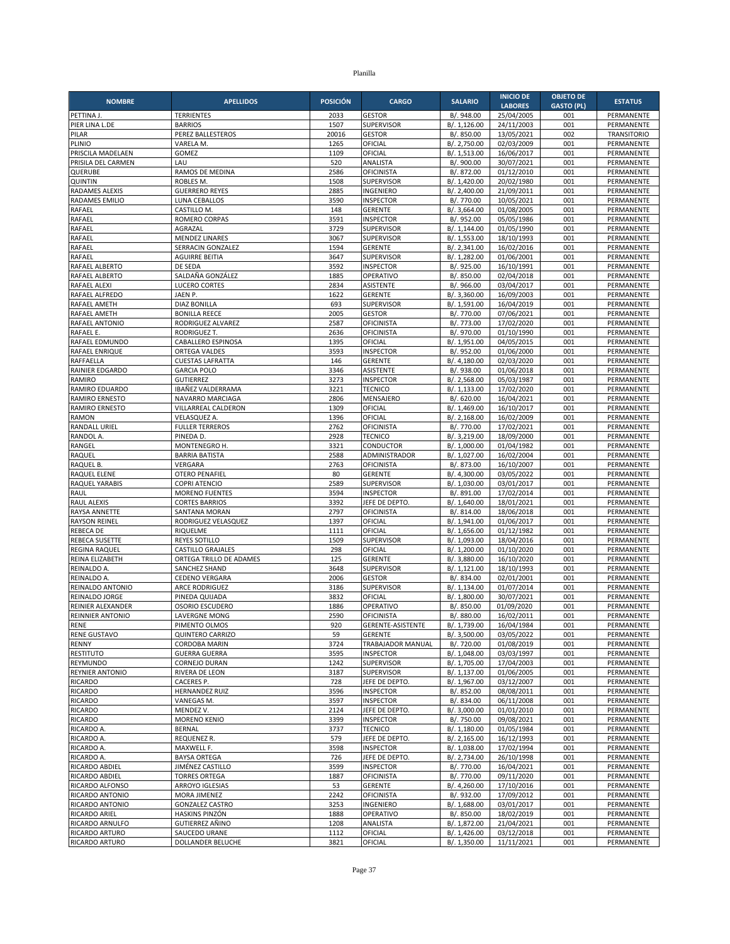| <b>NOMBRE</b>                            | <b>APELLIDOS</b>                           | <b>POSICIÓN</b> | <b>CARGO</b>                          | <b>SALARIO</b>               | <b>INICIO DE</b>             | <b>OBJETO DE</b>  | <b>ESTATUS</b>           |
|------------------------------------------|--------------------------------------------|-----------------|---------------------------------------|------------------------------|------------------------------|-------------------|--------------------------|
|                                          |                                            |                 | <b>GESTOR</b>                         | B/. 948.00                   | <b>LABORES</b><br>25/04/2005 | <b>GASTO (PL)</b> |                          |
| PETTINA J.<br>PIER LINA L.DE             | <b>TERRIENTES</b><br><b>BARRIOS</b>        | 2033<br>1507    | <b>SUPERVISOR</b>                     | B/. 1,126.00                 | 24/11/2003                   | 001<br>001        | PERMANENTE<br>PERMANENTE |
| PILAR                                    | PEREZ BALLESTEROS                          | 20016           | <b>GESTOR</b>                         | B/. 850.00                   | 13/05/2021                   | 002               | <b>TRANSITORIO</b>       |
| PLINIO                                   | VARELA M.                                  | 1265            | OFICIAL                               | B/. 2,750.00                 | 02/03/2009                   | 001               | PERMANENTE               |
| PRISCILA MADELAEN                        | GOMEZ                                      | 1109            | OFICIAL                               | B/. 1,513.00                 | 16/06/2017                   | 001               | PERMANENTE               |
| PRISILA DEL CARMEN                       | LAU                                        | 520             | ANALISTA                              | B/. 900.00                   | 30/07/2021                   | 001               | PERMANENTE               |
| QUERUBE                                  | RAMOS DE MEDINA                            | 2586            | <b>OFICINISTA</b>                     | B/. 872.00                   | 01/12/2010                   | 001               | PERMANENTE               |
| <b>QUINTIN</b><br>RADAMES ALEXIS         | ROBLES M.<br><b>GUERRERO REYES</b>         | 1508<br>2885    | <b>SUPERVISOR</b><br>INGENIERO        | B/. 1,420.00<br>B/. 2,400.00 | 20/02/1980<br>21/09/2011     | 001<br>001        | PERMANENTE<br>PERMANENTE |
| RADAMES EMILIO                           | LUNA CEBALLOS                              | 3590            | <b>INSPECTOR</b>                      | B/. 770.00                   | 10/05/2021                   | 001               | PERMANENTE               |
| RAFAEL                                   | CASTILLO M.                                | 148             | <b>GERENTE</b>                        | B/. 3,664.00                 | 01/08/2005                   | 001               | PERMANENTE               |
| RAFAEL                                   | ROMERO CORPAS                              | 3591            | <b>INSPECTOR</b>                      | B/. 952.00                   | 05/05/1986                   | 001               | PERMANENTE               |
| RAFAEL                                   | AGRAZAL                                    | 3729            | <b>SUPERVISOR</b>                     | B/. 1,144.00                 | 01/05/1990                   | 001               | PERMANENTE               |
| RAFAEL                                   | <b>MENDEZ LINARES</b><br>SERRACIN GONZALEZ | 3067<br>1594    | <b>SUPERVISOR</b><br><b>GERENTE</b>   | B/. 1,553.00                 | 18/10/1993<br>16/02/2016     | 001<br>001        | PERMANENTE<br>PERMANENTE |
| RAFAEL<br>RAFAEL                         | <b>AGUIRRE BEITIA</b>                      | 3647            | <b>SUPERVISOR</b>                     | B/. 2,341.00<br>B/. 1,282.00 | 01/06/2001                   | 001               | PERMANENTE               |
| RAFAEL ALBERTO                           | DE SEDA                                    | 3592            | <b>INSPECTOR</b>                      | B/. 925.00                   | 16/10/1991                   | 001               | PERMANENTE               |
| RAFAEL ALBERTO                           | SALDAÑA GONZÁLEZ                           | 1885            | OPERATIVO                             | B/. 850.00                   | 02/04/2018                   | 001               | PERMANENTE               |
| RAFAEL ALEXI                             | <b>LUCERO CORTES</b>                       | 2834            | ASISTENTE                             | B/. 966.00                   | 03/04/2017                   | 001               | PERMANENTE               |
| RAFAEL ALFREDO                           | JAEN P.                                    | 1622            | <b>GERENTE</b>                        | B/. 3,360.00                 | 16/09/2003                   | 001               | PERMANENTE               |
| RAFAEL AMETH                             | <b>DIAZ BONILLA</b>                        | 693<br>2005     | <b>SUPERVISOR</b>                     | B/. 1,591.00                 | 16/04/2019                   | 001<br>001        | PERMANENTE               |
| RAFAEL AMETH<br>RAFAEL ANTONIO           | <b>BONILLA REECE</b><br>RODRIGUEZ ALVAREZ  | 2587            | <b>GESTOR</b><br><b>OFICINISTA</b>    | B/. 770.00<br>B/. 773.00     | 07/06/2021<br>17/02/2020     | 001               | PERMANENTE<br>PERMANENTE |
| RAFAEL E.                                | RODRIGUEZ T.                               | 2636            | <b>OFICINISTA</b>                     | B/. 970.00                   | 01/10/1990                   | 001               | PERMANENTE               |
| RAFAEL EDMUNDO                           | CABALLERO ESPINOSA                         | 1395            | OFICIAL                               | B/. 1,951.00                 | 04/05/2015                   | 001               | PERMANENTE               |
| RAFAEL ENRIQUE                           | ORTEGA VALDES                              | 3593            | <b>INSPECTOR</b>                      | B/. 952.00                   | 01/06/2000                   | 001               | PERMANENTE               |
| RAFFAELLA                                | <b>CUESTAS LAFRATTA</b>                    | 146             | <b>GERENTE</b>                        | B/. 4,180.00                 | 02/03/2020                   | 001               | PERMANENTE               |
| RAINIER EDGARDO                          | <b>GARCIA POLO</b>                         | 3346            | ASISTENTE                             | B/. 938.00                   | 01/06/2018                   | 001               | PERMANENTE               |
| RAMIRO<br>RAMIRO EDUARDO                 | <b>GUTIERREZ</b><br>IBAÑEZ VALDERRAMA      | 3273<br>3221    | <b>INSPECTOR</b><br><b>TECNICO</b>    | B/. 2,568.00<br>B/. 1,133.00 | 05/03/1987<br>17/02/2020     | 001<br>001        | PERMANENTE<br>PERMANENTE |
| RAMIRO ERNESTO                           | NAVARRO MARCIAGA                           | 2806            | MENSAJERO                             | B/. 620.00                   | 16/04/2021                   | 001               | PERMANENTE               |
| <b>RAMIRO ERNESTO</b>                    | VILLARREAL CALDERON                        | 1309            | OFICIAL                               | B/. 1,469.00                 | 16/10/2017                   | 001               | PERMANENTE               |
| <b>RAMON</b>                             | <b>VELASQUEZ A</b>                         | 1396            | OFICIAL                               | B/. 2,168.00                 | 16/02/2009                   | 001               | PERMANENTE               |
| RANDALL URIEL                            | <b>FULLER TERREROS</b>                     | 2762            | <b>OFICINISTA</b>                     | B/. 770.00                   | 17/02/2021                   | 001               | PERMANENTE               |
| RANDOL A.                                | PINEDA D.                                  | 2928            | <b>TECNICO</b>                        | B/. 3,219.00                 | 18/09/2000                   | 001               | PERMANENTE               |
| RANGEL<br>RAQUEL                         | MONTENEGRO H.                              | 3321<br>2588    | CONDUCTOR                             | B/. 1,000.00<br>B/. 1,027.00 | 01/04/1982                   | 001<br>001        | PERMANENTE               |
| RAQUEL B.                                | <b>BARRIA BATISTA</b><br>VERGARA           | 2763            | ADMINISTRADOR<br><b>OFICINISTA</b>    | B/. 873.00                   | 16/02/2004<br>16/10/2007     | 001               | PERMANENTE<br>PERMANENTE |
| RAQUEL ELENE                             | <b>OTERO PENAFIEL</b>                      | 80              | <b>GERENTE</b>                        | B/. 4,300.00                 | 03/05/2022                   | 001               | PERMANENTE               |
| RAQUEL YARABIS                           | <b>COPRI ATENCIO</b>                       | 2589            | SUPERVISOR                            | B/. 1,030.00                 | 03/01/2017                   | 001               | PERMANENTE               |
| <b>RAUL</b>                              | <b>MORENO FUENTES</b>                      | 3594            | <b>INSPECTOR</b>                      | B/. 891.00                   | 17/02/2014                   | 001               | PERMANENTE               |
| <b>RAUL ALEXIS</b>                       | <b>CORTES BARRIOS</b>                      | 3392            | JEFE DE DEPTO.                        | B/. 1,640.00                 | 18/01/2021                   | 001               | PERMANENTE               |
| <b>RAYSA ANNETTE</b>                     | SANTANA MORAN                              | 2797<br>1397    | <b>OFICINISTA</b>                     | B/. 814.00                   | 18/06/2018                   | 001<br>001        | PERMANENTE               |
| <b>RAYSON REINEL</b><br><b>REBECA DE</b> | RODRIGUEZ VELASQUEZ<br>RIQUELME            | 1111            | OFICIAL<br>OFICIAL                    | B/. 1,941.00<br>B/. 1,656.00 | 01/06/2017<br>01/12/1982     | 001               | PERMANENTE<br>PERMANENTE |
| REBECA SUSETTE                           | <b>REYES SOTILLO</b>                       | 1509            | SUPERVISOR                            | B/. 1,093.00                 | 18/04/2016                   | 001               | PERMANENTE               |
| REGINA RAQUEL                            | <b>CASTILLO GRAJALES</b>                   | 298             | OFICIAL                               | B/. 1,200.00                 | 01/10/2020                   | 001               | PERMANENTE               |
| REINA ELIZABETH                          | ORTEGA TRILLO DE ADAMES                    | 125             | <b>GERENTE</b>                        | B/. 3,880.00                 | 16/10/2020                   | 001               | PERMANENTE               |
| REINALDO A.                              | SANCHEZ SHAND                              | 3648            | SUPERVISOR                            | B/. 1,121.00                 | 18/10/1993                   | 001               | PERMANENTE               |
| REINALDO A.<br><b>REINALDO ANTONIO</b>   | CEDENO VERGARA<br><b>ARCE RODRIGUEZ</b>    | 2006<br>3186    | <b>GESTOR</b><br><b>SUPERVISOR</b>    | B/. 834.00                   | 02/01/2001<br>01/07/2014     | 001<br>001        | PERMANENTE<br>PERMANENTE |
| REINALDO JORGE                           | PINEDA QUIJADA                             | 3832            | OFICIAL                               | B/. 1,134.00<br>B/. 1,800.00 | 30/07/2021                   | 001               | PERMANENTE               |
| REINIER ALEXANDER                        | OSORIO ESCUDERO                            | 1886            | OPERATIVO                             | B/. 850.00                   | 01/09/2020                   | 001               | PERMANENTE               |
| REINNIER ANTONIO                         | <b>LAVERGNE MONG</b>                       | 2590            | <b>OFICINISTA</b>                     | B/. 880.00                   | 16/02/2011                   | 001               | PERMANENTE               |
| RENE                                     | PIMENTO OLMOS                              | 920             | GERENTE-ASISTENTE                     | B/. 1,739.00                 | 16/04/1984                   | 001               | PERMANENTE               |
| <b>RENE GUSTAVO</b>                      | <b>QUINTERO CARRIZO</b>                    | 59              | GERENTE                               | B/. 3,500.00                 | 03/05/2022                   | 001               | PERMANENTE               |
| RENNY<br><b>RESTITUTO</b>                | CORDOBA MARIN<br><b>GUERRA GUERRA</b>      | 3724<br>3595    | TRABAJADOR MANUAL<br><b>INSPECTOR</b> | B/. 720.00<br>B/. 1,048.00   | 01/08/2019<br>03/03/1997     | 001<br>001        | PERMANENTE<br>PERMANENTE |
| REYMUNDO                                 | <b>CORNEJO DURAN</b>                       | 1242            | SUPERVISOR                            | B/. 1,705.00                 | 17/04/2003                   | 001               | PERMANENTE               |
| <b>REYNIER ANTONIO</b>                   | RIVERA DE LEON                             | 3187            | SUPERVISOR                            | B/. 1,137.00                 | 01/06/2005                   | 001               | PERMANENTE               |
| <b>RICARDO</b>                           | CACERES P.                                 | 728             | JEFE DE DEPTO                         | B/. 1,967.00                 | 03/12/2007                   | 001               | PERMANENTE               |
| <b>RICARDO</b>                           | HERNANDEZ RUIZ                             | 3596            | <b>INSPECTOR</b>                      | B/. 852.00                   | 08/08/2011                   | 001               | PERMANENTE               |
| <b>RICARDO</b>                           | VANEGAS M.                                 | 3597            | <b>INSPECTOR</b>                      | B/. 834.00                   | 06/11/2008                   | 001               | PERMANENTE               |
| <b>RICARDO</b><br><b>RICARDO</b>         | MENDEZ V.<br>MORENO KENIO                  | 2124<br>3399    | JEFE DE DEPTO.<br><b>INSPECTOR</b>    | B/. 3,000.00<br>B/. 750.00   | 01/01/2010<br>09/08/2021     | 001<br>001        | PERMANENTE<br>PERMANENTE |
| RICARDO A.                               | <b>BERNAL</b>                              | 3737            | <b>TECNICO</b>                        | B/. 1,180.00                 | 01/05/1984                   | 001               | PERMANENTE               |
| RICARDO A.                               | REQUENEZ R.                                | 579             | JEFE DE DEPTO.                        | B/. 2,165.00                 | 16/12/1993                   | 001               | PERMANENTE               |
| RICARDO A.                               | MAXWELL F.                                 | 3598            | <b>INSPECTOR</b>                      | B/. 1,038.00                 | 17/02/1994                   | 001               | PERMANENTE               |
| RICARDO A.                               | <b>BAYSA ORTEGA</b>                        | 726             | JEFE DE DEPTO.                        | B/. 2,734.00                 | 26/10/1998                   | 001               | PERMANENTE               |
| RICARDO ABDIEL                           | JIMÉNEZ CASTILLO                           | 3599            | <b>INSPECTOR</b>                      | B/. 770.00                   | 16/04/2021                   | 001               | PERMANENTE               |
| RICARDO ABDIEL<br>RICARDO ALFONSO        | <b>TORRES ORTEGA</b><br>ARROYO IGLESIAS    | 1887<br>53      | <b>OFICINISTA</b><br><b>GERENTE</b>   | B/. 770.00<br>B/. 4,260.00   | 09/11/2020<br>17/10/2016     | 001<br>001        | PERMANENTE<br>PERMANENTE |
| RICARDO ANTONIO                          | MORA JIMENEZ                               | 2242            | OFICINISTA                            | B/. 932.00                   | 17/09/2012                   | 001               | PERMANENTE               |
| RICARDO ANTONIO                          | <b>GONZALEZ CASTRO</b>                     | 3253            | INGENIERO                             | B/. 1,688.00                 | 03/01/2017                   | 001               | PERMANENTE               |
| RICARDO ARIEL                            | HASKINS PINZÓN                             | 1888            | OPERATIVO                             | B/. 850.00                   | 18/02/2019                   | 001               | PERMANENTE               |
| RICARDO ARNULFO                          | GUTIERREZ AÑINO                            | 1208            | ANALISTA                              | B/. 1,872.00                 | 21/04/2021                   | 001               | PERMANENTE               |
| <b>RICARDO ARTURO</b>                    | SAUCEDO URANE                              | 1112            | OFICIAL                               | B/. 1,426.00                 | 03/12/2018                   | 001               | PERMANENTE               |
| RICARDO ARTURO                           | DOLLANDER BELUCHE                          | 3821            | OFICIAL                               | B/. 1,350.00                 | 11/11/2021                   | 001               | PERMANENTE               |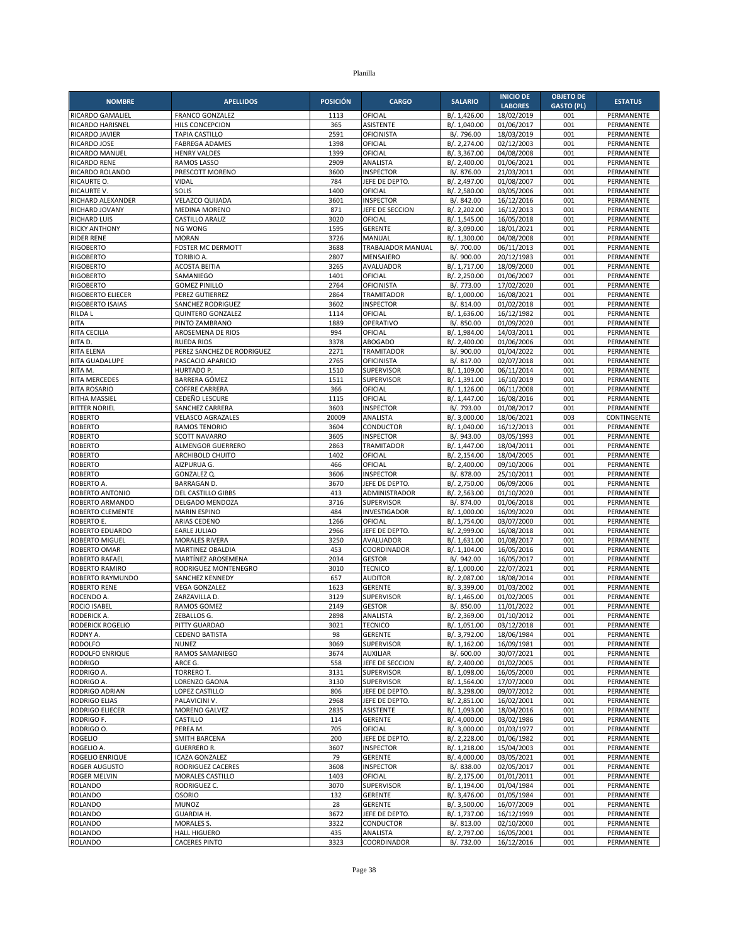| <b>NOMBRE</b>                        | <b>APELLIDOS</b>                        | <b>POSICIÓN</b> | <b>CARGO</b>                      | <b>SALARIO</b>               | <b>INICIO DE</b>             | <b>OBJETO DE</b><br><b>GASTO (PL)</b> | <b>ESTATUS</b>           |
|--------------------------------------|-----------------------------------------|-----------------|-----------------------------------|------------------------------|------------------------------|---------------------------------------|--------------------------|
| RICARDO GAMALIEL                     | <b>FRANCO GONZALEZ</b>                  | 1113            | OFICIAL                           | B/. 1,426.00                 | <b>LABORES</b><br>18/02/2019 | 001                                   | PERMANENTE               |
| RICARDO HARISNEL                     | <b>HILS CONCEPCION</b>                  | 365             | <b>ASISTENTE</b>                  | B/. 1,040.00                 | 01/06/2017                   | 001                                   | PERMANENTE               |
| RICARDO JAVIER                       | <b>TAPIA CASTILLO</b>                   | 2591            | <b>OFICINISTA</b>                 | B/. 796.00                   | 18/03/2019                   | 001                                   | PERMANENTE               |
| RICARDO JOSE                         | <b>FABREGA ADAMES</b>                   | 1398            | OFICIAL                           | B/. 2,274.00                 | 02/12/2003                   | 001                                   | PERMANENTE               |
| RICARDO MANUEL                       | <b>HENRY VALDES</b>                     | 1399            | OFICIAL                           | B/. 3,367.00                 | 04/08/2008                   | 001                                   | PERMANENTE               |
| <b>RICARDO RENE</b>                  | <b>RAMOS LASSO</b>                      | 2909            | ANALISTA                          | B/. 2,400.00                 | 01/06/2021                   | 001                                   | PERMANENTE               |
| RICARDO ROLANDO                      | PRESCOTT MORENO                         | 3600            | <b>INSPECTOR</b>                  | B/. 876.00                   | 21/03/2011                   | 001                                   | PERMANENTE               |
| RICAURTE O.<br><b>RICAURTE V</b>     | VIDAL<br>SOLIS                          | 784<br>1400     | JEFE DE DEPTO<br>OFICIAL          | B/. 2,497.00<br>B/. 2,580.00 | 01/08/2007<br>03/05/2006     | 001<br>001                            | PERMANENTE<br>PERMANENTE |
| RICHARD ALEXANDER                    | VELAZCO QUIJADA                         | 3601            | <b>INSPECTOR</b>                  | B/. 842.00                   | 16/12/2016                   | 001                                   | PERMANENTE               |
| RICHARD JOVANY                       | <b>MEDINA MORENO</b>                    | 871             | JEFE DE SECCION                   | B/. 2,202.00                 | 16/12/2013                   | 001                                   | PERMANENTE               |
| <b>RICHARD LUIS</b>                  | <b>CASTILLO ARAUZ</b>                   | 3020            | OFICIAL                           | B/. 1,545.00                 | 16/05/2018                   | 001                                   | PERMANENTE               |
| <b>RICKY ANTHONY</b>                 | NG WONG                                 | 1595            | <b>GERENTE</b>                    | B/. 3,090.00                 | 18/01/2021                   | 001                                   | PERMANENTE               |
| <b>RIDER RENE</b>                    | <b>MORAN</b>                            | 3726            | MANUAL                            | B/. 1,300.00                 | 04/08/2008                   | 001                                   | PERMANENTE               |
| <b>RIGOBERTO</b>                     | <b>FOSTER MC DERMOTT</b>                | 3688            | TRABAJADOR MANUAL                 | B/. 700.00                   | 06/11/2013                   | 001                                   | PERMANENTE               |
| <b>RIGOBERTO</b>                     | <b>TORIBIO A.</b>                       | 2807            | MENSAJERO                         | B/. 900.00                   | 20/12/1983                   | 001                                   | PERMANENTE               |
| <b>RIGOBERTO</b>                     | <b>ACOSTA BEITIA</b>                    | 3265<br>1401    | AVALUADOR<br>OFICIAL              | B/. 1,717.00                 | 18/09/2000                   | 001<br>001                            | PERMANENTE               |
| <b>RIGOBERTO</b><br><b>RIGOBERTO</b> | SAMANIEGO<br><b>GOMEZ PINILLO</b>       | 2764            | <b>OFICINISTA</b>                 | B/. 2,250.00<br>B/. 773.00   | 01/06/2007<br>17/02/2020     | 001                                   | PERMANENTE<br>PERMANENTE |
| <b>RIGOBERTO ELIECER</b>             | PEREZ GUTIERREZ                         | 2864            | TRAMITADOR                        | B/. 1,000.00                 | 16/08/2021                   | 001                                   | PERMANENTE               |
| RIGOBERTO ISAIAS                     | SANCHEZ RODRIGUEZ                       | 3602            | <b>INSPECTOR</b>                  | B/. 814.00                   | 01/02/2018                   | 001                                   | PERMANENTE               |
| <b>RILDA L</b>                       | <b>QUINTERO GONZALEZ</b>                | 1114            | OFICIAL                           | B/. 1,636.00                 | 16/12/1982                   | 001                                   | PERMANENTE               |
| <b>RITA</b>                          | PINTO ZAMBRANO                          | 1889            | OPERATIVO                         | B/. 850.00                   | 01/09/2020                   | 001                                   | PERMANENTE               |
| RITA CECILIA                         | AROSEMENA DE RIOS                       | 994             | OFICIAL                           | B/. 1,984.00                 | 14/03/2011                   | 001                                   | PERMANENTE               |
| RITA D.                              | <b>RUEDA RIOS</b>                       | 3378            | <b>ABOGADO</b>                    | B/. 2,400.00                 | 01/06/2006                   | 001                                   | PERMANENTE               |
| <b>RITA ELENA</b>                    | PEREZ SANCHEZ DE RODRIGUEZ              | 2271            | <b>TRAMITADOR</b>                 | B/. 900.00                   | 01/04/2022                   | 001                                   | PERMANENTE               |
| RITA GUADALUPE                       | PASCACIO APARICIO                       | 2765            | <b>OFICINISTA</b>                 | B/. 817.00                   | 02/07/2018                   | 001                                   | PERMANENTE               |
| RITA M.                              | HURTADO P.                              | 1510<br>1511    | SUPERVISOR                        | B/. 1,109.00                 | 06/11/2014<br>16/10/2019     | 001<br>001                            | PERMANENTE<br>PERMANENTE |
| RITA MERCEDES<br><b>RITA ROSARIO</b> | BARRERA GÓMEZ<br><b>COFFRE CARRERA</b>  | 366             | SUPERVISOR<br>OFICIAL             | B/. 1,391.00<br>B/. 1,126.00 | 06/11/2008                   | 001                                   | PERMANENTE               |
| <b>RITHA MASSIEL</b>                 | CEDEÑO LESCURE                          | 1115            | OFICIAL                           | B/. 1,447.00                 | 16/08/2016                   | 001                                   | PERMANENTE               |
| <b>RITTER NORIEL</b>                 | <b>SANCHEZ CARRERA</b>                  | 3603            | <b>INSPECTOR</b>                  | B/. 793.00                   | 01/08/2017                   | 001                                   | PERMANENTE               |
| <b>ROBERTO</b>                       | <b>VELASCO AGRAZALES</b>                | 20009           | ANALISTA                          | B/. 3,000.00                 | 18/06/2021                   | 003                                   | CONTINGENTE              |
| <b>ROBERTO</b>                       | <b>RAMOS TENORIO</b>                    | 3604            | <b>CONDUCTOR</b>                  | B/. 1,040.00                 | 16/12/2013                   | 001                                   | <b>PERMANENTE</b>        |
| <b>ROBERTO</b>                       | <b>SCOTT NAVARRO</b>                    | 3605            | <b>INSPECTOR</b>                  | B/. 943.00                   | 03/05/1993                   | 001                                   | PERMANENTE               |
| <b>ROBERTO</b>                       | <b>ALMENGOR GUERRERO</b>                | 2863            | <b>TRAMITADOR</b>                 | B/. 1,447.00                 | 18/04/2011                   | 001                                   | PERMANENTE               |
| <b>ROBERTO</b>                       | ARCHIBOLD CHUITO                        | 1402            | OFICIAL                           | B/. 2,154.00                 | 18/04/2005                   | 001                                   | PERMANENTE               |
| <b>ROBERTO</b>                       | AIZPURUA G.                             | 466             | OFICIAL                           | B/. 2,400.00                 | 09/10/2006                   | 001<br>001                            | PERMANENTE               |
| <b>ROBERTO</b><br>ROBERTO A.         | GONZALEZ Q.<br><b>BARRAGAN D.</b>       | 3606<br>3670    | <b>INSPECTOR</b><br>JEFE DE DEPTO | B/. 878.00<br>B/. 2,750.00   | 25/10/2011<br>06/09/2006     | 001                                   | PERMANENTE<br>PERMANENTE |
| ROBERTO ANTONIO                      | DEL CASTILLO GIBBS                      | 413             | ADMINISTRADOR                     | B/. 2,563.00                 | 01/10/2020                   | 001                                   | PERMANENTE               |
| ROBERTO ARMANDO                      | DELGADO MENDOZA                         | 3716            | <b>SUPERVISOR</b>                 | B/. 874.00                   | 01/06/2018                   | 001                                   | PERMANENTE               |
| ROBERTO CLEMENTE                     | <b>MARIN ESPINO</b>                     | 484             | INVESTIGADOR                      | B/. 1,000.00                 | 16/09/2020                   | 001                                   | PERMANENTE               |
| ROBERTO E.                           | ARIAS CEDENO                            | 1266            | OFICIAL                           | B/. 1,754.00                 | 03/07/2000                   | 001                                   | PERMANENTE               |
| ROBERTO EDUARDO                      | <b>EARLE JULIAO</b>                     | 2966            | JEFE DE DEPTO.                    | B/. 2,999.00                 | 16/08/2018                   | 001                                   | <b>PERMANENTE</b>        |
| <b>ROBERTO MIGUEL</b>                | <b>MORALES RIVERA</b>                   | 3250            | AVALUADOR                         | B/. 1,631.00                 | 01/08/2017                   | 001                                   | PERMANENTE               |
| ROBERTO OMAR                         | MARTINEZ OBALDIA                        | 453             | COORDINADOR                       | B/. 1,104.00                 | 16/05/2016                   | 001                                   | PERMANENTE               |
| ROBERTO RAFAEL                       | MARTÍNEZ AROSEMENA                      | 2034            | <b>GESTOR</b>                     | B/. 942.00                   | 16/05/2017                   | 001                                   | PERMANENTE               |
| ROBERTO RAMIRO<br>ROBERTO RAYMUNDO   | RODRIGUEZ MONTENEGRO                    | 3010<br>657     | <b>TECNICO</b><br><b>AUDITOR</b>  | B/. 1,000.00                 | 22/07/2021                   | 001<br>001                            | PERMANENTE<br>PERMANENTE |
| <b>ROBERTO RENE</b>                  | SANCHEZ KENNEDY<br><b>VEGA GONZALEZ</b> | 1623            | <b>GERENTE</b>                    | B/. 2,087.00<br>B/. 3,399.00 | 18/08/2014<br>01/03/2002     | 001                                   | PERMANENTE               |
| ROCENDO A.                           | ZARZAVILLA D.                           | 3129            | <b>SUPERVISOR</b>                 | B/. 1,465.00                 | 01/02/2005                   | 001                                   | PERMANENTE               |
| ROCIO ISABEL                         | RAMOS GOMEZ                             | 2149            | <b>GESTOR</b>                     | B/. 850.00                   | 11/01/2022                   | 001                                   | PERMANENTE               |
| RODERICK A.                          | ZEBALLOS G.                             | 2898            | ANALISTA                          | B/. 2,369.00                 | 01/10/2012                   | 001                                   | PERMANENTE               |
| RODERICK ROGELIO                     | PITTY GUARDAO                           | 3021            | TECNICO                           | B/. 1,051.00                 | 03/12/2018                   | 001                                   | PERMANENTE               |
| RODNY A.                             | <b>CEDENO BATISTA</b>                   | 98              | <b>GERENTE</b>                    | B/. 3,792.00                 | 18/06/1984                   | 001                                   | PERMANENTE               |
| <b>RODOLFO</b>                       | <b>NUNEZ</b>                            | 3069            | SUPERVISOR                        | B/. 1,162.00                 | 16/09/1981                   | 001                                   | PERMANENTE               |
| RODOLFO ENRIQUE                      | RAMOS SAMANIEGO                         | 3674            | <b>AUXILIAR</b>                   | B/. 600.00                   | 30/07/2021                   | 001                                   | PERMANENTE               |
| <b>RODRIGO</b>                       | ARCE G.                                 | 558             | JEFE DE SECCION                   | B/. 2,400.00                 | 01/02/2005                   | 001                                   | PERMANENTE               |
| RODRIGO A.<br>RODRIGO A.             | TORRERO T.<br>LORENZO GAONA             | 3131<br>3130    | SUPERVISOR<br><b>SUPERVISOR</b>   | B/. 1,098.00<br>B/. 1,564.00 | 16/05/2000<br>17/07/2000     | 001<br>001                            | PERMANENTE<br>PERMANENTE |
| RODRIGO ADRIAN                       | LOPEZ CASTILLO                          | 806             | JEFE DE DEPTO                     | B/. 3,298.00                 | 09/07/2012                   | 001                                   | PERMANENTE               |
| RODRIGO ELIAS                        | PALAVICINI V.                           | 2968            | JEFE DE DEPTO.                    | B/. 2,851.00                 | 16/02/2001                   | 001                                   | PERMANENTE               |
| RODRIGO ELIECER                      | MORENO GALVEZ                           | 2835            | ASISTENTE                         | B/. 1,093.00                 | 18/04/2016                   | 001                                   | PERMANENTE               |
| RODRIGO F.                           | CASTILLO                                | 114             | <b>GERENTE</b>                    | B/. 4,000.00                 | 03/02/1986                   | 001                                   | PERMANENTE               |
| RODRIGO O.                           | PEREA M.                                | 705             | OFICIAL                           | B/. 3,000.00                 | 01/03/1977                   | 001                                   | PERMANENTE               |
| <b>ROGELIO</b>                       | SMITH BARCENA                           | 200             | JEFE DE DEPTO.                    | B/. 2,228.00                 | 01/06/1982                   | 001                                   | PERMANENTE               |
| ROGELIO A.                           | <b>GUERRERO R.</b>                      | 3607            | <b>INSPECTOR</b>                  | B/. 1,218.00                 | 15/04/2003                   | 001                                   | PERMANENTE               |
| ROGELIO ENRIQUE                      | <b>ICAZA GONZALEZ</b>                   | 79              | <b>GERENTE</b>                    | B/. 4,000.00                 | 03/05/2021                   | 001                                   | PERMANENTE               |
| ROGER AUGUSTO                        | RODRIGUEZ CACERES                       | 3608            | <b>INSPECTOR</b>                  | B/. 838.00                   | 02/05/2017                   | 001                                   | PERMANENTE               |
| <b>ROGER MELVIN</b>                  | MORALES CASTILLO                        | 1403            | OFICIAL                           | B/. 2,175.00                 | 01/01/2011                   | 001                                   | PERMANENTE               |
| <b>ROLANDO</b><br><b>ROLANDO</b>     | RODRIGUEZ C.<br><b>OSORIO</b>           | 3070<br>132     | SUPERVISOR<br><b>GERENTE</b>      | B/. 1,194.00<br>B/. 3,476.00 | 01/04/1984<br>01/05/1984     | 001<br>001                            | PERMANENTE<br>PERMANENTE |
| <b>ROLANDO</b>                       | <b>MUNOZ</b>                            | 28              | <b>GERENTE</b>                    | B/. 3,500.00                 | 16/07/2009                   | 001                                   | PERMANENTE               |
| <b>ROLANDO</b>                       | <b>GUARDIA H.</b>                       | 3672            | JEFE DE DEPTO.                    | B/. 1,737.00                 | 16/12/1999                   | 001                                   | PERMANENTE               |
| <b>ROLANDO</b>                       | MORALES S.                              | 3322            | CONDUCTOR                         | B/. 813.00                   | 02/10/2000                   | 001                                   | PERMANENTE               |
| <b>ROLANDO</b>                       | <b>HALL HIGUERO</b>                     | 435             | ANALISTA                          | B/. 2,797.00                 | 16/05/2001                   | 001                                   | PERMANENTE               |
| <b>ROLANDO</b>                       | <b>CACERES PINTO</b>                    | 3323            | COORDINADOR                       | B/. 732.00                   | 16/12/2016                   | 001                                   | PERMANENTE               |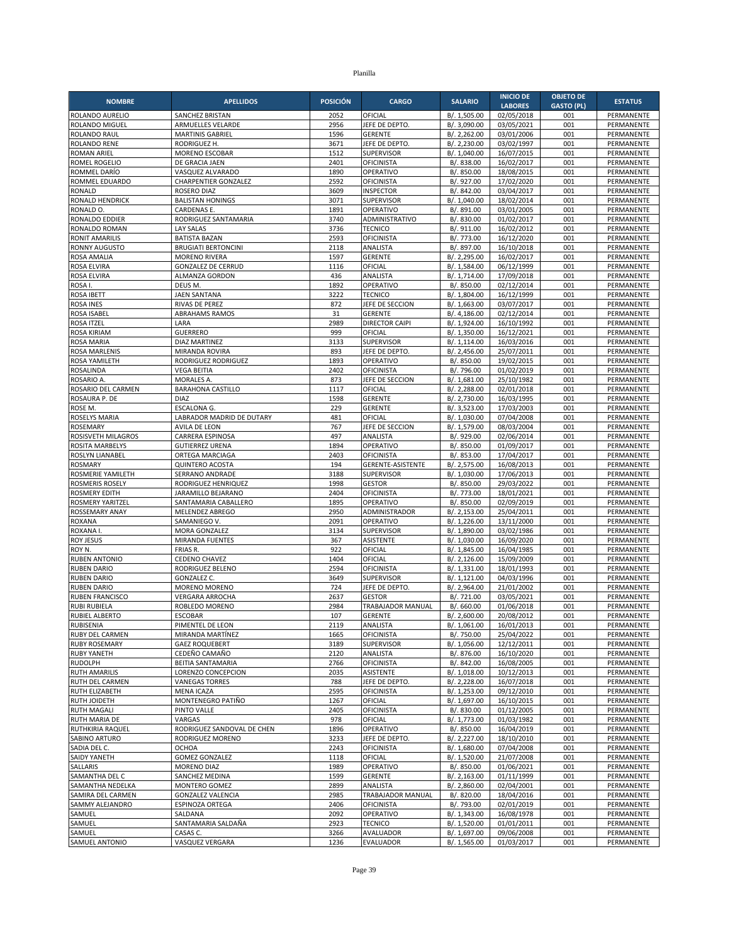| <b>NOMBRE</b>                       | <b>APELLIDOS</b>                                   | <b>POSICIÓN</b> | <b>CARGO</b>                          | <b>SALARIO</b>               | <b>INICIO DE</b>         | <b>OBJETO DE</b>  | <b>ESTATUS</b>           |
|-------------------------------------|----------------------------------------------------|-----------------|---------------------------------------|------------------------------|--------------------------|-------------------|--------------------------|
|                                     |                                                    |                 |                                       |                              | <b>LABORES</b>           | <b>GASTO (PL)</b> |                          |
| ROLANDO AURELIO<br>ROLANDO MIGUEL   | SANCHEZ BRISTAN<br><b>ARMUELLES VELARDE</b>        | 2052<br>2956    | OFICIAL<br>JEFE DE DEPTO              | B/. 1,505.00<br>B/. 3,090.00 | 02/05/2018<br>03/05/2021 | 001<br>001        | PERMANENTE<br>PERMANENTE |
| ROLANDO RAUL                        | <b>MARTINIS GABRIEL</b>                            | 1596            | <b>GERENTE</b>                        | B/. 2,262.00                 | 03/01/2006               | 001               | PERMANENTE               |
| <b>ROLANDO RENE</b>                 | RODRIGUEZ H.                                       | 3671            | JEFE DE DEPTO.                        | B/. 2,230.00                 | 03/02/1997               | 001               | PERMANENTE               |
| <b>ROMAN ARIEL</b>                  | <b>MORENO ESCOBAR</b>                              | 1512            | <b>SUPERVISOR</b>                     | B/. 1,040.00                 | 16/07/2015               | 001               | PERMANENTE               |
| ROMEL ROGELIO                       | DE GRACIA JAEN                                     | 2401            | <b>OFICINISTA</b>                     | B/. 838.00                   | 16/02/2017               | 001               | PERMANENTE               |
| ROMMEL DARÍO                        | VASQUEZ ALVARADO                                   | 1890            | OPERATIVO                             | B/. 850.00                   | 18/08/2015               | 001               | PERMANENTE               |
| ROMMEL EDUARDO<br><b>RONALD</b>     | <b>CHARPENTIER GONZALEZ</b><br>ROSERO DIAZ         | 2592<br>3609    | <b>OFICINISTA</b><br><b>INSPECTOR</b> | B/. 927.00<br>B/. 842.00     | 17/02/2020<br>03/04/2017 | 001<br>001        | PERMANENTE<br>PERMANENTE |
| RONALD HENDRICK                     | <b>BALISTAN HONINGS</b>                            | 3071            | SUPERVISOR                            | B/. 1,040.00                 | 18/02/2014               | 001               | PERMANENTE               |
| RONALD O.                           | CARDENAS E.                                        | 1891            | OPERATIVO                             | B/. 891.00                   | 03/01/2005               | 001               | PERMANENTE               |
| RONALDO EDDIER                      | RODRIGUEZ SANTAMARIA                               | 3740            | ADMINISTRATIVO                        | B/. 830.00                   | 01/02/2017               | 001               | PERMANENTE               |
| RONALDO ROMAN                       | <b>LAY SALAS</b>                                   | 3736            | <b>TECNICO</b>                        | B/. 911.00                   | 16/02/2012               | 001               | PERMANENTE               |
| <b>RONIT AMARILIS</b>               | <b>BATISTA BAZAN</b>                               | 2593            | OFICINISTA<br>ANALISTA                | B/. 773.00                   | 16/12/2020               | 001               | PERMANENTE               |
| <b>RONNY AUGUSTO</b><br>ROSA AMALIA | <b>BRUGIATI BERTONCINI</b><br><b>MORENO RIVERA</b> | 2118<br>1597    | <b>GERENTE</b>                        | B/. 897.00<br>B/. 2,295.00   | 16/10/2018<br>16/02/2017 | 001<br>001        | PERMANENTE<br>PERMANENTE |
| ROSA ELVIRA                         | <b>GONZALEZ DE CERRUD</b>                          | 1116            | OFICIAL                               | B/. 1,584.00                 | 06/12/1999               | 001               | PERMANENTE               |
| ROSA ELVIRA                         | ALMANZA GORDON                                     | 436             | ANALISTA                              | B/. 1,714.00                 | 17/09/2018               | 001               | PERMANENTE               |
| ROSA I.                             | DEUS M.                                            | 1892            | OPERATIVO                             | B/. 850.00                   | 02/12/2014               | 001               | PERMANENTE               |
| <b>ROSA IBETT</b>                   | <b>JAEN SANTANA</b>                                | 3222            | <b>TECNICO</b>                        | B/. 1,804.00                 | 16/12/1999               | 001               | PERMANENTE               |
| <b>ROSA INES</b>                    | RIVAS DE PEREZ                                     | 872             | JEFE DE SECCION                       | B/. 1,663.00                 | 03/07/2017               | 001               | PERMANENTE               |
| ROSA ISABEL                         | <b>ABRAHAMS RAMOS</b>                              | 31              | <b>GERENTE</b>                        | B/. 4,186.00                 | 02/12/2014               | 001               | PERMANENTE               |
| ROSA ITZEL<br><b>ROSA KIRIAM</b>    | LARA<br><b>GUERRERO</b>                            | 2989<br>999     | <b>DIRECTOR CAIPI</b><br>OFICIAL      | B/. 1,924.00<br>B/. 1,350.00 | 16/10/1992<br>16/12/2021 | 001<br>001        | PERMANENTE<br>PERMANENTE |
| <b>ROSA MARIA</b>                   | DIAZ MARTINEZ                                      | 3133            | <b>SUPERVISOR</b>                     | B/. 1,114.00                 | 16/03/2016               | 001               | PERMANENTE               |
| <b>ROSA MARLENIS</b>                | MIRANDA ROVIRA                                     | 893             | JEFE DE DEPTO                         | B/. 2,456.00                 | 25/07/2011               | 001               | PERMANENTE               |
| ROSA YAMILETH                       | RODRIGUEZ RODRIGUEZ                                | 1893            | OPERATIVO                             | B/. 850.00                   | 19/02/2015               | 001               | PERMANENTE               |
| ROSALINDA                           | <b>VEGA BEITIA</b>                                 | 2402            | <b>OFICINISTA</b>                     | B/. 796.00                   | 01/02/2019               | 001               | PERMANENTE               |
| ROSARIO A                           | <b>MORALES A.</b>                                  | 873             | JEFE DE SECCION                       | B/. 1,681.00                 | 25/10/1982               | 001               | PERMANENTE               |
| ROSARIO DEL CARMEN                  | <b>BARAHONA CASTILLO</b>                           | 1117            | OFICIAL                               | B/. 2,288.00                 | 02/01/2018               | 001               | PERMANENTE               |
| ROSAURA P. DE<br>ROSE M.            | <b>DIAZ</b><br>ESCALONA G.                         | 1598<br>229     | <b>GERENTE</b><br><b>GERENTE</b>      | B/. 2,730.00<br>B/. 3,523.00 | 16/03/1995<br>17/03/2003 | 001<br>001        | PERMANENTE<br>PERMANENTE |
| <b>ROSELYS MARIA</b>                | LABRADOR MADRID DE DUTARY                          | 481             | OFICIAL                               | B/. 1,030.00                 | 07/04/2008               | 001               | PERMANENTE               |
| <b>ROSEMARY</b>                     | AVILA DE LEON                                      | 767             | JEFE DE SECCION                       | B/. 1,579.00                 | 08/03/2004               | 001               | PERMANENTE               |
| ROSISVETH MILAGROS                  | CARRERA ESPINOSA                                   | 497             | ANALISTA                              | B/. 929.00                   | 02/06/2014               | 001               | PERMANENTE               |
| <b>ROSITA MARBELYS</b>              | <b>GUTIERREZ URENA</b>                             | 1894            | OPERATIVO                             | B/. 850.00                   | 01/09/2017               | 001               | PERMANENTE               |
| ROSLYN LIANABEL                     | ORTEGA MARCIAGA                                    | 2403            | OFICINISTA                            | B/. 853.00                   | 17/04/2017               | 001               | PERMANENTE               |
| <b>ROSMARY</b><br>ROSMERIE YAMILETH | <b>QUINTERO ACOSTA</b><br><b>SERRANO ANDRADE</b>   | 194             | GERENTE-ASISTENTE<br>SUPERVISOR       | B/. 2,575.00                 | 16/08/2013<br>17/06/2013 | 001<br>001        | PERMANENTE<br>PERMANENTE |
| <b>ROSMERIS ROSELY</b>              | RODRIGUEZ HENRIQUEZ                                | 3188<br>1998    | <b>GESTOR</b>                         | B/. 1,030.00<br>B/. 850.00   | 29/03/2022               | 001               | PERMANENTE               |
| <b>ROSMERY EDITH</b>                | JARAMILLO BEJARANO                                 | 2404            | <b>OFICINISTA</b>                     | B/. 773.00                   | 18/01/2021               | 001               | PERMANENTE               |
| ROSMERY YARITZEL                    | SANTAMARIA CABALLERO                               | 1895            | OPERATIVO                             | B/. 850.00                   | 02/09/2019               | 001               | PERMANENTE               |
| ROSSEMARY ANAY                      | MELENDEZ ABREGO                                    | 2950            | ADMINISTRADOR                         | B/. 2,153.00                 | 25/04/2011               | 001               | PERMANENTE               |
| <b>ROXANA</b>                       | SAMANIEGO V.                                       | 2091            | OPERATIVO                             | B/. 1,226.00                 | 13/11/2000               | 001               | PERMANENTE               |
| ROXANA I.                           | <b>MORA GONZALEZ</b>                               | 3134            | <b>SUPERVISOR</b>                     | B/. 1,890.00                 | 03/02/1986               | 001               | PERMANENTE               |
| <b>ROY JESUS</b><br>ROY N.          | MIRANDA FUENTES<br>FRIAS R.                        | 367<br>922      | ASISTENTE<br>OFICIAL                  | B/. 1,030.00<br>B/. 1,845.00 | 16/09/2020<br>16/04/1985 | 001<br>001        | PERMANENTE<br>PERMANENTE |
| <b>RUBEN ANTONIO</b>                | <b>CEDENO CHAVEZ</b>                               | 1404            | OFICIAL                               | B/. 2,126.00                 | 15/09/2009               | 001               | PERMANENTE               |
| <b>RUBEN DARIO</b>                  | RODRIGUEZ BELENO                                   | 2594            | OFICINISTA                            | B/. 1,331.00                 | 18/01/1993               | 001               | PERMANENTE               |
| <b>RUBEN DARIO</b>                  | <b>GONZALEZ C.</b>                                 | 3649            | <b>SUPERVISOR</b>                     | B/. 1,121.00                 | 04/03/1996               | 001               | PERMANENTE               |
| <b>RUBEN DARIO</b>                  | MORENO MORENO                                      | 724             | JEFE DE DEPTO                         | B/. 2,964.00                 | 21/01/2002               | 001               | PERMANENTE               |
| <b>RUBEN FRANCISCO</b>              | <b>VERGARA ARROCHA</b>                             | 2637            | <b>GESTOR</b>                         | B/. 721.00                   | 03/05/2021               | 001               | PERMANENTE               |
| <b>RUBI RUBIELA</b>                 | ROBLEDO MORENO<br><b>ESCOBAR</b>                   | 2984<br>107     | TRABAJADOR MANUAL<br><b>GERENTE</b>   | B/. 660.00                   | 01/06/2018               | 001<br>001        | PERMANENTE<br>PERMANENTE |
| <b>RUBIEL ALBERTO</b><br>RUBISENIA  | PIMENTEL DE LEON                                   | 2119            | ANALISTA                              | B/. 2,600.00<br>B/. 1,061.00 | 20/08/2012<br>16/01/2013 | 001               | PERMANENTE               |
| <b>RUBY DEL CARMEN</b>              | MIRANDA MARTÍNEZ                                   | 1665            | <b>OFICINISTA</b>                     | B/. 750.00                   | 25/04/2022               | 001               | PERMANENTE               |
| <b>RUBY ROSEMARY</b>                | <b>GAEZ ROQUEBERT</b>                              | 3189            | SUPERVISOR                            | B/. 1,056.00                 | 12/12/2011               | 001               | PERMANENTE               |
| <b>RUBY YANETH</b>                  | CEDEÑO CAMAÑO                                      | 2120            | ANALISTA                              | B/. 876.00                   | 16/10/2020               | 001               | PERMANENTE               |
| <b>RUDOLPH</b>                      | BEITIA SANTAMARIA                                  | 2766            | <b>OFICINISTA</b>                     | B/. 842.00                   | 16/08/2005               | 001               | PERMANENTE               |
| <b>RUTH AMARILIS</b>                | LORENZO CONCEPCION                                 | 2035            | ASISTENTE                             | B/. 1,018.00                 | 10/12/2013               | 001               | PERMANENTE               |
| RUTH DEL CARMEN<br>RUTH ELIZABETH   | <b>VANEGAS TORRES</b><br>MENA ICAZA                | 788<br>2595     | JEFE DE DEPTO.<br>OFICINISTA          | B/. 2,228.00<br>B/. 1,253.00 | 16/07/2018<br>09/12/2010 | 001<br>001        | PERMANENTE<br>PERMANENTE |
| RUTH JOIDETH                        | MONTENEGRO PATIÑO                                  | 1267            | OFICIAL                               | B/. 1,697.00                 | 16/10/2015               | 001               | PERMANENTE               |
| <b>RUTH MAGALI</b>                  | PINTO VALLE                                        | 2405            | <b>OFICINISTA</b>                     | B/. 830.00                   | 01/12/2005               | 001               | PERMANENTE               |
| <b>RUTH MARIA DE</b>                | VARGAS                                             | 978             | OFICIAL                               | B/. 1,773.00                 | 01/03/1982               | 001               | PERMANENTE               |
| RUTHKIRIA RAQUEL                    | RODRIGUEZ SANDOVAL DE CHEN                         | 1896            | OPERATIVO                             | B/. 850.00                   | 16/04/2019               | 001               | PERMANENTE               |
| SABINO ARTURO                       | RODRIGUEZ MORENO                                   | 3233            | JEFE DE DEPTO.                        | B/. 2,227.00                 | 18/10/2010               | 001               | PERMANENTE               |
| SADIA DEL C.                        | <b>OCHOA</b>                                       | 2243            | <b>OFICINISTA</b>                     | B/. 1,680.00                 | 07/04/2008               | 001               | PERMANENTE               |
| <b>SAIDY YANETH</b><br>SALLARIS     | <b>GOMEZ GONZALEZ</b><br>MORENO DIAZ               | 1118<br>1989    | OFICIAL<br>OPERATIVO                  | B/. 1,520.00<br>B/. 850.00   | 21/07/2008<br>01/06/2021 | 001<br>001        | PERMANENTE<br>PERMANENTE |
| SAMANTHA DEL C                      | SANCHEZ MEDINA                                     | 1599            | <b>GERENTE</b>                        | B/. 2,163.00                 | 01/11/1999               | 001               | PERMANENTE               |
| SAMANTHA NEDELKA                    | MONTERO GOMEZ                                      | 2899            | ANALISTA                              | B/. 2,860.00                 | 02/04/2001               | 001               | PERMANENTE               |
| SAMIRA DEL CARMEN                   | GONZALEZ VALENCIA                                  | 2985            | TRABAJADOR MANUAL                     | B/. 820.00                   | 18/04/2016               | 001               | PERMANENTE               |
| SAMMY ALEJANDRO                     | ESPINOZA ORTEGA                                    | 2406            | OFICINISTA                            | B/. 793.00                   | 02/01/2019               | 001               | PERMANENTE               |
| SAMUEL                              | SALDANA                                            | 2092            | OPERATIVO                             | B/. 1,343.00                 | 16/08/1978               | 001               | PERMANENTE               |
| SAMUEL                              | SANTAMARIA SALDAÑA                                 | 2923            | <b>TECNICO</b>                        | B/. 1,520.00                 | 01/01/2011               | 001               | PERMANENTE               |
| SAMUEL<br>SAMUEL ANTONIO            | CASAS C.<br>VASQUEZ VERGARA                        | 3266<br>1236    | AVALUADOR<br>EVALUADOR                | B/. 1,697.00<br>B/. 1,565.00 | 09/06/2008<br>01/03/2017 | 001<br>001        | PERMANENTE<br>PERMANENTE |
|                                     |                                                    |                 |                                       |                              |                          |                   |                          |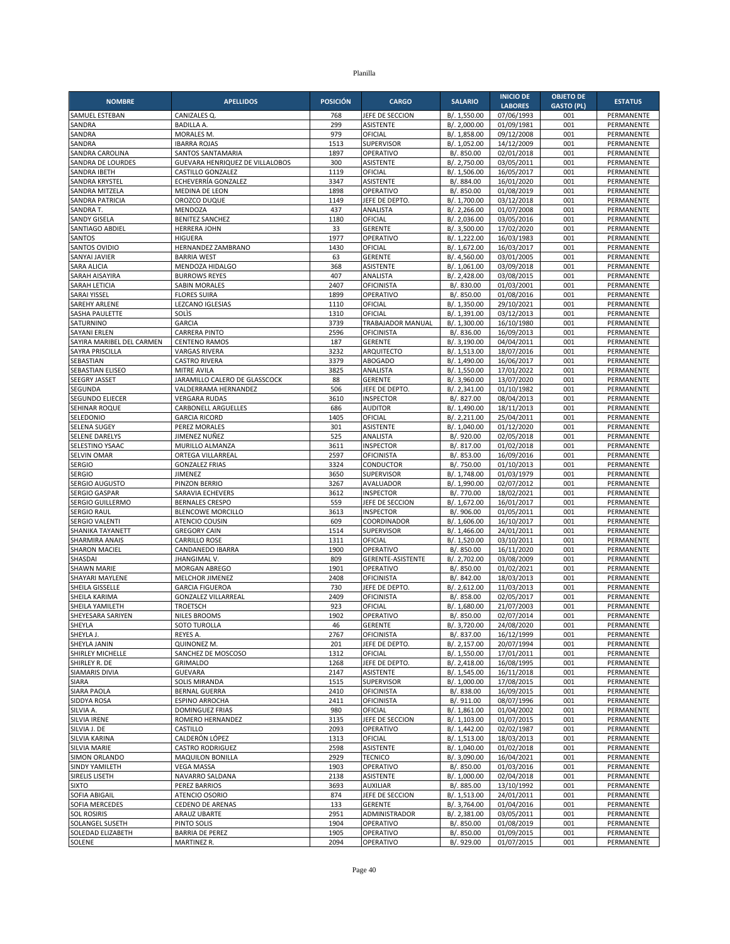| <b>NOMBRE</b>                          | <b>APELLIDOS</b>                                      | <b>POSICIÓN</b> | <b>CARGO</b>                     | <b>SALARIO</b>               | <b>INICIO DE</b><br><b>LABORES</b> | <b>OBJETO DE</b><br><b>GASTO (PL)</b> | <b>ESTATUS</b>           |
|----------------------------------------|-------------------------------------------------------|-----------------|----------------------------------|------------------------------|------------------------------------|---------------------------------------|--------------------------|
| SAMUEL ESTEBAN                         | CANIZALES Q                                           | 768             | JEFE DE SECCION                  | B/. 1,550.00                 | 07/06/1993                         | 001                                   | PERMANENTE               |
| SANDRA                                 | <b>BADILLA A.</b>                                     | 299             | <b>ASISTENTE</b>                 | B/. 2,000.00                 | 01/09/1981                         | 001                                   | PERMANENTE               |
| SANDRA                                 | <b>MORALES M.</b>                                     | 979             | OFICIAL                          | B/. 1,858.00                 | 09/12/2008                         | 001                                   | PERMANENTE               |
| SANDRA                                 | <b>IBARRA ROJAS</b>                                   | 1513            | <b>SUPERVISOR</b>                | B/. 1,052.00                 | 14/12/2009                         | 001                                   | PERMANENTE               |
| SANDRA CAROLINA                        | SANTOS SANTAMARIA                                     | 1897            | OPERATIVO                        | B/. 850.00                   | 02/01/2018                         | 001                                   | PERMANENTE               |
| SANDRA DE LOURDES<br>SANDRA IBETH      | GUEVARA HENRIQUEZ DE VILLALOBOS<br>CASTILLO GONZALEZ  | 300<br>1119     | <b>ASISTENTE</b><br>OFICIAL      | B/. 2,750.00<br>B/. 1,506.00 | 03/05/2011<br>16/05/2017           | 001<br>001                            | PERMANENTE<br>PERMANENTE |
| <b>SANDRA KRYSTEL</b>                  | ECHEVERRÍA GONZALEZ                                   | 3347            | <b>ASISTENTE</b>                 | B/. 884.00                   | 16/01/2020                         | 001                                   | PERMANENTE               |
| SANDRA MITZELA                         | MEDINA DE LEON                                        | 1898            | OPERATIVO                        | B/. 850.00                   | 01/08/2019                         | 001                                   | PERMANENTE               |
| SANDRA PATRICIA                        | OROZCO DUQUE                                          | 1149            | JEFE DE DEPTO.                   | B/. 1,700.00                 | 03/12/2018                         | 001                                   | PERMANENTE               |
| SANDRA T.                              | MENDOZA                                               | 437             | ANALISTA                         | B/.2,266.00                  | 01/07/2008                         | 001                                   | PERMANENTE               |
| <b>SANDY GISELA</b>                    | <b>BENITEZ SANCHEZ</b>                                | 1180            | OFICIAL                          | B/. 2,036.00                 | 03/05/2016                         | 001                                   | PERMANENTE               |
| SANTIAGO ABDIEL                        | <b>HERRERA JOHN</b>                                   | 33              | <b>GERENTE</b>                   | B/. 3,500.00                 | 17/02/2020                         | 001                                   | PERMANENTE               |
| SANTOS<br>SANTOS OVIDIO                | <b>HIGUERA</b><br>HERNANDEZ ZAMBRANO                  | 1977<br>1430    | OPERATIVO<br>OFICIAL             | B/. 1,222.00<br>B/. 1,672.00 | 16/03/1983<br>16/03/2017           | 001<br>001                            | PERMANENTE<br>PERMANENTE |
| <b>SANYAI JAVIER</b>                   | <b>BARRIA WEST</b>                                    | 63              | <b>GERENTE</b>                   | B/. 4,560.00                 | 03/01/2005                         | 001                                   | PERMANENTE               |
| <b>SARA ALICIA</b>                     | MENDOZA HIDALGO                                       | 368             | <b>ASISTENTE</b>                 | B/. 1,061.00                 | 03/09/2018                         | 001                                   | PERMANENTE               |
| SARAH AISAYIRA                         | <b>BURROWS REYES</b>                                  | 407             | ANALISTA                         | B/. 2,428.00                 | 03/08/2015                         | 001                                   | PERMANENTE               |
| SARAH LETICIA                          | <b>SABIN MORALES</b>                                  | 2407            | <b>OFICINISTA</b>                | B/. 830.00                   | 01/03/2001                         | 001                                   | PERMANENTE               |
| SARAI YISSEL                           | <b>FLORES SUIRA</b>                                   | 1899            | OPERATIVO                        | B/. 850.00                   | 01/08/2016                         | 001                                   | PERMANENTE               |
| <b>SAREHY ARLENE</b><br>SASHA PAULETTE | LEZCANO IGLESIAS<br>SOLIS                             | 1110<br>1310    | OFICIAL<br>OFICIAL               | B/. 1,350.00                 | 29/10/2021                         | 001<br>001                            | PERMANENTE<br>PERMANENTE |
| SATURNINO                              | <b>GARCIA</b>                                         | 3739            | <b>TRABAJADOR MANUAL</b>         | B/. 1,391.00<br>B/. 1,300.00 | 03/12/2013<br>16/10/1980           | 001                                   | PERMANENTE               |
| <b>SAYANI ERLEN</b>                    | <b>CARRERA PINTO</b>                                  | 2596            | <b>OFICINISTA</b>                | B/. 836.00                   | 16/09/2013                         | 001                                   | PERMANENTE               |
| SAYIRA MARIBEL DEL CARMEN              | <b>CENTENO RAMOS</b>                                  | 187             | <b>GERENTE</b>                   | B/. 3,190.00                 | 04/04/2011                         | 001                                   | PERMANENTE               |
| SAYRA PRISCILLA                        | <b>VARGAS RIVERA</b>                                  | 3232            | ARQUITECTO                       | B/. 1,513.00                 | 18/07/2016                         | 001                                   | PERMANENTE               |
| SEBASTIAN                              | <b>CASTRO RIVERA</b>                                  | 3379            | <b>ABOGADO</b>                   | B/. 1,490.00                 | 16/06/2017                         | 001                                   | PERMANENTE               |
| SEBASTIAN ELISEO                       | <b>MITRE AVILA</b>                                    | 3825            | ANALISTA                         | B/. 1,550.00                 | 17/01/2022                         | 001                                   | PERMANENTE               |
| <b>SEEGRY JASSET</b><br>SEGUNDA        | JARAMILLO CALERO DE GLASSCOCK<br>VALDERRAMA HERNANDEZ | 88<br>506       | <b>GERENTE</b><br>JEFE DE DEPTO. | B/. 3,960.00                 | 13/07/2020<br>01/10/1982           | 001<br>001                            | PERMANENTE<br>PERMANENTE |
| SEGUNDO ELIECER                        | <b>VERGARA RUDAS</b>                                  | 3610            | <b>INSPECTOR</b>                 | B/. 2,341.00<br>B/. 827.00   | 08/04/2013                         | 001                                   | PERMANENTE               |
| SEHINAR ROQUE                          | CARBONELL ARGUELLES                                   | 686             | <b>AUDITOR</b>                   | B/. 1,490.00                 | 18/11/2013                         | 001                                   | PERMANENTE               |
| SELEDONIO                              | <b>GARCIA RICORD</b>                                  | 1405            | OFICIAL                          | B/. 2,211.00                 | 25/04/2011                         | 001                                   | PERMANENTE               |
| <b>SELENA SUGEY</b>                    | PEREZ MORALES                                         | 301             | <b>ASISTENTE</b>                 | B/. 1,040.00                 | 01/12/2020                         | 001                                   | PERMANENTE               |
| SELENE DARELYS                         | JIMENEZ NUÑEZ                                         | 525             | ANALISTA                         | B/. 920.00                   | 02/05/2018                         | 001                                   | PERMANENTE               |
| SELESTINO YSAAC                        | MURILLO ALMANZA                                       | 3611            | <b>INSPECTOR</b>                 | B/. 817.00                   | 01/02/2018                         | 001                                   | PERMANENTE               |
| SELVIN OMAR<br><b>SERGIO</b>           | ORTEGA VILLARREAL<br><b>GONZALEZ FRIAS</b>            | 2597<br>3324    | <b>OFICINISTA</b><br>CONDUCTOR   | B/. 853.00<br>B/. 750.00     | 16/09/2016<br>01/10/2013           | 001<br>001                            | PERMANENTE<br>PERMANENTE |
| <b>SERGIO</b>                          | <b>JIMENEZ</b>                                        | 3650            | <b>SUPERVISOR</b>                | B/. 1,748.00                 | 01/03/1979                         | 001                                   | PERMANENTE               |
| SERGIO AUGUSTO                         | PINZON BERRIO                                         | 3267            | AVALUADOR                        | B/. 1,990.00                 | 02/07/2012                         | 001                                   | PERMANENTE               |
| <b>SERGIO GASPAR</b>                   | SARAVIA ECHEVERS                                      | 3612            | <b>INSPECTOR</b>                 | B/. 770.00                   | 18/02/2021                         | 001                                   | PERMANENTE               |
| SERGIO GUILLERMO                       | <b>BERNALES CRESPO</b>                                | 559             | JEFE DE SECCION                  | B/. 1,672.00                 | 16/01/2017                         | 001                                   | PERMANENTE               |
| <b>SERGIO RAUL</b>                     | <b>BLENCOWE MORCILLO</b>                              | 3613            | <b>INSPECTOR</b>                 | B/. 906.00                   | 01/05/2011                         | 001                                   | PERMANENTE               |
| <b>SERGIO VALENTI</b>                  | <b>ATENCIO COUSIN</b>                                 | 609             | COORDINADOR                      | B/. 1,606.00                 | 16/10/2017                         | 001                                   | PERMANENTE               |
| SHANIKA TAYANETT<br>SHARMIRA ANAIS     | <b>GREGORY CAIN</b><br><b>CARRILLO ROSE</b>           | 1514<br>1311    | <b>SUPERVISOR</b><br>OFICIAL     | B/. 1,466.00<br>B/. 1,520.00 | 24/01/2011<br>03/10/2011           | 001<br>001                            | PERMANENTE<br>PERMANENTE |
| <b>SHARON MACIEL</b>                   | CANDANEDO IBARRA                                      | 1900            | OPERATIVO                        | B/. 850.00                   | 16/11/2020                         | 001                                   | PERMANENTE               |
| SHASDAI                                | <b>JHANGIMAL V</b>                                    | 809             | GERENTE-ASISTENTE                | B/. 2,702.00                 | 03/08/2009                         | 001                                   | PERMANENTE               |
| <b>SHAWN MARIE</b>                     | MORGAN ABREGO                                         | 1901            | OPERATIVO                        | B/. 850.00                   | 01/02/2021                         | 001                                   | PERMANENTE               |
| SHAYARI MAYLENE                        | MELCHOR JIMENEZ                                       | 2408            | <b>OFICINISTA</b>                | B/. 842.00                   | 18/03/2013                         | 001                                   | PERMANENTE               |
| SHEILA GISSELLE                        | <b>GARCIA FIGUEROA</b>                                | 730             | JEFE DE DEPTO                    | B/. 2,612.00                 | 11/03/2013                         | 001                                   | PERMANENTE               |
| SHEILA KARIMA                          | <b>GONZALEZ VILLARREAL</b>                            | 2409            | OFICINISTA                       | B/. 858.00                   | 02/05/2017                         | 001                                   | PERMANENTE<br>PERMANENTE |
| SHEILA YAMILETH<br>SHEYESARA SARIYEN   | <b>TROETSCH</b><br><b>NILES BROOMS</b>                | 923<br>1902     | OFICIAL<br>OPERATIVO             | B/. 1,680.00<br>B/. 850.00   | 21/07/2003<br>02/07/2014           | 001<br>001                            | PERMANENTE               |
| SHEYLA                                 | SOTO TUROLLA                                          | 46              | GERENTE                          | B/. 3,720.00                 | 24/08/2020                         | 001                                   | PERMANENTE               |
| SHEYLA J.                              | REYES A.                                              | 2767            | <b>OFICINISTA</b>                | B/. 837.00                   | 16/12/1999                         | 001                                   | PERMANENTE               |
| SHEYLA JANIN                           | QUINONEZ M.                                           | 201             | JEFE DE DEPTO.                   | B/. 2,157.00                 | 20/07/1994                         | 001                                   | PERMANENTE               |
| SHIRLEY MICHELLE                       | SANCHEZ DE MOSCOSO                                    | 1312            | OFICIAL                          | B/. 1,550.00                 | 17/01/2011                         | 001                                   | PERMANENTE               |
| SHIRLEY R. DE                          | <b>GRIMALDO</b>                                       | 1268            | JEFE DE DEPTO.                   | B/. 2,418.00                 | 16/08/1995                         | 001                                   | PERMANENTE               |
| <b>SIAMARIS DIVIA</b>                  | <b>GUEVARA</b><br><b>SOLIS MIRANDA</b>                | 2147            | ASISTENTE                        | B/. 1,545.00<br>B/. 1,000.00 | 16/11/2018                         | 001                                   | PERMANENTE               |
| SIARA<br>SIARA PAOLA                   | <b>BERNAL GUERRA</b>                                  | 1515<br>2410    | SUPERVISOR<br><b>OFICINISTA</b>  | B/. 838.00                   | 17/08/2015<br>16/09/2015           | 001<br>001                            | PERMANENTE<br>PERMANENTE |
| SIDDYA ROSA                            | <b>ESPINO ARROCHA</b>                                 | 2411            | <b>OFICINISTA</b>                | B/. 911.00                   | 08/07/1996                         | 001                                   | PERMANENTE               |
| SILVIA A.                              | <b>DOMINGUEZ FRIAS</b>                                | 980             | OFICIAL                          | B/. 1,861.00                 | 01/04/2002                         | 001                                   | PERMANENTE               |
| SILVIA IRENE                           | ROMERO HERNANDEZ                                      | 3135            | JEFE DE SECCION                  | B/. 1,103.00                 | 01/07/2015                         | 001                                   | PERMANENTE               |
| SILVIA J. DE                           | CASTILLO                                              | 2093            | OPERATIVO                        | B/. 1,442.00                 | 02/02/1987                         | 001                                   | PERMANENTE               |
| SILVIA KARINA                          | CALDERÓN LÓPEZ                                        | 1313            | OFICIAL                          | B/. 1,513.00                 | 18/03/2013                         | 001                                   | PERMANENTE               |
| <b>SILVIA MARIE</b><br>SIMON ORLANDO   | <b>CASTRO RODRIGUEZ</b><br>MAQUILON BONILLA           | 2598<br>2929    | ASISTENTE<br><b>TECNICO</b>      | B/. 1,040.00<br>B/. 3,090.00 | 01/02/2018<br>16/04/2021           | 001<br>001                            | PERMANENTE<br>PERMANENTE |
| SINDY YAMILETH                         | <b>VEGA MASSA</b>                                     | 1903            | OPERATIVO                        | B/. 850.00                   | 01/03/2016                         | 001                                   | PERMANENTE               |
| SIRELIS LISETH                         | NAVARRO SALDANA                                       | 2138            | <b>ASISTENTE</b>                 | B/. 1,000.00                 | 02/04/2018                         | 001                                   | PERMANENTE               |
| <b>SIXTO</b>                           | PEREZ BARRIOS                                         | 3693            | AUXILIAR                         | B/. 885.00                   | 13/10/1992                         | 001                                   | PERMANENTE               |
| SOFIA ABIGAIL                          | ATENCIO OSORIO                                        | 874             | JEFE DE SECCION                  | B/. 1,513.00                 | 24/01/2011                         | 001                                   | PERMANENTE               |
| SOFIA MERCEDES                         | <b>CEDENO DE ARENAS</b>                               | 133             | <b>GERENTE</b>                   | B/. 3,764.00                 | 01/04/2016                         | 001                                   | PERMANENTE               |
| <b>SOL ROSIRIS</b>                     | ARAUZ UBARTE                                          | 2951            | ADMINISTRADOR                    | B/. 2,381.00                 | 03/05/2011                         | 001                                   | PERMANENTE               |
| SOLANGEL SUSETH<br>SOLEDAD ELIZABETH   | PINTO SOLIS<br><b>BARRIA DE PEREZ</b>                 | 1904<br>1905    | OPERATIVO<br>OPERATIVO           | B/. 850.00<br>B/. 850.00     | 01/08/2019<br>01/09/2015           | 001<br>001                            | PERMANENTE<br>PERMANENTE |
| SOLENE                                 | MARTINEZ R.                                           | 2094            | OPERATIVO                        | B/. 929.00                   | 01/07/2015                         | 001                                   | PERMANENTE               |
|                                        |                                                       |                 |                                  |                              |                                    |                                       |                          |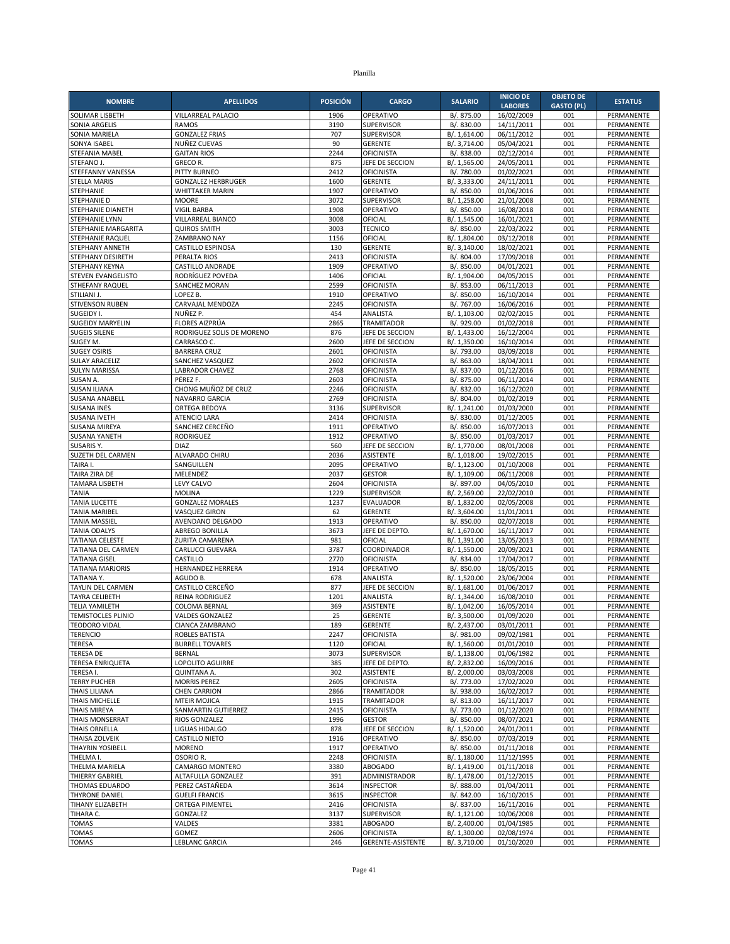| <b>NOMBRE</b>                               | <b>APELLIDOS</b>                                    | <b>POSICIÓN</b> | <b>CARGO</b>                       | <b>SALARIO</b>               | <b>INICIO DE</b><br><b>LABORES</b> | <b>OBJETO DE</b><br><b>GASTO (PL)</b> | <b>ESTATUS</b>           |
|---------------------------------------------|-----------------------------------------------------|-----------------|------------------------------------|------------------------------|------------------------------------|---------------------------------------|--------------------------|
| SOLIMAR LISBETH                             | VILLARREAL PALACIO                                  | 1906            | OPERATIVO                          | B/. 875.00                   | 16/02/2009                         | 001                                   | PERMANENTE               |
| <b>SONIA ARGELIS</b>                        | <b>RAMOS</b>                                        | 3190            | SUPERVISOR                         | B/. 830.00                   | 14/11/2011                         | 001                                   | PERMANENTE               |
| SONIA MARIELA                               | <b>GONZALEZ FRIAS</b>                               | 707             | <b>SUPERVISOR</b>                  | B/. 1,614.00                 | 06/11/2012                         | 001                                   | PERMANENTE               |
| SONYA ISABEL                                | NUÑEZ CUEVAS                                        | 90              | <b>GERENTE</b>                     | B/. 3,714.00                 | 05/04/2021                         | 001                                   | PERMANENTE               |
| STEFANIA MABEL                              | <b>GAITAN RIOS</b>                                  | 2244            | <b>OFICINISTA</b>                  | B/. 838.00                   | 02/12/2014                         | 001                                   | PERMANENTE               |
| STEFANO J.                                  | GRECO R.                                            | 875             | JEFE DE SECCION                    | B/. 1,565.00                 | 24/05/2011                         | 001                                   | PERMANENTE               |
| STEFFANNY VANESSA                           | PITTY BURNEO                                        | 2412            | <b>OFICINISTA</b>                  | B/. 780.00                   | 01/02/2021                         | 001                                   | PERMANENTE               |
| <b>STELLA MARIS</b><br>STEPHANIE            | <b>GONZALEZ HERBRUGER</b><br><b>WHITTAKER MARIN</b> | 1600<br>1907    | <b>GERENTE</b><br>OPERATIVO        | B/. 3,333.00<br>B/. 850.00   | 24/11/2011<br>01/06/2016           | 001<br>001                            | PERMANENTE<br>PERMANENTE |
| STEPHANIE D                                 | <b>MOORE</b>                                        | 3072            | <b>SUPERVISOR</b>                  | B/. 1,258.00                 | 21/01/2008                         | 001                                   | PERMANENTE               |
| STEPHANIE DIANETH                           | <b>VIGIL BARBA</b>                                  | 1908            | OPERATIVO                          | B/. 850.00                   | 16/08/2018                         | 001                                   | PERMANENTE               |
| <b>STEPHANIE LYNN</b>                       | VILLARREAL BIANCO                                   | 3008            | OFICIAL                            | B/. 1,545.00                 | 16/01/2021                         | 001                                   | PERMANENTE               |
| STEPHANIE MARGARITA                         | <b>QUIROS SMITH</b>                                 | 3003            | <b>TECNICO</b>                     | B/. 850.00                   | 22/03/2022                         | 001                                   | PERMANENTE               |
| <b>STEPHANIE RAQUEL</b>                     | ZAMBRANO NAY                                        | 1156            | OFICIAL                            | B/. 1,804.00                 | 03/12/2018                         | 001                                   | PERMANENTE               |
| STEPHANY ANNETH                             | <b>CASTILLO ESPINOSA</b>                            | 130             | <b>GERENTE</b>                     | B/. 3,140.00                 | 18/02/2021                         | 001                                   | PERMANENTE               |
| STEPHANY DESIRETH                           | PERALTA RIOS                                        | 2413            | <b>OFICINISTA</b>                  | B/. 804.00                   | 17/09/2018                         | 001                                   | PERMANENTE               |
| STEPHANY KEYNA                              | <b>CASTILLO ANDRADE</b>                             | 1909            | OPERATIVO                          | B/. 850.00                   | 04/01/2021                         | 001                                   | PERMANENTE               |
| STEVEN EVANGELISTO<br>STHEFANY RAQUEL       | RODRÍGUEZ POVEDA<br>SANCHEZ MORAN                   | 1406<br>2599    | OFICIAL                            | B/. 1,904.00                 | 04/05/2015<br>06/11/2013           | 001<br>001                            | PERMANENTE<br>PERMANENTE |
| STILIANI J.                                 | LOPEZ B.                                            | 1910            | <b>OFICINISTA</b><br>OPERATIVO     | B/. 853.00<br>B/. 850.00     | 16/10/2014                         | 001                                   | PERMANENTE               |
| STIVENSON RUBEN                             | CARVAJAL MENDOZA                                    | 2245            | <b>OFICINISTA</b>                  | B/. 767.00                   | 16/06/2016                         | 001                                   | PERMANENTE               |
| SUGEIDY I.                                  | NUÑEZ P.                                            | 454             | ANALISTA                           | B/. 1,103.00                 | 02/02/2015                         | 001                                   | PERMANENTE               |
| <b>SUGEIDY MARYELIN</b>                     | FLORES AIZPRÚA                                      | 2865            | <b>TRAMITADOR</b>                  | B/. 929.00                   | 01/02/2018                         | 001                                   | PERMANENTE               |
| <b>SUGEIS SILENE</b>                        | RODRIGUEZ SOLIS DE MORENO                           | 876             | JEFE DE SECCION                    | B/. 1,433.00                 | 16/12/2004                         | 001                                   | PERMANENTE               |
| SUGEY M.                                    | CARRASCO C.                                         | 2600            | JEFE DE SECCION                    | B/. 1,350.00                 | 16/10/2014                         | 001                                   | PERMANENTE               |
| <b>SUGEY OSIRIS</b>                         | <b>BARRERA CRUZ</b>                                 | 2601            | <b>OFICINISTA</b>                  | B/. 793.00                   | 03/09/2018                         | 001                                   | PERMANENTE               |
| <b>SULAY ARACELIZ</b>                       | SANCHEZ VASQUEZ                                     | 2602            | <b>OFICINISTA</b>                  | B/. 863.00                   | 18/04/2011                         | 001                                   | PERMANENTE               |
| <b>SULYN MARISSA</b>                        | LABRADOR CHAVEZ                                     | 2768            | <b>OFICINISTA</b>                  | B/. 837.00                   | 01/12/2016                         | 001                                   | PERMANENTE               |
| SUSAN A.<br><b>SUSAN ILIANA</b>             | PÉREZ F.<br>CHONG MUÑOZ DE CRUZ                     | 2603<br>2246    | OFICINISTA<br><b>OFICINISTA</b>    | B/. 875.00<br>B/. 832.00     | 06/11/2014<br>16/12/2020           | 001<br>001                            | PERMANENTE<br>PERMANENTE |
| SUSANA ANABELL                              | NAVARRO GARCIA                                      | 2769            | <b>OFICINISTA</b>                  | B/. 804.00                   | 01/02/2019                         | 001                                   | <b>PERMANENTE</b>        |
| <b>SUSANA INES</b>                          | ORTEGA BEDOYA                                       | 3136            | <b>SUPERVISOR</b>                  | B/. 1,241.00                 | 01/03/2000                         | 001                                   | PERMANENTE               |
| <b>SUSANA IVETH</b>                         | <b>ATENCIO LARA</b>                                 | 2414            | OFICINISTA                         | B/. 830.00                   | 01/12/2005                         | 001                                   | PERMANENTE               |
| <b>SUSANA MIREYA</b>                        | SANCHEZ CERCEÑO                                     | 1911            | OPERATIVO                          | B/. 850.00                   | 16/07/2013                         | 001                                   | PERMANENTE               |
| SUSANA YANETH                               | RODRIGUEZ                                           | 1912            | OPERATIVO                          | B/. 850.00                   | 01/03/2017                         | 001                                   | PERMANENTE               |
| SUSARIS Y.                                  | <b>DIAZ</b>                                         | 560             | JEFE DE SECCION                    | B/. 1,770.00                 | 08/01/2008                         | 001                                   | PERMANENTE               |
| SUZETH DEL CARMEN                           | ALVARADO CHIRU                                      | 2036            | <b>ASISTENTE</b>                   | B/. 1,018.00                 | 19/02/2015                         | 001                                   | PERMANENTE               |
| TAIRA I.                                    | SANGUILLEN                                          | 2095            | OPERATIVO                          | B/. 1,123.00                 | 01/10/2008                         | 001                                   | PERMANENTE               |
| TAIRA ZIRA DE<br><b>TAMARA LISBETH</b>      | MELENDEZ<br>LEVY CALVO                              | 2037<br>2604    | <b>GESTOR</b><br><b>OFICINISTA</b> | B/. 1,109.00<br>B/. 897.00   | 06/11/2008<br>04/05/2010           | 001<br>001                            | PERMANENTE<br>PERMANENTE |
| <b>TANIA</b>                                | <b>MOLINA</b>                                       | 1229            | <b>SUPERVISOR</b>                  | B/. 2,569.00                 | 22/02/2010                         | 001                                   | PERMANENTE               |
| <b>TANIA LUCETTE</b>                        | <b>GONZALEZ MORALES</b>                             | 1237            | <b>EVALUADOR</b>                   | B/. 1,832.00                 | 02/05/2008                         | 001                                   | PERMANENTE               |
| <b>TANIA MARIBEL</b>                        | <b>VASQUEZ GIRON</b>                                | 62              | <b>GERENTE</b>                     | B/. 3,604.00                 | 11/01/2011                         | 001                                   | PERMANENTE               |
| <b>TANIA MASSIEL</b>                        | AVENDANO DELGADO                                    | 1913            | OPERATIVO                          | B/. 850.00                   | 02/07/2018                         | 001                                   | PERMANENTE               |
| <b>TANIA ODALYS</b>                         | ABREGO BONILLA                                      | 3673            | JEFE DE DEPTO.                     | B/. 1,670.00                 | 16/11/2017                         | 001                                   | <b>PERMANENTE</b>        |
| <b>TATIANA CELESTE</b>                      | ZURITA CAMARENA                                     | 981             | OFICIAL                            | B/. 1,391.00                 | 13/05/2013                         | 001                                   | PERMANENTE               |
| TATIANA DEL CARMEN                          | CARLUCCI GUEVARA                                    | 3787            | COORDINADOR                        | B/. 1,550.00                 | 20/09/2021                         | 001                                   | PERMANENTE               |
| <b>TATIANA GISEL</b>                        | CASTILLO                                            | 2770            | <b>OFICINISTA</b>                  | B/. 834.00                   | 17/04/2017                         | 001                                   | PERMANENTE               |
| <b>TATIANA MARJORIS</b>                     | <b>HERNANDEZ HERRERA</b>                            | 1914            | OPERATIVO                          | B/. 850.00                   | 18/05/2015                         | 001                                   | PERMANENTE               |
| TATIANA Y.<br><b>TAYLIN DEL CARMEN</b>      | AGUDO B.<br>CASTILLO CERCEÑO                        | 678<br>877      | ANALISTA<br>JEFE DE SECCION        | B/. 1,520.00<br>B/. 1,681.00 | 23/06/2004<br>01/06/2017           | 001<br>001                            | PERMANENTE<br>PERMANENTE |
| <b>TAYRA CELIBETH</b>                       | <b>REINA RODRIGUEZ</b>                              | 1201            | ANALISTA                           | B/. 1,344.00                 | 16/08/2010                         | 001                                   | PERMANENTE               |
| <b>TELIA YAMILETH</b>                       | <b>COLOMA BERNAL</b>                                | 369             | ASISTENTE                          | B/. 1,042.00                 | 16/05/2014                         | 001                                   | PERMANENTE               |
| <b>TEMISTOCLES PLINIO</b>                   | <b>VALDES GONZALEZ</b>                              | 25              | <b>GERENTE</b>                     | B/. 3,500.00                 | 01/09/2020                         | 001                                   | PERMANENTE               |
| <b>TEODORO VIDAL</b>                        | CIANCA ZAMBRANO                                     | 189             | GERENTE                            | B/. 2,437.00                 | 03/01/2011                         | 001                                   | PERMANENTE               |
| <b>TERENCIO</b>                             | ROBLES BATISTA                                      | 2247            | <b>OFICINISTA</b>                  | B/. 981.00                   | 09/02/1981                         | 001                                   | PERMANENTE               |
| TERESA                                      | <b>BURRELL TOVARES</b>                              | 1120            | OFICIAL                            | B/. 1,560.00                 | 01/01/2010                         | 001                                   | PERMANENTE               |
| <b>TERESA DE</b>                            | <b>BERNAL</b>                                       | 3073            | <b>SUPERVISOR</b>                  | B/. 1,138.00                 | 01/06/1982                         | 001                                   | PERMANENTE               |
| <b>TERESA ENRIQUETA</b>                     | LOPOLITO AGUIRRE                                    | 385             | JEFE DE DEPTO.                     | B/. 2,832.00                 | 16/09/2016                         | 001                                   | PERMANENTE               |
| TERESA I.                                   | QUINTANA A.<br><b>MORRIS PEREZ</b>                  | 302             | <b>ASISTENTE</b>                   | B/. 2,000.00                 | 03/03/2008                         | 001                                   | PERMANENTE               |
| <b>TERRY PUCHER</b><br><b>THAIS LILIANA</b> | <b>CHEN CARRION</b>                                 | 2605<br>2866    | OFICINISTA<br>TRAMITADOR           | B/. 773.00<br>B/. 938.00     | 17/02/2020<br>16/02/2017           | 001<br>001                            | PERMANENTE<br>PERMANENTE |
| THAIS MICHELLE                              | <b>MTEIR MOJICA</b>                                 | 1915            | TRAMITADOR                         | B/. 813.00                   | 16/11/2017                         | 001                                   | PERMANENTE               |
| THAIS MIREYA                                | SANMARTIN GUTIERREZ                                 | 2415            | <b>OFICINISTA</b>                  | B/. 773.00                   | 01/12/2020                         | 001                                   | PERMANENTE               |
| <b>THAIS MONSERRAT</b>                      | <b>RIOS GONZALEZ</b>                                | 1996            | <b>GESTOR</b>                      | B/. 850.00                   | 08/07/2021                         | 001                                   | PERMANENTE               |
| <b>THAIS ORNELLA</b>                        | LIGUAS HIDALGO                                      | 878             | JEFE DE SECCION                    | B/. 1,520.00                 | 24/01/2011                         | 001                                   | PERMANENTE               |
| THAISA ZOLVEIK                              | CASTILLO NIETO                                      | 1916            | OPERATIVO                          | B/. 850.00                   | 07/03/2019                         | 001                                   | PERMANENTE               |
| <b>THAYRIN YOSIBELL</b>                     | <b>MORENO</b>                                       | 1917            | OPERATIVO                          | B/. 850.00                   | 01/11/2018                         | 001                                   | PERMANENTE               |
| THELMA I.                                   | OSORIO R.                                           | 2248            | <b>OFICINISTA</b>                  | B/. 1,180.00                 | 11/12/1995                         | 001                                   | PERMANENTE               |
| THELMA MARIELA                              | CAMARGO MONTERO                                     | 3380            | <b>ABOGADO</b>                     | B/. 1,419.00                 | 01/11/2018                         | 001                                   | PERMANENTE               |
| THIERRY GABRIEL                             | ALTAFULLA GONZALEZ                                  | 391             | ADMINISTRADOR                      | B/. 1,478.00                 | 01/12/2015                         | 001                                   | PERMANENTE               |
| THOMAS EDUARDO<br><b>THYRONE DANIEL</b>     | PEREZ CASTAÑEDA<br><b>GUELFI FRANCIS</b>            | 3614<br>3615    | <b>INSPECTOR</b><br>INSPECTOR      | B/. 888.00<br>B/. 842.00     | 01/04/2011<br>16/10/2015           | 001<br>001                            | PERMANENTE<br>PERMANENTE |
| TIHANY ELIZABETH                            | <b>ORTEGA PIMENTEL</b>                              | 2416            | <b>OFICINISTA</b>                  | B/. 837.00                   | 16/11/2016                         | 001                                   | PERMANENTE               |
| TIHARA C.                                   | GONZALEZ                                            | 3137            | SUPERVISOR                         | B/. 1,121.00                 | 10/06/2008                         | 001                                   | PERMANENTE               |
| <b>TOMAS</b>                                | VALDES                                              | 3381            | <b>ABOGADO</b>                     | B/. 2,400.00                 | 01/04/1985                         | 001                                   | PERMANENTE               |
| <b>TOMAS</b>                                | GOMEZ                                               | 2606            | <b>OFICINISTA</b>                  | B/. 1,300.00                 | 02/08/1974                         | 001                                   | PERMANENTE               |
| <b>TOMAS</b>                                | LEBLANC GARCIA                                      | 246             | GERENTE-ASISTENTE                  | B/. 3,710.00                 | 01/10/2020                         | 001                                   | PERMANENTE               |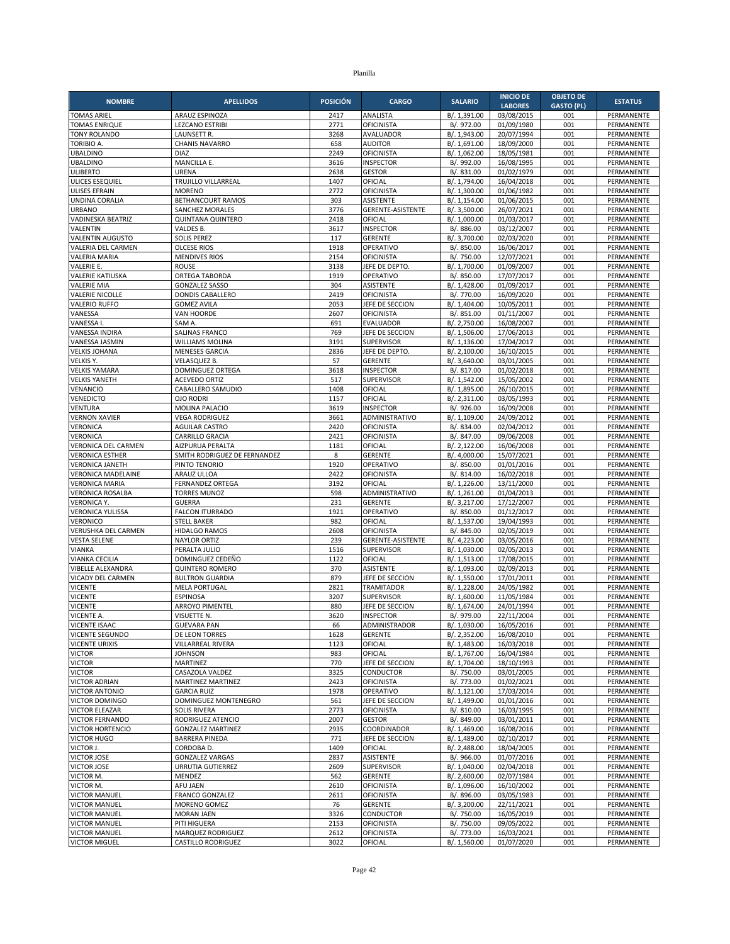| <b>NOMBRE</b>                                    | <b>APELLIDOS</b>                                  | <b>POSICIÓN</b> | <b>CARGO</b>                           | <b>SALARIO</b>               | <b>INICIO DE</b>             | <b>OBJETO DE</b>         | <b>ESTATUS</b>           |
|--------------------------------------------------|---------------------------------------------------|-----------------|----------------------------------------|------------------------------|------------------------------|--------------------------|--------------------------|
| <b>TOMAS ARIEL</b>                               | <b>ARAUZ ESPINOZA</b>                             | 2417            | ANALISTA                               | B/. 1,391.00                 | <b>LABORES</b><br>03/08/2015 | <b>GASTO (PL)</b><br>001 | PERMANENTE               |
| <b>TOMAS ENRIQUE</b>                             | <b>LEZCANO ESTRIBI</b>                            | 2771            | <b>OFICINISTA</b>                      | B/. 972.00                   | 01/09/1980                   | 001                      | PERMANENTE               |
| <b>TONY ROLANDO</b>                              | LAUNSETT R.                                       | 3268            | AVALUADOR                              | B/. 1,943.00                 | 20/07/1994                   | 001                      | PERMANENTE               |
| TORIBIO A.                                       | <b>CHANIS NAVARRO</b>                             | 658             | <b>AUDITOR</b>                         | B/. 1,691.00                 | 18/09/2000                   | 001                      | PERMANENTE               |
| <b>UBALDINO</b>                                  | <b>DIAZ</b>                                       | 2249            | <b>OFICINISTA</b>                      | B/. 1,062.00                 | 18/05/1981                   | 001                      | PERMANENTE               |
| <b>UBALDINO</b>                                  | MANCILLA E.                                       | 3616            | <b>INSPECTOR</b>                       | B/. 992.00                   | 16/08/1995                   | 001                      | PERMANENTE               |
| <b>ULIBERTO</b>                                  | URENA                                             | 2638            | <b>GESTOR</b>                          | B/. 831.00                   | 01/02/1979                   | 001                      | PERMANENTE               |
| ULICES ESEQUIEL<br><b>ULISES EFRAIN</b>          | TRUJILLO VILLARREAL<br><b>MORENO</b>              | 1407<br>2772    | OFICIAL<br>OFICINISTA                  | B/. 1,794.00<br>B/. 1,300.00 | 16/04/2018<br>01/06/1982     | 001<br>001               | PERMANENTE<br>PERMANENTE |
| UNDINA CORALIA                                   | BETHANCOURT RAMOS                                 | 303             | ASISTENTE                              | B/. 1,154.00                 | 01/06/2015                   | 001                      | PERMANENTE               |
| <b>URBANO</b>                                    | <b>SANCHEZ MORALES</b>                            | 3776            | GERENTE-ASISTENTE                      | B/. 3,500.00                 | 26/07/2021                   | 001                      | PERMANENTE               |
| <b>VADINESKA BEATRIZ</b>                         | QUINTANA QUINTERO                                 | 2418            | OFICIAL                                | B/. 1,000.00                 | 01/03/2017                   | 001                      | PERMANENTE               |
| VALENTIN                                         | VALDES B.                                         | 3617            | <b>INSPECTOR</b>                       | B/. 886.00                   | 03/12/2007                   | 001                      | PERMANENTE               |
| <b>VALENTIN AUGUSTO</b>                          | <b>SOLIS PEREZ</b>                                | 117             | <b>GERENTE</b>                         | B/. 3,700.00                 | 02/03/2020                   | 001                      | PERMANENTE               |
| VALERIA DEL CARMEN                               | <b>OLCESE RIOS</b>                                | 1918            | OPERATIVO                              | B/. 850.00                   | 16/06/2017                   | 001                      | PERMANENTE               |
| <b>VALERIA MARIA</b>                             | <b>MENDIVES RIOS</b>                              | 2154            | <b>OFICINISTA</b>                      | B/. 750.00                   | 12/07/2021                   | 001                      | PERMANENTE               |
| VALERIE E.<br><b>VALERIE KATIUSKA</b>            | <b>ROUSE</b><br>ORTEGA TABORDA                    | 3138<br>1919    | JEFE DE DEPTO.<br>OPERATIVO            | B/. 1,700.00<br>B/. 850.00   | 01/09/2007<br>17/07/2017     | 001<br>001               | PERMANENTE<br>PERMANENTE |
| <b>VALERIE MIA</b>                               | <b>GONZALEZ SASSO</b>                             | 304             | <b>ASISTENTE</b>                       | B/. 1,428.00                 | 01/09/2017                   | 001                      | PERMANENTE               |
| <b>VALERIE NICOLLE</b>                           | DONDIS CABALLERO                                  | 2419            | <b>OFICINISTA</b>                      | B/. 770.00                   | 16/09/2020                   | 001                      | PERMANENTE               |
| <b>VALERIO RUFFO</b>                             | <b>GOMEZ AVILA</b>                                | 2053            | JEFE DE SECCION                        | B/. 1,404.00                 | 10/05/2011                   | 001                      | PERMANENTE               |
| VANESSA                                          | VAN HOORDE                                        | 2607            | <b>OFICINISTA</b>                      | B/. 851.00                   | 01/11/2007                   | 001                      | PERMANENTE               |
| VANESSA I.                                       | SAM A.                                            | 691             | <b>EVALUADOR</b>                       | B/. 2,750.00                 | 16/08/2007                   | 001                      | PERMANENTE               |
| <b>VANESSA INDIRA</b>                            | <b>SALINAS FRANCO</b>                             | 769             | JEFE DE SECCION                        | B/. 1,506.00                 | 17/06/2013                   | 001                      | PERMANENTE               |
| <b>VANESSA JASMIN</b>                            | <b>WILLIAMS MOLINA</b>                            | 3191            | <b>SUPERVISOR</b>                      | B/. 1,136.00                 | 17/04/2017                   | 001                      | PERMANENTE               |
| <b>VELKIS JOHANA</b><br>VELKIS Y.                | <b>MENESES GARCIA</b><br><b>VELASQUEZ B.</b>      | 2836<br>57      | JEFE DE DEPTO                          | B/. 2,100.00                 | 16/10/2015                   | 001                      | PERMANENTE               |
| <b>VELKIS YAMARA</b>                             | DOMINGUEZ ORTEGA                                  | 3618            | <b>GERENTE</b><br><b>INSPECTOR</b>     | B/. 3,640.00<br>B/. 817.00   | 03/01/2005<br>01/02/2018     | 001<br>001               | PERMANENTE<br>PERMANENTE |
| <b>VELKIS YANETH</b>                             | <b>ACEVEDO ORTIZ</b>                              | 517             | SUPERVISOR                             | B/. 1,542.00                 | 15/05/2002                   | 001                      | PERMANENTE               |
| VENANCIO                                         | CABALLERO SAMUDIO                                 | 1408            | OFICIAL                                | B/. 1,895.00                 | 26/10/2015                   | 001                      | PERMANENTE               |
| <b>VENEDICTO</b>                                 | <b>OJO RODRI</b>                                  | 1157            | OFICIAL                                | B/. 2,311.00                 | 03/05/1993                   | 001                      | PERMANENTE               |
| <b>VENTURA</b>                                   | <b>MOLINA PALACIO</b>                             | 3619            | <b>INSPECTOR</b>                       | B/. 926.00                   | 16/09/2008                   | 001                      | PERMANENTE               |
| <b>VERNON XAVIER</b>                             | <b>VEGA RODRIGUEZ</b>                             | 3661            | ADMINISTRATIVO                         | B/. 1,109.00                 | 24/09/2012                   | 001                      | PERMANENTE               |
| VERONICA                                         | <b>AGUILAR CASTRO</b>                             | 2420            | <b>OFICINISTA</b>                      | B/. 834.00                   | 02/04/2012                   | 001                      | PERMANENTE               |
| VERONICA                                         | CARRILLO GRACIA                                   | 2421            | <b>OFICINISTA</b>                      | B/. 847.00                   | 09/06/2008                   | 001                      | PERMANENTE               |
| VERONICA DEL CARMEN                              | AIZPURUA PERALTA<br>SMITH RODRIGUEZ DE FERNANDEZ  | 1181<br>8       | OFICIAL                                | B/. 2,122.00<br>B/. 4,000.00 | 16/06/2008                   | 001<br>001               | PERMANENTE               |
| <b>VERONICA ESTHER</b><br><b>VERONICA JANETH</b> | PINTO TENORIO                                     | 1920            | <b>GERENTE</b><br>OPERATIVO            | B/. 850.00                   | 15/07/2021<br>01/01/2016     | 001                      | PERMANENTE<br>PERMANENTE |
| <b>VERONICA MADELAINE</b>                        | ARAUZ ULLOA                                       | 2422            | <b>OFICINISTA</b>                      | B/. 814.00                   | 16/02/2018                   | 001                      | PERMANENTE               |
| <b>VERONICA MARIA</b>                            | <b>FERNANDEZ ORTEGA</b>                           | 3192            | OFICIAL                                | B/. 1,226.00                 | 13/11/2000                   | 001                      | PERMANENTE               |
| <b>VERONICA ROSALBA</b>                          | <b>TORRES MUNOZ</b>                               | 598             | ADMINISTRATIVO                         | B/. 1,261.00                 | 01/04/2013                   | 001                      | PERMANENTE               |
| <b>VERONICA Y.</b>                               | <b>GUERRA</b>                                     | 231             | <b>GERENTE</b>                         | B/. 3,217.00                 | 17/12/2007                   | 001                      | PERMANENTE               |
| <b>VERONICA YULISSA</b>                          | <b>FALCON ITURRADO</b>                            | 1921            | OPERATIVO                              | B/. 850.00                   | 01/12/2017                   | 001                      | PERMANENTE               |
| <b>VERONICO</b>                                  | <b>STELL BAKER</b>                                | 982             | OFICIAL                                | B/. 1,537.00                 | 19/04/1993                   | 001                      | PERMANENTE               |
| VERUSHKA DEL CARMEN                              | <b>HIDALGO RAMOS</b>                              | 2608            | <b>OFICINISTA</b>                      | B/. 845.00                   | 02/05/2019                   | 001                      | <b>PERMANENTE</b>        |
| <b>VESTA SELENE</b><br><b>VIANKA</b>             | <b>NAYLOR ORTIZ</b><br>PERALTA JULIO              | 239<br>1516     | GERENTE-ASISTENTE<br>SUPERVISOR        | B/. 4,223.00<br>B/. 1,030.00 | 03/05/2016<br>02/05/2013     | 001<br>001               | PERMANENTE<br>PERMANENTE |
| VIANKA CECILIA                                   | DOMINGUEZ CEDEÑO                                  | 1122            | OFICIAL                                | B/. 1,513.00                 | 17/08/2015                   | 001                      | PERMANENTE               |
| VIBELLE ALEXANDRA                                | <b>QUINTERO ROMERO</b>                            | 370             | ASISTENTE                              | B/. 1,093.00                 | 02/09/2013                   | 001                      | PERMANENTE               |
| VICADY DEL CARMEN                                | <b>BULTRON GUARDIA</b>                            | 879             | JEFE DE SECCION                        | B/. 1,550.00                 | 17/01/2011                   | 001                      | PERMANENTE               |
| <b>VICENTE</b>                                   | <b>MELA PORTUGAL</b>                              | 2821            | <b>TRAMITADOR</b>                      | B/. 1,228.00                 | 24/05/1982                   | 001                      | PERMANENTE               |
| <b>VICENTE</b>                                   | <b>ESPINOSA</b>                                   | 3207            | <b>SUPERVISOR</b>                      | B/. 1.600.00                 | 11/05/1984                   | 001                      | PERMANENTE               |
| <b>VICENTE</b>                                   | ARROYO PIMENTEL                                   | 880             | JEFE DE SECCION                        | B/. 1,674.00                 | 24/01/1994                   | 001                      | PERMANENTE               |
| VICENTE A.                                       | VISUETTE N.                                       | 3620            | <b>INSPECTOR</b>                       | B/. 979.00                   | 22/11/2004                   | 001                      | PERMANENTE               |
| <b>VICENTE ISAAC</b><br><b>VICENTE SEGUNDO</b>   | GUEVARA PAN<br>DE LEON TORRES                     | 66<br>1628      | ADMINISTRADOR<br><b>GERENTE</b>        | B/. 1,030.00<br>B/. 2,352.00 | 16/05/2016<br>16/08/2010     | 001<br>001               | PERMANENTE<br>PERMANENTE |
| <b>VICENTE URIXIS</b>                            | VILLARREAL RIVERA                                 | 1123            | OFICIAL                                | B/. 1,483.00                 | 16/03/2018                   | 001                      | PERMANENTE               |
| <b>VICTOR</b>                                    | <b>JOHNSON</b>                                    | 983             | OFICIAL                                | B/. 1,767.00                 | 16/04/1984                   | 001                      | PERMANENTE               |
| <b>VICTOR</b>                                    | <b>MARTINEZ</b>                                   | 770             | JEFE DE SECCION                        | B/. 1,704.00                 | 18/10/1993                   | 001                      | PERMANENTE               |
| <b>VICTOR</b>                                    | CASAZOLA VALDEZ                                   | 3325            | CONDUCTOR                              | B/. 750.00                   | 03/01/2005                   | 001                      | PERMANENTE               |
| <b>VICTOR ADRIAN</b>                             | MARTINEZ MARTINEZ                                 | 2423            | <b>OFICINISTA</b>                      | B/. 773.00                   | 01/02/2021                   | 001                      | PERMANENTE               |
| <b>VICTOR ANTONIO</b>                            | <b>GARCIA RUIZ</b>                                | 1978            | OPERATIVO                              | B/. 1,121.00                 | 17/03/2014                   | 001                      | PERMANENTE               |
| VICTOR DOMINGO                                   | DOMINGUEZ MONTENEGRO                              | 561             | JEFE DE SECCION                        | B/. 1,499.00                 | 01/01/2016                   | 001                      | PERMANENTE               |
| VICTOR ELEAZAR                                   | <b>SOLIS RIVERA</b>                               | 2773            | <b>OFICINISTA</b>                      | B/. 810.00                   | 16/03/1995                   | 001                      | PERMANENTE               |
| <b>VICTOR FERNANDO</b>                           | RODRIGUEZ ATENCIO                                 | 2007<br>2935    | <b>GESTOR</b>                          | B/. 849.00                   | 03/01/2011<br>16/08/2016     | 001                      | PERMANENTE               |
| <b>VICTOR HORTENCIO</b><br>VICTOR HUGO           | <b>GONZALEZ MARTINEZ</b><br><b>BARRERA PINEDA</b> | 771             | COORDINADOR<br>JEFE DE SECCION         | B/. 1,469.00<br>B/. 1,489.00 | 02/10/2017                   | 001<br>001               | PERMANENTE<br>PERMANENTE |
| VICTOR J.                                        | CORDOBA D.                                        | 1409            | OFICIAL                                | B/. 2,488.00                 | 18/04/2005                   | 001                      | PERMANENTE               |
| VICTOR JOSE                                      | <b>GONZALEZ VARGAS</b>                            | 2837            | ASISTENTE                              | B/. 966.00                   | 01/07/2016                   | 001                      | PERMANENTE               |
| <b>VICTOR JOSE</b>                               | URRUTIA GUTIERREZ                                 | 2609            | SUPERVISOR                             | B/. 1,040.00                 | 02/04/2018                   | 001                      | PERMANENTE               |
| VICTOR M.                                        | MENDEZ                                            | 562             | <b>GERENTE</b>                         | B/. 2,600.00                 | 02/07/1984                   | 001                      | PERMANENTE               |
| VICTOR M.                                        | AFU JAEN                                          | 2610            | <b>OFICINISTA</b>                      | B/. 1,096.00                 | 16/10/2002                   | 001                      | PERMANENTE               |
| <b>VICTOR MANUEL</b>                             | FRANCO GONZALEZ                                   | 2611            | OFICINISTA                             | B/. 896.00                   | 03/05/1983                   | 001                      | PERMANENTE               |
| <b>VICTOR MANUEL</b>                             | MORENO GOMEZ                                      | 76              | <b>GERENTE</b>                         | B/. 3,200.00                 | 22/11/2021                   | 001                      | PERMANENTE               |
| <b>VICTOR MANUEL</b>                             | <b>MORAN JAEN</b>                                 | 3326            | CONDUCTOR                              | B/. 750.00                   | 16/05/2019                   | 001                      | PERMANENTE               |
| <b>VICTOR MANUEL</b><br><b>VICTOR MANUEL</b>     | PITI HIGUERA<br>MARQUEZ RODRIGUEZ                 | 2153<br>2612    | <b>OFICINISTA</b><br><b>OFICINISTA</b> | B/. 750.00<br>B/. 773.00     | 09/05/2022<br>16/03/2021     | 001<br>001               | PERMANENTE<br>PERMANENTE |
| <b>VICTOR MIGUEL</b>                             | CASTILLO RODRIGUEZ                                | 3022            | OFICIAL                                | B/. 1,560.00                 | 01/07/2020                   | 001                      | PERMANENTE               |
|                                                  |                                                   |                 |                                        |                              |                              |                          |                          |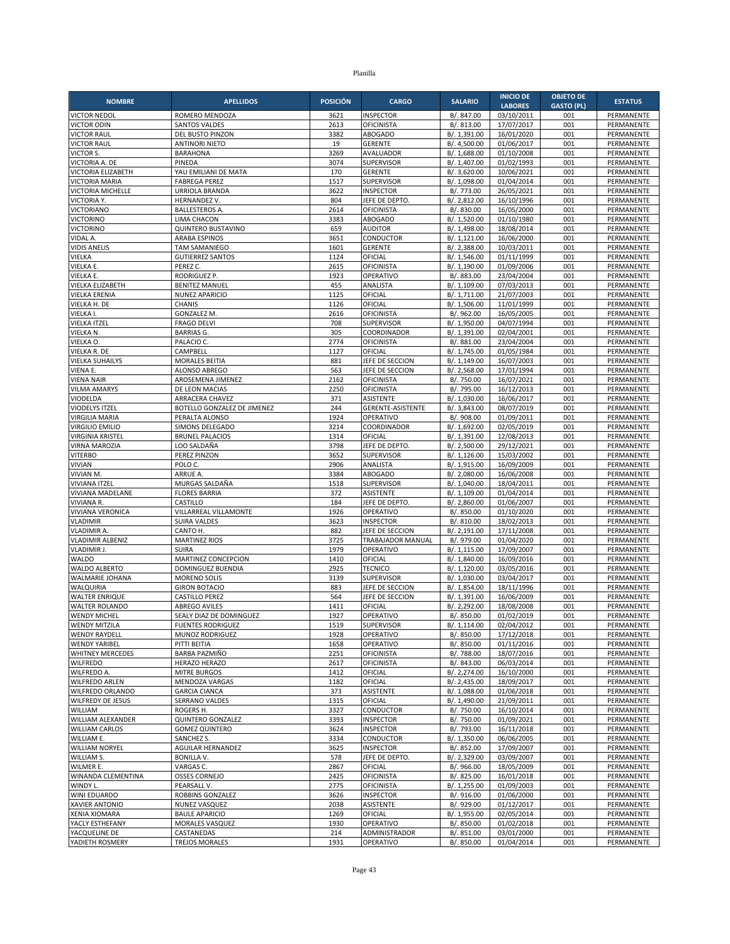| <b>NOMBRE</b>                         | <b>APELLIDOS</b>                      | <b>POSICIÓN</b> | <b>CARGO</b>                        | <b>SALARIO</b>               | <b>INICIO DE</b><br><b>LABORES</b> | <b>OBJETO DE</b><br><b>GASTO (PL)</b> | <b>ESTATUS</b>                  |
|---------------------------------------|---------------------------------------|-----------------|-------------------------------------|------------------------------|------------------------------------|---------------------------------------|---------------------------------|
| <b>VICTOR NEDOL</b>                   | ROMERO MENDOZA                        | 3621            | <b>INSPECTOR</b>                    | B/. 847.00                   | 03/10/2011                         | 001                                   | PERMANENTE                      |
| <b>VICTOR ODIN</b>                    | <b>SANTOS VALDES</b>                  | 2613            | OFICINISTA                          | B/. 813.00                   | 17/07/2017                         | 001                                   | PERMANENTE                      |
| <b>VICTOR RAUL</b>                    | DEL BUSTO PINZON                      | 3382            | <b>ABOGADO</b>                      | B/. 1,391.00                 | 16/01/2020                         | 001                                   | PERMANENTE                      |
| <b>VICTOR RAUL</b>                    | <b>ANTINORI NIETO</b>                 | 19              | <b>GERENTE</b>                      | B/. 4,500.00                 | 01/06/2017                         | 001                                   | PERMANENTE                      |
| VICTOR S.                             | <b>BARAHONA</b>                       | 3269            | AVALUADOR                           | B/. 1,688.00                 | 01/10/2008                         | 001                                   | PERMANENTE                      |
| VICTORIA A. DE                        | PINEDA                                | 3074            | <b>SUPERVISOR</b>                   | B/. 1,407.00                 | 01/02/1993                         | 001                                   | PERMANENTE                      |
| VICTORIA ELIZABETH                    | YAU EMILIANI DE MATA                  | 170             | <b>GERENTE</b>                      | B/. 3,620.00                 | 10/06/2021                         | 001                                   | PERMANENTE                      |
| <b>VICTORIA MARIA</b>                 | <b>FABREGA PEREZ</b>                  | 1517            | <b>SUPERVISOR</b>                   | B/. 1,098.00                 | 01/04/2014                         | 001                                   | PERMANENTE                      |
| VICTORIA MICHELLE                     | URRIOLA BRANDA                        | 3622<br>804     | <b>INSPECTOR</b>                    | B/. 773.00                   | 26/05/2021                         | 001<br>001                            | PERMANENTE                      |
| VICTORIA Y.<br><b>VICTORIANO</b>      | HERNANDEZ V.<br><b>BALLESTEROS A</b>  | 2614            | JEFE DE DEPTO.<br><b>OFICINISTA</b> | B/. 2,812.00<br>B/. 830.00   | 16/10/1996<br>16/05/2000           | 001                                   | PERMANENTE<br>PERMANENTE        |
| <b>VICTORINO</b>                      | LIMA CHACON                           | 3383            | <b>ABOGADO</b>                      | B/. 1,520.00                 | 01/10/1980                         | 001                                   | PERMANENTE                      |
| <b>VICTORINO</b>                      | <b>QUINTERO BUSTAVINO</b>             | 659             | <b>AUDITOR</b>                      | B/. 1,498.00                 | 18/08/2014                         | 001                                   | PERMANENTE                      |
| VIDAL A.                              | <b>ARABA ESPINOS</b>                  | 3651            | <b>CONDUCTOR</b>                    | B/. 1,121.00                 | 16/06/2000                         | 001                                   | PERMANENTE                      |
| <b>VIDIS ANELIS</b>                   | <b>TAM SAMANIEGO</b>                  | 1601            | <b>GERENTE</b>                      | B/. 2,388.00                 | 10/03/2011                         | 001                                   | PERMANENTE                      |
| VIELKA                                | <b>GUTIERREZ SANTOS</b>               | 1124            | OFICIAL                             | B/. 1,546.00                 | 01/11/1999                         | 001                                   | PERMANENTE                      |
| VIELKA E.                             | PEREZ C.                              | 2615            | OFICINISTA                          | B/. 1,190.00                 | 01/09/2006                         | 001                                   | PERMANENTE                      |
| VIELKA E.                             | RODRIGUEZ P.                          | 1923            | OPERATIVO                           | B/. 883.00                   | 23/04/2004                         | 001                                   | PERMANENTE                      |
| VIELKA ELIZABETH                      | <b>BENITEZ MANUEL</b>                 | 455             | ANALISTA                            | B/. 1,109.00                 | 07/03/2013                         | 001                                   | PERMANENTE                      |
| VIELKA ERENIA                         | <b>NUNEZ APARICIO</b>                 | 1125            | OFICIAL                             | B/. 1,711.00                 | 21/07/2003                         | 001                                   | PERMANENTE                      |
| VIELKA H. DE                          | CHANIS                                | 1126            | OFICIAL                             | B/. 1,506.00                 | 11/01/1999                         | 001                                   | PERMANENTE                      |
| VIELKA I.                             | GONZALEZ M.                           | 2616            | <b>OFICINISTA</b>                   | B/. 962.00                   | 16/05/2005                         | 001                                   | PERMANENTE                      |
| <b>VIELKA ITZEL</b>                   | <b>FRAGO DELVI</b>                    | 708             | <b>SUPERVISOR</b>                   | B/. 1,950.00                 | 04/07/1994                         | 001                                   | PERMANENTE                      |
| VIELKA N.                             | <b>BARRIAS G.</b>                     | 305             | COORDINADOR                         | B/. 1,391.00                 | 02/04/2001                         | 001                                   | PERMANENTE                      |
| VIELKA O.                             | PALACIO C.                            | 2774            | <b>OFICINISTA</b>                   | B/. 881.00                   | 23/04/2004                         | 001                                   | PERMANENTE                      |
| VIELKA R. DE                          | CAMPBELL<br><b>MORALES BEITIA</b>     | 1127            | OFICIAL<br>JEFE DE SECCION          | B/. 1,745.00                 | 01/05/1984                         | 001<br>001                            | PERMANENTE                      |
| <b>VIELKA SUHAILYS</b><br>VIENA E.    | ALONSO ABREGO                         | 881<br>563      | JEFE DE SECCION                     | B/. 1,149.00<br>B/. 2,568.00 | 16/07/2003<br>17/01/1994           | 001                                   | PERMANENTE<br><b>PERMANENTE</b> |
| <b>VIENA NAIR</b>                     | AROSEMENA JIMENEZ                     | 2162            | <b>OFICINISTA</b>                   | B/. 750.00                   | 16/07/2021                         | 001                                   | PERMANENTE                      |
| <b>VILMA AMARYS</b>                   | DE LEON MACIAS                        | 2250            | <b>OFICINISTA</b>                   | B/. 795.00                   | 16/12/2013                         | 001                                   | PERMANENTE                      |
| VIODELDA                              | ARRACERA CHAVEZ                       | 371             | <b>ASISTENTE</b>                    | B/. 1,030.00                 | 16/06/2017                         | 001                                   | PERMANENTE                      |
| VIODELYS ITZEL                        | BOTELLO GONZALEZ DE JIMENEZ           | 244             | GERENTE-ASISTENTE                   | B/. 3,843.00                 | 08/07/2019                         | 001                                   | PERMANENTE                      |
| <b>VIRGILIA MARIA</b>                 | PERALTA ALONSO                        | 1924            | OPERATIVO                           | B/. 908.00                   | 01/09/2011                         | 001                                   | PERMANENTE                      |
| <b>VIRGILIO EMILIO</b>                | SIMONS DELEGADO                       | 3214            | COORDINADOR                         | B/. 1,692.00                 | 02/05/2019                         | 001                                   | PERMANENTE                      |
| <b>VIRGINIA KRISTEL</b>               | <b>BRUNEL PALACIOS</b>                | 1314            | OFICIAL                             | B/. 1,391.00                 | 12/08/2013                         | 001                                   | PERMANENTE                      |
| VIRNA MAROZIA                         | LOO SALDAÑA                           | 3798            | JEFE DE DEPTO                       | B/. 2,500.00                 | 29/12/2021                         | 001                                   | PERMANENTE                      |
| <b>VITERBO</b>                        | PEREZ PINZON                          | 3652            | <b>SUPERVISOR</b>                   | B/. 1,126.00                 | 15/03/2002                         | 001                                   | PERMANENTE                      |
| <b>VIVIAN</b>                         | POLO C.                               | 2906            | ANALISTA                            | B/. 1,915.00                 | 16/09/2009                         | 001                                   | PERMANENTE                      |
| VIVIAN M.                             | ARRUE A.                              | 3384            | <b>ABOGADO</b>                      | B/. 2,080.00                 | 16/06/2008                         | 001                                   | PERMANENTE                      |
| <b>VIVIANA ITZEL</b>                  | MURGAS SALDAÑA                        | 1518            | SUPERVISOR                          | B/. 1,040.00                 | 18/04/2011                         | 001                                   | PERMANENTE                      |
| VIVIANA MADELANE                      | <b>FLORES BARRIA</b>                  | 372             | <b>ASISTENTE</b>                    | B/. 1,109.00                 | 01/04/2014                         | 001                                   | PERMANENTE                      |
| VIVIANA R.                            | CASTILLO                              | 184             | JEFE DE DEPTO.                      | B/. 2,860.00                 | 01/06/2007                         | 001                                   | PERMANENTE                      |
| VIVIANA VERONICA                      | VILLARREAL VILLAMONTE                 | 1926<br>3623    | OPERATIVO                           | B/. 850.00                   | 01/10/2020                         | 001<br>001                            | PERMANENTE                      |
| <b>VLADIMIR</b><br><b>VLADIMIR A.</b> | <b>SUIRA VALDES</b><br>CANTO H.       | 882             | <b>INSPECTOR</b><br>JEFE DE SECCION | B/. 810.00<br>B/. 2,191.00   | 18/02/2013<br>17/11/2008           | 001                                   | PERMANENTE<br>PERMANENTE        |
| <b>VLADIMIR ALBENIZ</b>               | <b>MARTINEZ RIOS</b>                  | 3725            | TRABAJADOR MANUAL                   | B/. 979.00                   | 01/04/2020                         | 001                                   | PERMANENTE                      |
| <b>VLADIMIR J.</b>                    | <b>SUIRA</b>                          | 1979            | OPERATIVO                           | B/. 1,115.00                 | 17/09/2007                         | 001                                   | PERMANENTE                      |
| <b>WALDO</b>                          | MARTINEZ CONCEPCION                   | 1410            | OFICIAL                             | B/. 1,840.00                 | 16/09/2016                         | 001                                   | PERMANENTE                      |
| WALDO ALBERTO                         | DOMINGUEZ BUENDIA                     | 2925            | <b>TECNICO</b>                      | B/. 1,120.00                 | 03/05/2016                         | 001                                   | PERMANENTE                      |
| WALMARIE JOHANA                       | <b>MORENO SOLIS</b>                   | 3139            | SUPERVISOR                          | B/. 1,030.00                 | 03/04/2017                         | 001                                   | PERMANENTE                      |
| WALQUIRIA                             | <b>GIRON BOTACIO</b>                  | 883             | JEFE DE SECCION                     | B/. 1,854.00                 | 18/11/1996                         | 001                                   | PERMANENTE                      |
| <b>WALTER ENRIQUE</b>                 | <b>CASTILLO PEREZ</b>                 | 564             | JEFE DE SECCION                     | B/. 1,391.00                 | 16/06/2009                         | 001                                   | PERMANENTE                      |
| <b>WALTER ROLANDO</b>                 | ABREGO AVILES                         | 1411            | OFICIAL                             | B/. 2,292.00                 | 18/08/2008                         | 001                                   | PERMANENTE                      |
| <b>WENDY MICHEL</b>                   | SEALY DIAZ DE DOMINGUEZ               | 1927            | OPERATIVO                           | B/. 850.00                   | 01/02/2019                         | 001                                   | PERMANENTE                      |
| <b>WENDY MITZILA</b>                  | <b>FUENTES RODRIGUEZ</b>              | 1519            | <b>SUPERVISOR</b>                   | B/. 1,114.00                 | 02/04/2012                         | 001                                   | PERMANENTE                      |
| <b>WENDY RAYDELL</b>                  | MUNOZ RODRIGUEZ                       | 1928            | OPERATIVO                           | B/. 850.00                   | 17/12/2018                         | 001                                   | PERMANENTE                      |
| <b>WENDY YARIBEL</b>                  | PITTI BEITIA                          | 1658            | OPERATIVO                           | B/. 850.00                   | 01/11/2016                         | 001                                   | PERMANENTE                      |
| <b>WHITNEY MERCEDES</b>               | BARBA PAZMIÑO                         | 2251            | <b>OFICINISTA</b>                   | B/. 788.00                   | 18/07/2016                         | 001                                   | PERMANENTE                      |
| <b>WILFREDO</b><br>WILFREDO A.        | HERAZO HERAZO                         | 2617<br>1412    | <b>OFICINISTA</b><br>OFICIAL        | B/. 843.00<br>B/. 2,274.00   | 06/03/2014<br>16/10/2000           | 001                                   | PERMANENTE                      |
| <b>WILFREDO ARLEN</b>                 | <b>MITRE BURGOS</b><br>MENDOZA VARGAS | 1182            | OFICIAL                             | B/. 2,435.00                 | 18/09/2017                         | 001<br>001                            | PERMANENTE<br>PERMANENTE        |
| WILFREDO ORLANDO                      | <b>GARCIA CIANCA</b>                  | 373             | ASISTENTE                           | B/. 1,088.00                 | 01/06/2018                         | 001                                   | PERMANENTE                      |
| WILFREDY DE JESUS                     | SERRANO VALDES                        | 1315            | OFICIAL                             | B/. 1,490.00                 | 21/09/2011                         | 001                                   | PERMANENTE                      |
| WILLIAM                               | ROGERS H.                             | 3327            | CONDUCTOR                           | B/. 750.00                   | 16/10/2014                         | 001                                   | PERMANENTE                      |
| WILLIAM ALEXANDER                     | QUINTERO GONZALEZ                     | 3393            | <b>INSPECTOR</b>                    | B/. 750.00                   | 01/09/2021                         | 001                                   | PERMANENTE                      |
| <b>WILLIAM CARLOS</b>                 | <b>GOMEZ QUINTERO</b>                 | 3624            | <b>INSPECTOR</b>                    | B/. 793.00                   | 16/11/2018                         | 001                                   | PERMANENTE                      |
| WILLIAM E.                            | SANCHEZ S.                            | 3334            | CONDUCTOR                           | B/. 1,350.00                 | 06/06/2005                         | 001                                   | PERMANENTE                      |
| <b>WILLIAM NORYEL</b>                 | <b>AGUILAR HERNANDEZ</b>              | 3625            | <b>INSPECTOR</b>                    | B/. 852.00                   | 17/09/2007                         | 001                                   | PERMANENTE                      |
| WILLIAM S.                            | <b>BONILLA V.</b>                     | 578             | JEFE DE DEPTO.                      | B/. 2,329.00                 | 03/09/2007                         | 001                                   | PERMANENTE                      |
| WILMER E.                             | VARGAS C.                             | 2867            | OFICIAL                             | B/. 966.00                   | 18/05/2009                         | 001                                   | PERMANENTE                      |
| WINANDA CLEMENTINA                    | <b>OSSES CORNEJO</b>                  | 2425            | <b>OFICINISTA</b>                   | B/. 825.00                   | 16/01/2018                         | 001                                   | PERMANENTE                      |
| WINDY L.                              | PEARSALL V.                           | 2775            | <b>OFICINISTA</b>                   | B/. 1,255.00                 | 01/09/2003                         | 001                                   | PERMANENTE                      |
| WINI EDUARDO                          | ROBBINS GONZALEZ                      | 3626            | INSPECTOR                           | B/. 916.00                   | 01/06/2000                         | 001                                   | PERMANENTE                      |
| <b>XAVIER ANTONIO</b>                 | NUNEZ VASQUEZ                         | 2038            | ASISTENTE                           | B/. 929.00                   | 01/12/2017                         | 001                                   | PERMANENTE                      |
| <b>XENIA XIOMARA</b>                  | <b>BAULE APARICIO</b>                 | 1269            | OFICIAL                             | B/. 1,955.00                 | 02/05/2014                         | 001                                   | PERMANENTE                      |
| YACLY ESTHEFANY<br>YACQUELINE DE      | MORALES VASQUEZ<br>CASTANEDAS         | 1930<br>214     | OPERATIVO<br>ADMINISTRADOR          | B/. 850.00                   | 01/02/2018<br>03/01/2000           | 001<br>001                            | PERMANENTE<br>PERMANENTE        |
| YADIETH ROSMERY                       | TREJOS MORALES                        | 1931            | OPERATIVO                           | B/. 851.00<br>B/. 850.00     | 01/04/2014                         | 001                                   | PERMANENTE                      |
|                                       |                                       |                 |                                     |                              |                                    |                                       |                                 |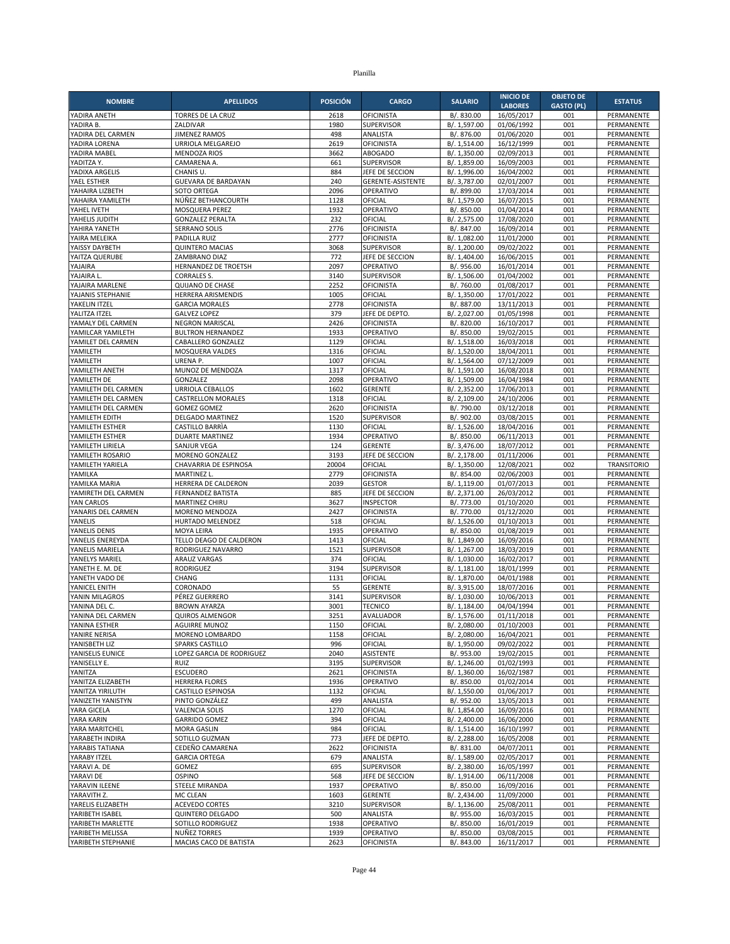| <b>NOMBRE</b>                     | <b>APELLIDOS</b>                             | <b>POSICIÓN</b> | <b>CARGO</b>                        | <b>SALARIO</b>               | <b>INICIO DE</b>             | <b>OBJETO DE</b>         | <b>ESTATUS</b>                  |
|-----------------------------------|----------------------------------------------|-----------------|-------------------------------------|------------------------------|------------------------------|--------------------------|---------------------------------|
| YADIRA ANETH                      | TORRES DE LA CRUZ                            | 2618            | <b>OFICINISTA</b>                   | B/. 830.00                   | <b>LABORES</b><br>16/05/2017 | <b>GASTO (PL)</b><br>001 | PERMANENTE                      |
| YADIRA B.                         | ZALDIVAR                                     | 1980            | SUPERVISOR                          | B/. 1,597.00                 | 01/06/1992                   | 001                      | PERMANENTE                      |
| YADIRA DEL CARMEN                 | <b>JIMENEZ RAMOS</b>                         | 498             | ANALISTA                            | B/. 876.00                   | 01/06/2020                   | 001                      | PERMANENTE                      |
| YADIRA LORENA                     | URRIOLA MELGAREJO                            | 2619            | <b>OFICINISTA</b>                   | B/. 1,514.00                 | 16/12/1999                   | 001                      | PERMANENTE                      |
| YADIRA MABEL                      | <b>MENDOZA RIOS</b>                          | 3662            | <b>ABOGADO</b>                      | B/. 1,350.00                 | 02/09/2013                   | 001                      | PERMANENTE                      |
| YADITZA Y.                        | CAMARENA A.                                  | 661             | <b>SUPERVISOR</b>                   | B/. 1,859.00                 | 16/09/2003                   | 001                      | PERMANENTE                      |
| YADIXA ARGELIS                    | CHANIS U.                                    | 884             | JEFE DE SECCION                     | B/. 1,996.00                 | 16/04/2002                   | 001                      | PERMANENTE                      |
| YAEL ESTHER<br>YAHAIRA LIZBETH    | GUEVARA DE BARDAYAN<br><b>SOTO ORTEGA</b>    | 240<br>2096     | GERENTE-ASISTENTE<br>OPERATIVO      | B/. 3,787.00<br>B/. 899.00   | 02/01/2007<br>17/03/2014     | 001<br>001               | PERMANENTE<br>PERMANENTE        |
| YAHAIRA YAMILETH                  | NÚÑEZ BETHANCOURTH                           | 1128            | OFICIAL                             | B/. 1,579.00                 | 16/07/2015                   | 001                      | PERMANENTE                      |
| YAHEL IVETH                       | MOSQUERA PEREZ                               | 1932            | OPERATIVO                           | B/. 850.00                   | 01/04/2014                   | 001                      | PERMANENTE                      |
| YAHELIS JUDITH                    | <b>GONZALEZ PERALTA</b>                      | 232             | OFICIAL                             | B/. 2,575.00                 | 17/08/2020                   | 001                      | PERMANENTE                      |
| YAHIRA YANETH                     | <b>SERRANO SOLIS</b>                         | 2776            | <b>OFICINISTA</b>                   | B/. 847.00                   | 16/09/2014                   | 001                      | PERMANENTE                      |
| YAIRA MELEIKA                     | PADILLA RUIZ                                 | 2777            | <b>OFICINISTA</b>                   | B/. 1,082.00                 | 11/01/2000                   | 001                      | PERMANENTE                      |
| YAISSY DAYBETH                    | <b>QUINTERO MACIAS</b>                       | 3068            | <b>SUPERVISOR</b>                   | B/. 1,200.00                 | 09/02/2022                   | 001                      | PERMANENTE                      |
| YAITZA QUERUBE<br>YAJAIRA         | ZAMBRANO DIAZ<br>HERNANDEZ DE TROETSH        | 772<br>2097     | JEFE DE SECCION<br>OPERATIVO        | B/. 1,404.00<br>B/. 956.00   | 16/06/2015<br>16/01/2014     | 001<br>001               | PERMANENTE<br>PERMANENTE        |
| YAJAIRA L                         | <b>CORRALES S.</b>                           | 3140            | SUPERVISOR                          | B/. 1,506.00                 | 01/04/2002                   | 001                      | PERMANENTE                      |
| YAJAIRA MARLENE                   | <b>QUIJANO DE CHASE</b>                      | 2252            | <b>OFICINISTA</b>                   | B/. 760.00                   | 01/08/2017                   | 001                      | PERMANENTE                      |
| YAJANIS STEPHANIE                 | HERRERA ARISMENDIS                           | 1005            | OFICIAL                             | B/. 1,350.00                 | 17/01/2022                   | 001                      | PERMANENTE                      |
| YAKELIN ITZEL                     | <b>GARCIA MORALES</b>                        | 2778            | <b>OFICINISTA</b>                   | B/. 887.00                   | 13/11/2013                   | 001                      | PERMANENTE                      |
| YALITZA ITZEL                     | <b>GALVEZ LOPEZ</b>                          | 379             | JEFE DE DEPTO.                      | B/. 2,027.00                 | 01/05/1998                   | 001                      | PERMANENTE                      |
| YAMALY DEL CARMEN                 | NEGRON MARISCAL                              | 2426            | <b>OFICINISTA</b>                   | B/. 820.00                   | 16/10/2017                   | 001                      | PERMANENTE                      |
| YAMILCAR YAMILETH                 | <b>BULTRON HERNANDEZ</b>                     | 1933<br>1129    | OPERATIVO<br>OFICIAL                | B/. 850.00                   | 19/02/2015<br>16/03/2018     | 001<br>001               | PERMANENTE<br>PERMANENTE        |
| YAMILET DEL CARMEN<br>YAMILETH    | CABALLERO GONZALEZ<br>MOSQUERA VALDES        | 1316            | OFICIAL                             | B/. 1,518.00<br>B/. 1,520.00 | 18/04/2011                   | 001                      | PERMANENTE                      |
| YAMILETH                          | URENA P.                                     | 1007            | OFICIAL                             | B/. 1,564.00                 | 07/12/2009                   | 001                      | PERMANENTE                      |
| YAMILETH ANETH                    | MUNOZ DE MENDOZA                             | 1317            | OFICIAL                             | B/. 1,591.00                 | 16/08/2018                   | 001                      | PERMANENTE                      |
| YAMILETH DE                       | GONZALEZ                                     | 2098            | OPERATIVO                           | B/. 1,509.00                 | 16/04/1984                   | 001                      | PERMANENTE                      |
| YAMILETH DEL CARMEN               | <b>URRIOLA CEBALLOS</b>                      | 1602            | <b>GERENTE</b>                      | B/. 2,352.00                 | 17/06/2013                   | 001                      | PERMANENTE                      |
| YAMILETH DEL CARMEN               | <b>CASTRELLON MORALES</b>                    | 1318            | OFICIAL                             | B/. 2,109.00                 | 24/10/2006                   | 001                      | PERMANENTE                      |
| YAMILETH DEL CARMEN               | <b>GOMEZ GOMEZ</b>                           | 2620            | <b>OFICINISTA</b>                   | B/. 790.00                   | 03/12/2018                   | 001                      | PERMANENTE                      |
| YAMILETH EDITH<br>YAMILETH ESTHER | <b>DELGADO MARTINEZ</b><br>CASTILLO BARRÍA   | 1520<br>1130    | <b>SUPERVISOR</b><br>OFICIAL        | B/. 902.00<br>B/. 1,526.00   | 03/08/2015<br>18/04/2016     | 001<br>001               | PERMANENTE<br><b>PERMANENTE</b> |
| YAMILETH ESTHER                   | <b>DUARTE MARTINEZ</b>                       | 1934            | OPERATIVO                           | B/. 850.00                   | 06/11/2013                   | 001                      | PERMANENTE                      |
| YAMILETH LIRIELA                  | SANJUR VEGA                                  | 124             | <b>GERENTE</b>                      | B/. 3,476.00                 | 18/07/2012                   | 001                      | PERMANENTE                      |
| YAMILETH ROSARIO                  | <b>MORENO GONZALEZ</b>                       | 3193            | JEFE DE SECCION                     | B/. 2,178.00                 | 01/11/2006                   | 001                      | PERMANENTE                      |
| YAMILETH YARIELA                  | CHAVARRIA DE ESPINOSA                        | 20004           | OFICIAL                             | B/. 1,350.00                 | 12/08/2021                   | 002                      | <b>TRANSITORIO</b>              |
| YAMILKA                           | MARTINEZ L.                                  | 2779            | <b>OFICINISTA</b>                   | B/. 854.00                   | 02/06/2003                   | 001                      | PERMANENTE                      |
| YAMILKA MARIA                     | HERRERA DE CALDERON                          | 2039<br>885     | <b>GESTOR</b>                       | B/. 1,119.00                 | 01/07/2013                   | 001                      | PERMANENTE                      |
| YAMIRETH DEL CARMEN<br>YAN CARLOS | <b>FERNANDEZ BATISTA</b><br>MARTINEZ CHIRU   | 3627            | JEFE DE SECCION<br><b>INSPECTOR</b> | B/. 2,371.00<br>B/. 773.00   | 26/03/2012<br>01/10/2020     | 001<br>001               | PERMANENTE<br>PERMANENTE        |
| YANARIS DEL CARMEN                | MORENO MENDOZA                               | 2427            | <b>OFICINISTA</b>                   | B/. 770.00                   | 01/12/2020                   | 001                      | PERMANENTE                      |
| YANELIS                           | HURTADO MELENDEZ                             | 518             | OFICIAL                             | B/. 1,526.00                 | 01/10/2013                   | 001                      | PERMANENTE                      |
| YANELIS DENIS                     | <b>MOYA LEIRA</b>                            | 1935            | OPERATIVO                           | B/. 850.00                   | 01/08/2019                   | 001                      | <b>PERMANENTE</b>               |
| YANELIS ENEREYDA                  | TELLO DEAGO DE CALDERON                      | 1413            | OFICIAL                             | B/. 1,849.00                 | 16/09/2016                   | 001                      | PERMANENTE                      |
| YANELIS MARIELA                   | RODRIGUEZ NAVARRO                            | 1521            | <b>SUPERVISOR</b>                   | B/. 1,267.00                 | 18/03/2019                   | 001                      | PERMANENTE                      |
| YANELYS MARIEL                    | <b>ARAUZ VARGAS</b>                          | 374             | OFICIAL                             | B/. 1,030.00                 | 16/02/2017                   | 001                      | PERMANENTE                      |
| YANETH E. M. DE<br>YANETH VADO DE | <b>RODRIGUEZ</b><br>CHANG                    | 3194<br>1131    | SUPERVISOR<br>OFICIAL               | B/. 1,181.00<br>B/. 1,870.00 | 18/01/1999<br>04/01/1988     | 001<br>001               | PERMANENTE<br>PERMANENTE        |
| YANICEL ENITH                     | CORONADO                                     | 55              | <b>GERENTE</b>                      | B/. 3,915.00                 | 18/07/2016                   | 001                      | PERMANENTE                      |
| YANIN MILAGROS                    | PÉREZ GUERRERO                               | 3141            | <b>SUPERVISOR</b>                   | B/. 1,030.00                 | 10/06/2013                   | 001                      | PERMANENTE                      |
| YANINA DEL C.                     | <b>BROWN AYARZA</b>                          | 3001            | <b>TECNICO</b>                      | B/. 1,184.00                 | 04/04/1994                   | 001                      | PERMANENTE                      |
| YANINA DEL CARMEN                 | <b>QUIROS ALMENGOR</b>                       | 3251            | AVALUADOR                           | B/. 1,576.00                 | 01/11/2018                   | 001                      | PERMANENTE                      |
| YANINA ESTHER                     | <b>AGUIRRE MUNOZ</b>                         | 1150            | OFICIAL                             | B/. 2,080.00                 | 01/10/2003                   | 001                      | PERMANENTE                      |
| YANIRE NERISA                     | MORENO LOMBARDO                              | 1158            | OFICIAL<br>OFICIAL                  | B/. 2,080.00<br>B/. 1,950.00 | 16/04/2021                   | 001                      | PERMANENTE                      |
| YANISBETH LIZ<br>YANISELIS EUNICE | SPARKS CASTILLO<br>LOPEZ GARCIA DE RODRIGUEZ | 996<br>2040     | <b>ASISTENTE</b>                    | B/. 953.00                   | 09/02/2022<br>19/02/2015     | 001<br>001               | PERMANENTE<br>PERMANENTE        |
| YANISELLY E.                      | RUIZ                                         | 3195            | SUPERVISOR                          | B/. 1,246.00                 | 01/02/1993                   | 001                      | PERMANENTE                      |
| YANITZA                           | <b>ESCUDERO</b>                              | 2621            | <b>OFICINISTA</b>                   | B/. 1,360.00                 | 16/02/1987                   | 001                      | PERMANENTE                      |
| YANITZA ELIZABETH                 | <b>HERRERA FLORES</b>                        | 1936            | OPERATIVO                           | B/. 850.00                   | 01/02/2014                   | 001                      | PERMANENTE                      |
| YANITZA YIRILUTH                  | CASTILLO ESPINOSA                            | 1132            | OFICIAL                             | B/. 1,550.00                 | 01/06/2017                   | 001                      | PERMANENTE                      |
| YANIZETH YANISTYN                 | PINTO GONZÁLEZ                               | 499             | ANALISTA                            | B/. 952.00                   | 13/05/2013                   | 001                      | PERMANENTE                      |
| YARA GICELA<br>YARA KARIN         | <b>VALENCIA SOLIS</b>                        | 1270            | OFICIAL                             | B/. 1,854.00                 | 16/09/2016                   | 001                      | PERMANENTE                      |
| YARA MARITCHEL                    | <b>GARRIDO GOMEZ</b><br><b>MORA GASLIN</b>   | 394<br>984      | OFICIAL<br>OFICIAL                  | B/. 2,400.00<br>B/. 1,514.00 | 16/06/2000<br>16/10/1997     | 001<br>001               | PERMANENTE<br>PERMANENTE        |
| YARABETH INDIRA                   | SOTILLO GUZMAN                               | 773             | JEFE DE DEPTO.                      | B/. 2,288.00                 | 16/05/2008                   | 001                      | PERMANENTE                      |
| YARABIS TATIANA                   | CEDEÑO CAMARENA                              | 2622            | <b>OFICINISTA</b>                   | B/. 831.00                   | 04/07/2011                   | 001                      | PERMANENTE                      |
| YARABY ITZEL                      | <b>GARCIA ORTEGA</b>                         | 679             | ANALISTA                            | B/. 1,589.00                 | 02/05/2017                   | 001                      | PERMANENTE                      |
| YARAVI A. DE                      | GOMEZ                                        | 695             | <b>SUPERVISOR</b>                   | B/. 2,380.00                 | 16/05/1997                   | 001                      | PERMANENTE                      |
| YARAVI DE                         | <b>OSPINO</b>                                | 568             | JEFE DE SECCION                     | B/. 1,914.00                 | 06/11/2008                   | 001                      | PERMANENTE                      |
| YARAVIN ILEENE                    | <b>STEELE MIRANDA</b>                        | 1937            | OPERATIVO                           | B/. 850.00                   | 16/09/2016                   | 001                      | PERMANENTE                      |
| YARAVITH Z.<br>YARELIS ELIZABETH  | MC CLEAN<br><b>ACEVEDO CORTES</b>            | 1603<br>3210    | <b>GERENTE</b><br>SUPERVISOR        | B/. 2,434.00<br>B/. 1,136.00 | 11/09/2000<br>25/08/2011     | 001<br>001               | PERMANENTE<br>PERMANENTE        |
| YARIBETH ISABEL                   | QUINTERO DELGADO                             | 500             | ANALISTA                            | B/. 955.00                   | 16/03/2015                   | 001                      | PERMANENTE                      |
| YARIBETH MARLETTE                 | SOTILLO RODRIGUEZ                            | 1938            | OPERATIVO                           | B/. 850.00                   | 16/01/2019                   | 001                      | PERMANENTE                      |
| YARIBETH MELISSA                  | NUÑEZ TORRES                                 | 1939            | OPERATIVO                           | B/. 850.00                   | 03/08/2015                   | 001                      | PERMANENTE                      |
| YARIBETH STEPHANIE                | MACIAS CACO DE BATISTA                       | 2623            | <b>OFICINISTA</b>                   | B/. 843.00                   | 16/11/2017                   | 001                      | PERMANENTE                      |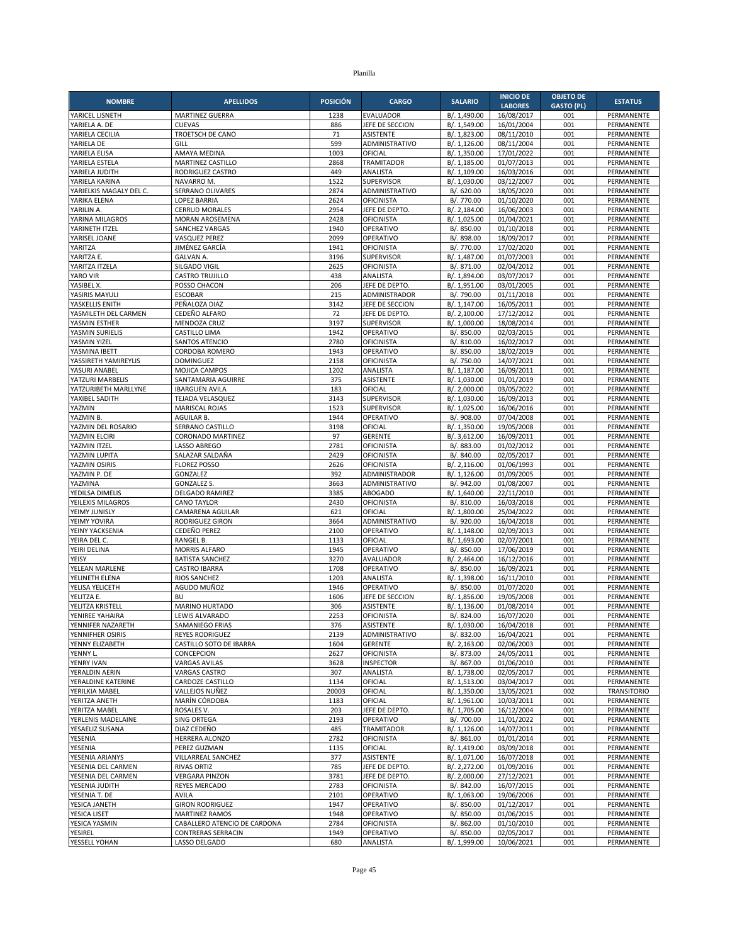| <b>POSICIÓN</b><br><b>SALARIO</b><br><b>NOMBRE</b><br><b>APELLIDOS</b><br><b>CARGO</b><br><b>LABORES</b><br><b>GASTO (PL)</b><br>16/08/2017<br>YARICEL LISNETH<br><b>MARTINEZ GUERRA</b><br>1238<br><b>EVALUADOR</b><br>B/. 1,490.00<br>001<br>YARIELA A. DE<br><b>CUEVAS</b><br>886<br>JEFE DE SECCION<br>B/. 1,549.00<br>16/01/2004<br>001<br>001<br>YARIELA CECILIA<br>TROETSCH DE CANO<br>71<br>ASISTENTE<br>B/. 1,823.00<br>08/11/2010<br>599<br>08/11/2004<br>001<br>YARIELA DE<br>GILL<br>ADMINISTRATIVO<br>B/. 1,126.00<br>YARIELA ELISA<br>AMAYA MEDINA<br>1003<br>OFICIAL<br>B/. 1,350.00<br>17/01/2022<br>001<br>MARTINEZ CASTILLO<br>2868<br><b>TRAMITADOR</b><br>B/. 1,185.00<br>01/07/2013<br>001<br>YARIELA ESTELA<br>449<br>16/03/2016<br>001<br>YARIELA JUDITH<br>RODRIGUEZ CASTRO<br>ANALISTA<br>B/. 1,109.00<br>1522<br>YARIELA KARINA<br><b>NAVARRO M</b><br><b>SUPERVISOR</b><br>B/. 1,030.00<br>03/12/2007<br>001<br>B/. 620.00<br>18/05/2020<br>001<br>YARIELKIS MAGALY DEL C.<br>SERRANO OLIVARES<br>2874<br>ADMINISTRATIVO<br>2624<br>B/. 770.00<br>01/10/2020<br>001<br>YARIKA ELENA<br><b>LOPEZ BARRIA</b><br><b>OFICINISTA</b><br>YARILIN A.<br>2954<br>JEFE DE DEPTO.<br>001<br><b>CERRUD MORALES</b><br>B/. 2,184.00<br>16/06/2003<br>2428<br>001<br>YARINA MILAGROS<br>MORAN AROSEMENA<br><b>OFICINISTA</b><br>B/. 1,025.00<br>01/04/2021 | <b>ESTATUS</b><br>PERMANENTE<br>PERMANENTE<br>PERMANENTE<br>PERMANENTE<br>PERMANENTE<br>PERMANENTE<br>PERMANENTE<br>PERMANENTE<br>PERMANENTE |
|--------------------------------------------------------------------------------------------------------------------------------------------------------------------------------------------------------------------------------------------------------------------------------------------------------------------------------------------------------------------------------------------------------------------------------------------------------------------------------------------------------------------------------------------------------------------------------------------------------------------------------------------------------------------------------------------------------------------------------------------------------------------------------------------------------------------------------------------------------------------------------------------------------------------------------------------------------------------------------------------------------------------------------------------------------------------------------------------------------------------------------------------------------------------------------------------------------------------------------------------------------------------------------------------------------------------------------------------------------------------------|----------------------------------------------------------------------------------------------------------------------------------------------|
|                                                                                                                                                                                                                                                                                                                                                                                                                                                                                                                                                                                                                                                                                                                                                                                                                                                                                                                                                                                                                                                                                                                                                                                                                                                                                                                                                                          |                                                                                                                                              |
|                                                                                                                                                                                                                                                                                                                                                                                                                                                                                                                                                                                                                                                                                                                                                                                                                                                                                                                                                                                                                                                                                                                                                                                                                                                                                                                                                                          |                                                                                                                                              |
|                                                                                                                                                                                                                                                                                                                                                                                                                                                                                                                                                                                                                                                                                                                                                                                                                                                                                                                                                                                                                                                                                                                                                                                                                                                                                                                                                                          |                                                                                                                                              |
|                                                                                                                                                                                                                                                                                                                                                                                                                                                                                                                                                                                                                                                                                                                                                                                                                                                                                                                                                                                                                                                                                                                                                                                                                                                                                                                                                                          |                                                                                                                                              |
|                                                                                                                                                                                                                                                                                                                                                                                                                                                                                                                                                                                                                                                                                                                                                                                                                                                                                                                                                                                                                                                                                                                                                                                                                                                                                                                                                                          |                                                                                                                                              |
|                                                                                                                                                                                                                                                                                                                                                                                                                                                                                                                                                                                                                                                                                                                                                                                                                                                                                                                                                                                                                                                                                                                                                                                                                                                                                                                                                                          |                                                                                                                                              |
|                                                                                                                                                                                                                                                                                                                                                                                                                                                                                                                                                                                                                                                                                                                                                                                                                                                                                                                                                                                                                                                                                                                                                                                                                                                                                                                                                                          |                                                                                                                                              |
|                                                                                                                                                                                                                                                                                                                                                                                                                                                                                                                                                                                                                                                                                                                                                                                                                                                                                                                                                                                                                                                                                                                                                                                                                                                                                                                                                                          |                                                                                                                                              |
|                                                                                                                                                                                                                                                                                                                                                                                                                                                                                                                                                                                                                                                                                                                                                                                                                                                                                                                                                                                                                                                                                                                                                                                                                                                                                                                                                                          | PERMANENTE                                                                                                                                   |
|                                                                                                                                                                                                                                                                                                                                                                                                                                                                                                                                                                                                                                                                                                                                                                                                                                                                                                                                                                                                                                                                                                                                                                                                                                                                                                                                                                          | PERMANENTE                                                                                                                                   |
|                                                                                                                                                                                                                                                                                                                                                                                                                                                                                                                                                                                                                                                                                                                                                                                                                                                                                                                                                                                                                                                                                                                                                                                                                                                                                                                                                                          | <b>PERMANENTE</b>                                                                                                                            |
| 1940<br>OPERATIVO<br>001<br>YARINETH ITZEL<br><b>SANCHEZ VARGAS</b><br>B/. 850.00<br>01/10/2018                                                                                                                                                                                                                                                                                                                                                                                                                                                                                                                                                                                                                                                                                                                                                                                                                                                                                                                                                                                                                                                                                                                                                                                                                                                                          | PERMANENTE                                                                                                                                   |
| YARISEL JOANE<br>2099<br>OPERATIVO<br>001<br><b>VASQUEZ PEREZ</b><br>B/. 898.00<br>18/09/2017                                                                                                                                                                                                                                                                                                                                                                                                                                                                                                                                                                                                                                                                                                                                                                                                                                                                                                                                                                                                                                                                                                                                                                                                                                                                            | PERMANENTE                                                                                                                                   |
| YARITZA<br>JIMÉNEZ GARCÍA<br>1941<br>17/02/2020<br>001<br><b>OFICINISTA</b><br>B/. 770.00<br><b>GALVAN A.</b><br>3196<br>001                                                                                                                                                                                                                                                                                                                                                                                                                                                                                                                                                                                                                                                                                                                                                                                                                                                                                                                                                                                                                                                                                                                                                                                                                                             | PERMANENTE                                                                                                                                   |
| SUPERVISOR<br>01/07/2003<br>YARITZA E.<br>B/. 1,487.00<br>YARITZA ITZELA<br>SILGADO VIGIL<br>2625<br><b>OFICINISTA</b><br>B/. 871.00<br>02/04/2012<br>001                                                                                                                                                                                                                                                                                                                                                                                                                                                                                                                                                                                                                                                                                                                                                                                                                                                                                                                                                                                                                                                                                                                                                                                                                | PERMANENTE<br>PERMANENTE                                                                                                                     |
| 001<br>YARO VIR<br><b>CASTRO TRUJILLO</b><br>438<br>ANALISTA<br>B/. 1,894.00<br>03/07/2017                                                                                                                                                                                                                                                                                                                                                                                                                                                                                                                                                                                                                                                                                                                                                                                                                                                                                                                                                                                                                                                                                                                                                                                                                                                                               | PERMANENTE                                                                                                                                   |
| 206<br>YASIBEL X.<br>POSSO CHACON<br>JEFE DE DEPTO.<br>B/. 1,951.00<br>03/01/2005<br>001                                                                                                                                                                                                                                                                                                                                                                                                                                                                                                                                                                                                                                                                                                                                                                                                                                                                                                                                                                                                                                                                                                                                                                                                                                                                                 | PERMANENTE                                                                                                                                   |
| <b>ESCOBAR</b><br>215<br>B/. 790.00<br>01/11/2018<br>001<br>YASIRIS MAYULI<br>ADMINISTRADOR                                                                                                                                                                                                                                                                                                                                                                                                                                                                                                                                                                                                                                                                                                                                                                                                                                                                                                                                                                                                                                                                                                                                                                                                                                                                              | PERMANENTE                                                                                                                                   |
| PEÑALOZA DIAZ<br>3142<br>JEFE DE SECCION<br>16/05/2011<br>001<br>YASKELLIS ENITH<br>B/. 1,147.00                                                                                                                                                                                                                                                                                                                                                                                                                                                                                                                                                                                                                                                                                                                                                                                                                                                                                                                                                                                                                                                                                                                                                                                                                                                                         | PERMANENTE                                                                                                                                   |
| 72<br>001<br>YASMILETH DEL CARMEN<br>CEDEÑO ALFARO<br>JEFE DE DEPTO.<br>B/. 2,100.00<br>17/12/2012                                                                                                                                                                                                                                                                                                                                                                                                                                                                                                                                                                                                                                                                                                                                                                                                                                                                                                                                                                                                                                                                                                                                                                                                                                                                       | PERMANENTE                                                                                                                                   |
| YASMIN ESTHER<br>MENDOZA CRUZ<br>3197<br><b>SUPERVISOR</b><br>B/. 1,000.00<br>18/08/2014<br>001<br>YASMIN SURIELIS<br>1942<br>OPERATIVO<br>001                                                                                                                                                                                                                                                                                                                                                                                                                                                                                                                                                                                                                                                                                                                                                                                                                                                                                                                                                                                                                                                                                                                                                                                                                           | PERMANENTE                                                                                                                                   |
| B/. 850.00<br>02/03/2015<br>CASTILLO LIMA<br>YASMIN YIZEL<br><b>SANTOS ATENCIO</b><br>2780<br><b>OFICINISTA</b><br>B/. 810.00<br>16/02/2017<br>001                                                                                                                                                                                                                                                                                                                                                                                                                                                                                                                                                                                                                                                                                                                                                                                                                                                                                                                                                                                                                                                                                                                                                                                                                       | PERMANENTE<br>PERMANENTE                                                                                                                     |
| 1943<br>B/. 850.00<br>18/02/2019<br>001<br>YASMINA IBETT<br>CORDOBA ROMERO<br>OPERATIVO                                                                                                                                                                                                                                                                                                                                                                                                                                                                                                                                                                                                                                                                                                                                                                                                                                                                                                                                                                                                                                                                                                                                                                                                                                                                                  | PERMANENTE                                                                                                                                   |
| 2158<br>OFICINISTA<br>14/07/2021<br>001<br>YASSIRETH YAMIREYLIS<br><b>DOMINGUEZ</b><br>B/. 750.00                                                                                                                                                                                                                                                                                                                                                                                                                                                                                                                                                                                                                                                                                                                                                                                                                                                                                                                                                                                                                                                                                                                                                                                                                                                                        | PERMANENTE                                                                                                                                   |
| 001<br>YASURI ANABEL<br>MOJICA CAMPOS<br>1202<br>ANALISTA<br>B/. 1,187.00<br>16/09/2011                                                                                                                                                                                                                                                                                                                                                                                                                                                                                                                                                                                                                                                                                                                                                                                                                                                                                                                                                                                                                                                                                                                                                                                                                                                                                  | PERMANENTE                                                                                                                                   |
| 375<br><b>ASISTENTE</b><br>001<br>YATZURI MARBELIS<br>SANTAMARIA AGUIRRE<br>B/. 1,030.00<br>01/01/2019                                                                                                                                                                                                                                                                                                                                                                                                                                                                                                                                                                                                                                                                                                                                                                                                                                                                                                                                                                                                                                                                                                                                                                                                                                                                   | PERMANENTE                                                                                                                                   |
| YATZURIBETH MARLLYNE<br><b>IBARGUEN AVILA</b><br>183<br>OFICIAL<br>B/. 2,000.00<br>03/05/2022<br>001                                                                                                                                                                                                                                                                                                                                                                                                                                                                                                                                                                                                                                                                                                                                                                                                                                                                                                                                                                                                                                                                                                                                                                                                                                                                     | PERMANENTE                                                                                                                                   |
| YAXIBEL SADITH<br>SUPERVISOR<br>B/. 1,030.00<br>001<br><b>TEJADA VELASQUEZ</b><br>3143<br>16/09/2013<br>1523<br>SUPERVISOR<br>16/06/2016<br><b>MARISCAL ROJAS</b><br>B/. 1.025.00                                                                                                                                                                                                                                                                                                                                                                                                                                                                                                                                                                                                                                                                                                                                                                                                                                                                                                                                                                                                                                                                                                                                                                                        | PERMANENTE                                                                                                                                   |
| YAZMIN<br>001<br>OPERATIVO<br>YAZMIN B.<br><b>AGUILAR B.</b><br>1944<br>B/. 908.00<br>07/04/2008<br>001                                                                                                                                                                                                                                                                                                                                                                                                                                                                                                                                                                                                                                                                                                                                                                                                                                                                                                                                                                                                                                                                                                                                                                                                                                                                  | PERMANENTE<br>PERMANENTE                                                                                                                     |
| 001<br>YAZMIN DEL ROSARIO<br>SERRANO CASTILLO<br>3198<br>OFICIAL<br>B/. 1,350.00<br>19/05/2008                                                                                                                                                                                                                                                                                                                                                                                                                                                                                                                                                                                                                                                                                                                                                                                                                                                                                                                                                                                                                                                                                                                                                                                                                                                                           | PERMANENTE                                                                                                                                   |
| 97<br><b>GERENTE</b><br>16/09/2011<br>001<br>YAZMIN ELCIRI<br><b>CORONADO MARTINEZ</b><br>B/. 3,612.00                                                                                                                                                                                                                                                                                                                                                                                                                                                                                                                                                                                                                                                                                                                                                                                                                                                                                                                                                                                                                                                                                                                                                                                                                                                                   | PERMANENTE                                                                                                                                   |
| 2781<br>001<br>YAZMIN ITZEL<br>LASSO ABREGO<br><b>OFICINISTA</b><br>B/. 883.00<br>01/02/2012                                                                                                                                                                                                                                                                                                                                                                                                                                                                                                                                                                                                                                                                                                                                                                                                                                                                                                                                                                                                                                                                                                                                                                                                                                                                             | PERMANENTE                                                                                                                                   |
| 001<br>YAZMIN LUPITA<br>SALAZAR SALDAÑA<br>2429<br><b>OFICINISTA</b><br>B/. 840.00<br>02/05/2017                                                                                                                                                                                                                                                                                                                                                                                                                                                                                                                                                                                                                                                                                                                                                                                                                                                                                                                                                                                                                                                                                                                                                                                                                                                                         | PERMANENTE                                                                                                                                   |
| 2626<br><b>OFICINISTA</b><br>001<br>YAZMIN OSIRIS<br><b>FLOREZ POSSO</b><br>B/.2,116.00<br>01/06/1993                                                                                                                                                                                                                                                                                                                                                                                                                                                                                                                                                                                                                                                                                                                                                                                                                                                                                                                                                                                                                                                                                                                                                                                                                                                                    | PERMANENTE                                                                                                                                   |
| YAZMIN P. DE<br>GONZALEZ<br>392<br>ADMINISTRADOR<br>B/. 1,126.00<br>01/09/2005<br>001<br>YAZMINA<br><b>GONZALEZ S.</b><br>3663<br>ADMINISTRATIVO<br>B/. 942.00<br>01/08/2007<br>001                                                                                                                                                                                                                                                                                                                                                                                                                                                                                                                                                                                                                                                                                                                                                                                                                                                                                                                                                                                                                                                                                                                                                                                      | PERMANENTE<br>PERMANENTE                                                                                                                     |
| 3385<br>22/11/2010<br>001<br>YEDILSA DIMELIS<br><b>DELGADO RAMIREZ</b><br><b>ABOGADO</b><br>B/. 1,640.00                                                                                                                                                                                                                                                                                                                                                                                                                                                                                                                                                                                                                                                                                                                                                                                                                                                                                                                                                                                                                                                                                                                                                                                                                                                                 | PERMANENTE                                                                                                                                   |
| 16/03/2018<br>YEILEXIS MILAGROS<br><b>CANO TAYLOR</b><br>2430<br><b>OFICINISTA</b><br>B/. 810.00<br>001                                                                                                                                                                                                                                                                                                                                                                                                                                                                                                                                                                                                                                                                                                                                                                                                                                                                                                                                                                                                                                                                                                                                                                                                                                                                  | PERMANENTE                                                                                                                                   |
| YEIMY JUNISLY<br>CAMARENA AGUILAR<br>621<br>OFICIAL<br>B/. 1,800.00<br>25/04/2022<br>001                                                                                                                                                                                                                                                                                                                                                                                                                                                                                                                                                                                                                                                                                                                                                                                                                                                                                                                                                                                                                                                                                                                                                                                                                                                                                 | PERMANENTE                                                                                                                                   |
| YEIMY YOVIRA<br><b>RODRIGUEZ GIRON</b><br>3664<br>ADMINISTRATIVO<br>B/. 920.00<br>16/04/2018<br>001                                                                                                                                                                                                                                                                                                                                                                                                                                                                                                                                                                                                                                                                                                                                                                                                                                                                                                                                                                                                                                                                                                                                                                                                                                                                      | PERMANENTE                                                                                                                                   |
| CEDEÑO PEREZ<br>2100<br>OPERATIVO<br>001<br>YEINY YACKSENIA<br>B/. 1,148.00<br>02/09/2013                                                                                                                                                                                                                                                                                                                                                                                                                                                                                                                                                                                                                                                                                                                                                                                                                                                                                                                                                                                                                                                                                                                                                                                                                                                                                | PERMANENTE                                                                                                                                   |
| YEIRA DEL C.<br>1133<br>OFICIAL<br>B/. 1,693.00<br>02/07/2001<br>001<br>RANGEL B.<br>1945<br>001<br>YEIRI DELINA<br><b>MORRIS ALFARO</b><br>OPERATIVO<br>B/. 850.00<br>17/06/2019                                                                                                                                                                                                                                                                                                                                                                                                                                                                                                                                                                                                                                                                                                                                                                                                                                                                                                                                                                                                                                                                                                                                                                                        | PERMANENTE<br>PERMANENTE                                                                                                                     |
| <b>BATISTA SANCHEZ</b><br>3270<br><b>AVALUADOR</b><br>B/. 2,464.00<br>16/12/2016<br>001<br>YEISY                                                                                                                                                                                                                                                                                                                                                                                                                                                                                                                                                                                                                                                                                                                                                                                                                                                                                                                                                                                                                                                                                                                                                                                                                                                                         | PERMANENTE                                                                                                                                   |
| 1708<br>OPERATIVO<br>B/. 850.00<br>16/09/2021<br>001<br>YELEAN MARLENE<br><b>CASTRO IBARRA</b>                                                                                                                                                                                                                                                                                                                                                                                                                                                                                                                                                                                                                                                                                                                                                                                                                                                                                                                                                                                                                                                                                                                                                                                                                                                                           | PERMANENTE                                                                                                                                   |
| YELINETH ELENA<br>1203<br>B/. 1,398.00<br>16/11/2010<br>001<br><b>RIOS SANCHEZ</b><br>ANALISTA                                                                                                                                                                                                                                                                                                                                                                                                                                                                                                                                                                                                                                                                                                                                                                                                                                                                                                                                                                                                                                                                                                                                                                                                                                                                           | PERMANENTE                                                                                                                                   |
| 01/07/2020<br>YELISA YELICETH<br>AGUDO MUÑOZ<br>1946<br>OPERATIVO<br>B/. 850.00<br>001                                                                                                                                                                                                                                                                                                                                                                                                                                                                                                                                                                                                                                                                                                                                                                                                                                                                                                                                                                                                                                                                                                                                                                                                                                                                                   | PERMANENTE                                                                                                                                   |
| YELITZA E.<br><b>BU</b><br>1606<br>JEFE DE SECCION<br>B/. 1,856.00<br>19/05/2008<br>001                                                                                                                                                                                                                                                                                                                                                                                                                                                                                                                                                                                                                                                                                                                                                                                                                                                                                                                                                                                                                                                                                                                                                                                                                                                                                  | PERMANENTE                                                                                                                                   |
| YELITZA KRISTELL<br>MARINO HURTADO<br>306<br>B/. 1,136.00<br>01/08/2014<br>001<br><b>ASISTENTE</b><br>2253<br>YENIREE YAHAIRA<br>LEWIS ALVARADO<br><b>OFICINISTA</b><br>16/07/2020<br>001<br>B/. 824.00                                                                                                                                                                                                                                                                                                                                                                                                                                                                                                                                                                                                                                                                                                                                                                                                                                                                                                                                                                                                                                                                                                                                                                  | PERMANENTE<br>PERMANENTE                                                                                                                     |
| YENNIFER NAZARETH<br>SAMANIEGO FRIAS<br>376<br>ASISTENTE<br>B/. 1,030.00<br>16/04/2018<br>001                                                                                                                                                                                                                                                                                                                                                                                                                                                                                                                                                                                                                                                                                                                                                                                                                                                                                                                                                                                                                                                                                                                                                                                                                                                                            | PERMANENTE                                                                                                                                   |
| YENNIFHER OSIRIS<br><b>REYES RODRIGUEZ</b><br>2139<br>ADMINISTRATIVO<br>B/. 832.00<br>16/04/2021<br>001                                                                                                                                                                                                                                                                                                                                                                                                                                                                                                                                                                                                                                                                                                                                                                                                                                                                                                                                                                                                                                                                                                                                                                                                                                                                  | PERMANENTE                                                                                                                                   |
| CASTILLO SOTO DE IBARRA<br><b>GERENTE</b><br>B/. 2,163.00<br>02/06/2003<br>YENNY ELIZABETH<br>1604<br>001                                                                                                                                                                                                                                                                                                                                                                                                                                                                                                                                                                                                                                                                                                                                                                                                                                                                                                                                                                                                                                                                                                                                                                                                                                                                | PERMANENTE                                                                                                                                   |
| <b>OFICINISTA</b><br>24/05/2011<br>YENNY L.<br>CONCEPCION<br>2627<br>B/. 873.00<br>001                                                                                                                                                                                                                                                                                                                                                                                                                                                                                                                                                                                                                                                                                                                                                                                                                                                                                                                                                                                                                                                                                                                                                                                                                                                                                   | PERMANENTE                                                                                                                                   |
| YENRY IVAN<br><b>VARGAS AVILAS</b><br>3628<br><b>INSPECTOR</b><br>B/. 867.00<br>01/06/2010<br>001                                                                                                                                                                                                                                                                                                                                                                                                                                                                                                                                                                                                                                                                                                                                                                                                                                                                                                                                                                                                                                                                                                                                                                                                                                                                        | PERMANENTE                                                                                                                                   |
| YERALDIN AERIN<br><b>VARGAS CASTRO</b><br>307<br>B/. 1,738.00<br>02/05/2017<br>ANALISTA<br>001<br>YERALDINE KATERINE<br>CARDOZE CASTILLO<br>OFICIAL<br>1134<br>B/. 1,513.00<br>03/04/2017<br>001                                                                                                                                                                                                                                                                                                                                                                                                                                                                                                                                                                                                                                                                                                                                                                                                                                                                                                                                                                                                                                                                                                                                                                         | PERMANENTE<br>PERMANENTE                                                                                                                     |
|                                                                                                                                                                                                                                                                                                                                                                                                                                                                                                                                                                                                                                                                                                                                                                                                                                                                                                                                                                                                                                                                                                                                                                                                                                                                                                                                                                          | TRANSITORIO                                                                                                                                  |
|                                                                                                                                                                                                                                                                                                                                                                                                                                                                                                                                                                                                                                                                                                                                                                                                                                                                                                                                                                                                                                                                                                                                                                                                                                                                                                                                                                          |                                                                                                                                              |
| YERILKIA MABEL<br>VALLEJOS NUÑEZ<br>20003<br>OFICIAL<br>B/. 1,350.00<br>13/05/2021<br>002                                                                                                                                                                                                                                                                                                                                                                                                                                                                                                                                                                                                                                                                                                                                                                                                                                                                                                                                                                                                                                                                                                                                                                                                                                                                                |                                                                                                                                              |
| YERITZA ANETH<br>OFICIAL<br>MARÍN CÓRDOBA<br>1183<br>B/. 1,961.00<br>10/03/2011<br>001<br>B/. 1,705.00<br>YERITZA MABEL<br>ROSALES V.<br>203<br>JEFE DE DEPTO.<br>16/12/2004<br>001                                                                                                                                                                                                                                                                                                                                                                                                                                                                                                                                                                                                                                                                                                                                                                                                                                                                                                                                                                                                                                                                                                                                                                                      | PERMANENTE<br>PERMANENTE                                                                                                                     |
| OPERATIVO<br>B/. 700.00<br>11/01/2022<br>YERLENIS MADELAINE<br>SING ORTEGA<br>2193<br>001                                                                                                                                                                                                                                                                                                                                                                                                                                                                                                                                                                                                                                                                                                                                                                                                                                                                                                                                                                                                                                                                                                                                                                                                                                                                                | PERMANENTE                                                                                                                                   |
| DIAZ CEDEÑO<br>YESAELIZ SUSANA<br>485<br><b>TRAMITADOR</b><br>B/. 1,126.00<br>14/07/2011<br>001                                                                                                                                                                                                                                                                                                                                                                                                                                                                                                                                                                                                                                                                                                                                                                                                                                                                                                                                                                                                                                                                                                                                                                                                                                                                          | PERMANENTE                                                                                                                                   |
| 2782<br>B/. 861.00<br>01/01/2014<br>YESENIA<br>HERRERA ALONZO<br><b>OFICINISTA</b><br>001                                                                                                                                                                                                                                                                                                                                                                                                                                                                                                                                                                                                                                                                                                                                                                                                                                                                                                                                                                                                                                                                                                                                                                                                                                                                                | PERMANENTE                                                                                                                                   |
| YESENIA<br>B/. 1,419.00<br>03/09/2018<br>001<br>PEREZ GUZMAN<br>1135<br>OFICIAL                                                                                                                                                                                                                                                                                                                                                                                                                                                                                                                                                                                                                                                                                                                                                                                                                                                                                                                                                                                                                                                                                                                                                                                                                                                                                          | PERMANENTE                                                                                                                                   |
| YESENIA ARIANYS<br>VILLARREAL SANCHEZ<br>377<br>ASISTENTE<br>B/. 1,071.00<br>16/07/2018<br>001                                                                                                                                                                                                                                                                                                                                                                                                                                                                                                                                                                                                                                                                                                                                                                                                                                                                                                                                                                                                                                                                                                                                                                                                                                                                           | PERMANENTE                                                                                                                                   |
| YESENIA DEL CARMEN<br>785<br>B/. 2,272.00<br>01/09/2016<br>001<br><b>RIVAS ORTIZ</b><br>JEFE DE DEPTO.<br>3781<br>27/12/2021<br>001<br>YESENIA DEL CARMEN<br><b>VERGARA PINZON</b><br>JEFE DE DEPTO.<br>B/. 2,000.00                                                                                                                                                                                                                                                                                                                                                                                                                                                                                                                                                                                                                                                                                                                                                                                                                                                                                                                                                                                                                                                                                                                                                     | PERMANENTE<br>PERMANENTE                                                                                                                     |
| REYES MERCADO<br>2783<br>YESENIA JUDITH<br><b>OFICINISTA</b><br>B/. 842.00<br>16/07/2015<br>001                                                                                                                                                                                                                                                                                                                                                                                                                                                                                                                                                                                                                                                                                                                                                                                                                                                                                                                                                                                                                                                                                                                                                                                                                                                                          | PERMANENTE                                                                                                                                   |
| B/. 1,063.00<br>19/06/2006<br>YESENIA T. DE<br>AVILA<br>2101<br>OPERATIVO<br>001                                                                                                                                                                                                                                                                                                                                                                                                                                                                                                                                                                                                                                                                                                                                                                                                                                                                                                                                                                                                                                                                                                                                                                                                                                                                                         | PERMANENTE                                                                                                                                   |
| YESICA JANETH<br>OPERATIVO<br>B/. 850.00<br>01/12/2017<br><b>GIRON RODRIGUEZ</b><br>1947<br>001                                                                                                                                                                                                                                                                                                                                                                                                                                                                                                                                                                                                                                                                                                                                                                                                                                                                                                                                                                                                                                                                                                                                                                                                                                                                          | PERMANENTE                                                                                                                                   |
| YESICA LISET<br>01/06/2015<br><b>MARTINEZ RAMOS</b><br>1948<br>OPERATIVO<br>B/. 850.00<br>001                                                                                                                                                                                                                                                                                                                                                                                                                                                                                                                                                                                                                                                                                                                                                                                                                                                                                                                                                                                                                                                                                                                                                                                                                                                                            | PERMANENTE                                                                                                                                   |
| <b>OFICINISTA</b><br>B/. 862.00<br>01/10/2010<br>YESICA YASMIN<br>CABALLERO ATENCIO DE CARDONA<br>2784<br>001<br><b>YESIREL</b><br><b>CONTRERAS SERRACIN</b><br>1949<br>OPERATIVO<br>02/05/2017<br>001<br>B/. 850.00                                                                                                                                                                                                                                                                                                                                                                                                                                                                                                                                                                                                                                                                                                                                                                                                                                                                                                                                                                                                                                                                                                                                                     | PERMANENTE<br>PERMANENTE                                                                                                                     |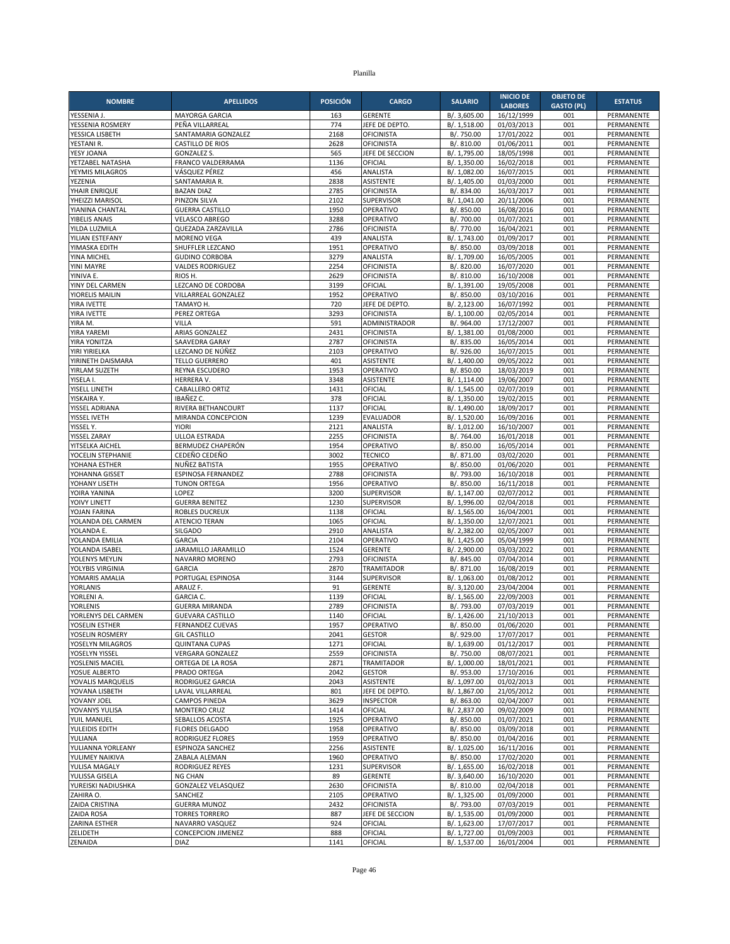| <b>NOMBRE</b>                       | <b>APELLIDOS</b>                             | <b>POSICIÓN</b> | <b>CARGO</b>                           | <b>SALARIO</b>               | <b>INICIO DE</b>         | <b>OBJETO DE</b>  | <b>ESTATUS</b>                  |
|-------------------------------------|----------------------------------------------|-----------------|----------------------------------------|------------------------------|--------------------------|-------------------|---------------------------------|
|                                     |                                              |                 |                                        |                              | <b>LABORES</b>           | <b>GASTO (PL)</b> |                                 |
| YESSENIA J.<br>YESSENIA ROSMERY     | <b>MAYORGA GARCIA</b><br>PEÑA VILLARREAL     | 163<br>774      | <b>GERENTE</b><br>JEFE DE DEPTO        | B/. 3,605.00<br>B/. 1,518.00 | 16/12/1999<br>01/03/2013 | 001<br>001        | PERMANENTE<br>PERMANENTE        |
| YESSICA LISBETH                     | SANTAMARIA GONZALEZ                          | 2168            | <b>OFICINISTA</b>                      | B/. 750.00                   | 17/01/2022               | 001               | PERMANENTE                      |
| YESTANI R.                          | <b>CASTILLO DE RIOS</b>                      | 2628            | <b>OFICINISTA</b>                      | B/. 810.00                   | 01/06/2011               | 001               | PERMANENTE                      |
| YESY JOANA                          | <b>GONZALEZ S.</b>                           | 565             | JEFE DE SECCION                        | B/. 1,795.00                 | 18/05/1998               | 001               | PERMANENTE                      |
| YETZABEL NATASHA<br>YEYMIS MILAGROS | FRANCO VALDERRAMA<br>VÁSQUEZ PÉREZ           | 1136<br>456     | OFICIAL<br>ANALISTA                    | B/. 1,350.00                 | 16/02/2018<br>16/07/2015 | 001<br>001        | PERMANENTE<br>PERMANENTE        |
| YEZENIA                             | SANTAMARIA R.                                | 2838            | <b>ASISTENTE</b>                       | B/. 1,082.00<br>B/. 1,405.00 | 01/03/2000               | 001               | PERMANENTE                      |
| YHAIR ENRIQUE                       | <b>BAZAN DIAZ</b>                            | 2785            | <b>OFICINISTA</b>                      | B/. 834.00                   | 16/03/2017               | 001               | PERMANENTE                      |
| YHEIZZI MARISOL                     | PINZON SILVA                                 | 2102            | <b>SUPERVISOR</b>                      | B/. 1,041.00                 | 20/11/2006               | 001               | PERMANENTE                      |
| YIANINA CHANTAL                     | <b>GUERRA CASTILLO</b>                       | 1950            | OPERATIVO                              | B/. 850.00                   | 16/08/2016               | 001               | PERMANENTE                      |
| <b>YIBELIS ANAIS</b>                | <b>VELASCO ABREGO</b><br>QUEZADA ZARZAVILLA  | 3288<br>2786    | OPERATIVO                              | B/. 700.00                   | 01/07/2021               | 001<br>001        | <b>PERMANENTE</b><br>PERMANENTE |
| YILDA LUZMILA<br>YILIAN ESTEFANY    | <b>MORENO VEGA</b>                           | 439             | <b>OFICINISTA</b><br>ANALISTA          | B/. 770.00<br>B/. 1,743.00   | 16/04/2021<br>01/09/2017 | 001               | PERMANENTE                      |
| YIMASKA EDITH                       | SHUFFLER LEZCANO                             | 1951            | OPERATIVO                              | B/. 850.00                   | 03/09/2018               | 001               | PERMANENTE                      |
| YINA MICHEL                         | <b>GUDINO CORBOBA</b>                        | 3279            | ANALISTA                               | B/. 1,709.00                 | 16/05/2005               | 001               | PERMANENTE                      |
| YINI MAYRE                          | <b>VALDES RODRIGUEZ</b>                      | 2254            | <b>OFICINISTA</b>                      | B/. 820.00                   | 16/07/2020               | 001               | PERMANENTE                      |
| YINIVA E.                           | RIOS H.                                      | 2629            | OFICINISTA                             | B/. 810.00                   | 16/10/2008               | 001               | PERMANENTE                      |
| YINY DEL CARMEN<br>YIORELIS MAILIN  | LEZCANO DE CORDOBA<br>VILLARREAL GONZALEZ    | 3199<br>1952    | OFICIAL<br>OPERATIVO                   | B/. 1,391.00<br>B/. 850.00   | 19/05/2008<br>03/10/2016 | 001<br>001        | PERMANENTE<br>PERMANENTE        |
| YIRA IVETTE                         | TAMAYO H.                                    | 720             | JEFE DE DEPTO                          | B/. 2,123.00                 | 16/07/1992               | 001               | PERMANENTE                      |
| YIRA IVETTE                         | PEREZ ORTEGA                                 | 3293            | <b>OFICINISTA</b>                      | B/. 1,100.00                 | 02/05/2014               | 001               | PERMANENTE                      |
| YIRA M.                             | <b>VILLA</b>                                 | 591             | ADMINISTRADOR                          | B/. 964.00                   | 17/12/2007               | 001               | PERMANENTE                      |
| YIRA YAREMI                         | ARIAS GONZALEZ                               | 2431            | <b>OFICINISTA</b>                      | B/. 1,381.00                 | 01/08/2000               | 001               | PERMANENTE                      |
| YIRA YONITZA                        | SAAVEDRA GARAY                               | 2787            | <b>OFICINISTA</b>                      | B/. 835.00                   | 16/05/2014               | 001               | PERMANENTE                      |
| YIRI YIRIELKA<br>YIRINETH DAISMARA  | LEZCANO DE NÚÑEZ<br><b>TELLO GUERRERO</b>    | 2103<br>401     | OPERATIVO<br><b>ASISTENTE</b>          | B/. 926.00<br>B/. 1,400.00   | 16/07/2015<br>09/05/2022 | 001<br>001        | PERMANENTE<br>PERMANENTE        |
| YIRLAM SUZETH                       | REYNA ESCUDERO                               | 1953            | OPERATIVO                              | B/. 850.00                   | 18/03/2019               | 001               | PERMANENTE                      |
| YISELA I                            | <b>HERRERA V</b>                             | 3348            | <b>ASISTENTE</b>                       | B/. 1,114.00                 | 19/06/2007               | 001               | PERMANENTE                      |
| YISELL LINETH                       | <b>CABALLERO ORTIZ</b>                       | 1431            | OFICIAL                                | B/. 1,545.00                 | 02/07/2019               | 001               | PERMANENTE                      |
| YISKAIRA Y.                         | IBAÑEZ C.                                    | 378             | OFICIAL                                | B/. 1,350.00                 | 19/02/2015               | 001               | PERMANENTE                      |
| YISSEL ADRIANA<br>YISSEL IVETH      | RIVERA BETHANCOURT<br>MIRANDA CONCEPCION     | 1137<br>1239    | OFICIAL<br><b>EVALUADOR</b>            | B/. 1.490.00<br>B/. 1,520.00 | 18/09/2017<br>16/09/2016 | 001<br>001        | PERMANENTE<br>PERMANENTE        |
| YISSEL Y.                           | <b>YIORI</b>                                 | 2121            | ANALISTA                               | B/. 1,012.00                 | 16/10/2007               | 001               | PERMANENTE                      |
| YISSEL ZARAY                        | ULLOA ESTRADA                                | 2255            | <b>OFICINISTA</b>                      | B/. 764.00                   | 16/01/2018               | 001               | PERMANENTE                      |
| YITSELKA AICHEL                     | BERMUDEZ CHAPERÓN                            | 1954            | OPERATIVO                              | B/. 850.00                   | 16/05/2014               | 001               | PERMANENTE                      |
| YOCELIN STEPHANIE                   | CEDEÑO CEDEÑO                                | 3002            | <b>TECNICO</b>                         | B/. 871.00                   | 03/02/2020               | 001               | PERMANENTE                      |
| YOHANA ESTHER                       | NUÑEZ BATISTA                                | 1955<br>2788    | OPERATIVO<br><b>OFICINISTA</b>         | B/. 850.00                   | 01/06/2020<br>16/10/2018 | 001<br>001        | PERMANENTE<br>PERMANENTE        |
| YOHANNA GISSET<br>YOHANY LISETH     | ESPINOSA FERNANDEZ<br><b>TUNON ORTEGA</b>    | 1956            | OPERATIVO                              | B/. 793.00<br>B/. 850.00     | 16/11/2018               | 001               | PERMANENTE                      |
| YOIRA YANINA                        | LOPEZ                                        | 3200            | <b>SUPERVISOR</b>                      | B/. 1,147.00                 | 02/07/2012               | 001               | PERMANENTE                      |
| YOIVY LINETT                        | <b>GUERRA BENITEZ</b>                        | 1230            | <b>SUPERVISOR</b>                      | B/. 1,996.00                 | 02/04/2018               | 001               | PERMANENTE                      |
| YOJAN FARINA                        | <b>ROBLES DUCREUX</b>                        | 1138            | OFICIAL                                | B/. 1,565.00                 | 16/04/2001               | 001               | PERMANENTE                      |
| YOLANDA DEL CARMEN                  | <b>ATENCIO TERAN</b>                         | 1065            | OFICIAL                                | B/. 1,350.00                 | 12/07/2021               | 001               | PERMANENTE                      |
| YOLANDA E.<br>YOLANDA EMILIA        | <b>SILGADO</b><br><b>GARCIA</b>              | 2910<br>2104    | ANALISTA<br>OPERATIVO                  | B/. 2,382.00<br>B/. 1,425.00 | 02/05/2007<br>05/04/1999 | 001<br>001        | PERMANENTE<br>PERMANENTE        |
| YOLANDA ISABEL                      | JARAMILLO JARAMILLO                          | 1524            | <b>GERENTE</b>                         | B/. 2,900.00                 | 03/03/2022               | 001               | PERMANENTE                      |
| YOLENYS MEYLIN                      | NAVARRO MORENO                               | 2793            | <b>OFICINISTA</b>                      | B/. 845.00                   | 07/04/2014               | 001               | PERMANENTE                      |
| YOLYBIS VIRGINIA                    | <b>GARCIA</b>                                | 2870            | <b>TRAMITADOR</b>                      | B/. 871.00                   | 16/08/2019               | 001               | PERMANENTE                      |
| YOMARIS AMALIA                      | PORTUGAL ESPINOSA                            | 3144            | <b>SUPERVISOR</b>                      | B/. 1,063.00                 | 01/08/2012               | 001               | PERMANENTE                      |
| YORLANIS<br>YORLENI A.              | ARAUZ F.<br>GARCIA C.                        | 91<br>1139      | <b>GERENTE</b><br>OFICIAL              | B/. 3,120.00<br>B/. 1,565.00 | 23/04/2004<br>22/09/2003 | 001<br>001        | PERMANENTE<br>PERMANENTE        |
| <b>YORLENIS</b>                     | <b>GUERRA MIRANDA</b>                        | 2789            | <b>OFICINISTA</b>                      | B/. 793.00                   | 07/03/2019               | 001               | PERMANENTE                      |
| YORLENYS DEL CARMEN                 | <b>GUEVARA CASTILLO</b>                      | 1140            | OFICIAL                                | B/. 1,426.00                 | 21/10/2013               | 001               | PERMANENTE                      |
| YOSELIN ESTHER                      | <b>FERNANDEZ CUEVAS</b>                      | 1957            | OPERATIVO                              | B/. 850.00                   | 01/06/2020               | 001               | PERMANENTE                      |
| YOSELIN ROSMERY                     | <b>GIL CASTILLO</b>                          | 2041            | <b>GESTOR</b>                          | B/. 929.00                   | 17/07/2017               | 001               | PERMANENTE                      |
| YOSELYN MILAGROS                    | <b>QUINTANA CUPAS</b>                        | 1271            | OFICIAL                                | B/. 1,639.00                 | 01/12/2017               | 001               | PERMANENTE                      |
| YOSELYN YISSEL<br>YOSLENIS MACIEL   | <b>VERGARA GONZALEZ</b><br>ORTEGA DE LA ROSA | 2559<br>2871    | <b>OFICINISTA</b><br><b>TRAMITADOR</b> | B/. 750.00<br>B/. 1,000.00   | 08/07/2021<br>18/01/2021 | 001<br>001        | PERMANENTE<br>PERMANENTE        |
| YOSUE ALBERTO                       | PRADO ORTEGA                                 | 2042            | <b>GESTOR</b>                          | B/. 953.00                   | 17/10/2016               | 001               | PERMANENTE                      |
| YOVALIS MARQUELIS                   | RODRIGUEZ GARCIA                             | 2043            | ASISTENTE                              | B/. 1,097.00                 | 01/02/2013               | 001               | PERMANENTE                      |
| YOVANA LISBETH                      | LAVAL VILLARREAL                             | 801             | JEFE DE DEPTO.                         | B/. 1,867.00                 | 21/05/2012               | 001               | PERMANENTE                      |
| YOVANY JOEL                         | CAMPOS PINEDA                                | 3629            | <b>INSPECTOR</b>                       | B/. 863.00                   | 02/04/2007               | 001               | PERMANENTE                      |
| YOVANYS YULISA                      | MONTERO CRUZ                                 | 1414            | OFICIAL                                | B/. 2,837.00                 | 09/02/2009               | 001               | PERMANENTE                      |
| YUIL MANUEL<br>YULEIDIS EDITH       | SEBALLOS ACOSTA<br><b>FLORES DELGADO</b>     | 1925<br>1958    | OPERATIVO<br>OPERATIVO                 | B/. 850.00<br>B/. 850.00     | 01/07/2021<br>03/09/2018 | 001<br>001        | PERMANENTE<br>PERMANENTE        |
| YULIANA                             | RODRIGUEZ FLORES                             | 1959            | OPERATIVO                              | B/. 850.00                   | 01/04/2016               | 001               | PERMANENTE                      |
| YULIANNA YORLEANY                   | ESPINOZA SANCHEZ                             | 2256            | ASISTENTE                              | B/. 1,025.00                 | 16/11/2016               | 001               | PERMANENTE                      |
| YULIMEY NAIKIVA                     | ZABALA ALEMAN                                | 1960            | OPERATIVO                              | B/. 850.00                   | 17/02/2020               | 001               | PERMANENTE                      |
| YULISA MAGALY                       | RODRIGUEZ REYES                              | 1231            | <b>SUPERVISOR</b>                      | B/. 1,655.00                 | 16/02/2018               | 001               | PERMANENTE                      |
| YULISSA GISELA                      | NG CHAN<br><b>GONZALEZ VELASQUEZ</b>         | 89<br>2630      | <b>GERENTE</b>                         | B/. 3,640.00                 | 16/10/2020               | 001<br>001        | PERMANENTE                      |
| YUREISKI NADIUSHKA<br>ZAHIRA O.     | SANCHEZ                                      | 2105            | <b>OFICINISTA</b><br>OPERATIVO         | B/. 810.00<br>B/. 1,325.00   | 02/04/2018<br>01/09/2000 | 001               | PERMANENTE<br>PERMANENTE        |
| ZAIDA CRISTINA                      | <b>GUERRA MUNOZ</b>                          | 2432            | <b>OFICINISTA</b>                      | B/. 793.00                   | 07/03/2019               | 001               | PERMANENTE                      |
| ZAIDA ROSA                          | <b>TORRES TORRERO</b>                        | 887             | JEFE DE SECCION                        | B/. 1,535.00                 | 01/09/2000               | 001               | PERMANENTE                      |
| ZARINA ESTHER                       | NAVARRO VASQUEZ                              | 924             | OFICIAL                                | B/. 1,623.00                 | 17/07/2017               | 001               | PERMANENTE                      |
| ZELIDETH                            | <b>CONCEPCION JIMENEZ</b>                    | 888             | OFICIAL                                | B/. 1,727.00                 | 01/09/2003               | 001               | PERMANENTE                      |
| ZENAIDA                             | <b>DIAZ</b>                                  | 1141            | OFICIAL                                | B/. 1,537.00                 | 16/01/2004               | 001               | PERMANENTE                      |